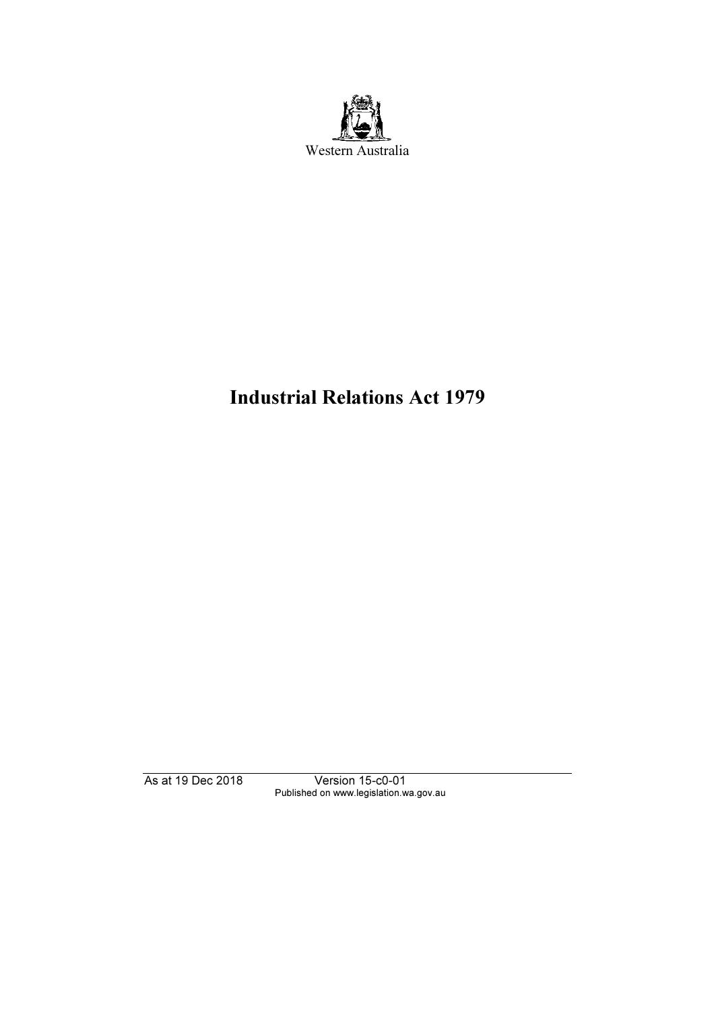

# Industrial Relations Act 1979

As at 19 Dec 2018 Version 15-c0-01 Published on www.legislation.wa.gov.au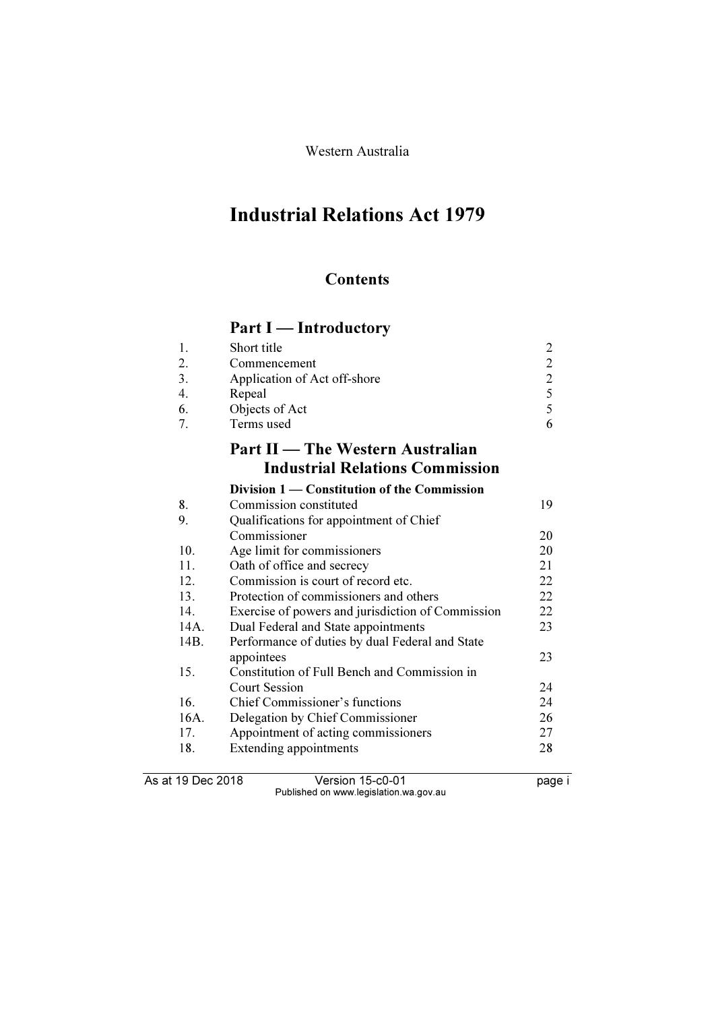Western Australia

# Industrial Relations Act 1979

# **Contents**

# Part I — Introductory

| 1.   | Short title                                       | $\overline{2}$ |
|------|---------------------------------------------------|----------------|
| 2.   | Commencement                                      | $\overline{c}$ |
| 3.   | Application of Act off-shore                      | $\overline{c}$ |
| 4.   | Repeal                                            |                |
| 6.   | Objects of Act                                    | $rac{5}{5}$    |
| 7.   | Terms used                                        | 6              |
|      | Part II — The Western Australian                  |                |
|      | <b>Industrial Relations Commission</b>            |                |
|      | Division 1 — Constitution of the Commission       |                |
| 8.   | Commission constituted                            | 19             |
| 9.   | Qualifications for appointment of Chief           |                |
|      | Commissioner                                      | 20             |
| 10.  | Age limit for commissioners                       | 20             |
| 11.  | Oath of office and secrecy                        | 21             |
| 12.  | Commission is court of record etc.                | 22             |
| 13.  | Protection of commissioners and others            | 22             |
| 14.  | Exercise of powers and jurisdiction of Commission | 22             |
| 14A. | Dual Federal and State appointments               | 23             |
| 14B. | Performance of duties by dual Federal and State   |                |
|      | appointees                                        | 23             |
| 15.  | Constitution of Full Bench and Commission in      |                |
|      | <b>Court Session</b>                              | 24             |
| 16.  | Chief Commissioner's functions                    | 24             |

As at 19 Dec 2018 Version 15-c0-01 page i Published on www.legislation.wa.gov.au

16A. Delegation by Chief Commissioner 26<br>17. Appointment of acting commissioners 27 17. Appointment of acting commissioners 27<br>18. Extending appointments 28

16. Chief Commissioner's functions<br>16A. Delegation by Chief Commission

Extending appointments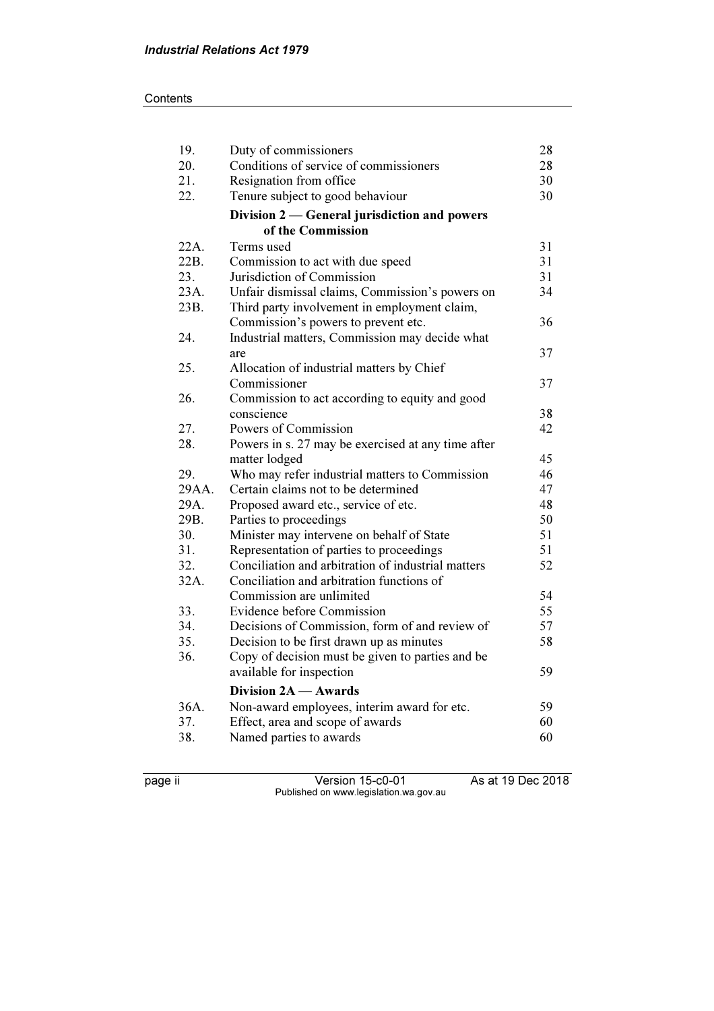### **Contents**

| 19.   | Duty of commissioners                              | 28 |
|-------|----------------------------------------------------|----|
| 20.   | Conditions of service of commissioners             | 28 |
| 21.   | Resignation from office                            | 30 |
| 22.   | Tenure subject to good behaviour                   | 30 |
|       | Division 2 — General jurisdiction and powers       |    |
|       | of the Commission                                  |    |
| 22A.  | Terms used                                         | 31 |
| 22B.  | Commission to act with due speed                   | 31 |
| 23.   | Jurisdiction of Commission                         | 31 |
| 23A.  | Unfair dismissal claims, Commission's powers on    | 34 |
| 23B.  | Third party involvement in employment claim,       |    |
|       | Commission's powers to prevent etc.                | 36 |
| 24.   | Industrial matters, Commission may decide what     |    |
|       | are                                                | 37 |
| 25.   | Allocation of industrial matters by Chief          |    |
|       | Commissioner                                       | 37 |
| 26.   | Commission to act according to equity and good     |    |
|       | conscience                                         | 38 |
| 27.   | Powers of Commission                               | 42 |
| 28.   | Powers in s. 27 may be exercised at any time after |    |
|       | matter lodged                                      | 45 |
| 29.   | Who may refer industrial matters to Commission     | 46 |
| 29AA. | Certain claims not to be determined                | 47 |
| 29A.  | Proposed award etc., service of etc.               | 48 |
| 29B.  | Parties to proceedings                             | 50 |
| 30.   | Minister may intervene on behalf of State          | 51 |
| 31.   | Representation of parties to proceedings           | 51 |
| 32.   | Conciliation and arbitration of industrial matters | 52 |
| 32A.  | Conciliation and arbitration functions of          |    |
|       | Commission are unlimited                           | 54 |
| 33.   | Evidence before Commission                         | 55 |
| 34.   | Decisions of Commission, form of and review of     | 57 |
| 35.   | Decision to be first drawn up as minutes           | 58 |
| 36.   | Copy of decision must be given to parties and be   |    |
|       | available for inspection                           | 59 |
|       | Division 2A — Awards                               |    |
| 36A.  | Non-award employees, interim award for etc.        | 59 |
| 37.   | Effect, area and scope of awards                   | 60 |
| 38.   | Named parties to awards                            | 60 |
|       |                                                    |    |

page ii Version 15-c0-01 As at 19 Dec 2018 Published on www.legislation.wa.gov.au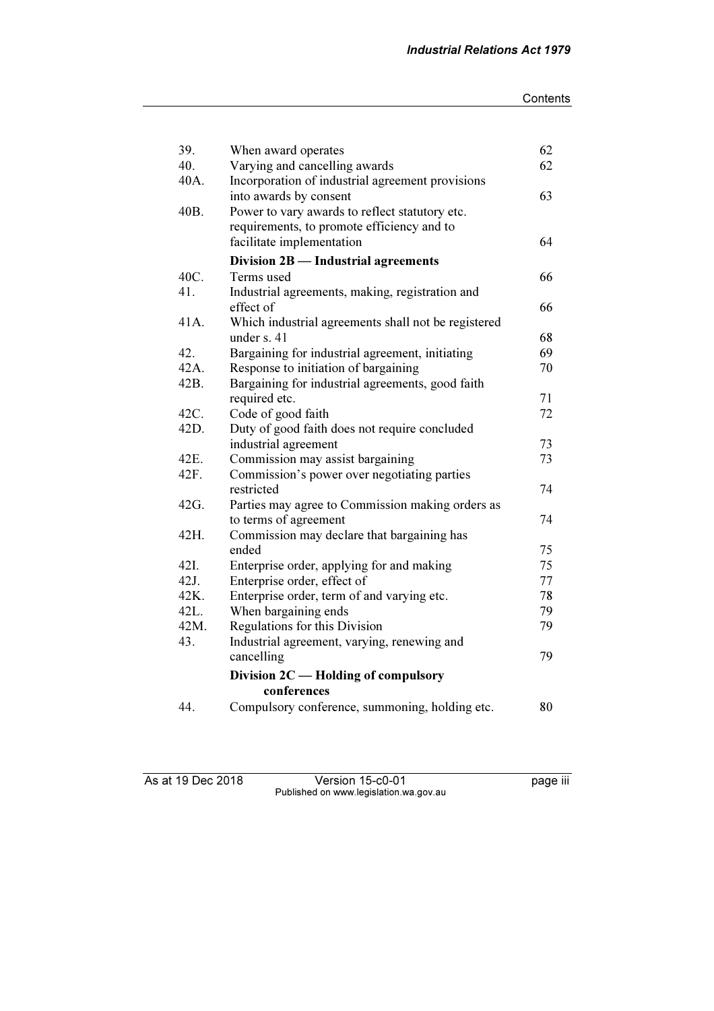| 39.  | When award operates                                 | 62 |
|------|-----------------------------------------------------|----|
| 40.  | Varying and cancelling awards                       | 62 |
| 40A. | Incorporation of industrial agreement provisions    |    |
|      | into awards by consent                              | 63 |
| 40B. | Power to vary awards to reflect statutory etc.      |    |
|      | requirements, to promote efficiency and to          |    |
|      | facilitate implementation                           | 64 |
|      | Division 2B - Industrial agreements                 |    |
| 40C. | Terms used                                          | 66 |
| 41.  | Industrial agreements, making, registration and     |    |
|      | effect of                                           | 66 |
| 41A. | Which industrial agreements shall not be registered |    |
|      | under $s. 41$                                       | 68 |
| 42.  | Bargaining for industrial agreement, initiating     | 69 |
| 42A. | Response to initiation of bargaining                | 70 |
| 42B. | Bargaining for industrial agreements, good faith    |    |
|      | required etc.                                       | 71 |
| 42C. | Code of good faith                                  | 72 |
| 42D. | Duty of good faith does not require concluded       |    |
|      | industrial agreement                                | 73 |
| 42E. | Commission may assist bargaining                    | 73 |
| 42F. | Commission's power over negotiating parties         |    |
|      | restricted                                          | 74 |
| 42G. | Parties may agree to Commission making orders as    |    |
|      | to terms of agreement                               | 74 |
| 42H. | Commission may declare that bargaining has          |    |
|      | ended                                               | 75 |
| 42I. | Enterprise order, applying for and making           | 75 |
| 42J. | Enterprise order, effect of                         | 77 |
| 42K. | Enterprise order, term of and varying etc.          | 78 |
| 42L. | When bargaining ends                                | 79 |
| 42M. | Regulations for this Division                       | 79 |
| 43.  | Industrial agreement, varying, renewing and         |    |
|      | cancelling                                          | 79 |
|      | Division 2C — Holding of compulsory                 |    |
|      | conferences                                         |    |
| 44.  | Compulsory conference, summoning, holding etc.      | 80 |

As at 19 Dec 2018 Version 15-c0-01 page iii Published on www.legislation.wa.gov.au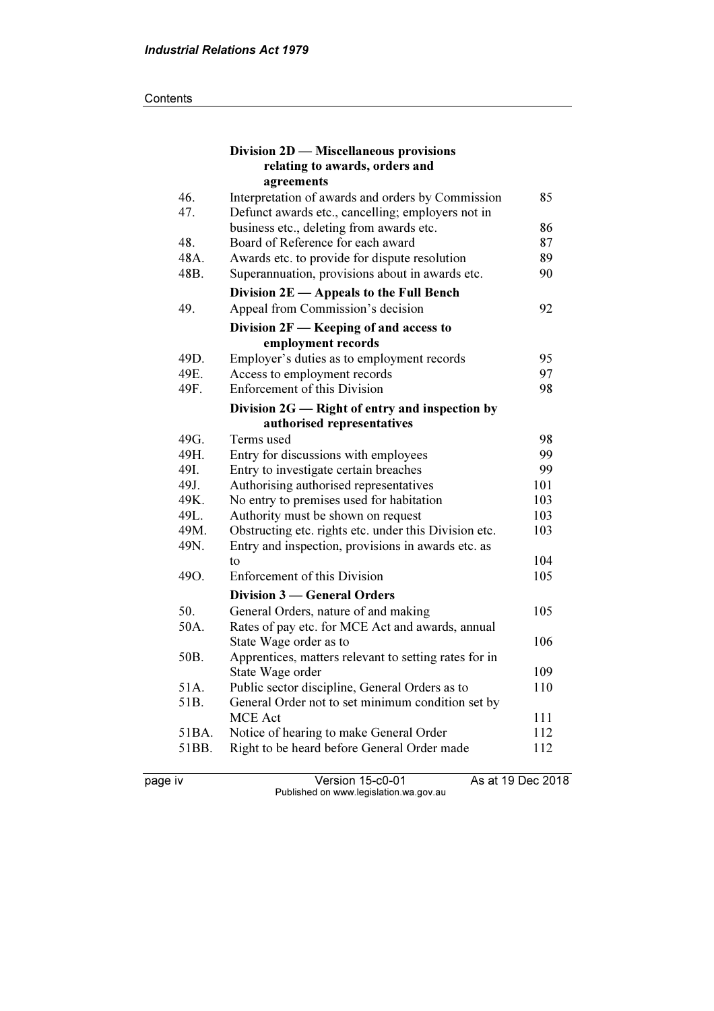|       | Division 2D — Miscellaneous provisions                                        |          |
|-------|-------------------------------------------------------------------------------|----------|
|       | relating to awards, orders and                                                |          |
|       | agreements                                                                    |          |
| 46.   | Interpretation of awards and orders by Commission                             | 85       |
| 47.   | Defunct awards etc., cancelling; employers not in                             | 86       |
| 48.   | business etc., deleting from awards etc.<br>Board of Reference for each award | 87       |
| 48A.  |                                                                               |          |
| 48B.  | Awards etc. to provide for dispute resolution                                 | 89<br>90 |
|       | Superannuation, provisions about in awards etc.                               |          |
|       | Division $2E$ — Appeals to the Full Bench                                     |          |
| 49.   | Appeal from Commission's decision                                             | 92       |
|       | Division $2F$ - Keeping of and access to                                      |          |
|       | employment records                                                            |          |
| 49D.  | Employer's duties as to employment records                                    | 95       |
| 49E.  | Access to employment records                                                  | 97       |
| 49F.  | <b>Enforcement of this Division</b>                                           | 98       |
|       | Division 2G - Right of entry and inspection by                                |          |
|       | authorised representatives                                                    |          |
| 49G.  | Terms used                                                                    | 98       |
| 49H.  | Entry for discussions with employees                                          | 99       |
| 49I.  | Entry to investigate certain breaches                                         | 99       |
| 49J.  | Authorising authorised representatives                                        | 101      |
| 49K.  | No entry to premises used for habitation                                      | 103      |
| 49L.  | Authority must be shown on request                                            | 103      |
| 49M.  | Obstructing etc. rights etc. under this Division etc.                         | 103      |
| 49N.  | Entry and inspection, provisions in awards etc. as                            |          |
|       | to                                                                            | 104      |
| 49O.  | <b>Enforcement of this Division</b>                                           | 105      |
|       | Division 3 — General Orders                                                   |          |
| 50.   | General Orders, nature of and making                                          | 105      |
| 50A.  | Rates of pay etc. for MCE Act and awards, annual                              |          |
|       | State Wage order as to                                                        | 106      |
| 50B.  | Apprentices, matters relevant to setting rates for in                         |          |
|       | State Wage order                                                              | 109      |
| 51A.  | Public sector discipline, General Orders as to                                | 110      |
| 51B.  | General Order not to set minimum condition set by                             |          |
|       | <b>MCE</b> Act                                                                | 111      |
| 51BA. | Notice of hearing to make General Order                                       | 112      |
| 51BB. | Right to be heard before General Order made                                   | 112      |
|       |                                                                               |          |

page iv Version 15-c0-01 As at 19 Dec 2018 Published on www.legislation.wa.gov.au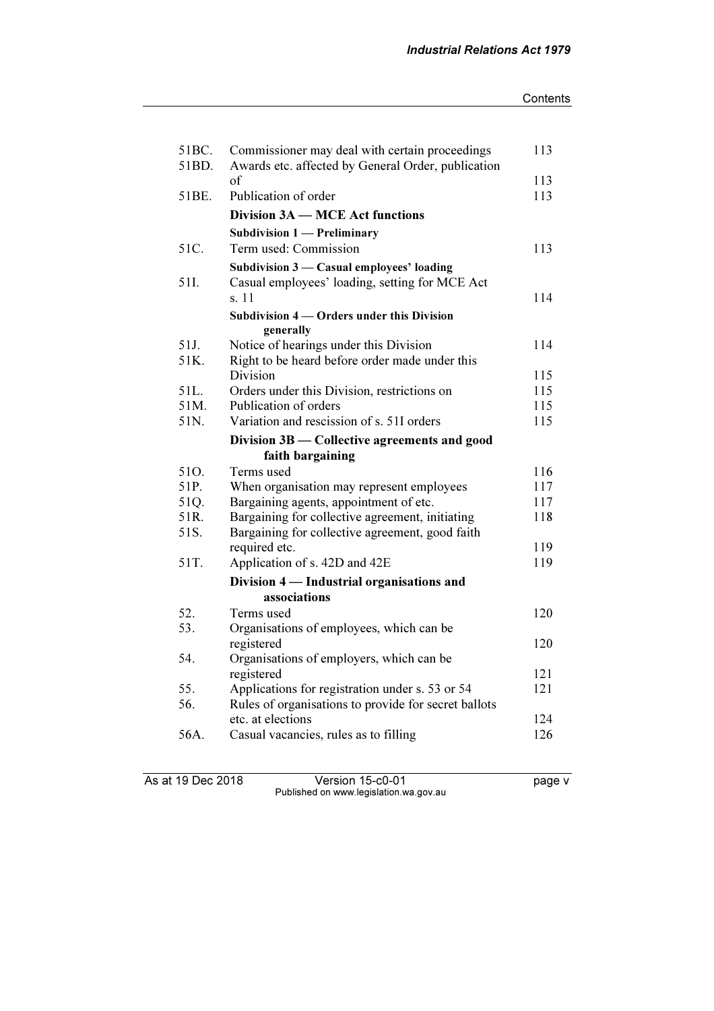#### **Contents**

| 51BC.<br>51BD. | Commissioner may deal with certain proceedings           | 113 |
|----------------|----------------------------------------------------------|-----|
|                | Awards etc. affected by General Order, publication<br>of | 113 |
| 51BE.          | Publication of order                                     | 113 |
|                |                                                          |     |
|                | Division 3A – MCE Act functions                          |     |
|                | <b>Subdivision 1 - Preliminary</b>                       |     |
| 51C.           | Term used: Commission                                    | 113 |
|                | Subdivision 3 - Casual employees' loading                |     |
| 51I.           | Casual employees' loading, setting for MCE Act           |     |
|                | s. 11                                                    | 114 |
|                | Subdivision 4 — Orders under this Division<br>generally  |     |
| 51J.           | Notice of hearings under this Division                   | 114 |
| 51K.           | Right to be heard before order made under this           |     |
|                | Division                                                 | 115 |
| 51L.           | Orders under this Division, restrictions on              | 115 |
| 51M.           | Publication of orders                                    | 115 |
| 51N.           | Variation and rescission of s. 51I orders                | 115 |
|                | Division 3B - Collective agreements and good             |     |
|                | faith bargaining                                         |     |
| 51O.           | Terms used                                               | 116 |
| 51P.           | When organisation may represent employees                | 117 |
| 51Q.           | Bargaining agents, appointment of etc.                   | 117 |
| 51R.           | Bargaining for collective agreement, initiating          | 118 |
| 51S.           | Bargaining for collective agreement, good faith          |     |
|                | required etc.                                            | 119 |
| 51T.           | Application of s. 42D and 42E                            | 119 |
|                | Division 4 — Industrial organisations and                |     |
|                | associations                                             |     |
| 52.<br>53.     | Terms used                                               | 120 |
|                | Organisations of employees, which can be                 | 120 |
| 54.            | registered<br>Organisations of employers, which can be   |     |
|                | registered                                               | 121 |
| 55.            | Applications for registration under s. 53 or 54          | 121 |
| 56.            | Rules of organisations to provide for secret ballots     |     |
|                | etc. at elections                                        | 124 |
| 56A.           | Casual vacancies, rules as to filling                    | 126 |
|                |                                                          |     |

As at 19 Dec 2018 Version 15-c0-01 page v Published on www.legislation.wa.gov.au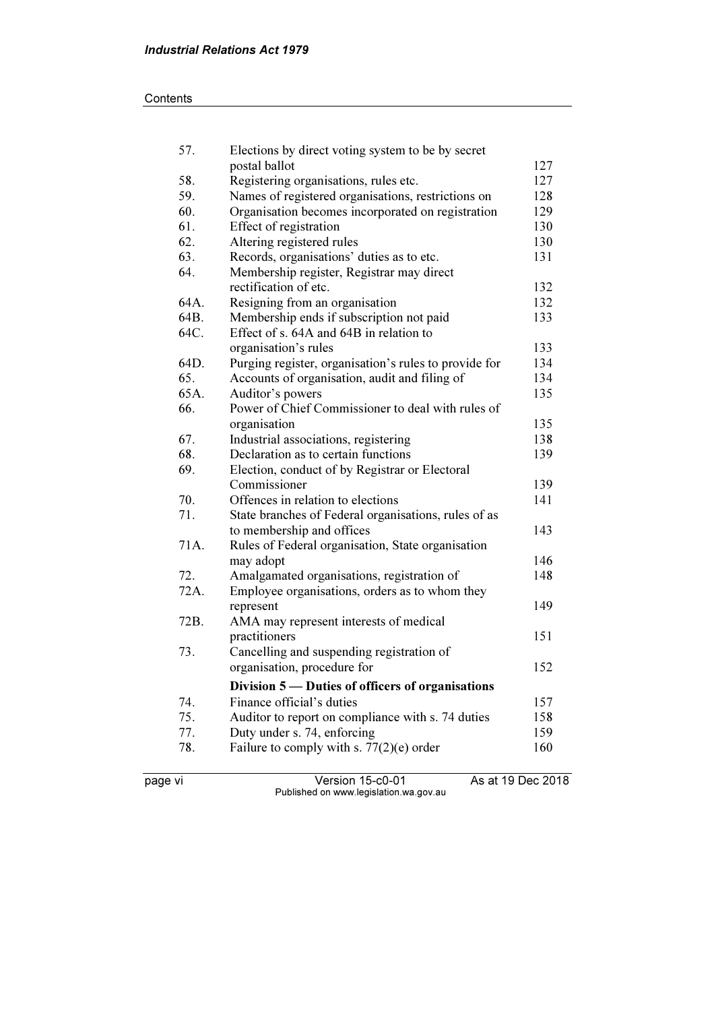### **Contents**

| 57.  | Elections by direct voting system to be by secret     |     |
|------|-------------------------------------------------------|-----|
|      | postal ballot                                         | 127 |
| 58.  | Registering organisations, rules etc.                 | 127 |
| 59.  | Names of registered organisations, restrictions on    | 128 |
| 60.  | Organisation becomes incorporated on registration     | 129 |
| 61.  | Effect of registration                                | 130 |
| 62.  | Altering registered rules                             | 130 |
| 63.  | Records, organisations' duties as to etc.             | 131 |
| 64.  | Membership register, Registrar may direct             |     |
|      | rectification of etc.                                 | 132 |
| 64A. | Resigning from an organisation                        | 132 |
| 64B. | Membership ends if subscription not paid              | 133 |
| 64C. | Effect of s. 64A and 64B in relation to               |     |
|      | organisation's rules                                  | 133 |
| 64D. | Purging register, organisation's rules to provide for | 134 |
| 65.  | Accounts of organisation, audit and filing of         | 134 |
| 65A. | Auditor's powers                                      | 135 |
| 66.  | Power of Chief Commissioner to deal with rules of     |     |
|      | organisation                                          | 135 |
| 67.  | Industrial associations, registering                  | 138 |
| 68.  | Declaration as to certain functions                   | 139 |
| 69.  | Election, conduct of by Registrar or Electoral        |     |
|      | Commissioner                                          | 139 |
| 70.  | Offences in relation to elections                     | 141 |
| 71.  | State branches of Federal organisations, rules of as  |     |
|      | to membership and offices                             | 143 |
| 71A. | Rules of Federal organisation, State organisation     |     |
|      | may adopt                                             | 146 |
| 72.  | Amalgamated organisations, registration of            | 148 |
| 72A. | Employee organisations, orders as to whom they        |     |
|      | represent                                             | 149 |
| 72B. | AMA may represent interests of medical                |     |
|      | practitioners                                         | 151 |
| 73.  | Cancelling and suspending registration of             |     |
|      | organisation, procedure for                           | 152 |
|      | Division 5 — Duties of officers of organisations      |     |
| 74.  | Finance official's duties                             | 157 |
| 75.  | Auditor to report on compliance with s. 74 duties     | 158 |
| 77.  | Duty under s. 74, enforcing                           | 159 |
| 78.  | Failure to comply with s. $77(2)(e)$ order            | 160 |
|      |                                                       |     |

page vi Version 15-c0-01 As at 19 Dec 2018 Published on www.legislation.wa.gov.au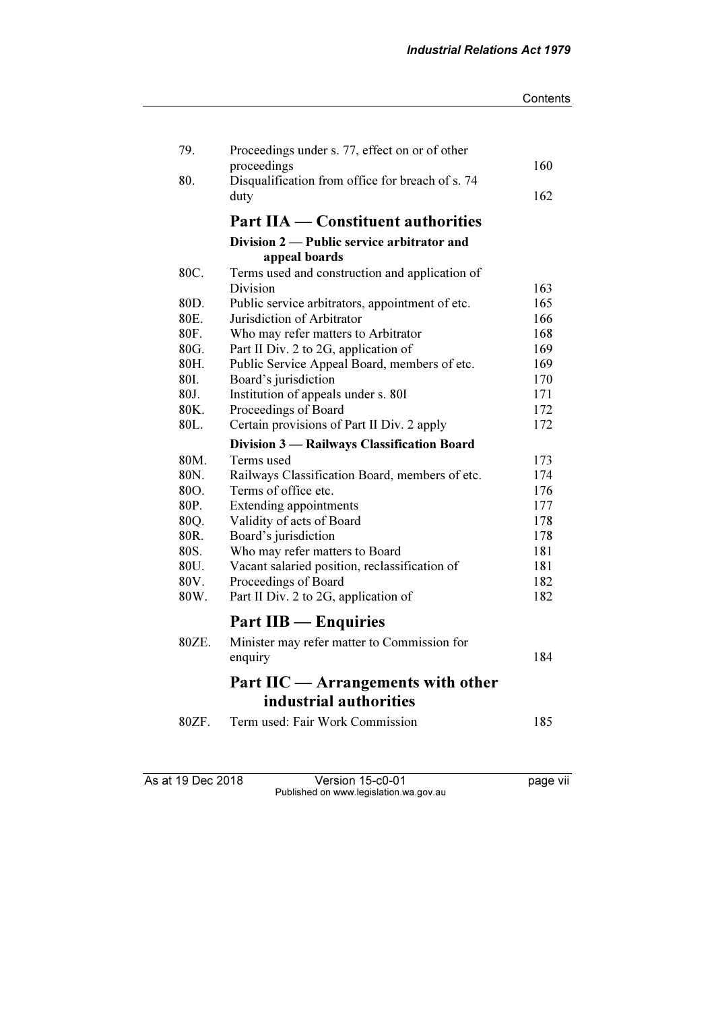| 79.   | Proceedings under s. 77, effect on or of other           |     |
|-------|----------------------------------------------------------|-----|
|       | proceedings                                              | 160 |
| 80.   | Disqualification from office for breach of s. 74<br>duty | 162 |
|       |                                                          |     |
|       | <b>Part IIA — Constituent authorities</b>                |     |
|       | Division 2 — Public service arbitrator and               |     |
|       | appeal boards                                            |     |
| 80C.  | Terms used and construction and application of           |     |
|       | Division                                                 | 163 |
| 80D.  | Public service arbitrators, appointment of etc.          | 165 |
| 80E.  | Jurisdiction of Arbitrator                               | 166 |
| 80F.  | Who may refer matters to Arbitrator                      | 168 |
| 80G.  | Part II Div. 2 to 2G, application of                     | 169 |
| 80H.  | Public Service Appeal Board, members of etc.             | 169 |
| 80I.  | Board's jurisdiction                                     | 170 |
| 80J.  | Institution of appeals under s. 80I                      | 171 |
| 80K.  | Proceedings of Board                                     | 172 |
| 80L.  | Certain provisions of Part II Div. 2 apply               | 172 |
|       | Division 3 - Railways Classification Board               |     |
| 80M.  | Terms used                                               | 173 |
| 80N.  | Railways Classification Board, members of etc.           | 174 |
| 80O.  | Terms of office etc.                                     | 176 |
| 80P.  | <b>Extending appointments</b>                            | 177 |
| 80Q.  | Validity of acts of Board                                | 178 |
| 80R.  | Board's jurisdiction                                     | 178 |
| 80S.  | Who may refer matters to Board                           | 181 |
| 80U.  | Vacant salaried position, reclassification of            | 181 |
| 80V.  | Proceedings of Board                                     | 182 |
| 80W.  | Part II Div. 2 to 2G, application of                     | 182 |
|       | <b>Part IIB</b> — Enquiries                              |     |
| 80ZE. | Minister may refer matter to Commission for              |     |
|       | enquiry                                                  | 184 |
|       | Part IIC — Arrangements with other                       |     |
|       | industrial authorities                                   |     |
|       |                                                          |     |
| 80ZF. | Term used: Fair Work Commission                          | 185 |
|       |                                                          |     |

As at 19 Dec 2018 Version 15-c0-01 page vii Published on www.legislation.wa.gov.au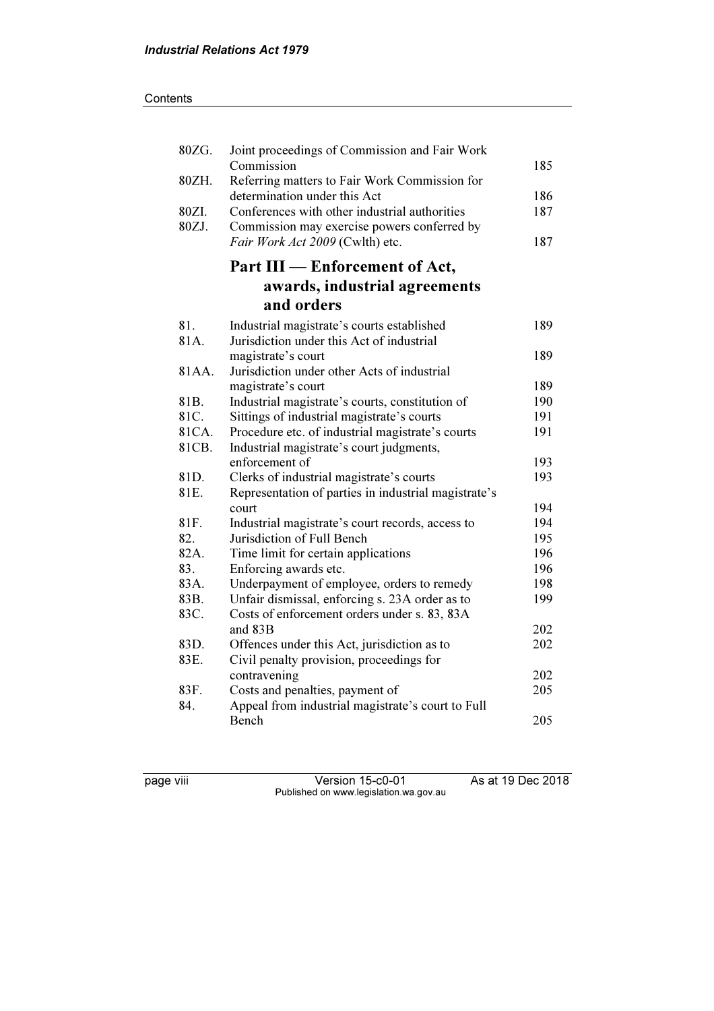| 80ZG.   | Joint proceedings of Commission and Fair Work        |     |
|---------|------------------------------------------------------|-----|
|         | Commission                                           | 185 |
| 80ZH.   | Referring matters to Fair Work Commission for        |     |
|         | determination under this Act                         | 186 |
| 80ZI.   | Conferences with other industrial authorities        | 187 |
| 80ZJ.   | Commission may exercise powers conferred by          |     |
|         | Fair Work Act 2009 (Cwlth) etc.                      | 187 |
|         | Part III – Enforcement of Act,                       |     |
|         | awards, industrial agreements                        |     |
|         | and orders                                           |     |
| 81.     | Industrial magistrate's courts established           | 189 |
| 81A.    | Jurisdiction under this Act of industrial            |     |
|         | magistrate's court                                   | 189 |
| 81 A A. | Jurisdiction under other Acts of industrial          |     |
|         | magistrate's court                                   | 189 |
| 81B.    | Industrial magistrate's courts, constitution of      | 190 |
| 81C.    | Sittings of industrial magistrate's courts           | 191 |
| 81CA.   | Procedure etc. of industrial magistrate's courts     | 191 |
| 81CB.   | Industrial magistrate's court judgments,             |     |
|         | enforcement of                                       | 193 |
| 81D.    | Clerks of industrial magistrate's courts             | 193 |
| 81E.    | Representation of parties in industrial magistrate's |     |
|         | court                                                | 194 |
| 81F.    | Industrial magistrate's court records, access to     | 194 |
| 82.     | Jurisdiction of Full Bench                           | 195 |
| 82A.    | Time limit for certain applications                  | 196 |
| 83.     | Enforcing awards etc.                                | 196 |
| 83A.    | Underpayment of employee, orders to remedy           | 198 |
| 83B.    | Unfair dismissal, enforcing s. 23A order as to       | 199 |
| 83C.    | Costs of enforcement orders under s. 83, 83A         |     |
|         | and 83B                                              | 202 |
| 83D.    | Offences under this Act, jurisdiction as to          | 202 |
| 83E.    | Civil penalty provision, proceedings for             |     |
|         | contravening                                         | 202 |
| 83F.    | Costs and penalties, payment of                      | 205 |
| 84.     | Appeal from industrial magistrate's court to Full    |     |
|         | Bench                                                | 205 |

page viii Version 15-c0-01 As at 19 Dec 2018 Published on www.legislation.wa.gov.au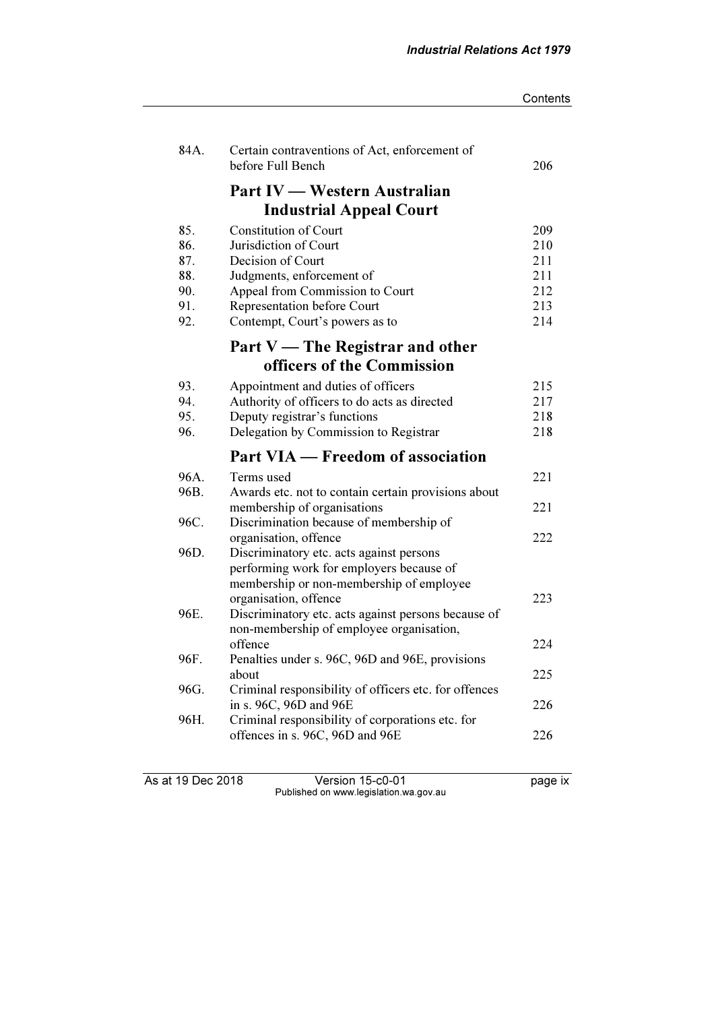| 84A. | Certain contraventions of Act, enforcement of<br>before Full Bench | 206 |
|------|--------------------------------------------------------------------|-----|
|      | Part IV — Western Australian                                       |     |
|      | <b>Industrial Appeal Court</b>                                     |     |
| 85.  | <b>Constitution of Court</b>                                       | 209 |
| 86.  | Jurisdiction of Court                                              | 210 |
| 87.  | Decision of Court                                                  | 211 |
| 88.  | Judgments, enforcement of                                          | 211 |
| 90.  | Appeal from Commission to Court                                    | 212 |
| 91.  | Representation before Court                                        | 213 |
| 92.  | Contempt, Court's powers as to                                     | 214 |
|      | Part $V$ — The Registrar and other                                 |     |
|      | officers of the Commission                                         |     |
| 93.  | Appointment and duties of officers                                 | 215 |
| 94.  | Authority of officers to do acts as directed                       | 217 |
| 95.  | Deputy registrar's functions                                       | 218 |
| 96.  | Delegation by Commission to Registrar                              | 218 |
|      | Part VIA — Freedom of association                                  |     |
| 96A. | Terms used                                                         | 221 |
| 96B. | Awards etc. not to contain certain provisions about                |     |
|      | membership of organisations                                        | 221 |
| 96C. | Discrimination because of membership of                            |     |
|      | organisation, offence                                              | 222 |
| 96D. | Discriminatory etc. acts against persons                           |     |
|      | performing work for employers because of                           |     |
|      | membership or non-membership of employee                           |     |
|      | organisation, offence                                              | 223 |

As at 19 Dec 2018 Version 15-c0-01 page ix Published on www.legislation.wa.gov.au

offence 224

about 225

in s. 96C, 96D and 96E 226

offences in s. 96C, 96D and 96E 226

96E. Discriminatory etc. acts against persons because of non-membership of employee organisation,

96F. Penalties under s. 96C, 96D and 96E, provisions

96H. Criminal responsibility of corporations etc. for

96G. Criminal responsibility of officers etc. for offences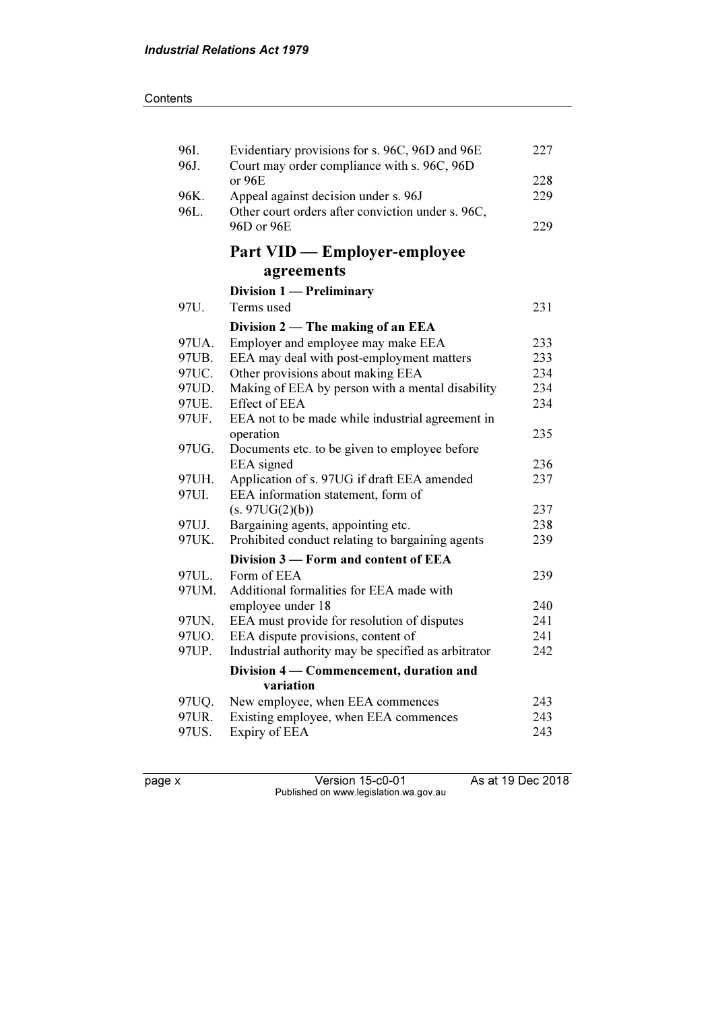| 96I.<br>96J. | Evidentiary provisions for s. 96C, 96D and 96E<br>Court may order compliance with s. 96C, 96D | 227 |
|--------------|-----------------------------------------------------------------------------------------------|-----|
|              | or 96E                                                                                        | 228 |
| 96K.         | Appeal against decision under s. 96J                                                          | 229 |
| 96L.         | Other court orders after conviction under s. 96C,                                             |     |
|              | 96D or 96E                                                                                    | 229 |
|              | <b>Part VID — Employer-employee</b>                                                           |     |
|              | agreements                                                                                    |     |
|              | Division 1 - Preliminary                                                                      |     |
| 97U.         | Terms used                                                                                    | 231 |
|              | Division 2 — The making of an EEA                                                             |     |
| 97UA.        | Employer and employee may make EEA                                                            | 233 |
| 97UB.        | EEA may deal with post-employment matters                                                     | 233 |
| 97UC.        | Other provisions about making EEA                                                             | 234 |
| 97UD.        | Making of EEA by person with a mental disability                                              | 234 |
| 97UE.        | <b>Effect of EEA</b>                                                                          | 234 |
| 97UF.        | EEA not to be made while industrial agreement in                                              |     |
|              | operation                                                                                     | 235 |
| 97UG.        | Documents etc. to be given to employee before                                                 |     |
|              | EEA signed                                                                                    | 236 |
| 97UH.        | Application of s. 97UG if draft EEA amended                                                   | 237 |
| 97UI.        | EEA information statement, form of                                                            |     |
|              | (s. 97UG(2)(b))                                                                               | 237 |
| 97UJ.        | Bargaining agents, appointing etc.                                                            | 238 |
| 97UK.        | Prohibited conduct relating to bargaining agents                                              | 239 |
|              | Division 3 – Form and content of EEA                                                          |     |
| 97UL.        | Form of EEA                                                                                   | 239 |
| 97UM.        | Additional formalities for EEA made with                                                      |     |
|              | employee under 18                                                                             | 240 |
| 97UN.        | EEA must provide for resolution of disputes                                                   | 241 |
| 97UO.        | EEA dispute provisions, content of                                                            | 241 |
| 97UP.        | Industrial authority may be specified as arbitrator                                           | 242 |
|              | Division 4 – Commencement, duration and                                                       |     |
|              | variation                                                                                     |     |
| 97UQ.        | New employee, when EEA commences                                                              | 243 |
| 97UR.        | Existing employee, when EEA commences                                                         | 243 |
| 97US.        | Expiry of EEA                                                                                 | 243 |
|              |                                                                                               |     |

page x Version 15-c0-01 As at 19 Dec 2018 Published on www.legislation.wa.gov.au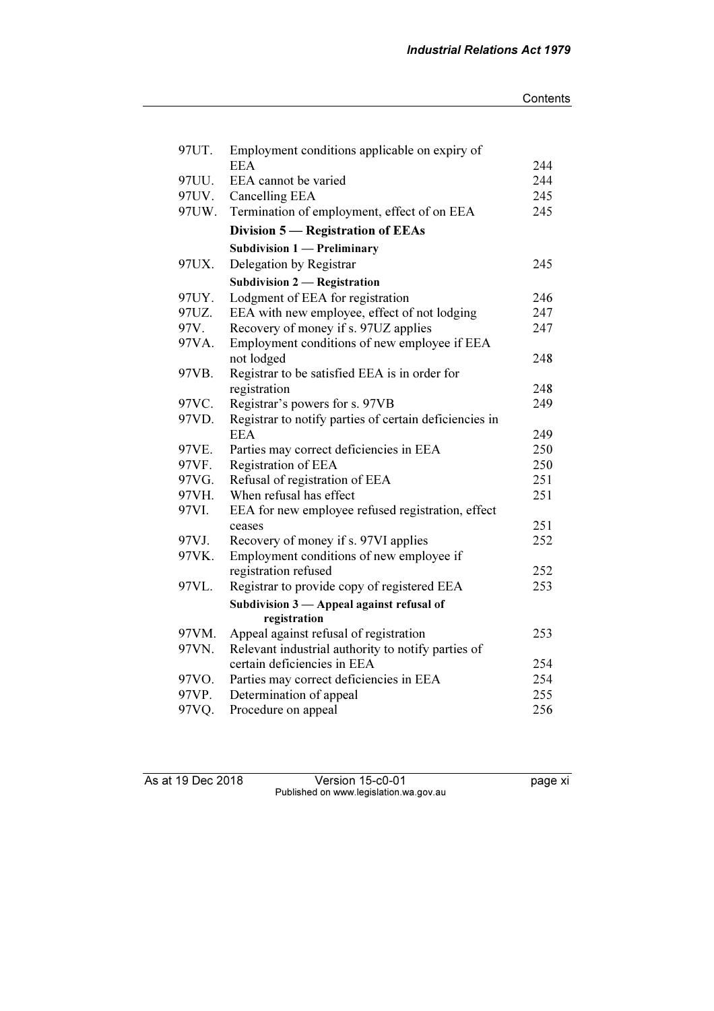| 97UT. | Employment conditions applicable on expiry of          |     |
|-------|--------------------------------------------------------|-----|
|       | <b>EEA</b>                                             | 244 |
| 97UU. | EEA cannot be varied                                   | 244 |
| 97UV. | Cancelling EEA                                         | 245 |
| 97UW. | Termination of employment, effect of on EEA            | 245 |
|       | Division 5 – Registration of EEAs                      |     |
|       | Subdivision 1 - Preliminary                            |     |
| 97UX. | Delegation by Registrar                                | 245 |
|       | <b>Subdivision 2 — Registration</b>                    |     |
| 97UY. | Lodgment of EEA for registration                       | 246 |
| 97UZ. | EEA with new employee, effect of not lodging           | 247 |
| 97V.  | Recovery of money if s. 97UZ applies                   | 247 |
| 97VA. | Employment conditions of new employee if EEA           |     |
|       | not lodged                                             | 248 |
| 97VB. | Registrar to be satisfied EEA is in order for          |     |
|       | registration                                           | 248 |
| 97VC. | Registrar's powers for s. 97VB                         | 249 |
| 97VD. | Registrar to notify parties of certain deficiencies in |     |
|       | <b>EEA</b>                                             | 249 |
| 97VE. | Parties may correct deficiencies in EEA                | 250 |
| 97VF. | Registration of EEA                                    | 250 |
| 97VG. | Refusal of registration of EEA                         | 251 |
| 97VH. | When refusal has effect                                | 251 |
| 97VI. | EEA for new employee refused registration, effect      |     |
|       | ceases                                                 | 251 |
| 97VJ. | Recovery of money if s. 97VI applies                   | 252 |
| 97VK. | Employment conditions of new employee if               |     |
|       | registration refused                                   | 252 |
| 97VL. | Registrar to provide copy of registered EEA            | 253 |
|       | Subdivision $3$ - Appeal against refusal of            |     |
|       | registration                                           |     |
| 97VM. | Appeal against refusal of registration                 | 253 |
| 97VN. | Relevant industrial authority to notify parties of     |     |
|       | certain deficiencies in EEA                            | 254 |
| 97VO. | Parties may correct deficiencies in EEA                | 254 |
| 97VP. | Determination of appeal                                | 255 |
| 97VQ. | Procedure on appeal                                    | 256 |

As at 19 Dec 2018 Version 15-c0-01 page xi Published on www.legislation.wa.gov.au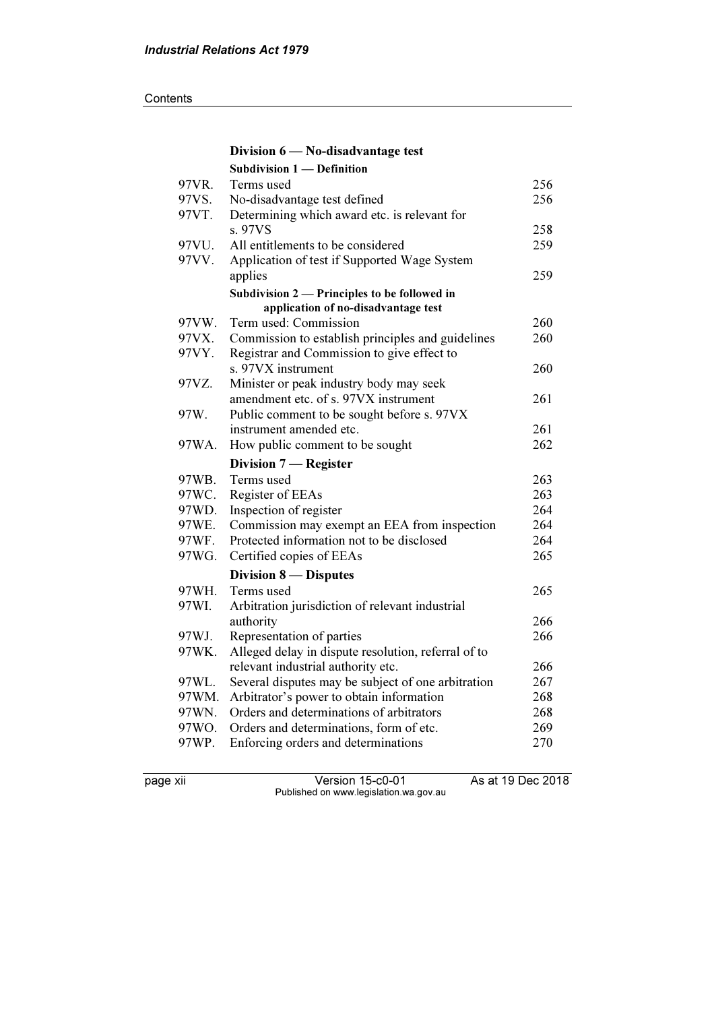|       | Division 6 - No-disadvantage test                   |     |
|-------|-----------------------------------------------------|-----|
|       | <b>Subdivision 1 - Definition</b>                   |     |
| 97VR. | Terms used                                          | 256 |
| 97VS. | No-disadvantage test defined                        | 256 |
| 97VT. | Determining which award etc. is relevant for        |     |
|       | s. 97VS                                             | 258 |
| 97VU. | All entitlements to be considered                   | 259 |
| 97VV. | Application of test if Supported Wage System        |     |
|       | applies                                             | 259 |
|       | Subdivision 2 — Principles to be followed in        |     |
|       | application of no-disadvantage test                 |     |
| 97VW. | Term used: Commission                               | 260 |
| 97VX. | Commission to establish principles and guidelines   | 260 |
| 97VY. | Registrar and Commission to give effect to          |     |
|       | s. 97VX instrument                                  | 260 |
| 97VZ. | Minister or peak industry body may seek             |     |
|       | amendment etc. of s. 97VX instrument                | 261 |
| 97W.  | Public comment to be sought before s. 97VX          |     |
|       | instrument amended etc.                             | 261 |
| 97WA. | How public comment to be sought                     | 262 |
|       |                                                     |     |
|       | Division 7 - Register                               |     |
| 97WB. | Terms used                                          | 263 |
| 97WC. | Register of EEAs                                    | 263 |
| 97WD. | Inspection of register                              | 264 |
| 97WE. | Commission may exempt an EEA from inspection        | 264 |
| 97WF. | Protected information not to be disclosed           | 264 |
| 97WG. | Certified copies of EEAs                            | 265 |
|       | Division 8 — Disputes                               |     |
| 97WH. | Terms used                                          | 265 |
| 97WI. | Arbitration jurisdiction of relevant industrial     |     |
|       | authority                                           | 266 |
| 97WJ. | Representation of parties                           | 266 |
| 97WK. | Alleged delay in dispute resolution, referral of to |     |
|       | relevant industrial authority etc.                  | 266 |
| 97WL. | Several disputes may be subject of one arbitration  | 267 |
| 97WM. | Arbitrator's power to obtain information            | 268 |
| 97WN. | Orders and determinations of arbitrators            | 268 |
| 97WO. | Orders and determinations, form of etc.             | 269 |
| 97WP. | Enforcing orders and determinations                 | 270 |

page xii Version 15-c0-01 As at 19 Dec 2018 Published on www.legislation.wa.gov.au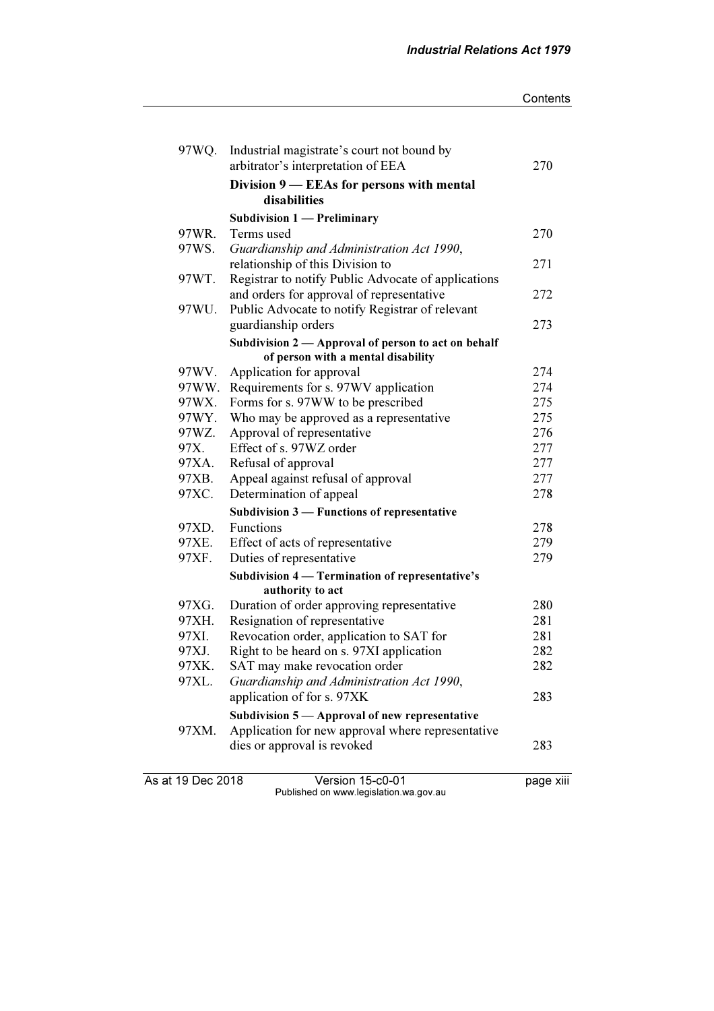#### **Contents**

| 97WQ.             | Industrial magistrate's court not bound by<br>arbitrator's interpretation of EEA | 270       |
|-------------------|----------------------------------------------------------------------------------|-----------|
|                   | Division 9 — EEAs for persons with mental                                        |           |
|                   | disabilities                                                                     |           |
|                   | Subdivision $1$ - Preliminary                                                    |           |
| 97WR.             | Terms used                                                                       | 270       |
| 97WS.             | Guardianship and Administration Act 1990,                                        |           |
|                   | relationship of this Division to                                                 | 271       |
| 97WT.             | Registrar to notify Public Advocate of applications                              |           |
|                   | and orders for approval of representative                                        | 272       |
| 97WU.             | Public Advocate to notify Registrar of relevant                                  |           |
|                   | guardianship orders                                                              | 273       |
|                   | Subdivision 2 — Approval of person to act on behalf                              |           |
|                   | of person with a mental disability                                               |           |
| 97WV.             | Application for approval                                                         | 274       |
| 97WW.             | Requirements for s. 97WV application                                             | 274       |
| 97WX.             | Forms for s. 97WW to be prescribed                                               | 275       |
| 97WY.             | Who may be approved as a representative                                          | 275       |
| 97WZ.             | Approval of representative                                                       | 276       |
| 97X.              | Effect of s. 97WZ order                                                          | 277       |
| 97XA.             | Refusal of approval                                                              | 277       |
| 97XB.             | Appeal against refusal of approval                                               | 277       |
| 97XC.             | Determination of appeal                                                          | 278       |
|                   | Subdivision 3 – Functions of representative                                      |           |
| 97XD.             | Functions                                                                        | 278       |
| 97XE.             | Effect of acts of representative                                                 | 279       |
| 97XF.             | Duties of representative                                                         | 279       |
|                   | Subdivision 4 — Termination of representative's                                  |           |
|                   | authority to act                                                                 |           |
| 97XG.             | Duration of order approving representative                                       | 280       |
| 97XH.             | Resignation of representative                                                    | 281       |
| 97XI.             | Revocation order, application to SAT for                                         | 281       |
| 97XJ.             | Right to be heard on s. 97XI application                                         | 282       |
| 97XK.             | SAT may make revocation order                                                    | 282       |
| 97XL.             | Guardianship and Administration Act 1990,<br>application of for s. 97XK          | 283       |
|                   | Subdivision $5 -$ Approval of new representative                                 |           |
| 97XM.             | Application for new approval where representative                                |           |
|                   | dies or approval is revoked                                                      | 283       |
| As at 19 Dec 2018 | Version 15-c0-01                                                                 | page xiii |

Published on www.legislation.wa.gov.au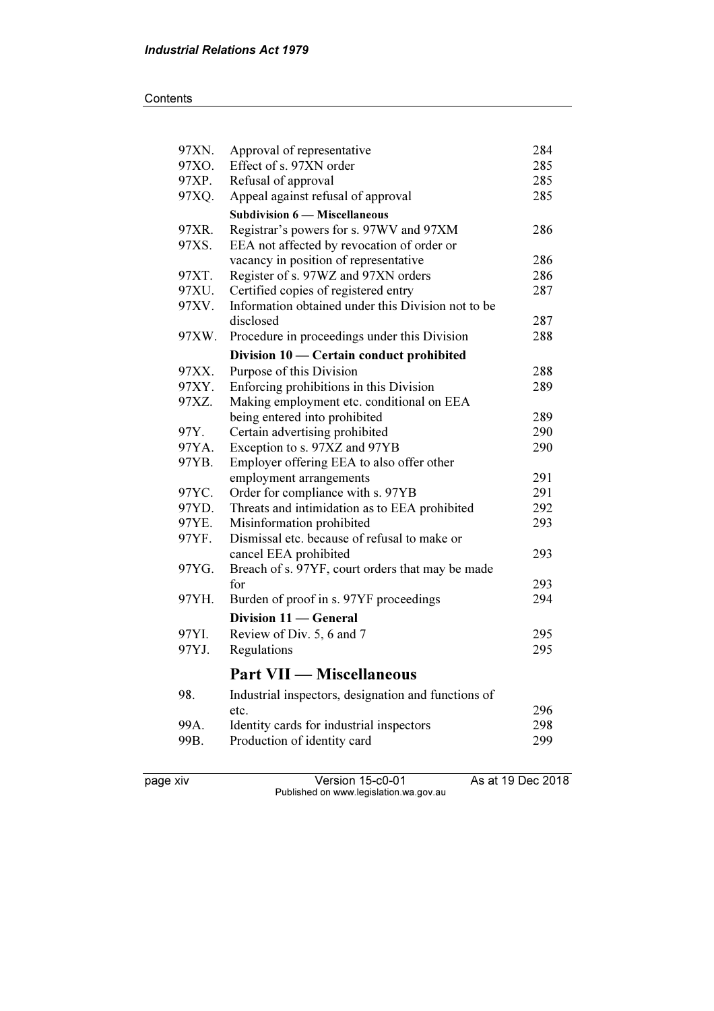### **Contents**

| 97XN. | Approval of representative                          | 284 |  |
|-------|-----------------------------------------------------|-----|--|
| 97XO. | Effect of s. 97XN order                             |     |  |
| 97XP. | Refusal of approval                                 |     |  |
| 97XQ. | Appeal against refusal of approval                  | 285 |  |
|       | <b>Subdivision 6 – Miscellaneous</b>                |     |  |
| 97XR. | Registrar's powers for s. 97WV and 97XM             | 286 |  |
| 97XS. | EEA not affected by revocation of order or          |     |  |
|       | vacancy in position of representative               | 286 |  |
| 97XT. | Register of s. 97WZ and 97XN orders                 | 286 |  |
| 97XU. | Certified copies of registered entry                |     |  |
| 97XV. | Information obtained under this Division not to be  |     |  |
|       | disclosed                                           | 287 |  |
| 97XW. | Procedure in proceedings under this Division        | 288 |  |
|       | Division 10 - Certain conduct prohibited            |     |  |
| 97XX. | Purpose of this Division                            | 288 |  |
| 97XY. | Enforcing prohibitions in this Division             | 289 |  |
| 97XZ. | Making employment etc. conditional on EEA           |     |  |
|       | being entered into prohibited                       | 289 |  |
| 97Y.  | Certain advertising prohibited                      | 290 |  |
| 97YA. | Exception to s. 97XZ and 97YB                       | 290 |  |
| 97YB. | Employer offering EEA to also offer other           |     |  |
|       | employment arrangements                             | 291 |  |
| 97YC. | Order for compliance with s. 97YB                   | 291 |  |
| 97YD. | Threats and intimidation as to EEA prohibited       | 292 |  |
| 97YE. | Misinformation prohibited<br>293                    |     |  |
| 97YF. | Dismissal etc. because of refusal to make or        |     |  |
|       | cancel EEA prohibited                               | 293 |  |
| 97YG. | Breach of s. 97YF, court orders that may be made    |     |  |
|       | for                                                 | 293 |  |
| 97YH. | Burden of proof in s. 97YF proceedings              | 294 |  |
|       | Division 11 - General                               |     |  |
| 97YI. | Review of Div. 5, 6 and 7                           | 295 |  |
| 97YJ. | Regulations                                         | 295 |  |
|       | <b>Part VII — Miscellaneous</b>                     |     |  |
| 98.   | Industrial inspectors, designation and functions of |     |  |
|       | etc.                                                | 296 |  |
| 99A.  | Identity cards for industrial inspectors            | 298 |  |
| 99B.  | Production of identity card                         | 299 |  |
|       |                                                     |     |  |
|       |                                                     |     |  |

page xiv Version 15-c0-01 As at 19 Dec 2018 Published on www.legislation.wa.gov.au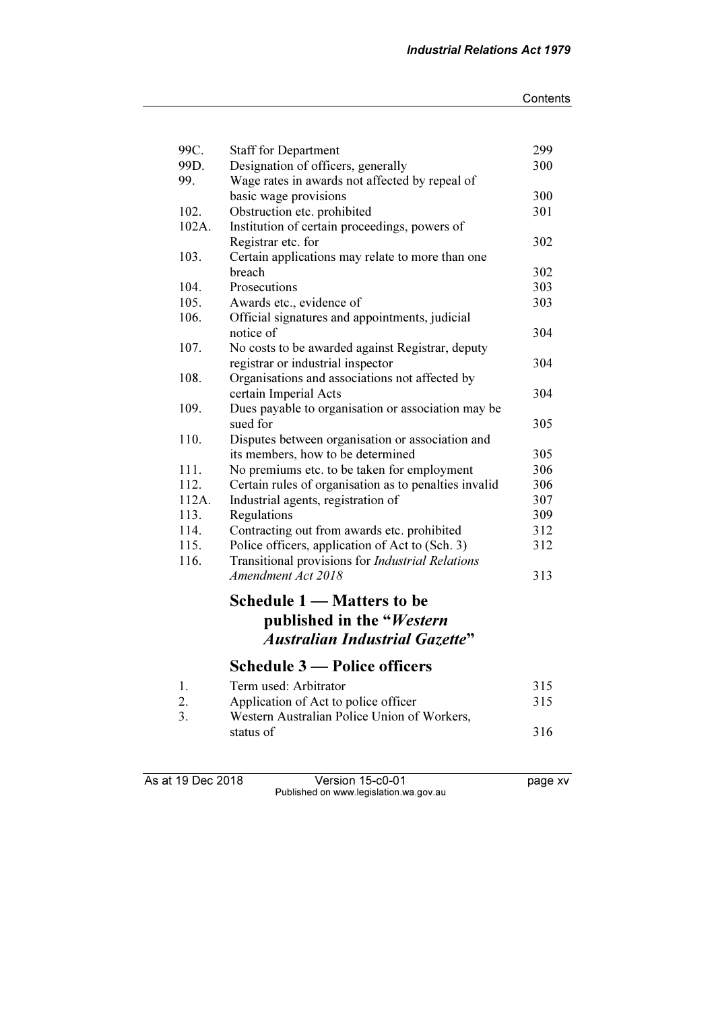| 99C.          | <b>Staff for Department</b>                                            | 299        |
|---------------|------------------------------------------------------------------------|------------|
| 99D.          | Designation of officers, generally                                     | 300        |
| 99.           | Wage rates in awards not affected by repeal of                         |            |
|               | basic wage provisions                                                  | 300<br>301 |
| 102.<br>102A. | Obstruction etc. prohibited                                            |            |
|               | Institution of certain proceedings, powers of                          | 302        |
| 103.          | Registrar etc. for<br>Certain applications may relate to more than one |            |
|               | breach                                                                 | 302        |
| 104.          | Prosecutions                                                           | 303        |
| 105.          |                                                                        | 303        |
| 106.          | Awards etc., evidence of                                               |            |
|               | Official signatures and appointments, judicial<br>notice of            | 304        |
| 107.          | No costs to be awarded against Registrar, deputy                       |            |
|               | registrar or industrial inspector                                      | 304        |
| 108.          | Organisations and associations not affected by                         |            |
|               | certain Imperial Acts                                                  | 304        |
| 109.          | Dues payable to organisation or association may be                     |            |
|               | sued for                                                               | 305        |
| 110.          | Disputes between organisation or association and                       |            |
|               | its members, how to be determined                                      | 305        |
| 111.          | No premiums etc. to be taken for employment                            | 306        |
| 112.          | Certain rules of organisation as to penalties invalid                  | 306        |
| 112A.         | Industrial agents, registration of                                     | 307        |
| 113.          | Regulations                                                            | 309        |
| 114.          | Contracting out from awards etc. prohibited                            | 312        |
| 115.          | Police officers, application of Act to (Sch. 3)                        |            |
| 116.          | Transitional provisions for Industrial Relations                       | 312        |
|               | Amendment Act 2018                                                     | 313        |
|               |                                                                        |            |
|               | Schedule 1 – Matters to be                                             |            |
|               | published in the "Western                                              |            |
|               | <b>Australian Industrial Gazette"</b>                                  |            |
|               | Schedule 3 — Police officers                                           |            |
|               |                                                                        |            |
| 1.            | Term used: Arbitrator                                                  | 315        |
| 2.            | Application of Act to police officer                                   | 315        |
| 3.            | Western Australian Police Union of Workers,                            |            |
|               | status of                                                              | 316        |
|               |                                                                        |            |

As at 19 Dec 2018 **Version 15-c0-01 Dec** 2018 Published on www.legislation.wa.gov.au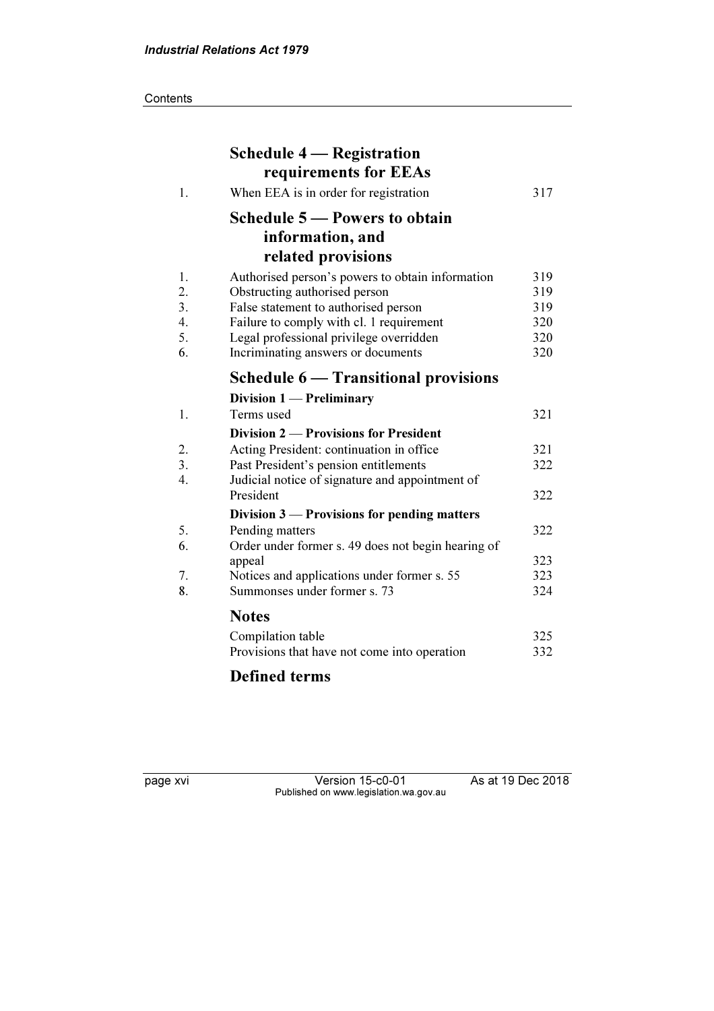**Contents** 

|                  | <b>Schedule 4 – Registration</b><br>requirements for EEAs |     |
|------------------|-----------------------------------------------------------|-----|
| 1.               | When EEA is in order for registration                     | 317 |
|                  | Schedule 5 – Powers to obtain                             |     |
|                  | information, and                                          |     |
|                  | related provisions                                        |     |
| 1.               | Authorised person's powers to obtain information          | 319 |
| 2.               | Obstructing authorised person                             | 319 |
| 3.               | False statement to authorised person                      | 319 |
| $\overline{4}$ . | Failure to comply with cl. 1 requirement                  | 320 |
| 5.               | Legal professional privilege overridden                   | 320 |
| 6.               | Incriminating answers or documents                        | 320 |
|                  | Schedule 6 - Transitional provisions                      |     |
|                  | Division $1$ – Preliminary                                |     |
| 1.               | Terms used                                                | 321 |
|                  | Division 2 — Provisions for President                     |     |
| 2.               | Acting President: continuation in office                  | 321 |
| $\overline{3}$ . | Past President's pension entitlements                     | 322 |
| $\overline{4}$ . | Judicial notice of signature and appointment of           |     |
|                  | President                                                 | 322 |
|                  | Division $3$ — Provisions for pending matters             |     |
| 5.               | Pending matters                                           | 322 |
| 6.               | Order under former s. 49 does not begin hearing of        |     |
|                  | appeal                                                    | 323 |
| 7.               | Notices and applications under former s. 55               | 323 |
| 8.               | Summonses under former s. 73                              | 324 |
|                  | <b>Notes</b>                                              |     |
|                  | Compilation table                                         | 325 |
|                  | Provisions that have not come into operation              | 332 |
|                  |                                                           |     |

# Defined terms

page xvi Version 15-c0-01 As at 19 Dec 2018 Published on www.legislation.wa.gov.au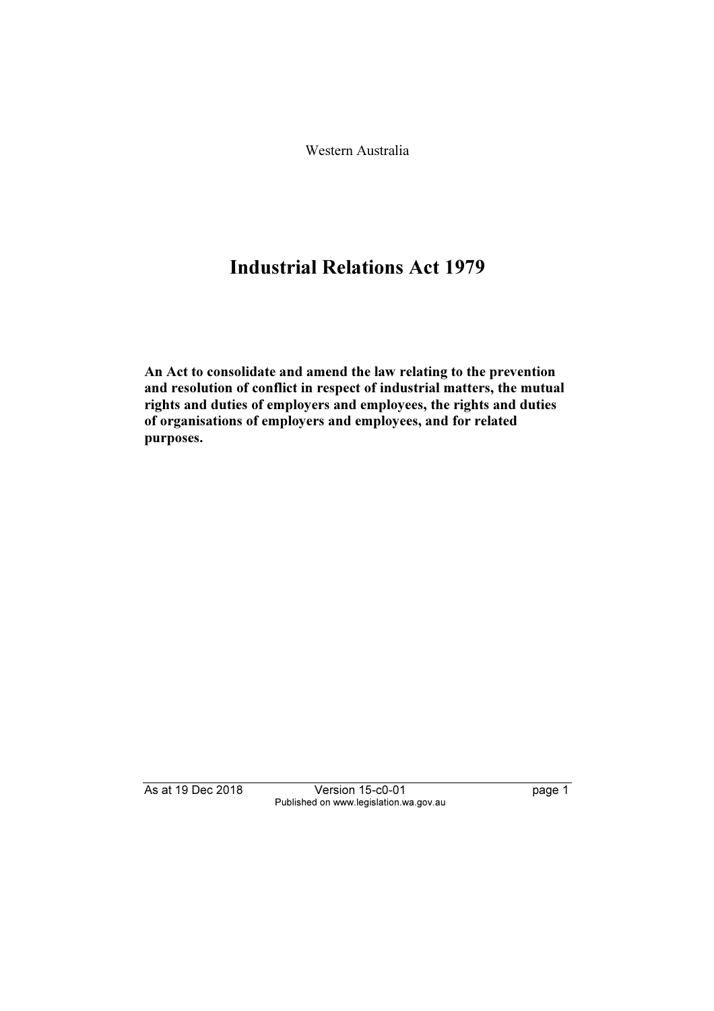Western Australia

# Industrial Relations Act 1979

An Act to consolidate and amend the law relating to the prevention and resolution of conflict in respect of industrial matters, the mutual rights and duties of employers and employees, the rights and duties of organisations of employers and employees, and for related purposes.

As at 19 Dec 2018 Version 15-c0-01 page 1 Published on www.legislation.wa.gov.au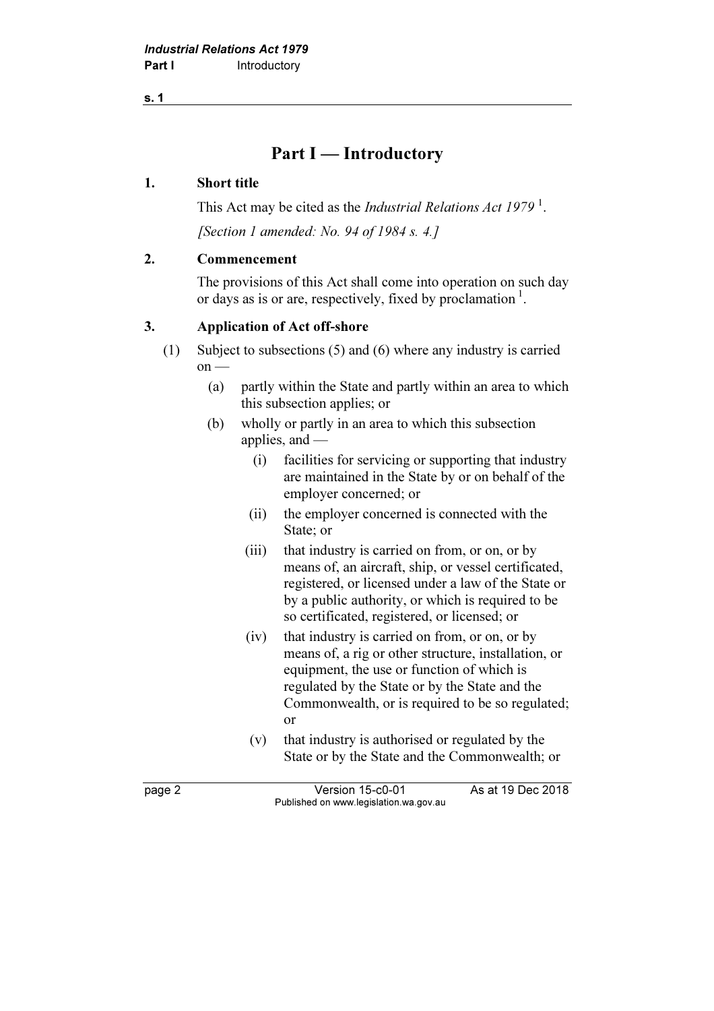# Part I — Introductory

### 1. Short title

This Act may be cited as the *Industrial Relations Act 1979*<sup>1</sup>. [Section 1 amended: No. 94 of 1984 s. 4.]

## 2. Commencement

 The provisions of this Act shall come into operation on such day or days as is or are, respectively, fixed by proclamation  $\frac{1}{1}$ .

## 3. Application of Act off-shore

- (1) Subject to subsections (5) and (6) where any industry is carried  $on$  —
	- (a) partly within the State and partly within an area to which this subsection applies; or
	- (b) wholly or partly in an area to which this subsection applies, and —
		- (i) facilities for servicing or supporting that industry are maintained in the State by or on behalf of the employer concerned; or
		- (ii) the employer concerned is connected with the State; or
		- (iii) that industry is carried on from, or on, or by means of, an aircraft, ship, or vessel certificated, registered, or licensed under a law of the State or by a public authority, or which is required to be so certificated, registered, or licensed; or
		- (iv) that industry is carried on from, or on, or by means of, a rig or other structure, installation, or equipment, the use or function of which is regulated by the State or by the State and the Commonwealth, or is required to be so regulated; or
		- (v) that industry is authorised or regulated by the State or by the State and the Commonwealth; or

page 2 Version 15-c0-01 As at 19 Dec 2018 Published on www.legislation.wa.gov.au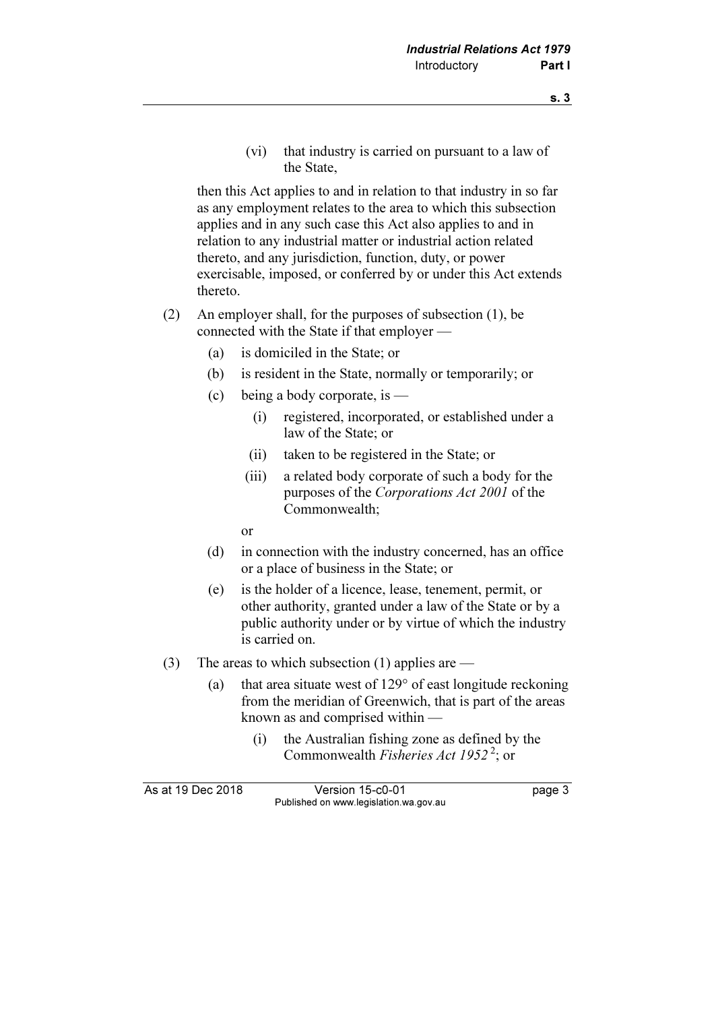(vi) that industry is carried on pursuant to a law of the State,

 then this Act applies to and in relation to that industry in so far as any employment relates to the area to which this subsection applies and in any such case this Act also applies to and in relation to any industrial matter or industrial action related thereto, and any jurisdiction, function, duty, or power exercisable, imposed, or conferred by or under this Act extends thereto.

- (2) An employer shall, for the purposes of subsection (1), be connected with the State if that employer —
	- (a) is domiciled in the State; or
	- (b) is resident in the State, normally or temporarily; or
	- (c) being a body corporate, is
		- (i) registered, incorporated, or established under a law of the State; or
		- (ii) taken to be registered in the State; or
		- (iii) a related body corporate of such a body for the purposes of the Corporations Act 2001 of the Commonwealth;
		- or
	- (d) in connection with the industry concerned, has an office or a place of business in the State; or
	- (e) is the holder of a licence, lease, tenement, permit, or other authority, granted under a law of the State or by a public authority under or by virtue of which the industry is carried on.
- (3) The areas to which subsection (1) applies are
	- (a) that area situate west of 129° of east longitude reckoning from the meridian of Greenwich, that is part of the areas known as and comprised within —
		- (i) the Australian fishing zone as defined by the Commonwealth Fisheries Act 1952<sup>2</sup>; or

| As at 19 Dec 2018 | Version 15-c0-01                       | page 3 |
|-------------------|----------------------------------------|--------|
|                   | Published on www.legislation.wa.gov.au |        |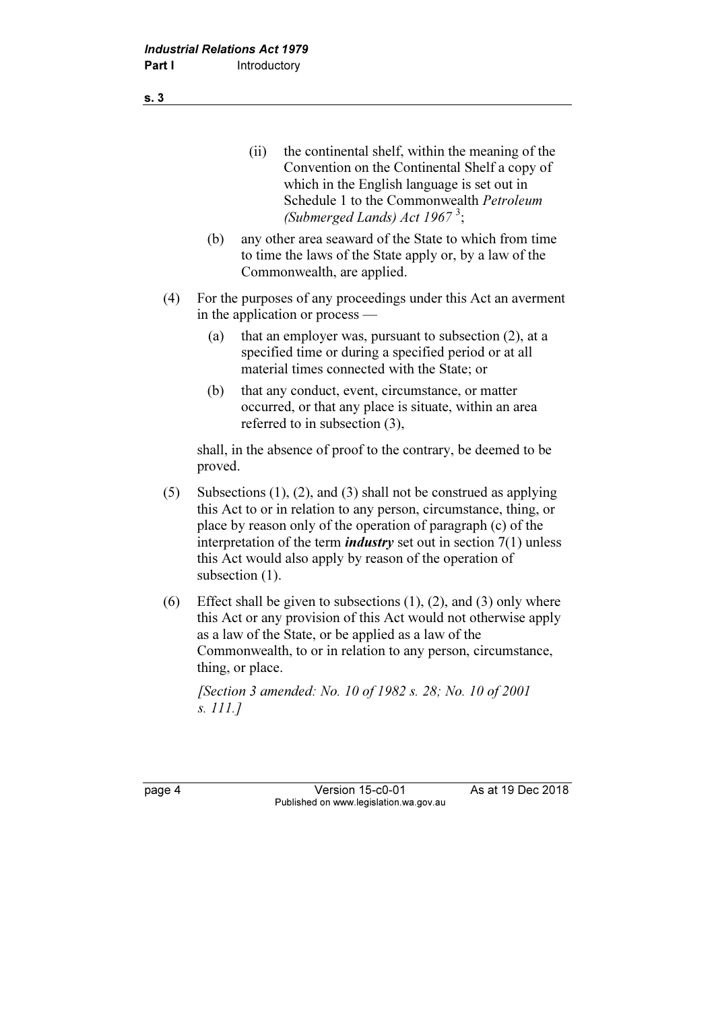- (ii) the continental shelf, within the meaning of the Convention on the Continental Shelf a copy of which in the English language is set out in Schedule 1 to the Commonwealth Petroleum (Submerged Lands) Act  $1967^3$ ;
- (b) any other area seaward of the State to which from time to time the laws of the State apply or, by a law of the Commonwealth, are applied.
- (4) For the purposes of any proceedings under this Act an averment in the application or process —
	- (a) that an employer was, pursuant to subsection (2), at a specified time or during a specified period or at all material times connected with the State; or
	- (b) that any conduct, event, circumstance, or matter occurred, or that any place is situate, within an area referred to in subsection (3),

 shall, in the absence of proof to the contrary, be deemed to be proved.

- (5) Subsections (1), (2), and (3) shall not be construed as applying this Act to or in relation to any person, circumstance, thing, or place by reason only of the operation of paragraph (c) of the interpretation of the term *industry* set out in section  $7(1)$  unless this Act would also apply by reason of the operation of subsection (1).
- (6) Effect shall be given to subsections  $(1)$ ,  $(2)$ , and  $(3)$  only where this Act or any provision of this Act would not otherwise apply as a law of the State, or be applied as a law of the Commonwealth, to or in relation to any person, circumstance, thing, or place.

 [Section 3 amended: No. 10 of 1982 s. 28; No. 10 of 2001 s. 111.]

page 4 Version 15-c0-01 As at 19 Dec 2018 Published on www.legislation.wa.gov.au

s. 3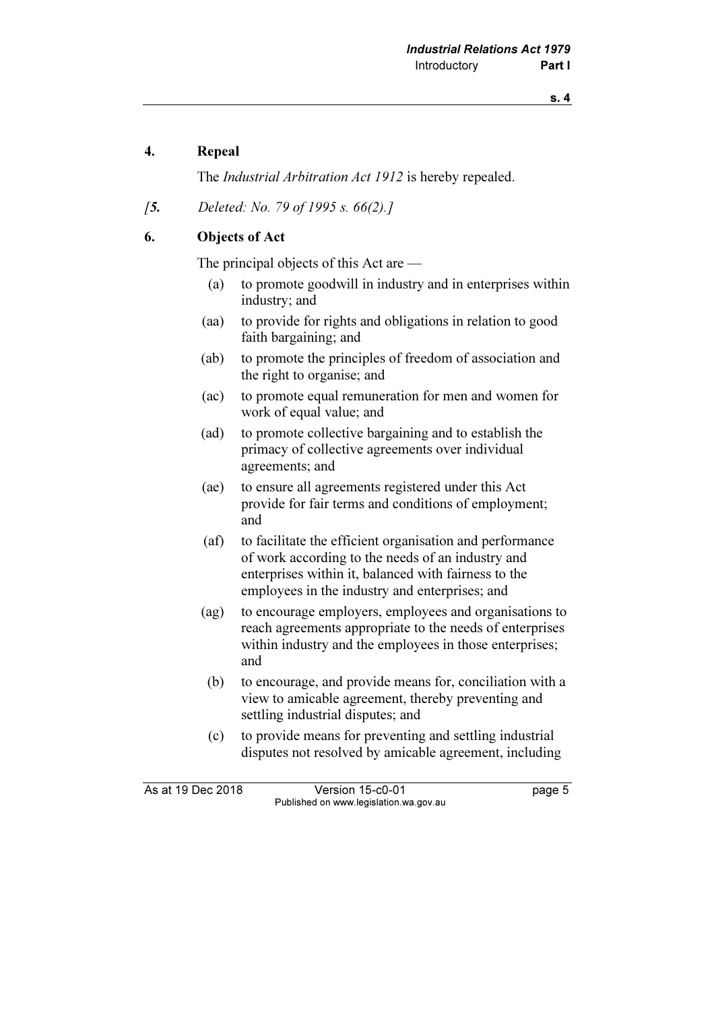## 4. Repeal

The Industrial Arbitration Act 1912 is hereby repealed.

[5. Deleted: No. 79 of 1995 s. 66(2).]

## 6. Objects of Act

The principal objects of this Act are —

- (a) to promote goodwill in industry and in enterprises within industry; and
- (aa) to provide for rights and obligations in relation to good faith bargaining; and
- (ab) to promote the principles of freedom of association and the right to organise; and
- (ac) to promote equal remuneration for men and women for work of equal value; and
- (ad) to promote collective bargaining and to establish the primacy of collective agreements over individual agreements; and
- (ae) to ensure all agreements registered under this Act provide for fair terms and conditions of employment; and
- (af) to facilitate the efficient organisation and performance of work according to the needs of an industry and enterprises within it, balanced with fairness to the employees in the industry and enterprises; and
- (ag) to encourage employers, employees and organisations to reach agreements appropriate to the needs of enterprises within industry and the employees in those enterprises; and
- (b) to encourage, and provide means for, conciliation with a view to amicable agreement, thereby preventing and settling industrial disputes; and
- (c) to provide means for preventing and settling industrial disputes not resolved by amicable agreement, including

As at 19 Dec 2018 Version 15-c0-01 page 5 Published on www.legislation.wa.gov.au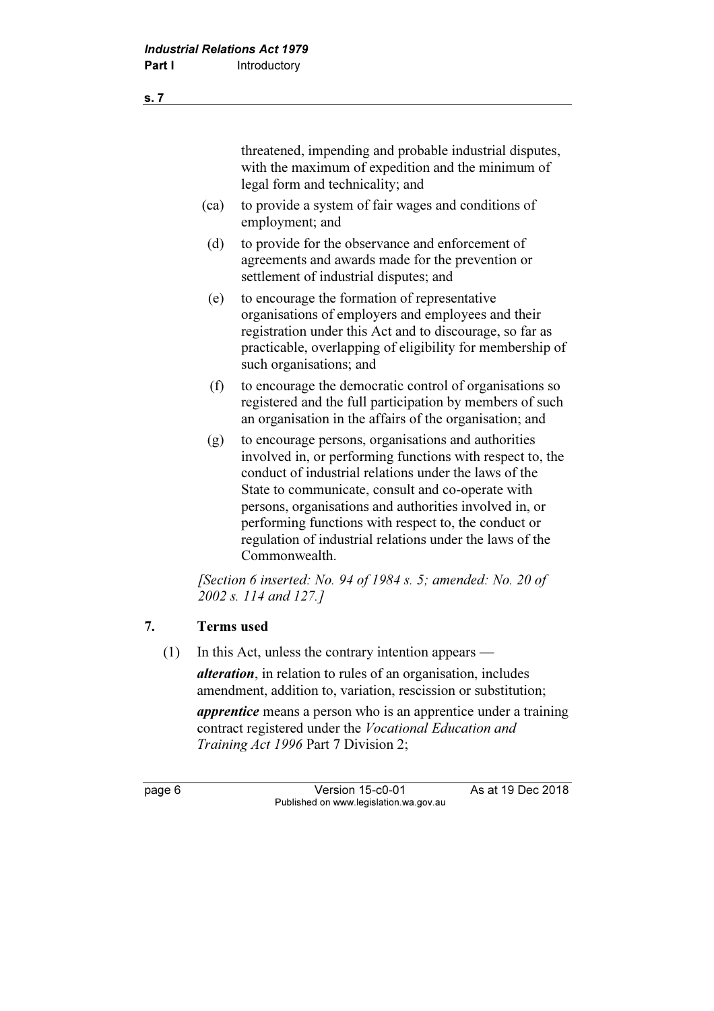threatened, impending and probable industrial disputes, with the maximum of expedition and the minimum of legal form and technicality; and

- (ca) to provide a system of fair wages and conditions of employment; and
- (d) to provide for the observance and enforcement of agreements and awards made for the prevention or settlement of industrial disputes; and
- (e) to encourage the formation of representative organisations of employers and employees and their registration under this Act and to discourage, so far as practicable, overlapping of eligibility for membership of such organisations; and
- (f) to encourage the democratic control of organisations so registered and the full participation by members of such an organisation in the affairs of the organisation; and
- (g) to encourage persons, organisations and authorities involved in, or performing functions with respect to, the conduct of industrial relations under the laws of the State to communicate, consult and co-operate with persons, organisations and authorities involved in, or performing functions with respect to, the conduct or regulation of industrial relations under the laws of the Commonwealth.

[Section 6 inserted: No. 94 of 1984 s. 5; amended: No. 20 of 2002 s. 114 and 127.]

## 7. Terms used

(1) In this Act, unless the contrary intention appears —

alteration, in relation to rules of an organisation, includes amendment, addition to, variation, rescission or substitution;

**apprentice** means a person who is an apprentice under a training contract registered under the Vocational Education and Training Act 1996 Part 7 Division 2;

page 6 Version 15-c0-01 As at 19 Dec 2018 Published on www.legislation.wa.gov.au

s. 7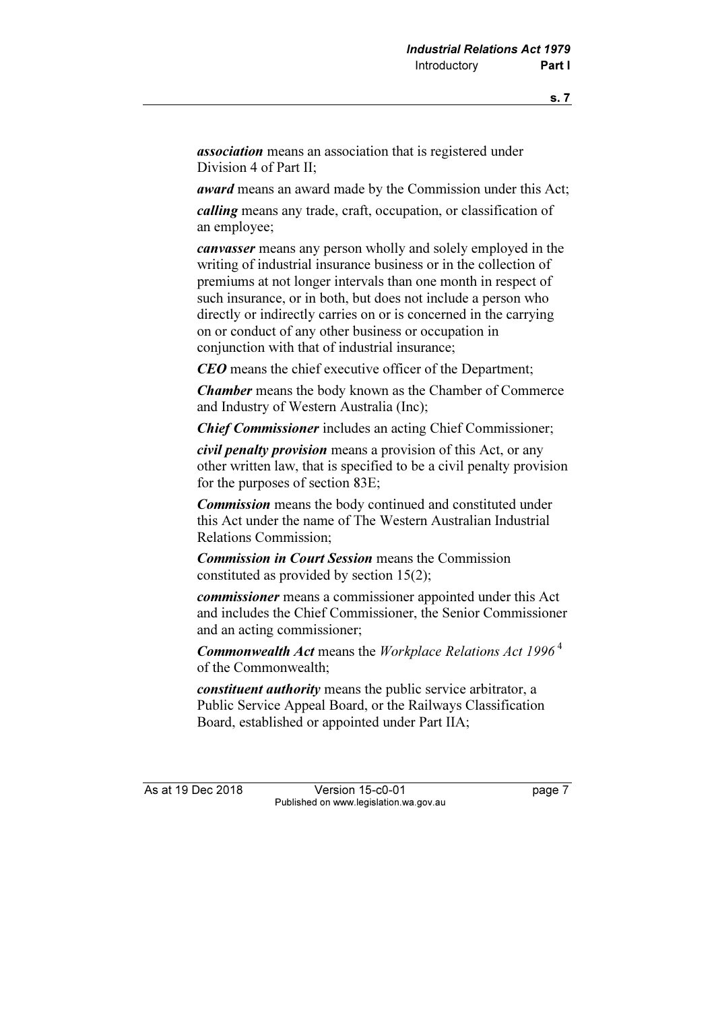association means an association that is registered under Division 4 of Part II;

award means an award made by the Commission under this Act;

calling means any trade, craft, occupation, or classification of an employee;

canvasser means any person wholly and solely employed in the writing of industrial insurance business or in the collection of premiums at not longer intervals than one month in respect of such insurance, or in both, but does not include a person who directly or indirectly carries on or is concerned in the carrying on or conduct of any other business or occupation in conjunction with that of industrial insurance;

CEO means the chief executive officer of the Department;

Chamber means the body known as the Chamber of Commerce and Industry of Western Australia (Inc);

Chief Commissioner includes an acting Chief Commissioner;

civil penalty provision means a provision of this Act, or any other written law, that is specified to be a civil penalty provision for the purposes of section 83E;

**Commission** means the body continued and constituted under this Act under the name of The Western Australian Industrial Relations Commission;

Commission in Court Session means the Commission constituted as provided by section 15(2);

commissioner means a commissioner appointed under this Act and includes the Chief Commissioner, the Senior Commissioner and an acting commissioner;

**Commonwealth Act** means the Workplace Relations Act 1996<sup>4</sup> of the Commonwealth;

constituent authority means the public service arbitrator, a Public Service Appeal Board, or the Railways Classification Board, established or appointed under Part IIA;

As at 19 Dec 2018 Version 15-c0-01 page 7 Published on www.legislation.wa.gov.au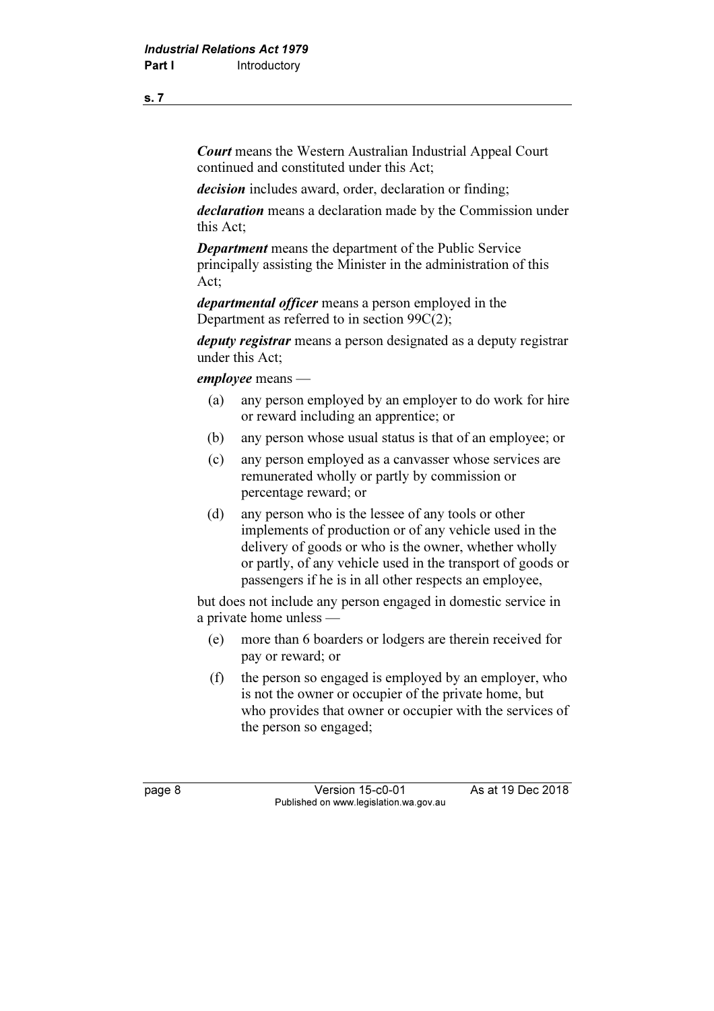Court means the Western Australian Industrial Appeal Court continued and constituted under this Act;

decision includes award, order, declaration or finding;

declaration means a declaration made by the Commission under this Act;

Department means the department of the Public Service principally assisting the Minister in the administration of this Act;

departmental officer means a person employed in the Department as referred to in section 99C(2);

deputy registrar means a person designated as a deputy registrar under this Act;

employee means —

- (a) any person employed by an employer to do work for hire or reward including an apprentice; or
- (b) any person whose usual status is that of an employee; or
- (c) any person employed as a canvasser whose services are remunerated wholly or partly by commission or percentage reward; or
- (d) any person who is the lessee of any tools or other implements of production or of any vehicle used in the delivery of goods or who is the owner, whether wholly or partly, of any vehicle used in the transport of goods or passengers if he is in all other respects an employee,

 but does not include any person engaged in domestic service in a private home unless —

- (e) more than 6 boarders or lodgers are therein received for pay or reward; or
- (f) the person so engaged is employed by an employer, who is not the owner or occupier of the private home, but who provides that owner or occupier with the services of the person so engaged;

page 8 Version 15-c0-01 As at 19 Dec 2018 Published on www.legislation.wa.gov.au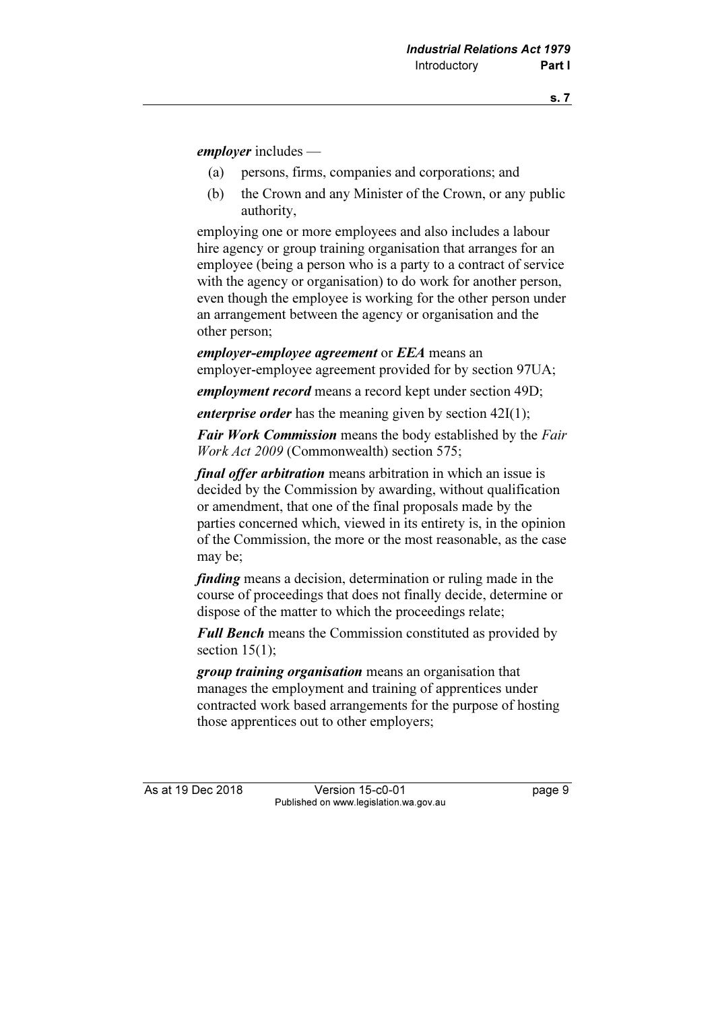employer includes —

- (a) persons, firms, companies and corporations; and
- (b) the Crown and any Minister of the Crown, or any public authority,

 employing one or more employees and also includes a labour hire agency or group training organisation that arranges for an employee (being a person who is a party to a contract of service with the agency or organisation) to do work for another person, even though the employee is working for the other person under an arrangement between the agency or organisation and the other person;

employer-employee agreement or EEA means an employer-employee agreement provided for by section 97UA;

employment record means a record kept under section 49D;

*enterprise order* has the meaning given by section  $42I(1)$ ;

**Fair Work Commission** means the body established by the Fair Work Act 2009 (Commonwealth) section 575;

final offer arbitration means arbitration in which an issue is decided by the Commission by awarding, without qualification or amendment, that one of the final proposals made by the parties concerned which, viewed in its entirety is, in the opinion of the Commission, the more or the most reasonable, as the case may be;

finding means a decision, determination or ruling made in the course of proceedings that does not finally decide, determine or dispose of the matter to which the proceedings relate;

**Full Bench** means the Commission constituted as provided by section  $15(1)$ ;

group training organisation means an organisation that manages the employment and training of apprentices under contracted work based arrangements for the purpose of hosting those apprentices out to other employers;

As at 19 Dec 2018 Version 15-c0-01 page 9 Published on www.legislation.wa.gov.au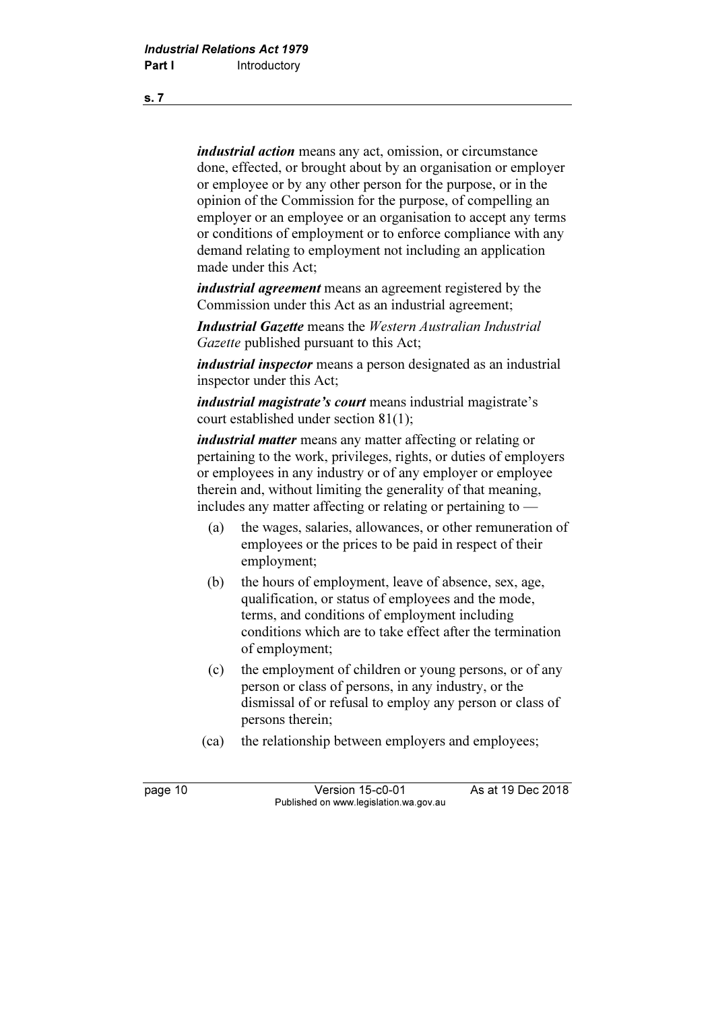industrial action means any act, omission, or circumstance done, effected, or brought about by an organisation or employer or employee or by any other person for the purpose, or in the opinion of the Commission for the purpose, of compelling an employer or an employee or an organisation to accept any terms or conditions of employment or to enforce compliance with any demand relating to employment not including an application made under this Act;

*industrial agreement* means an agreement registered by the Commission under this Act as an industrial agreement;

Industrial Gazette means the Western Australian Industrial Gazette published pursuant to this Act;

industrial inspector means a person designated as an industrial inspector under this Act;

industrial magistrate's court means industrial magistrate's court established under section 81(1);

industrial matter means any matter affecting or relating or pertaining to the work, privileges, rights, or duties of employers or employees in any industry or of any employer or employee therein and, without limiting the generality of that meaning, includes any matter affecting or relating or pertaining to —

- (a) the wages, salaries, allowances, or other remuneration of employees or the prices to be paid in respect of their employment;
- (b) the hours of employment, leave of absence, sex, age, qualification, or status of employees and the mode, terms, and conditions of employment including conditions which are to take effect after the termination of employment;
- (c) the employment of children or young persons, or of any person or class of persons, in any industry, or the dismissal of or refusal to employ any person or class of persons therein;
- (ca) the relationship between employers and employees;

page 10 Version 15-c0-01 As at 19 Dec 2018 Published on www.legislation.wa.gov.au

s. 7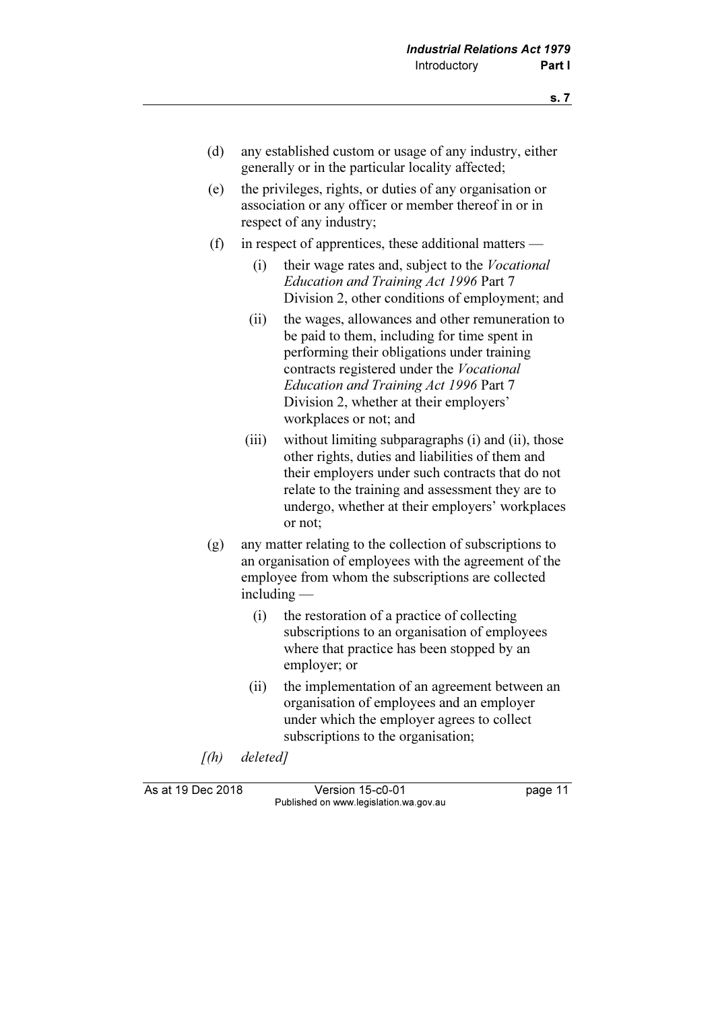- (d) any established custom or usage of any industry, either generally or in the particular locality affected;
- (e) the privileges, rights, or duties of any organisation or association or any officer or member thereof in or in respect of any industry;
- (f) in respect of apprentices, these additional matters
	- (i) their wage rates and, subject to the Vocational Education and Training Act 1996 Part 7 Division 2, other conditions of employment; and
	- (ii) the wages, allowances and other remuneration to be paid to them, including for time spent in performing their obligations under training contracts registered under the Vocational Education and Training Act 1996 Part 7 Division 2, whether at their employers' workplaces or not; and
	- (iii) without limiting subparagraphs (i) and (ii), those other rights, duties and liabilities of them and their employers under such contracts that do not relate to the training and assessment they are to undergo, whether at their employers' workplaces or not;
- (g) any matter relating to the collection of subscriptions to an organisation of employees with the agreement of the employee from whom the subscriptions are collected including —
	- (i) the restoration of a practice of collecting subscriptions to an organisation of employees where that practice has been stopped by an employer; or
	- (ii) the implementation of an agreement between an organisation of employees and an employer under which the employer agrees to collect subscriptions to the organisation;
- [(h) deleted]

As at 19 Dec 2018 Version 15-c0-01 page 11 Published on www.legislation.wa.gov.au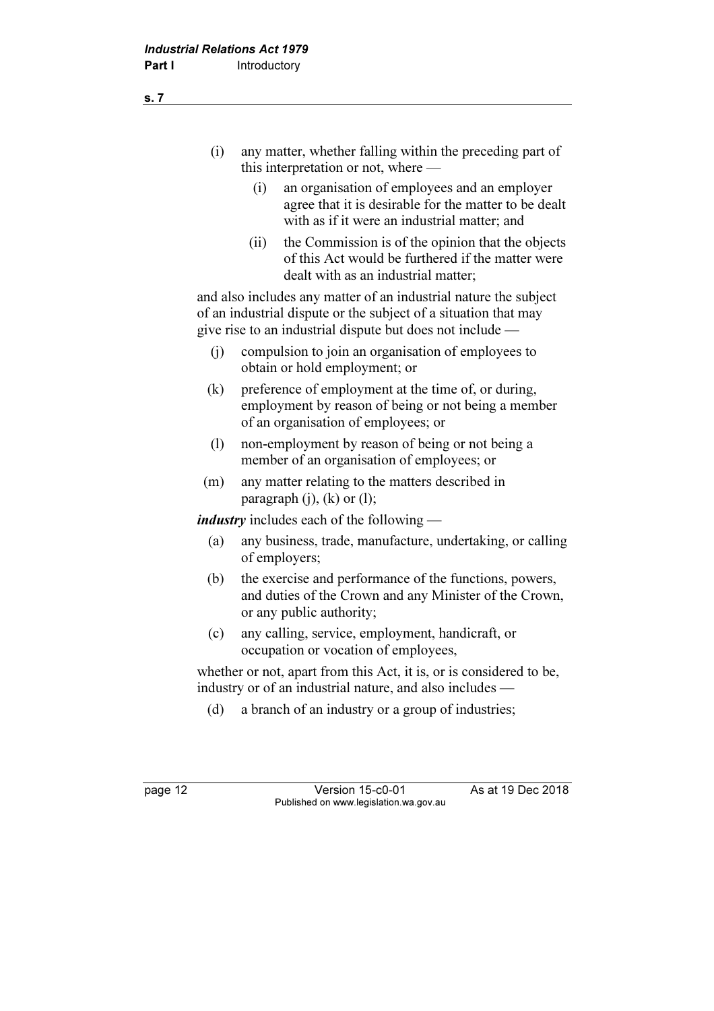- (i) any matter, whether falling within the preceding part of this interpretation or not, where —
	- (i) an organisation of employees and an employer agree that it is desirable for the matter to be dealt with as if it were an industrial matter; and
	- (ii) the Commission is of the opinion that the objects of this Act would be furthered if the matter were dealt with as an industrial matter;

 and also includes any matter of an industrial nature the subject of an industrial dispute or the subject of a situation that may give rise to an industrial dispute but does not include —

- (j) compulsion to join an organisation of employees to obtain or hold employment; or
- (k) preference of employment at the time of, or during, employment by reason of being or not being a member of an organisation of employees; or
- (l) non-employment by reason of being or not being a member of an organisation of employees; or
- (m) any matter relating to the matters described in paragraph  $(i)$ ,  $(k)$  or  $(l)$ ;

*industry* includes each of the following —

- (a) any business, trade, manufacture, undertaking, or calling of employers;
- (b) the exercise and performance of the functions, powers, and duties of the Crown and any Minister of the Crown, or any public authority;
- (c) any calling, service, employment, handicraft, or occupation or vocation of employees,

 whether or not, apart from this Act, it is, or is considered to be, industry or of an industrial nature, and also includes —

(d) a branch of an industry or a group of industries;

page 12 Version 15-c0-01 As at 19 Dec 2018 Published on www.legislation.wa.gov.au

s. 7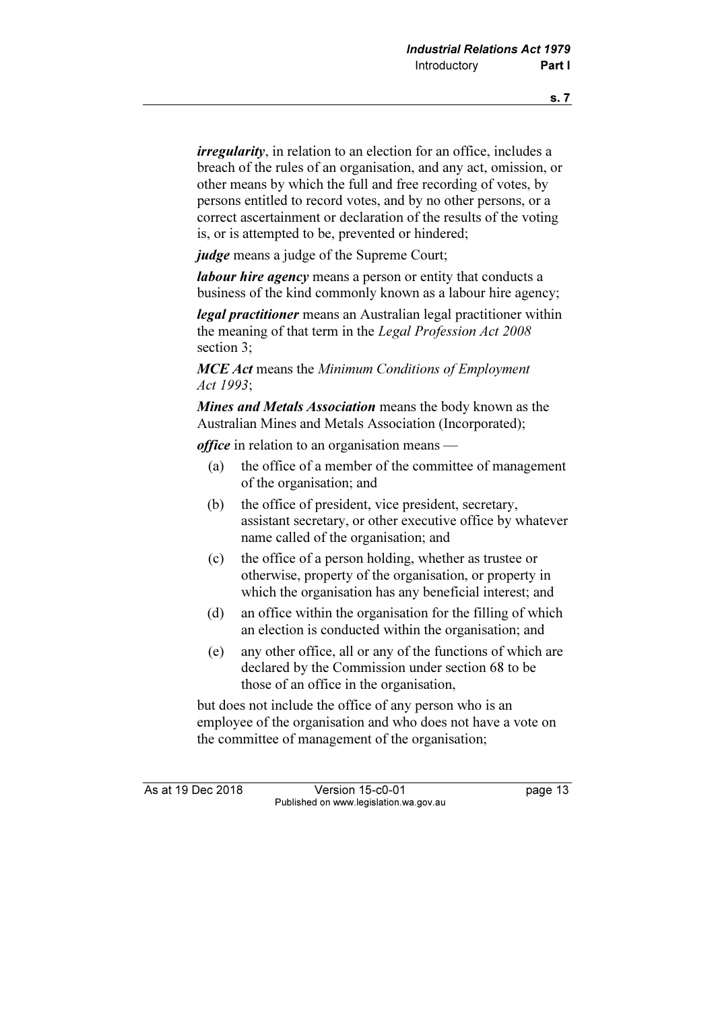*irregularity*, in relation to an election for an office, includes a breach of the rules of an organisation, and any act, omission, or other means by which the full and free recording of votes, by persons entitled to record votes, and by no other persons, or a correct ascertainment or declaration of the results of the voting is, or is attempted to be, prevented or hindered;

judge means a judge of the Supreme Court;

labour hire agency means a person or entity that conducts a business of the kind commonly known as a labour hire agency;

legal practitioner means an Australian legal practitioner within the meaning of that term in the Legal Profession Act 2008 section 3;

**MCE Act means the Minimum Conditions of Employment** Act 1993;

Mines and Metals Association means the body known as the Australian Mines and Metals Association (Incorporated);

office in relation to an organisation means —

- (a) the office of a member of the committee of management of the organisation; and
- (b) the office of president, vice president, secretary, assistant secretary, or other executive office by whatever name called of the organisation; and
- (c) the office of a person holding, whether as trustee or otherwise, property of the organisation, or property in which the organisation has any beneficial interest; and
- (d) an office within the organisation for the filling of which an election is conducted within the organisation; and
- (e) any other office, all or any of the functions of which are declared by the Commission under section 68 to be those of an office in the organisation,

 but does not include the office of any person who is an employee of the organisation and who does not have a vote on the committee of management of the organisation;

As at 19 Dec 2018 Version 15-c0-01 page 13 Published on www.legislation.wa.gov.au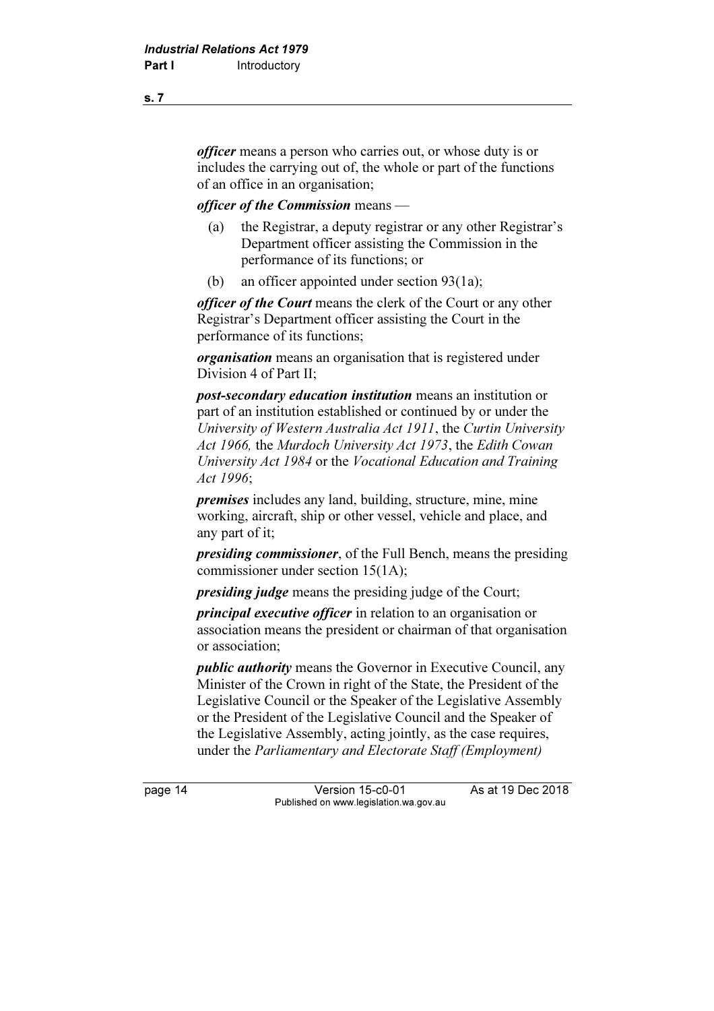officer means a person who carries out, or whose duty is or includes the carrying out of, the whole or part of the functions of an office in an organisation;

### officer of the Commission means —

- (a) the Registrar, a deputy registrar or any other Registrar's Department officer assisting the Commission in the performance of its functions; or
- (b) an officer appointed under section 93(1a);

officer of the Court means the clerk of the Court or any other Registrar's Department officer assisting the Court in the performance of its functions;

organisation means an organisation that is registered under Division 4 of Part II;

post-secondary education institution means an institution or part of an institution established or continued by or under the University of Western Australia Act 1911, the Curtin University Act 1966, the Murdoch University Act 1973, the Edith Cowan University Act 1984 or the Vocational Education and Training Act 1996;

premises includes any land, building, structure, mine, mine working, aircraft, ship or other vessel, vehicle and place, and any part of it;

presiding commissioner, of the Full Bench, means the presiding commissioner under section 15(1A);

*presiding judge* means the presiding judge of the Court;

principal executive officer in relation to an organisation or association means the president or chairman of that organisation or association;

public authority means the Governor in Executive Council, any Minister of the Crown in right of the State, the President of the Legislative Council or the Speaker of the Legislative Assembly or the President of the Legislative Council and the Speaker of the Legislative Assembly, acting jointly, as the case requires, under the Parliamentary and Electorate Staff (Employment)

page 14 Version 15-c0-01 As at 19 Dec 2018 Published on www.legislation.wa.gov.au

s. 7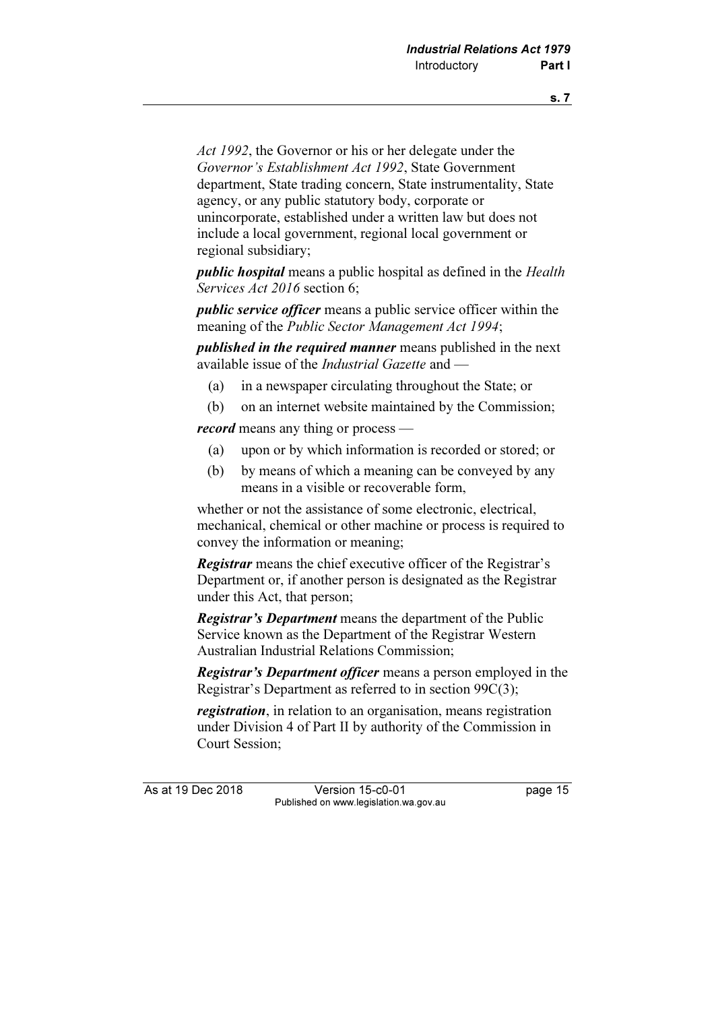Act 1992, the Governor or his or her delegate under the Governor's Establishment Act 1992, State Government department, State trading concern, State instrumentality, State agency, or any public statutory body, corporate or unincorporate, established under a written law but does not include a local government, regional local government or regional subsidiary;

public hospital means a public hospital as defined in the Health Services Act 2016 section 6;

public service officer means a public service officer within the meaning of the Public Sector Management Act 1994;

published in the required manner means published in the next available issue of the Industrial Gazette and —

- (a) in a newspaper circulating throughout the State; or
- (b) on an internet website maintained by the Commission;

record means any thing or process —

- (a) upon or by which information is recorded or stored; or
- (b) by means of which a meaning can be conveyed by any means in a visible or recoverable form,

 whether or not the assistance of some electronic, electrical, mechanical, chemical or other machine or process is required to convey the information or meaning;

Registrar means the chief executive officer of the Registrar's Department or, if another person is designated as the Registrar under this Act, that person;

**Registrar's Department** means the department of the Public Service known as the Department of the Registrar Western Australian Industrial Relations Commission;

**Registrar's Department officer** means a person employed in the Registrar's Department as referred to in section 99C(3);

registration, in relation to an organisation, means registration under Division 4 of Part II by authority of the Commission in Court Session;

As at 19 Dec 2018 Version 15-c0-01 page 15 Published on www.legislation.wa.gov.au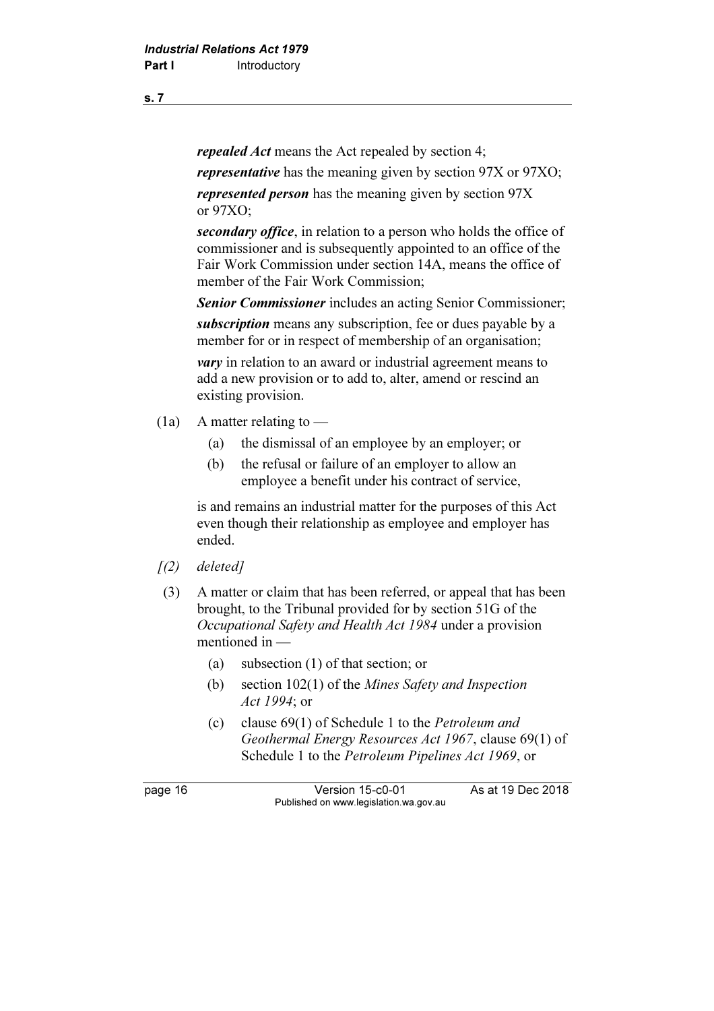repealed Act means the Act repealed by section 4;

representative has the meaning given by section 97X or 97XO;

represented person has the meaning given by section 97X or 97XO;

secondary office, in relation to a person who holds the office of commissioner and is subsequently appointed to an office of the Fair Work Commission under section 14A, means the office of member of the Fair Work Commission;

Senior Commissioner includes an acting Senior Commissioner;

subscription means any subscription, fee or dues payable by a member for or in respect of membership of an organisation;

*vary* in relation to an award or industrial agreement means to add a new provision or to add to, alter, amend or rescind an existing provision.

- (1a) A matter relating to  $-$ 
	- (a) the dismissal of an employee by an employer; or
	- (b) the refusal or failure of an employer to allow an employee a benefit under his contract of service,

 is and remains an industrial matter for the purposes of this Act even though their relationship as employee and employer has ended.

- $(2)$  deleted]
- (3) A matter or claim that has been referred, or appeal that has been brought, to the Tribunal provided for by section 51G of the Occupational Safety and Health Act 1984 under a provision mentioned in —
	- (a) subsection (1) of that section; or
	- (b) section 102(1) of the Mines Safety and Inspection Act 1994; or
	- (c) clause 69(1) of Schedule 1 to the Petroleum and Geothermal Energy Resources Act 1967, clause 69(1) of Schedule 1 to the Petroleum Pipelines Act 1969, or

page 16 Version 15-c0-01 As at 19 Dec 2018 Published on www.legislation.wa.gov.au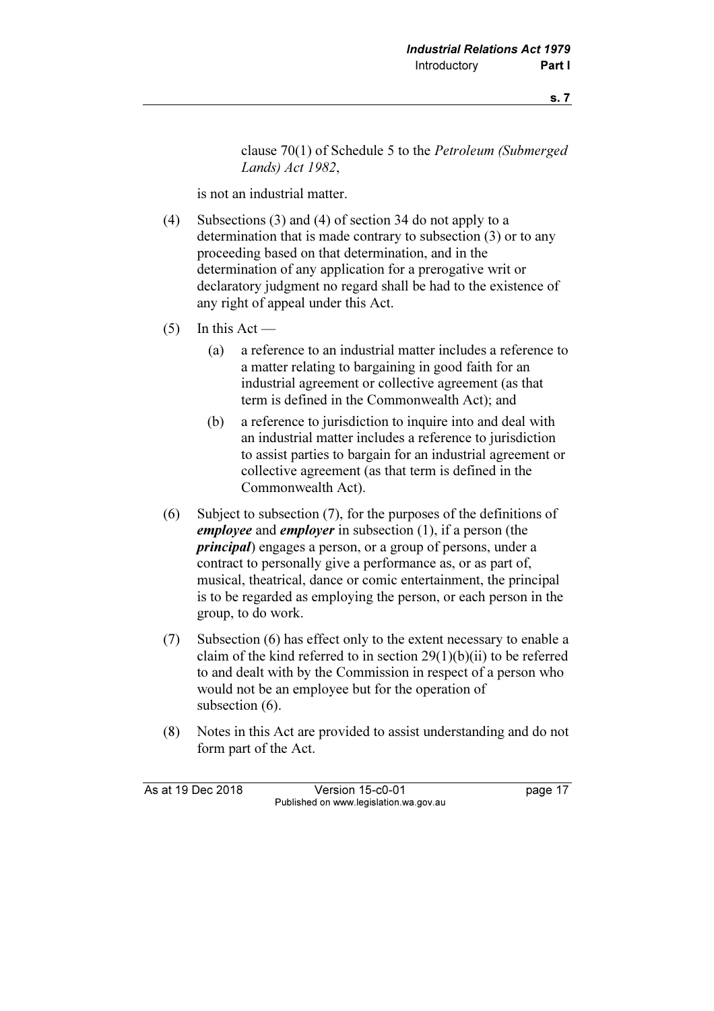clause 70(1) of Schedule 5 to the Petroleum (Submerged Lands) Act 1982,

is not an industrial matter.

- (4) Subsections (3) and (4) of section 34 do not apply to a determination that is made contrary to subsection (3) or to any proceeding based on that determination, and in the determination of any application for a prerogative writ or declaratory judgment no regard shall be had to the existence of any right of appeal under this Act.
- $(5)$  In this Act
	- (a) a reference to an industrial matter includes a reference to a matter relating to bargaining in good faith for an industrial agreement or collective agreement (as that term is defined in the Commonwealth Act); and
	- (b) a reference to jurisdiction to inquire into and deal with an industrial matter includes a reference to jurisdiction to assist parties to bargain for an industrial agreement or collective agreement (as that term is defined in the Commonwealth Act).
- (6) Subject to subsection (7), for the purposes of the definitions of employee and employer in subsection  $(1)$ , if a person (the principal) engages a person, or a group of persons, under a contract to personally give a performance as, or as part of, musical, theatrical, dance or comic entertainment, the principal is to be regarded as employing the person, or each person in the group, to do work.
- (7) Subsection (6) has effect only to the extent necessary to enable a claim of the kind referred to in section  $29(1)(b)(ii)$  to be referred to and dealt with by the Commission in respect of a person who would not be an employee but for the operation of subsection  $(6)$ .
- (8) Notes in this Act are provided to assist understanding and do not form part of the Act.

As at 19 Dec 2018 Version 15-c0-01 page 17 Published on www.legislation.wa.gov.au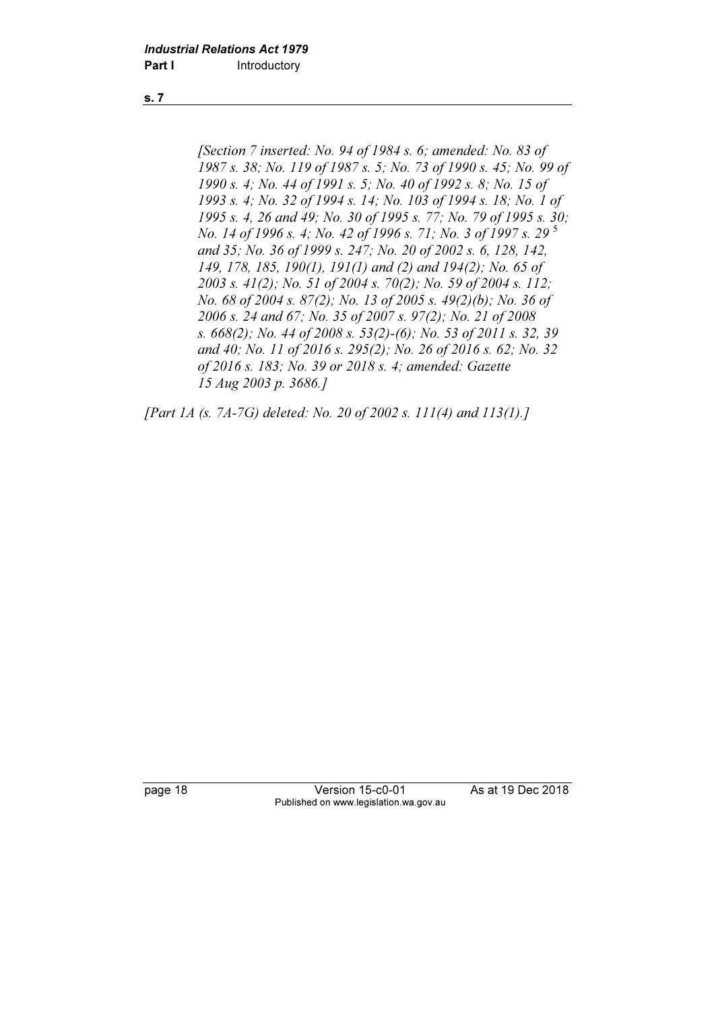[Section 7 inserted: No. 94 of 1984 s. 6; amended: No. 83 of 1987 s. 38; No. 119 of 1987 s. 5; No. 73 of 1990 s. 45; No. 99 of 1990 s. 4; No. 44 of 1991 s. 5; No. 40 of 1992 s. 8; No. 15 of 1993 s. 4; No. 32 of 1994 s. 14; No. 103 of 1994 s. 18; No. 1 of 1995 s. 4, 26 and 49; No. 30 of 1995 s. 77; No. 79 of 1995 s. 30; No. 14 of 1996 s. 4; No. 42 of 1996 s. 71; No. 3 of 1997 s. 29<sup>5</sup> and 35; No. 36 of 1999 s. 247; No. 20 of 2002 s. 6, 128, 142, 149, 178, 185, 190(1), 191(1) and (2) and 194(2); No. 65 of 2003 s. 41(2); No. 51 of 2004 s. 70(2); No. 59 of 2004 s. 112; No. 68 of 2004 s. 87(2); No. 13 of 2005 s. 49(2)(b); No. 36 of 2006 s. 24 and 67; No. 35 of 2007 s. 97(2); No. 21 of 2008 s. 668(2); No. 44 of 2008 s. 53(2)-(6); No. 53 of 2011 s. 32, 39 and 40; No. 11 of 2016 s. 295(2); No. 26 of 2016 s. 62; No. 32 of 2016 s. 183; No. 39 or 2018 s. 4; amended: Gazette 15 Aug 2003 p. 3686.]

[Part 1A (s. 7A-7G) deleted: No. 20 of 2002 s. 111(4) and 113(1).]

page 18 Version 15-c0-01 As at 19 Dec 2018 Published on www.legislation.wa.gov.au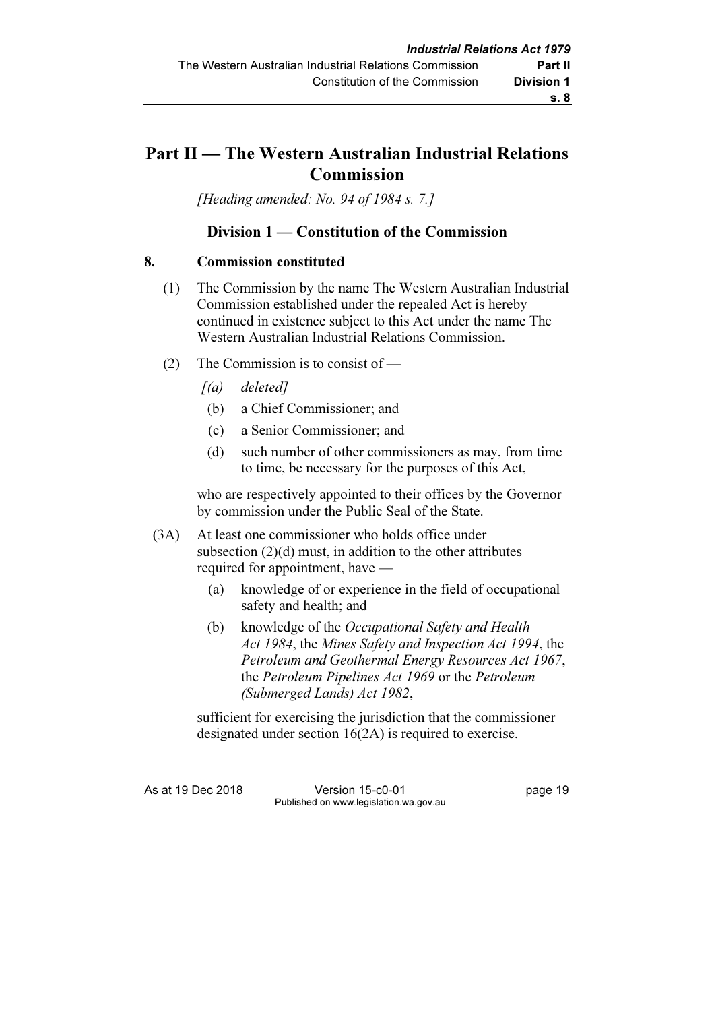# Part II — The Western Australian Industrial Relations Commission

[Heading amended: No. 94 of 1984 s. 7.]

# Division 1 — Constitution of the Commission

### 8. Commission constituted

- (1) The Commission by the name The Western Australian Industrial Commission established under the repealed Act is hereby continued in existence subject to this Act under the name The Western Australian Industrial Relations Commission.
- (2) The Commission is to consist of
	- $[(a)$  deleted]
	- (b) a Chief Commissioner; and
	- (c) a Senior Commissioner; and
	- (d) such number of other commissioners as may, from time to time, be necessary for the purposes of this Act,

 who are respectively appointed to their offices by the Governor by commission under the Public Seal of the State.

- (3A) At least one commissioner who holds office under subsection (2)(d) must, in addition to the other attributes required for appointment, have —
	- (a) knowledge of or experience in the field of occupational safety and health; and
	- (b) knowledge of the Occupational Safety and Health Act 1984, the Mines Safety and Inspection Act 1994, the Petroleum and Geothermal Energy Resources Act 1967, the Petroleum Pipelines Act 1969 or the Petroleum (Submerged Lands) Act 1982,

 sufficient for exercising the jurisdiction that the commissioner designated under section 16(2A) is required to exercise.

As at 19 Dec 2018 Version 15-c0-01 page 19 Published on www.legislation.wa.gov.au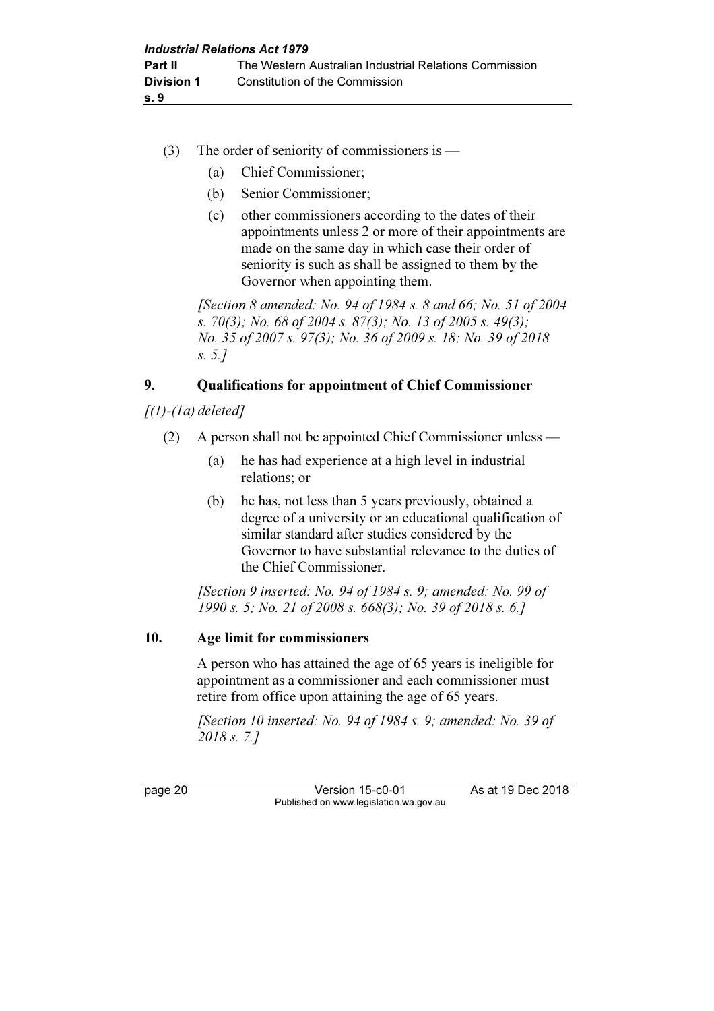- (3) The order of seniority of commissioners is
	- (a) Chief Commissioner;
	- (b) Senior Commissioner;
	- (c) other commissioners according to the dates of their appointments unless 2 or more of their appointments are made on the same day in which case their order of seniority is such as shall be assigned to them by the Governor when appointing them.

[Section 8 amended: No. 94 of 1984 s. 8 and 66; No. 51 of 2004 s. 70(3); No. 68 of 2004 s. 87(3); No. 13 of 2005 s. 49(3); No. 35 of 2007 s. 97(3); No. 36 of 2009 s. 18; No. 39 of 2018 s. 5.]

# 9. Qualifications for appointment of Chief Commissioner

 $\int(1)$ - $\int$ a) deleted]

- (2) A person shall not be appointed Chief Commissioner unless
	- (a) he has had experience at a high level in industrial relations; or
	- (b) he has, not less than 5 years previously, obtained a degree of a university or an educational qualification of similar standard after studies considered by the Governor to have substantial relevance to the duties of the Chief Commissioner.

[Section 9 inserted: No. 94 of 1984 s. 9; amended: No. 99 of 1990 s. 5; No. 21 of 2008 s. 668(3); No. 39 of 2018 s. 6.]

# 10. Age limit for commissioners

 A person who has attained the age of 65 years is ineligible for appointment as a commissioner and each commissioner must retire from office upon attaining the age of 65 years.

 [Section 10 inserted: No. 94 of 1984 s. 9; amended: No. 39 of 2018 s. 7.]

page 20 **Version 15-c0-01** As at 19 Dec 2018 Published on www.legislation.wa.gov.au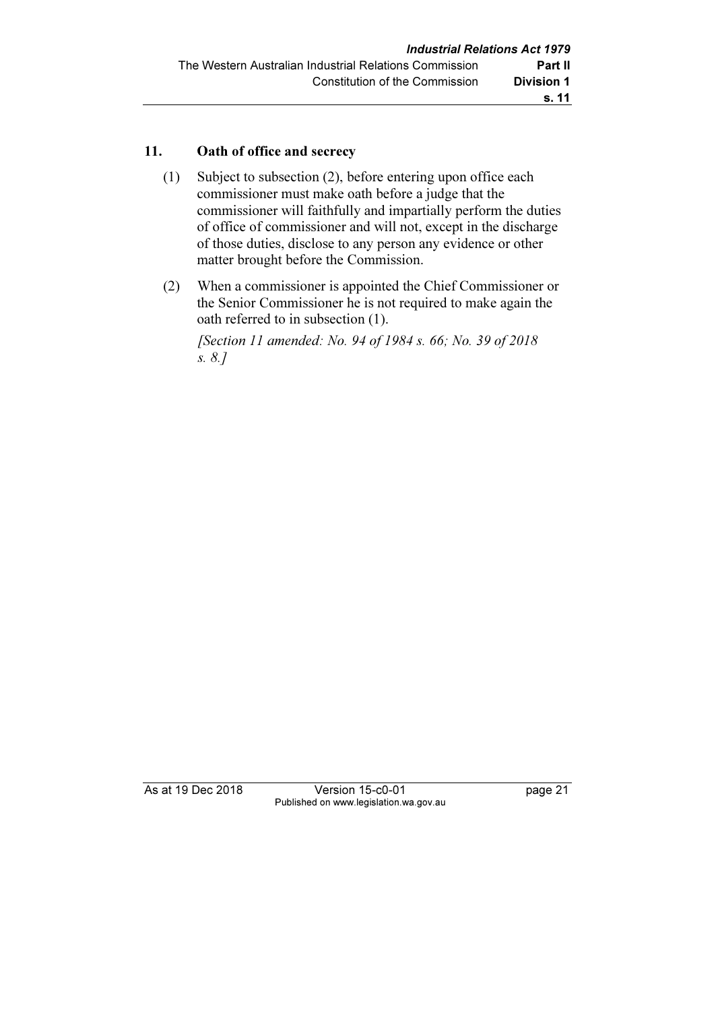### 11. Oath of office and secrecy

- (1) Subject to subsection (2), before entering upon office each commissioner must make oath before a judge that the commissioner will faithfully and impartially perform the duties of office of commissioner and will not, except in the discharge of those duties, disclose to any person any evidence or other matter brought before the Commission.
- (2) When a commissioner is appointed the Chief Commissioner or the Senior Commissioner he is not required to make again the oath referred to in subsection (1).

 [Section 11 amended: No. 94 of 1984 s. 66; No. 39 of 2018 s. 8.]

As at 19 Dec 2018 Version 15-c0-01 page 21 Published on www.legislation.wa.gov.au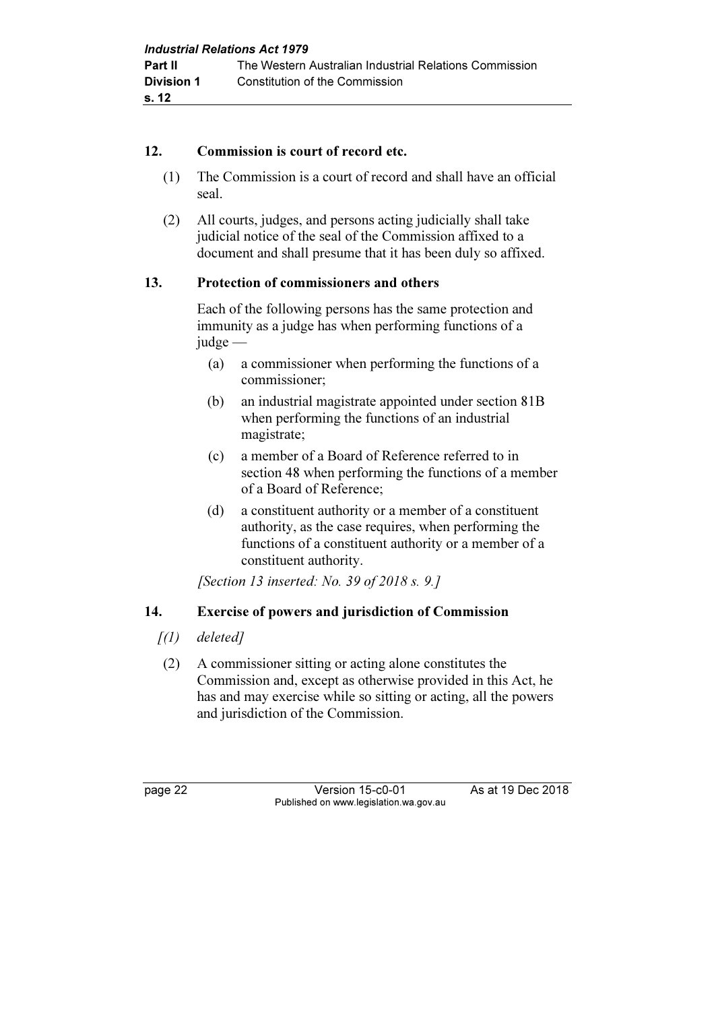### 12. Commission is court of record etc.

- (1) The Commission is a court of record and shall have an official seal.
- (2) All courts, judges, and persons acting judicially shall take judicial notice of the seal of the Commission affixed to a document and shall presume that it has been duly so affixed.

# 13. Protection of commissioners and others

 Each of the following persons has the same protection and immunity as a judge has when performing functions of a judge —

- (a) a commissioner when performing the functions of a commissioner;
- (b) an industrial magistrate appointed under section 81B when performing the functions of an industrial magistrate;
- (c) a member of a Board of Reference referred to in section 48 when performing the functions of a member of a Board of Reference;
- (d) a constituent authority or a member of a constituent authority, as the case requires, when performing the functions of a constituent authority or a member of a constituent authority.

[Section 13 inserted: No. 39 of 2018 s. 9.]

# 14. Exercise of powers and jurisdiction of Commission

- [(1) deleted]
- (2) A commissioner sitting or acting alone constitutes the Commission and, except as otherwise provided in this Act, he has and may exercise while so sitting or acting, all the powers and jurisdiction of the Commission.

page 22 Version 15-c0-01 As at 19 Dec 2018 Published on www.legislation.wa.gov.au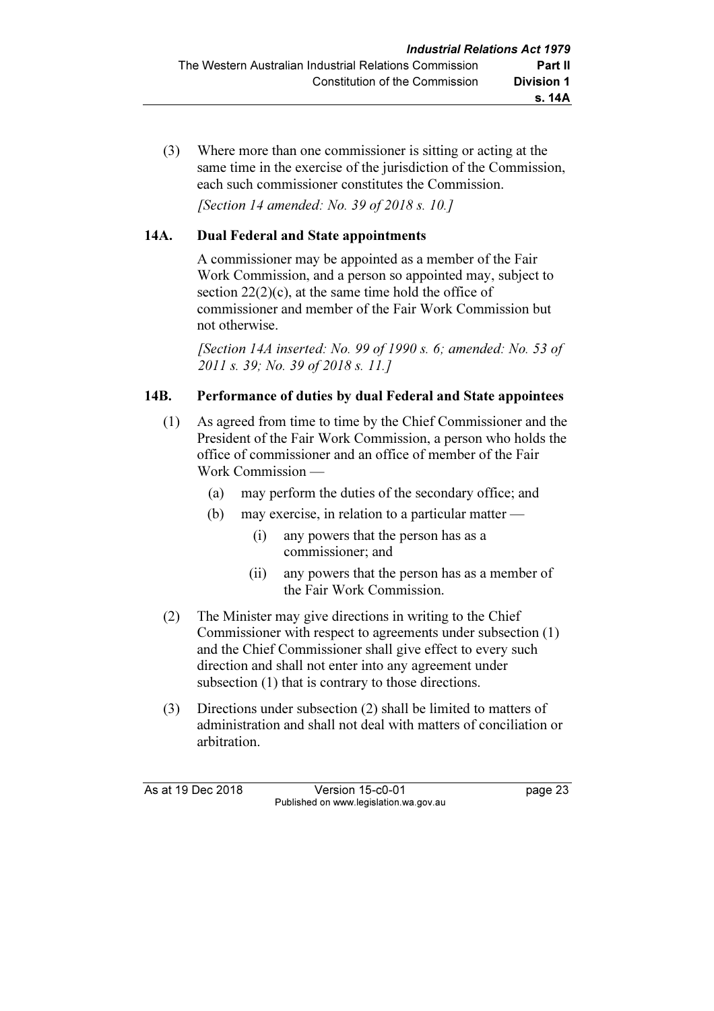(3) Where more than one commissioner is sitting or acting at the same time in the exercise of the jurisdiction of the Commission. each such commissioner constitutes the Commission.

[Section 14 amended: No. 39 of 2018 s. 10.]

# 14A. Dual Federal and State appointments

 A commissioner may be appointed as a member of the Fair Work Commission, and a person so appointed may, subject to section  $22(2)(c)$ , at the same time hold the office of commissioner and member of the Fair Work Commission but not otherwise.

[Section 14A inserted: No. 99 of 1990 s. 6; amended: No. 53 of 2011 s. 39; No. 39 of 2018 s. 11.]

### 14B. Performance of duties by dual Federal and State appointees

- (1) As agreed from time to time by the Chief Commissioner and the President of the Fair Work Commission, a person who holds the office of commissioner and an office of member of the Fair Work Commission —
	- (a) may perform the duties of the secondary office; and
	- (b) may exercise, in relation to a particular matter
		- (i) any powers that the person has as a commissioner; and
		- (ii) any powers that the person has as a member of the Fair Work Commission.
- (2) The Minister may give directions in writing to the Chief Commissioner with respect to agreements under subsection (1) and the Chief Commissioner shall give effect to every such direction and shall not enter into any agreement under subsection (1) that is contrary to those directions.
- (3) Directions under subsection (2) shall be limited to matters of administration and shall not deal with matters of conciliation or arbitration.

As at 19 Dec 2018 Version 15-c0-01 page 23 Published on www.legislation.wa.gov.au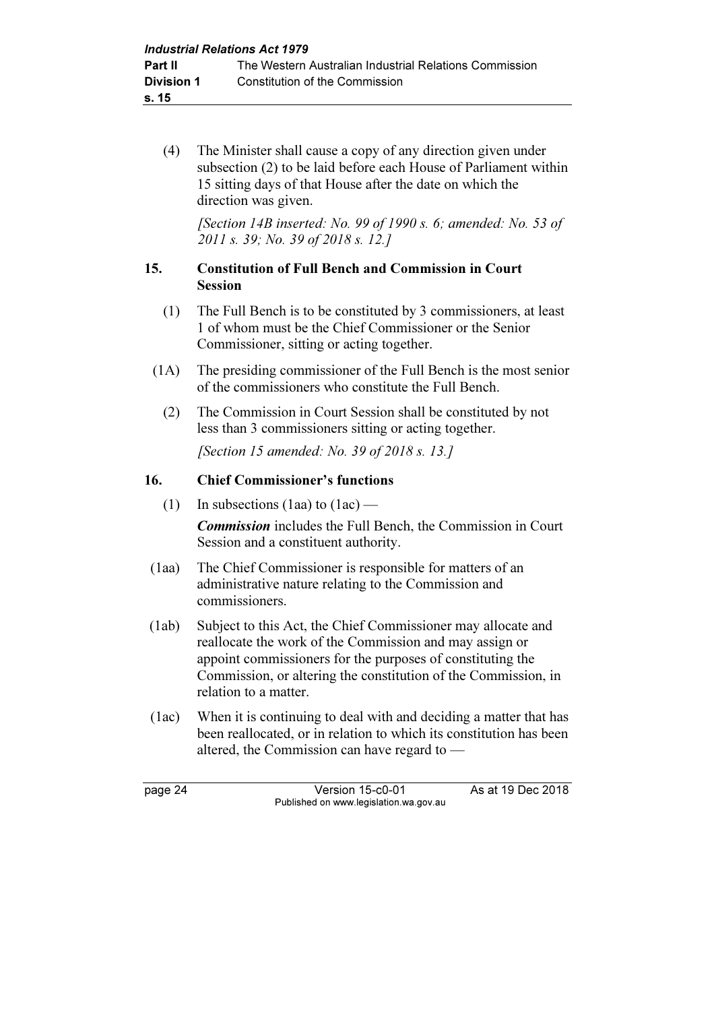(4) The Minister shall cause a copy of any direction given under subsection (2) to be laid before each House of Parliament within 15 sitting days of that House after the date on which the direction was given.

[Section 14B inserted: No. 99 of 1990 s. 6; amended: No. 53 of 2011 s. 39; No. 39 of 2018 s. 12.]

# 15. Constitution of Full Bench and Commission in Court Session

- (1) The Full Bench is to be constituted by 3 commissioners, at least 1 of whom must be the Chief Commissioner or the Senior Commissioner, sitting or acting together.
- (1A) The presiding commissioner of the Full Bench is the most senior of the commissioners who constitute the Full Bench.
	- (2) The Commission in Court Session shall be constituted by not less than 3 commissioners sitting or acting together.

[Section 15 amended: No. 39 of 2018 s. 13.]

# 16. Chief Commissioner's functions

(1) In subsections (1aa) to  $(1ac)$  —

Commission includes the Full Bench, the Commission in Court Session and a constituent authority.

- (1aa) The Chief Commissioner is responsible for matters of an administrative nature relating to the Commission and commissioners.
- (1ab) Subject to this Act, the Chief Commissioner may allocate and reallocate the work of the Commission and may assign or appoint commissioners for the purposes of constituting the Commission, or altering the constitution of the Commission, in relation to a matter.
- (1ac) When it is continuing to deal with and deciding a matter that has been reallocated, or in relation to which its constitution has been altered, the Commission can have regard to —

page 24 Version 15-c0-01 As at 19 Dec 2018 Published on www.legislation.wa.gov.au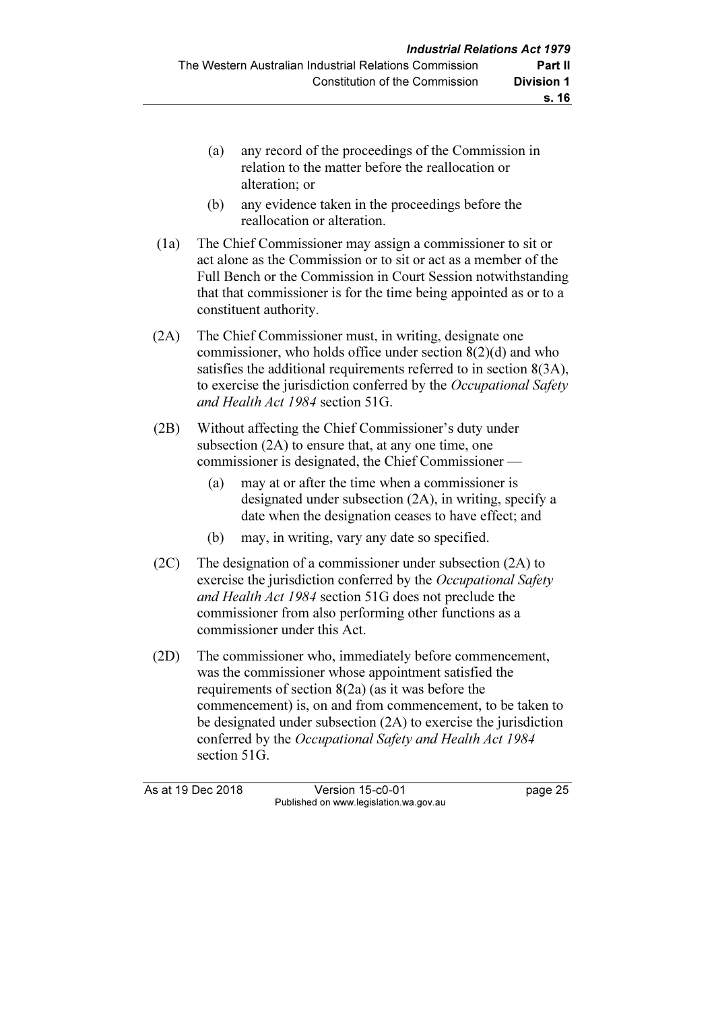- (a) any record of the proceedings of the Commission in relation to the matter before the reallocation or alteration; or
- (b) any evidence taken in the proceedings before the reallocation or alteration.
- (1a) The Chief Commissioner may assign a commissioner to sit or act alone as the Commission or to sit or act as a member of the Full Bench or the Commission in Court Session notwithstanding that that commissioner is for the time being appointed as or to a constituent authority.
- (2A) The Chief Commissioner must, in writing, designate one commissioner, who holds office under section 8(2)(d) and who satisfies the additional requirements referred to in section 8(3A), to exercise the jurisdiction conferred by the *Occupational Safety* and Health Act 1984 section 51G.
- (2B) Without affecting the Chief Commissioner's duty under subsection (2A) to ensure that, at any one time, one commissioner is designated, the Chief Commissioner —
	- (a) may at or after the time when a commissioner is designated under subsection (2A), in writing, specify a date when the designation ceases to have effect; and
	- (b) may, in writing, vary any date so specified.
- (2C) The designation of a commissioner under subsection (2A) to exercise the jurisdiction conferred by the *Occupational Safety* and Health Act 1984 section 51G does not preclude the commissioner from also performing other functions as a commissioner under this Act.
- (2D) The commissioner who, immediately before commencement, was the commissioner whose appointment satisfied the requirements of section 8(2a) (as it was before the commencement) is, on and from commencement, to be taken to be designated under subsection (2A) to exercise the jurisdiction conferred by the Occupational Safety and Health Act 1984 section 51G.

As at 19 Dec 2018 Version 15-c0-01 page 25 Published on www.legislation.wa.gov.au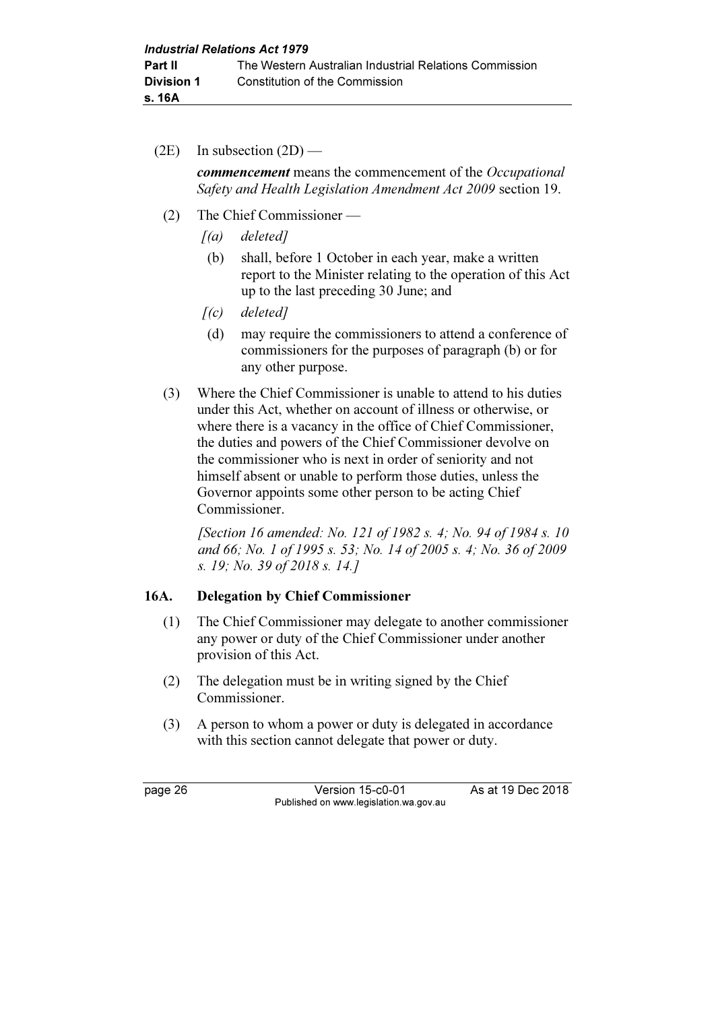$(2E)$  In subsection  $(2D)$  —

commencement means the commencement of the Occupational Safety and Health Legislation Amendment Act 2009 section 19.

- (2) The Chief Commissioner
	- $[(a)$  deleted]
	- (b) shall, before 1 October in each year, make a written report to the Minister relating to the operation of this Act up to the last preceding 30 June; and
	- $[(c)$  deleted]
	- (d) may require the commissioners to attend a conference of commissioners for the purposes of paragraph (b) or for any other purpose.
- (3) Where the Chief Commissioner is unable to attend to his duties under this Act, whether on account of illness or otherwise, or where there is a vacancy in the office of Chief Commissioner, the duties and powers of the Chief Commissioner devolve on the commissioner who is next in order of seniority and not himself absent or unable to perform those duties, unless the Governor appoints some other person to be acting Chief Commissioner.

 [Section 16 amended: No. 121 of 1982 s. 4; No. 94 of 1984 s. 10 and 66; No. 1 of 1995 s. 53; No. 14 of 2005 s. 4; No. 36 of 2009 s. 19; No. 39 of 2018 s. 14.]

# 16A. Delegation by Chief Commissioner

- (1) The Chief Commissioner may delegate to another commissioner any power or duty of the Chief Commissioner under another provision of this Act.
- (2) The delegation must be in writing signed by the Chief Commissioner.
- (3) A person to whom a power or duty is delegated in accordance with this section cannot delegate that power or duty.

page 26 Version 15-c0-01 As at 19 Dec 2018 Published on www.legislation.wa.gov.au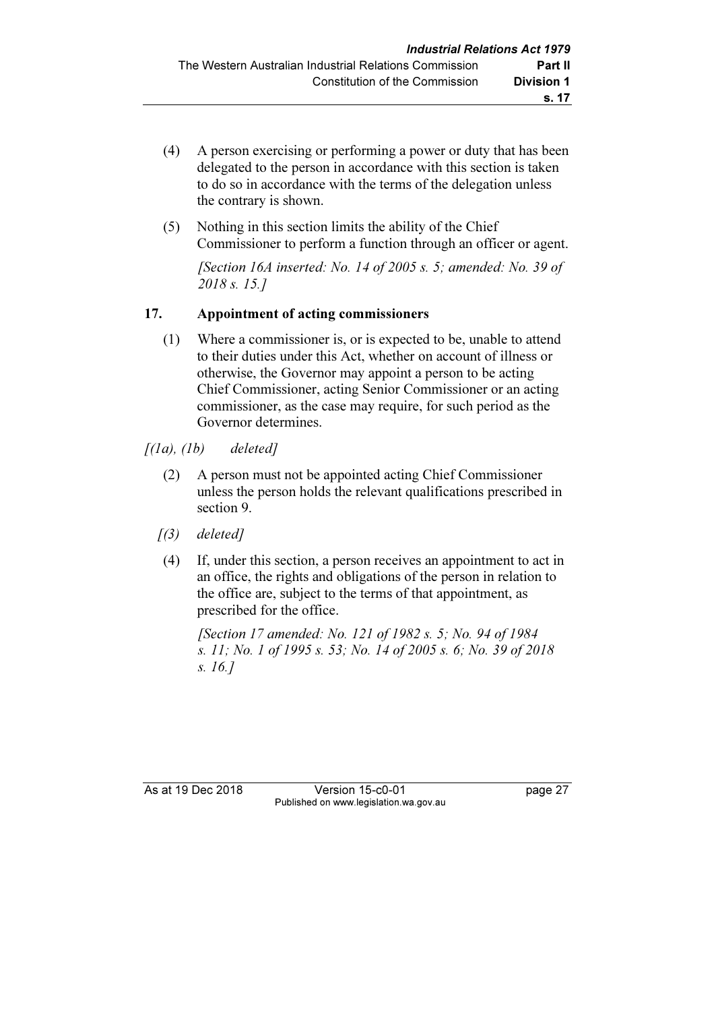- (4) A person exercising or performing a power or duty that has been delegated to the person in accordance with this section is taken to do so in accordance with the terms of the delegation unless the contrary is shown.
- (5) Nothing in this section limits the ability of the Chief Commissioner to perform a function through an officer or agent.

[Section 16A inserted: No. 14 of 2005 s. 5; amended: No. 39 of 2018 s. 15.]

# 17. Appointment of acting commissioners

 (1) Where a commissioner is, or is expected to be, unable to attend to their duties under this Act, whether on account of illness or otherwise, the Governor may appoint a person to be acting Chief Commissioner, acting Senior Commissioner or an acting commissioner, as the case may require, for such period as the Governor determines.

 $[(1a), (1b)$  deleted]

- (2) A person must not be appointed acting Chief Commissioner unless the person holds the relevant qualifications prescribed in section 9.
- $(3)$  deleted]
- (4) If, under this section, a person receives an appointment to act in an office, the rights and obligations of the person in relation to the office are, subject to the terms of that appointment, as prescribed for the office.

 [Section 17 amended: No. 121 of 1982 s. 5; No. 94 of 1984 s. 11; No. 1 of 1995 s. 53; No. 14 of 2005 s. 6; No. 39 of 2018 s. 16.]

As at 19 Dec 2018 Version 15-c0-01 page 27 Published on www.legislation.wa.gov.au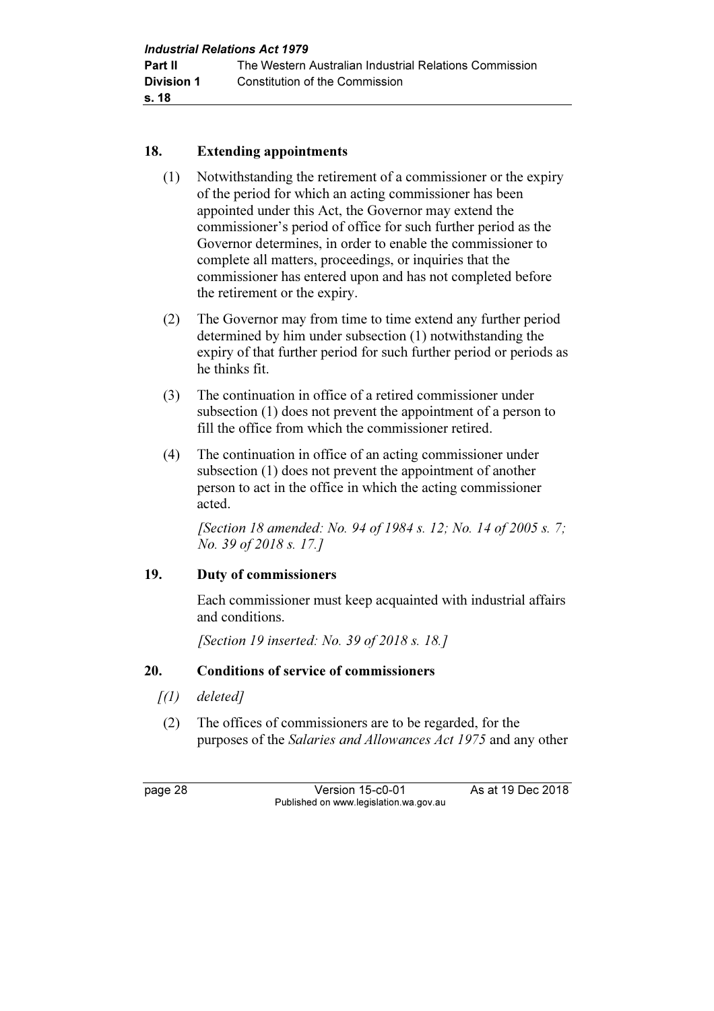### 18. Extending appointments

- (1) Notwithstanding the retirement of a commissioner or the expiry of the period for which an acting commissioner has been appointed under this Act, the Governor may extend the commissioner's period of office for such further period as the Governor determines, in order to enable the commissioner to complete all matters, proceedings, or inquiries that the commissioner has entered upon and has not completed before the retirement or the expiry.
- (2) The Governor may from time to time extend any further period determined by him under subsection (1) notwithstanding the expiry of that further period for such further period or periods as he thinks fit.
- (3) The continuation in office of a retired commissioner under subsection (1) does not prevent the appointment of a person to fill the office from which the commissioner retired.
- (4) The continuation in office of an acting commissioner under subsection (1) does not prevent the appointment of another person to act in the office in which the acting commissioner acted.

[Section 18 amended: No. 94 of 1984 s. 12; No. 14 of 2005 s. 7; No. 39 of 2018 s. 17.]

# 19. Duty of commissioners

 Each commissioner must keep acquainted with industrial affairs and conditions.

[Section 19 inserted: No. 39 of 2018 s. 18.]

# 20. Conditions of service of commissioners

- $\int(1)$  deleted]
- (2) The offices of commissioners are to be regarded, for the purposes of the Salaries and Allowances Act 1975 and any other

page 28 Version 15-c0-01 As at 19 Dec 2018 Published on www.legislation.wa.gov.au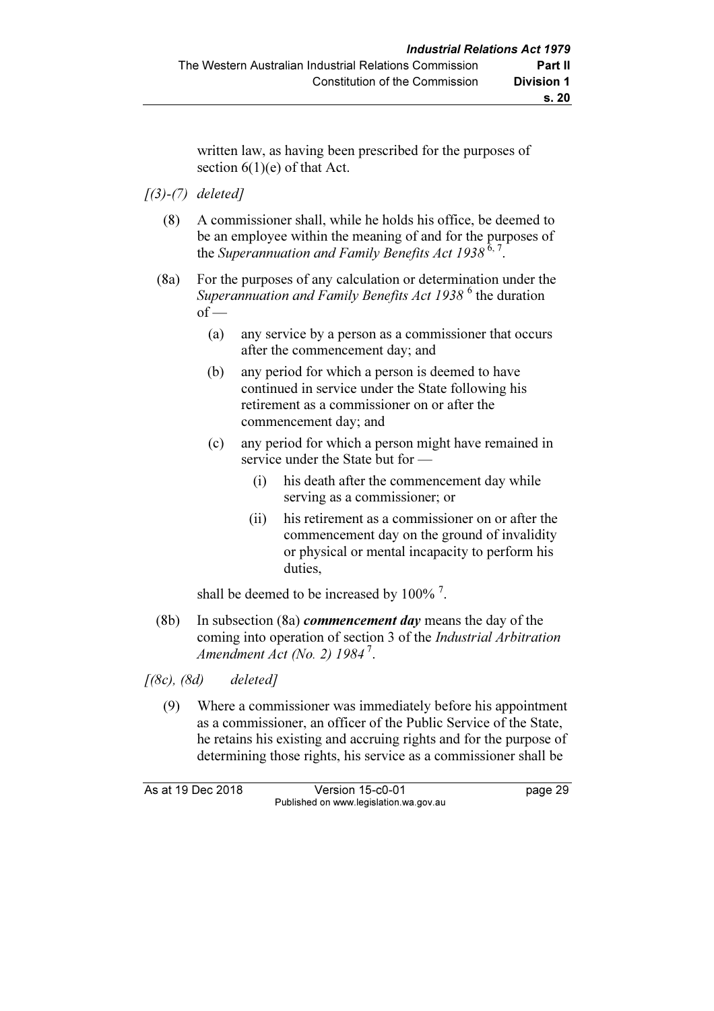written law, as having been prescribed for the purposes of section  $6(1)(e)$  of that Act.

#### $(3)-(7)$  deleted]

- (8) A commissioner shall, while he holds his office, be deemed to be an employee within the meaning of and for the purposes of the Superannuation and Family Benefits Act 1938<sup>6,7</sup>.
- (8a) For the purposes of any calculation or determination under the Superannuation and Family Benefits Act 1938 $^6$  the duration  $of$  —
	- (a) any service by a person as a commissioner that occurs after the commencement day; and
	- (b) any period for which a person is deemed to have continued in service under the State following his retirement as a commissioner on or after the commencement day; and
	- (c) any period for which a person might have remained in service under the State but for —
		- (i) his death after the commencement day while serving as a commissioner; or
		- (ii) his retirement as a commissioner on or after the commencement day on the ground of invalidity or physical or mental incapacity to perform his duties,

shall be deemed to be increased by  $100\%$ <sup>7</sup>.

(8b) In subsection (8a) *commencement day* means the day of the coming into operation of section 3 of the Industrial Arbitration Amendment Act (No. 2)  $1984^7$ .

 $[(8c), (8d)$  deleted]

 (9) Where a commissioner was immediately before his appointment as a commissioner, an officer of the Public Service of the State, he retains his existing and accruing rights and for the purpose of determining those rights, his service as a commissioner shall be

As at 19 Dec 2018 Version 15-c0-01 page 29 Published on www.legislation.wa.gov.au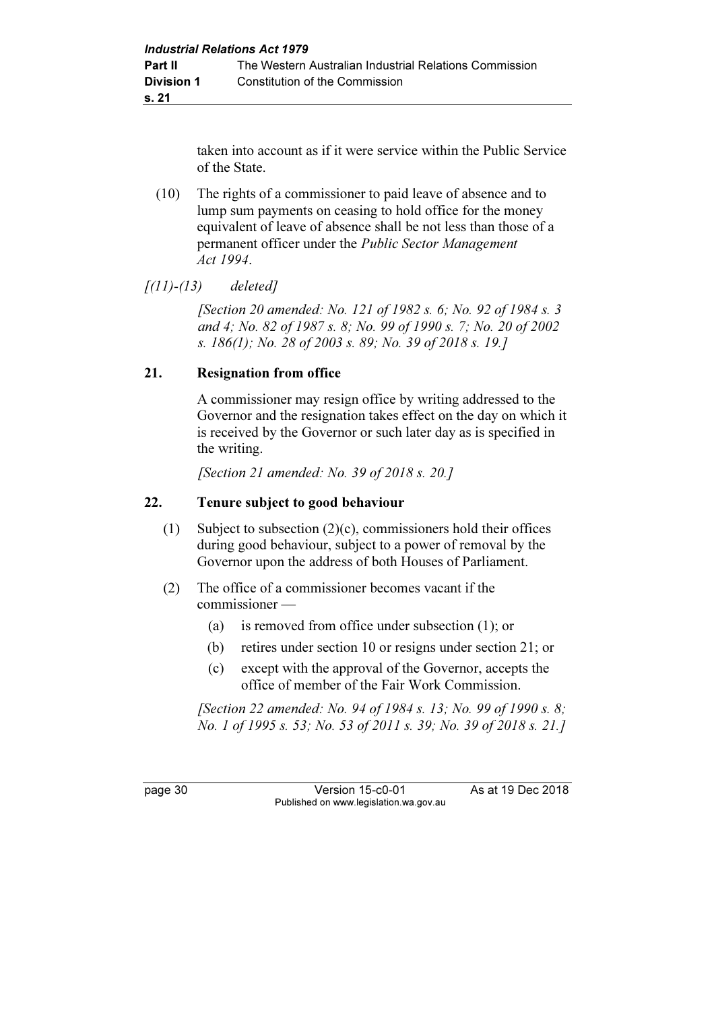taken into account as if it were service within the Public Service of the State.

 (10) The rights of a commissioner to paid leave of absence and to lump sum payments on ceasing to hold office for the money equivalent of leave of absence shall be not less than those of a permanent officer under the Public Sector Management Act 1994.

 $[(11)-(13)$  deleted]

 [Section 20 amended: No. 121 of 1982 s. 6; No. 92 of 1984 s. 3 and 4; No. 82 of 1987 s. 8; No. 99 of 1990 s. 7; No. 20 of 2002 s. 186(1); No. 28 of 2003 s. 89; No. 39 of 2018 s. 19.]

# 21. Resignation from office

 A commissioner may resign office by writing addressed to the Governor and the resignation takes effect on the day on which it is received by the Governor or such later day as is specified in the writing.

[Section 21 amended: No. 39 of 2018 s. 20.]

### 22. Tenure subject to good behaviour

- (1) Subject to subsection (2)(c), commissioners hold their offices during good behaviour, subject to a power of removal by the Governor upon the address of both Houses of Parliament.
- (2) The office of a commissioner becomes vacant if the commissioner —
	- (a) is removed from office under subsection (1); or
	- (b) retires under section 10 or resigns under section 21; or
	- (c) except with the approval of the Governor, accepts the office of member of the Fair Work Commission.

[Section 22 amended: No. 94 of 1984 s. 13; No. 99 of 1990 s. 8; No. 1 of 1995 s. 53; No. 53 of 2011 s. 39; No. 39 of 2018 s. 21.]

page 30 Version 15-c0-01 As at 19 Dec 2018 Published on www.legislation.wa.gov.au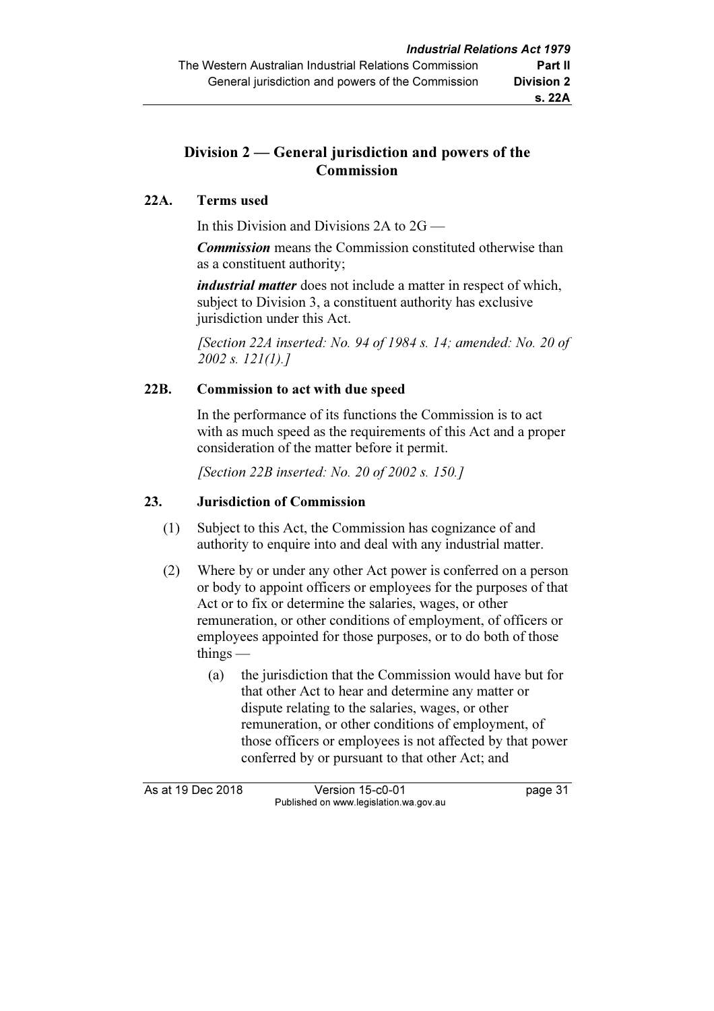# Division 2 — General jurisdiction and powers of the **Commission**

# 22A. Terms used

In this Division and Divisions 2A to 2G —

**Commission** means the Commission constituted otherwise than as a constituent authority;

industrial matter does not include a matter in respect of which, subject to Division 3, a constituent authority has exclusive jurisdiction under this Act.

[Section 22A inserted: No. 94 of 1984 s. 14; amended: No. 20 of 2002 s. 121(1).]

# 22B. Commission to act with due speed

 In the performance of its functions the Commission is to act with as much speed as the requirements of this Act and a proper consideration of the matter before it permit.

[Section 22B inserted: No. 20 of 2002 s. 150.]

# 23. Jurisdiction of Commission

- (1) Subject to this Act, the Commission has cognizance of and authority to enquire into and deal with any industrial matter.
- (2) Where by or under any other Act power is conferred on a person or body to appoint officers or employees for the purposes of that Act or to fix or determine the salaries, wages, or other remuneration, or other conditions of employment, of officers or employees appointed for those purposes, or to do both of those things —
	- (a) the jurisdiction that the Commission would have but for that other Act to hear and determine any matter or dispute relating to the salaries, wages, or other remuneration, or other conditions of employment, of those officers or employees is not affected by that power conferred by or pursuant to that other Act; and

As at 19 Dec 2018 Version 15-c0-01 page 31 Published on www.legislation.wa.gov.au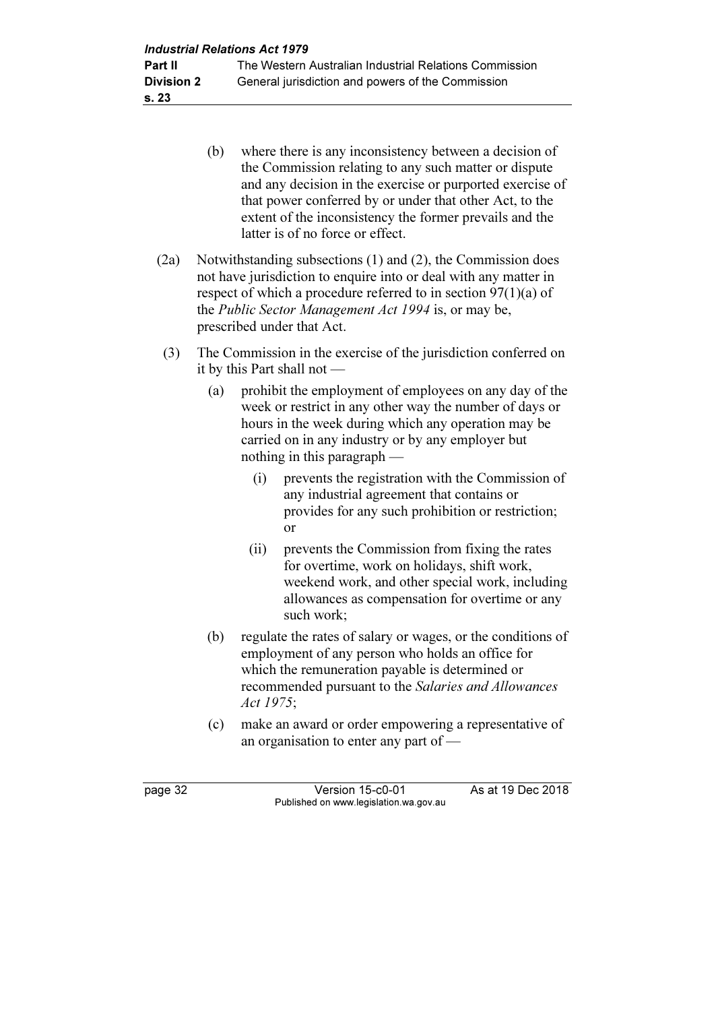- (b) where there is any inconsistency between a decision of the Commission relating to any such matter or dispute and any decision in the exercise or purported exercise of that power conferred by or under that other Act, to the extent of the inconsistency the former prevails and the latter is of no force or effect.
- (2a) Notwithstanding subsections (1) and (2), the Commission does not have jurisdiction to enquire into or deal with any matter in respect of which a procedure referred to in section 97(1)(a) of the Public Sector Management Act 1994 is, or may be, prescribed under that Act.
- (3) The Commission in the exercise of the jurisdiction conferred on it by this Part shall not —
	- (a) prohibit the employment of employees on any day of the week or restrict in any other way the number of days or hours in the week during which any operation may be carried on in any industry or by any employer but nothing in this paragraph —
		- (i) prevents the registration with the Commission of any industrial agreement that contains or provides for any such prohibition or restriction; or
		- (ii) prevents the Commission from fixing the rates for overtime, work on holidays, shift work, weekend work, and other special work, including allowances as compensation for overtime or any such work;
	- (b) regulate the rates of salary or wages, or the conditions of employment of any person who holds an office for which the remuneration payable is determined or recommended pursuant to the Salaries and Allowances Act 1975;
	- (c) make an award or order empowering a representative of an organisation to enter any part of —

page 32 Version 15-c0-01 As at 19 Dec 2018 Published on www.legislation.wa.gov.au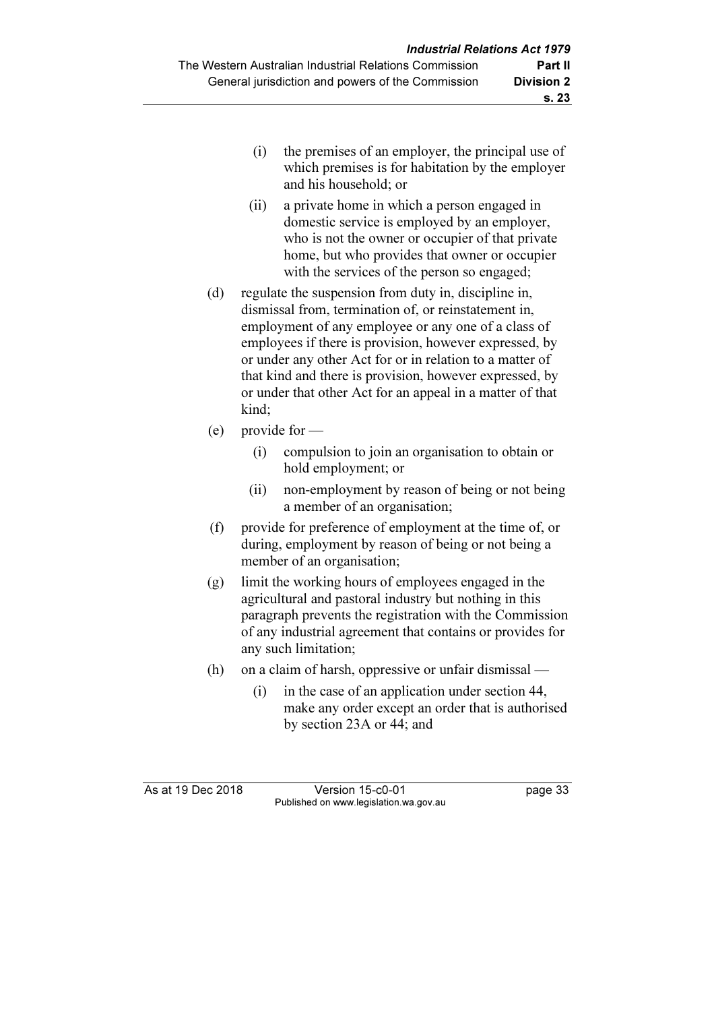- (i) the premises of an employer, the principal use of which premises is for habitation by the employer and his household; or
- (ii) a private home in which a person engaged in domestic service is employed by an employer, who is not the owner or occupier of that private home, but who provides that owner or occupier with the services of the person so engaged;
- (d) regulate the suspension from duty in, discipline in, dismissal from, termination of, or reinstatement in, employment of any employee or any one of a class of employees if there is provision, however expressed, by or under any other Act for or in relation to a matter of that kind and there is provision, however expressed, by or under that other Act for an appeal in a matter of that kind;
- (e) provide for
	- (i) compulsion to join an organisation to obtain or hold employment; or
	- (ii) non-employment by reason of being or not being a member of an organisation;
- (f) provide for preference of employment at the time of, or during, employment by reason of being or not being a member of an organisation;
- (g) limit the working hours of employees engaged in the agricultural and pastoral industry but nothing in this paragraph prevents the registration with the Commission of any industrial agreement that contains or provides for any such limitation;
- (h) on a claim of harsh, oppressive or unfair dismissal
	- (i) in the case of an application under section 44, make any order except an order that is authorised by section 23A or 44; and

As at 19 Dec 2018 Version 15-c0-01 page 33 Published on www.legislation.wa.gov.au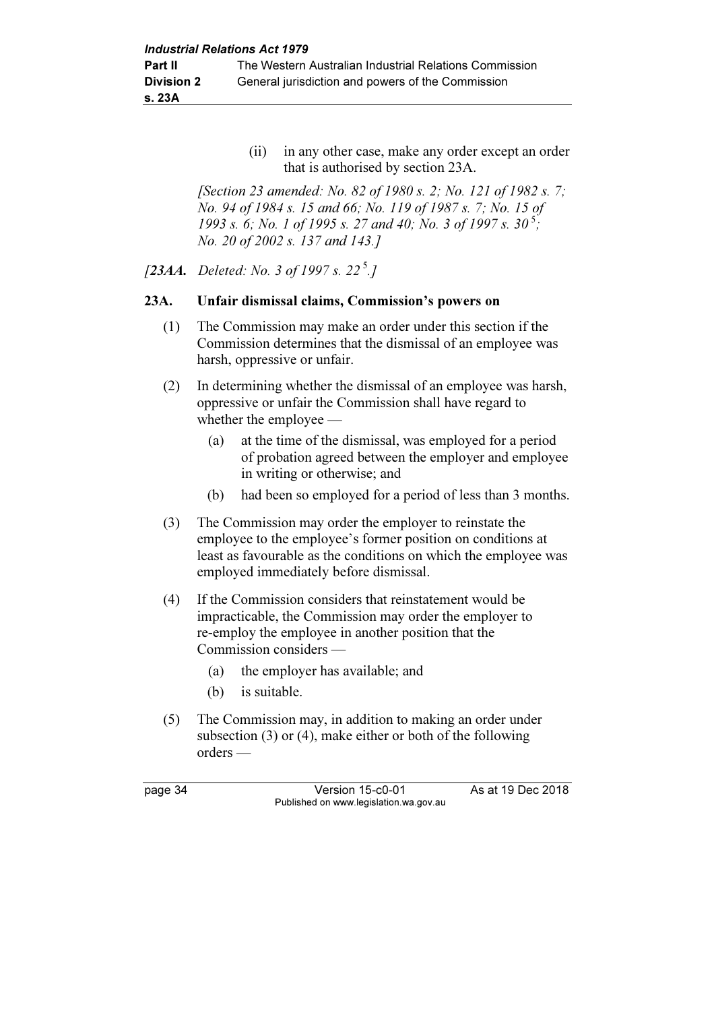(ii) in any other case, make any order except an order that is authorised by section 23A.

 [Section 23 amended: No. 82 of 1980 s. 2; No. 121 of 1982 s. 7; No. 94 of 1984 s. 15 and 66; No. 119 of 1987 s. 7; No. 15 of 1993 s. 6; No. 1 of 1995 s. 27 and 40; No. 3 of 1997 s.  $30^{5}$ ; No. 20 of 2002 s. 137 and 143.]

[23AA. Deleted: No. 3 of 1997 s. 22<sup>5</sup>.]

#### 23A. Unfair dismissal claims, Commission's powers on

- (1) The Commission may make an order under this section if the Commission determines that the dismissal of an employee was harsh, oppressive or unfair.
- (2) In determining whether the dismissal of an employee was harsh, oppressive or unfair the Commission shall have regard to whether the employee —
	- (a) at the time of the dismissal, was employed for a period of probation agreed between the employer and employee in writing or otherwise; and
	- (b) had been so employed for a period of less than 3 months.
- (3) The Commission may order the employer to reinstate the employee to the employee's former position on conditions at least as favourable as the conditions on which the employee was employed immediately before dismissal.
- (4) If the Commission considers that reinstatement would be impracticable, the Commission may order the employer to re-employ the employee in another position that the Commission considers —
	- (a) the employer has available; and
	- (b) is suitable.
- (5) The Commission may, in addition to making an order under subsection (3) or (4), make either or both of the following orders —

page 34 Version 15-c0-01 As at 19 Dec 2018 Published on www.legislation.wa.gov.au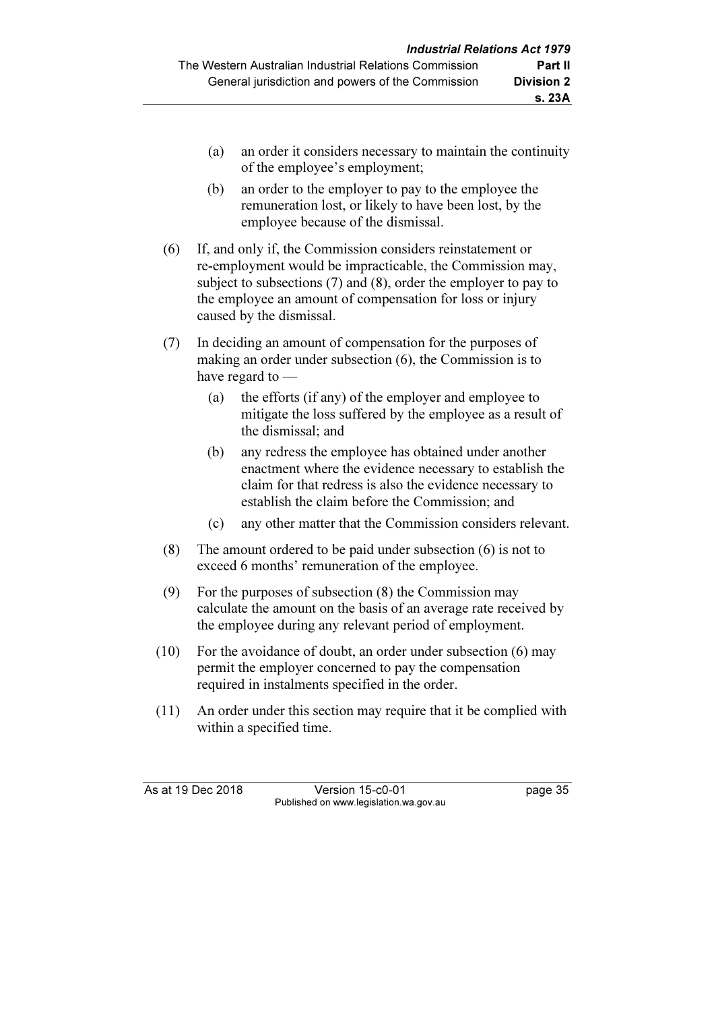- (a) an order it considers necessary to maintain the continuity of the employee's employment;
- (b) an order to the employer to pay to the employee the remuneration lost, or likely to have been lost, by the employee because of the dismissal.
- (6) If, and only if, the Commission considers reinstatement or re-employment would be impracticable, the Commission may, subject to subsections (7) and (8), order the employer to pay to the employee an amount of compensation for loss or injury caused by the dismissal.
- (7) In deciding an amount of compensation for the purposes of making an order under subsection (6), the Commission is to have regard to —
	- (a) the efforts (if any) of the employer and employee to mitigate the loss suffered by the employee as a result of the dismissal; and
	- (b) any redress the employee has obtained under another enactment where the evidence necessary to establish the claim for that redress is also the evidence necessary to establish the claim before the Commission; and
	- (c) any other matter that the Commission considers relevant.
- (8) The amount ordered to be paid under subsection (6) is not to exceed 6 months' remuneration of the employee.
- (9) For the purposes of subsection (8) the Commission may calculate the amount on the basis of an average rate received by the employee during any relevant period of employment.
- (10) For the avoidance of doubt, an order under subsection (6) may permit the employer concerned to pay the compensation required in instalments specified in the order.
- (11) An order under this section may require that it be complied with within a specified time.

As at 19 Dec 2018 Version 15-c0-01 page 35 Published on www.legislation.wa.gov.au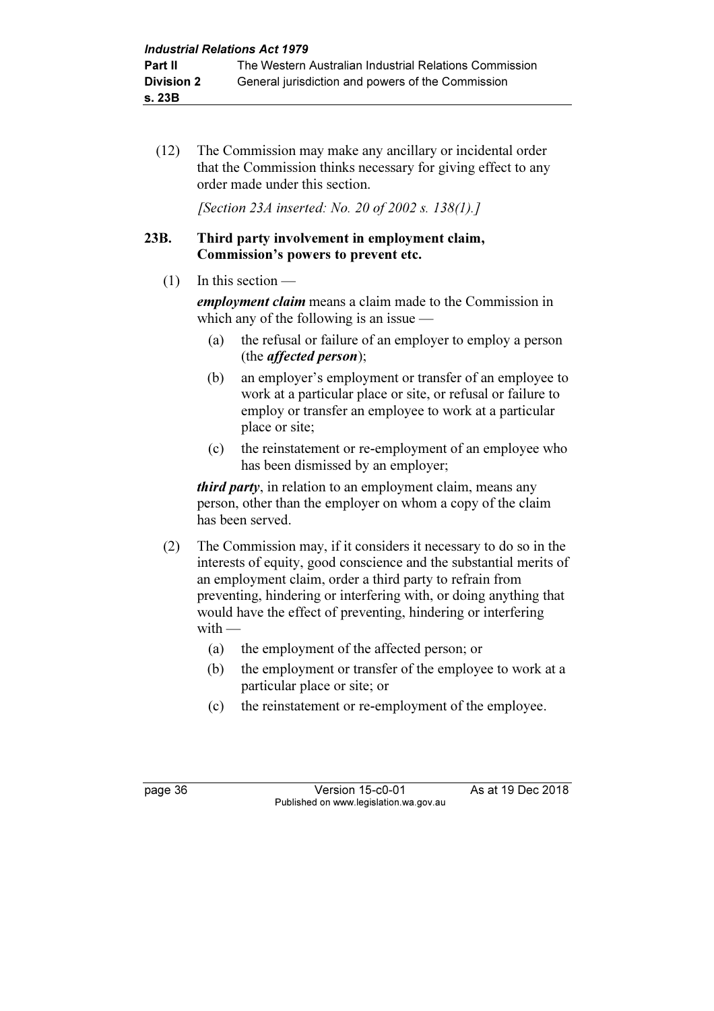(12) The Commission may make any ancillary or incidental order that the Commission thinks necessary for giving effect to any order made under this section.

[Section 23A inserted: No. 20 of 2002 s. 138(1).]

### 23B. Third party involvement in employment claim, Commission's powers to prevent etc.

 $(1)$  In this section  $-$ 

employment claim means a claim made to the Commission in which any of the following is an issue —

- (a) the refusal or failure of an employer to employ a person (the affected person);
- (b) an employer's employment or transfer of an employee to work at a particular place or site, or refusal or failure to employ or transfer an employee to work at a particular place or site;
- (c) the reinstatement or re-employment of an employee who has been dismissed by an employer;

third party, in relation to an employment claim, means any person, other than the employer on whom a copy of the claim has been served.

- (2) The Commission may, if it considers it necessary to do so in the interests of equity, good conscience and the substantial merits of an employment claim, order a third party to refrain from preventing, hindering or interfering with, or doing anything that would have the effect of preventing, hindering or interfering  $with -$ 
	- (a) the employment of the affected person; or
	- (b) the employment or transfer of the employee to work at a particular place or site; or
	- (c) the reinstatement or re-employment of the employee.

page 36 Version 15-c0-01 As at 19 Dec 2018 Published on www.legislation.wa.gov.au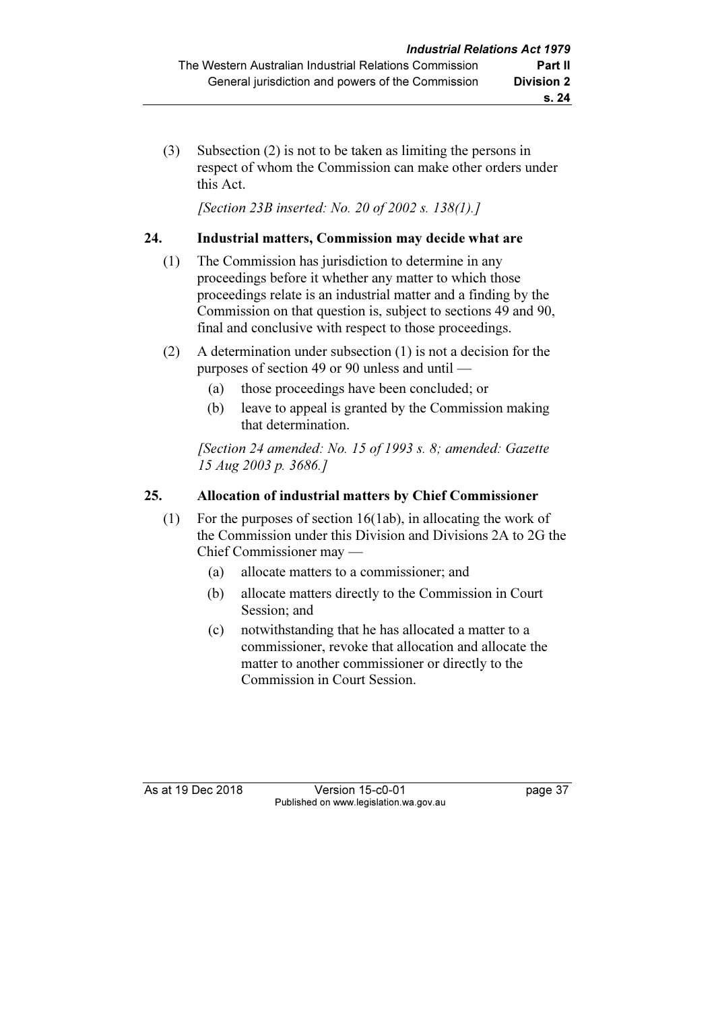(3) Subsection (2) is not to be taken as limiting the persons in respect of whom the Commission can make other orders under this Act.

[Section 23B inserted: No. 20 of 2002 s. 138(1).]

# 24. Industrial matters, Commission may decide what are

- (1) The Commission has jurisdiction to determine in any proceedings before it whether any matter to which those proceedings relate is an industrial matter and a finding by the Commission on that question is, subject to sections 49 and 90, final and conclusive with respect to those proceedings.
- (2) A determination under subsection (1) is not a decision for the purposes of section 49 or 90 unless and until —
	- (a) those proceedings have been concluded; or
	- (b) leave to appeal is granted by the Commission making that determination.

 [Section 24 amended: No. 15 of 1993 s. 8; amended: Gazette 15 Aug 2003 p. 3686.]

# 25. Allocation of industrial matters by Chief Commissioner

- (1) For the purposes of section 16(1ab), in allocating the work of the Commission under this Division and Divisions 2A to 2G the Chief Commissioner may —
	- (a) allocate matters to a commissioner; and
	- (b) allocate matters directly to the Commission in Court Session; and
	- (c) notwithstanding that he has allocated a matter to a commissioner, revoke that allocation and allocate the matter to another commissioner or directly to the Commission in Court Session.

As at 19 Dec 2018 Version 15-c0-01 page 37 Published on www.legislation.wa.gov.au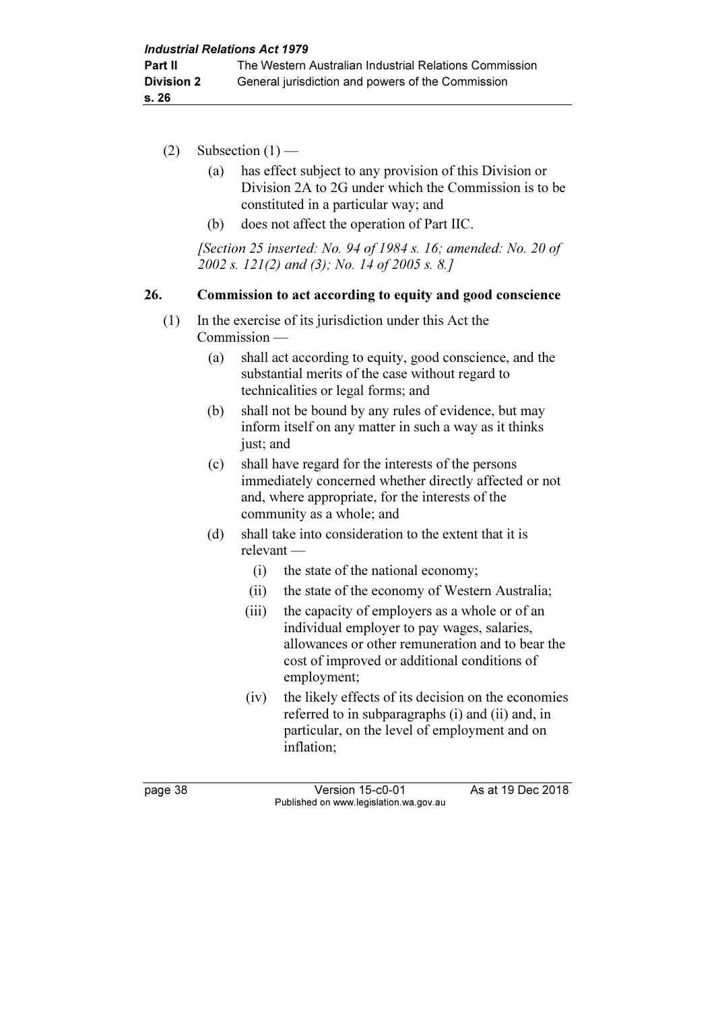- (2) Subsection  $(1)$ 
	- (a) has effect subject to any provision of this Division or Division 2A to 2G under which the Commission is to be constituted in a particular way; and
	- (b) does not affect the operation of Part IIC.

 [Section 25 inserted: No. 94 of 1984 s. 16; amended: No. 20 of 2002 s. 121(2) and (3); No. 14 of 2005 s. 8.]

#### 26. Commission to act according to equity and good conscience

- (1) In the exercise of its jurisdiction under this Act the Commission —
	- (a) shall act according to equity, good conscience, and the substantial merits of the case without regard to technicalities or legal forms; and
	- (b) shall not be bound by any rules of evidence, but may inform itself on any matter in such a way as it thinks just; and
	- (c) shall have regard for the interests of the persons immediately concerned whether directly affected or not and, where appropriate, for the interests of the community as a whole; and
	- (d) shall take into consideration to the extent that it is relevant —
		- (i) the state of the national economy;
		- (ii) the state of the economy of Western Australia;
		- (iii) the capacity of employers as a whole or of an individual employer to pay wages, salaries, allowances or other remuneration and to bear the cost of improved or additional conditions of employment;
		- (iv) the likely effects of its decision on the economies referred to in subparagraphs (i) and (ii) and, in particular, on the level of employment and on inflation;

page 38 Version 15-c0-01 As at 19 Dec 2018 Published on www.legislation.wa.gov.au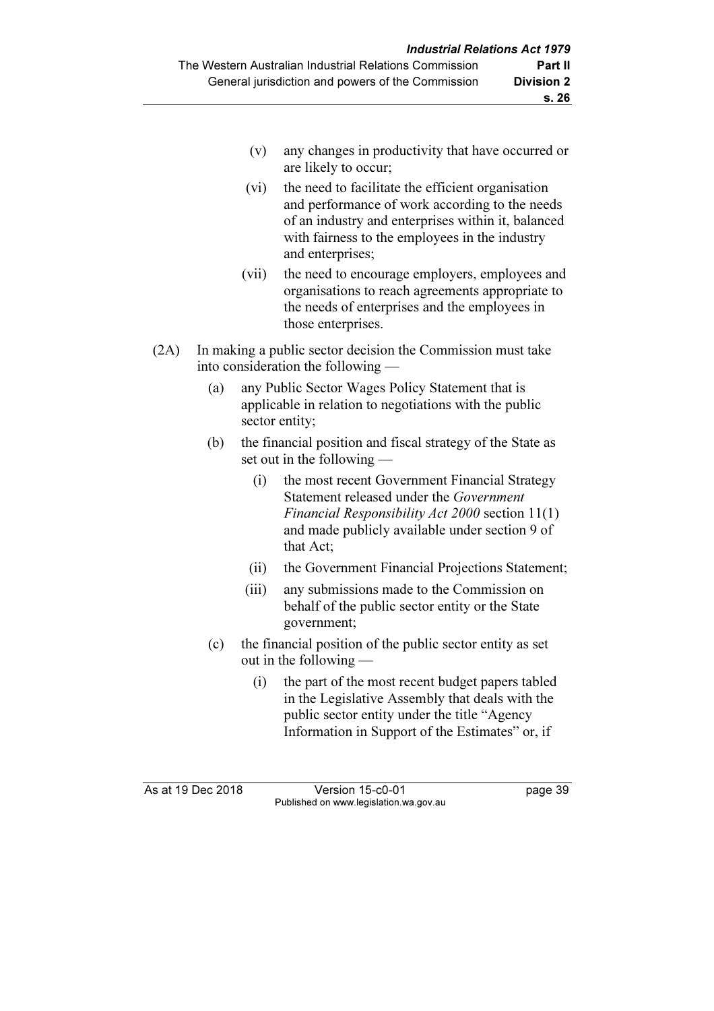- (v) any changes in productivity that have occurred or are likely to occur;
- (vi) the need to facilitate the efficient organisation and performance of work according to the needs of an industry and enterprises within it, balanced with fairness to the employees in the industry and enterprises;
- (vii) the need to encourage employers, employees and organisations to reach agreements appropriate to the needs of enterprises and the employees in those enterprises.
- (2A) In making a public sector decision the Commission must take into consideration the following —
	- (a) any Public Sector Wages Policy Statement that is applicable in relation to negotiations with the public sector entity;
	- (b) the financial position and fiscal strategy of the State as set out in the following —
		- (i) the most recent Government Financial Strategy Statement released under the Government Financial Responsibility Act 2000 section 11(1) and made publicly available under section 9 of that Act;
		- (ii) the Government Financial Projections Statement;
		- (iii) any submissions made to the Commission on behalf of the public sector entity or the State government;
	- (c) the financial position of the public sector entity as set out in the following —
		- (i) the part of the most recent budget papers tabled in the Legislative Assembly that deals with the public sector entity under the title "Agency Information in Support of the Estimates" or, if

As at 19 Dec 2018 Version 15-c0-01 page 39 Published on www.legislation.wa.gov.au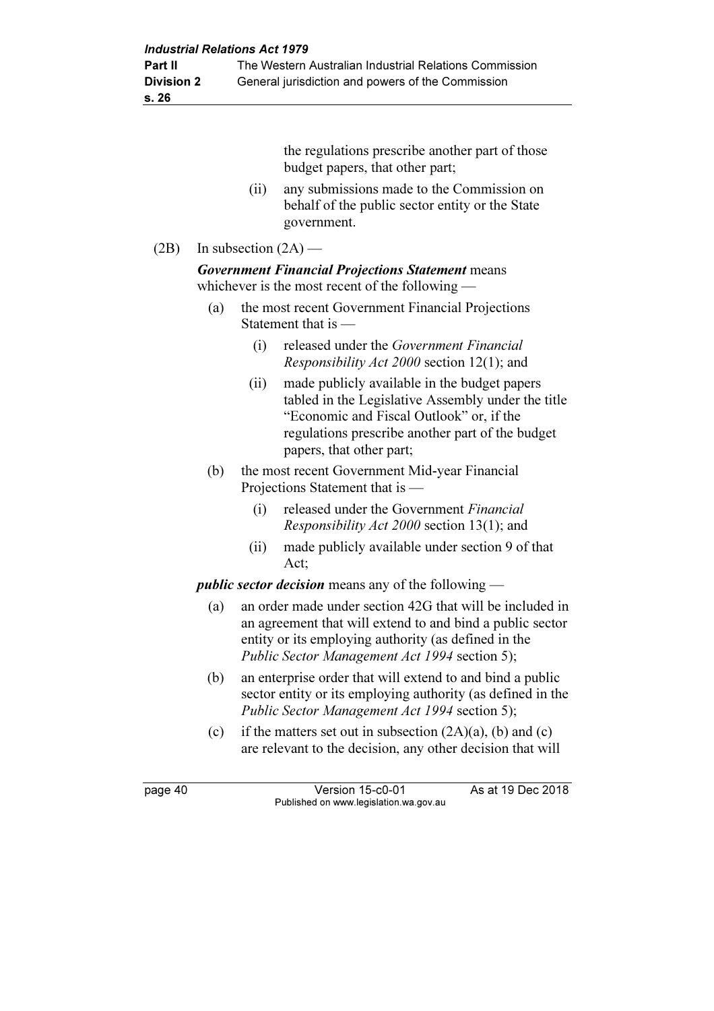s. 26

the regulations prescribe another part of those budget papers, that other part;

 (ii) any submissions made to the Commission on behalf of the public sector entity or the State government.

### (2B) In subsection  $(2A)$  —

Government Financial Projections Statement means whichever is the most recent of the following —

- (a) the most recent Government Financial Projections Statement that is —
	- (i) released under the Government Financial Responsibility Act 2000 section 12(1); and
	- (ii) made publicly available in the budget papers tabled in the Legislative Assembly under the title "Economic and Fiscal Outlook" or, if the regulations prescribe another part of the budget papers, that other part;
- (b) the most recent Government Mid-year Financial Projections Statement that is —
	- (i) released under the Government Financial Responsibility Act 2000 section 13(1); and
	- (ii) made publicly available under section 9 of that Act;

public sector decision means any of the following —

- (a) an order made under section 42G that will be included in an agreement that will extend to and bind a public sector entity or its employing authority (as defined in the Public Sector Management Act 1994 section 5);
- (b) an enterprise order that will extend to and bind a public sector entity or its employing authority (as defined in the Public Sector Management Act 1994 section 5);
- (c) if the matters set out in subsection  $(2A)(a)$ , (b) and (c) are relevant to the decision, any other decision that will

page 40 Version 15-c0-01 As at 19 Dec 2018 Published on www.legislation.wa.gov.au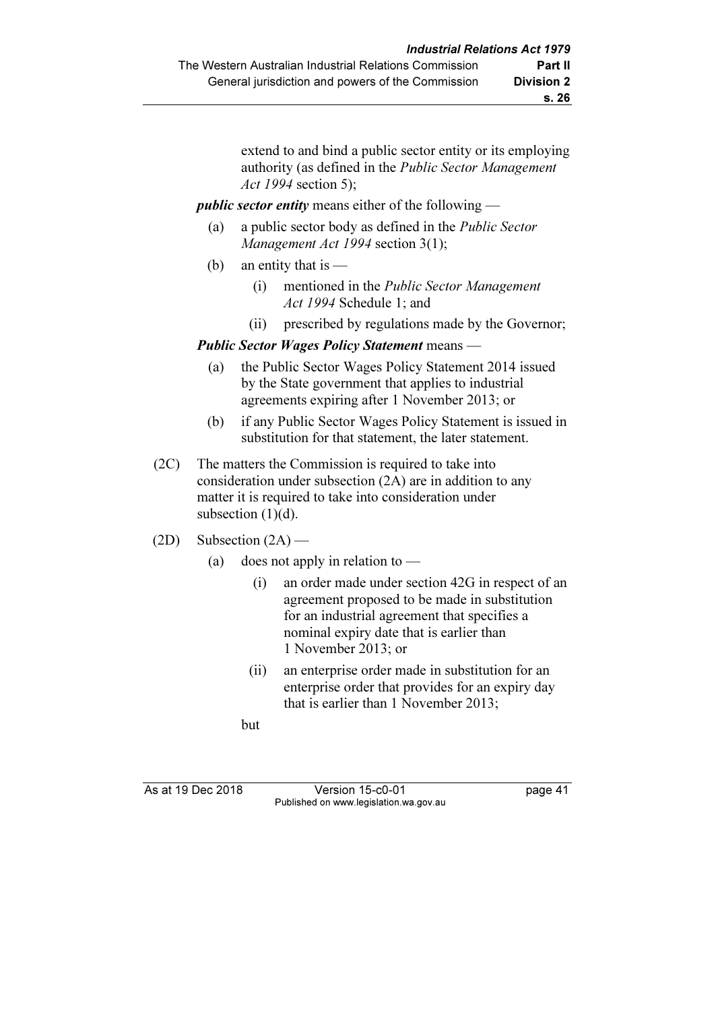extend to and bind a public sector entity or its employing authority (as defined in the Public Sector Management Act 1994 section 5);

#### public sector entity means either of the following —

- (a) a public sector body as defined in the Public Sector Management Act 1994 section 3(1);
- (b) an entity that is  $-$ 
	- (i) mentioned in the Public Sector Management Act 1994 Schedule 1; and
	- (ii) prescribed by regulations made by the Governor;

#### Public Sector Wages Policy Statement means —

- (a) the Public Sector Wages Policy Statement 2014 issued by the State government that applies to industrial agreements expiring after 1 November 2013; or
- (b) if any Public Sector Wages Policy Statement is issued in substitution for that statement, the later statement.
- (2C) The matters the Commission is required to take into consideration under subsection (2A) are in addition to any matter it is required to take into consideration under subsection  $(1)(d)$ .
- $(2D)$  Subsection  $(2A)$ 
	- (a) does not apply in relation to  $-$ 
		- (i) an order made under section 42G in respect of an agreement proposed to be made in substitution for an industrial agreement that specifies a nominal expiry date that is earlier than 1 November 2013; or
		- (ii) an enterprise order made in substitution for an enterprise order that provides for an expiry day that is earlier than 1 November 2013;

but

As at 19 Dec 2018 Version 15-c0-01 page 41 Published on www.legislation.wa.gov.au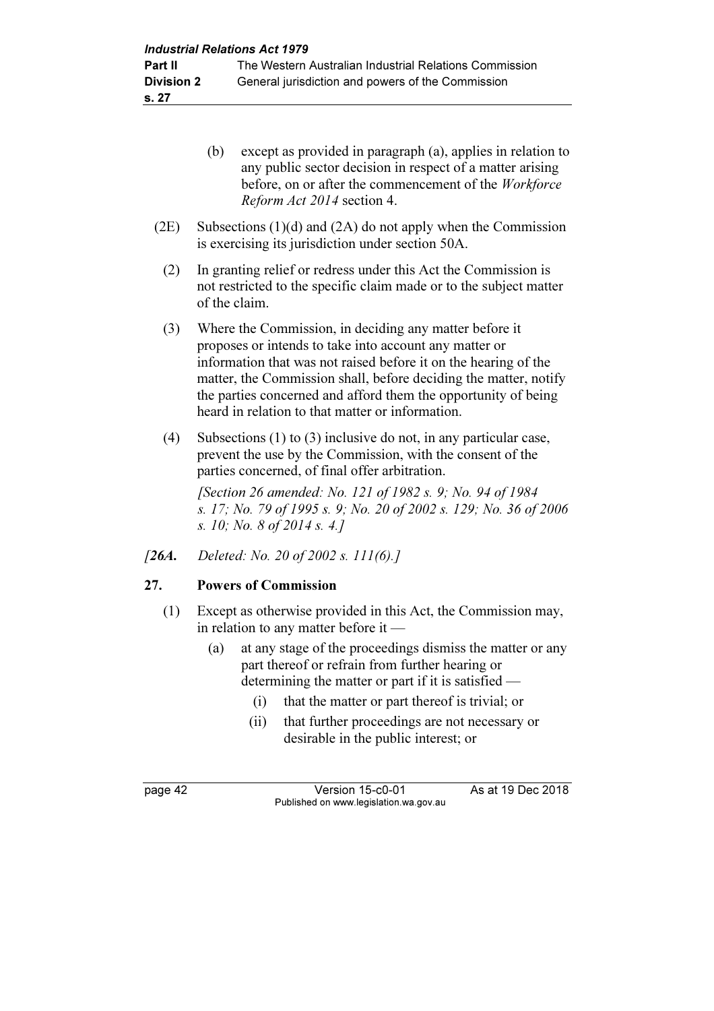| 27.      | <b>Powers of Commission</b>                                                                                                                                                                                                                                                                                                                                                   |
|----------|-------------------------------------------------------------------------------------------------------------------------------------------------------------------------------------------------------------------------------------------------------------------------------------------------------------------------------------------------------------------------------|
| $/26A$ . | Deleted: No. 20 of 2002 s. 111(6).]                                                                                                                                                                                                                                                                                                                                           |
| (4)      | Subsections $(1)$ to $(3)$ inclusive do not, in any particular case,<br>prevent the use by the Commission, with the consent of the<br>parties concerned, of final offer arbitration.<br>[Section 26 amended: No. 121 of 1982 s. 9; No. 94 of 1984]<br>s. 17; No. 79 of 1995 s. 9; No. 20 of 2002 s. 129; No. 36 of 2006<br>s. 10; No. 8 of 2014 s. 4.]                        |
| (3)      | Where the Commission, in deciding any matter before it<br>proposes or intends to take into account any matter or<br>information that was not raised before it on the hearing of the<br>matter, the Commission shall, before deciding the matter, notify<br>the parties concerned and afford them the opportunity of being<br>heard in relation to that matter or information. |
| (2)      | In granting relief or redress under this Act the Commission is<br>not restricted to the specific claim made or to the subject matter<br>of the claim.                                                                                                                                                                                                                         |
| (2E)     | Subsections $(1)(d)$ and $(2A)$ do not apply when the Commission<br>is exercising its jurisdiction under section 50A.                                                                                                                                                                                                                                                         |
|          | (b)<br>except as provided in paragraph (a), applies in relation to<br>any public sector decision in respect of a matter arising<br>before, on or after the commencement of the Workforce<br>Reform Act 2014 section 4.                                                                                                                                                        |
|          |                                                                                                                                                                                                                                                                                                                                                                               |

- (1) Except as otherwise provided in this Act, the Commission may, in relation to any matter before it —
	- (a) at any stage of the proceedings dismiss the matter or any part thereof or refrain from further hearing or determining the matter or part if it is satisfied —
		- (i) that the matter or part thereof is trivial; or
		- (ii) that further proceedings are not necessary or desirable in the public interest; or

page 42 Version 15-c0-01 As at 19 Dec 2018 Published on www.legislation.wa.gov.au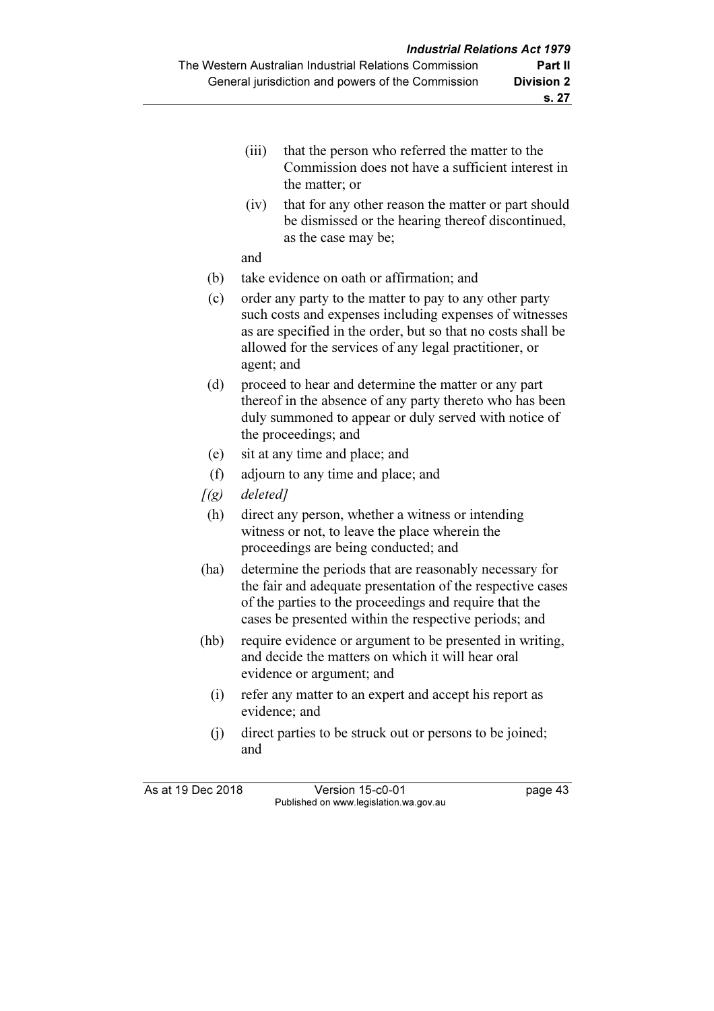- (iii) that the person who referred the matter to the Commission does not have a sufficient interest in the matter; or
- (iv) that for any other reason the matter or part should be dismissed or the hearing thereof discontinued, as the case may be;

and

- (b) take evidence on oath or affirmation; and
- (c) order any party to the matter to pay to any other party such costs and expenses including expenses of witnesses as are specified in the order, but so that no costs shall be allowed for the services of any legal practitioner, or agent; and
- (d) proceed to hear and determine the matter or any part thereof in the absence of any party thereto who has been duly summoned to appear or duly served with notice of the proceedings; and
- (e) sit at any time and place; and
- (f) adjourn to any time and place; and
- $[(g)$  deleted]
- (h) direct any person, whether a witness or intending witness or not, to leave the place wherein the proceedings are being conducted; and
- (ha) determine the periods that are reasonably necessary for the fair and adequate presentation of the respective cases of the parties to the proceedings and require that the cases be presented within the respective periods; and
- (hb) require evidence or argument to be presented in writing, and decide the matters on which it will hear oral evidence or argument; and
	- (i) refer any matter to an expert and accept his report as evidence; and
	- (j) direct parties to be struck out or persons to be joined; and

As at 19 Dec 2018 Version 15-c0-01 page 43 Published on www.legislation.wa.gov.au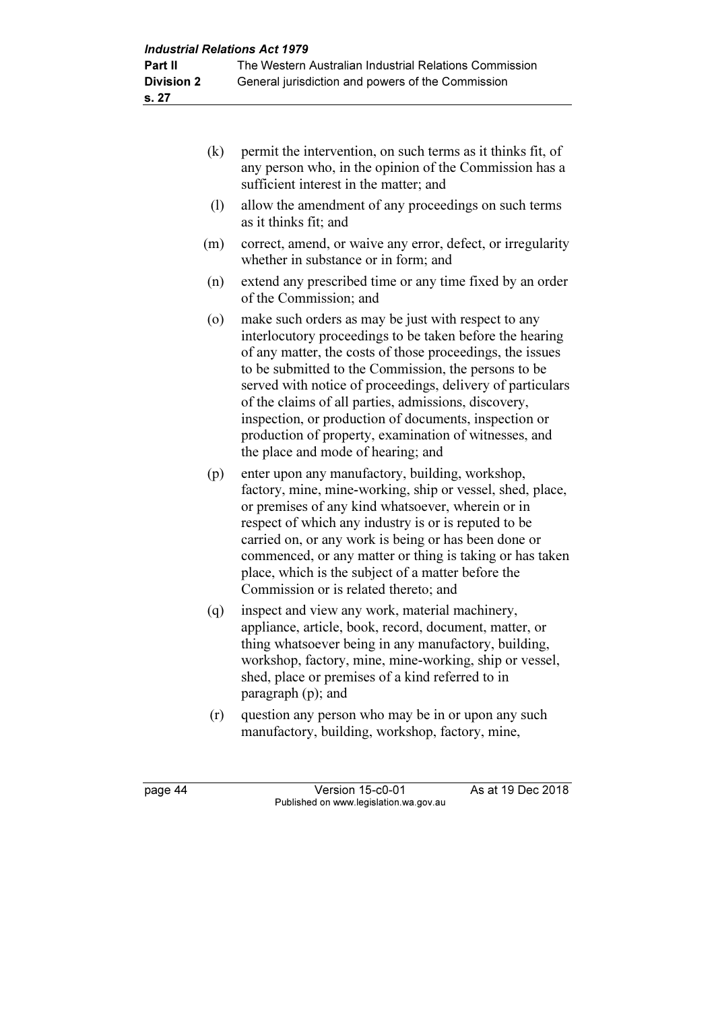- (k) permit the intervention, on such terms as it thinks fit, of any person who, in the opinion of the Commission has a sufficient interest in the matter; and
- (l) allow the amendment of any proceedings on such terms as it thinks fit; and
- (m) correct, amend, or waive any error, defect, or irregularity whether in substance or in form; and
- (n) extend any prescribed time or any time fixed by an order of the Commission; and
- (o) make such orders as may be just with respect to any interlocutory proceedings to be taken before the hearing of any matter, the costs of those proceedings, the issues to be submitted to the Commission, the persons to be served with notice of proceedings, delivery of particulars of the claims of all parties, admissions, discovery, inspection, or production of documents, inspection or production of property, examination of witnesses, and the place and mode of hearing; and
- (p) enter upon any manufactory, building, workshop, factory, mine, mine-working, ship or vessel, shed, place, or premises of any kind whatsoever, wherein or in respect of which any industry is or is reputed to be carried on, or any work is being or has been done or commenced, or any matter or thing is taking or has taken place, which is the subject of a matter before the Commission or is related thereto; and
- (q) inspect and view any work, material machinery, appliance, article, book, record, document, matter, or thing whatsoever being in any manufactory, building, workshop, factory, mine, mine-working, ship or vessel, shed, place or premises of a kind referred to in paragraph (p); and
- (r) question any person who may be in or upon any such manufactory, building, workshop, factory, mine,

page 44 Version 15-c0-01 As at 19 Dec 2018 Published on www.legislation.wa.gov.au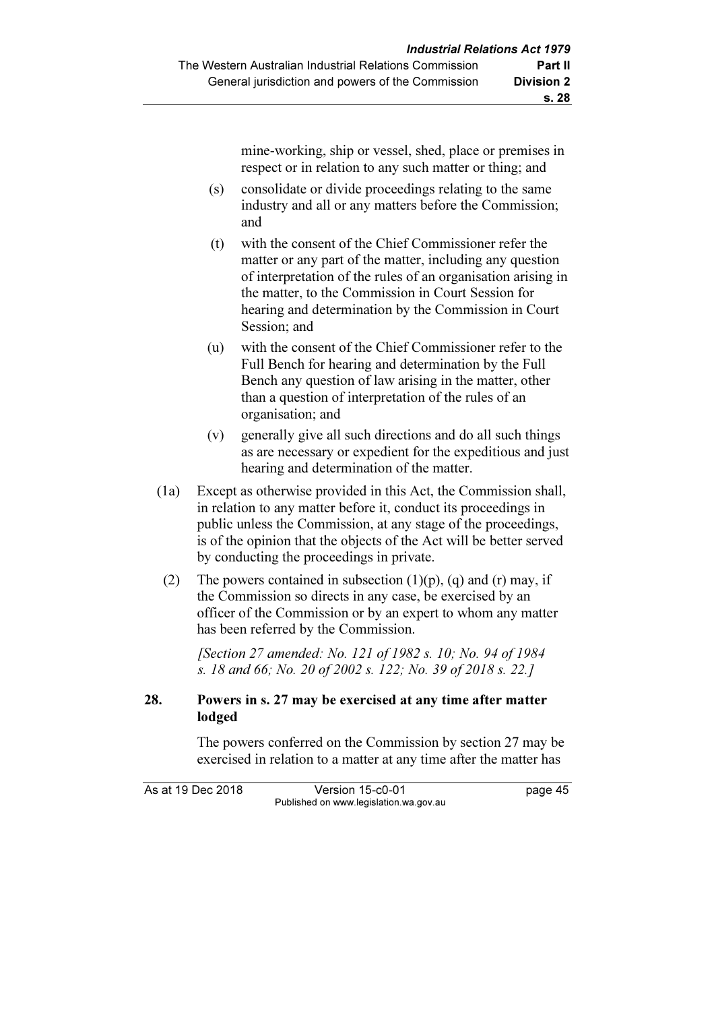mine-working, ship or vessel, shed, place or premises in respect or in relation to any such matter or thing; and

- (s) consolidate or divide proceedings relating to the same industry and all or any matters before the Commission; and
- (t) with the consent of the Chief Commissioner refer the matter or any part of the matter, including any question of interpretation of the rules of an organisation arising in the matter, to the Commission in Court Session for hearing and determination by the Commission in Court Session; and
- (u) with the consent of the Chief Commissioner refer to the Full Bench for hearing and determination by the Full Bench any question of law arising in the matter, other than a question of interpretation of the rules of an organisation; and
- (v) generally give all such directions and do all such things as are necessary or expedient for the expeditious and just hearing and determination of the matter.
- (1a) Except as otherwise provided in this Act, the Commission shall, in relation to any matter before it, conduct its proceedings in public unless the Commission, at any stage of the proceedings, is of the opinion that the objects of the Act will be better served by conducting the proceedings in private.
- (2) The powers contained in subsection  $(1)(p)$ ,  $(q)$  and  $(r)$  may, if the Commission so directs in any case, be exercised by an officer of the Commission or by an expert to whom any matter has been referred by the Commission.

 [Section 27 amended: No. 121 of 1982 s. 10; No. 94 of 1984 s. 18 and 66; No. 20 of 2002 s. 122; No. 39 of 2018 s. 22.]

### 28. Powers in s. 27 may be exercised at any time after matter lodged

 The powers conferred on the Commission by section 27 may be exercised in relation to a matter at any time after the matter has

As at 19 Dec 2018 Version 15-c0-01 page 45 Published on www.legislation.wa.gov.au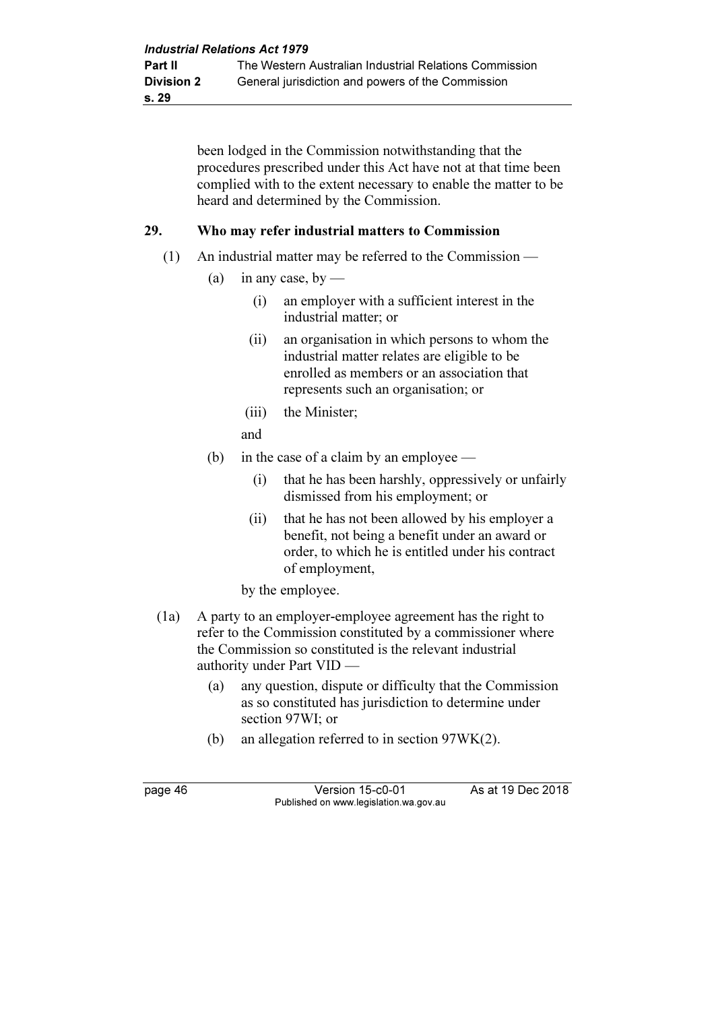been lodged in the Commission notwithstanding that the procedures prescribed under this Act have not at that time been complied with to the extent necessary to enable the matter to be heard and determined by the Commission.

#### 29. Who may refer industrial matters to Commission

- (1) An industrial matter may be referred to the Commission
	- (a) in any case, by
		- (i) an employer with a sufficient interest in the industrial matter; or
		- (ii) an organisation in which persons to whom the industrial matter relates are eligible to be enrolled as members or an association that represents such an organisation; or
		- (iii) the Minister;
		- and
	- (b) in the case of a claim by an employee
		- (i) that he has been harshly, oppressively or unfairly dismissed from his employment; or
		- (ii) that he has not been allowed by his employer a benefit, not being a benefit under an award or order, to which he is entitled under his contract of employment,

by the employee.

- (1a) A party to an employer-employee agreement has the right to refer to the Commission constituted by a commissioner where the Commission so constituted is the relevant industrial authority under Part VID —
	- (a) any question, dispute or difficulty that the Commission as so constituted has jurisdiction to determine under section 97WI; or
	- (b) an allegation referred to in section 97WK(2).

page 46 Version 15-c0-01 As at 19 Dec 2018 Published on www.legislation.wa.gov.au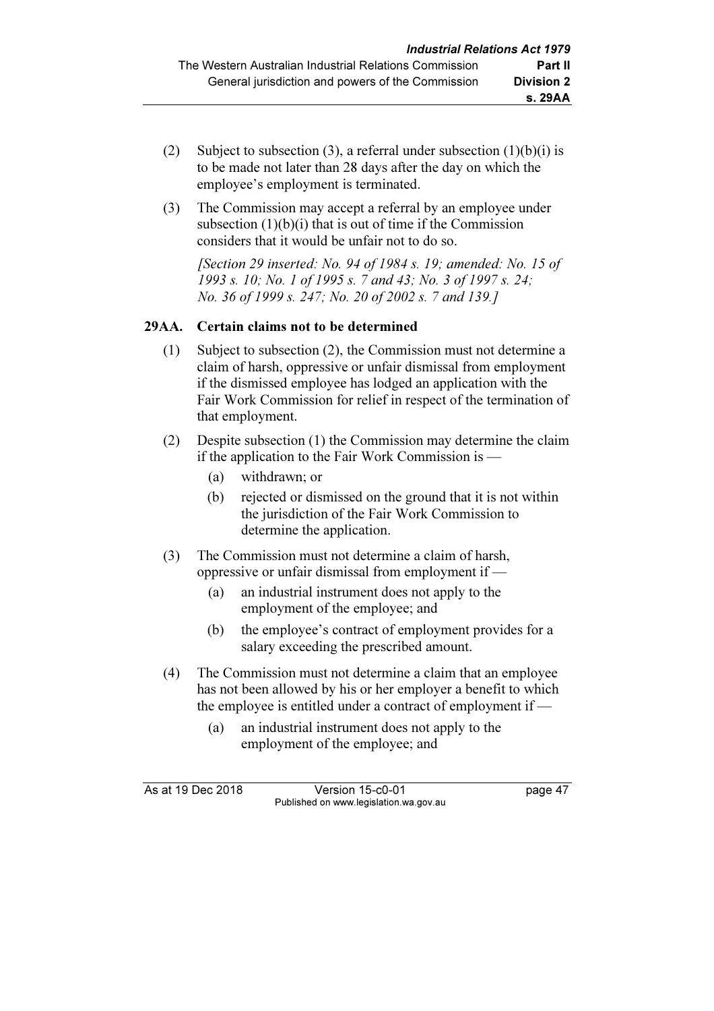- (2) Subject to subsection (3), a referral under subsection  $(1)(b)(i)$  is to be made not later than 28 days after the day on which the employee's employment is terminated.
- (3) The Commission may accept a referral by an employee under subsection  $(1)(b)(i)$  that is out of time if the Commission considers that it would be unfair not to do so.

[Section 29 inserted: No. 94 of 1984 s. 19; amended: No. 15 of 1993 s. 10; No. 1 of 1995 s. 7 and 43; No. 3 of 1997 s. 24; No. 36 of 1999 s. 247; No. 20 of 2002 s. 7 and 139.]

# 29AA. Certain claims not to be determined

- (1) Subject to subsection (2), the Commission must not determine a claim of harsh, oppressive or unfair dismissal from employment if the dismissed employee has lodged an application with the Fair Work Commission for relief in respect of the termination of that employment.
- (2) Despite subsection (1) the Commission may determine the claim if the application to the Fair Work Commission is —
	- (a) withdrawn; or
	- (b) rejected or dismissed on the ground that it is not within the jurisdiction of the Fair Work Commission to determine the application.
- (3) The Commission must not determine a claim of harsh, oppressive or unfair dismissal from employment if —
	- (a) an industrial instrument does not apply to the employment of the employee; and
	- (b) the employee's contract of employment provides for a salary exceeding the prescribed amount.
- (4) The Commission must not determine a claim that an employee has not been allowed by his or her employer a benefit to which the employee is entitled under a contract of employment if —
	- (a) an industrial instrument does not apply to the employment of the employee; and

As at 19 Dec 2018 Version 15-c0-01 page 47 Published on www.legislation.wa.gov.au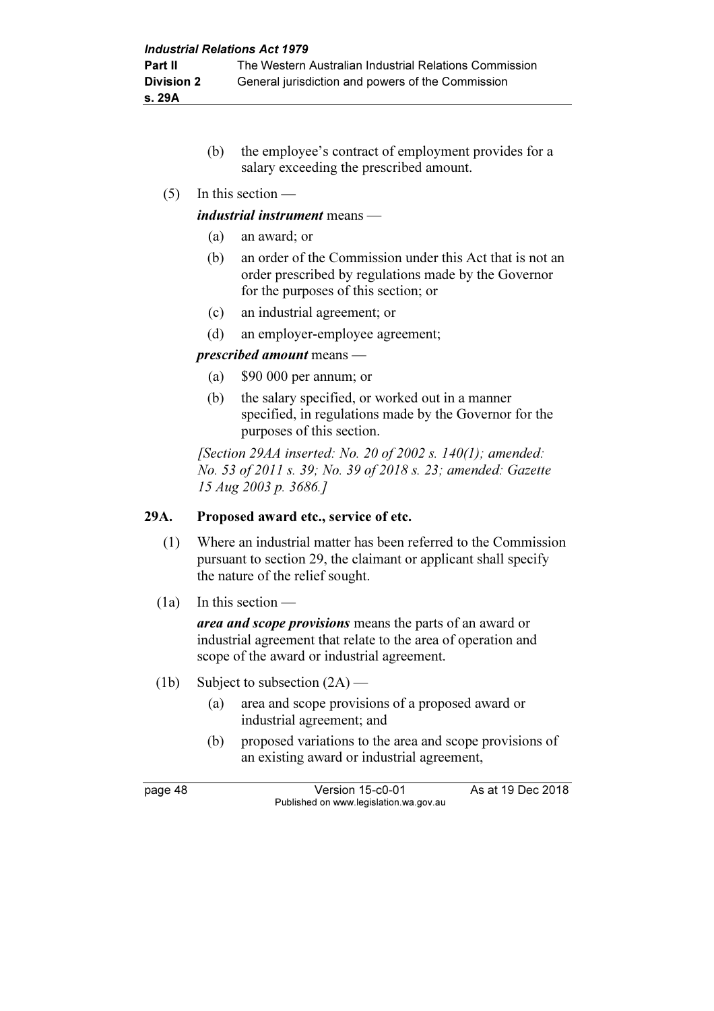- (b) the employee's contract of employment provides for a salary exceeding the prescribed amount.
- (5) In this section —

### industrial instrument means —

- (a) an award; or
- (b) an order of the Commission under this Act that is not an order prescribed by regulations made by the Governor for the purposes of this section; or
- (c) an industrial agreement; or
- (d) an employer-employee agreement;

### prescribed amount means —

- (a) \$90 000 per annum; or
- (b) the salary specified, or worked out in a manner specified, in regulations made by the Governor for the purposes of this section.

[Section 29AA inserted: No. 20 of 2002 s.  $140(1)$ ; amended: No. 53 of 2011 s. 39; No. 39 of 2018 s. 23; amended: Gazette 15 Aug 2003 p. 3686.]

# 29A. Proposed award etc., service of etc.

- (1) Where an industrial matter has been referred to the Commission pursuant to section 29, the claimant or applicant shall specify the nature of the relief sought.
- (1a) In this section —

area and scope provisions means the parts of an award or industrial agreement that relate to the area of operation and scope of the award or industrial agreement.

- (1b) Subject to subsection  $(2A)$ 
	- (a) area and scope provisions of a proposed award or industrial agreement; and
	- (b) proposed variations to the area and scope provisions of an existing award or industrial agreement,

page 48 Version 15-c0-01 As at 19 Dec 2018 Published on www.legislation.wa.gov.au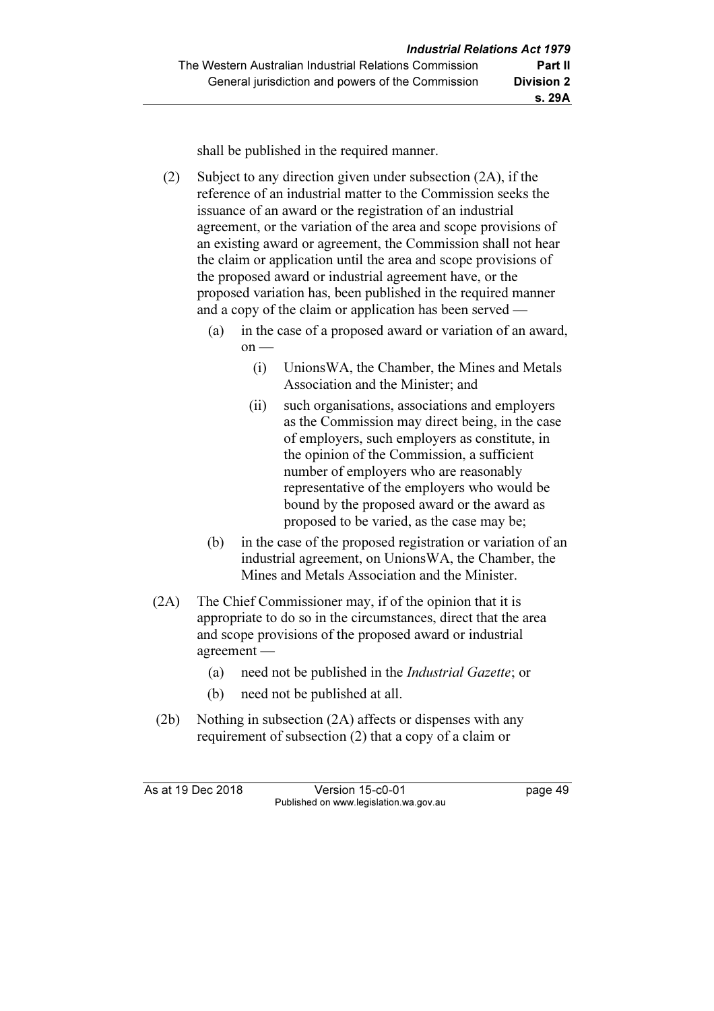shall be published in the required manner.

 (2) Subject to any direction given under subsection (2A), if the reference of an industrial matter to the Commission seeks the issuance of an award or the registration of an industrial agreement, or the variation of the area and scope provisions of an existing award or agreement, the Commission shall not hear the claim or application until the area and scope provisions of the proposed award or industrial agreement have, or the proposed variation has, been published in the required manner and a copy of the claim or application has been served —

- (a) in the case of a proposed award or variation of an award,  $on$  —
	- (i) UnionsWA, the Chamber, the Mines and Metals Association and the Minister; and
	- (ii) such organisations, associations and employers as the Commission may direct being, in the case of employers, such employers as constitute, in the opinion of the Commission, a sufficient number of employers who are reasonably representative of the employers who would be bound by the proposed award or the award as proposed to be varied, as the case may be;
- (b) in the case of the proposed registration or variation of an industrial agreement, on UnionsWA, the Chamber, the Mines and Metals Association and the Minister.
- (2A) The Chief Commissioner may, if of the opinion that it is appropriate to do so in the circumstances, direct that the area and scope provisions of the proposed award or industrial agreement —
	- (a) need not be published in the Industrial Gazette; or
	- (b) need not be published at all.
- (2b) Nothing in subsection (2A) affects or dispenses with any requirement of subsection (2) that a copy of a claim or

As at 19 Dec 2018 Version 15-c0-01 page 49 Published on www.legislation.wa.gov.au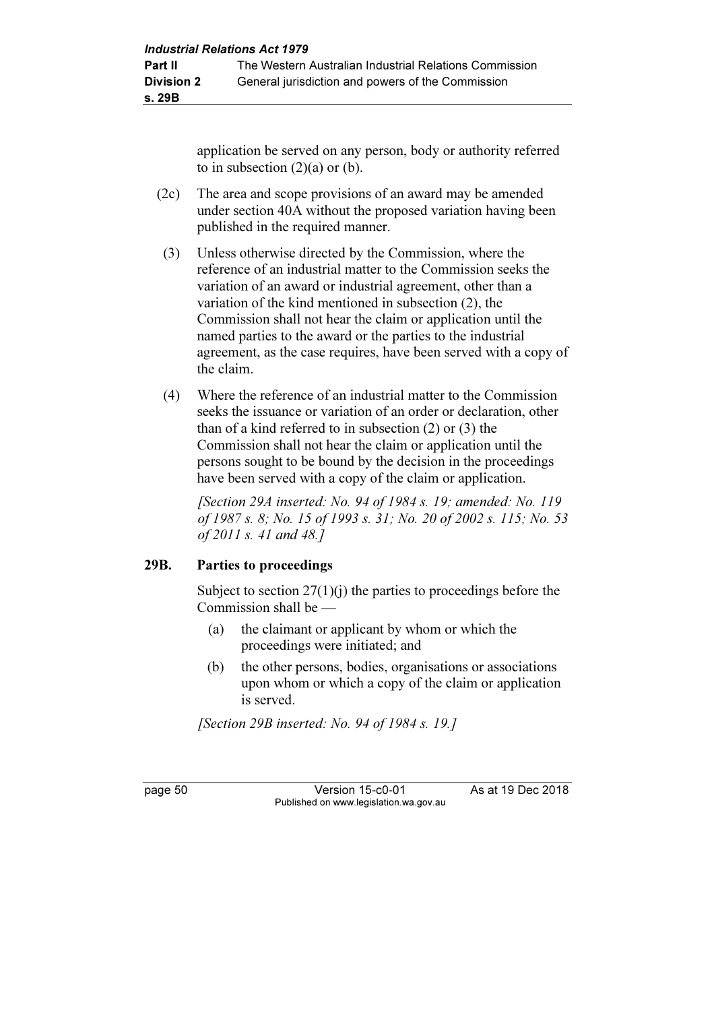application be served on any person, body or authority referred to in subsection  $(2)(a)$  or  $(b)$ .

- (2c) The area and scope provisions of an award may be amended under section 40A without the proposed variation having been published in the required manner.
- (3) Unless otherwise directed by the Commission, where the reference of an industrial matter to the Commission seeks the variation of an award or industrial agreement, other than a variation of the kind mentioned in subsection (2), the Commission shall not hear the claim or application until the named parties to the award or the parties to the industrial agreement, as the case requires, have been served with a copy of the claim.
- (4) Where the reference of an industrial matter to the Commission seeks the issuance or variation of an order or declaration, other than of a kind referred to in subsection (2) or (3) the Commission shall not hear the claim or application until the persons sought to be bound by the decision in the proceedings have been served with a copy of the claim or application.

 [Section 29A inserted: No. 94 of 1984 s. 19; amended: No. 119 of 1987 s. 8; No. 15 of 1993 s. 31; No. 20 of 2002 s. 115; No. 53 of 2011 s. 41 and 48.]

# 29B. Parties to proceedings

Subject to section  $27(1)(i)$  the parties to proceedings before the Commission shall be —

- (a) the claimant or applicant by whom or which the proceedings were initiated; and
- (b) the other persons, bodies, organisations or associations upon whom or which a copy of the claim or application is served.

[Section 29B inserted: No. 94 of 1984 s. 19.]

page 50 Version 15-c0-01 As at 19 Dec 2018 Published on www.legislation.wa.gov.au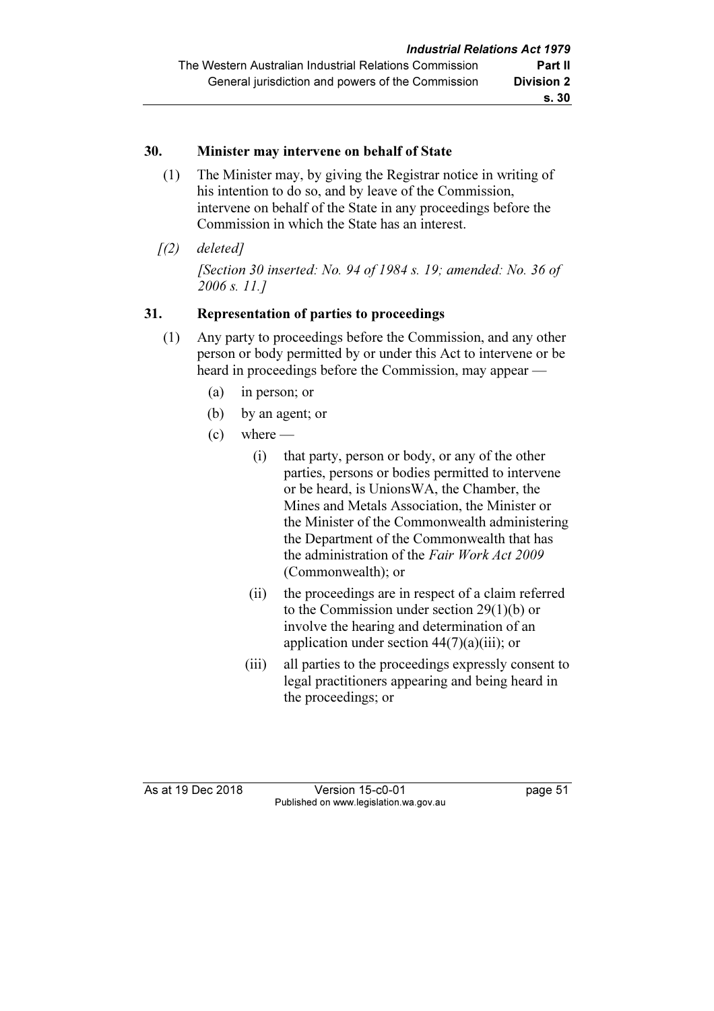### 30. Minister may intervene on behalf of State

- (1) The Minister may, by giving the Registrar notice in writing of his intention to do so, and by leave of the Commission, intervene on behalf of the State in any proceedings before the Commission in which the State has an interest.
- $(1)$  deletedl [Section 30 inserted: No. 94 of 1984 s. 19; amended: No. 36 of 2006 s. 11.]

# 31. Representation of parties to proceedings

- (1) Any party to proceedings before the Commission, and any other person or body permitted by or under this Act to intervene or be heard in proceedings before the Commission, may appear —
	- (a) in person; or
	- (b) by an agent; or
	- $(c)$  where
		- (i) that party, person or body, or any of the other parties, persons or bodies permitted to intervene or be heard, is UnionsWA, the Chamber, the Mines and Metals Association, the Minister or the Minister of the Commonwealth administering the Department of the Commonwealth that has the administration of the Fair Work Act 2009 (Commonwealth); or
		- (ii) the proceedings are in respect of a claim referred to the Commission under section 29(1)(b) or involve the hearing and determination of an application under section  $44(7)(a)(iii)$ ; or
		- (iii) all parties to the proceedings expressly consent to legal practitioners appearing and being heard in the proceedings; or

As at 19 Dec 2018 Version 15-c0-01 page 51 Published on www.legislation.wa.gov.au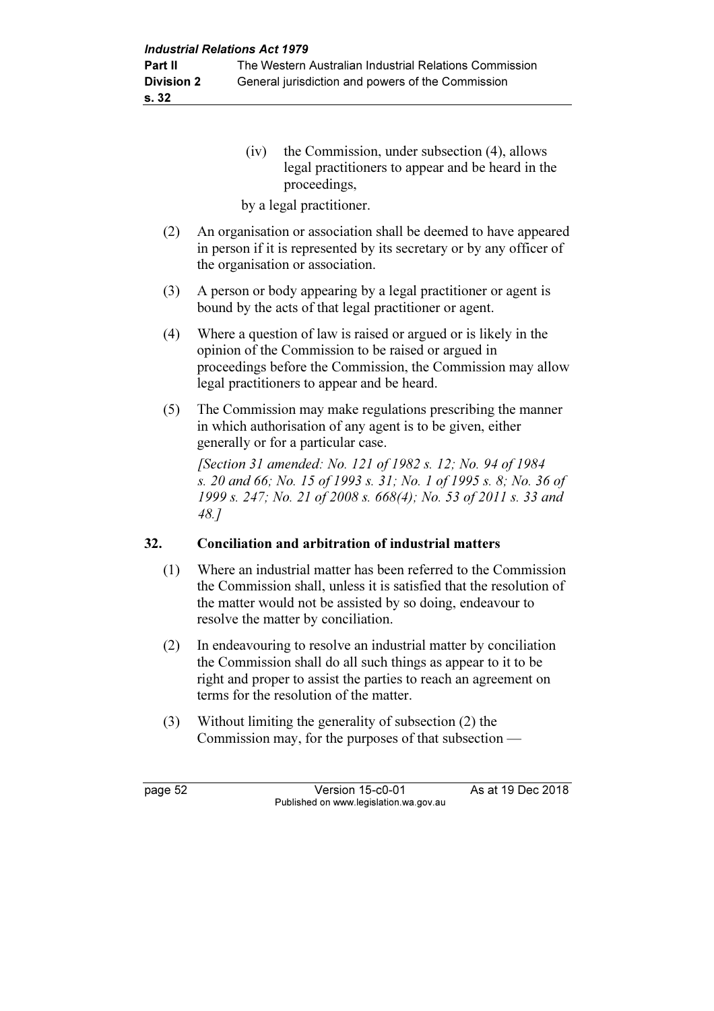(iv) the Commission, under subsection (4), allows legal practitioners to appear and be heard in the proceedings,

by a legal practitioner.

- (2) An organisation or association shall be deemed to have appeared in person if it is represented by its secretary or by any officer of the organisation or association.
- (3) A person or body appearing by a legal practitioner or agent is bound by the acts of that legal practitioner or agent.
- (4) Where a question of law is raised or argued or is likely in the opinion of the Commission to be raised or argued in proceedings before the Commission, the Commission may allow legal practitioners to appear and be heard.
- (5) The Commission may make regulations prescribing the manner in which authorisation of any agent is to be given, either generally or for a particular case.

 [Section 31 amended: No. 121 of 1982 s. 12; No. 94 of 1984 s. 20 and 66; No. 15 of 1993 s. 31; No. 1 of 1995 s. 8; No. 36 of 1999 s. 247; No. 21 of 2008 s. 668(4); No. 53 of 2011 s. 33 and 48.]

# 32. Conciliation and arbitration of industrial matters

- (1) Where an industrial matter has been referred to the Commission the Commission shall, unless it is satisfied that the resolution of the matter would not be assisted by so doing, endeavour to resolve the matter by conciliation.
- (2) In endeavouring to resolve an industrial matter by conciliation the Commission shall do all such things as appear to it to be right and proper to assist the parties to reach an agreement on terms for the resolution of the matter.
- (3) Without limiting the generality of subsection (2) the Commission may, for the purposes of that subsection —

page 52 Version 15-c0-01 As at 19 Dec 2018 Published on www.legislation.wa.gov.au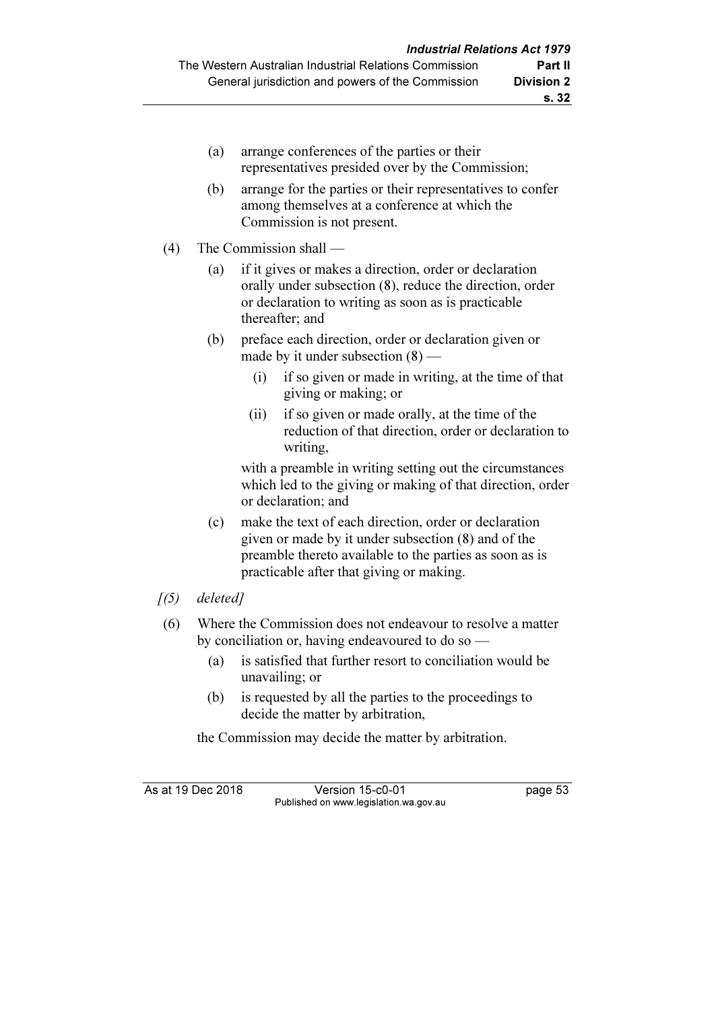| (a)<br>(b) | arrange conferences of the parties or their<br>representatives presided over by the Commission;<br>arrange for the parties or their representatives to confer<br>among themselves at a conference at which the |
|------------|----------------------------------------------------------------------------------------------------------------------------------------------------------------------------------------------------------------|
|            | Commission is not present.                                                                                                                                                                                     |
| (4)        | The Commission shall —                                                                                                                                                                                         |
| (a)        | if it gives or makes a direction, order or declaration<br>orally under subsection (8), reduce the direction, order<br>or declaration to writing as soon as is practicable<br>thereafter; and                   |
| (b)        | preface each direction, order or declaration given or<br>made by it under subsection $(8)$ —                                                                                                                   |
|            | if so given or made in writing, at the time of that<br>(i)<br>giving or making; or                                                                                                                             |
|            | if so given or made orally, at the time of the<br>(ii)<br>reduction of that direction, order or declaration to<br>writing,                                                                                     |
|            | with a preamble in writing setting out the circumstances                                                                                                                                                       |

which led to the giving or making of that direction, order or declaration; and

- (c) make the text of each direction, order or declaration given or made by it under subsection (8) and of the preamble thereto available to the parties as soon as is practicable after that giving or making.
- $(5)$  deleted]

- (6) Where the Commission does not endeavour to resolve a matter by conciliation or, having endeavoured to do so —
	- (a) is satisfied that further resort to conciliation would be unavailing; or
	- (b) is requested by all the parties to the proceedings to decide the matter by arbitration,

the Commission may decide the matter by arbitration.

As at 19 Dec 2018 Version 15-c0-01 page 53 Published on www.legislation.wa.gov.au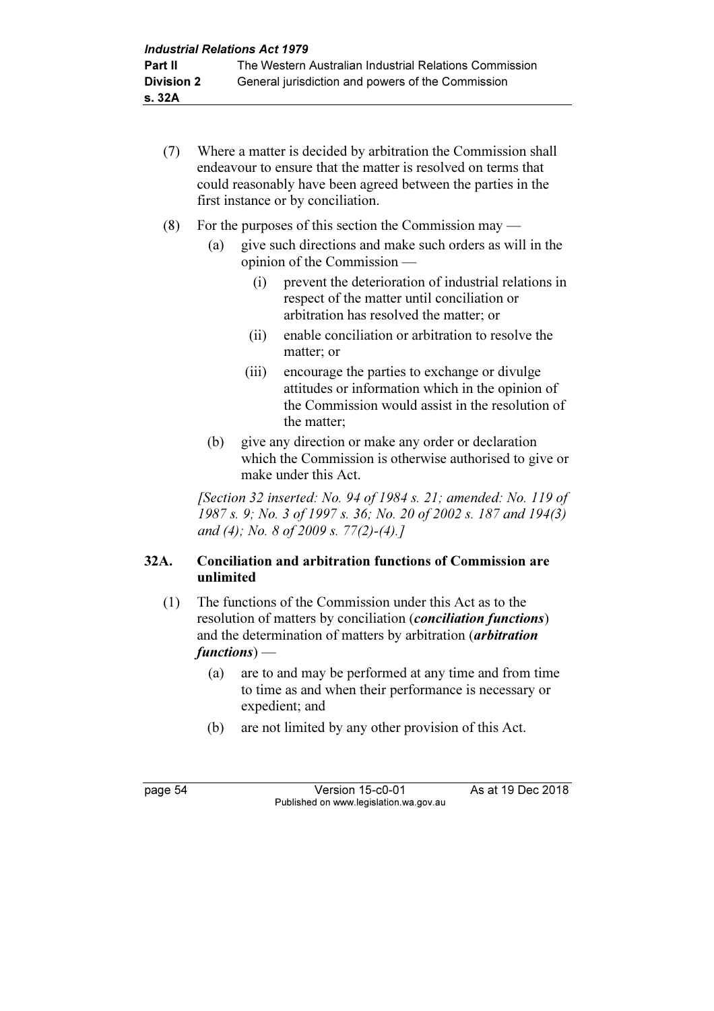- (7) Where a matter is decided by arbitration the Commission shall endeavour to ensure that the matter is resolved on terms that could reasonably have been agreed between the parties in the first instance or by conciliation.
- (8) For the purposes of this section the Commission may
	- (a) give such directions and make such orders as will in the opinion of the Commission —
		- (i) prevent the deterioration of industrial relations in respect of the matter until conciliation or arbitration has resolved the matter; or
		- (ii) enable conciliation or arbitration to resolve the matter; or
		- (iii) encourage the parties to exchange or divulge attitudes or information which in the opinion of the Commission would assist in the resolution of the matter;
	- (b) give any direction or make any order or declaration which the Commission is otherwise authorised to give or make under this Act.

[Section 32 inserted: No. 94 of 1984 s. 21; amended: No. 119 of 1987 s. 9; No. 3 of 1997 s. 36; No. 20 of 2002 s. 187 and 194(3) and (4); No. 8 of 2009 s. 77(2)-(4).]

# 32A. Conciliation and arbitration functions of Commission are unlimited

- (1) The functions of the Commission under this Act as to the resolution of matters by conciliation (*conciliation functions*) and the determination of matters by arbitration (*arbitration* functions) —
	- (a) are to and may be performed at any time and from time to time as and when their performance is necessary or expedient; and
	- (b) are not limited by any other provision of this Act.

page 54 Version 15-c0-01 As at 19 Dec 2018 Published on www.legislation.wa.gov.au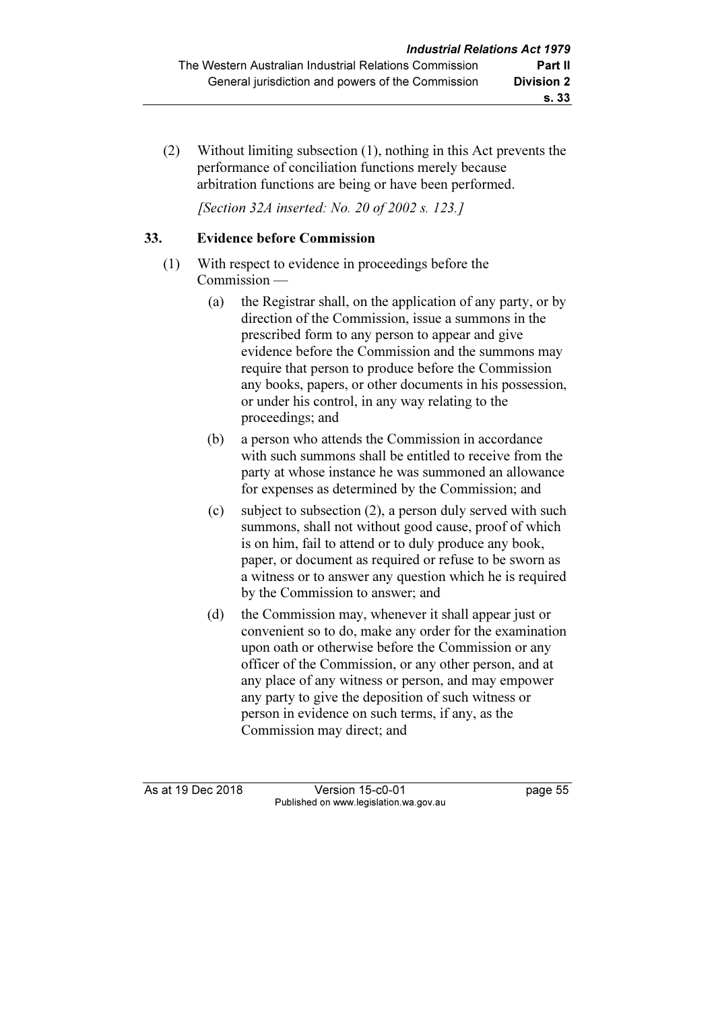(2) Without limiting subsection (1), nothing in this Act prevents the performance of conciliation functions merely because arbitration functions are being or have been performed.

[Section 32A inserted: No. 20 of 2002 s. 123.]

### 33. Evidence before Commission

- (1) With respect to evidence in proceedings before the Commission —
	- (a) the Registrar shall, on the application of any party, or by direction of the Commission, issue a summons in the prescribed form to any person to appear and give evidence before the Commission and the summons may require that person to produce before the Commission any books, papers, or other documents in his possession, or under his control, in any way relating to the proceedings; and
	- (b) a person who attends the Commission in accordance with such summons shall be entitled to receive from the party at whose instance he was summoned an allowance for expenses as determined by the Commission; and
	- (c) subject to subsection (2), a person duly served with such summons, shall not without good cause, proof of which is on him, fail to attend or to duly produce any book, paper, or document as required or refuse to be sworn as a witness or to answer any question which he is required by the Commission to answer; and
	- (d) the Commission may, whenever it shall appear just or convenient so to do, make any order for the examination upon oath or otherwise before the Commission or any officer of the Commission, or any other person, and at any place of any witness or person, and may empower any party to give the deposition of such witness or person in evidence on such terms, if any, as the Commission may direct; and

As at 19 Dec 2018 Version 15-c0-01 page 55 Published on www.legislation.wa.gov.au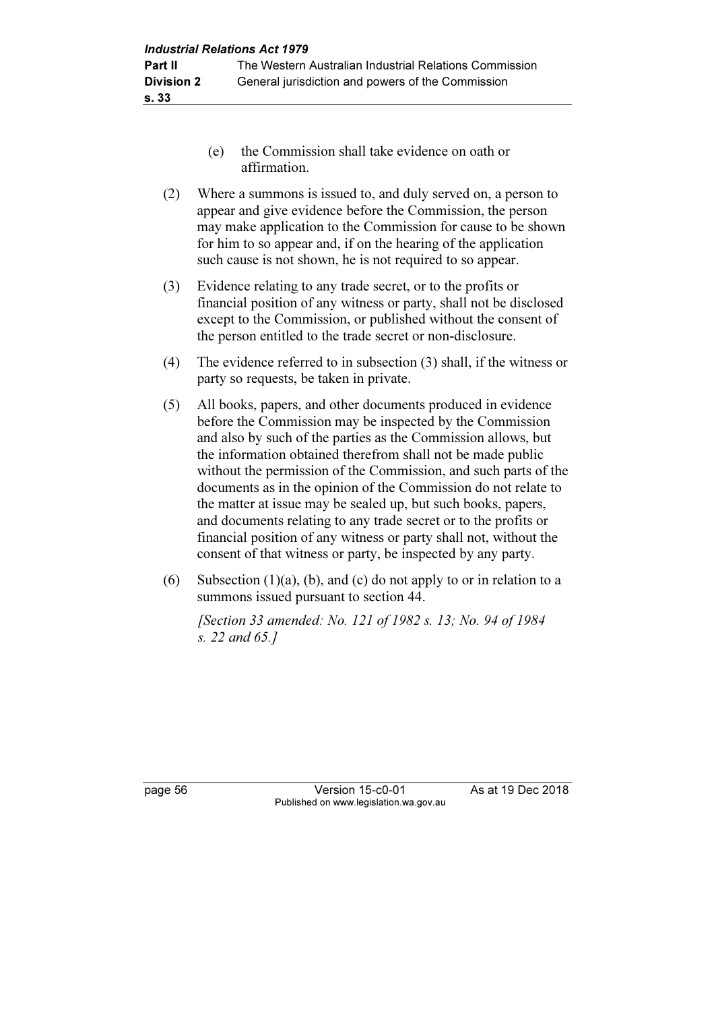- (e) the Commission shall take evidence on oath or affirmation.
- (2) Where a summons is issued to, and duly served on, a person to appear and give evidence before the Commission, the person may make application to the Commission for cause to be shown for him to so appear and, if on the hearing of the application such cause is not shown, he is not required to so appear.
- (3) Evidence relating to any trade secret, or to the profits or financial position of any witness or party, shall not be disclosed except to the Commission, or published without the consent of the person entitled to the trade secret or non-disclosure.
- (4) The evidence referred to in subsection (3) shall, if the witness or party so requests, be taken in private.
- (5) All books, papers, and other documents produced in evidence before the Commission may be inspected by the Commission and also by such of the parties as the Commission allows, but the information obtained therefrom shall not be made public without the permission of the Commission, and such parts of the documents as in the opinion of the Commission do not relate to the matter at issue may be sealed up, but such books, papers, and documents relating to any trade secret or to the profits or financial position of any witness or party shall not, without the consent of that witness or party, be inspected by any party.
- (6) Subsection  $(1)(a)$ ,  $(b)$ , and  $(c)$  do not apply to or in relation to a summons issued pursuant to section 44.

 [Section 33 amended: No. 121 of 1982 s. 13; No. 94 of 1984 s. 22 and 65.]

page 56 Version 15-c0-01 As at 19 Dec 2018 Published on www.legislation.wa.gov.au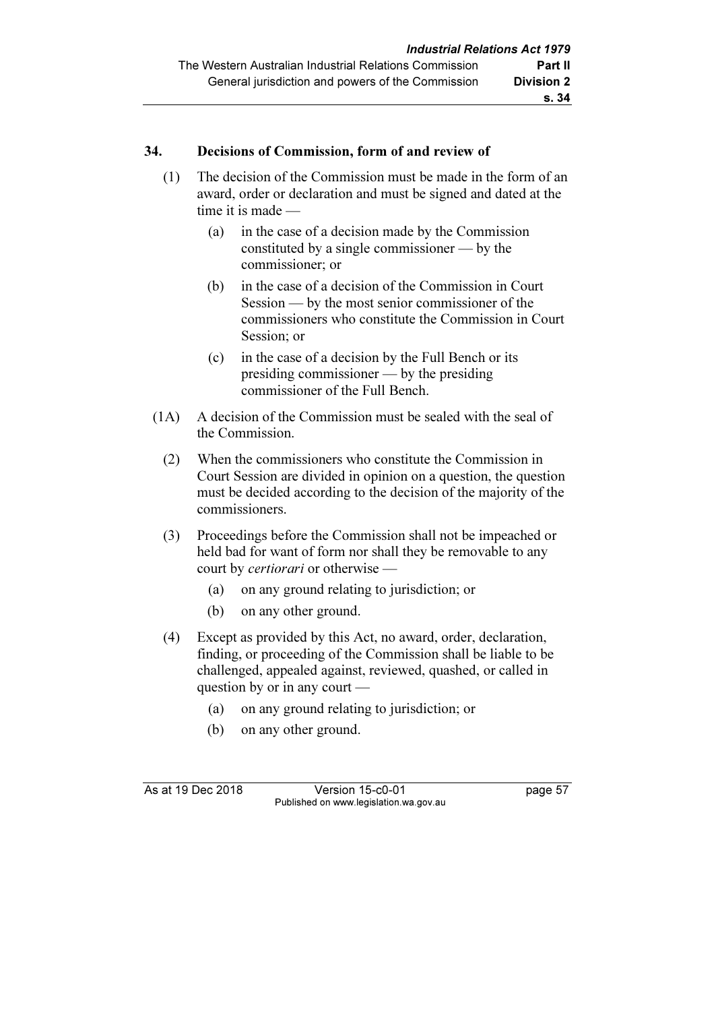#### 34. Decisions of Commission, form of and review of

- (1) The decision of the Commission must be made in the form of an award, order or declaration and must be signed and dated at the time it is made —
	- (a) in the case of a decision made by the Commission constituted by a single commissioner — by the commissioner; or
	- (b) in the case of a decision of the Commission in Court Session — by the most senior commissioner of the commissioners who constitute the Commission in Court Session; or
	- (c) in the case of a decision by the Full Bench or its presiding commissioner — by the presiding commissioner of the Full Bench.
- (1A) A decision of the Commission must be sealed with the seal of the Commission.
	- (2) When the commissioners who constitute the Commission in Court Session are divided in opinion on a question, the question must be decided according to the decision of the majority of the commissioners.
	- (3) Proceedings before the Commission shall not be impeached or held bad for want of form nor shall they be removable to any court by certiorari or otherwise —
		- (a) on any ground relating to jurisdiction; or
		- (b) on any other ground.
	- (4) Except as provided by this Act, no award, order, declaration, finding, or proceeding of the Commission shall be liable to be challenged, appealed against, reviewed, quashed, or called in question by or in any court —
		- (a) on any ground relating to jurisdiction; or
		- (b) on any other ground.

As at 19 Dec 2018 Version 15-c0-01 page 57 Published on www.legislation.wa.gov.au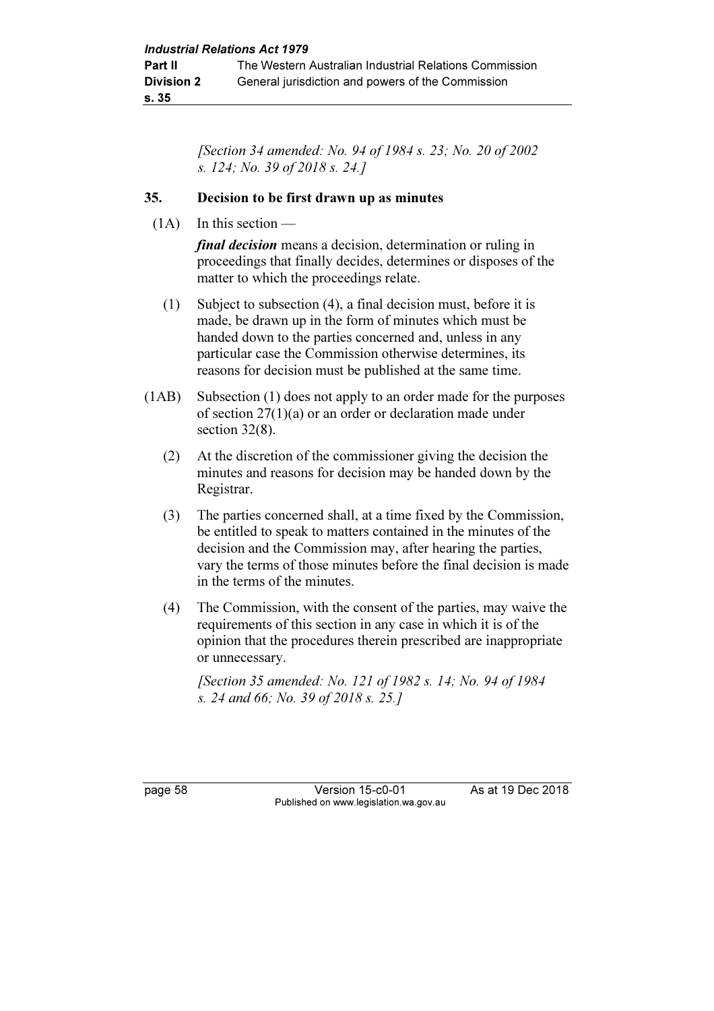[Section 34 amended: No. 94 of 1984 s. 23; No. 20 of 2002 s. 124; No. 39 of 2018 s. 24.]

#### 35. Decision to be first drawn up as minutes

 $(1A)$  In this section —

final decision means a decision, determination or ruling in proceedings that finally decides, determines or disposes of the matter to which the proceedings relate.

- (1) Subject to subsection (4), a final decision must, before it is made, be drawn up in the form of minutes which must be handed down to the parties concerned and, unless in any particular case the Commission otherwise determines, its reasons for decision must be published at the same time.
- (1AB) Subsection (1) does not apply to an order made for the purposes of section 27(1)(a) or an order or declaration made under section 32(8).
	- (2) At the discretion of the commissioner giving the decision the minutes and reasons for decision may be handed down by the Registrar.
	- (3) The parties concerned shall, at a time fixed by the Commission, be entitled to speak to matters contained in the minutes of the decision and the Commission may, after hearing the parties, vary the terms of those minutes before the final decision is made in the terms of the minutes.
	- (4) The Commission, with the consent of the parties, may waive the requirements of this section in any case in which it is of the opinion that the procedures therein prescribed are inappropriate or unnecessary.

 [Section 35 amended: No. 121 of 1982 s. 14; No. 94 of 1984 s. 24 and 66; No. 39 of 2018 s. 25.]

page 58 Version 15-c0-01 As at 19 Dec 2018 Published on www.legislation.wa.gov.au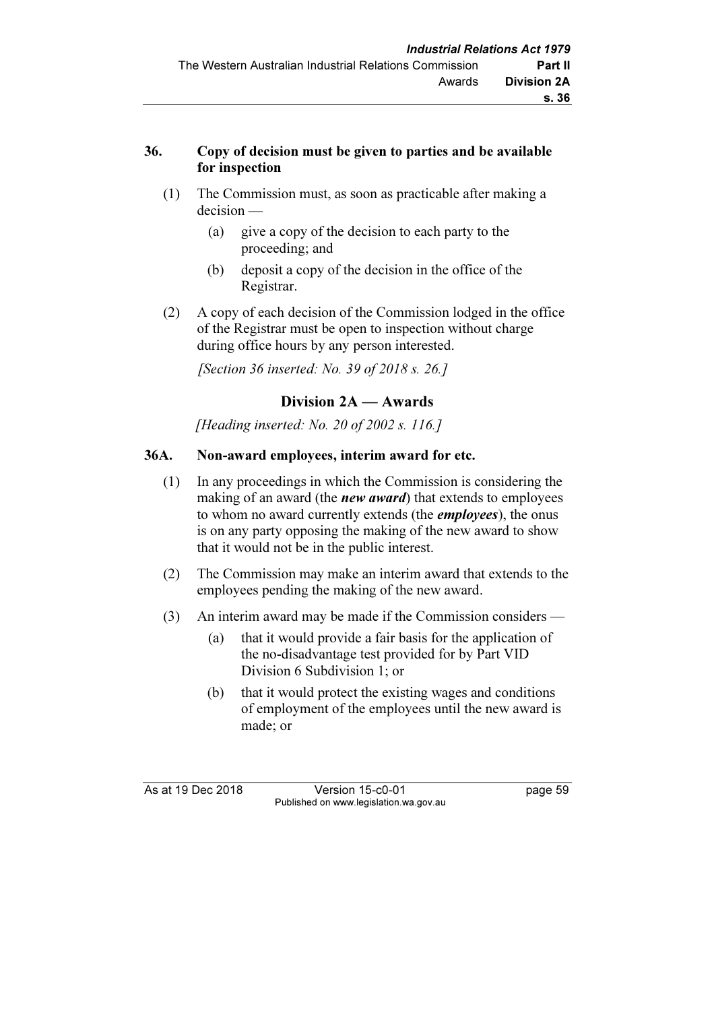## 36. Copy of decision must be given to parties and be available for inspection

- (1) The Commission must, as soon as practicable after making a decision —
	- (a) give a copy of the decision to each party to the proceeding; and
	- (b) deposit a copy of the decision in the office of the Registrar.
- (2) A copy of each decision of the Commission lodged in the office of the Registrar must be open to inspection without charge during office hours by any person interested.

[Section 36 inserted: No. 39 of 2018 s. 26.]

# Division 2A — Awards

[Heading inserted: No. 20 of 2002 s. 116.]

## 36A. Non-award employees, interim award for etc.

- (1) In any proceedings in which the Commission is considering the making of an award (the *new award*) that extends to employees to whom no award currently extends (the *employees*), the onus is on any party opposing the making of the new award to show that it would not be in the public interest.
- (2) The Commission may make an interim award that extends to the employees pending the making of the new award.
- (3) An interim award may be made if the Commission considers
	- (a) that it would provide a fair basis for the application of the no-disadvantage test provided for by Part VID Division 6 Subdivision 1; or
	- (b) that it would protect the existing wages and conditions of employment of the employees until the new award is made; or

As at 19 Dec 2018 Version 15-c0-01 page 59 Published on www.legislation.wa.gov.au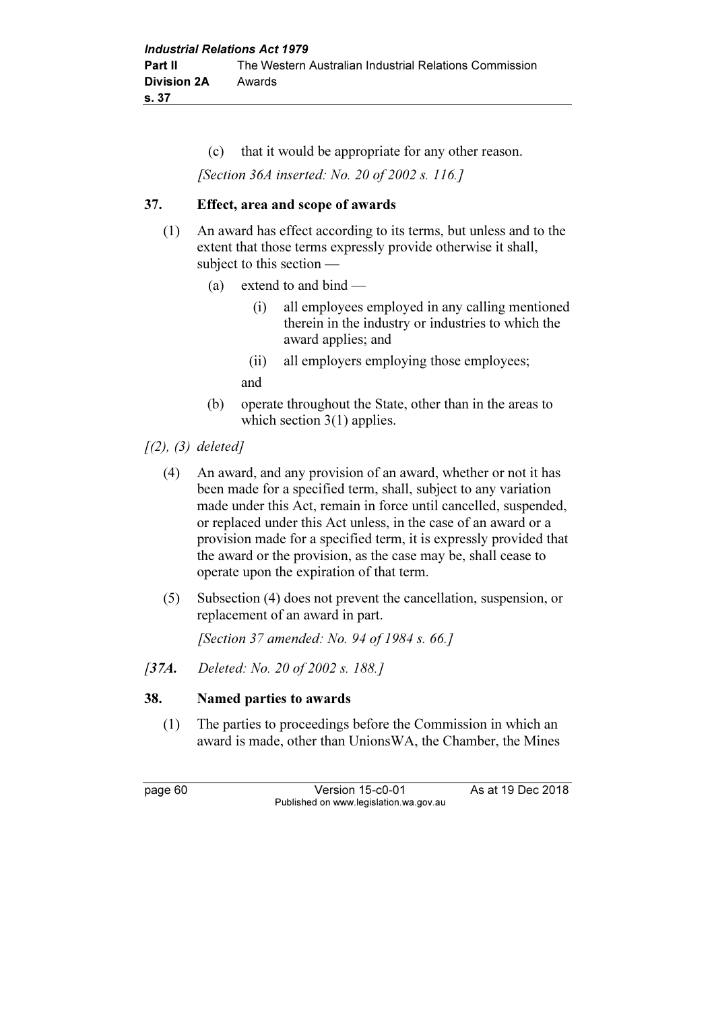(c) that it would be appropriate for any other reason. [Section 36A inserted: No. 20 of 2002 s. 116.]

### 37. Effect, area and scope of awards

- (1) An award has effect according to its terms, but unless and to the extent that those terms expressly provide otherwise it shall, subject to this section —
	- (a) extend to and bind
		- (i) all employees employed in any calling mentioned therein in the industry or industries to which the award applies; and
		- (ii) all employers employing those employees; and
	- (b) operate throughout the State, other than in the areas to which section 3(1) applies.
- $(2), (3)$  deleted]
	- (4) An award, and any provision of an award, whether or not it has been made for a specified term, shall, subject to any variation made under this Act, remain in force until cancelled, suspended, or replaced under this Act unless, in the case of an award or a provision made for a specified term, it is expressly provided that the award or the provision, as the case may be, shall cease to operate upon the expiration of that term.
	- (5) Subsection (4) does not prevent the cancellation, suspension, or replacement of an award in part.

[Section 37 amended: No. 94 of 1984 s. 66.]

[37A. Deleted: No. 20 of 2002 s. 188.]

### 38. Named parties to awards

 (1) The parties to proceedings before the Commission in which an award is made, other than UnionsWA, the Chamber, the Mines

page 60 Version 15-c0-01 As at 19 Dec 2018 Published on www.legislation.wa.gov.au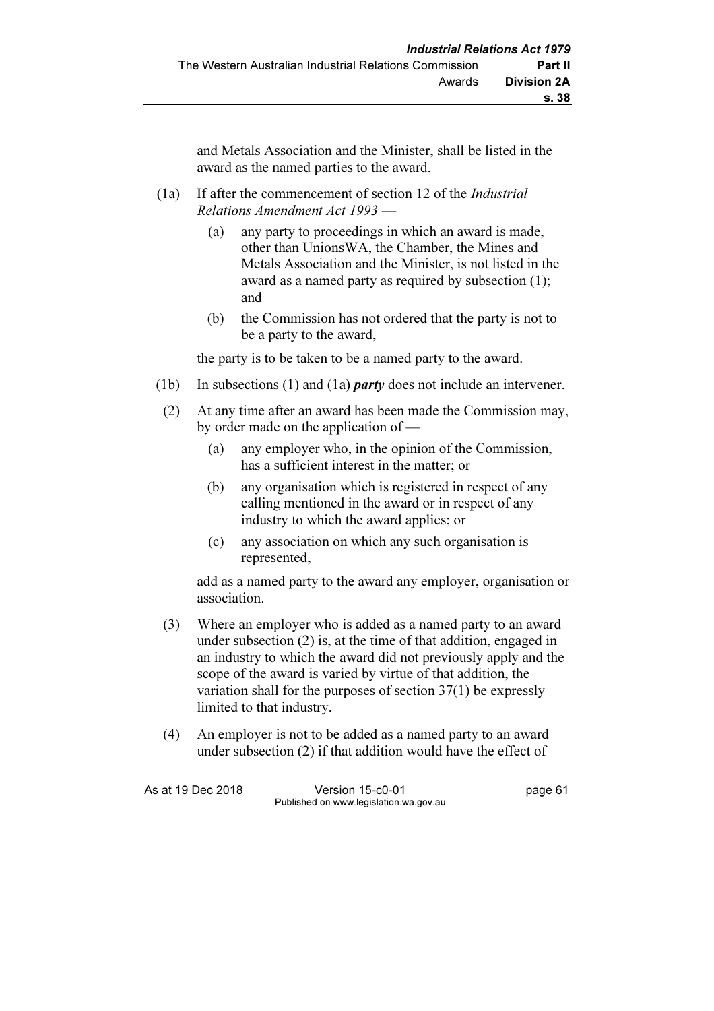and Metals Association and the Minister, shall be listed in the award as the named parties to the award.

- (1a) If after the commencement of section 12 of the Industrial Relations Amendment Act 1993 —
	- (a) any party to proceedings in which an award is made, other than UnionsWA, the Chamber, the Mines and Metals Association and the Minister, is not listed in the award as a named party as required by subsection (1); and
	- (b) the Commission has not ordered that the party is not to be a party to the award,

the party is to be taken to be a named party to the award.

- (1b) In subsections (1) and (1a) *party* does not include an intervener.
- (2) At any time after an award has been made the Commission may, by order made on the application of —
	- (a) any employer who, in the opinion of the Commission, has a sufficient interest in the matter; or
	- (b) any organisation which is registered in respect of any calling mentioned in the award or in respect of any industry to which the award applies; or
	- (c) any association on which any such organisation is represented,

 add as a named party to the award any employer, organisation or association.

- (3) Where an employer who is added as a named party to an award under subsection (2) is, at the time of that addition, engaged in an industry to which the award did not previously apply and the scope of the award is varied by virtue of that addition, the variation shall for the purposes of section 37(1) be expressly limited to that industry.
- (4) An employer is not to be added as a named party to an award under subsection (2) if that addition would have the effect of

As at 19 Dec 2018 Version 15-c0-01 page 61 Published on www.legislation.wa.gov.au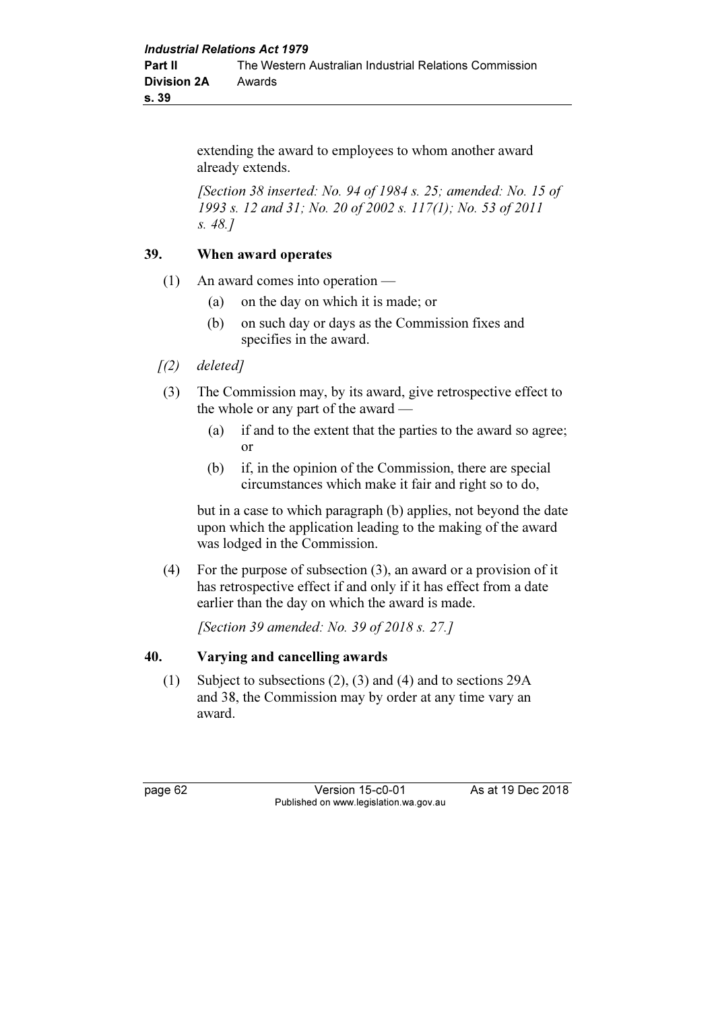extending the award to employees to whom another award already extends.

[Section 38 inserted: No. 94 of 1984 s. 25; amended: No. 15 of 1993 s. 12 and 31; No. 20 of 2002 s. 117(1); No. 53 of 2011 s. 48.]

#### 39. When award operates

- (1) An award comes into operation
	- (a) on the day on which it is made; or
	- (b) on such day or days as the Commission fixes and specifies in the award.
- $(2)$  deleted]
- (3) The Commission may, by its award, give retrospective effect to the whole or any part of the award —
	- (a) if and to the extent that the parties to the award so agree; or
	- (b) if, in the opinion of the Commission, there are special circumstances which make it fair and right so to do,

 but in a case to which paragraph (b) applies, not beyond the date upon which the application leading to the making of the award was lodged in the Commission.

 (4) For the purpose of subsection (3), an award or a provision of it has retrospective effect if and only if it has effect from a date earlier than the day on which the award is made.

[Section 39 amended: No. 39 of 2018 s. 27.]

### 40. Varying and cancelling awards

 (1) Subject to subsections (2), (3) and (4) and to sections 29A and 38, the Commission may by order at any time vary an award.

page 62 Version 15-c0-01 As at 19 Dec 2018 Published on www.legislation.wa.gov.au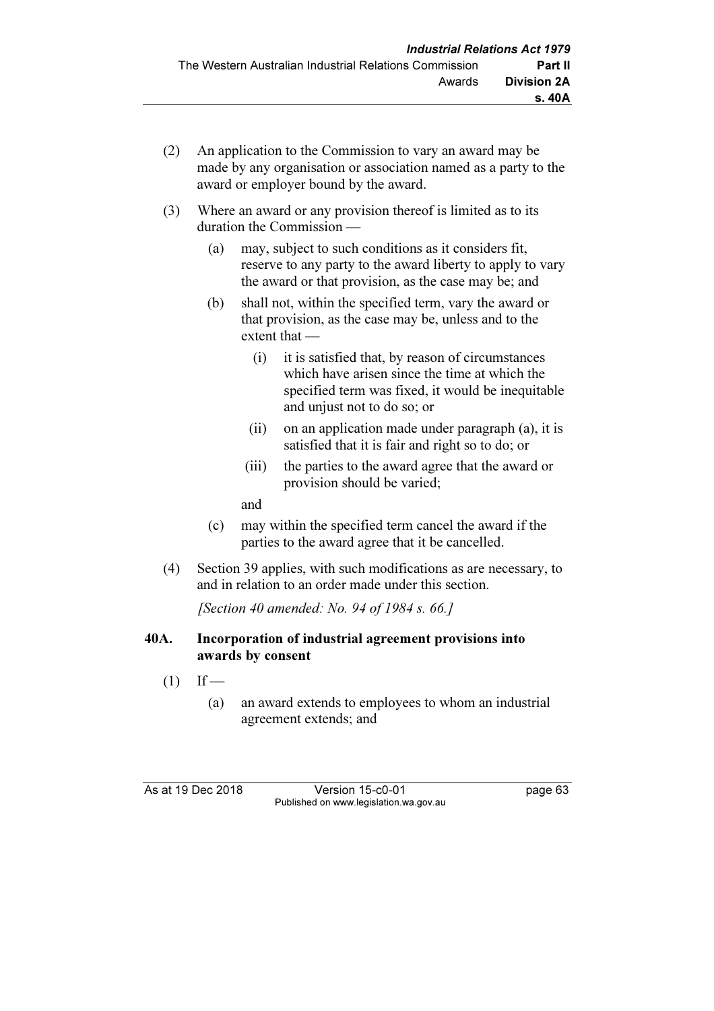- (2) An application to the Commission to vary an award may be made by any organisation or association named as a party to the award or employer bound by the award.
- (3) Where an award or any provision thereof is limited as to its duration the Commission —
	- (a) may, subject to such conditions as it considers fit, reserve to any party to the award liberty to apply to vary the award or that provision, as the case may be; and
	- (b) shall not, within the specified term, vary the award or that provision, as the case may be, unless and to the extent that —
		- (i) it is satisfied that, by reason of circumstances which have arisen since the time at which the specified term was fixed, it would be inequitable and unjust not to do so; or
		- (ii) on an application made under paragraph (a), it is satisfied that it is fair and right so to do; or
		- (iii) the parties to the award agree that the award or provision should be varied;

and

- (c) may within the specified term cancel the award if the parties to the award agree that it be cancelled.
- (4) Section 39 applies, with such modifications as are necessary, to and in relation to an order made under this section.

[Section 40 amended: No. 94 of 1984 s. 66.]

## 40A. Incorporation of industrial agreement provisions into awards by consent

- $(1)$  If
	- (a) an award extends to employees to whom an industrial agreement extends; and

As at 19 Dec 2018 Version 15-c0-01 page 63 Published on www.legislation.wa.gov.au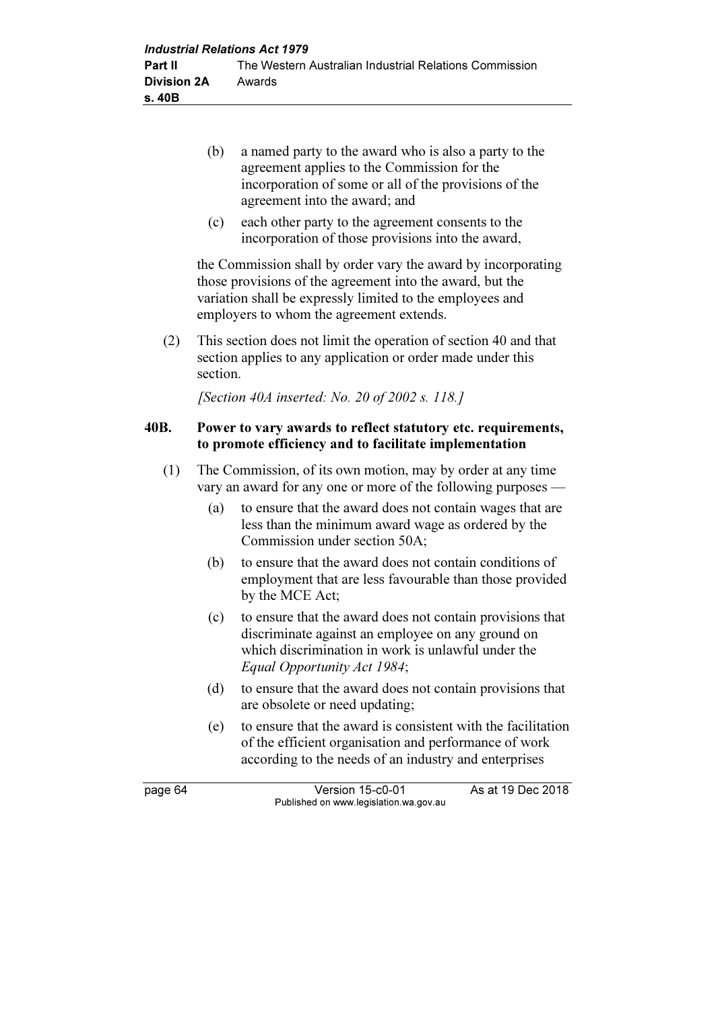- (b) a named party to the award who is also a party to the agreement applies to the Commission for the incorporation of some or all of the provisions of the agreement into the award; and
- (c) each other party to the agreement consents to the incorporation of those provisions into the award,

 the Commission shall by order vary the award by incorporating those provisions of the agreement into the award, but the variation shall be expressly limited to the employees and employers to whom the agreement extends.

 (2) This section does not limit the operation of section 40 and that section applies to any application or order made under this section.

[Section 40A inserted: No. 20 of 2002 s. 118.]

#### 40B. Power to vary awards to reflect statutory etc. requirements, to promote efficiency and to facilitate implementation

- (1) The Commission, of its own motion, may by order at any time vary an award for any one or more of the following purposes —
	- (a) to ensure that the award does not contain wages that are less than the minimum award wage as ordered by the Commission under section 50A;
	- (b) to ensure that the award does not contain conditions of employment that are less favourable than those provided by the MCE Act;
	- (c) to ensure that the award does not contain provisions that discriminate against an employee on any ground on which discrimination in work is unlawful under the Equal Opportunity Act 1984;
	- (d) to ensure that the award does not contain provisions that are obsolete or need updating;
	- (e) to ensure that the award is consistent with the facilitation of the efficient organisation and performance of work according to the needs of an industry and enterprises

page 64 Version 15-c0-01 As at 19 Dec 2018 Published on www.legislation.wa.gov.au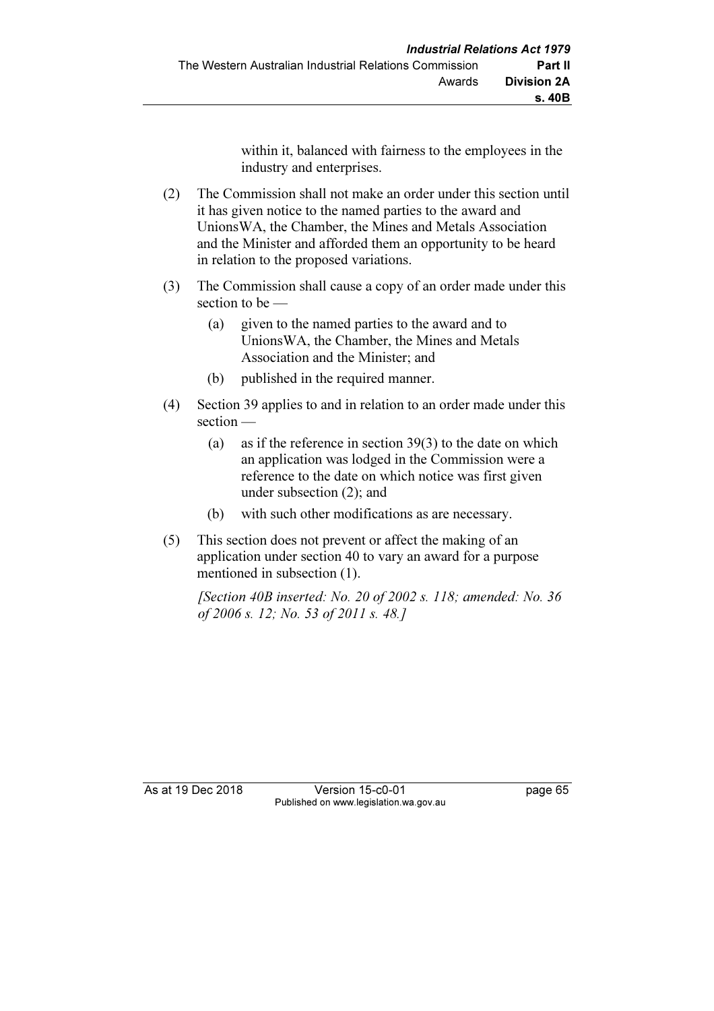within it, balanced with fairness to the employees in the industry and enterprises.

- (2) The Commission shall not make an order under this section until it has given notice to the named parties to the award and UnionsWA, the Chamber, the Mines and Metals Association and the Minister and afforded them an opportunity to be heard in relation to the proposed variations.
- (3) The Commission shall cause a copy of an order made under this section to be —
	- (a) given to the named parties to the award and to UnionsWA, the Chamber, the Mines and Metals Association and the Minister; and
	- (b) published in the required manner.
- (4) Section 39 applies to and in relation to an order made under this section —
	- (a) as if the reference in section 39(3) to the date on which an application was lodged in the Commission were a reference to the date on which notice was first given under subsection (2); and
	- (b) with such other modifications as are necessary.
- (5) This section does not prevent or affect the making of an application under section 40 to vary an award for a purpose mentioned in subsection (1).

 [Section 40B inserted: No. 20 of 2002 s. 118; amended: No. 36 of 2006 s. 12; No. 53 of 2011 s. 48.]

As at 19 Dec 2018 Version 15-c0-01 page 65 Published on www.legislation.wa.gov.au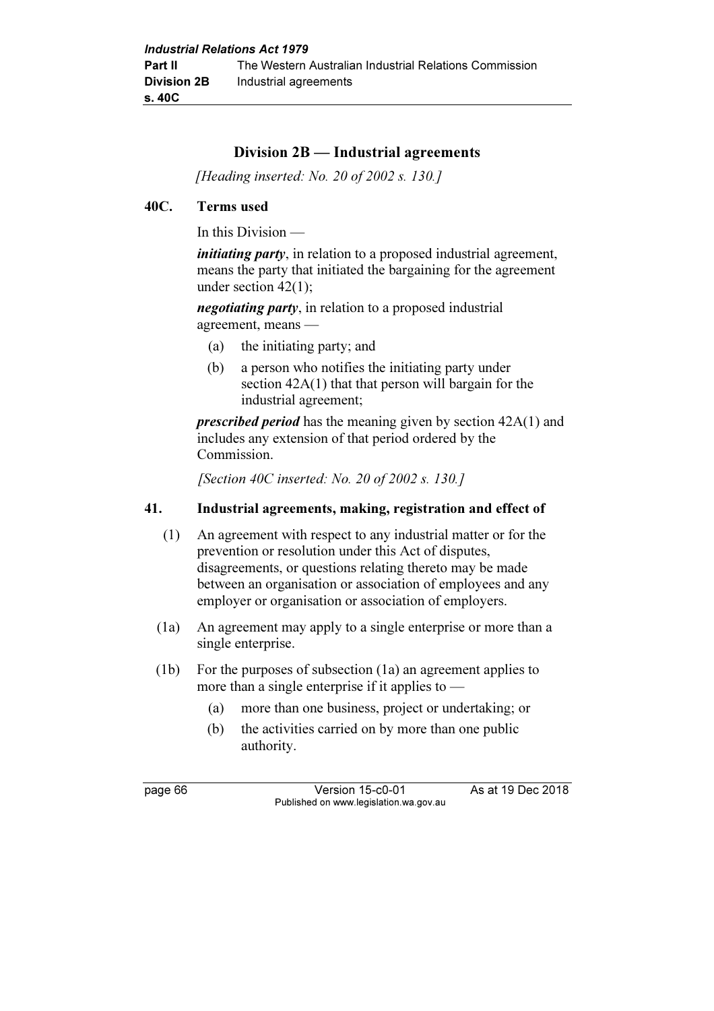## Division 2B — Industrial agreements

[Heading inserted: No. 20 of 2002 s. 130.]

#### 40C. Terms used

In this Division —

*initiating party*, in relation to a proposed industrial agreement, means the party that initiated the bargaining for the agreement under section 42(1);

negotiating party, in relation to a proposed industrial agreement, means —

- (a) the initiating party; and
- (b) a person who notifies the initiating party under section 42A(1) that that person will bargain for the industrial agreement;

prescribed period has the meaning given by section 42A(1) and includes any extension of that period ordered by the Commission.

[Section 40C inserted: No. 20 of 2002 s. 130.]

#### 41. Industrial agreements, making, registration and effect of

- (1) An agreement with respect to any industrial matter or for the prevention or resolution under this Act of disputes, disagreements, or questions relating thereto may be made between an organisation or association of employees and any employer or organisation or association of employers.
- (1a) An agreement may apply to a single enterprise or more than a single enterprise.
- (1b) For the purposes of subsection (1a) an agreement applies to more than a single enterprise if it applies to —
	- (a) more than one business, project or undertaking; or
	- (b) the activities carried on by more than one public authority.

page 66 Version 15-c0-01 As at 19 Dec 2018 Published on www.legislation.wa.gov.au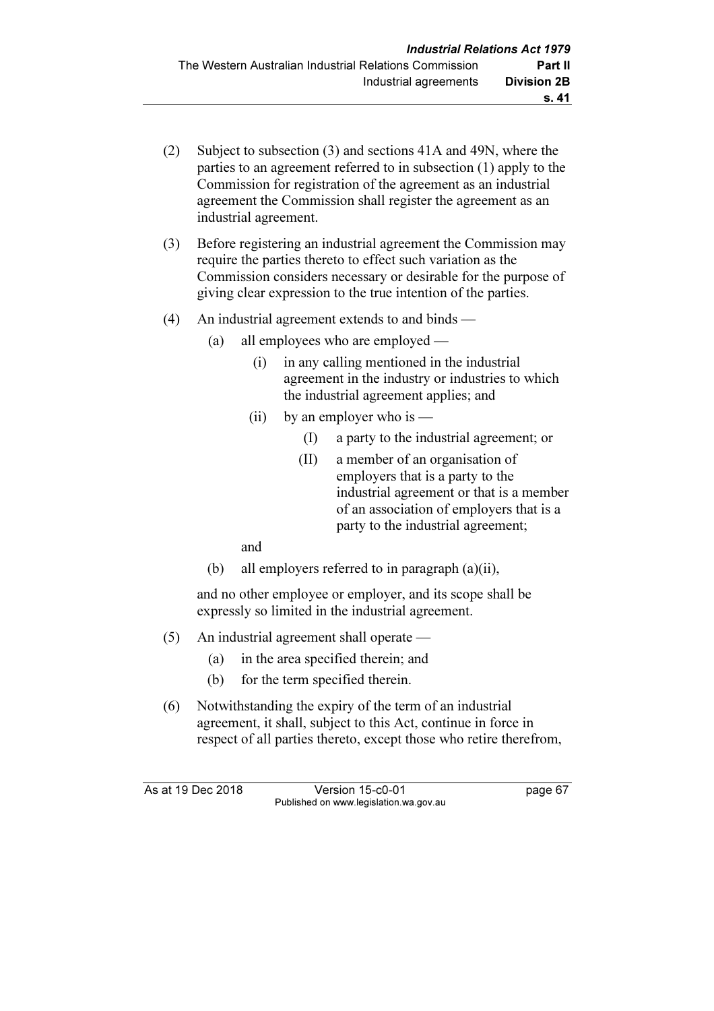- (2) Subject to subsection (3) and sections 41A and 49N, where the parties to an agreement referred to in subsection (1) apply to the Commission for registration of the agreement as an industrial agreement the Commission shall register the agreement as an industrial agreement.
- (3) Before registering an industrial agreement the Commission may require the parties thereto to effect such variation as the Commission considers necessary or desirable for the purpose of giving clear expression to the true intention of the parties.
- (4) An industrial agreement extends to and binds
	- (a) all employees who are employed
		- (i) in any calling mentioned in the industrial agreement in the industry or industries to which the industrial agreement applies; and
		- (ii) by an employer who is  $-$ 
			- (I) a party to the industrial agreement; or
			- (II) a member of an organisation of employers that is a party to the industrial agreement or that is a member of an association of employers that is a party to the industrial agreement;

and

(b) all employers referred to in paragraph (a)(ii),

 and no other employee or employer, and its scope shall be expressly so limited in the industrial agreement.

- (5) An industrial agreement shall operate
	- (a) in the area specified therein; and
	- (b) for the term specified therein.
- (6) Notwithstanding the expiry of the term of an industrial agreement, it shall, subject to this Act, continue in force in respect of all parties thereto, except those who retire therefrom,

As at 19 Dec 2018 Version 15-c0-01 page 67 Published on www.legislation.wa.gov.au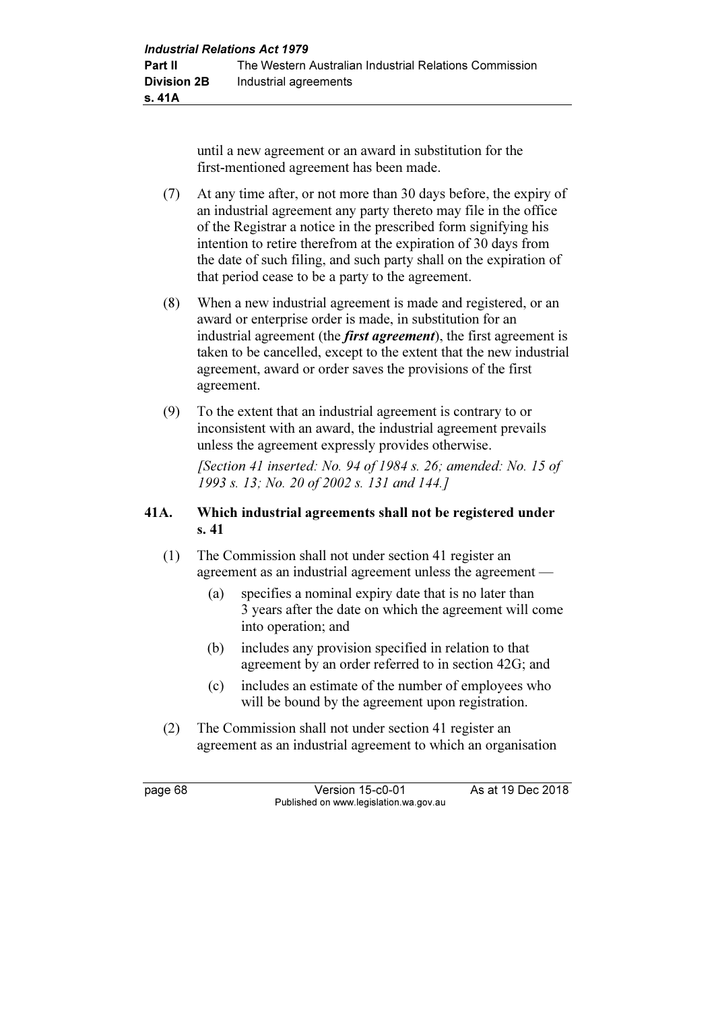until a new agreement or an award in substitution for the first-mentioned agreement has been made.

- (7) At any time after, or not more than 30 days before, the expiry of an industrial agreement any party thereto may file in the office of the Registrar a notice in the prescribed form signifying his intention to retire therefrom at the expiration of 30 days from the date of such filing, and such party shall on the expiration of that period cease to be a party to the agreement.
- (8) When a new industrial agreement is made and registered, or an award or enterprise order is made, in substitution for an industrial agreement (the *first agreement*), the first agreement is taken to be cancelled, except to the extent that the new industrial agreement, award or order saves the provisions of the first agreement.
- (9) To the extent that an industrial agreement is contrary to or inconsistent with an award, the industrial agreement prevails unless the agreement expressly provides otherwise.

[Section 41 inserted: No. 94 of 1984 s. 26; amended: No. 15 of 1993 s. 13; No. 20 of 2002 s. 131 and 144.]

#### 41A. Which industrial agreements shall not be registered under s. 41

- (1) The Commission shall not under section 41 register an agreement as an industrial agreement unless the agreement —
	- (a) specifies a nominal expiry date that is no later than 3 years after the date on which the agreement will come into operation; and
	- (b) includes any provision specified in relation to that agreement by an order referred to in section 42G; and
	- (c) includes an estimate of the number of employees who will be bound by the agreement upon registration.
- (2) The Commission shall not under section 41 register an agreement as an industrial agreement to which an organisation

page 68 Version 15-c0-01 As at 19 Dec 2018 Published on www.legislation.wa.gov.au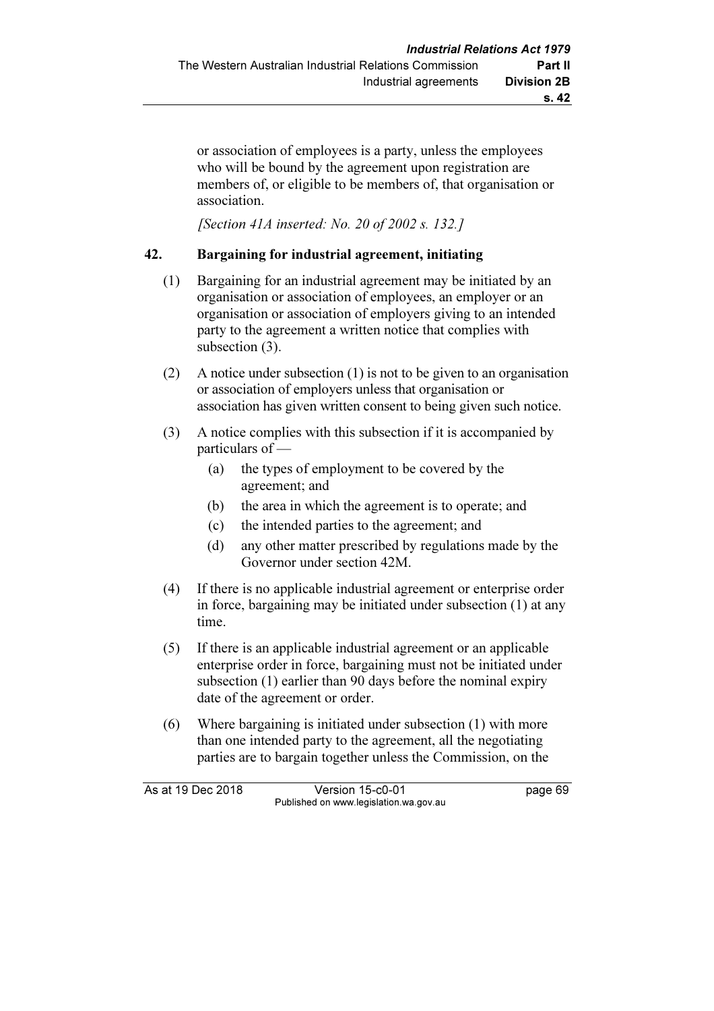or association of employees is a party, unless the employees who will be bound by the agreement upon registration are members of, or eligible to be members of, that organisation or association.

[Section 41A inserted: No. 20 of 2002 s. 132.]

#### 42. Bargaining for industrial agreement, initiating

- (1) Bargaining for an industrial agreement may be initiated by an organisation or association of employees, an employer or an organisation or association of employers giving to an intended party to the agreement a written notice that complies with subsection (3).
- (2) A notice under subsection (1) is not to be given to an organisation or association of employers unless that organisation or association has given written consent to being given such notice.
- (3) A notice complies with this subsection if it is accompanied by particulars of —
	- (a) the types of employment to be covered by the agreement; and
	- (b) the area in which the agreement is to operate; and
	- (c) the intended parties to the agreement; and
	- (d) any other matter prescribed by regulations made by the Governor under section 42M.
- (4) If there is no applicable industrial agreement or enterprise order in force, bargaining may be initiated under subsection (1) at any time.
- (5) If there is an applicable industrial agreement or an applicable enterprise order in force, bargaining must not be initiated under subsection (1) earlier than 90 days before the nominal expiry date of the agreement or order.
- (6) Where bargaining is initiated under subsection (1) with more than one intended party to the agreement, all the negotiating parties are to bargain together unless the Commission, on the

As at 19 Dec 2018 Version 15-c0-01 page 69 Published on www.legislation.wa.gov.au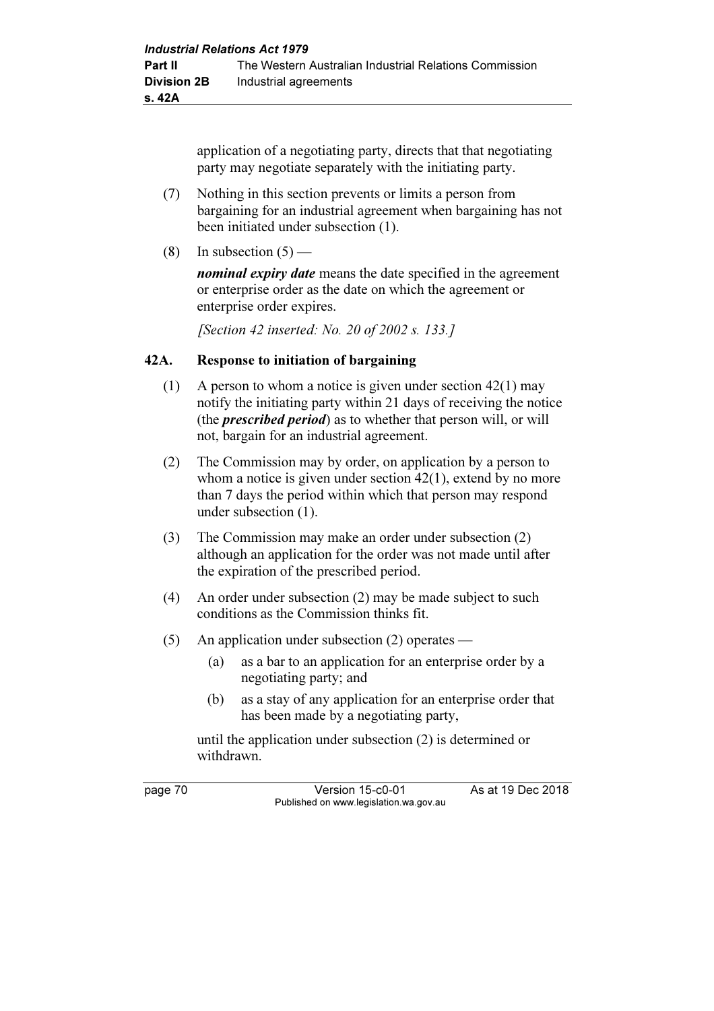application of a negotiating party, directs that that negotiating party may negotiate separately with the initiating party.

- (7) Nothing in this section prevents or limits a person from bargaining for an industrial agreement when bargaining has not been initiated under subsection (1).
- (8) In subsection  $(5)$  —

nominal expiry date means the date specified in the agreement or enterprise order as the date on which the agreement or enterprise order expires.

[Section 42 inserted: No. 20 of 2002 s. 133.]

#### 42A. Response to initiation of bargaining

- (1) A person to whom a notice is given under section 42(1) may notify the initiating party within 21 days of receiving the notice (the *prescribed period*) as to whether that person will, or will not, bargain for an industrial agreement.
- (2) The Commission may by order, on application by a person to whom a notice is given under section 42(1), extend by no more than 7 days the period within which that person may respond under subsection (1).
- (3) The Commission may make an order under subsection (2) although an application for the order was not made until after the expiration of the prescribed period.
- (4) An order under subsection (2) may be made subject to such conditions as the Commission thinks fit.
- (5) An application under subsection (2) operates
	- (a) as a bar to an application for an enterprise order by a negotiating party; and
	- (b) as a stay of any application for an enterprise order that has been made by a negotiating party,

 until the application under subsection (2) is determined or withdrawn.

page 70 Version 15-c0-01 As at 19 Dec 2018 Published on www.legislation.wa.gov.au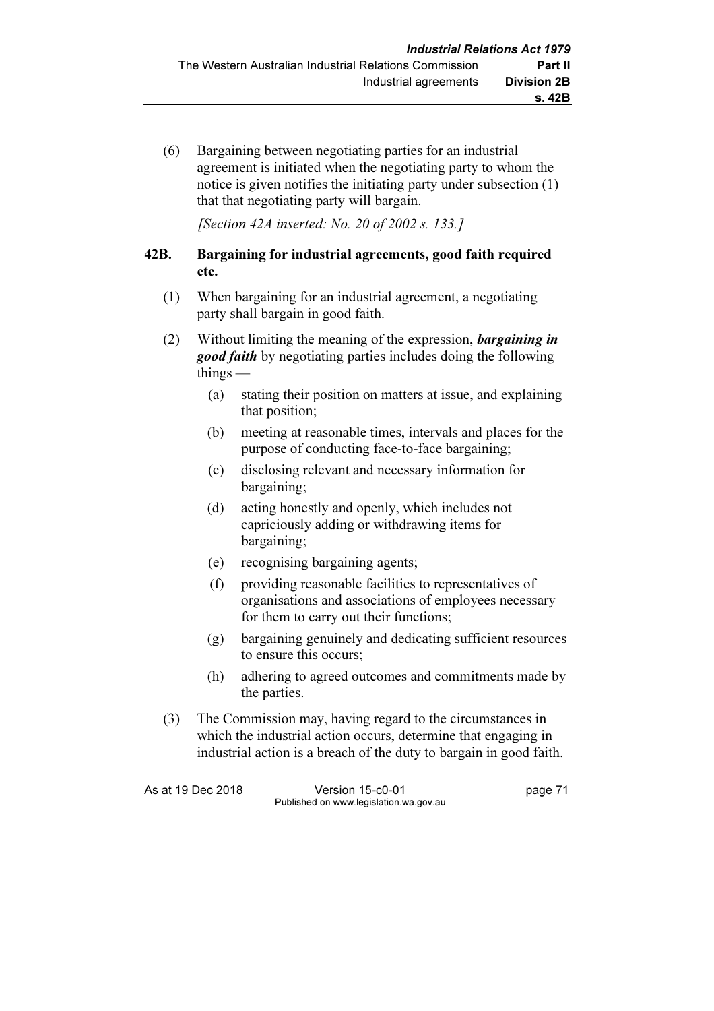(6) Bargaining between negotiating parties for an industrial agreement is initiated when the negotiating party to whom the notice is given notifies the initiating party under subsection (1) that that negotiating party will bargain.

[Section 42A inserted: No. 20 of 2002 s. 133.]

#### 42B. Bargaining for industrial agreements, good faith required etc.

- (1) When bargaining for an industrial agreement, a negotiating party shall bargain in good faith.
- (2) Without limiting the meaning of the expression, bargaining in **good faith** by negotiating parties includes doing the following things —
	- (a) stating their position on matters at issue, and explaining that position;
	- (b) meeting at reasonable times, intervals and places for the purpose of conducting face-to-face bargaining;
	- (c) disclosing relevant and necessary information for bargaining;
	- (d) acting honestly and openly, which includes not capriciously adding or withdrawing items for bargaining;
	- (e) recognising bargaining agents;
	- (f) providing reasonable facilities to representatives of organisations and associations of employees necessary for them to carry out their functions;
	- (g) bargaining genuinely and dedicating sufficient resources to ensure this occurs;
	- (h) adhering to agreed outcomes and commitments made by the parties.
- (3) The Commission may, having regard to the circumstances in which the industrial action occurs, determine that engaging in industrial action is a breach of the duty to bargain in good faith.

As at 19 Dec 2018 Version 15-c0-01 page 71 Published on www.legislation.wa.gov.au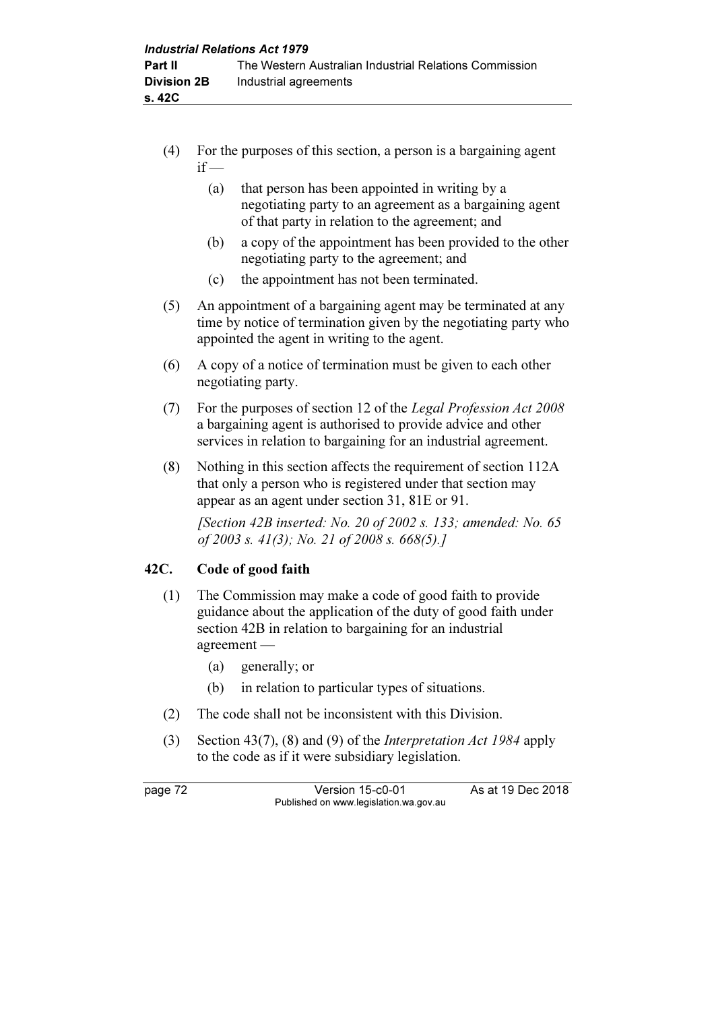- (4) For the purposes of this section, a person is a bargaining agent  $if -$ 
	- (a) that person has been appointed in writing by a negotiating party to an agreement as a bargaining agent of that party in relation to the agreement; and
	- (b) a copy of the appointment has been provided to the other negotiating party to the agreement; and
	- (c) the appointment has not been terminated.
- (5) An appointment of a bargaining agent may be terminated at any time by notice of termination given by the negotiating party who appointed the agent in writing to the agent.
- (6) A copy of a notice of termination must be given to each other negotiating party.
- (7) For the purposes of section 12 of the Legal Profession Act 2008 a bargaining agent is authorised to provide advice and other services in relation to bargaining for an industrial agreement.
- (8) Nothing in this section affects the requirement of section 112A that only a person who is registered under that section may appear as an agent under section 31, 81E or 91.

[Section 42B inserted: No. 20 of 2002 s. 133; amended: No. 65 of 2003 s. 41(3); No. 21 of 2008 s. 668(5).]

# 42C. Code of good faith

- (1) The Commission may make a code of good faith to provide guidance about the application of the duty of good faith under section 42B in relation to bargaining for an industrial agreement —
	- (a) generally; or
	- (b) in relation to particular types of situations.
- (2) The code shall not be inconsistent with this Division.
- (3) Section 43(7), (8) and (9) of the Interpretation Act 1984 apply to the code as if it were subsidiary legislation.

page 72 Version 15-c0-01 As at 19 Dec 2018 Published on www.legislation.wa.gov.au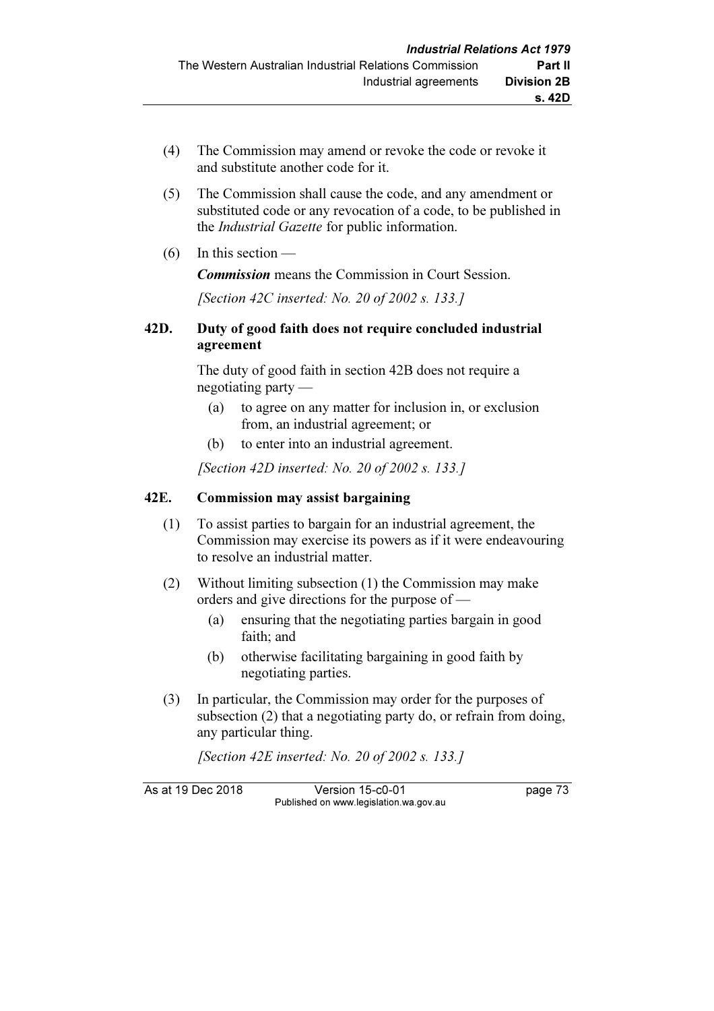- (4) The Commission may amend or revoke the code or revoke it and substitute another code for it.
- (5) The Commission shall cause the code, and any amendment or substituted code or any revocation of a code, to be published in the Industrial Gazette for public information.
- (6) In this section —

Commission means the Commission in Court Session.

[Section 42C inserted: No. 20 of 2002 s. 133.]

#### 42D. Duty of good faith does not require concluded industrial agreement

 The duty of good faith in section 42B does not require a negotiating party —

- (a) to agree on any matter for inclusion in, or exclusion from, an industrial agreement; or
- (b) to enter into an industrial agreement.

[Section 42D inserted: No. 20 of 2002 s. 133.]

#### 42E. Commission may assist bargaining

- (1) To assist parties to bargain for an industrial agreement, the Commission may exercise its powers as if it were endeavouring to resolve an industrial matter.
- (2) Without limiting subsection (1) the Commission may make orders and give directions for the purpose of —
	- (a) ensuring that the negotiating parties bargain in good faith; and
	- (b) otherwise facilitating bargaining in good faith by negotiating parties.
- (3) In particular, the Commission may order for the purposes of subsection (2) that a negotiating party do, or refrain from doing, any particular thing.

[Section 42E inserted: No. 20 of 2002 s. 133.]

As at 19 Dec 2018 Version 15-c0-01 page 73 Published on www.legislation.wa.gov.au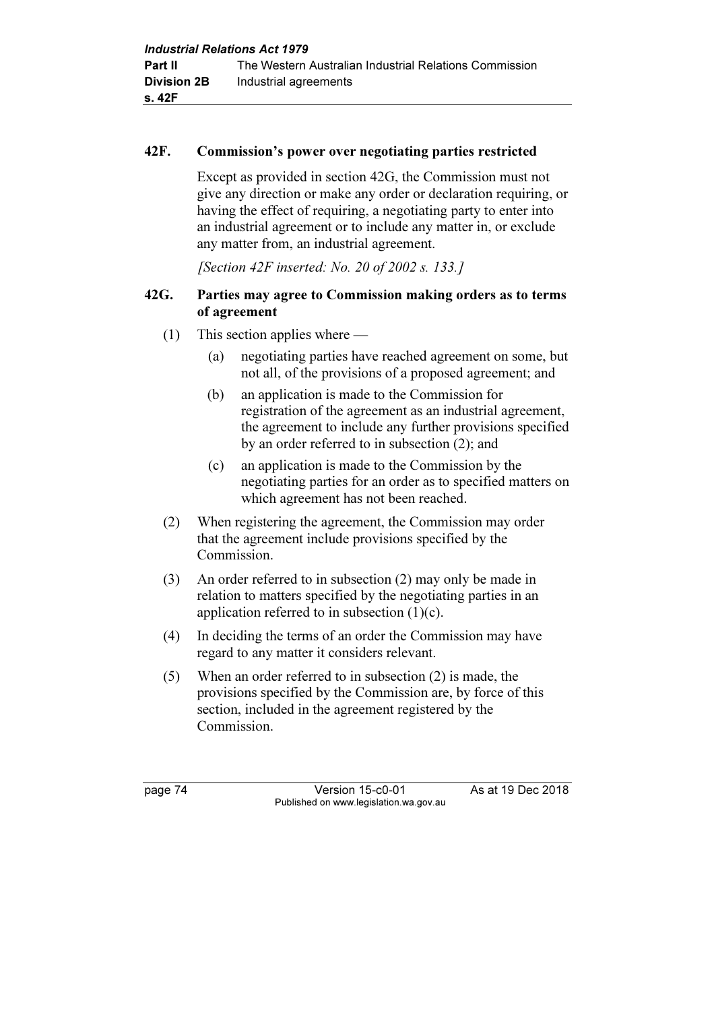#### 42F. Commission's power over negotiating parties restricted

 Except as provided in section 42G, the Commission must not give any direction or make any order or declaration requiring, or having the effect of requiring, a negotiating party to enter into an industrial agreement or to include any matter in, or exclude any matter from, an industrial agreement.

[Section 42F inserted: No. 20 of 2002 s. 133.]

#### 42G. Parties may agree to Commission making orders as to terms of agreement

- (1) This section applies where
	- (a) negotiating parties have reached agreement on some, but not all, of the provisions of a proposed agreement; and
	- (b) an application is made to the Commission for registration of the agreement as an industrial agreement, the agreement to include any further provisions specified by an order referred to in subsection (2); and
	- (c) an application is made to the Commission by the negotiating parties for an order as to specified matters on which agreement has not been reached.
- (2) When registering the agreement, the Commission may order that the agreement include provisions specified by the Commission.
- (3) An order referred to in subsection (2) may only be made in relation to matters specified by the negotiating parties in an application referred to in subsection (1)(c).
- (4) In deciding the terms of an order the Commission may have regard to any matter it considers relevant.
- (5) When an order referred to in subsection (2) is made, the provisions specified by the Commission are, by force of this section, included in the agreement registered by the Commission.

page 74 Version 15-c0-01 As at 19 Dec 2018 Published on www.legislation.wa.gov.au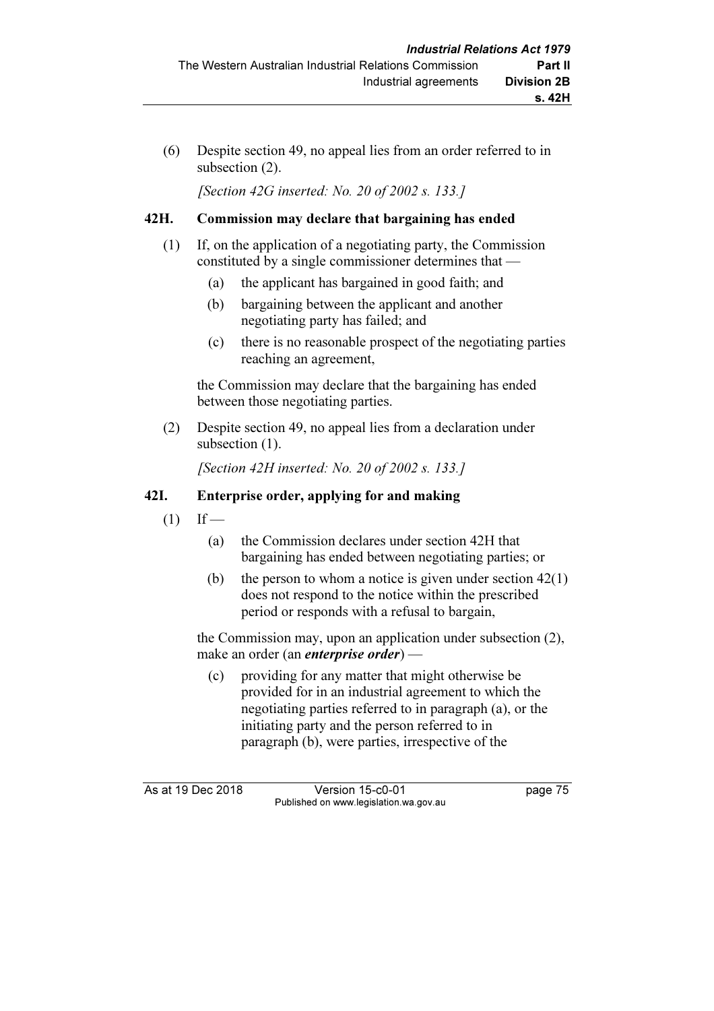(6) Despite section 49, no appeal lies from an order referred to in subsection (2).

[Section 42G inserted: No. 20 of 2002 s. 133.]

## 42H. Commission may declare that bargaining has ended

- (1) If, on the application of a negotiating party, the Commission constituted by a single commissioner determines that —
	- (a) the applicant has bargained in good faith; and
	- (b) bargaining between the applicant and another negotiating party has failed; and
	- (c) there is no reasonable prospect of the negotiating parties reaching an agreement,

 the Commission may declare that the bargaining has ended between those negotiating parties.

 (2) Despite section 49, no appeal lies from a declaration under subsection  $(1)$ .

[Section 42H inserted: No. 20 of 2002 s. 133.]

## 42I. Enterprise order, applying for and making

- $(1)$  If
	- (a) the Commission declares under section 42H that bargaining has ended between negotiating parties; or
	- (b) the person to whom a notice is given under section  $42(1)$ does not respond to the notice within the prescribed period or responds with a refusal to bargain,

 the Commission may, upon an application under subsection (2), make an order (an enterprise order) —

 (c) providing for any matter that might otherwise be provided for in an industrial agreement to which the negotiating parties referred to in paragraph (a), or the initiating party and the person referred to in paragraph (b), were parties, irrespective of the

As at 19 Dec 2018 Version 15-c0-01 page 75 Published on www.legislation.wa.gov.au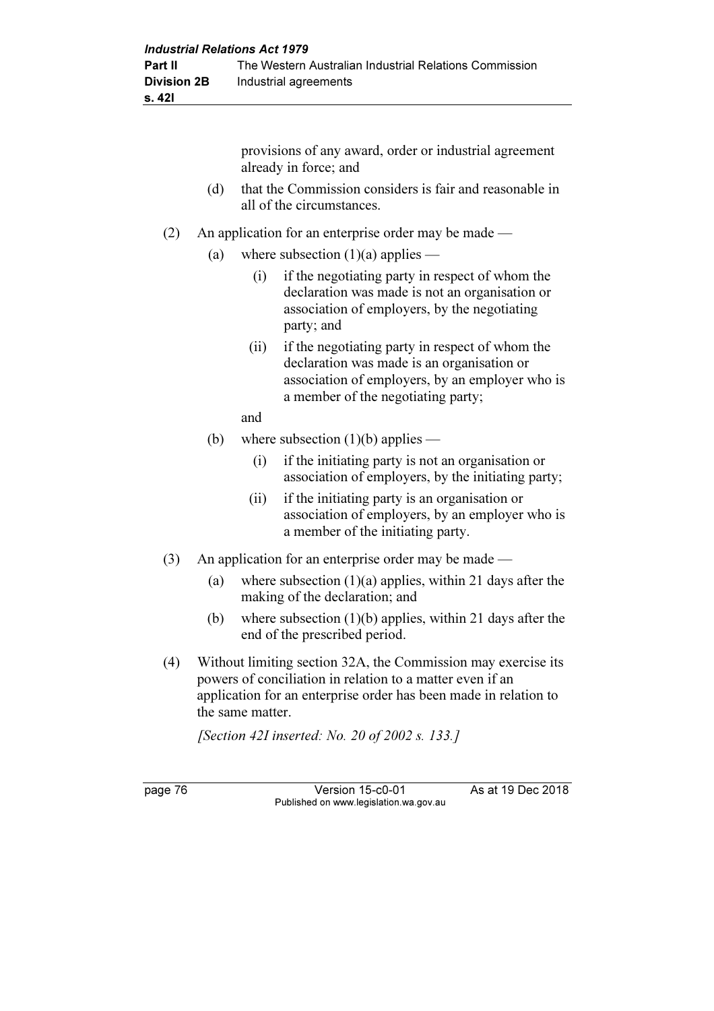provisions of any award, order or industrial agreement already in force; and (d) that the Commission considers is fair and reasonable in all of the circumstances. (2) An application for an enterprise order may be made — (a) where subsection  $(1)(a)$  applies — (i) if the negotiating party in respect of whom the declaration was made is not an organisation or association of employers, by the negotiating party; and (ii) if the negotiating party in respect of whom the declaration was made is an organisation or association of employers, by an employer who is a member of the negotiating party; and (b) where subsection  $(1)(b)$  applies — (i) if the initiating party is not an organisation or association of employers, by the initiating party; (ii) if the initiating party is an organisation or association of employers, by an employer who is a member of the initiating party. (3) An application for an enterprise order may be made — (a) where subsection  $(1)(a)$  applies, within 21 days after the making of the declaration; and (b) where subsection (1)(b) applies, within 21 days after the

- end of the prescribed period.
- (4) Without limiting section 32A, the Commission may exercise its powers of conciliation in relation to a matter even if an application for an enterprise order has been made in relation to the same matter.

[Section 42I inserted: No. 20 of 2002 s. 133.]

page 76 Version 15-c0-01 As at 19 Dec 2018 Published on www.legislation.wa.gov.au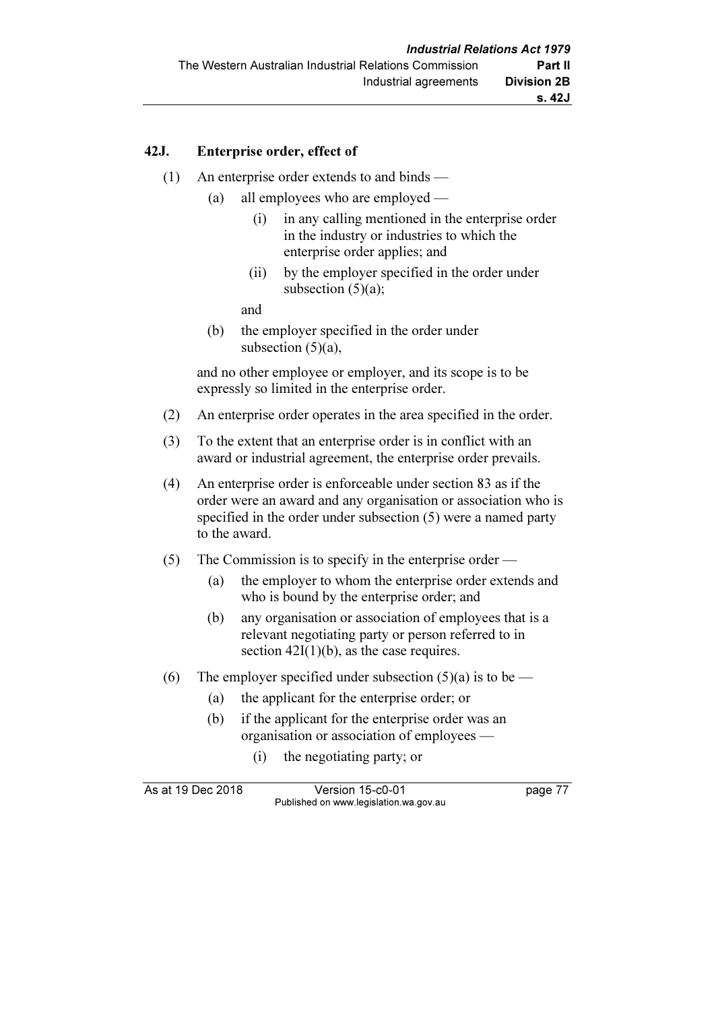#### 42J. Enterprise order, effect of

- (1) An enterprise order extends to and binds
	- (a) all employees who are employed
		- (i) in any calling mentioned in the enterprise order in the industry or industries to which the enterprise order applies; and
		- (ii) by the employer specified in the order under subsection  $(5)(a)$ ;

and

 (b) the employer specified in the order under subsection  $(5)(a)$ ,

 and no other employee or employer, and its scope is to be expressly so limited in the enterprise order.

- (2) An enterprise order operates in the area specified in the order.
- (3) To the extent that an enterprise order is in conflict with an award or industrial agreement, the enterprise order prevails.
- (4) An enterprise order is enforceable under section 83 as if the order were an award and any organisation or association who is specified in the order under subsection (5) were a named party to the award.
- (5) The Commission is to specify in the enterprise order
	- (a) the employer to whom the enterprise order extends and who is bound by the enterprise order; and
	- (b) any organisation or association of employees that is a relevant negotiating party or person referred to in section  $42I(1)(b)$ , as the case requires.
- (6) The employer specified under subsection  $(5)(a)$  is to be
	- (a) the applicant for the enterprise order; or
	- (b) if the applicant for the enterprise order was an organisation or association of employees —
		- (i) the negotiating party; or

As at 19 Dec 2018 Version 15-c0-01 page 77 Published on www.legislation.wa.gov.au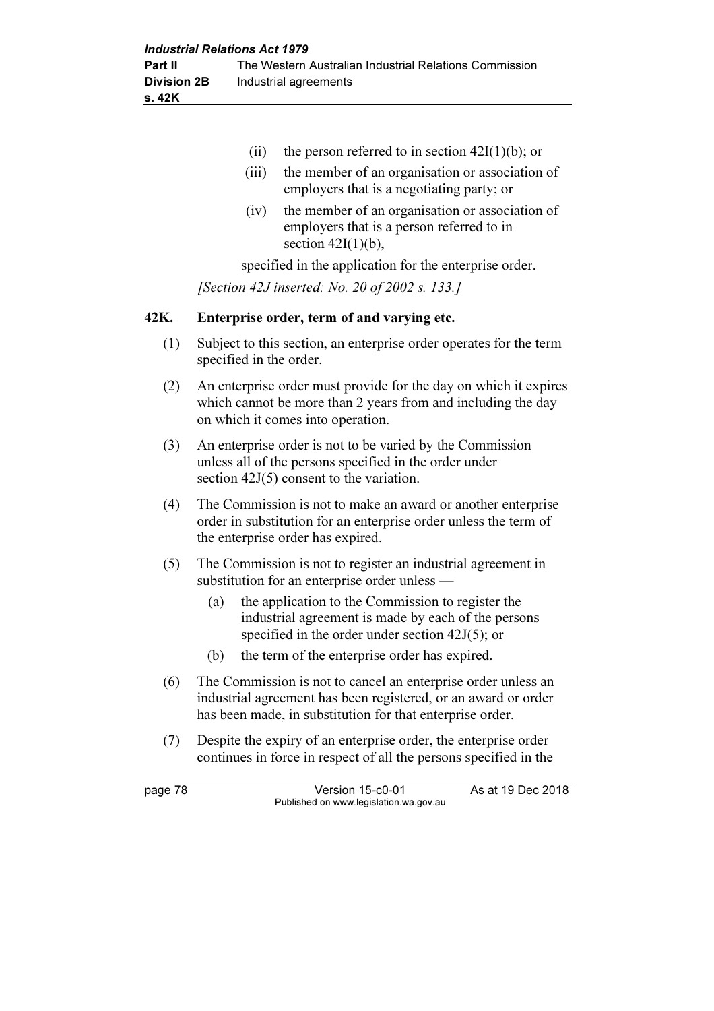- (ii) the person referred to in section  $42I(1)(b)$ ; or
- (iii) the member of an organisation or association of employers that is a negotiating party; or
- (iv) the member of an organisation or association of employers that is a person referred to in section  $42I(1)(b)$ ,

specified in the application for the enterprise order.

[Section 42J inserted: No. 20 of 2002 s. 133.]

#### 42K. Enterprise order, term of and varying etc.

- (1) Subject to this section, an enterprise order operates for the term specified in the order.
- (2) An enterprise order must provide for the day on which it expires which cannot be more than 2 years from and including the day on which it comes into operation.
- (3) An enterprise order is not to be varied by the Commission unless all of the persons specified in the order under section  $42J(5)$  consent to the variation.
- (4) The Commission is not to make an award or another enterprise order in substitution for an enterprise order unless the term of the enterprise order has expired.
- (5) The Commission is not to register an industrial agreement in substitution for an enterprise order unless —
	- (a) the application to the Commission to register the industrial agreement is made by each of the persons specified in the order under section 42J(5); or
	- (b) the term of the enterprise order has expired.
- (6) The Commission is not to cancel an enterprise order unless an industrial agreement has been registered, or an award or order has been made, in substitution for that enterprise order.
- (7) Despite the expiry of an enterprise order, the enterprise order continues in force in respect of all the persons specified in the

page 78 Version 15-c0-01 As at 19 Dec 2018 Published on www.legislation.wa.gov.au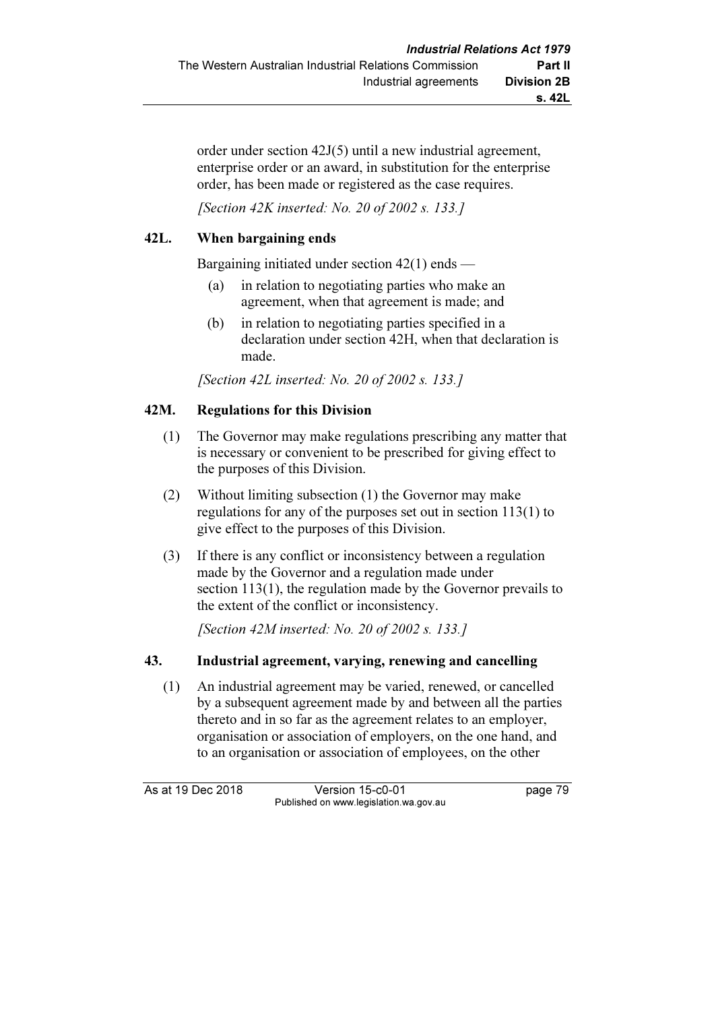order under section 42J(5) until a new industrial agreement, enterprise order or an award, in substitution for the enterprise order, has been made or registered as the case requires.

[Section 42K inserted: No. 20 of 2002 s. 133.]

## 42L. When bargaining ends

Bargaining initiated under section 42(1) ends —

- (a) in relation to negotiating parties who make an agreement, when that agreement is made; and
- (b) in relation to negotiating parties specified in a declaration under section 42H, when that declaration is made.

[Section 42L inserted: No. 20 of 2002 s. 133.]

### 42M. Regulations for this Division

- (1) The Governor may make regulations prescribing any matter that is necessary or convenient to be prescribed for giving effect to the purposes of this Division.
- (2) Without limiting subsection (1) the Governor may make regulations for any of the purposes set out in section 113(1) to give effect to the purposes of this Division.
- (3) If there is any conflict or inconsistency between a regulation made by the Governor and a regulation made under section 113(1), the regulation made by the Governor prevails to the extent of the conflict or inconsistency.

[Section 42M inserted: No. 20 of 2002 s. 133.]

### 43. Industrial agreement, varying, renewing and cancelling

 (1) An industrial agreement may be varied, renewed, or cancelled by a subsequent agreement made by and between all the parties thereto and in so far as the agreement relates to an employer, organisation or association of employers, on the one hand, and to an organisation or association of employees, on the other

As at 19 Dec 2018 Version 15-c0-01 page 79 Published on www.legislation.wa.gov.au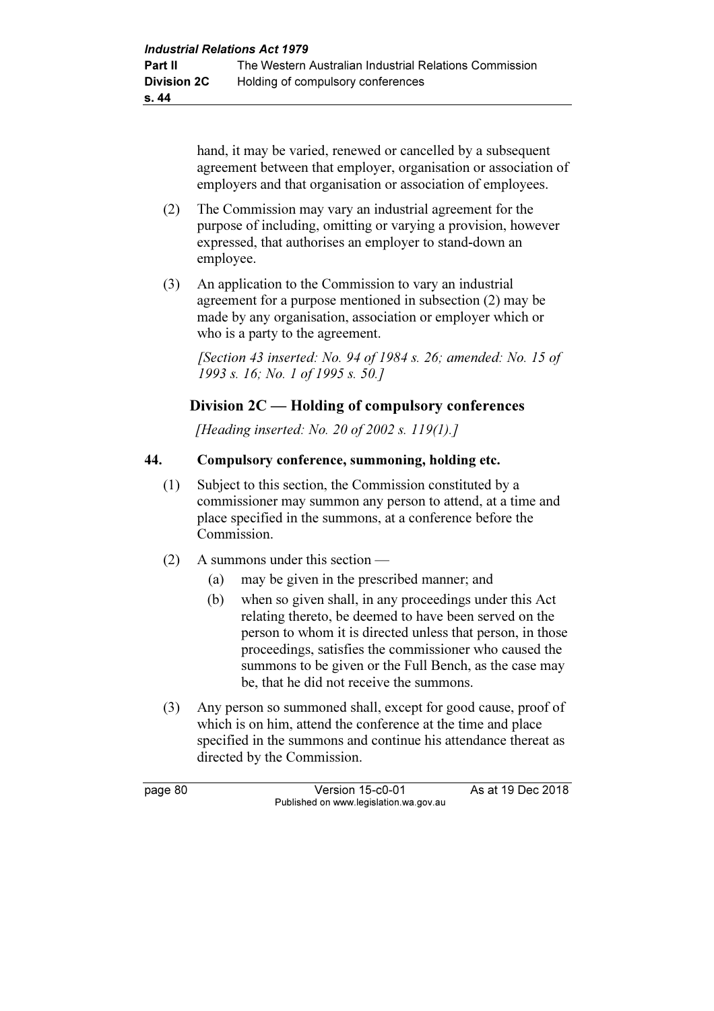hand, it may be varied, renewed or cancelled by a subsequent agreement between that employer, organisation or association of employers and that organisation or association of employees.

- (2) The Commission may vary an industrial agreement for the purpose of including, omitting or varying a provision, however expressed, that authorises an employer to stand-down an employee.
- (3) An application to the Commission to vary an industrial agreement for a purpose mentioned in subsection (2) may be made by any organisation, association or employer which or who is a party to the agreement.

[Section 43 inserted: No. 94 of 1984 s. 26; amended: No. 15 of 1993 s. 16; No. 1 of 1995 s. 50.]

# Division 2C — Holding of compulsory conferences

[Heading inserted: No. 20 of 2002 s. 119(1).]

## 44. Compulsory conference, summoning, holding etc.

- (1) Subject to this section, the Commission constituted by a commissioner may summon any person to attend, at a time and place specified in the summons, at a conference before the Commission.
- (2) A summons under this section
	- (a) may be given in the prescribed manner; and
	- (b) when so given shall, in any proceedings under this Act relating thereto, be deemed to have been served on the person to whom it is directed unless that person, in those proceedings, satisfies the commissioner who caused the summons to be given or the Full Bench, as the case may be, that he did not receive the summons.
- (3) Any person so summoned shall, except for good cause, proof of which is on him, attend the conference at the time and place specified in the summons and continue his attendance thereat as directed by the Commission.

page 80 Version 15-c0-01 As at 19 Dec 2018 Published on www.legislation.wa.gov.au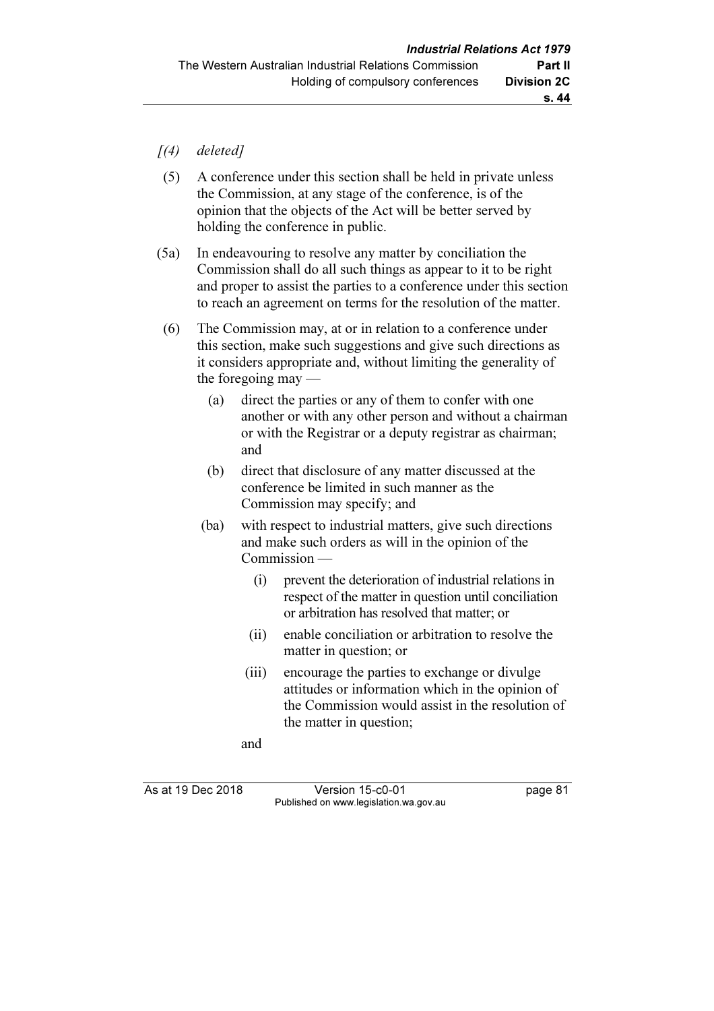- $(4)$  deleted]
- (5) A conference under this section shall be held in private unless the Commission, at any stage of the conference, is of the opinion that the objects of the Act will be better served by holding the conference in public.
- (5a) In endeavouring to resolve any matter by conciliation the Commission shall do all such things as appear to it to be right and proper to assist the parties to a conference under this section to reach an agreement on terms for the resolution of the matter.
- (6) The Commission may, at or in relation to a conference under this section, make such suggestions and give such directions as it considers appropriate and, without limiting the generality of the foregoing may —
	- (a) direct the parties or any of them to confer with one another or with any other person and without a chairman or with the Registrar or a deputy registrar as chairman; and
	- (b) direct that disclosure of any matter discussed at the conference be limited in such manner as the Commission may specify; and
	- (ba) with respect to industrial matters, give such directions and make such orders as will in the opinion of the Commission —
		- (i) prevent the deterioration of industrial relations in respect of the matter in question until conciliation or arbitration has resolved that matter; or
		- (ii) enable conciliation or arbitration to resolve the matter in question; or
		- (iii) encourage the parties to exchange or divulge attitudes or information which in the opinion of the Commission would assist in the resolution of the matter in question;
		- and

As at 19 Dec 2018 Version 15-c0-01 page 81 Published on www.legislation.wa.gov.au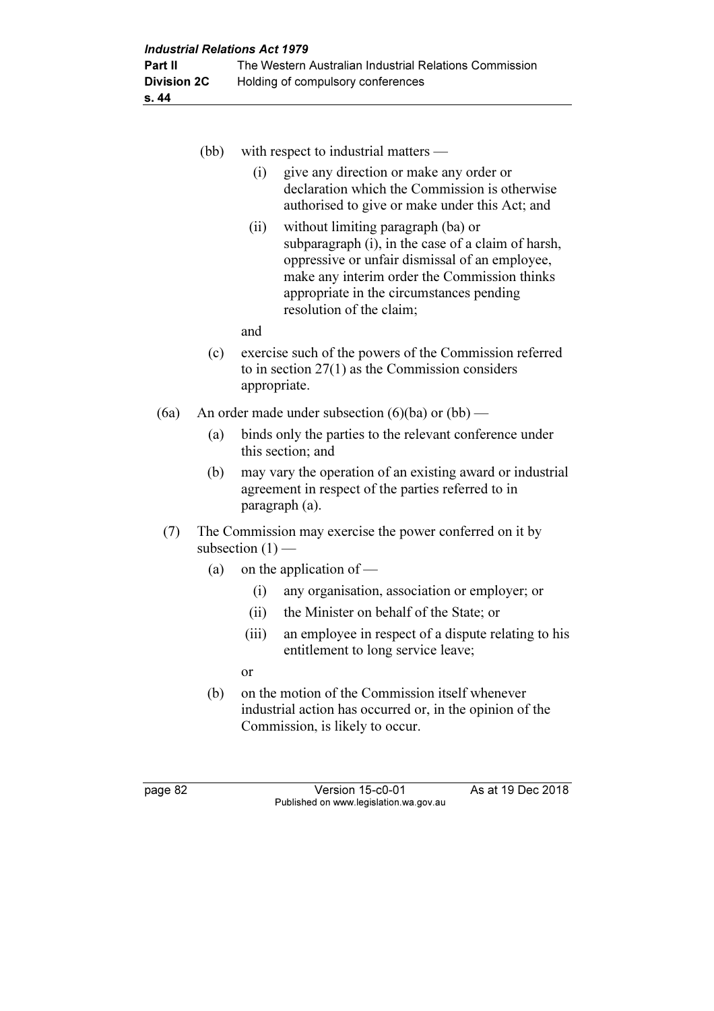|      | (bb)                                                                           | with respect to industrial matters —                                                                                                                                                                                                                                       |
|------|--------------------------------------------------------------------------------|----------------------------------------------------------------------------------------------------------------------------------------------------------------------------------------------------------------------------------------------------------------------------|
|      |                                                                                | give any direction or make any order or<br>(i)<br>declaration which the Commission is otherwise<br>authorised to give or make under this Act; and                                                                                                                          |
|      |                                                                                | without limiting paragraph (ba) or<br>(ii)<br>subparagraph (i), in the case of a claim of harsh,<br>oppressive or unfair dismissal of an employee,<br>make any interim order the Commission thinks<br>appropriate in the circumstances pending<br>resolution of the claim; |
|      |                                                                                | and                                                                                                                                                                                                                                                                        |
|      | (c)                                                                            | exercise such of the powers of the Commission referred<br>to in section $27(1)$ as the Commission considers<br>appropriate.                                                                                                                                                |
| (6a) |                                                                                | An order made under subsection $(6)(ba)$ or $(bb)$ —                                                                                                                                                                                                                       |
|      | (a)                                                                            | binds only the parties to the relevant conference under<br>this section; and                                                                                                                                                                                               |
|      | (b)                                                                            | may vary the operation of an existing award or industrial<br>agreement in respect of the parties referred to in<br>paragraph (a).                                                                                                                                          |
| (7)  | The Commission may exercise the power conferred on it by<br>subsection $(1)$ — |                                                                                                                                                                                                                                                                            |

- (a) on the application of  $-$ 
	- (i) any organisation, association or employer; or
	- (ii) the Minister on behalf of the State; or
	- (iii) an employee in respect of a dispute relating to his entitlement to long service leave;
	- or
- (b) on the motion of the Commission itself whenever industrial action has occurred or, in the opinion of the Commission, is likely to occur.

page 82 Version 15-c0-01 As at 19 Dec 2018 Published on www.legislation.wa.gov.au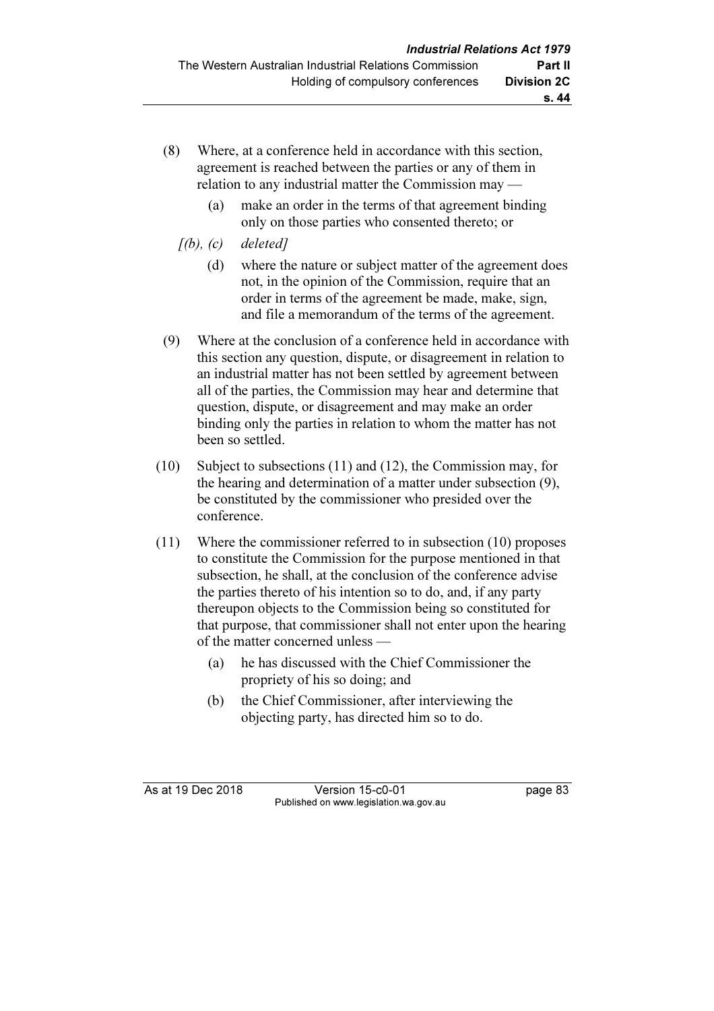- (8) Where, at a conference held in accordance with this section, agreement is reached between the parties or any of them in relation to any industrial matter the Commission may —
	- (a) make an order in the terms of that agreement binding only on those parties who consented thereto; or
	- $[(b), (c)$  deleted]
		- (d) where the nature or subject matter of the agreement does not, in the opinion of the Commission, require that an order in terms of the agreement be made, make, sign, and file a memorandum of the terms of the agreement.
- (9) Where at the conclusion of a conference held in accordance with this section any question, dispute, or disagreement in relation to an industrial matter has not been settled by agreement between all of the parties, the Commission may hear and determine that question, dispute, or disagreement and may make an order binding only the parties in relation to whom the matter has not been so settled.
- (10) Subject to subsections (11) and (12), the Commission may, for the hearing and determination of a matter under subsection (9), be constituted by the commissioner who presided over the conference.
- (11) Where the commissioner referred to in subsection (10) proposes to constitute the Commission for the purpose mentioned in that subsection, he shall, at the conclusion of the conference advise the parties thereto of his intention so to do, and, if any party thereupon objects to the Commission being so constituted for that purpose, that commissioner shall not enter upon the hearing of the matter concerned unless —
	- (a) he has discussed with the Chief Commissioner the propriety of his so doing; and
	- (b) the Chief Commissioner, after interviewing the objecting party, has directed him so to do.

As at 19 Dec 2018 Version 15-c0-01 page 83 Published on www.legislation.wa.gov.au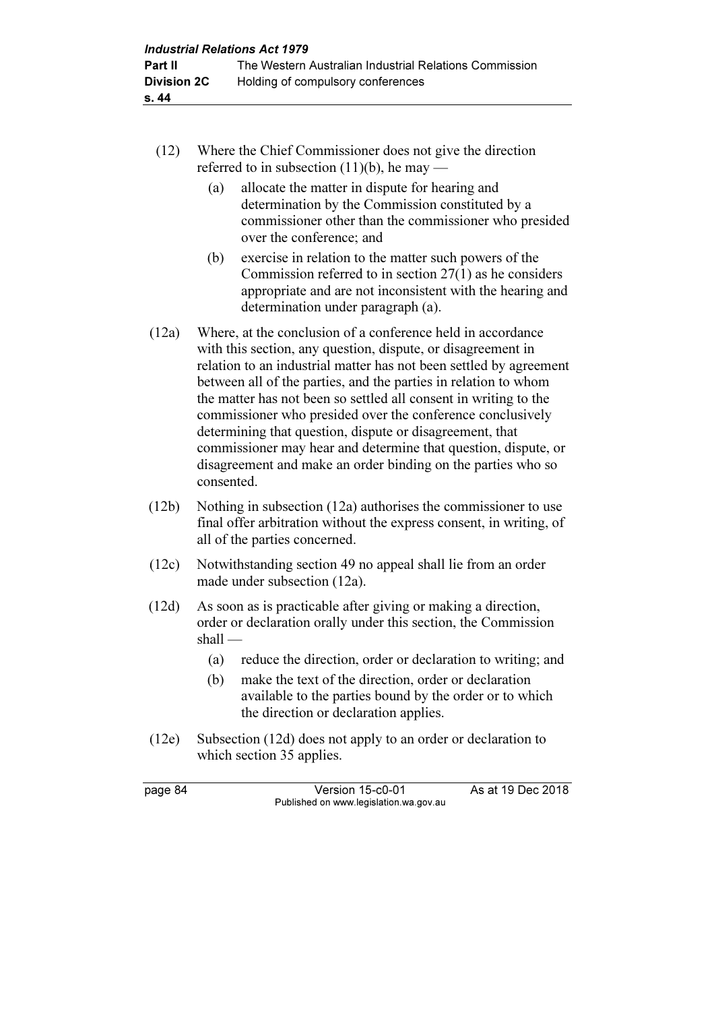- (12) Where the Chief Commissioner does not give the direction referred to in subsection  $(11)(b)$ , he may —
	- (a) allocate the matter in dispute for hearing and determination by the Commission constituted by a commissioner other than the commissioner who presided over the conference; and
	- (b) exercise in relation to the matter such powers of the Commission referred to in section 27(1) as he considers appropriate and are not inconsistent with the hearing and determination under paragraph (a).
- (12a) Where, at the conclusion of a conference held in accordance with this section, any question, dispute, or disagreement in relation to an industrial matter has not been settled by agreement between all of the parties, and the parties in relation to whom the matter has not been so settled all consent in writing to the commissioner who presided over the conference conclusively determining that question, dispute or disagreement, that commissioner may hear and determine that question, dispute, or disagreement and make an order binding on the parties who so consented.
- (12b) Nothing in subsection (12a) authorises the commissioner to use final offer arbitration without the express consent, in writing, of all of the parties concerned.
- (12c) Notwithstanding section 49 no appeal shall lie from an order made under subsection (12a).
- (12d) As soon as is practicable after giving or making a direction, order or declaration orally under this section, the Commission shall —
	- (a) reduce the direction, order or declaration to writing; and
	- (b) make the text of the direction, order or declaration available to the parties bound by the order or to which the direction or declaration applies.
- (12e) Subsection (12d) does not apply to an order or declaration to which section 35 applies.

page 84 Version 15-c0-01 As at 19 Dec 2018 Published on www.legislation.wa.gov.au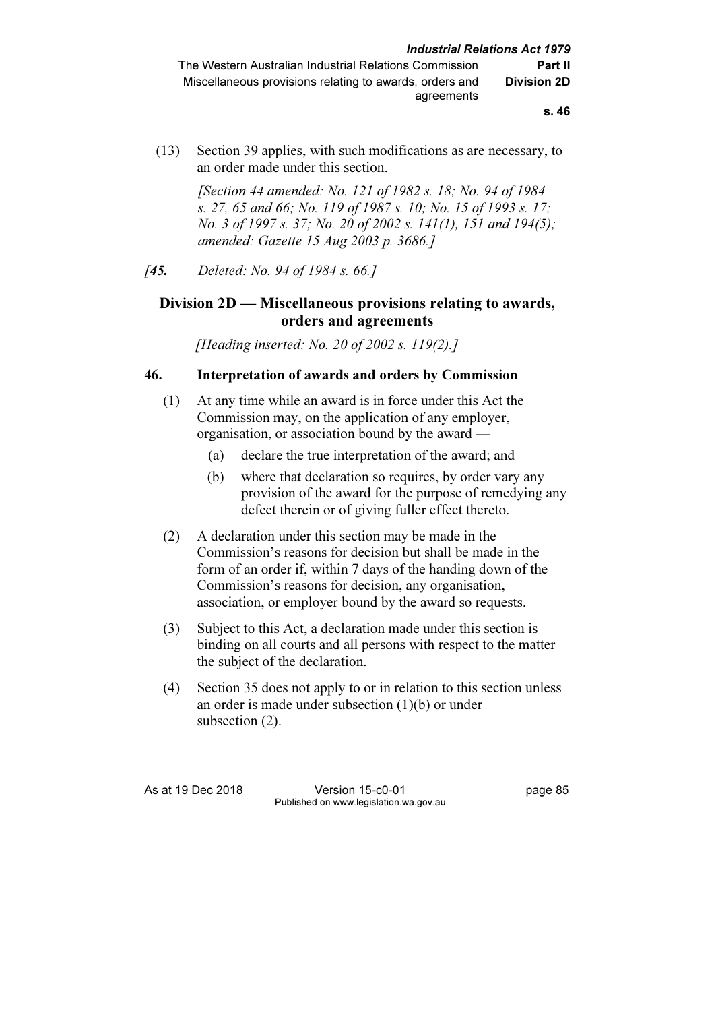(13) Section 39 applies, with such modifications as are necessary, to an order made under this section.

> [Section 44 amended: No. 121 of 1982 s. 18; No. 94 of 1984 s. 27, 65 and 66; No. 119 of 1987 s. 10; No. 15 of 1993 s. 17; No. 3 of 1997 s. 37; No. 20 of 2002 s. 141(1), 151 and 194(5); amended: Gazette 15 Aug 2003 p. 3686.]

[45. Deleted: No. 94 of 1984 s. 66.]

### Division 2D — Miscellaneous provisions relating to awards, orders and agreements

[Heading inserted: No. 20 of 2002 s. 119(2).]

#### 46. Interpretation of awards and orders by Commission

- (1) At any time while an award is in force under this Act the Commission may, on the application of any employer, organisation, or association bound by the award —
	- (a) declare the true interpretation of the award; and
	- (b) where that declaration so requires, by order vary any provision of the award for the purpose of remedying any defect therein or of giving fuller effect thereto.
- (2) A declaration under this section may be made in the Commission's reasons for decision but shall be made in the form of an order if, within 7 days of the handing down of the Commission's reasons for decision, any organisation, association, or employer bound by the award so requests.
- (3) Subject to this Act, a declaration made under this section is binding on all courts and all persons with respect to the matter the subject of the declaration.
- (4) Section 35 does not apply to or in relation to this section unless an order is made under subsection (1)(b) or under subsection (2).

As at 19 Dec 2018 Version 15-c0-01 page 85 Published on www.legislation.wa.gov.au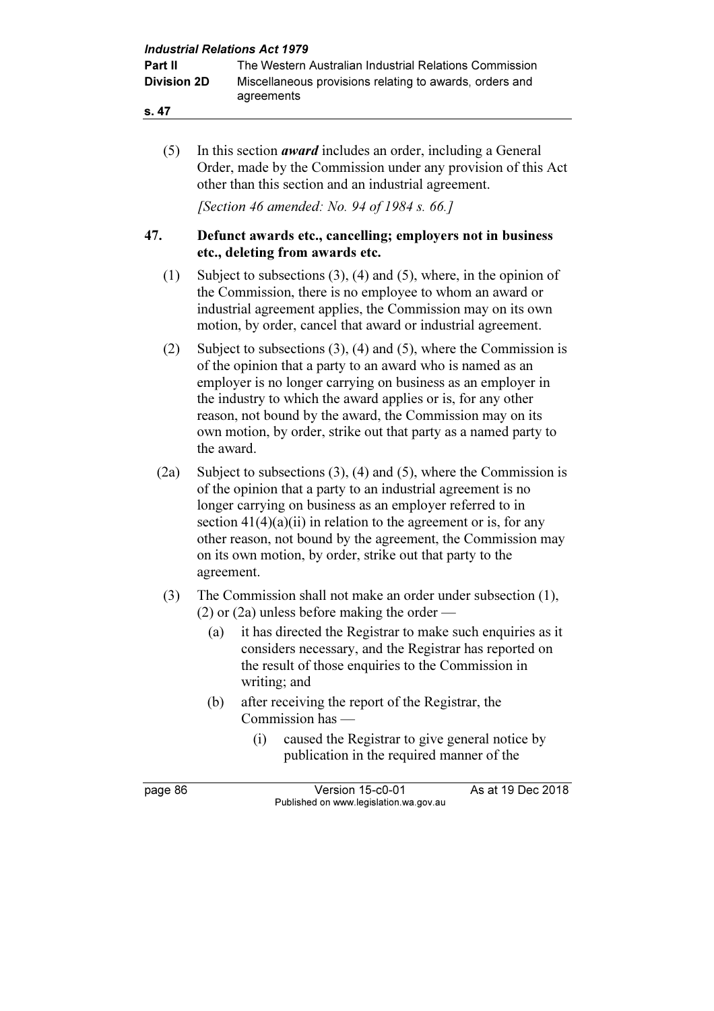| <b>Industrial Relations Act 1979</b> |                                                                                                                                                                                                                                                                                                                                                                                                                        |                                                                                                                                                                                                                                                                                                                                                                                                                                               |  |  |
|--------------------------------------|------------------------------------------------------------------------------------------------------------------------------------------------------------------------------------------------------------------------------------------------------------------------------------------------------------------------------------------------------------------------------------------------------------------------|-----------------------------------------------------------------------------------------------------------------------------------------------------------------------------------------------------------------------------------------------------------------------------------------------------------------------------------------------------------------------------------------------------------------------------------------------|--|--|
| Part II<br><b>Division 2D</b>        |                                                                                                                                                                                                                                                                                                                                                                                                                        | The Western Australian Industrial Relations Commission<br>Miscellaneous provisions relating to awards, orders and<br>agreements                                                                                                                                                                                                                                                                                                               |  |  |
| s. 47                                |                                                                                                                                                                                                                                                                                                                                                                                                                        |                                                                                                                                                                                                                                                                                                                                                                                                                                               |  |  |
| (5)                                  |                                                                                                                                                                                                                                                                                                                                                                                                                        | In this section <i>award</i> includes an order, including a General<br>Order, made by the Commission under any provision of this Act<br>other than this section and an industrial agreement.                                                                                                                                                                                                                                                  |  |  |
|                                      |                                                                                                                                                                                                                                                                                                                                                                                                                        | <i>[Section 46 amended: No. 94 of 1984 s. 66.]</i>                                                                                                                                                                                                                                                                                                                                                                                            |  |  |
| 47.                                  |                                                                                                                                                                                                                                                                                                                                                                                                                        | Defunct awards etc., cancelling; employers not in business<br>etc., deleting from awards etc.                                                                                                                                                                                                                                                                                                                                                 |  |  |
| (1)                                  |                                                                                                                                                                                                                                                                                                                                                                                                                        | Subject to subsections $(3)$ , $(4)$ and $(5)$ , where, in the opinion of<br>the Commission, there is no employee to whom an award or<br>industrial agreement applies, the Commission may on its own<br>motion, by order, cancel that award or industrial agreement.                                                                                                                                                                          |  |  |
| (2)                                  | Subject to subsections $(3)$ , $(4)$ and $(5)$ , where the Commission is<br>of the opinion that a party to an award who is named as an<br>employer is no longer carrying on business as an employer in<br>the industry to which the award applies or is, for any other<br>reason, not bound by the award, the Commission may on its<br>own motion, by order, strike out that party as a named party to<br>the award.   |                                                                                                                                                                                                                                                                                                                                                                                                                                               |  |  |
| (2a)                                 | Subject to subsections $(3)$ , $(4)$ and $(5)$ , where the Commission is<br>of the opinion that a party to an industrial agreement is no<br>longer carrying on business as an employer referred to in<br>section $41(4)(a)(ii)$ in relation to the agreement or is, for any<br>other reason, not bound by the agreement, the Commission may<br>on its own motion, by order, strike out that party to the<br>agreement. |                                                                                                                                                                                                                                                                                                                                                                                                                                               |  |  |
| (3)                                  | (a)<br>(b)                                                                                                                                                                                                                                                                                                                                                                                                             | The Commission shall not make an order under subsection (1),<br>$(2)$ or $(2a)$ unless before making the order<br>it has directed the Registrar to make such enquiries as it<br>considers necessary, and the Registrar has reported on<br>the result of those enquiries to the Commission in<br>writing; and<br>after receiving the report of the Registrar, the<br>Commission has —<br>(i)<br>caused the Registrar to give general notice by |  |  |
|                                      |                                                                                                                                                                                                                                                                                                                                                                                                                        | publication in the required manner of the                                                                                                                                                                                                                                                                                                                                                                                                     |  |  |
| page 86                              |                                                                                                                                                                                                                                                                                                                                                                                                                        | As at 19 Dec 2018<br>Version 15-c0-01<br>Published on www.legislation.wa.gov.au                                                                                                                                                                                                                                                                                                                                                               |  |  |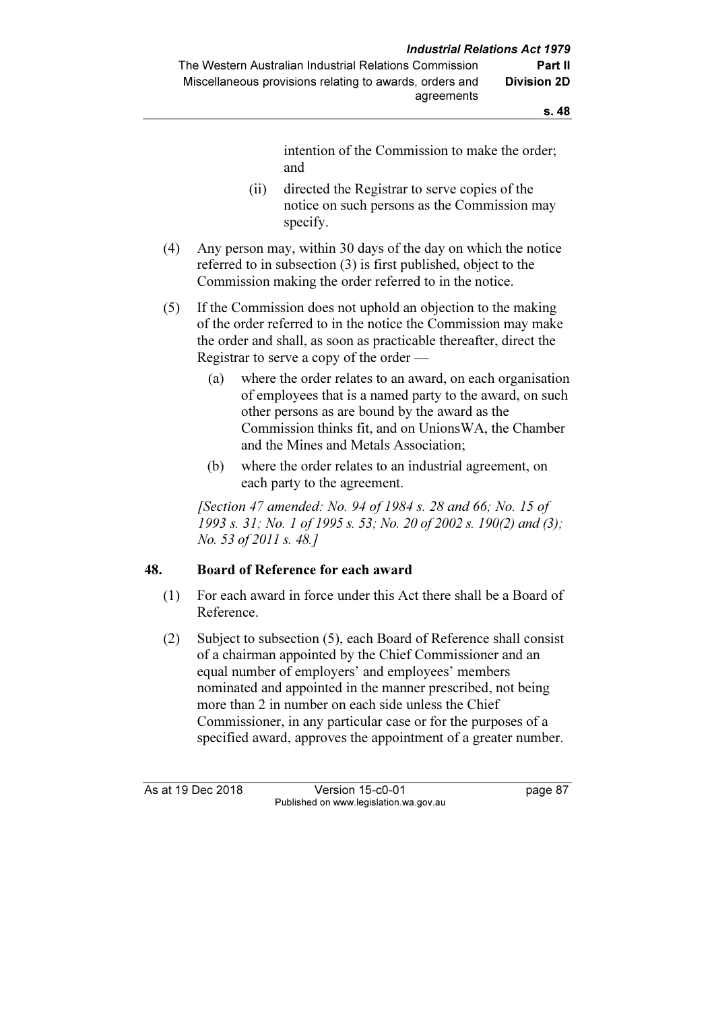intention of the Commission to make the order; and

- (ii) directed the Registrar to serve copies of the notice on such persons as the Commission may specify.
- (4) Any person may, within 30 days of the day on which the notice referred to in subsection (3) is first published, object to the Commission making the order referred to in the notice.
- (5) If the Commission does not uphold an objection to the making of the order referred to in the notice the Commission may make the order and shall, as soon as practicable thereafter, direct the Registrar to serve a copy of the order —
	- (a) where the order relates to an award, on each organisation of employees that is a named party to the award, on such other persons as are bound by the award as the Commission thinks fit, and on UnionsWA, the Chamber and the Mines and Metals Association;
	- (b) where the order relates to an industrial agreement, on each party to the agreement.

[Section 47 amended: No. 94 of 1984 s. 28 and 66; No. 15 of 1993 s. 31; No. 1 of 1995 s. 53; No. 20 of 2002 s. 190(2) and (3); No. 53 of 2011 s. 48.]

### 48. Board of Reference for each award

- (1) For each award in force under this Act there shall be a Board of Reference.
- (2) Subject to subsection (5), each Board of Reference shall consist of a chairman appointed by the Chief Commissioner and an equal number of employers' and employees' members nominated and appointed in the manner prescribed, not being more than 2 in number on each side unless the Chief Commissioner, in any particular case or for the purposes of a specified award, approves the appointment of a greater number.

As at 19 Dec 2018 Version 15-c0-01 page 87 Published on www.legislation.wa.gov.au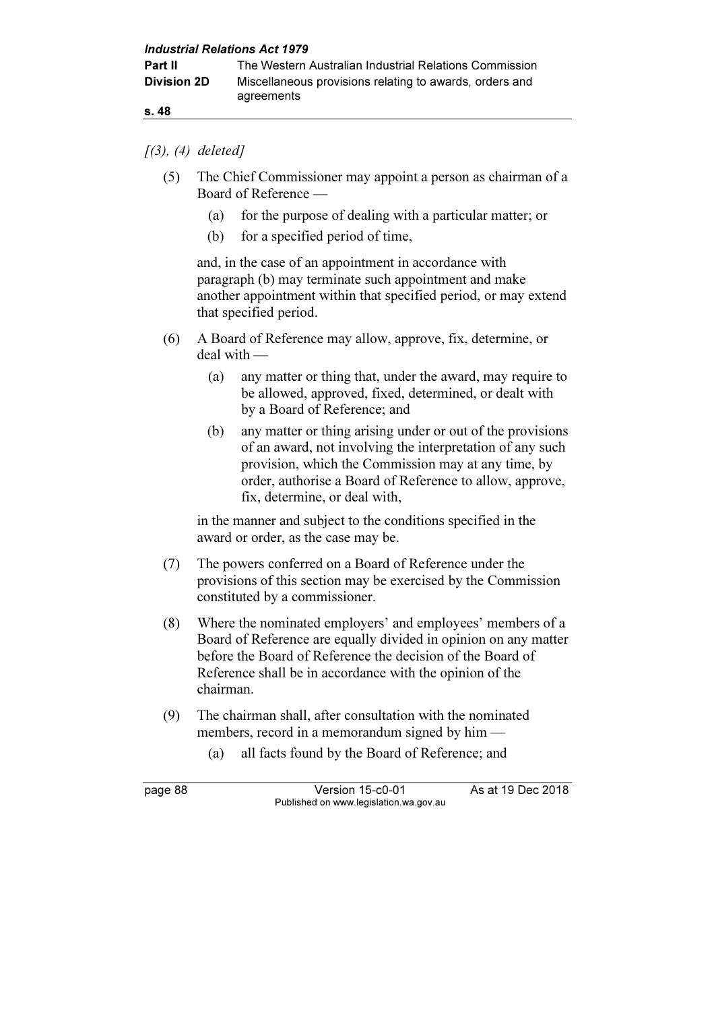s. 48

#### $(3), (4)$  deleted]

- (5) The Chief Commissioner may appoint a person as chairman of a Board of Reference —
	- (a) for the purpose of dealing with a particular matter; or
	- (b) for a specified period of time,

 and, in the case of an appointment in accordance with paragraph (b) may terminate such appointment and make another appointment within that specified period, or may extend that specified period.

- (6) A Board of Reference may allow, approve, fix, determine, or deal with —
	- (a) any matter or thing that, under the award, may require to be allowed, approved, fixed, determined, or dealt with by a Board of Reference; and
	- (b) any matter or thing arising under or out of the provisions of an award, not involving the interpretation of any such provision, which the Commission may at any time, by order, authorise a Board of Reference to allow, approve, fix, determine, or deal with,

 in the manner and subject to the conditions specified in the award or order, as the case may be.

- (7) The powers conferred on a Board of Reference under the provisions of this section may be exercised by the Commission constituted by a commissioner.
- (8) Where the nominated employers' and employees' members of a Board of Reference are equally divided in opinion on any matter before the Board of Reference the decision of the Board of Reference shall be in accordance with the opinion of the chairman.
- (9) The chairman shall, after consultation with the nominated members, record in a memorandum signed by him —
	- (a) all facts found by the Board of Reference; and

page 88 Version 15-c0-01 As at 19 Dec 2018 Published on www.legislation.wa.gov.au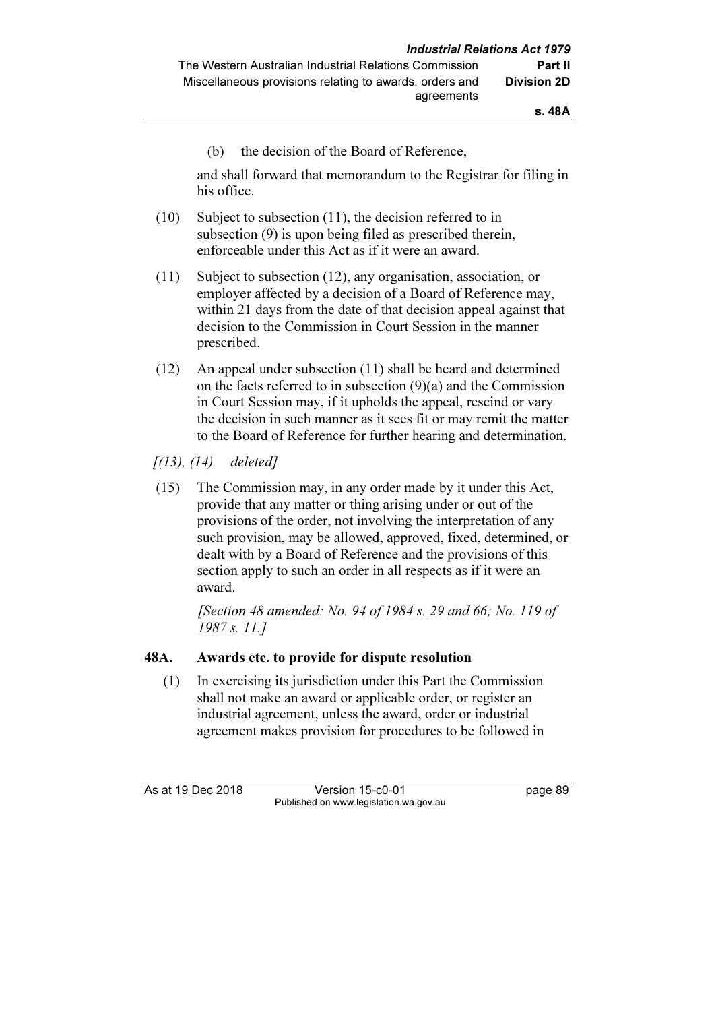(b) the decision of the Board of Reference,

 and shall forward that memorandum to the Registrar for filing in his office.

- (10) Subject to subsection (11), the decision referred to in subsection (9) is upon being filed as prescribed therein, enforceable under this Act as if it were an award.
- (11) Subject to subsection (12), any organisation, association, or employer affected by a decision of a Board of Reference may, within 21 days from the date of that decision appeal against that decision to the Commission in Court Session in the manner prescribed.
- (12) An appeal under subsection (11) shall be heard and determined on the facts referred to in subsection (9)(a) and the Commission in Court Session may, if it upholds the appeal, rescind or vary the decision in such manner as it sees fit or may remit the matter to the Board of Reference for further hearing and determination.

 $[(13), (14)$  deleted]

 (15) The Commission may, in any order made by it under this Act, provide that any matter or thing arising under or out of the provisions of the order, not involving the interpretation of any such provision, may be allowed, approved, fixed, determined, or dealt with by a Board of Reference and the provisions of this section apply to such an order in all respects as if it were an award.

> [Section 48 amended: No. 94 of 1984 s. 29 and 66; No. 119 of 1987 s. 11.]

### 48A. Awards etc. to provide for dispute resolution

 (1) In exercising its jurisdiction under this Part the Commission shall not make an award or applicable order, or register an industrial agreement, unless the award, order or industrial agreement makes provision for procedures to be followed in

As at 19 Dec 2018 Version 15-c0-01 page 89 Published on www.legislation.wa.gov.au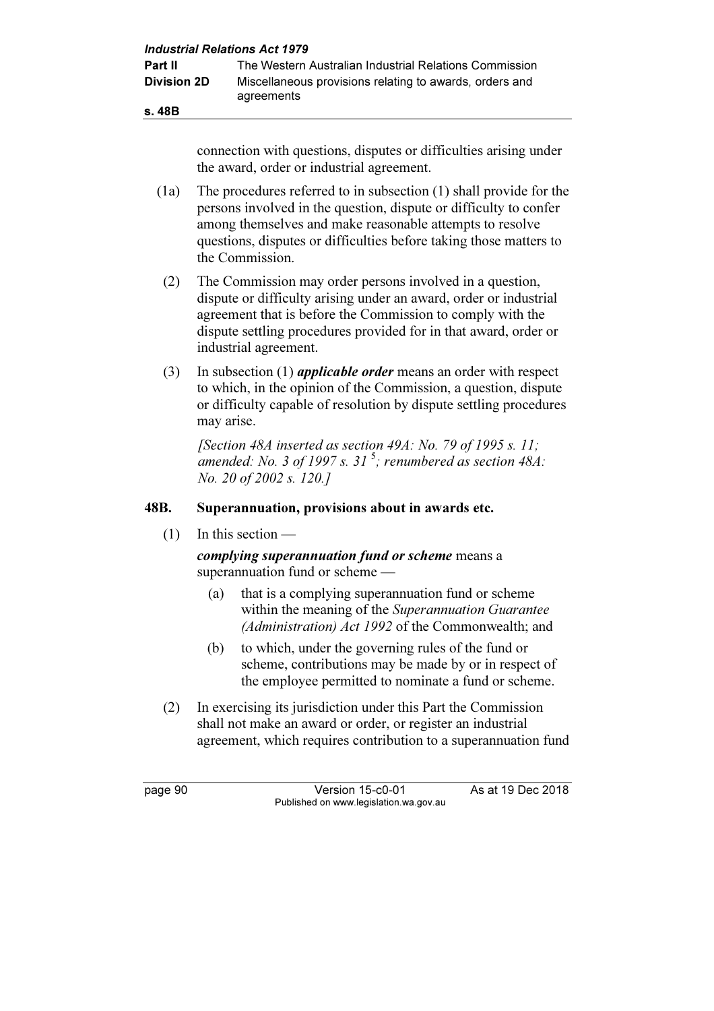|                    | <b>Industrial Relations Act 1979</b>                                                                           |  |
|--------------------|----------------------------------------------------------------------------------------------------------------|--|
| <b>Part II</b>     | The Western Australian Industrial Relations Commission                                                         |  |
| <b>Division 2D</b> | Miscellaneous provisions relating to awards, orders and<br>agreements                                          |  |
| s. 48B             |                                                                                                                |  |
|                    | connection with questions, disputes or difficulties arising under<br>the award, order or industrial agreement. |  |

 (1a) The procedures referred to in subsection (1) shall provide for the persons involved in the question, dispute or difficulty to confer among themselves and make reasonable attempts to resolve questions, disputes or difficulties before taking those matters to the Commission.

- (2) The Commission may order persons involved in a question, dispute or difficulty arising under an award, order or industrial agreement that is before the Commission to comply with the dispute settling procedures provided for in that award, order or industrial agreement.
- (3) In subsection (1) *applicable order* means an order with respect to which, in the opinion of the Commission, a question, dispute or difficulty capable of resolution by dispute settling procedures may arise.

[Section 48A inserted as section 49A: No. 79 of 1995 s. 11: amended: No. 3 of 1997 s. 31<sup>5</sup>; renumbered as section 48A: No. 20 of 2002 s. 120.]

### 48B. Superannuation, provisions about in awards etc.

(1) In this section —

complying superannuation fund or scheme means a superannuation fund or scheme —

- (a) that is a complying superannuation fund or scheme within the meaning of the Superannuation Guarantee (Administration) Act 1992 of the Commonwealth; and
- (b) to which, under the governing rules of the fund or scheme, contributions may be made by or in respect of the employee permitted to nominate a fund or scheme.
- (2) In exercising its jurisdiction under this Part the Commission shall not make an award or order, or register an industrial agreement, which requires contribution to a superannuation fund

page 90 Version 15-c0-01 As at 19 Dec 2018 Published on www.legislation.wa.gov.au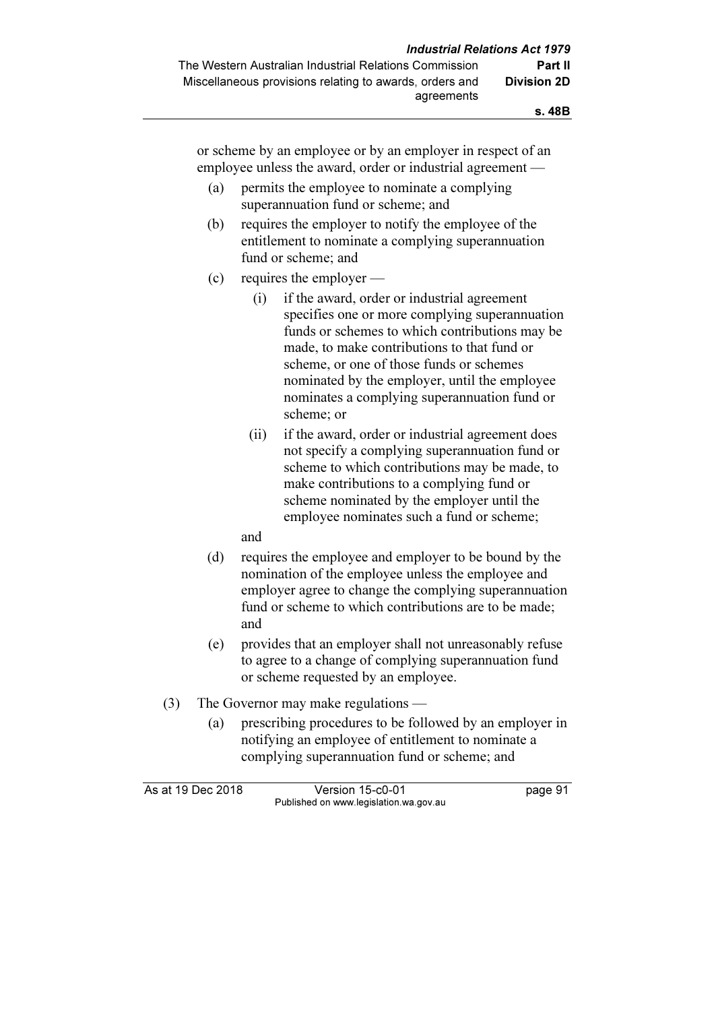or scheme by an employee or by an employer in respect of an employee unless the award, order or industrial agreement —

- (a) permits the employee to nominate a complying superannuation fund or scheme; and
- (b) requires the employer to notify the employee of the entitlement to nominate a complying superannuation fund or scheme; and
- (c) requires the employer
	- (i) if the award, order or industrial agreement specifies one or more complying superannuation funds or schemes to which contributions may be made, to make contributions to that fund or scheme, or one of those funds or schemes nominated by the employer, until the employee nominates a complying superannuation fund or scheme; or
	- (ii) if the award, order or industrial agreement does not specify a complying superannuation fund or scheme to which contributions may be made, to make contributions to a complying fund or scheme nominated by the employer until the employee nominates such a fund or scheme;
	- and
- (d) requires the employee and employer to be bound by the nomination of the employee unless the employee and employer agree to change the complying superannuation fund or scheme to which contributions are to be made; and
- (e) provides that an employer shall not unreasonably refuse to agree to a change of complying superannuation fund or scheme requested by an employee.
- (3) The Governor may make regulations
	- (a) prescribing procedures to be followed by an employer in notifying an employee of entitlement to nominate a complying superannuation fund or scheme; and

As at 19 Dec 2018 Version 15-c0-01 page 91 Published on www.legislation.wa.gov.au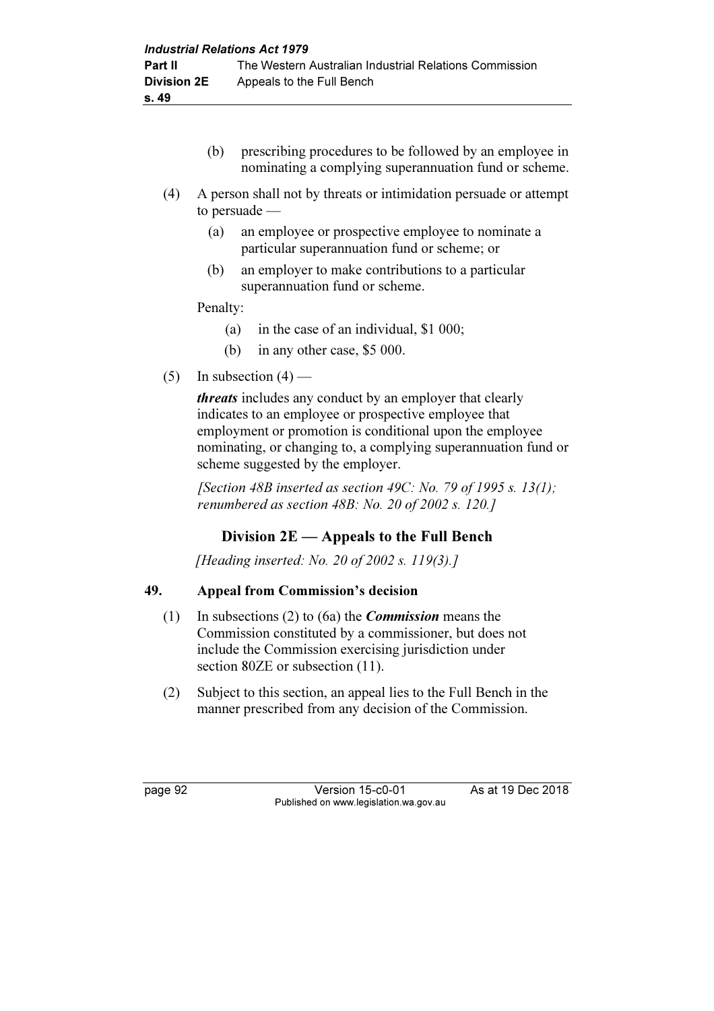- (b) prescribing procedures to be followed by an employee in nominating a complying superannuation fund or scheme.
- (4) A person shall not by threats or intimidation persuade or attempt to persuade —
	- (a) an employee or prospective employee to nominate a particular superannuation fund or scheme; or
	- (b) an employer to make contributions to a particular superannuation fund or scheme.

Penalty:

- (a) in the case of an individual, \$1 000;
- (b) in any other case, \$5 000.
- (5) In subsection  $(4)$  —

threats includes any conduct by an employer that clearly indicates to an employee or prospective employee that employment or promotion is conditional upon the employee nominating, or changing to, a complying superannuation fund or scheme suggested by the employer.

[Section 48B inserted as section 49C: No. 79 of 1995 s. 13(1); renumbered as section 48B: No. 20 of 2002 s. 120.]

# Division 2E — Appeals to the Full Bench

[Heading inserted: No. 20 of 2002 s. 119(3).]

## 49. Appeal from Commission's decision

- (1) In subsections (2) to (6a) the *Commission* means the Commission constituted by a commissioner, but does not include the Commission exercising jurisdiction under section 80ZE or subsection (11).
- (2) Subject to this section, an appeal lies to the Full Bench in the manner prescribed from any decision of the Commission.

page 92 Version 15-c0-01 As at 19 Dec 2018 Published on www.legislation.wa.gov.au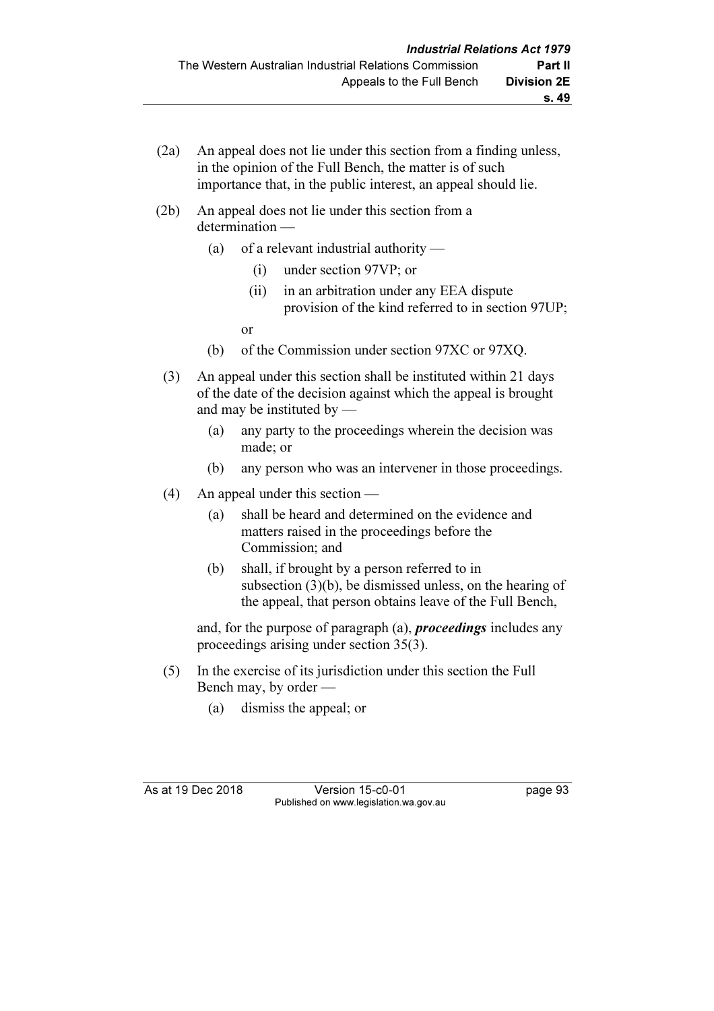- (2a) An appeal does not lie under this section from a finding unless, in the opinion of the Full Bench, the matter is of such importance that, in the public interest, an appeal should lie.
- (2b) An appeal does not lie under this section from a determination —
	- (a) of a relevant industrial authority
		- (i) under section 97VP; or
		- (ii) in an arbitration under any EEA dispute provision of the kind referred to in section 97UP;
- or
	- (b) of the Commission under section 97XC or 97XQ.
	- (3) An appeal under this section shall be instituted within 21 days of the date of the decision against which the appeal is brought and may be instituted by —
		- (a) any party to the proceedings wherein the decision was made; or
		- (b) any person who was an intervener in those proceedings.
	- (4) An appeal under this section
		- (a) shall be heard and determined on the evidence and matters raised in the proceedings before the Commission; and
		- (b) shall, if brought by a person referred to in subsection (3)(b), be dismissed unless, on the hearing of the appeal, that person obtains leave of the Full Bench,

and, for the purpose of paragraph  $(a)$ , *proceedings* includes any proceedings arising under section 35(3).

- (5) In the exercise of its jurisdiction under this section the Full Bench may, by order —
	- (a) dismiss the appeal; or

As at 19 Dec 2018 Version 15-c0-01 page 93 Published on www.legislation.wa.gov.au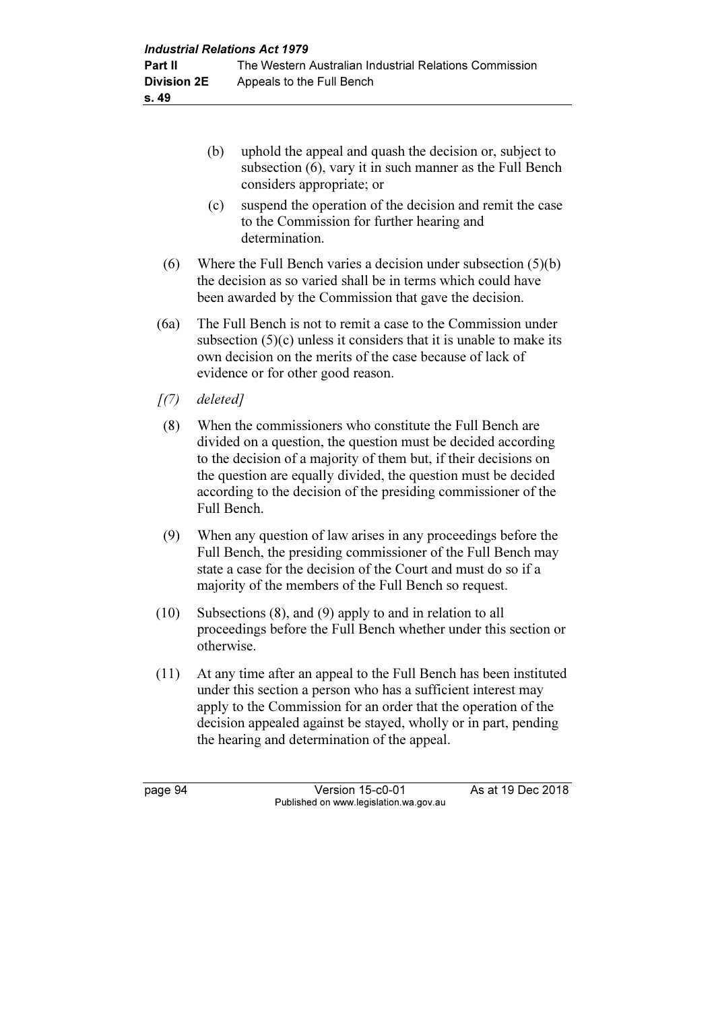- (b) uphold the appeal and quash the decision or, subject to subsection (6), vary it in such manner as the Full Bench considers appropriate; or
- (c) suspend the operation of the decision and remit the case to the Commission for further hearing and determination.
- (6) Where the Full Bench varies a decision under subsection (5)(b) the decision as so varied shall be in terms which could have been awarded by the Commission that gave the decision.
- (6a) The Full Bench is not to remit a case to the Commission under subsection (5)(c) unless it considers that it is unable to make its own decision on the merits of the case because of lack of evidence or for other good reason.
- $(7)$  deleted]
- (8) When the commissioners who constitute the Full Bench are divided on a question, the question must be decided according to the decision of a majority of them but, if their decisions on the question are equally divided, the question must be decided according to the decision of the presiding commissioner of the Full Bench.
- (9) When any question of law arises in any proceedings before the Full Bench, the presiding commissioner of the Full Bench may state a case for the decision of the Court and must do so if a majority of the members of the Full Bench so request.
- (10) Subsections (8), and (9) apply to and in relation to all proceedings before the Full Bench whether under this section or otherwise.
- (11) At any time after an appeal to the Full Bench has been instituted under this section a person who has a sufficient interest may apply to the Commission for an order that the operation of the decision appealed against be stayed, wholly or in part, pending the hearing and determination of the appeal.

page 94 Version 15-c0-01 As at 19 Dec 2018 Published on www.legislation.wa.gov.au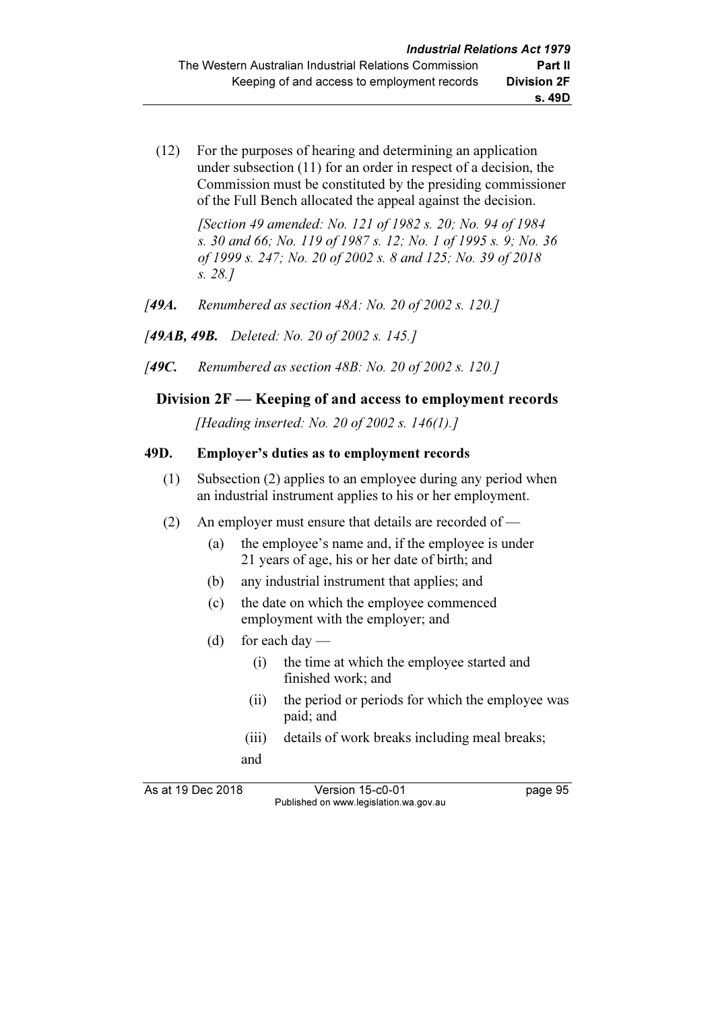(12) For the purposes of hearing and determining an application under subsection (11) for an order in respect of a decision, the Commission must be constituted by the presiding commissioner of the Full Bench allocated the appeal against the decision.

> [Section 49 amended: No. 121 of 1982 s. 20; No. 94 of 1984 s. 30 and 66; No. 119 of 1987 s. 12; No. 1 of 1995 s. 9; No. 36 of 1999 s. 247; No. 20 of 2002 s. 8 and 125; No. 39 of 2018 s. 28.]

- [49A. Renumbered as section  $48A$ : No. 20 of 2002 s. 120.]
- [49AB, 49B. Deleted: No. 20 of 2002 s. 145.]
- [49C. Renumbered as section 48B: No. 20 of 2002 s. 120.]

## Division 2F — Keeping of and access to employment records

[Heading inserted: No. 20 of 2002 s. 146(1).]

### 49D. Employer's duties as to employment records

- (1) Subsection (2) applies to an employee during any period when an industrial instrument applies to his or her employment.
- (2) An employer must ensure that details are recorded of
	- (a) the employee's name and, if the employee is under 21 years of age, his or her date of birth; and
	- (b) any industrial instrument that applies; and
	- (c) the date on which the employee commenced employment with the employer; and
	- (d) for each day
		- (i) the time at which the employee started and finished work; and
		- (ii) the period or periods for which the employee was paid; and
		- (iii) details of work breaks including meal breaks;
		- and

As at 19 Dec 2018 Version 15-c0-01 page 95 Published on www.legislation.wa.gov.au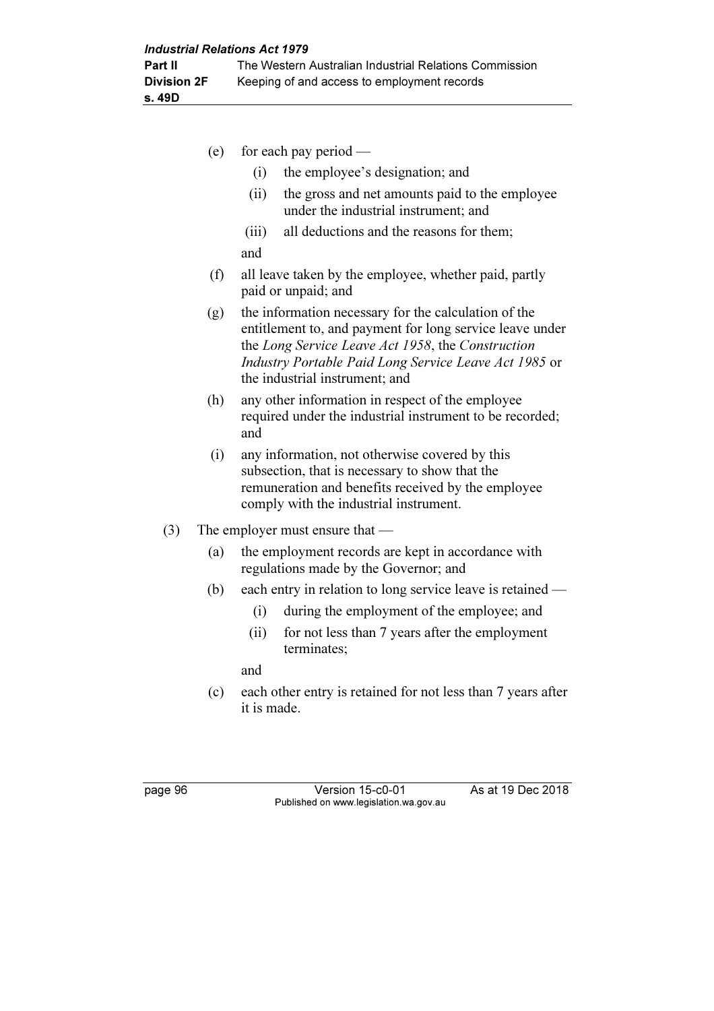- (e) for each pay period (i) the employee's designation; and (ii) the gross and net amounts paid to the employee under the industrial instrument; and (iii) all deductions and the reasons for them; and (f) all leave taken by the employee, whether paid, partly paid or unpaid; and (g) the information necessary for the calculation of the entitlement to, and payment for long service leave under the Long Service Leave Act 1958, the Construction Industry Portable Paid Long Service Leave Act 1985 or the industrial instrument; and (h) any other information in respect of the employee required under the industrial instrument to be recorded; and (i) any information, not otherwise covered by this subsection, that is necessary to show that the remuneration and benefits received by the employee comply with the industrial instrument. (3) The employer must ensure that — (a) the employment records are kept in accordance with regulations made by the Governor; and
	- (b) each entry in relation to long service leave is retained
		- (i) during the employment of the employee; and
		- (ii) for not less than 7 years after the employment terminates;

and

 (c) each other entry is retained for not less than 7 years after it is made.

page 96 Version 15-c0-01 As at 19 Dec 2018 Published on www.legislation.wa.gov.au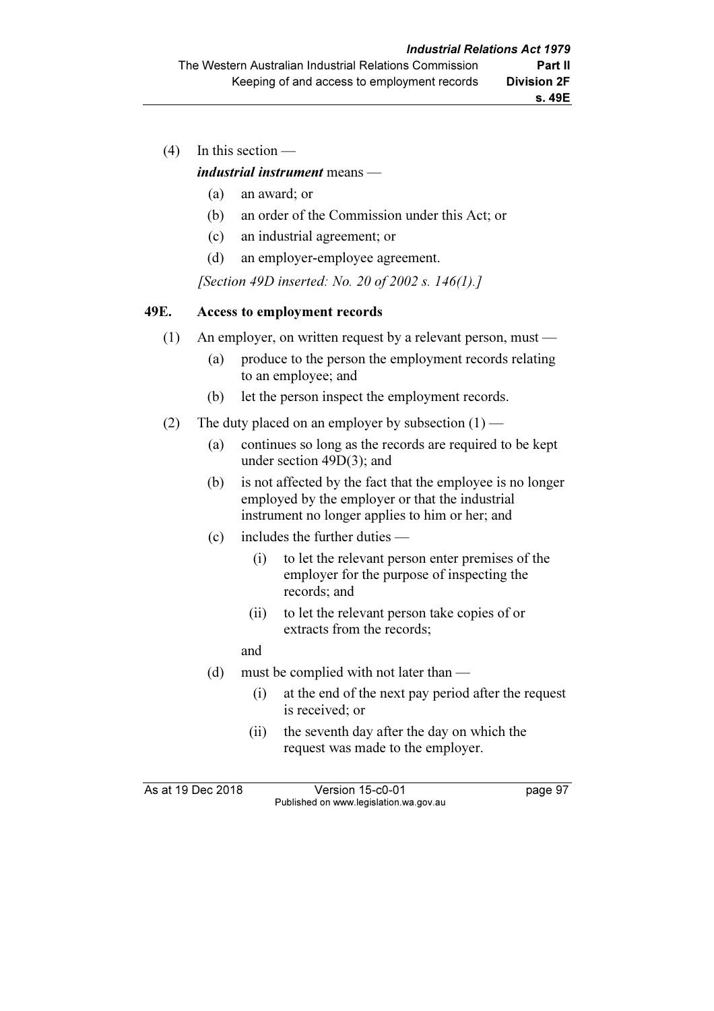(4) In this section —

### industrial instrument means —

- (a) an award; or
- (b) an order of the Commission under this Act; or
- (c) an industrial agreement; or
- (d) an employer-employee agreement.

[Section 49D inserted: No. 20 of 2002 s. 146(1).]

### 49E. Access to employment records

- (1) An employer, on written request by a relevant person, must
	- (a) produce to the person the employment records relating to an employee; and
	- (b) let the person inspect the employment records.
- (2) The duty placed on an employer by subsection  $(1)$ 
	- (a) continues so long as the records are required to be kept under section 49D(3); and
	- (b) is not affected by the fact that the employee is no longer employed by the employer or that the industrial instrument no longer applies to him or her; and
	- (c) includes the further duties
		- (i) to let the relevant person enter premises of the employer for the purpose of inspecting the records; and
		- (ii) to let the relevant person take copies of or extracts from the records;
		- and
	- (d) must be complied with not later than
		- (i) at the end of the next pay period after the request is received; or
		- (ii) the seventh day after the day on which the request was made to the employer.

As at 19 Dec 2018 Version 15-c0-01 page 97 Published on www.legislation.wa.gov.au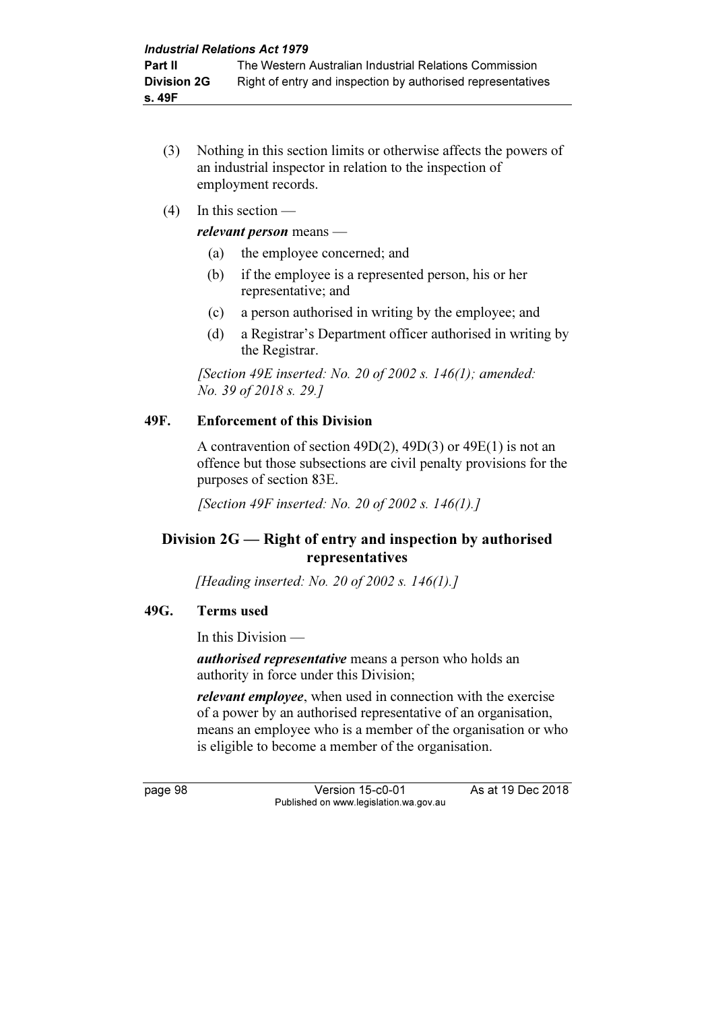- (3) Nothing in this section limits or otherwise affects the powers of an industrial inspector in relation to the inspection of employment records.
- (4) In this section —

### relevant person means —

- (a) the employee concerned; and
- (b) if the employee is a represented person, his or her representative; and
- (c) a person authorised in writing by the employee; and
- (d) a Registrar's Department officer authorised in writing by the Registrar.

[Section 49E inserted: No. 20 of 2002 s.  $146(1)$ ; amended: No. 39 of 2018 s. 29.]

### 49F. Enforcement of this Division

 A contravention of section 49D(2), 49D(3) or 49E(1) is not an offence but those subsections are civil penalty provisions for the purposes of section 83E.

[Section 49F inserted: No. 20 of 2002 s. 146(1).]

# Division 2G — Right of entry and inspection by authorised representatives

[Heading inserted: No. 20 of 2002 s. 146(1).]

## 49G. Terms used

In this Division —

authorised representative means a person who holds an authority in force under this Division;

relevant employee, when used in connection with the exercise of a power by an authorised representative of an organisation, means an employee who is a member of the organisation or who is eligible to become a member of the organisation.

page 98 Version 15-c0-01 As at 19 Dec 2018 Published on www.legislation.wa.gov.au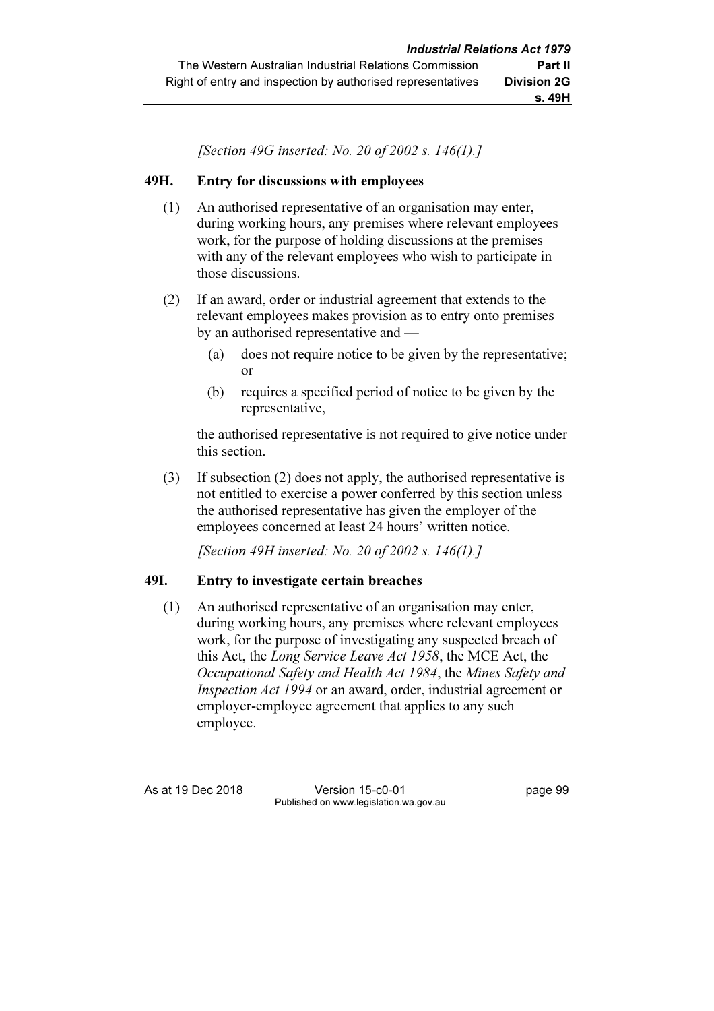[Section 49G inserted: No. 20 of 2002 s. 146(1).]

### 49H. Entry for discussions with employees

- (1) An authorised representative of an organisation may enter, during working hours, any premises where relevant employees work, for the purpose of holding discussions at the premises with any of the relevant employees who wish to participate in those discussions.
- (2) If an award, order or industrial agreement that extends to the relevant employees makes provision as to entry onto premises by an authorised representative and —
	- (a) does not require notice to be given by the representative; or
	- (b) requires a specified period of notice to be given by the representative,

 the authorised representative is not required to give notice under this section.

 (3) If subsection (2) does not apply, the authorised representative is not entitled to exercise a power conferred by this section unless the authorised representative has given the employer of the employees concerned at least 24 hours' written notice.

[Section 49H inserted: No. 20 of 2002 s. 146(1).]

## 49I. Entry to investigate certain breaches

 (1) An authorised representative of an organisation may enter, during working hours, any premises where relevant employees work, for the purpose of investigating any suspected breach of this Act, the Long Service Leave Act 1958, the MCE Act, the Occupational Safety and Health Act 1984, the Mines Safety and Inspection Act 1994 or an award, order, industrial agreement or employer-employee agreement that applies to any such employee.

As at 19 Dec 2018 Version 15-c0-01 page 99 Published on www.legislation.wa.gov.au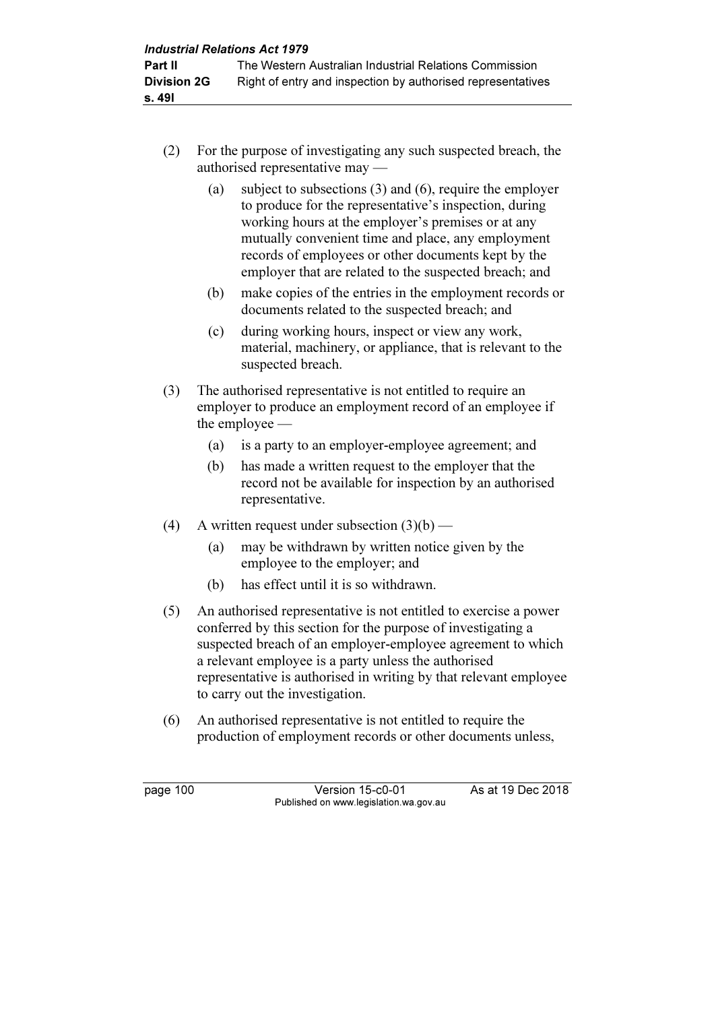- (2) For the purpose of investigating any such suspected breach, the authorised representative may —
	- (a) subject to subsections (3) and (6), require the employer to produce for the representative's inspection, during working hours at the employer's premises or at any mutually convenient time and place, any employment records of employees or other documents kept by the employer that are related to the suspected breach; and
	- (b) make copies of the entries in the employment records or documents related to the suspected breach; and
	- (c) during working hours, inspect or view any work, material, machinery, or appliance, that is relevant to the suspected breach.
- (3) The authorised representative is not entitled to require an employer to produce an employment record of an employee if the employee —
	- (a) is a party to an employer-employee agreement; and
	- (b) has made a written request to the employer that the record not be available for inspection by an authorised representative.
- (4) A written request under subsection  $(3)(b)$ 
	- (a) may be withdrawn by written notice given by the employee to the employer; and
	- (b) has effect until it is so withdrawn.
- (5) An authorised representative is not entitled to exercise a power conferred by this section for the purpose of investigating a suspected breach of an employer-employee agreement to which a relevant employee is a party unless the authorised representative is authorised in writing by that relevant employee to carry out the investigation.
- (6) An authorised representative is not entitled to require the production of employment records or other documents unless,

page 100 Version 15-c0-01 As at 19 Dec 2018 Published on www.legislation.wa.gov.au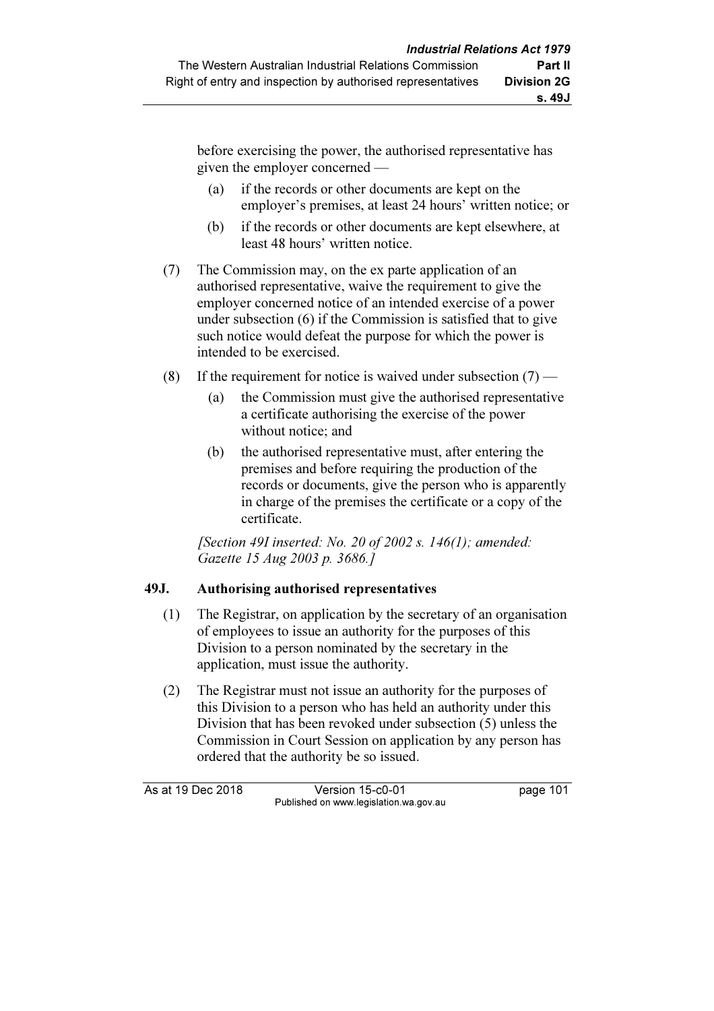before exercising the power, the authorised representative has given the employer concerned —

- (a) if the records or other documents are kept on the employer's premises, at least 24 hours' written notice; or
- (b) if the records or other documents are kept elsewhere, at least 48 hours' written notice.
- (7) The Commission may, on the ex parte application of an authorised representative, waive the requirement to give the employer concerned notice of an intended exercise of a power under subsection (6) if the Commission is satisfied that to give such notice would defeat the purpose for which the power is intended to be exercised.
- (8) If the requirement for notice is waived under subsection  $(7)$ 
	- (a) the Commission must give the authorised representative a certificate authorising the exercise of the power without notice; and
	- (b) the authorised representative must, after entering the premises and before requiring the production of the records or documents, give the person who is apparently in charge of the premises the certificate or a copy of the certificate.

[Section 49I inserted: No. 20 of 2002 s. 146(1); amended: Gazette 15 Aug 2003 p. 3686.]

## 49J. Authorising authorised representatives

- (1) The Registrar, on application by the secretary of an organisation of employees to issue an authority for the purposes of this Division to a person nominated by the secretary in the application, must issue the authority.
- (2) The Registrar must not issue an authority for the purposes of this Division to a person who has held an authority under this Division that has been revoked under subsection (5) unless the Commission in Court Session on application by any person has ordered that the authority be so issued.

As at 19 Dec 2018 Version 15-c0-01 page 101 Published on www.legislation.wa.gov.au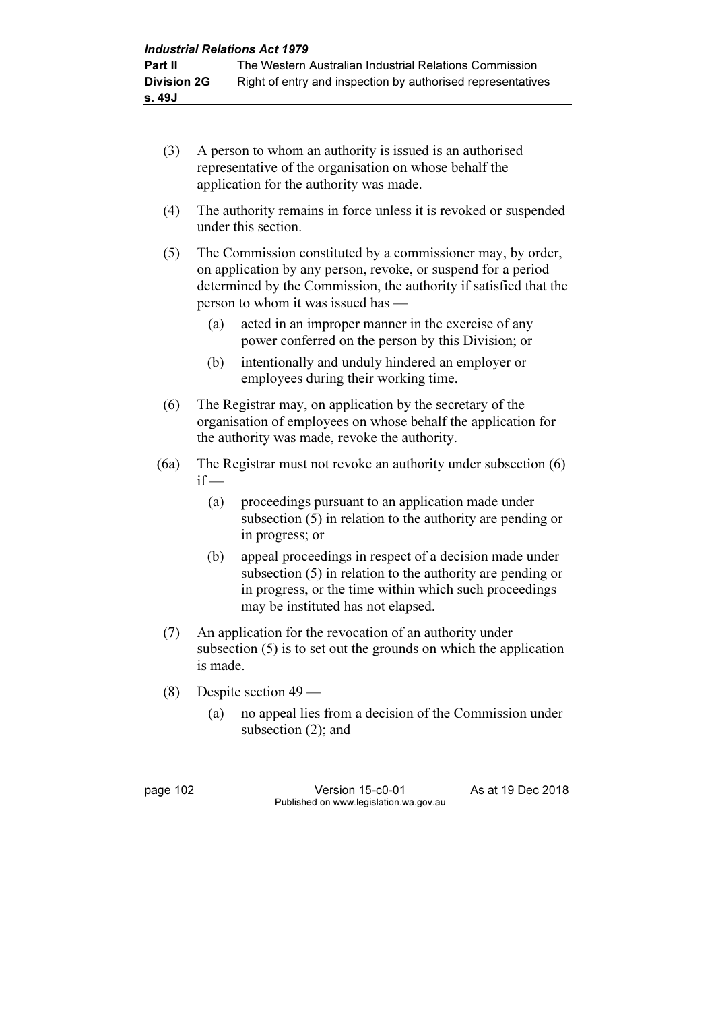- (3) A person to whom an authority is issued is an authorised representative of the organisation on whose behalf the application for the authority was made.
- (4) The authority remains in force unless it is revoked or suspended under this section.
- (5) The Commission constituted by a commissioner may, by order, on application by any person, revoke, or suspend for a period determined by the Commission, the authority if satisfied that the person to whom it was issued has —
	- (a) acted in an improper manner in the exercise of any power conferred on the person by this Division; or
	- (b) intentionally and unduly hindered an employer or employees during their working time.
- (6) The Registrar may, on application by the secretary of the organisation of employees on whose behalf the application for the authority was made, revoke the authority.
- (6a) The Registrar must not revoke an authority under subsection (6)  $if -$ 
	- (a) proceedings pursuant to an application made under subsection (5) in relation to the authority are pending or in progress; or
	- (b) appeal proceedings in respect of a decision made under subsection (5) in relation to the authority are pending or in progress, or the time within which such proceedings may be instituted has not elapsed.
- (7) An application for the revocation of an authority under subsection (5) is to set out the grounds on which the application is made.
- (8) Despite section 49
	- (a) no appeal lies from a decision of the Commission under subsection (2); and

page 102 Version 15-c0-01 As at 19 Dec 2018 Published on www.legislation.wa.gov.au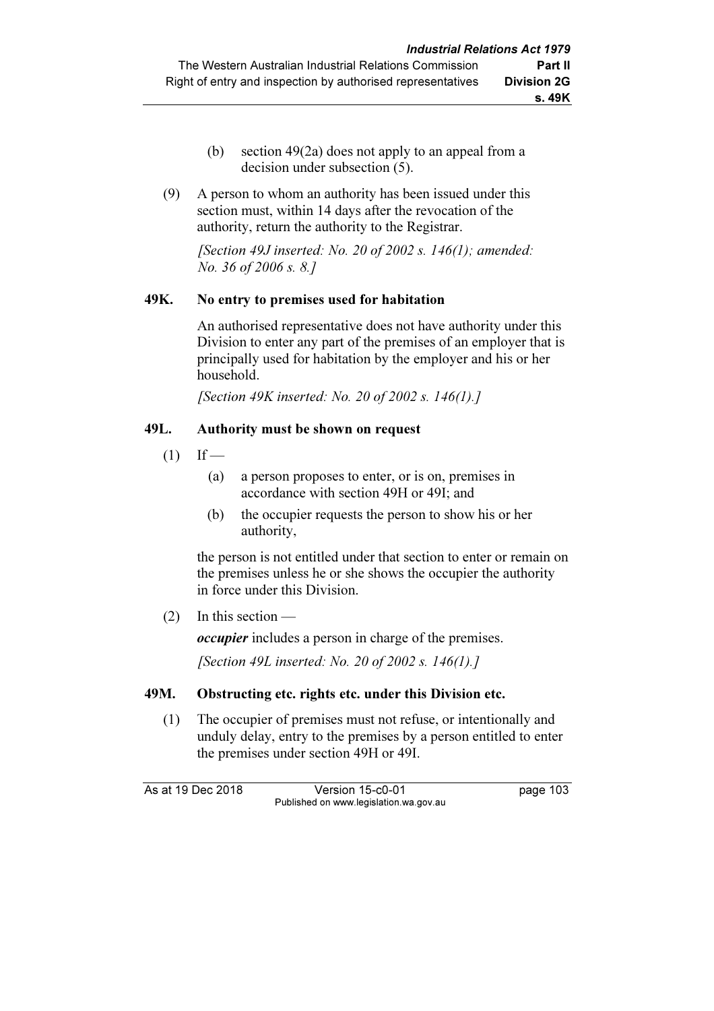- (b) section 49(2a) does not apply to an appeal from a decision under subsection (5).
- (9) A person to whom an authority has been issued under this section must, within 14 days after the revocation of the authority, return the authority to the Registrar.

[Section 49J inserted: No. 20 of 2002 s.  $146(1)$ ; amended: No. 36 of 2006 s. 8.]

## 49K. No entry to premises used for habitation

 An authorised representative does not have authority under this Division to enter any part of the premises of an employer that is principally used for habitation by the employer and his or her household.

[Section 49K inserted: No. 20 of 2002 s. 146(1).]

## 49L. Authority must be shown on request

- $(1)$  If
	- (a) a person proposes to enter, or is on, premises in accordance with section 49H or 49I; and
	- (b) the occupier requests the person to show his or her authority,

 the person is not entitled under that section to enter or remain on the premises unless he or she shows the occupier the authority in force under this Division.

(2) In this section —

occupier includes a person in charge of the premises.

[Section 49L inserted: No. 20 of 2002 s. 146(1).]

## 49M. Obstructing etc. rights etc. under this Division etc.

 (1) The occupier of premises must not refuse, or intentionally and unduly delay, entry to the premises by a person entitled to enter the premises under section 49H or 49I.

As at 19 Dec 2018 Version 15-c0-01 page 103 Published on www.legislation.wa.gov.au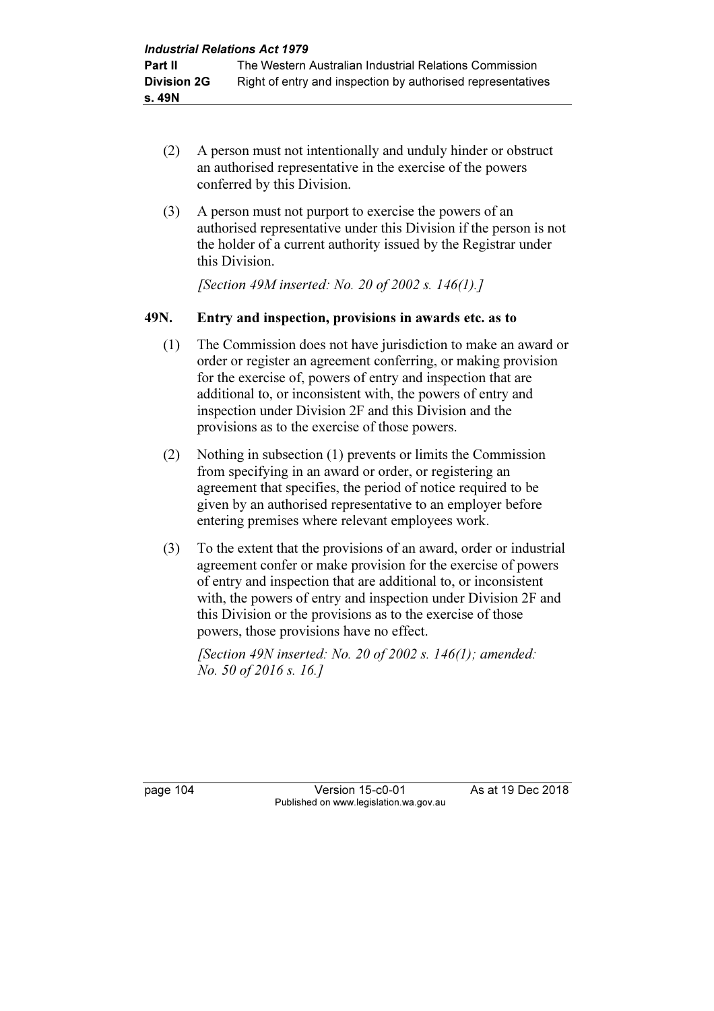- (2) A person must not intentionally and unduly hinder or obstruct an authorised representative in the exercise of the powers conferred by this Division.
- (3) A person must not purport to exercise the powers of an authorised representative under this Division if the person is not the holder of a current authority issued by the Registrar under this Division.

[Section 49M inserted: No. 20 of 2002 s. 146(1).]

## 49N. Entry and inspection, provisions in awards etc. as to

- (1) The Commission does not have jurisdiction to make an award or order or register an agreement conferring, or making provision for the exercise of, powers of entry and inspection that are additional to, or inconsistent with, the powers of entry and inspection under Division 2F and this Division and the provisions as to the exercise of those powers.
- (2) Nothing in subsection (1) prevents or limits the Commission from specifying in an award or order, or registering an agreement that specifies, the period of notice required to be given by an authorised representative to an employer before entering premises where relevant employees work.
- (3) To the extent that the provisions of an award, order or industrial agreement confer or make provision for the exercise of powers of entry and inspection that are additional to, or inconsistent with, the powers of entry and inspection under Division 2F and this Division or the provisions as to the exercise of those powers, those provisions have no effect.

[Section 49N inserted: No. 20 of 2002 s.  $146(1)$ ; amended: No. 50 of 2016 s. 16.]

page 104 Version 15-c0-01 As at 19 Dec 2018 Published on www.legislation.wa.gov.au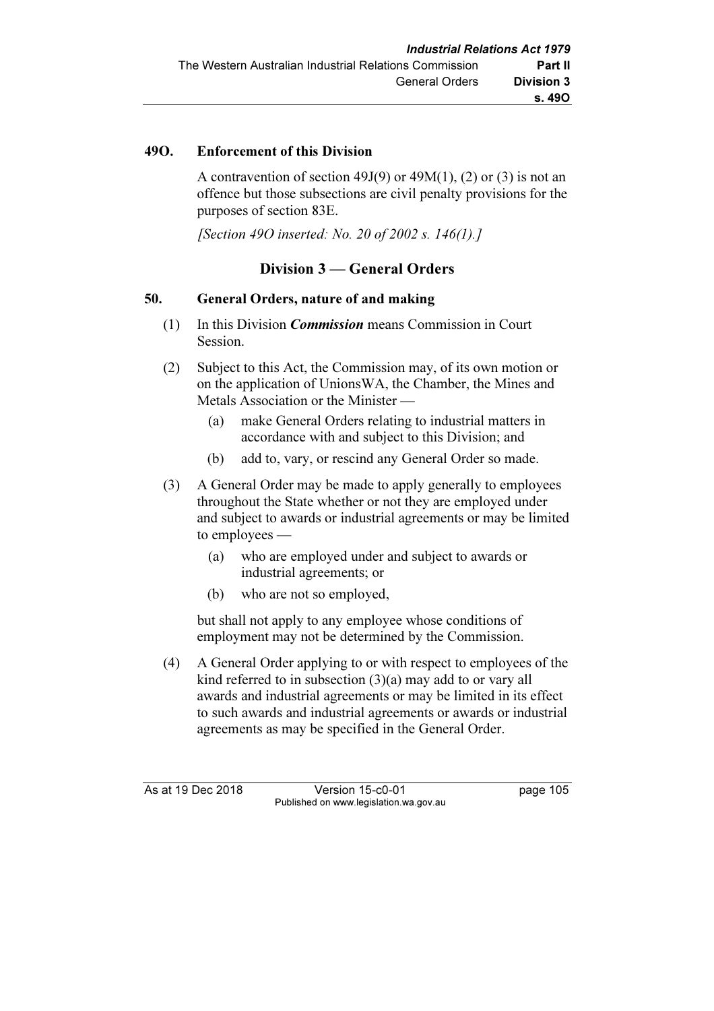# 49O. Enforcement of this Division

A contravention of section 49J(9) or  $49M(1)$ , (2) or (3) is not an offence but those subsections are civil penalty provisions for the purposes of section 83E.

[Section 490 inserted: No. 20 of 2002 s. 146(1).]

# Division 3 — General Orders

## 50. General Orders, nature of and making

- (1) In this Division Commission means Commission in Court Session.
- (2) Subject to this Act, the Commission may, of its own motion or on the application of UnionsWA, the Chamber, the Mines and Metals Association or the Minister —
	- (a) make General Orders relating to industrial matters in accordance with and subject to this Division; and
	- (b) add to, vary, or rescind any General Order so made.
- (3) A General Order may be made to apply generally to employees throughout the State whether or not they are employed under and subject to awards or industrial agreements or may be limited to employees —
	- (a) who are employed under and subject to awards or industrial agreements; or
	- (b) who are not so employed,

 but shall not apply to any employee whose conditions of employment may not be determined by the Commission.

 (4) A General Order applying to or with respect to employees of the kind referred to in subsection (3)(a) may add to or vary all awards and industrial agreements or may be limited in its effect to such awards and industrial agreements or awards or industrial agreements as may be specified in the General Order.

As at 19 Dec 2018 Version 15-c0-01 page 105 Published on www.legislation.wa.gov.au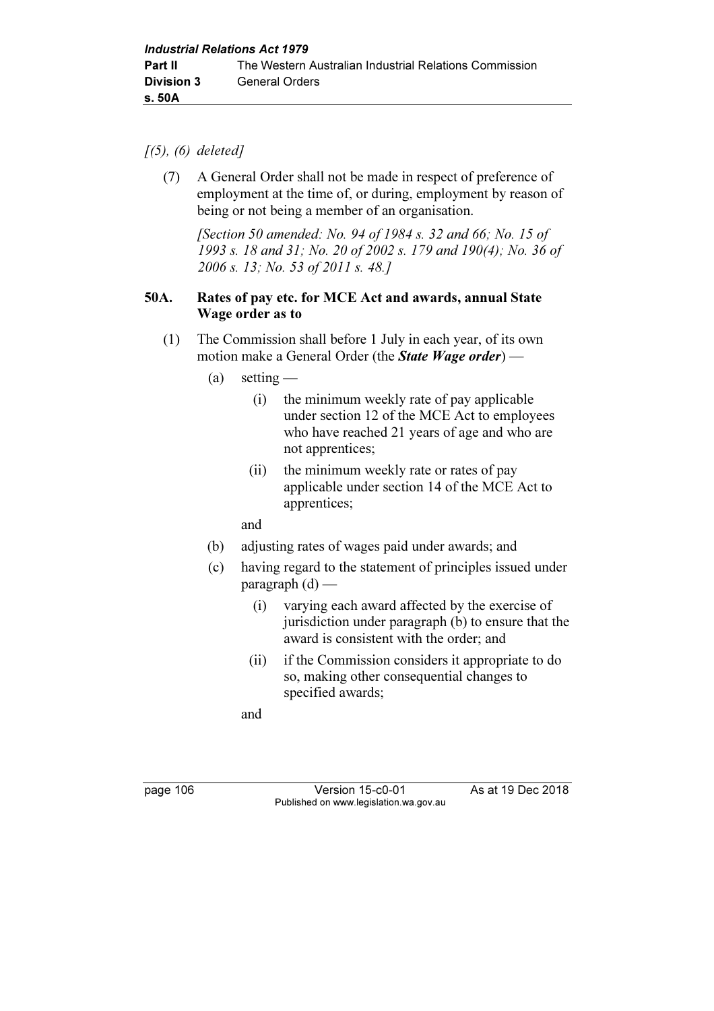### $(5)$ ,  $(6)$  deleted]

 (7) A General Order shall not be made in respect of preference of employment at the time of, or during, employment by reason of being or not being a member of an organisation.

 [Section 50 amended: No. 94 of 1984 s. 32 and 66; No. 15 of 1993 s. 18 and 31; No. 20 of 2002 s. 179 and 190(4); No. 36 of 2006 s. 13; No. 53 of 2011 s. 48.]

### 50A. Rates of pay etc. for MCE Act and awards, annual State Wage order as to

- (1) The Commission shall before 1 July in each year, of its own motion make a General Order (the **State Wage order)** —
	- (a) setting
		- (i) the minimum weekly rate of pay applicable under section 12 of the MCE Act to employees who have reached 21 years of age and who are not apprentices;
		- (ii) the minimum weekly rate or rates of pay applicable under section 14 of the MCE Act to apprentices;

and

- (b) adjusting rates of wages paid under awards; and
- (c) having regard to the statement of principles issued under paragraph  $(d)$  —
	- (i) varying each award affected by the exercise of jurisdiction under paragraph (b) to ensure that the award is consistent with the order; and
	- (ii) if the Commission considers it appropriate to do so, making other consequential changes to specified awards;

and

page 106 Version 15-c0-01 As at 19 Dec 2018 Published on www.legislation.wa.gov.au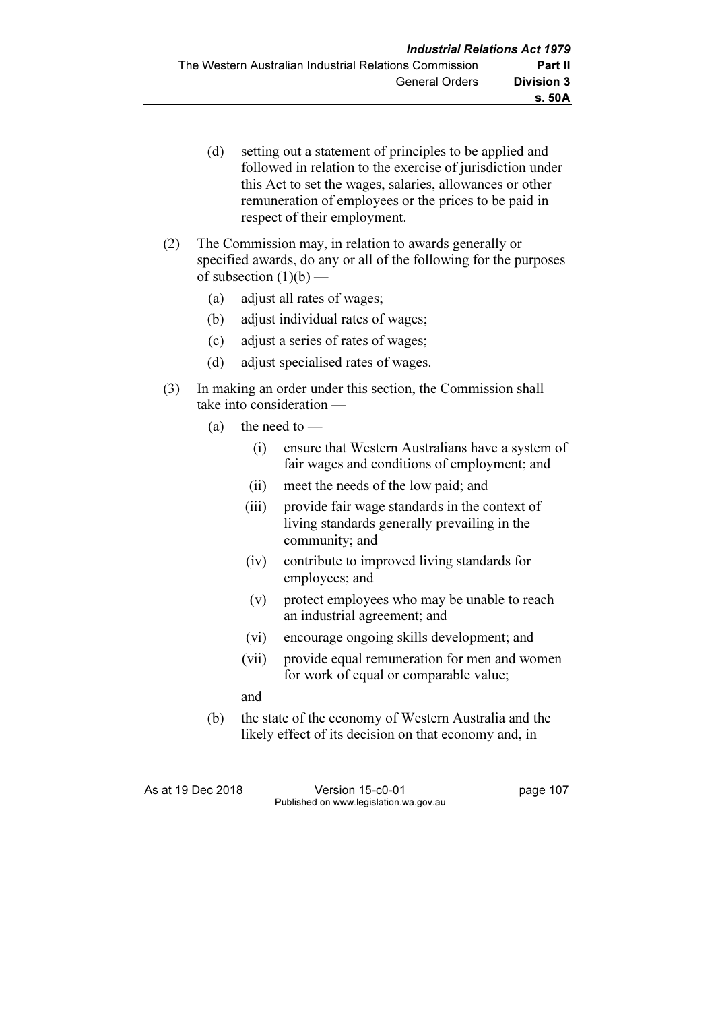- (d) setting out a statement of principles to be applied and followed in relation to the exercise of jurisdiction under this Act to set the wages, salaries, allowances or other remuneration of employees or the prices to be paid in respect of their employment.
- (2) The Commission may, in relation to awards generally or specified awards, do any or all of the following for the purposes of subsection  $(1)(b)$  —
	- (a) adjust all rates of wages;
	- (b) adjust individual rates of wages;
	- (c) adjust a series of rates of wages;
	- (d) adjust specialised rates of wages.
- (3) In making an order under this section, the Commission shall take into consideration —
	- (a) the need to
		- (i) ensure that Western Australians have a system of fair wages and conditions of employment; and
		- (ii) meet the needs of the low paid; and
		- (iii) provide fair wage standards in the context of living standards generally prevailing in the community; and
		- (iv) contribute to improved living standards for employees; and
		- (v) protect employees who may be unable to reach an industrial agreement; and
		- (vi) encourage ongoing skills development; and
		- (vii) provide equal remuneration for men and women for work of equal or comparable value;
		- and
	- (b) the state of the economy of Western Australia and the likely effect of its decision on that economy and, in

As at 19 Dec 2018 Version 15-c0-01 page 107 Published on www.legislation.wa.gov.au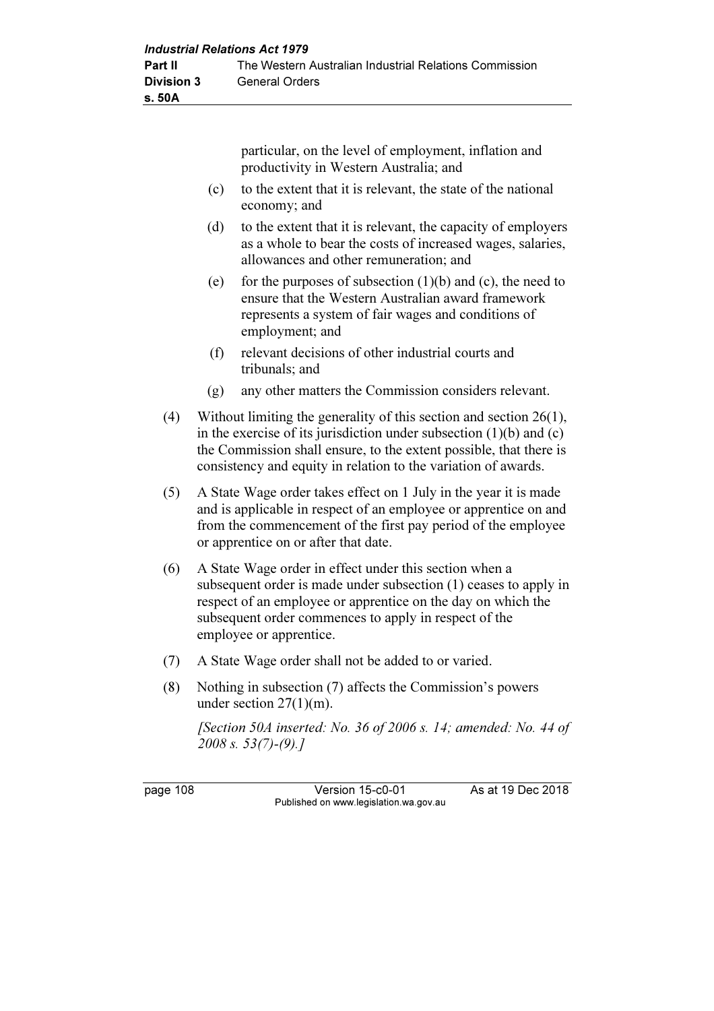particular, on the level of employment, inflation and productivity in Western Australia; and

- (c) to the extent that it is relevant, the state of the national economy; and
- (d) to the extent that it is relevant, the capacity of employers as a whole to bear the costs of increased wages, salaries, allowances and other remuneration; and
- (e) for the purposes of subsection  $(1)(b)$  and  $(c)$ , the need to ensure that the Western Australian award framework represents a system of fair wages and conditions of employment; and
- (f) relevant decisions of other industrial courts and tribunals; and
- (g) any other matters the Commission considers relevant.
- (4) Without limiting the generality of this section and section 26(1), in the exercise of its jurisdiction under subsection  $(1)(b)$  and  $(c)$ the Commission shall ensure, to the extent possible, that there is consistency and equity in relation to the variation of awards.
- (5) A State Wage order takes effect on 1 July in the year it is made and is applicable in respect of an employee or apprentice on and from the commencement of the first pay period of the employee or apprentice on or after that date.
- (6) A State Wage order in effect under this section when a subsequent order is made under subsection (1) ceases to apply in respect of an employee or apprentice on the day on which the subsequent order commences to apply in respect of the employee or apprentice.
- (7) A State Wage order shall not be added to or varied.
- (8) Nothing in subsection (7) affects the Commission's powers under section 27(1)(m).

 [Section 50A inserted: No. 36 of 2006 s. 14; amended: No. 44 of 2008 s. 53(7)-(9).]

page 108 Version 15-c0-01 As at 19 Dec 2018 Published on www.legislation.wa.gov.au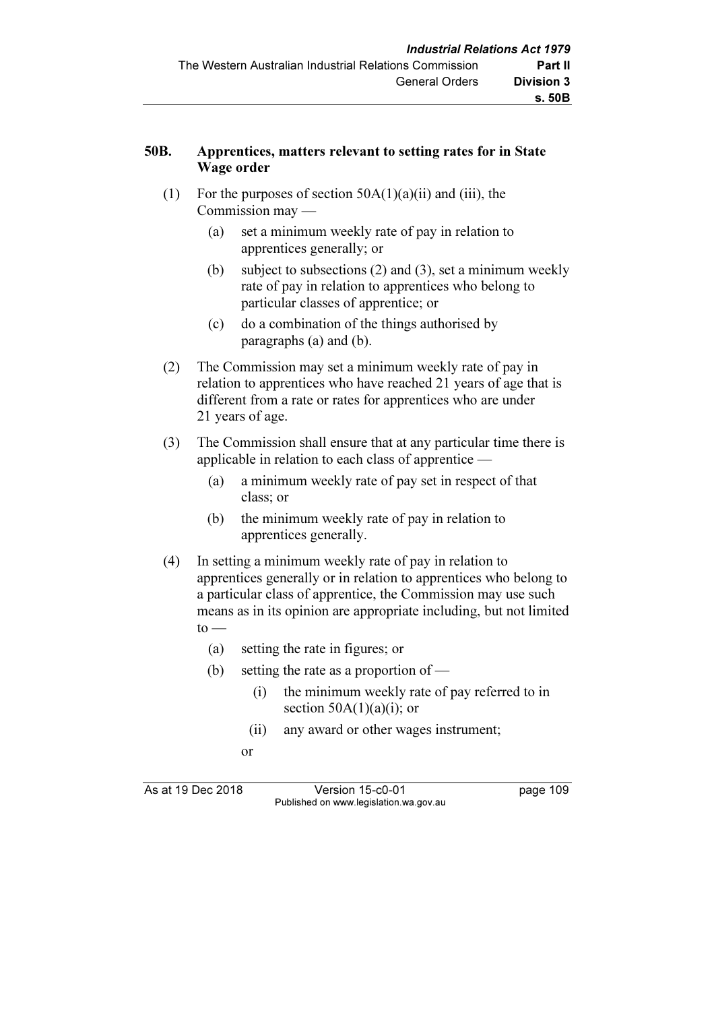## 50B. Apprentices, matters relevant to setting rates for in State Wage order

- (1) For the purposes of section  $50A(1)(a)(ii)$  and (iii), the Commission may —
	- (a) set a minimum weekly rate of pay in relation to apprentices generally; or
	- (b) subject to subsections (2) and (3), set a minimum weekly rate of pay in relation to apprentices who belong to particular classes of apprentice; or
	- (c) do a combination of the things authorised by paragraphs (a) and (b).
- (2) The Commission may set a minimum weekly rate of pay in relation to apprentices who have reached 21 years of age that is different from a rate or rates for apprentices who are under 21 years of age.
- (3) The Commission shall ensure that at any particular time there is applicable in relation to each class of apprentice —
	- (a) a minimum weekly rate of pay set in respect of that class; or
	- (b) the minimum weekly rate of pay in relation to apprentices generally.
- (4) In setting a minimum weekly rate of pay in relation to apprentices generally or in relation to apprentices who belong to a particular class of apprentice, the Commission may use such means as in its opinion are appropriate including, but not limited  $to -$ 
	- (a) setting the rate in figures; or
	- (b) setting the rate as a proportion of
		- (i) the minimum weekly rate of pay referred to in section  $50A(1)(a)(i)$ ; or
		- (ii) any award or other wages instrument;
- or

As at 19 Dec 2018 Version 15-c0-01 page 109 Published on www.legislation.wa.gov.au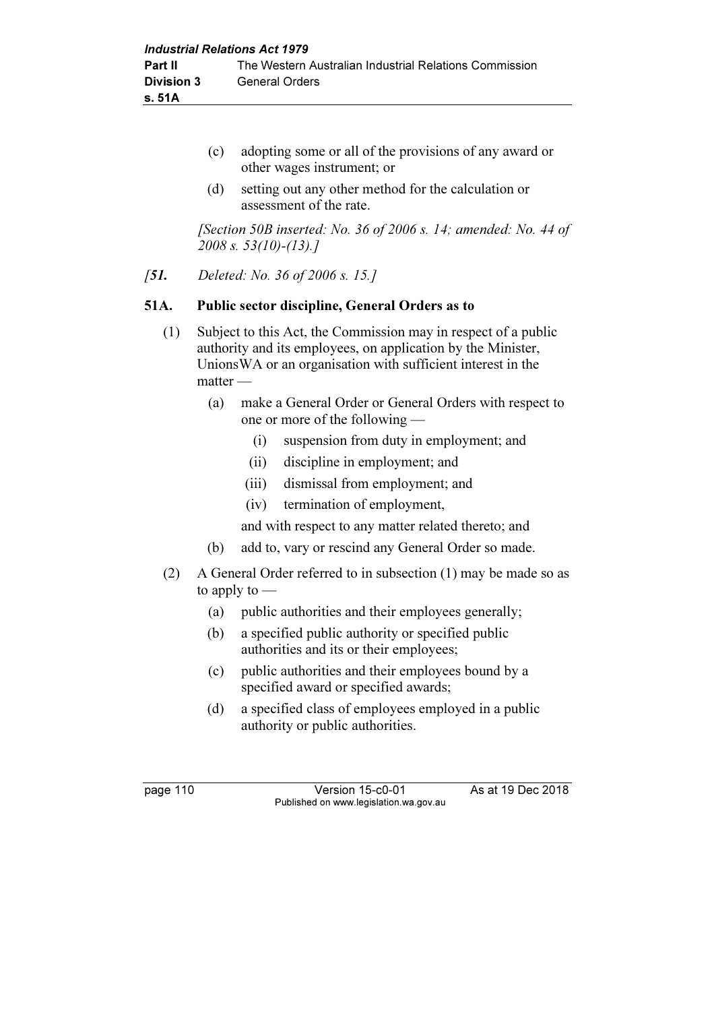- (c) adopting some or all of the provisions of any award or other wages instrument; or
- (d) setting out any other method for the calculation or assessment of the rate.

 [Section 50B inserted: No. 36 of 2006 s. 14; amended: No. 44 of 2008 s. 53(10)-(13).]

[51. Deleted: No. 36 of 2006 s. 15.]

### 51A. Public sector discipline, General Orders as to

- (1) Subject to this Act, the Commission may in respect of a public authority and its employees, on application by the Minister, UnionsWA or an organisation with sufficient interest in the matter —
	- (a) make a General Order or General Orders with respect to one or more of the following —
		- (i) suspension from duty in employment; and
		- (ii) discipline in employment; and
		- (iii) dismissal from employment; and
		- (iv) termination of employment,
		- and with respect to any matter related thereto; and
	- (b) add to, vary or rescind any General Order so made.
- (2) A General Order referred to in subsection (1) may be made so as to apply to —
	- (a) public authorities and their employees generally;
	- (b) a specified public authority or specified public authorities and its or their employees;
	- (c) public authorities and their employees bound by a specified award or specified awards;
	- (d) a specified class of employees employed in a public authority or public authorities.

page 110 Version 15-c0-01 As at 19 Dec 2018 Published on www.legislation.wa.gov.au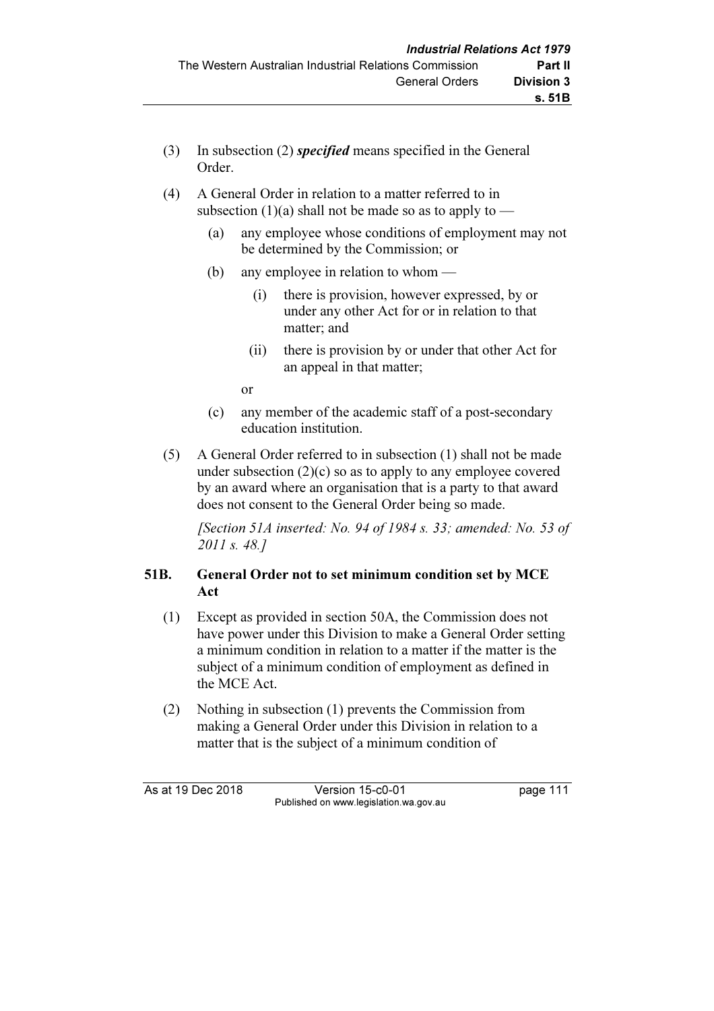- (3) In subsection (2) specified means specified in the General Order.
- (4) A General Order in relation to a matter referred to in subsection (1)(a) shall not be made so as to apply to —
	- (a) any employee whose conditions of employment may not be determined by the Commission; or
	- (b) any employee in relation to whom
		- (i) there is provision, however expressed, by or under any other Act for or in relation to that matter; and
		- (ii) there is provision by or under that other Act for an appeal in that matter;

or

- (c) any member of the academic staff of a post-secondary education institution.
- (5) A General Order referred to in subsection (1) shall not be made under subsection  $(2)(c)$  so as to apply to any employee covered by an award where an organisation that is a party to that award does not consent to the General Order being so made.

 [Section 51A inserted: No. 94 of 1984 s. 33; amended: No. 53 of 2011 s. 48.]

# 51B. General Order not to set minimum condition set by MCE Act

- (1) Except as provided in section 50A, the Commission does not have power under this Division to make a General Order setting a minimum condition in relation to a matter if the matter is the subject of a minimum condition of employment as defined in the MCE Act.
- (2) Nothing in subsection (1) prevents the Commission from making a General Order under this Division in relation to a matter that is the subject of a minimum condition of

As at 19 Dec 2018 Version 15-c0-01 page 111 Published on www.legislation.wa.gov.au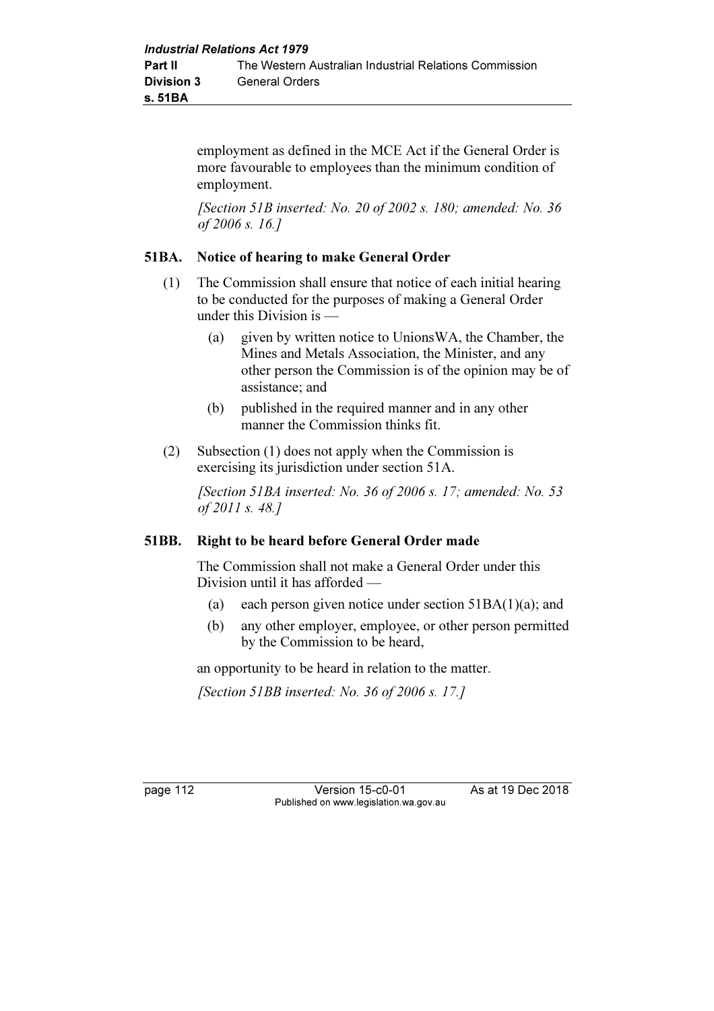employment as defined in the MCE Act if the General Order is more favourable to employees than the minimum condition of employment.

 [Section 51B inserted: No. 20 of 2002 s. 180; amended: No. 36 of 2006 s. 16.]

## 51BA. Notice of hearing to make General Order

- (1) The Commission shall ensure that notice of each initial hearing to be conducted for the purposes of making a General Order under this Division is —
	- (a) given by written notice to UnionsWA, the Chamber, the Mines and Metals Association, the Minister, and any other person the Commission is of the opinion may be of assistance; and
	- (b) published in the required manner and in any other manner the Commission thinks fit.
- (2) Subsection (1) does not apply when the Commission is exercising its jurisdiction under section 51A.

[Section 51BA inserted: No. 36 of 2006 s. 17; amended: No. 53 of 2011 s. 48.]

#### 51BB. Right to be heard before General Order made

 The Commission shall not make a General Order under this Division until it has afforded —

- (a) each person given notice under section  $51BA(1)(a)$ ; and
- (b) any other employer, employee, or other person permitted by the Commission to be heard,

an opportunity to be heard in relation to the matter.

[Section 51BB inserted: No. 36 of 2006 s. 17.]

page 112 Version 15-c0-01 As at 19 Dec 2018 Published on www.legislation.wa.gov.au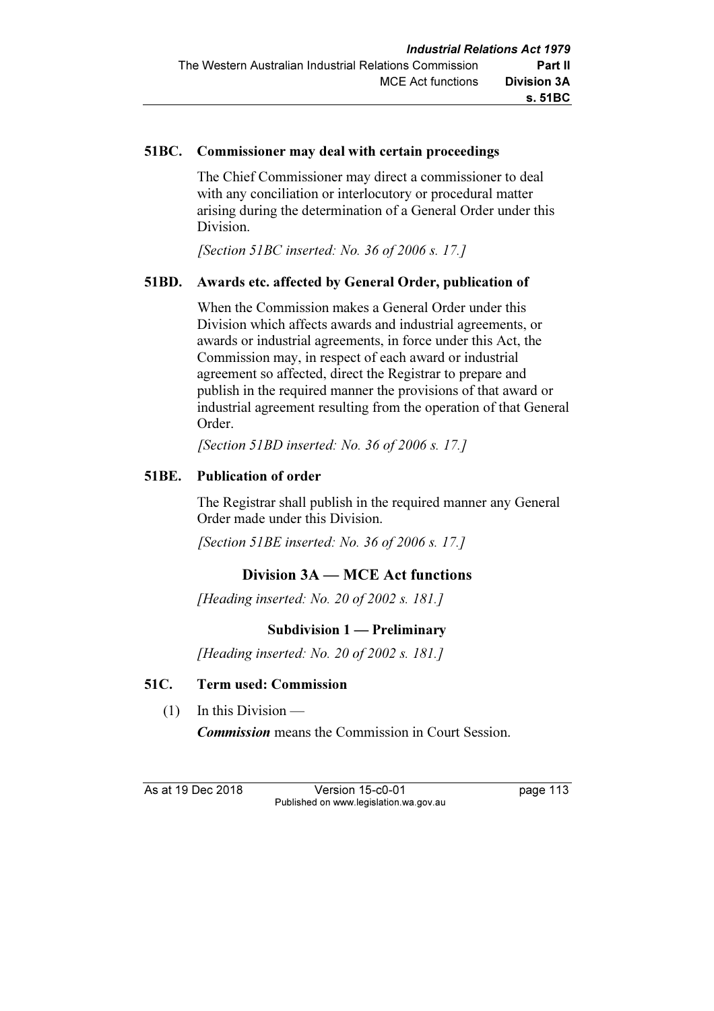### 51BC. Commissioner may deal with certain proceedings

 The Chief Commissioner may direct a commissioner to deal with any conciliation or interlocutory or procedural matter arising during the determination of a General Order under this Division.

[Section 51BC inserted: No. 36 of 2006 s. 17.]

## 51BD. Awards etc. affected by General Order, publication of

 When the Commission makes a General Order under this Division which affects awards and industrial agreements, or awards or industrial agreements, in force under this Act, the Commission may, in respect of each award or industrial agreement so affected, direct the Registrar to prepare and publish in the required manner the provisions of that award or industrial agreement resulting from the operation of that General Order.

[Section 51BD inserted: No. 36 of 2006 s. 17.]

### 51BE. Publication of order

 The Registrar shall publish in the required manner any General Order made under this Division.

[Section 51BE inserted: No. 36 of 2006 s. 17.]

# Division 3A — MCE Act functions

[Heading inserted: No. 20 of 2002 s. 181.]

## Subdivision 1 — Preliminary

[Heading inserted: No. 20 of 2002 s. 181.]

#### 51C. Term used: Commission

(1) In this Division —

Commission means the Commission in Court Session.

As at 19 Dec 2018 Version 15-c0-01 page 113 Published on www.legislation.wa.gov.au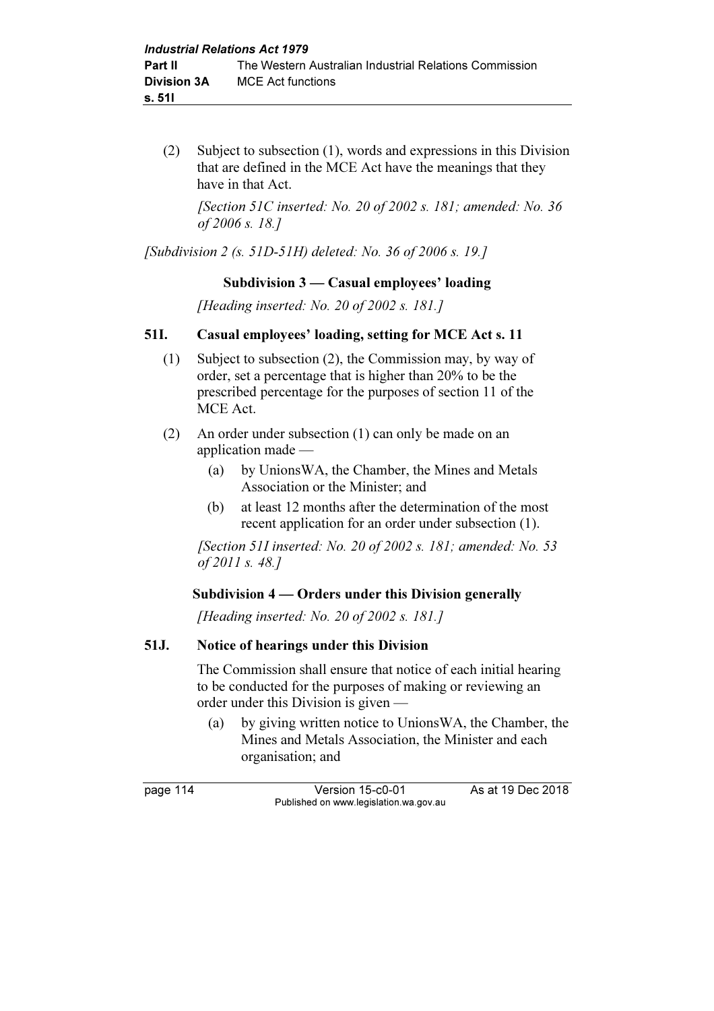(2) Subject to subsection (1), words and expressions in this Division that are defined in the MCE Act have the meanings that they have in that Act.

[Section 51C inserted: No. 20 of 2002 s. 181; amended: No. 36 of 2006 s. 18.]

[Subdivision 2 (s. 51D-51H) deleted: No. 36 of 2006 s. 19.]

## Subdivision 3 — Casual employees' loading

[Heading inserted: No. 20 of 2002 s. 181.]

## 51I. Casual employees' loading, setting for MCE Act s. 11

- (1) Subject to subsection (2), the Commission may, by way of order, set a percentage that is higher than 20% to be the prescribed percentage for the purposes of section 11 of the MCE Act.
- (2) An order under subsection (1) can only be made on an application made —
	- (a) by UnionsWA, the Chamber, the Mines and Metals Association or the Minister; and
	- (b) at least 12 months after the determination of the most recent application for an order under subsection (1).

[Section 51I inserted: No. 20 of 2002 s. 181; amended: No. 53 of 2011 s. 48.]

## Subdivision 4 — Orders under this Division generally

[Heading inserted: No. 20 of 2002 s. 181.]

## 51J. Notice of hearings under this Division

 The Commission shall ensure that notice of each initial hearing to be conducted for the purposes of making or reviewing an order under this Division is given —

 (a) by giving written notice to UnionsWA, the Chamber, the Mines and Metals Association, the Minister and each organisation; and

page 114 Version 15-c0-01 As at 19 Dec 2018 Published on www.legislation.wa.gov.au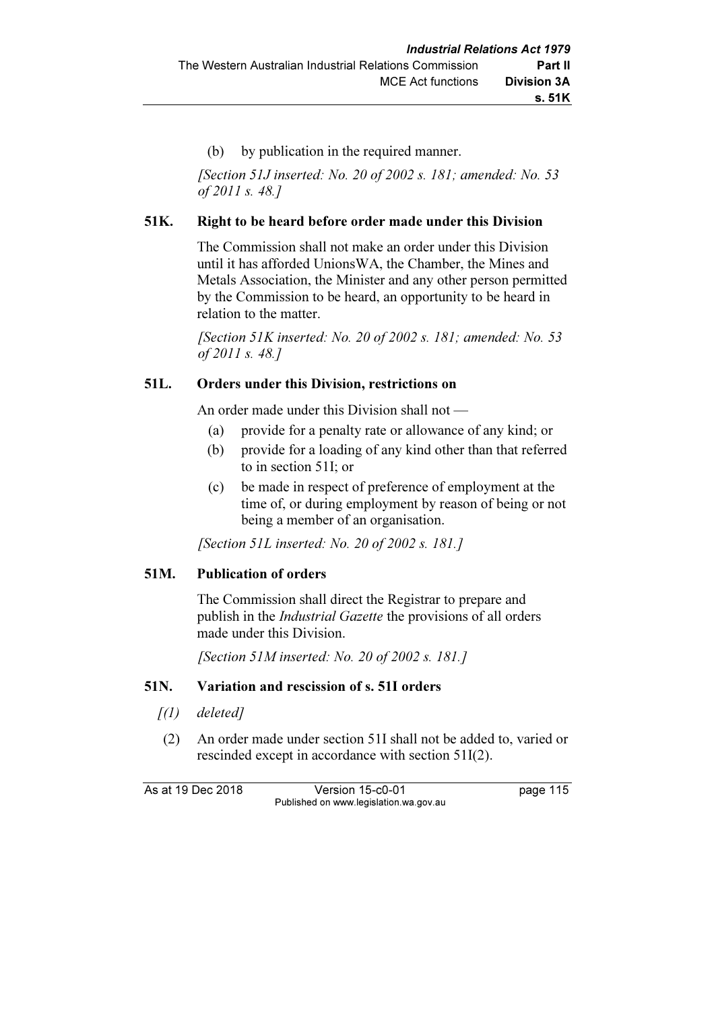(b) by publication in the required manner.

 [Section 51J inserted: No. 20 of 2002 s. 181; amended: No. 53 of 2011 s. 48.]

# 51K. Right to be heard before order made under this Division

 The Commission shall not make an order under this Division until it has afforded UnionsWA, the Chamber, the Mines and Metals Association, the Minister and any other person permitted by the Commission to be heard, an opportunity to be heard in relation to the matter.

[Section 51K inserted: No. 20 of 2002 s. 181; amended: No. 53 of 2011 s. 48.]

## 51L. Orders under this Division, restrictions on

An order made under this Division shall not —

- (a) provide for a penalty rate or allowance of any kind; or
- (b) provide for a loading of any kind other than that referred to in section 51I; or
- (c) be made in respect of preference of employment at the time of, or during employment by reason of being or not being a member of an organisation.

[Section 51L inserted: No. 20 of 2002 s. 181.]

## 51M. Publication of orders

 The Commission shall direct the Registrar to prepare and publish in the Industrial Gazette the provisions of all orders made under this Division.

[Section 51M inserted: No. 20 of 2002 s. 181.]

## 51N. Variation and rescission of s. 51I orders

- $\int(1)$  deleted]
- (2) An order made under section 51I shall not be added to, varied or rescinded except in accordance with section 51I(2).

As at 19 Dec 2018 Version 15-c0-01 page 115 Published on www.legislation.wa.gov.au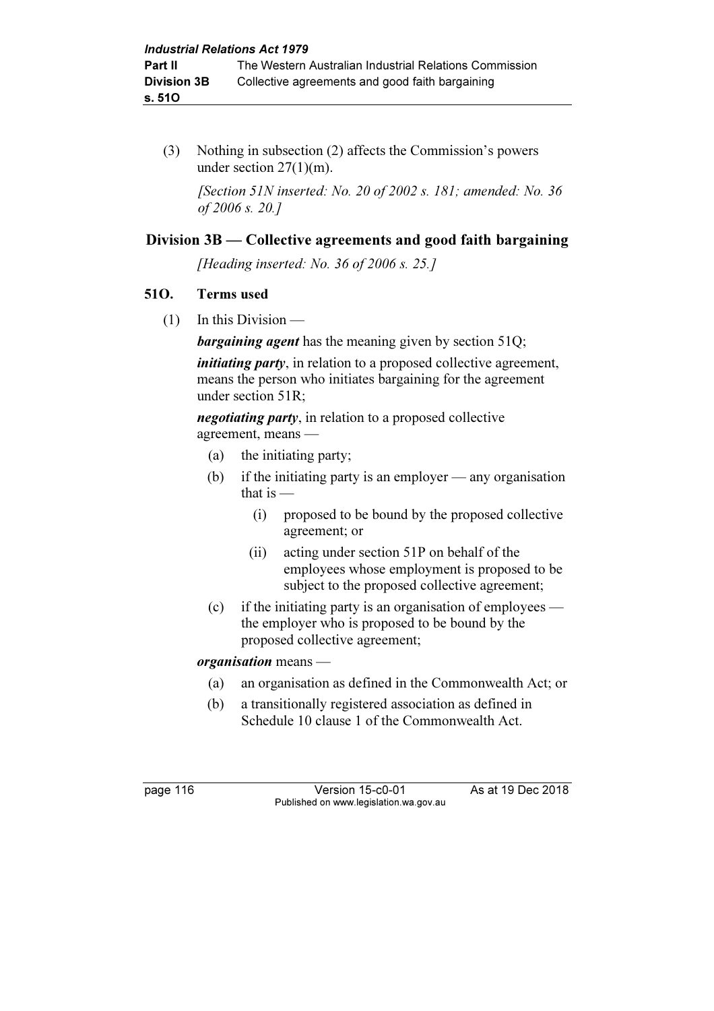(3) Nothing in subsection (2) affects the Commission's powers under section 27(1)(m).

 [Section 51N inserted: No. 20 of 2002 s. 181; amended: No. 36 of 2006 s. 20.]

# Division 3B — Collective agreements and good faith bargaining

[Heading inserted: No. 36 of 2006 s. 25.]

## 51O. Terms used

 $(1)$  In this Division —

**bargaining agent** has the meaning given by section 51Q;

*initiating party*, in relation to a proposed collective agreement, means the person who initiates bargaining for the agreement under section 51R;

negotiating party, in relation to a proposed collective agreement, means —

- (a) the initiating party;
- (b) if the initiating party is an employer any organisation that is  $-$ 
	- (i) proposed to be bound by the proposed collective agreement; or
	- (ii) acting under section 51P on behalf of the employees whose employment is proposed to be subject to the proposed collective agreement;
- (c) if the initiating party is an organisation of employees the employer who is proposed to be bound by the proposed collective agreement;

## organisation means —

- (a) an organisation as defined in the Commonwealth Act; or
- (b) a transitionally registered association as defined in Schedule 10 clause 1 of the Commonwealth Act.

page 116 Version 15-c0-01 As at 19 Dec 2018 Published on www.legislation.wa.gov.au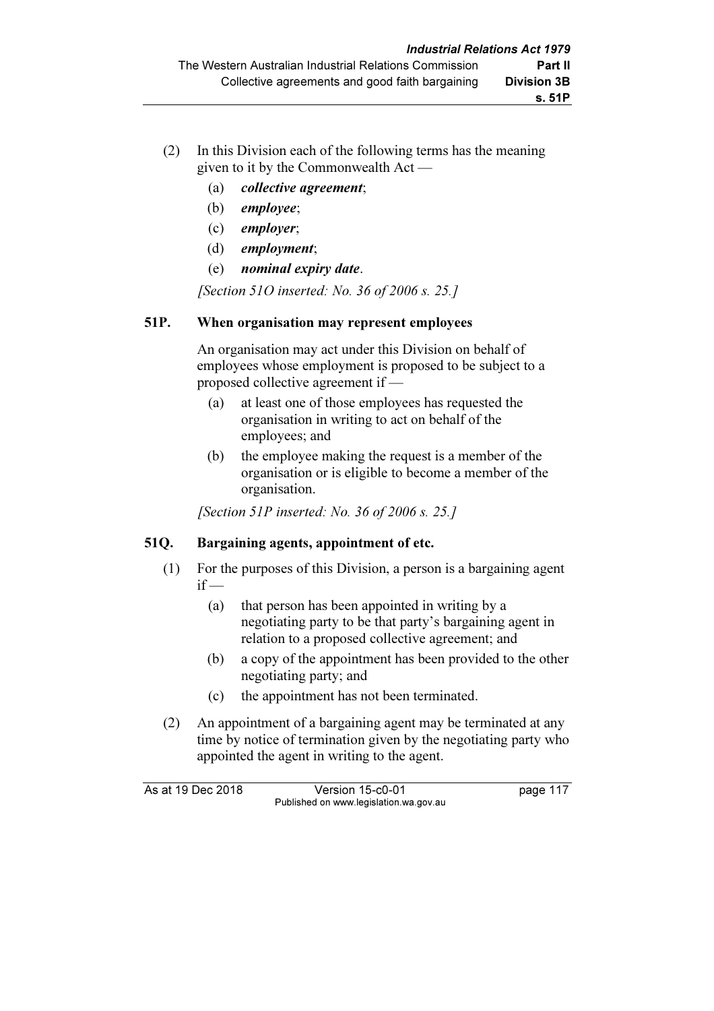- (2) In this Division each of the following terms has the meaning given to it by the Commonwealth Act —
	- (a) collective agreement;
	- (b) employee;
	- (c) employer;
	- (d) employment;
	- (e) nominal expiry date.

[Section 51O inserted: No. 36 of 2006 s. 25.]

# 51P. When organisation may represent employees

 An organisation may act under this Division on behalf of employees whose employment is proposed to be subject to a proposed collective agreement if —

- (a) at least one of those employees has requested the organisation in writing to act on behalf of the employees; and
- (b) the employee making the request is a member of the organisation or is eligible to become a member of the organisation.

[Section 51P inserted: No. 36 of 2006 s. 25.]

# 51Q. Bargaining agents, appointment of etc.

- (1) For the purposes of this Division, a person is a bargaining agent  $if -$ 
	- (a) that person has been appointed in writing by a negotiating party to be that party's bargaining agent in relation to a proposed collective agreement; and
	- (b) a copy of the appointment has been provided to the other negotiating party; and
	- (c) the appointment has not been terminated.
- (2) An appointment of a bargaining agent may be terminated at any time by notice of termination given by the negotiating party who appointed the agent in writing to the agent.

As at 19 Dec 2018 Version 15-c0-01 page 117 Published on www.legislation.wa.gov.au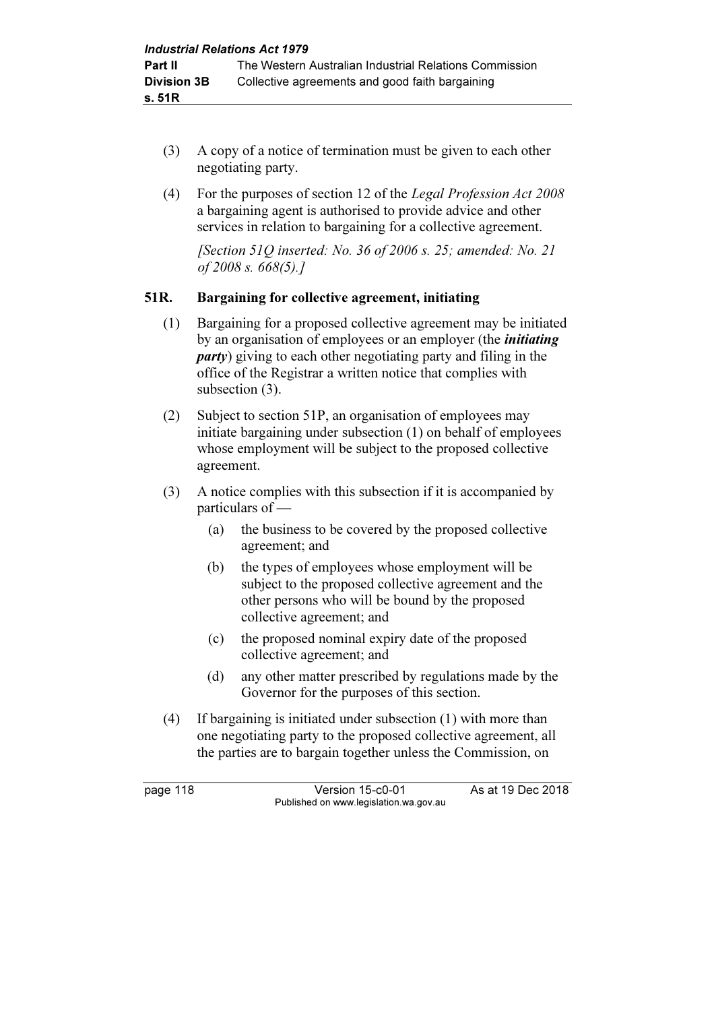- (3) A copy of a notice of termination must be given to each other negotiating party.
- (4) For the purposes of section 12 of the Legal Profession Act 2008 a bargaining agent is authorised to provide advice and other services in relation to bargaining for a collective agreement.

[Section 51Q inserted: No. 36 of 2006 s. 25; amended: No. 21 of 2008 s. 668(5).]

## 51R. Bargaining for collective agreement, initiating

- (1) Bargaining for a proposed collective agreement may be initiated by an organisation of employees or an employer (the *initiating* party) giving to each other negotiating party and filing in the office of the Registrar a written notice that complies with subsection (3).
- (2) Subject to section 51P, an organisation of employees may initiate bargaining under subsection (1) on behalf of employees whose employment will be subject to the proposed collective agreement.
- (3) A notice complies with this subsection if it is accompanied by particulars of —
	- (a) the business to be covered by the proposed collective agreement; and
	- (b) the types of employees whose employment will be subject to the proposed collective agreement and the other persons who will be bound by the proposed collective agreement; and
	- (c) the proposed nominal expiry date of the proposed collective agreement; and
	- (d) any other matter prescribed by regulations made by the Governor for the purposes of this section.
- (4) If bargaining is initiated under subsection (1) with more than one negotiating party to the proposed collective agreement, all the parties are to bargain together unless the Commission, on

page 118 Version 15-c0-01 As at 19 Dec 2018 Published on www.legislation.wa.gov.au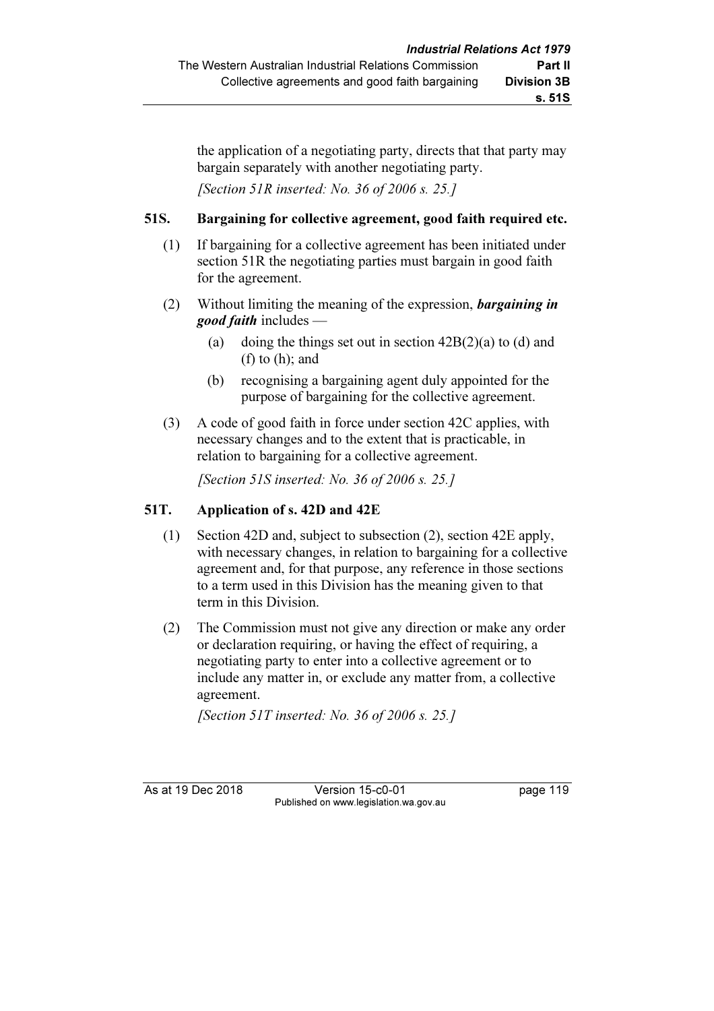the application of a negotiating party, directs that that party may bargain separately with another negotiating party.

[Section 51R inserted: No. 36 of 2006 s. 25.]

## 51S. Bargaining for collective agreement, good faith required etc.

- (1) If bargaining for a collective agreement has been initiated under section 51R the negotiating parties must bargain in good faith for the agreement.
- (2) Without limiting the meaning of the expression, bargaining in good faith includes —
	- (a) doing the things set out in section  $42B(2)(a)$  to (d) and (f) to (h); and
	- (b) recognising a bargaining agent duly appointed for the purpose of bargaining for the collective agreement.
- (3) A code of good faith in force under section 42C applies, with necessary changes and to the extent that is practicable, in relation to bargaining for a collective agreement.

[Section 51S inserted: No. 36 of 2006 s. 25.]

## 51T. Application of s. 42D and 42E

- (1) Section 42D and, subject to subsection (2), section 42E apply, with necessary changes, in relation to bargaining for a collective agreement and, for that purpose, any reference in those sections to a term used in this Division has the meaning given to that term in this Division.
- (2) The Commission must not give any direction or make any order or declaration requiring, or having the effect of requiring, a negotiating party to enter into a collective agreement or to include any matter in, or exclude any matter from, a collective agreement.

[Section 51T inserted: No. 36 of 2006 s. 25.]

As at 19 Dec 2018 Version 15-c0-01 page 119 Published on www.legislation.wa.gov.au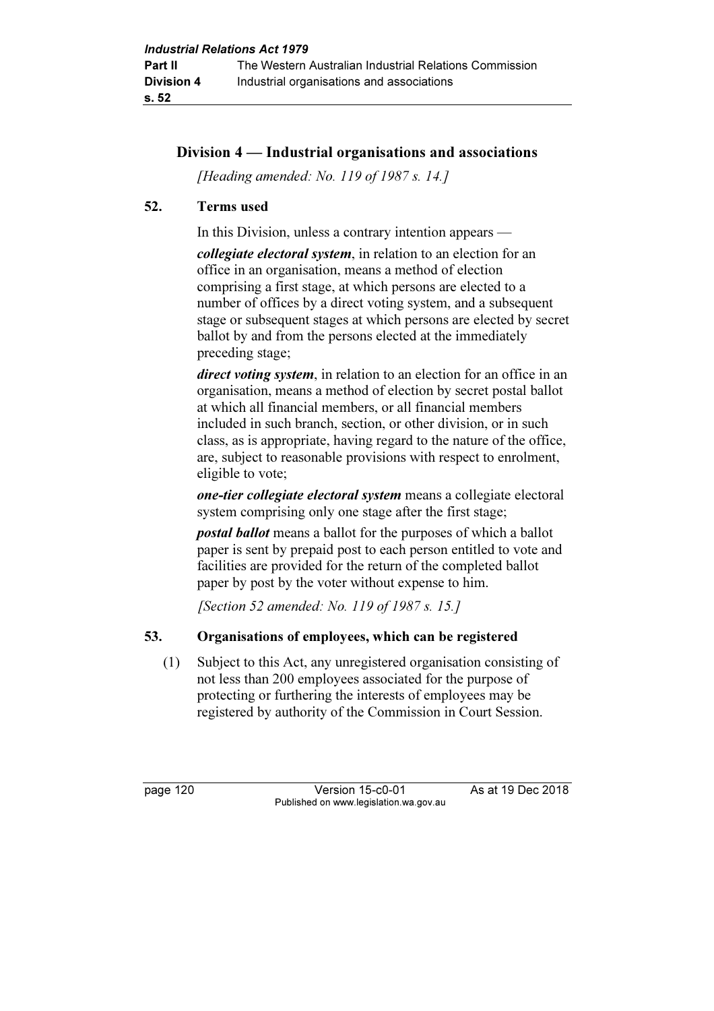# Division 4 — Industrial organisations and associations

[Heading amended: No. 119 of 1987 s. 14.]

### 52. Terms used

In this Division, unless a contrary intention appears —

collegiate electoral system, in relation to an election for an office in an organisation, means a method of election comprising a first stage, at which persons are elected to a number of offices by a direct voting system, and a subsequent stage or subsequent stages at which persons are elected by secret ballot by and from the persons elected at the immediately preceding stage;

direct voting system, in relation to an election for an office in an organisation, means a method of election by secret postal ballot at which all financial members, or all financial members included in such branch, section, or other division, or in such class, as is appropriate, having regard to the nature of the office, are, subject to reasonable provisions with respect to enrolment, eligible to vote;

one-tier collegiate electoral system means a collegiate electoral system comprising only one stage after the first stage;

postal ballot means a ballot for the purposes of which a ballot paper is sent by prepaid post to each person entitled to vote and facilities are provided for the return of the completed ballot paper by post by the voter without expense to him.

[Section 52 amended: No. 119 of 1987 s. 15.]

## 53. Organisations of employees, which can be registered

 (1) Subject to this Act, any unregistered organisation consisting of not less than 200 employees associated for the purpose of protecting or furthering the interests of employees may be registered by authority of the Commission in Court Session.

page 120 Version 15-c0-01 As at 19 Dec 2018 Published on www.legislation.wa.gov.au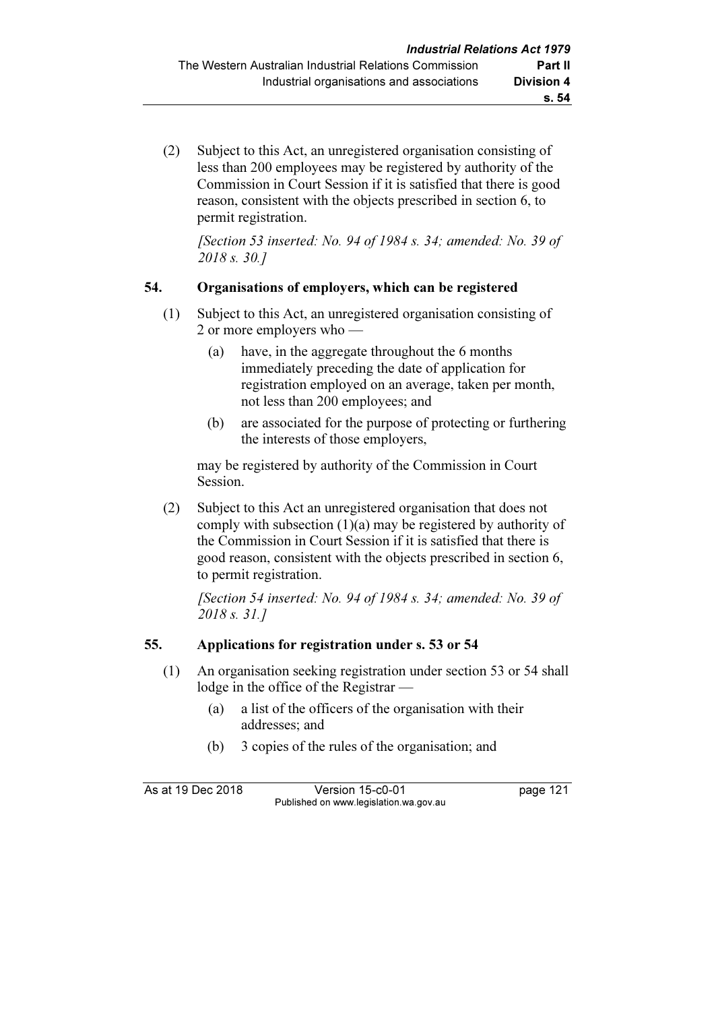(2) Subject to this Act, an unregistered organisation consisting of less than 200 employees may be registered by authority of the Commission in Court Session if it is satisfied that there is good reason, consistent with the objects prescribed in section 6, to permit registration.

[Section 53 inserted: No. 94 of 1984 s. 34; amended: No. 39 of 2018 s. 30.]

## 54. Organisations of employers, which can be registered

- (1) Subject to this Act, an unregistered organisation consisting of 2 or more employers who —
	- (a) have, in the aggregate throughout the 6 months immediately preceding the date of application for registration employed on an average, taken per month, not less than 200 employees; and
	- (b) are associated for the purpose of protecting or furthering the interests of those employers,

 may be registered by authority of the Commission in Court Session.

 (2) Subject to this Act an unregistered organisation that does not comply with subsection (1)(a) may be registered by authority of the Commission in Court Session if it is satisfied that there is good reason, consistent with the objects prescribed in section 6, to permit registration.

 [Section 54 inserted: No. 94 of 1984 s. 34; amended: No. 39 of 2018 s. 31.]

## 55. Applications for registration under s. 53 or 54

- (1) An organisation seeking registration under section 53 or 54 shall lodge in the office of the Registrar —
	- (a) a list of the officers of the organisation with their addresses; and
	- (b) 3 copies of the rules of the organisation; and

As at 19 Dec 2018 Version 15-c0-01 page 121 Published on www.legislation.wa.gov.au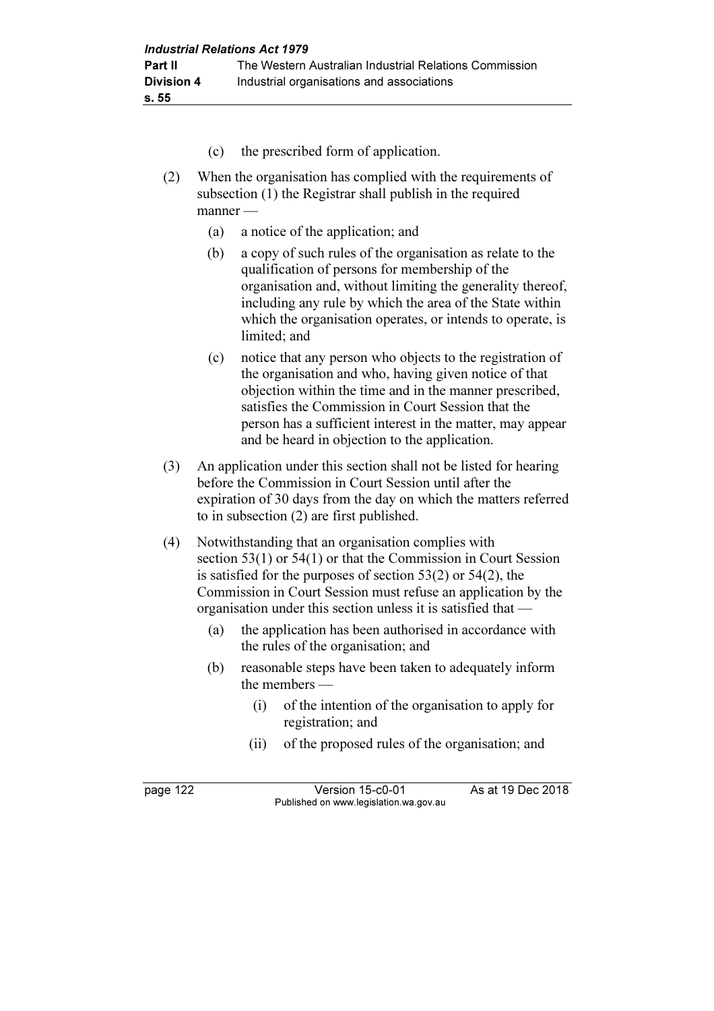- (c) the prescribed form of application.
- (2) When the organisation has complied with the requirements of subsection (1) the Registrar shall publish in the required manner —
	- (a) a notice of the application; and
	- (b) a copy of such rules of the organisation as relate to the qualification of persons for membership of the organisation and, without limiting the generality thereof, including any rule by which the area of the State within which the organisation operates, or intends to operate, is limited; and
	- (c) notice that any person who objects to the registration of the organisation and who, having given notice of that objection within the time and in the manner prescribed, satisfies the Commission in Court Session that the person has a sufficient interest in the matter, may appear and be heard in objection to the application.
- (3) An application under this section shall not be listed for hearing before the Commission in Court Session until after the expiration of 30 days from the day on which the matters referred to in subsection (2) are first published.
- (4) Notwithstanding that an organisation complies with section 53(1) or 54(1) or that the Commission in Court Session is satisfied for the purposes of section 53(2) or 54(2), the Commission in Court Session must refuse an application by the organisation under this section unless it is satisfied that —
	- (a) the application has been authorised in accordance with the rules of the organisation; and
	- (b) reasonable steps have been taken to adequately inform the members —
		- (i) of the intention of the organisation to apply for registration; and
		- (ii) of the proposed rules of the organisation; and

page 122 Version 15-c0-01 As at 19 Dec 2018 Published on www.legislation.wa.gov.au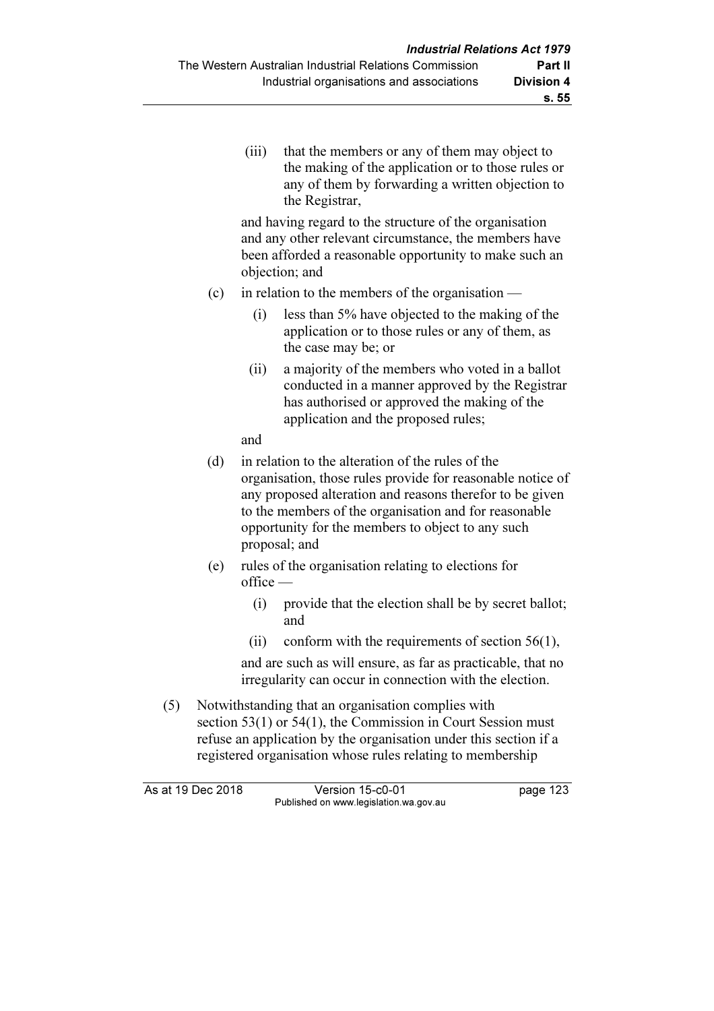(iii) that the members or any of them may object to the making of the application or to those rules or any of them by forwarding a written objection to the Registrar,

 and having regard to the structure of the organisation and any other relevant circumstance, the members have been afforded a reasonable opportunity to make such an objection; and

- (c) in relation to the members of the organisation
	- (i) less than 5% have objected to the making of the application or to those rules or any of them, as the case may be; or
	- (ii) a majority of the members who voted in a ballot conducted in a manner approved by the Registrar has authorised or approved the making of the application and the proposed rules;

and

- (d) in relation to the alteration of the rules of the organisation, those rules provide for reasonable notice of any proposed alteration and reasons therefor to be given to the members of the organisation and for reasonable opportunity for the members to object to any such proposal; and
- (e) rules of the organisation relating to elections for  $of$ fice —
	- (i) provide that the election shall be by secret ballot; and
	- (ii) conform with the requirements of section  $56(1)$ ,

 and are such as will ensure, as far as practicable, that no irregularity can occur in connection with the election.

 (5) Notwithstanding that an organisation complies with section 53(1) or 54(1), the Commission in Court Session must refuse an application by the organisation under this section if a registered organisation whose rules relating to membership

As at 19 Dec 2018 Version 15-c0-01 page 123 Published on www.legislation.wa.gov.au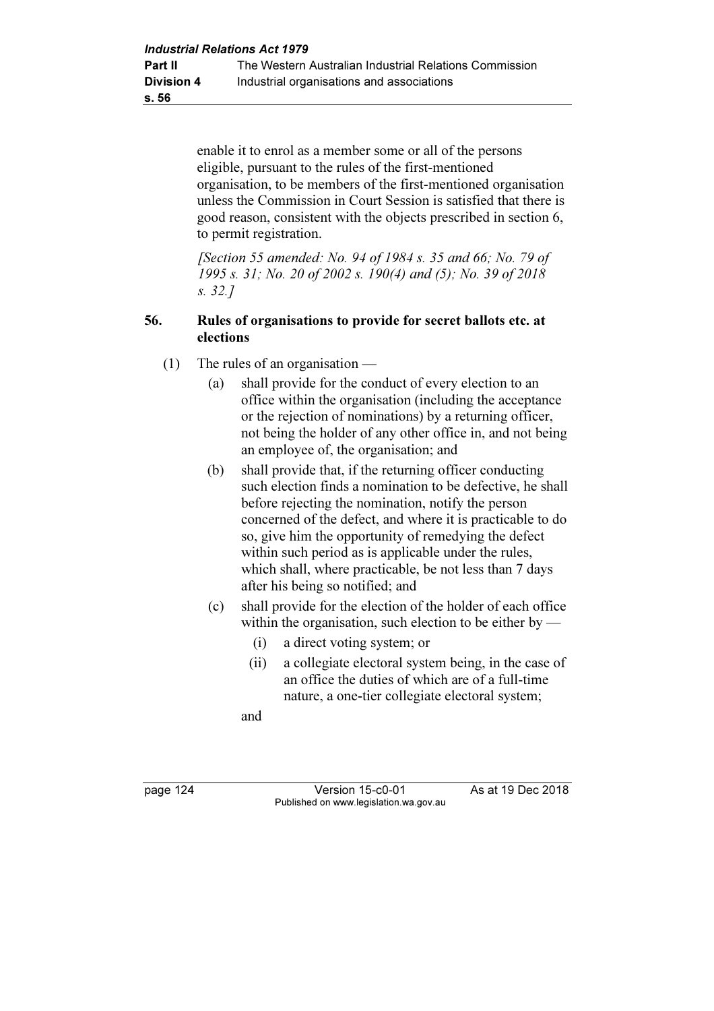enable it to enrol as a member some or all of the persons eligible, pursuant to the rules of the first-mentioned organisation, to be members of the first-mentioned organisation unless the Commission in Court Session is satisfied that there is good reason, consistent with the objects prescribed in section 6, to permit registration.

[Section 55 amended: No. 94 of 1984 s. 35 and 66: No. 79 of 1995 s. 31; No. 20 of 2002 s. 190(4) and (5); No. 39 of 2018 s. 32.]

### 56. Rules of organisations to provide for secret ballots etc. at elections

- (1) The rules of an organisation
	- (a) shall provide for the conduct of every election to an office within the organisation (including the acceptance or the rejection of nominations) by a returning officer, not being the holder of any other office in, and not being an employee of, the organisation; and
	- (b) shall provide that, if the returning officer conducting such election finds a nomination to be defective, he shall before rejecting the nomination, notify the person concerned of the defect, and where it is practicable to do so, give him the opportunity of remedying the defect within such period as is applicable under the rules, which shall, where practicable, be not less than 7 days after his being so notified; and
	- (c) shall provide for the election of the holder of each office within the organisation, such election to be either by —
		- (i) a direct voting system; or
		- (ii) a collegiate electoral system being, in the case of an office the duties of which are of a full-time nature, a one-tier collegiate electoral system;

and

page 124 Version 15-c0-01 As at 19 Dec 2018 Published on www.legislation.wa.gov.au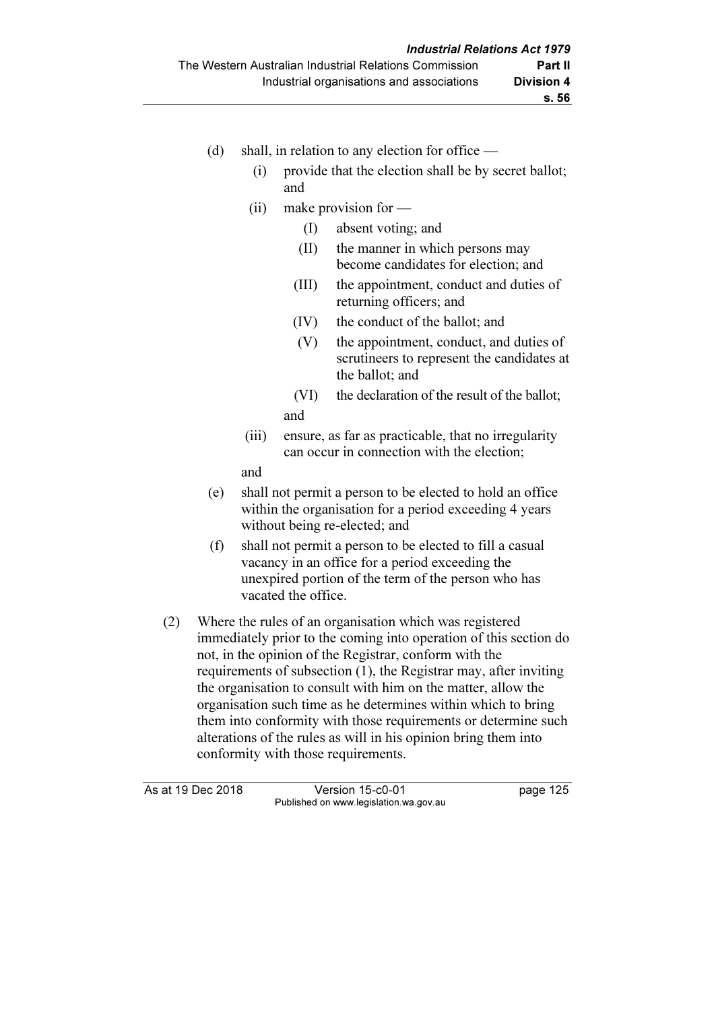- (d) shall, in relation to any election for office  $-$ 
	- (i) provide that the election shall be by secret ballot; and
	- (ii) make provision for
		- (I) absent voting; and
		- (II) the manner in which persons may become candidates for election; and
		- (III) the appointment, conduct and duties of returning officers; and
		- (IV) the conduct of the ballot; and
		- (V) the appointment, conduct, and duties of scrutineers to represent the candidates at the ballot; and
		- (VI) the declaration of the result of the ballot; and
	- (iii) ensure, as far as practicable, that no irregularity can occur in connection with the election;

and

- (e) shall not permit a person to be elected to hold an office within the organisation for a period exceeding 4 years without being re-elected; and
- (f) shall not permit a person to be elected to fill a casual vacancy in an office for a period exceeding the unexpired portion of the term of the person who has vacated the office.
- (2) Where the rules of an organisation which was registered immediately prior to the coming into operation of this section do not, in the opinion of the Registrar, conform with the requirements of subsection (1), the Registrar may, after inviting the organisation to consult with him on the matter, allow the organisation such time as he determines within which to bring them into conformity with those requirements or determine such alterations of the rules as will in his opinion bring them into conformity with those requirements.

| As at 19 Dec 2018 | Version 15-c0-01                       | page 125 |
|-------------------|----------------------------------------|----------|
|                   | Published on www.legislation.wa.gov.au |          |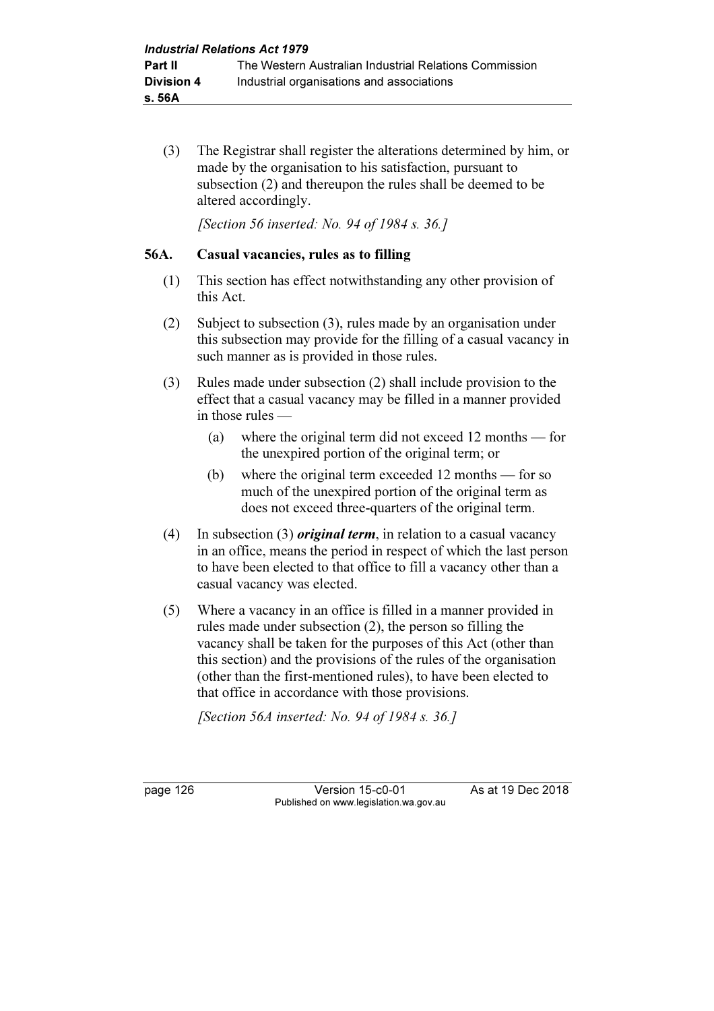(3) The Registrar shall register the alterations determined by him, or made by the organisation to his satisfaction, pursuant to subsection (2) and thereupon the rules shall be deemed to be altered accordingly.

[Section 56 inserted: No. 94 of 1984 s. 36.]

#### 56A. Casual vacancies, rules as to filling

- (1) This section has effect notwithstanding any other provision of this Act.
- (2) Subject to subsection (3), rules made by an organisation under this subsection may provide for the filling of a casual vacancy in such manner as is provided in those rules.
- (3) Rules made under subsection (2) shall include provision to the effect that a casual vacancy may be filled in a manner provided in those rules —
	- (a) where the original term did not exceed 12 months for the unexpired portion of the original term; or
	- (b) where the original term exceeded 12 months for so much of the unexpired portion of the original term as does not exceed three-quarters of the original term.
- (4) In subsection (3) *original term*, in relation to a casual vacancy in an office, means the period in respect of which the last person to have been elected to that office to fill a vacancy other than a casual vacancy was elected.
- (5) Where a vacancy in an office is filled in a manner provided in rules made under subsection (2), the person so filling the vacancy shall be taken for the purposes of this Act (other than this section) and the provisions of the rules of the organisation (other than the first-mentioned rules), to have been elected to that office in accordance with those provisions.

[Section 56A inserted: No. 94 of 1984 s. 36.]

page 126 Version 15-c0-01 As at 19 Dec 2018 Published on www.legislation.wa.gov.au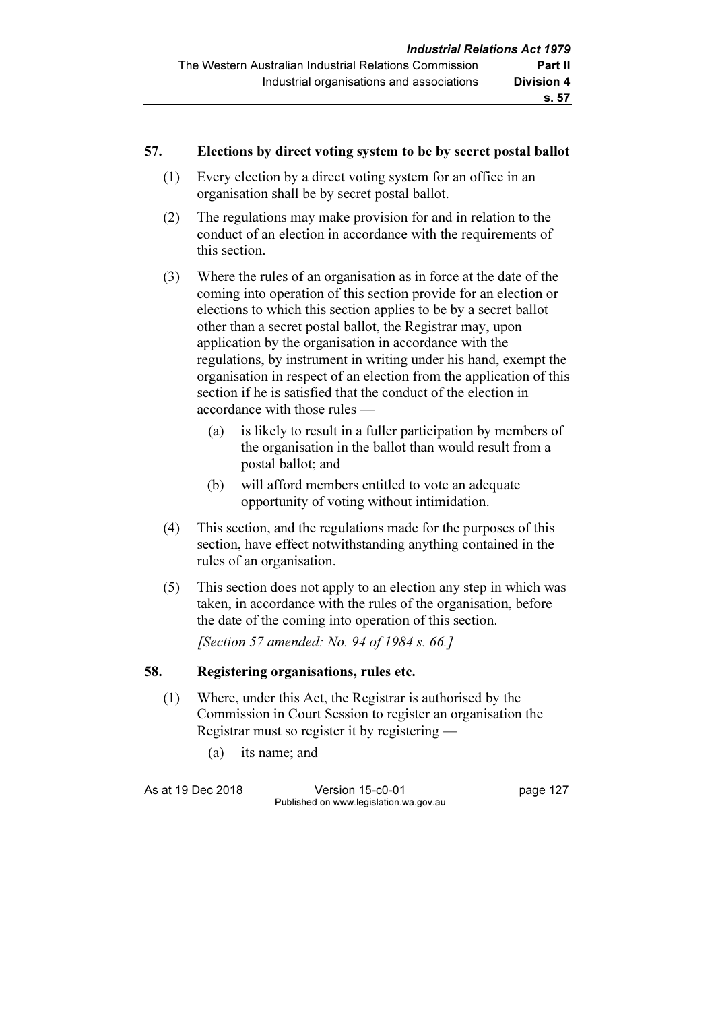#### 57. Elections by direct voting system to be by secret postal ballot

- (1) Every election by a direct voting system for an office in an organisation shall be by secret postal ballot.
- (2) The regulations may make provision for and in relation to the conduct of an election in accordance with the requirements of this section.
- (3) Where the rules of an organisation as in force at the date of the coming into operation of this section provide for an election or elections to which this section applies to be by a secret ballot other than a secret postal ballot, the Registrar may, upon application by the organisation in accordance with the regulations, by instrument in writing under his hand, exempt the organisation in respect of an election from the application of this section if he is satisfied that the conduct of the election in accordance with those rules —
	- (a) is likely to result in a fuller participation by members of the organisation in the ballot than would result from a postal ballot; and
	- (b) will afford members entitled to vote an adequate opportunity of voting without intimidation.
- (4) This section, and the regulations made for the purposes of this section, have effect notwithstanding anything contained in the rules of an organisation.
- (5) This section does not apply to an election any step in which was taken, in accordance with the rules of the organisation, before the date of the coming into operation of this section. [Section 57 amended: No. 94 of 1984 s. 66.]

## 58. Registering organisations, rules etc.

- (1) Where, under this Act, the Registrar is authorised by the Commission in Court Session to register an organisation the Registrar must so register it by registering —
	- (a) its name; and

As at 19 Dec 2018 Version 15-c0-01 page 127 Published on www.legislation.wa.gov.au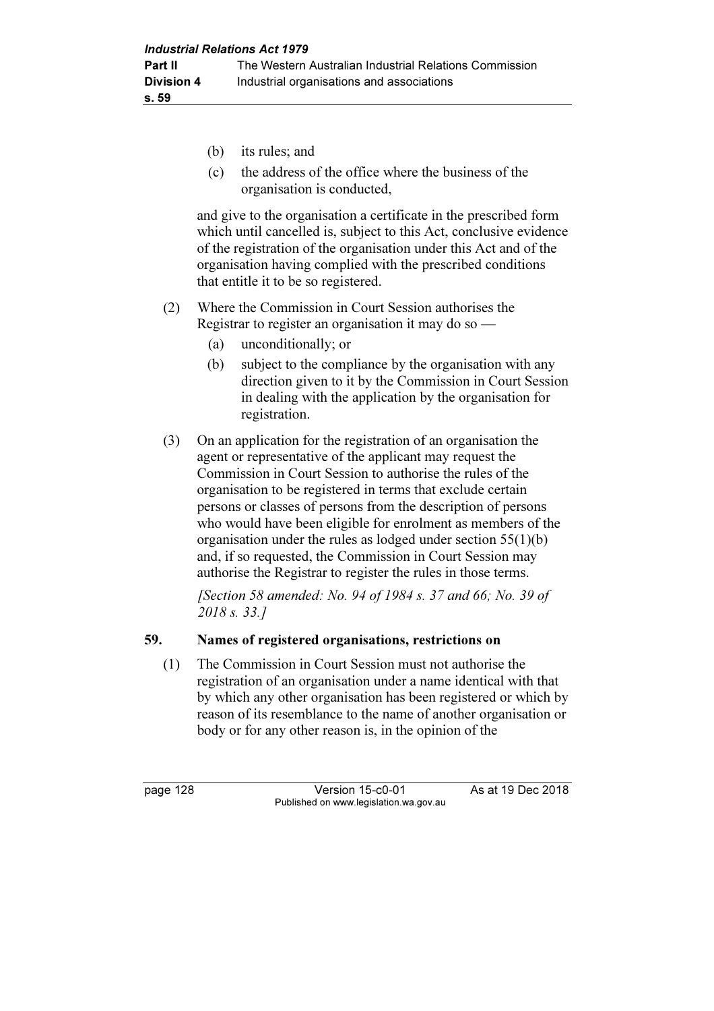- (b) its rules; and
- (c) the address of the office where the business of the organisation is conducted,

 and give to the organisation a certificate in the prescribed form which until cancelled is, subject to this Act, conclusive evidence of the registration of the organisation under this Act and of the organisation having complied with the prescribed conditions that entitle it to be so registered.

- (2) Where the Commission in Court Session authorises the Registrar to register an organisation it may do so —
	- (a) unconditionally; or
	- (b) subject to the compliance by the organisation with any direction given to it by the Commission in Court Session in dealing with the application by the organisation for registration.
- (3) On an application for the registration of an organisation the agent or representative of the applicant may request the Commission in Court Session to authorise the rules of the organisation to be registered in terms that exclude certain persons or classes of persons from the description of persons who would have been eligible for enrolment as members of the organisation under the rules as lodged under section 55(1)(b) and, if so requested, the Commission in Court Session may authorise the Registrar to register the rules in those terms.

[Section 58 amended: No. 94 of 1984 s. 37 and 66; No. 39 of 2018 s. 33.]

#### 59. Names of registered organisations, restrictions on

 (1) The Commission in Court Session must not authorise the registration of an organisation under a name identical with that by which any other organisation has been registered or which by reason of its resemblance to the name of another organisation or body or for any other reason is, in the opinion of the

page 128 Version 15-c0-01 As at 19 Dec 2018 Published on www.legislation.wa.gov.au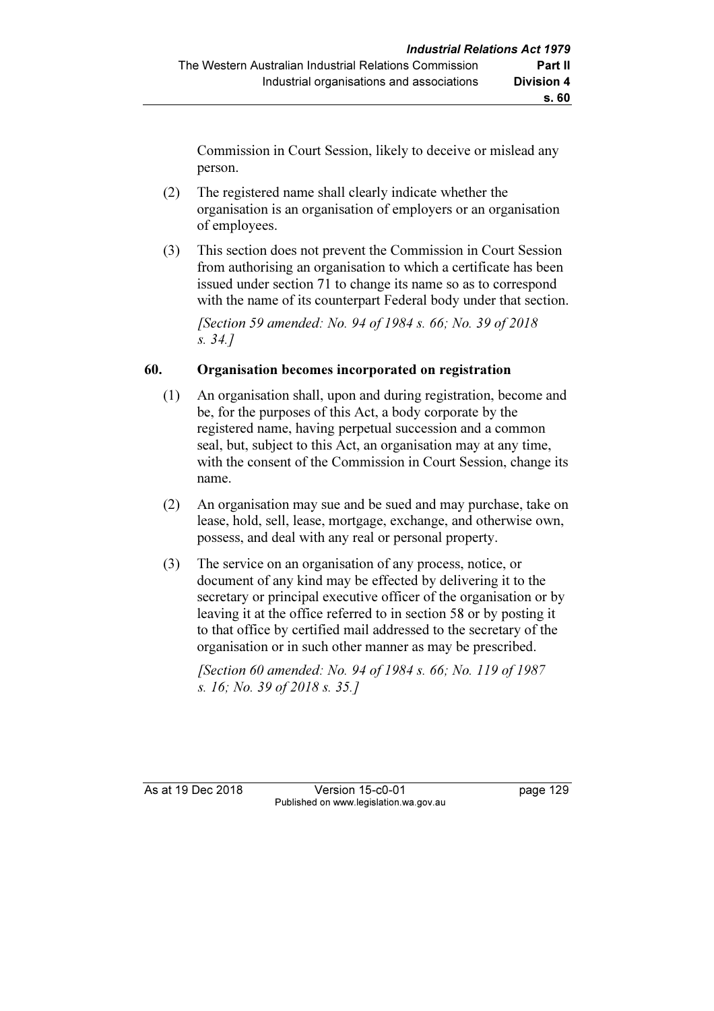Commission in Court Session, likely to deceive or mislead any person.

- (2) The registered name shall clearly indicate whether the organisation is an organisation of employers or an organisation of employees.
- (3) This section does not prevent the Commission in Court Session from authorising an organisation to which a certificate has been issued under section 71 to change its name so as to correspond with the name of its counterpart Federal body under that section.

[Section 59 amended: No. 94 of 1984 s. 66; No. 39 of 2018] s. 34.]

# 60. Organisation becomes incorporated on registration

- (1) An organisation shall, upon and during registration, become and be, for the purposes of this Act, a body corporate by the registered name, having perpetual succession and a common seal, but, subject to this Act, an organisation may at any time, with the consent of the Commission in Court Session, change its name.
- (2) An organisation may sue and be sued and may purchase, take on lease, hold, sell, lease, mortgage, exchange, and otherwise own, possess, and deal with any real or personal property.
- (3) The service on an organisation of any process, notice, or document of any kind may be effected by delivering it to the secretary or principal executive officer of the organisation or by leaving it at the office referred to in section 58 or by posting it to that office by certified mail addressed to the secretary of the organisation or in such other manner as may be prescribed.

[Section 60 amended: No. 94 of 1984 s. 66; No. 119 of 1987] s. 16; No. 39 of 2018 s. 35.]

As at 19 Dec 2018 Version 15-c0-01 page 129 Published on www.legislation.wa.gov.au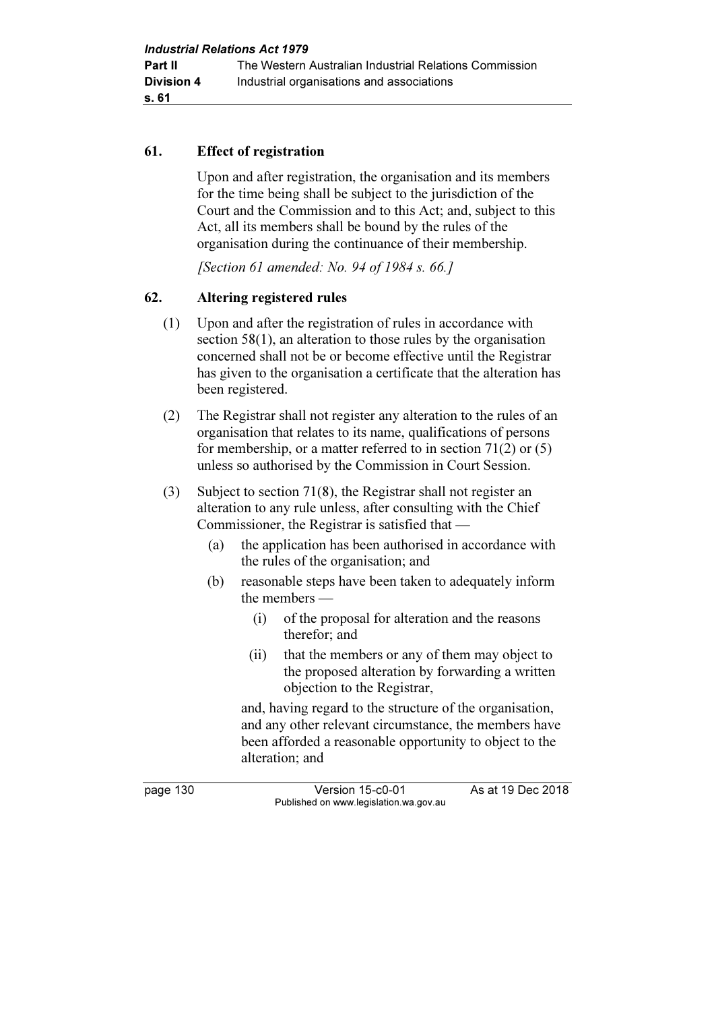#### 61. Effect of registration

 Upon and after registration, the organisation and its members for the time being shall be subject to the jurisdiction of the Court and the Commission and to this Act; and, subject to this Act, all its members shall be bound by the rules of the organisation during the continuance of their membership.

[Section 61 amended: No. 94 of 1984 s. 66.]

## 62. Altering registered rules

- (1) Upon and after the registration of rules in accordance with section 58(1), an alteration to those rules by the organisation concerned shall not be or become effective until the Registrar has given to the organisation a certificate that the alteration has been registered.
- (2) The Registrar shall not register any alteration to the rules of an organisation that relates to its name, qualifications of persons for membership, or a matter referred to in section 71(2) or (5) unless so authorised by the Commission in Court Session.
- (3) Subject to section 71(8), the Registrar shall not register an alteration to any rule unless, after consulting with the Chief Commissioner, the Registrar is satisfied that —
	- (a) the application has been authorised in accordance with the rules of the organisation; and
	- (b) reasonable steps have been taken to adequately inform the members —
		- (i) of the proposal for alteration and the reasons therefor; and
		- (ii) that the members or any of them may object to the proposed alteration by forwarding a written objection to the Registrar,

 and, having regard to the structure of the organisation, and any other relevant circumstance, the members have been afforded a reasonable opportunity to object to the alteration; and

page 130 Version 15-c0-01 As at 19 Dec 2018 Published on www.legislation.wa.gov.au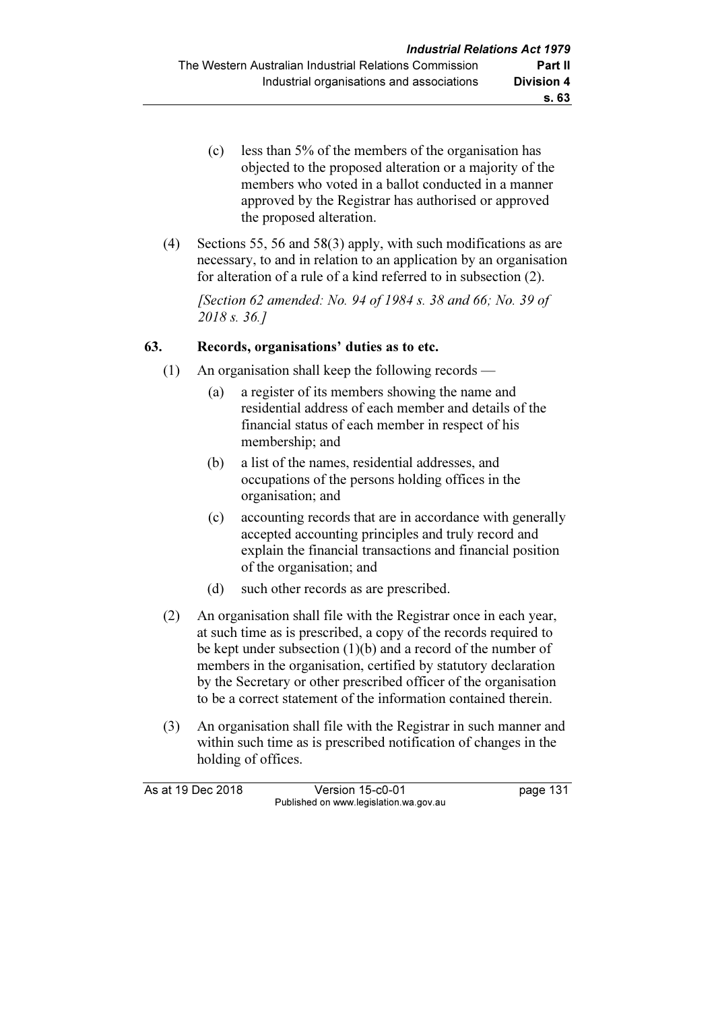- (c) less than 5% of the members of the organisation has objected to the proposed alteration or a majority of the members who voted in a ballot conducted in a manner approved by the Registrar has authorised or approved the proposed alteration.
- (4) Sections 55, 56 and 58(3) apply, with such modifications as are necessary, to and in relation to an application by an organisation for alteration of a rule of a kind referred to in subsection (2).

 [Section 62 amended: No. 94 of 1984 s. 38 and 66; No. 39 of 2018 s. 36.]

## 63. Records, organisations' duties as to etc.

- (1) An organisation shall keep the following records
	- (a) a register of its members showing the name and residential address of each member and details of the financial status of each member in respect of his membership; and
	- (b) a list of the names, residential addresses, and occupations of the persons holding offices in the organisation; and
	- (c) accounting records that are in accordance with generally accepted accounting principles and truly record and explain the financial transactions and financial position of the organisation; and
	- (d) such other records as are prescribed.
- (2) An organisation shall file with the Registrar once in each year, at such time as is prescribed, a copy of the records required to be kept under subsection (1)(b) and a record of the number of members in the organisation, certified by statutory declaration by the Secretary or other prescribed officer of the organisation to be a correct statement of the information contained therein.
- (3) An organisation shall file with the Registrar in such manner and within such time as is prescribed notification of changes in the holding of offices.

As at 19 Dec 2018 Version 15-c0-01 page 131 Published on www.legislation.wa.gov.au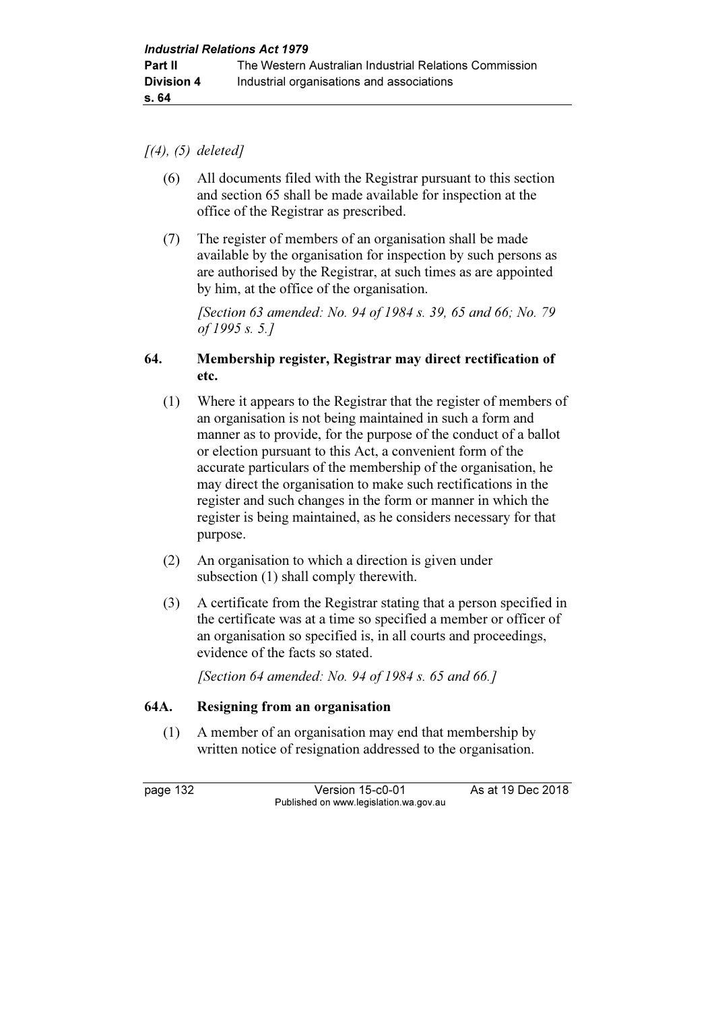#### $[(4), (5)$  deleted]

- (6) All documents filed with the Registrar pursuant to this section and section 65 shall be made available for inspection at the office of the Registrar as prescribed.
- (7) The register of members of an organisation shall be made available by the organisation for inspection by such persons as are authorised by the Registrar, at such times as are appointed by him, at the office of the organisation.

 [Section 63 amended: No. 94 of 1984 s. 39, 65 and 66; No. 79 of 1995 s. 5.]

#### 64. Membership register, Registrar may direct rectification of etc.

- (1) Where it appears to the Registrar that the register of members of an organisation is not being maintained in such a form and manner as to provide, for the purpose of the conduct of a ballot or election pursuant to this Act, a convenient form of the accurate particulars of the membership of the organisation, he may direct the organisation to make such rectifications in the register and such changes in the form or manner in which the register is being maintained, as he considers necessary for that purpose.
- (2) An organisation to which a direction is given under subsection (1) shall comply therewith.
- (3) A certificate from the Registrar stating that a person specified in the certificate was at a time so specified a member or officer of an organisation so specified is, in all courts and proceedings, evidence of the facts so stated.

[Section 64 amended: No. 94 of 1984 s. 65 and 66.]

## 64A. Resigning from an organisation

 (1) A member of an organisation may end that membership by written notice of resignation addressed to the organisation.

page 132 Version 15-c0-01 As at 19 Dec 2018 Published on www.legislation.wa.gov.au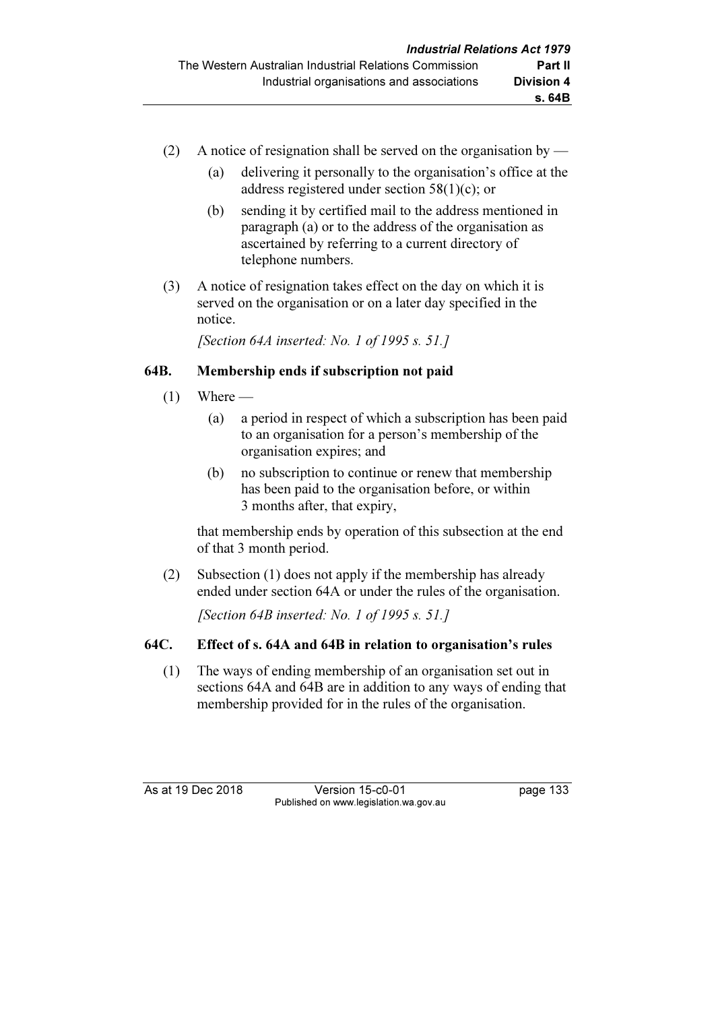- (2) A notice of resignation shall be served on the organisation by
	- (a) delivering it personally to the organisation's office at the address registered under section 58(1)(c); or
	- (b) sending it by certified mail to the address mentioned in paragraph (a) or to the address of the organisation as ascertained by referring to a current directory of telephone numbers.
- (3) A notice of resignation takes effect on the day on which it is served on the organisation or on a later day specified in the notice.

[Section 64A inserted: No. 1 of 1995 s. 51.]

# 64B. Membership ends if subscription not paid

- $(1)$  Where
	- (a) a period in respect of which a subscription has been paid to an organisation for a person's membership of the organisation expires; and
	- (b) no subscription to continue or renew that membership has been paid to the organisation before, or within 3 months after, that expiry,

 that membership ends by operation of this subsection at the end of that 3 month period.

 (2) Subsection (1) does not apply if the membership has already ended under section 64A or under the rules of the organisation.

[Section 64B inserted: No. 1 of 1995 s. 51.]

# 64C. Effect of s. 64A and 64B in relation to organisation's rules

 (1) The ways of ending membership of an organisation set out in sections 64A and 64B are in addition to any ways of ending that membership provided for in the rules of the organisation.

As at 19 Dec 2018 Version 15-c0-01 page 133 Published on www.legislation.wa.gov.au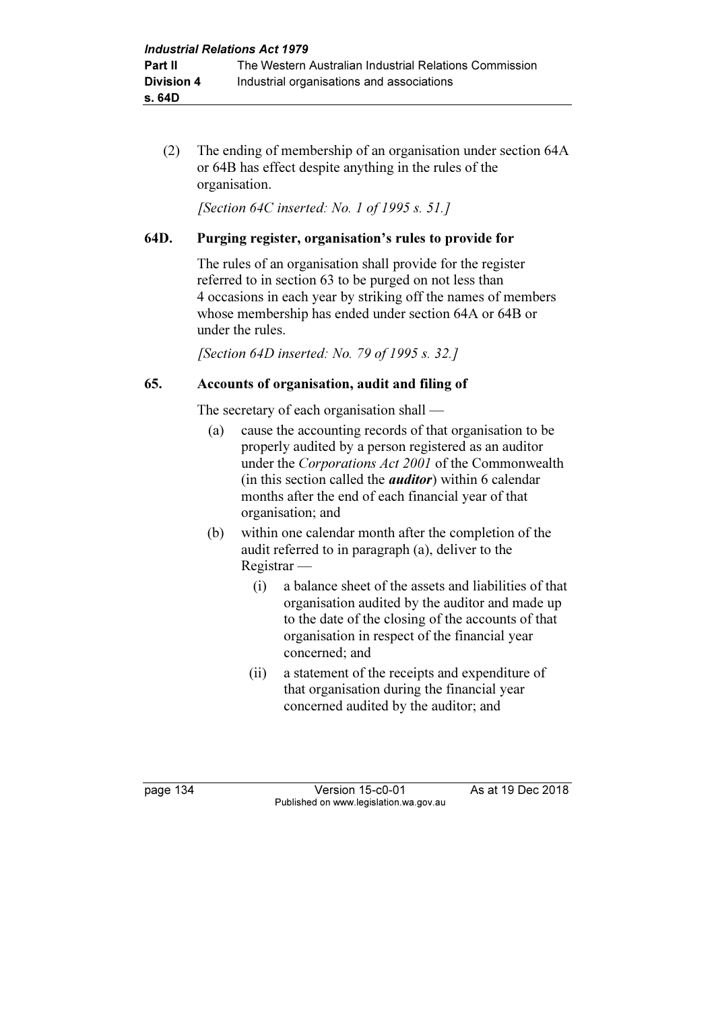(2) The ending of membership of an organisation under section 64A or 64B has effect despite anything in the rules of the organisation.

[Section 64C inserted: No. 1 of 1995 s. 51.]

## 64D. Purging register, organisation's rules to provide for

 The rules of an organisation shall provide for the register referred to in section 63 to be purged on not less than 4 occasions in each year by striking off the names of members whose membership has ended under section 64A or 64B or under the rules.

[Section 64D inserted: No. 79 of 1995 s. 32.]

## 65. Accounts of organisation, audit and filing of

The secretary of each organisation shall —

- (a) cause the accounting records of that organisation to be properly audited by a person registered as an auditor under the Corporations Act 2001 of the Commonwealth (in this section called the auditor) within 6 calendar months after the end of each financial year of that organisation; and
- (b) within one calendar month after the completion of the audit referred to in paragraph (a), deliver to the Registrar —
	- (i) a balance sheet of the assets and liabilities of that organisation audited by the auditor and made up to the date of the closing of the accounts of that organisation in respect of the financial year concerned; and
	- (ii) a statement of the receipts and expenditure of that organisation during the financial year concerned audited by the auditor; and

page 134 Version 15-c0-01 As at 19 Dec 2018 Published on www.legislation.wa.gov.au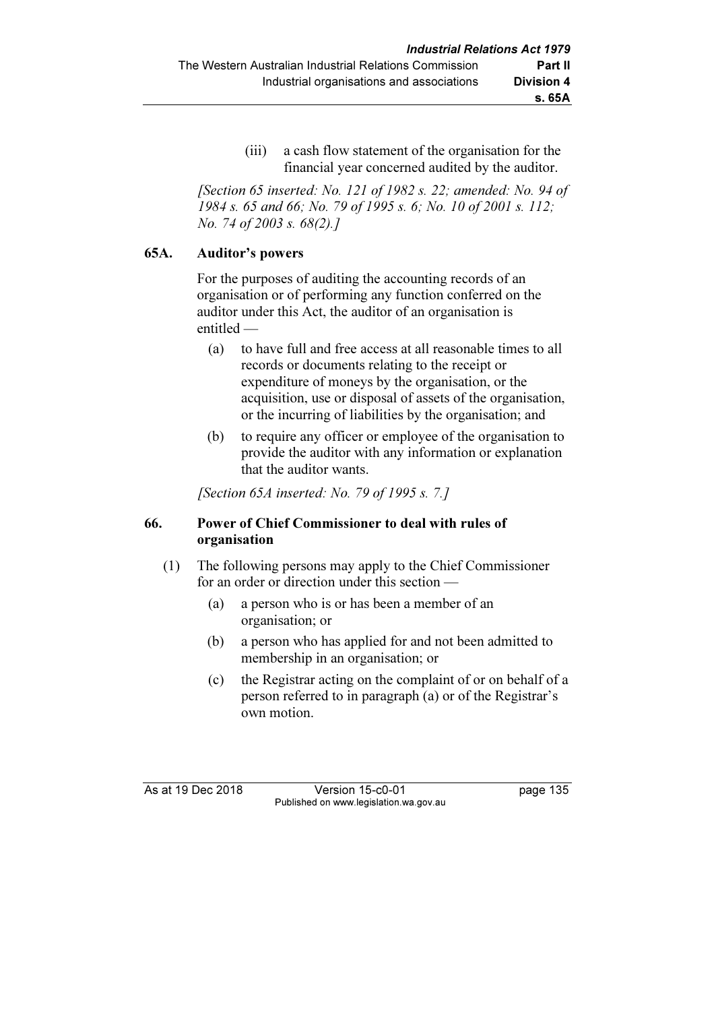(iii) a cash flow statement of the organisation for the financial year concerned audited by the auditor.

 [Section 65 inserted: No. 121 of 1982 s. 22; amended: No. 94 of 1984 s. 65 and 66; No. 79 of 1995 s. 6; No. 10 of 2001 s. 112; No. 74 of 2003 s. 68(2).]

#### 65A. Auditor's powers

 For the purposes of auditing the accounting records of an organisation or of performing any function conferred on the auditor under this Act, the auditor of an organisation is entitled —

- (a) to have full and free access at all reasonable times to all records or documents relating to the receipt or expenditure of moneys by the organisation, or the acquisition, use or disposal of assets of the organisation, or the incurring of liabilities by the organisation; and
- (b) to require any officer or employee of the organisation to provide the auditor with any information or explanation that the auditor wants.

[Section 65A inserted: No. 79 of 1995 s. 7.]

## 66. Power of Chief Commissioner to deal with rules of organisation

- (1) The following persons may apply to the Chief Commissioner for an order or direction under this section —
	- (a) a person who is or has been a member of an organisation; or
	- (b) a person who has applied for and not been admitted to membership in an organisation; or
	- (c) the Registrar acting on the complaint of or on behalf of a person referred to in paragraph (a) or of the Registrar's own motion.

As at 19 Dec 2018 Version 15-c0-01 page 135 Published on www.legislation.wa.gov.au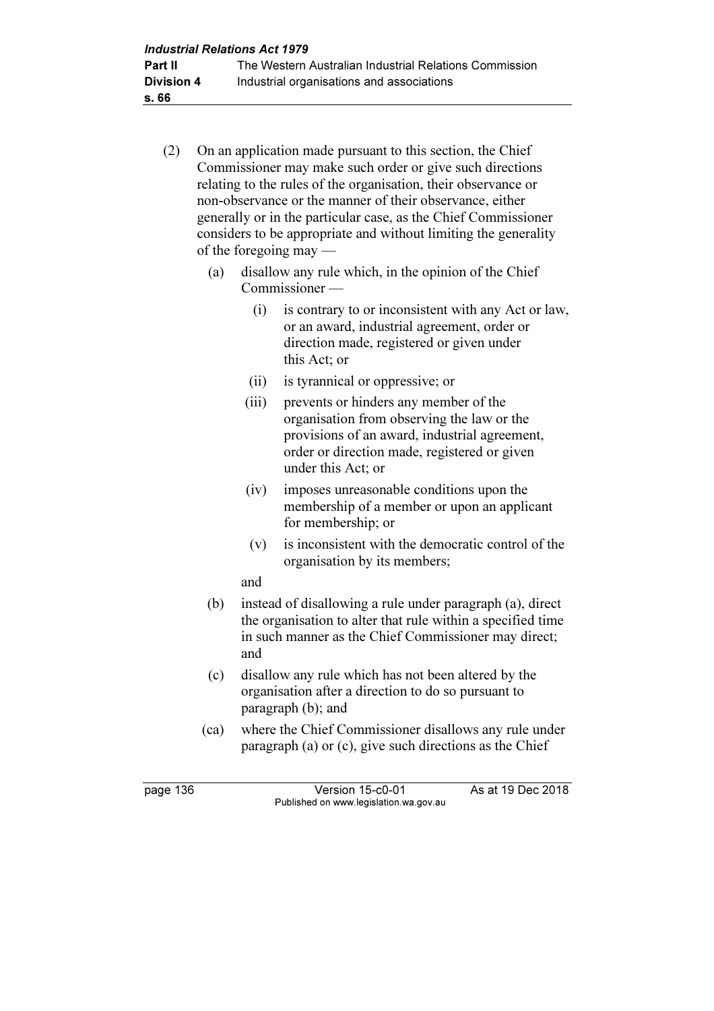- (2) On an application made pursuant to this section, the Chief Commissioner may make such order or give such directions relating to the rules of the organisation, their observance or non-observance or the manner of their observance, either generally or in the particular case, as the Chief Commissioner considers to be appropriate and without limiting the generality of the foregoing may —
	- (a) disallow any rule which, in the opinion of the Chief Commissioner —
		- (i) is contrary to or inconsistent with any Act or law, or an award, industrial agreement, order or direction made, registered or given under this Act; or
		- (ii) is tyrannical or oppressive; or
		- (iii) prevents or hinders any member of the organisation from observing the law or the provisions of an award, industrial agreement, order or direction made, registered or given under this Act; or
		- (iv) imposes unreasonable conditions upon the membership of a member or upon an applicant for membership; or
		- (v) is inconsistent with the democratic control of the organisation by its members;

and

- (b) instead of disallowing a rule under paragraph (a), direct the organisation to alter that rule within a specified time in such manner as the Chief Commissioner may direct; and
- (c) disallow any rule which has not been altered by the organisation after a direction to do so pursuant to paragraph (b); and
- (ca) where the Chief Commissioner disallows any rule under paragraph (a) or (c), give such directions as the Chief

page 136 Version 15-c0-01 As at 19 Dec 2018 Published on www.legislation.wa.gov.au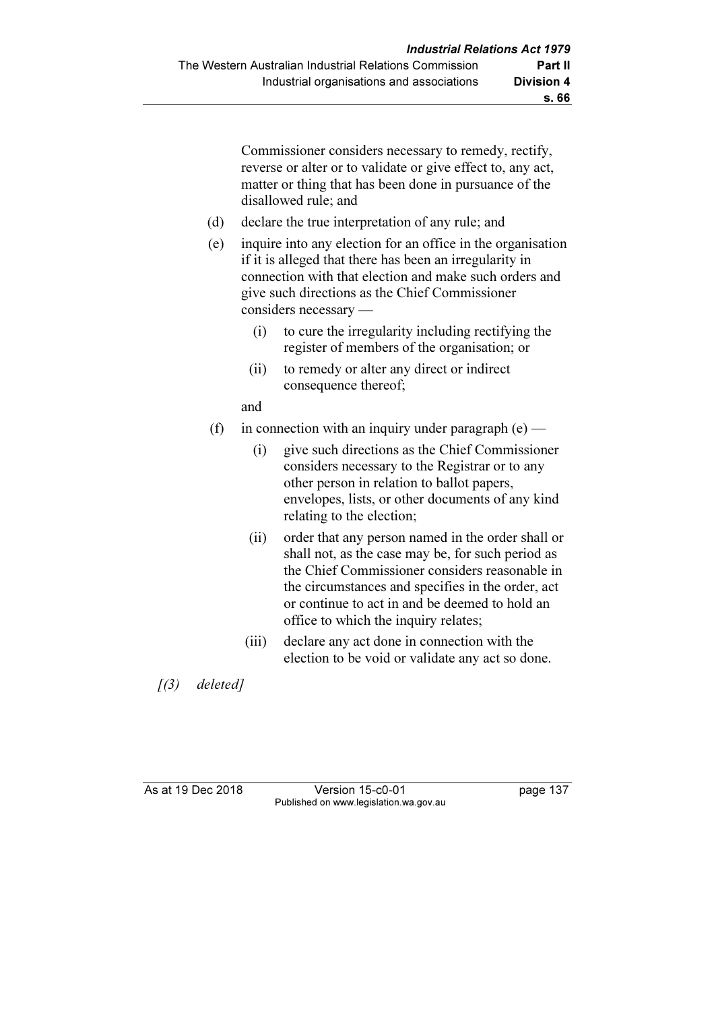Commissioner considers necessary to remedy, rectify, reverse or alter or to validate or give effect to, any act, matter or thing that has been done in pursuance of the disallowed rule; and

- (d) declare the true interpretation of any rule; and
- (e) inquire into any election for an office in the organisation if it is alleged that there has been an irregularity in connection with that election and make such orders and give such directions as the Chief Commissioner considers necessary —
	- (i) to cure the irregularity including rectifying the register of members of the organisation; or
	- (ii) to remedy or alter any direct or indirect consequence thereof;

and

- (f) in connection with an inquiry under paragraph  $(e)$ 
	- (i) give such directions as the Chief Commissioner considers necessary to the Registrar or to any other person in relation to ballot papers, envelopes, lists, or other documents of any kind relating to the election;
	- (ii) order that any person named in the order shall or shall not, as the case may be, for such period as the Chief Commissioner considers reasonable in the circumstances and specifies in the order, act or continue to act in and be deemed to hold an office to which the inquiry relates;
	- (iii) declare any act done in connection with the election to be void or validate any act so done.

 $(3)$  deleted]

As at 19 Dec 2018 Version 15-c0-01 page 137 Published on www.legislation.wa.gov.au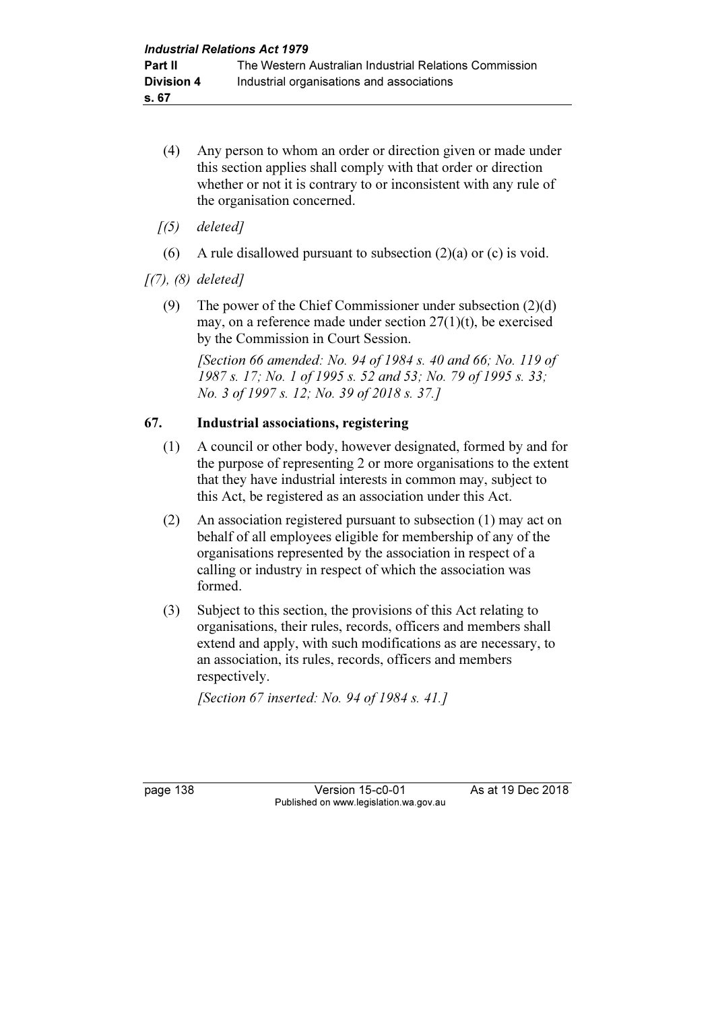- (4) Any person to whom an order or direction given or made under this section applies shall comply with that order or direction whether or not it is contrary to or inconsistent with any rule of the organisation concerned.
- $(5)$  deleted]
- (6) A rule disallowed pursuant to subsection  $(2)(a)$  or  $(c)$  is void.

 $[(7), (8)$  deleted]

 (9) The power of the Chief Commissioner under subsection (2)(d) may, on a reference made under section 27(1)(t), be exercised by the Commission in Court Session.

[Section 66 amended: No. 94 of 1984 s. 40 and 66; No. 119 of 1987 s. 17; No. 1 of 1995 s. 52 and 53; No. 79 of 1995 s. 33; No. 3 of 1997 s. 12; No. 39 of 2018 s. 37.]

#### 67. Industrial associations, registering

- (1) A council or other body, however designated, formed by and for the purpose of representing 2 or more organisations to the extent that they have industrial interests in common may, subject to this Act, be registered as an association under this Act.
- (2) An association registered pursuant to subsection (1) may act on behalf of all employees eligible for membership of any of the organisations represented by the association in respect of a calling or industry in respect of which the association was formed.
- (3) Subject to this section, the provisions of this Act relating to organisations, their rules, records, officers and members shall extend and apply, with such modifications as are necessary, to an association, its rules, records, officers and members respectively.

[Section 67 inserted: No. 94 of 1984 s. 41.]

page 138 Version 15-c0-01 As at 19 Dec 2018 Published on www.legislation.wa.gov.au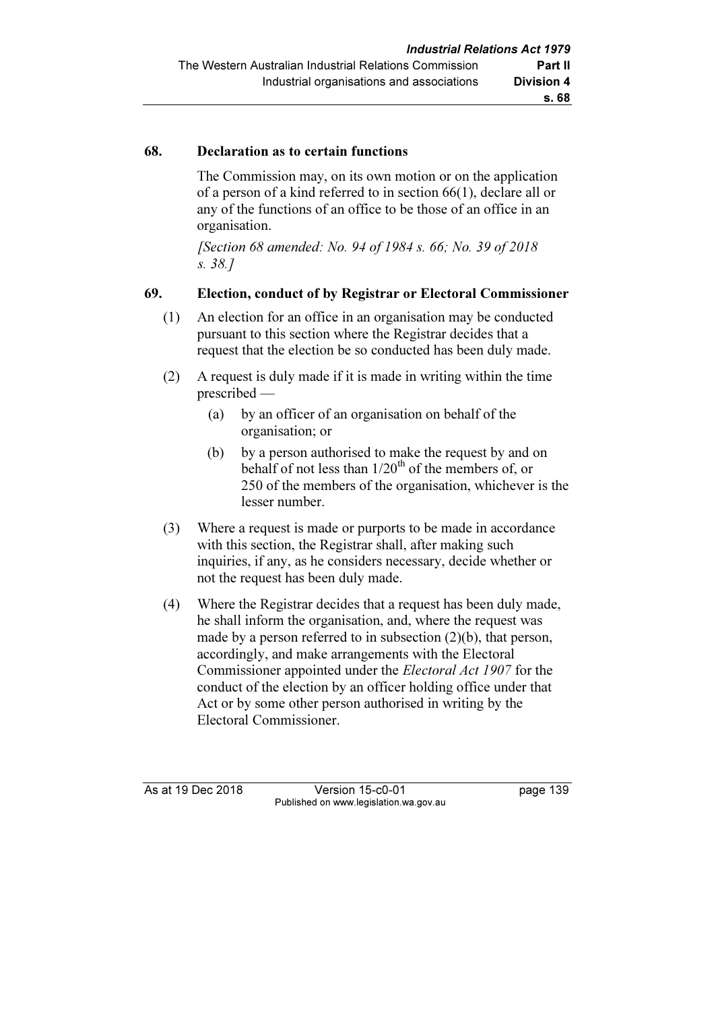#### 68. Declaration as to certain functions

 The Commission may, on its own motion or on the application of a person of a kind referred to in section 66(1), declare all or any of the functions of an office to be those of an office in an organisation.

 [Section 68 amended: No. 94 of 1984 s. 66; No. 39 of 2018 s. 38.]

#### 69. Election, conduct of by Registrar or Electoral Commissioner

- (1) An election for an office in an organisation may be conducted pursuant to this section where the Registrar decides that a request that the election be so conducted has been duly made.
- (2) A request is duly made if it is made in writing within the time prescribed —
	- (a) by an officer of an organisation on behalf of the organisation; or
	- (b) by a person authorised to make the request by and on behalf of not less than  $1/20^{th}$  of the members of, or 250 of the members of the organisation, whichever is the lesser number.
- (3) Where a request is made or purports to be made in accordance with this section, the Registrar shall, after making such inquiries, if any, as he considers necessary, decide whether or not the request has been duly made.
- (4) Where the Registrar decides that a request has been duly made, he shall inform the organisation, and, where the request was made by a person referred to in subsection (2)(b), that person, accordingly, and make arrangements with the Electoral Commissioner appointed under the Electoral Act 1907 for the conduct of the election by an officer holding office under that Act or by some other person authorised in writing by the Electoral Commissioner.

As at 19 Dec 2018 Version 15-c0-01 page 139 Published on www.legislation.wa.gov.au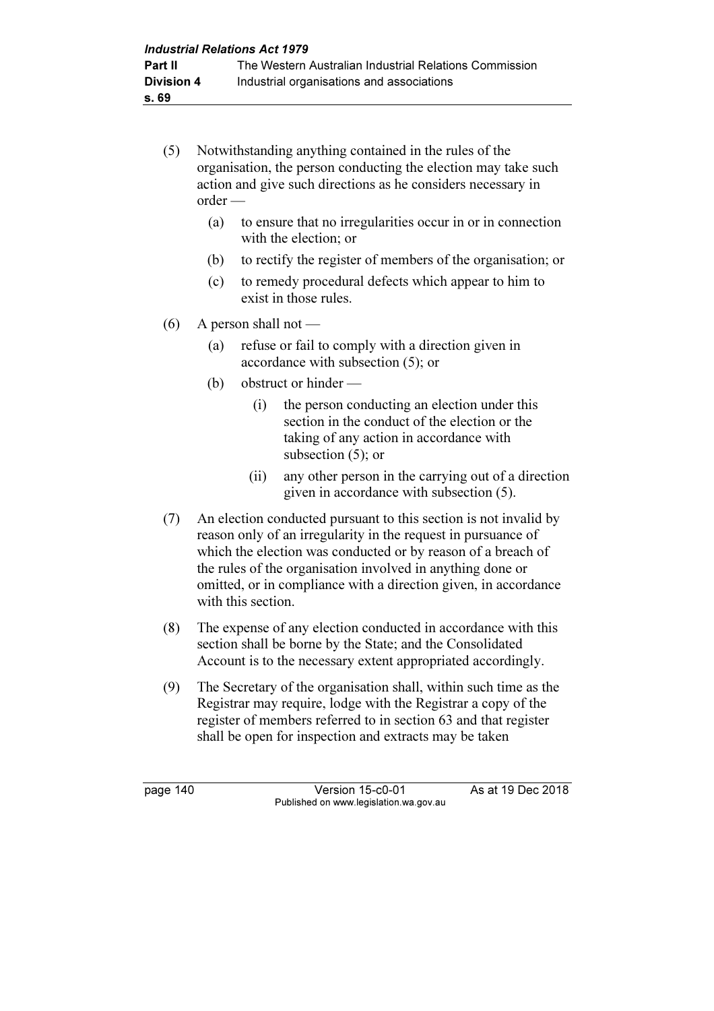- (5) Notwithstanding anything contained in the rules of the organisation, the person conducting the election may take such action and give such directions as he considers necessary in order —
	- (a) to ensure that no irregularities occur in or in connection with the election; or
	- (b) to rectify the register of members of the organisation; or
	- (c) to remedy procedural defects which appear to him to exist in those rules.
- $(6)$  A person shall not
	- (a) refuse or fail to comply with a direction given in accordance with subsection (5); or
	- (b) obstruct or hinder
		- (i) the person conducting an election under this section in the conduct of the election or the taking of any action in accordance with subsection (5); or
		- (ii) any other person in the carrying out of a direction given in accordance with subsection (5).
- (7) An election conducted pursuant to this section is not invalid by reason only of an irregularity in the request in pursuance of which the election was conducted or by reason of a breach of the rules of the organisation involved in anything done or omitted, or in compliance with a direction given, in accordance with this section.
- (8) The expense of any election conducted in accordance with this section shall be borne by the State; and the Consolidated Account is to the necessary extent appropriated accordingly.
- (9) The Secretary of the organisation shall, within such time as the Registrar may require, lodge with the Registrar a copy of the register of members referred to in section 63 and that register shall be open for inspection and extracts may be taken

page 140 Version 15-c0-01 As at 19 Dec 2018 Published on www.legislation.wa.gov.au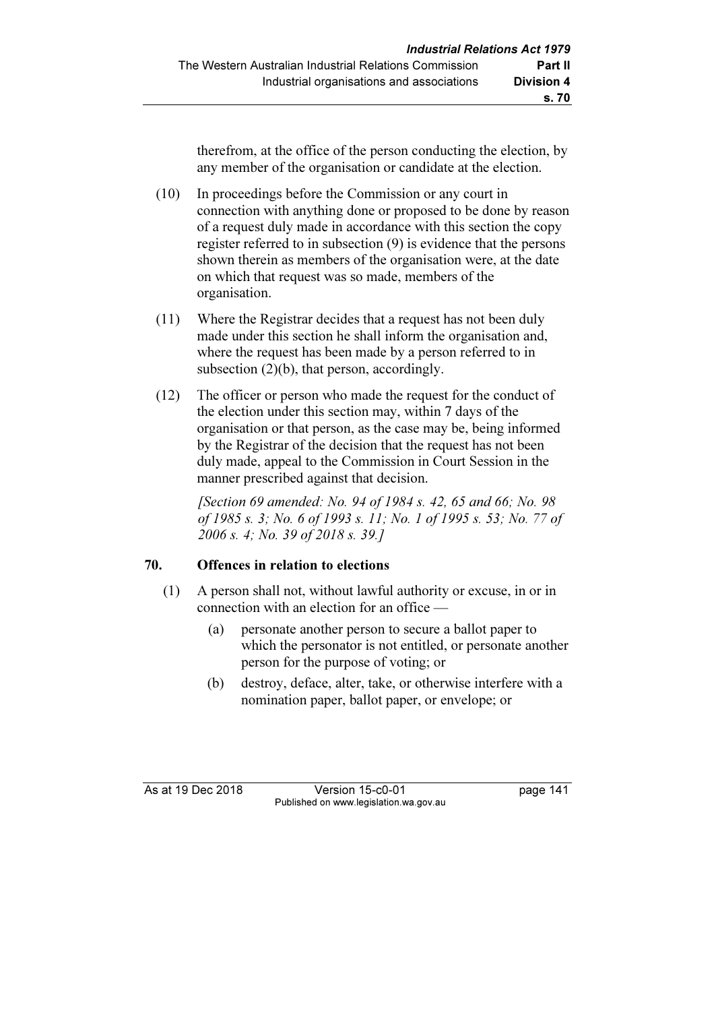therefrom, at the office of the person conducting the election, by any member of the organisation or candidate at the election.

 (10) In proceedings before the Commission or any court in connection with anything done or proposed to be done by reason of a request duly made in accordance with this section the copy register referred to in subsection (9) is evidence that the persons shown therein as members of the organisation were, at the date on which that request was so made, members of the organisation.

- (11) Where the Registrar decides that a request has not been duly made under this section he shall inform the organisation and, where the request has been made by a person referred to in subsection (2)(b), that person, accordingly.
- (12) The officer or person who made the request for the conduct of the election under this section may, within 7 days of the organisation or that person, as the case may be, being informed by the Registrar of the decision that the request has not been duly made, appeal to the Commission in Court Session in the manner prescribed against that decision.

 [Section 69 amended: No. 94 of 1984 s. 42, 65 and 66; No. 98 of 1985 s. 3; No. 6 of 1993 s. 11; No. 1 of 1995 s. 53; No. 77 of 2006 s. 4; No. 39 of 2018 s. 39.]

## 70. Offences in relation to elections

- (1) A person shall not, without lawful authority or excuse, in or in connection with an election for an office —
	- (a) personate another person to secure a ballot paper to which the personator is not entitled, or personate another person for the purpose of voting; or
	- (b) destroy, deface, alter, take, or otherwise interfere with a nomination paper, ballot paper, or envelope; or

As at 19 Dec 2018 Version 15-c0-01 page 141 Published on www.legislation.wa.gov.au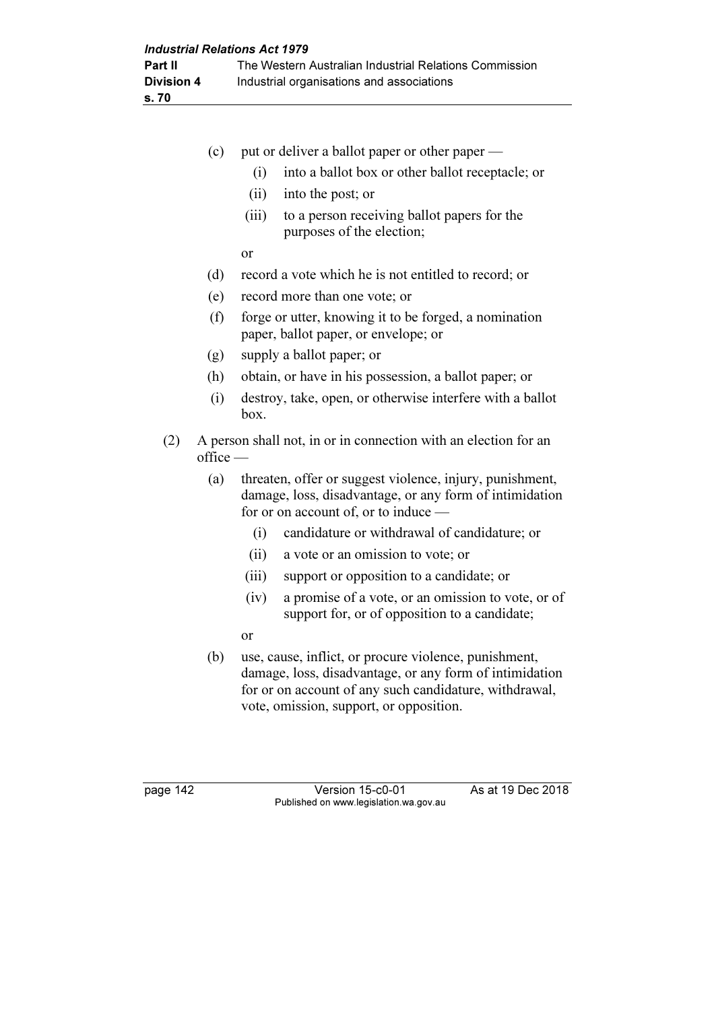|     | (c)           | put or deliver a ballot paper or other paper —                                                                                                              |
|-----|---------------|-------------------------------------------------------------------------------------------------------------------------------------------------------------|
|     |               | (i)<br>into a ballot box or other ballot receptacle; or                                                                                                     |
|     |               | (ii)<br>into the post; or                                                                                                                                   |
|     |               | (iii)<br>to a person receiving ballot papers for the<br>purposes of the election;                                                                           |
|     |               | <b>or</b>                                                                                                                                                   |
|     | (d)           | record a vote which he is not entitled to record; or                                                                                                        |
|     | (e)           | record more than one vote; or                                                                                                                               |
|     | (f)           | forge or utter, knowing it to be forged, a nomination<br>paper, ballot paper, or envelope; or                                                               |
|     | (g)           | supply a ballot paper; or                                                                                                                                   |
|     | (h)           | obtain, or have in his possession, a ballot paper; or                                                                                                       |
|     | (i)           | destroy, take, open, or otherwise interfere with a ballot<br>box.                                                                                           |
| (2) | $of$ fice $-$ | A person shall not, in or in connection with an election for an                                                                                             |
|     | (a)           | threaten, offer or suggest violence, injury, punishment,<br>damage, loss, disadvantage, or any form of intimidation<br>for or on account of, or to induce — |
|     |               | candidature or withdrawal of candidature; or<br>(i)                                                                                                         |
|     |               | (ii)<br>a vote or an omission to vote; or                                                                                                                   |
|     |               | (iii)<br>support or opposition to a candidate; or                                                                                                           |
|     |               | a promise of a vote, or an omission to vote, or of<br>(iv)<br>support for, or of opposition to a candidate;                                                 |

- or
- (b) use, cause, inflict, or procure violence, punishment, damage, loss, disadvantage, or any form of intimidation for or on account of any such candidature, withdrawal, vote, omission, support, or opposition.

page 142 Version 15-c0-01 As at 19 Dec 2018 Published on www.legislation.wa.gov.au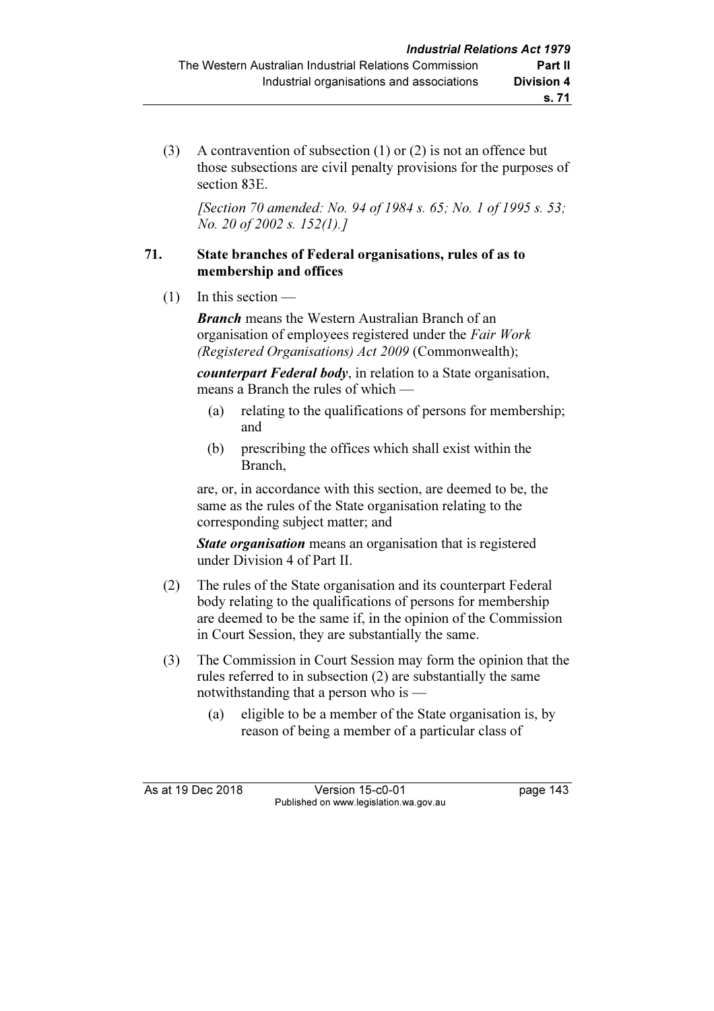(3) A contravention of subsection (1) or (2) is not an offence but those subsections are civil penalty provisions for the purposes of section 83E.

[Section 70 amended: No. 94 of 1984 s. 65; No. 1 of 1995 s. 53; No. 20 of 2002 s. 152(1).]

#### 71. State branches of Federal organisations, rules of as to membership and offices

 $(1)$  In this section —

**Branch** means the Western Australian Branch of an organisation of employees registered under the Fair Work (Registered Organisations) Act 2009 (Commonwealth);

counterpart Federal body, in relation to a State organisation, means a Branch the rules of which —

- (a) relating to the qualifications of persons for membership; and
- (b) prescribing the offices which shall exist within the Branch,

 are, or, in accordance with this section, are deemed to be, the same as the rules of the State organisation relating to the corresponding subject matter; and

**State organisation** means an organisation that is registered under Division 4 of Part II.

- (2) The rules of the State organisation and its counterpart Federal body relating to the qualifications of persons for membership are deemed to be the same if, in the opinion of the Commission in Court Session, they are substantially the same.
- (3) The Commission in Court Session may form the opinion that the rules referred to in subsection (2) are substantially the same notwithstanding that a person who is —
	- (a) eligible to be a member of the State organisation is, by reason of being a member of a particular class of

As at 19 Dec 2018 Version 15-c0-01 page 143 Published on www.legislation.wa.gov.au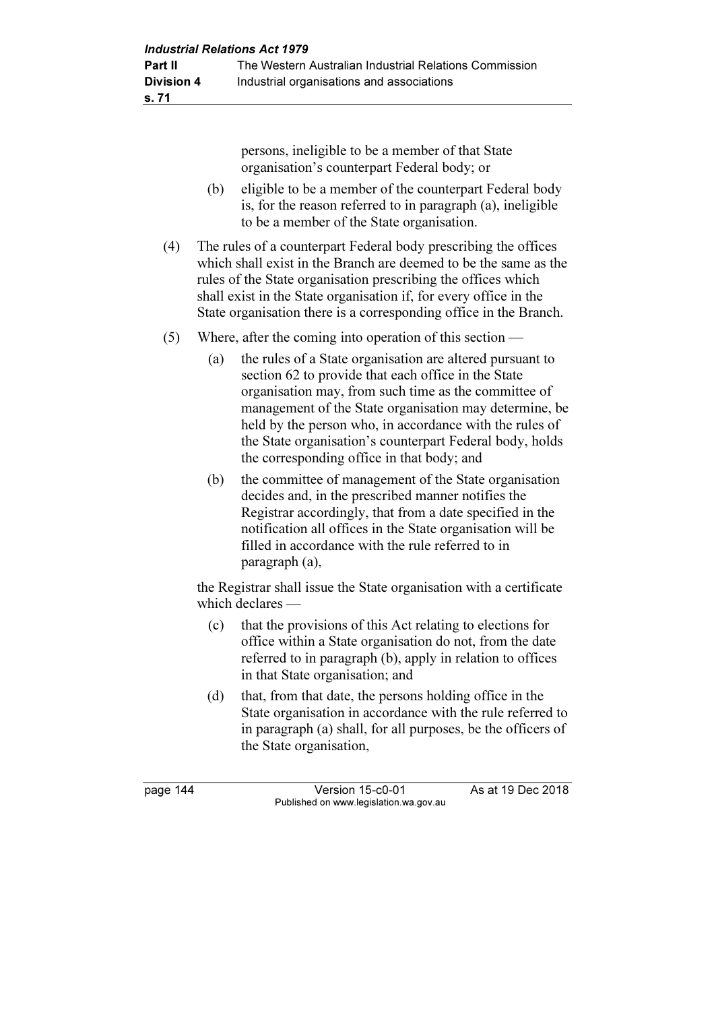persons, ineligible to be a member of that State organisation's counterpart Federal body; or

- (b) eligible to be a member of the counterpart Federal body is, for the reason referred to in paragraph (a), ineligible to be a member of the State organisation.
- (4) The rules of a counterpart Federal body prescribing the offices which shall exist in the Branch are deemed to be the same as the rules of the State organisation prescribing the offices which shall exist in the State organisation if, for every office in the State organisation there is a corresponding office in the Branch.
- (5) Where, after the coming into operation of this section
	- (a) the rules of a State organisation are altered pursuant to section 62 to provide that each office in the State organisation may, from such time as the committee of management of the State organisation may determine, be held by the person who, in accordance with the rules of the State organisation's counterpart Federal body, holds the corresponding office in that body; and
	- (b) the committee of management of the State organisation decides and, in the prescribed manner notifies the Registrar accordingly, that from a date specified in the notification all offices in the State organisation will be filled in accordance with the rule referred to in paragraph (a),

 the Registrar shall issue the State organisation with a certificate which declares —

- (c) that the provisions of this Act relating to elections for office within a State organisation do not, from the date referred to in paragraph (b), apply in relation to offices in that State organisation; and
- (d) that, from that date, the persons holding office in the State organisation in accordance with the rule referred to in paragraph (a) shall, for all purposes, be the officers of the State organisation,

page 144 Version 15-c0-01 As at 19 Dec 2018 Published on www.legislation.wa.gov.au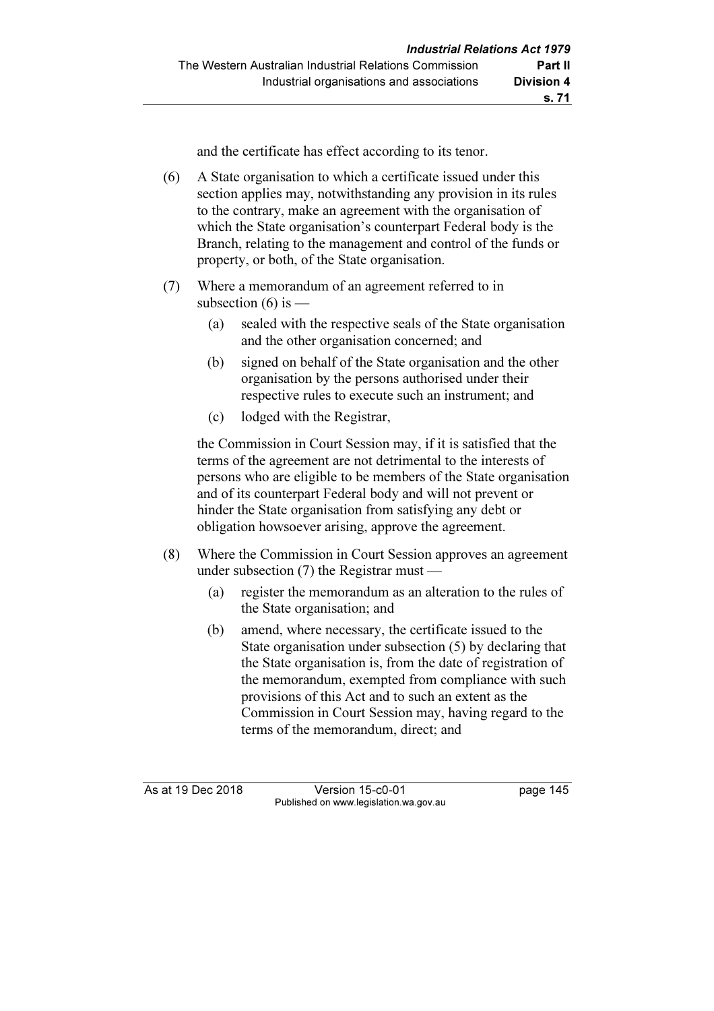and the certificate has effect according to its tenor.

- (6) A State organisation to which a certificate issued under this section applies may, notwithstanding any provision in its rules to the contrary, make an agreement with the organisation of which the State organisation's counterpart Federal body is the Branch, relating to the management and control of the funds or property, or both, of the State organisation.
- (7) Where a memorandum of an agreement referred to in subsection  $(6)$  is —
	- (a) sealed with the respective seals of the State organisation and the other organisation concerned; and
	- (b) signed on behalf of the State organisation and the other organisation by the persons authorised under their respective rules to execute such an instrument; and
	- (c) lodged with the Registrar,

 the Commission in Court Session may, if it is satisfied that the terms of the agreement are not detrimental to the interests of persons who are eligible to be members of the State organisation and of its counterpart Federal body and will not prevent or hinder the State organisation from satisfying any debt or obligation howsoever arising, approve the agreement.

- (8) Where the Commission in Court Session approves an agreement under subsection (7) the Registrar must —
	- (a) register the memorandum as an alteration to the rules of the State organisation; and
	- (b) amend, where necessary, the certificate issued to the State organisation under subsection (5) by declaring that the State organisation is, from the date of registration of the memorandum, exempted from compliance with such provisions of this Act and to such an extent as the Commission in Court Session may, having regard to the terms of the memorandum, direct; and

As at 19 Dec 2018 Version 15-c0-01 page 145 Published on www.legislation.wa.gov.au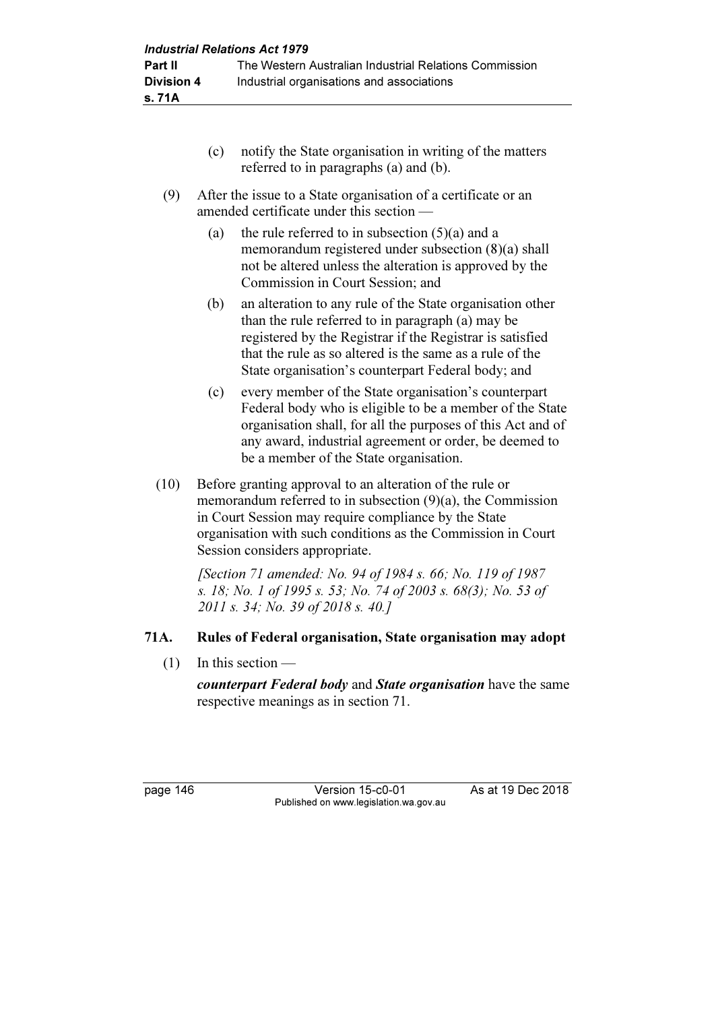- (c) notify the State organisation in writing of the matters referred to in paragraphs (a) and (b).
- (9) After the issue to a State organisation of a certificate or an amended certificate under this section —
	- (a) the rule referred to in subsection  $(5)(a)$  and a memorandum registered under subsection (8)(a) shall not be altered unless the alteration is approved by the Commission in Court Session; and
	- (b) an alteration to any rule of the State organisation other than the rule referred to in paragraph (a) may be registered by the Registrar if the Registrar is satisfied that the rule as so altered is the same as a rule of the State organisation's counterpart Federal body; and
	- (c) every member of the State organisation's counterpart Federal body who is eligible to be a member of the State organisation shall, for all the purposes of this Act and of any award, industrial agreement or order, be deemed to be a member of the State organisation.
- (10) Before granting approval to an alteration of the rule or memorandum referred to in subsection (9)(a), the Commission in Court Session may require compliance by the State organisation with such conditions as the Commission in Court Session considers appropriate.

 [Section 71 amended: No. 94 of 1984 s. 66; No. 119 of 1987 s. 18; No. 1 of 1995 s. 53; No. 74 of 2003 s. 68(3); No. 53 of 2011 s. 34; No. 39 of 2018 s. 40.]

## 71A. Rules of Federal organisation, State organisation may adopt

(1) In this section —

counterpart Federal body and State organisation have the same respective meanings as in section 71.

page 146 Version 15-c0-01 As at 19 Dec 2018 Published on www.legislation.wa.gov.au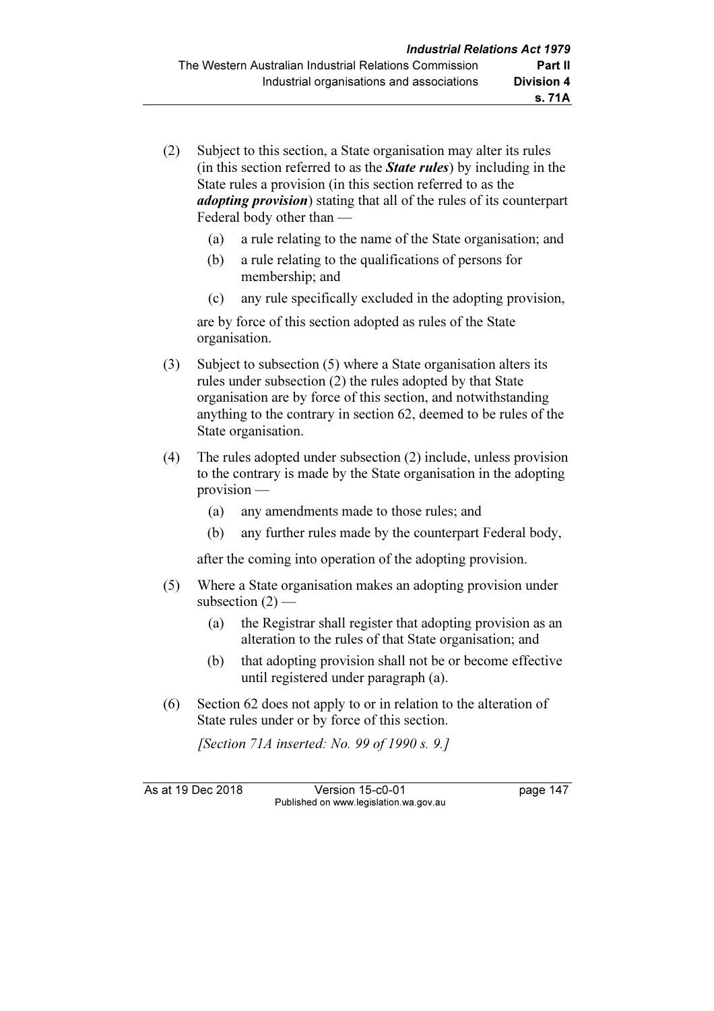- (2) Subject to this section, a State organisation may alter its rules (in this section referred to as the **State rules**) by including in the State rules a provision (in this section referred to as the *adopting provision*) stating that all of the rules of its counterpart Federal body other than —
	- (a) a rule relating to the name of the State organisation; and
	- (b) a rule relating to the qualifications of persons for membership; and
	- (c) any rule specifically excluded in the adopting provision,

 are by force of this section adopted as rules of the State organisation.

- (3) Subject to subsection (5) where a State organisation alters its rules under subsection (2) the rules adopted by that State organisation are by force of this section, and notwithstanding anything to the contrary in section 62, deemed to be rules of the State organisation.
- (4) The rules adopted under subsection (2) include, unless provision to the contrary is made by the State organisation in the adopting provision —
	- (a) any amendments made to those rules; and
	- (b) any further rules made by the counterpart Federal body,

after the coming into operation of the adopting provision.

- (5) Where a State organisation makes an adopting provision under subsection  $(2)$  —
	- (a) the Registrar shall register that adopting provision as an alteration to the rules of that State organisation; and
	- (b) that adopting provision shall not be or become effective until registered under paragraph (a).
- (6) Section 62 does not apply to or in relation to the alteration of State rules under or by force of this section.

[Section 71A inserted: No. 99 of 1990 s. 9.]

As at 19 Dec 2018 Version 15-c0-01 page 147 Published on www.legislation.wa.gov.au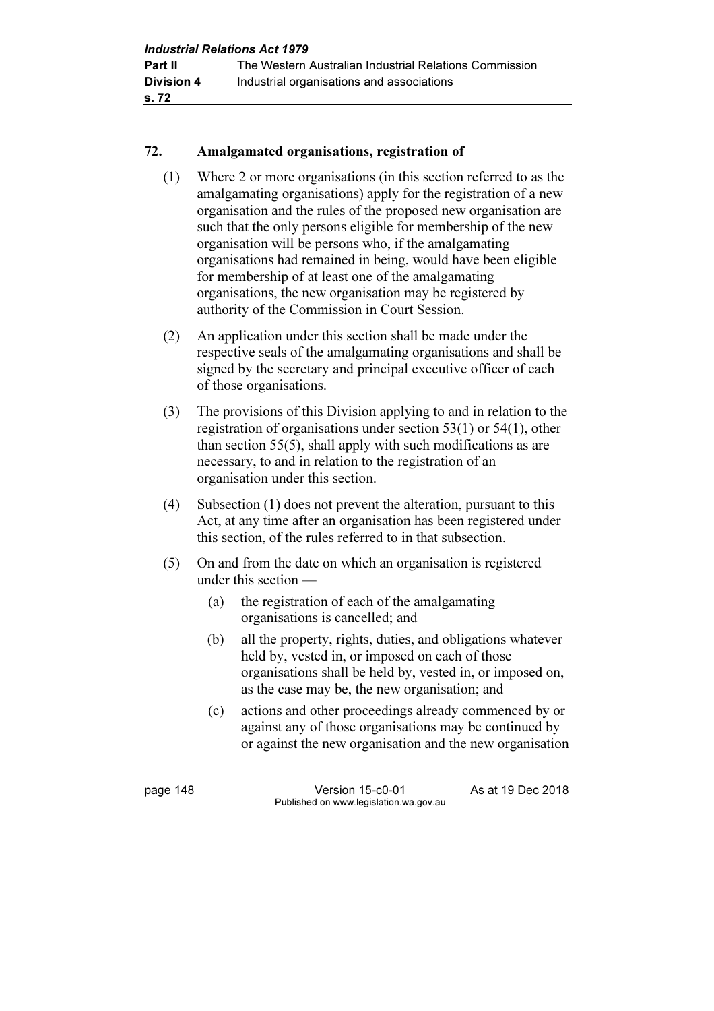#### 72. Amalgamated organisations, registration of

- (1) Where 2 or more organisations (in this section referred to as the amalgamating organisations) apply for the registration of a new organisation and the rules of the proposed new organisation are such that the only persons eligible for membership of the new organisation will be persons who, if the amalgamating organisations had remained in being, would have been eligible for membership of at least one of the amalgamating organisations, the new organisation may be registered by authority of the Commission in Court Session.
- (2) An application under this section shall be made under the respective seals of the amalgamating organisations and shall be signed by the secretary and principal executive officer of each of those organisations.
- (3) The provisions of this Division applying to and in relation to the registration of organisations under section 53(1) or 54(1), other than section 55(5), shall apply with such modifications as are necessary, to and in relation to the registration of an organisation under this section.
- (4) Subsection (1) does not prevent the alteration, pursuant to this Act, at any time after an organisation has been registered under this section, of the rules referred to in that subsection.
- (5) On and from the date on which an organisation is registered under this section —
	- (a) the registration of each of the amalgamating organisations is cancelled; and
	- (b) all the property, rights, duties, and obligations whatever held by, vested in, or imposed on each of those organisations shall be held by, vested in, or imposed on, as the case may be, the new organisation; and
	- (c) actions and other proceedings already commenced by or against any of those organisations may be continued by or against the new organisation and the new organisation

page 148 Version 15-c0-01 As at 19 Dec 2018 Published on www.legislation.wa.gov.au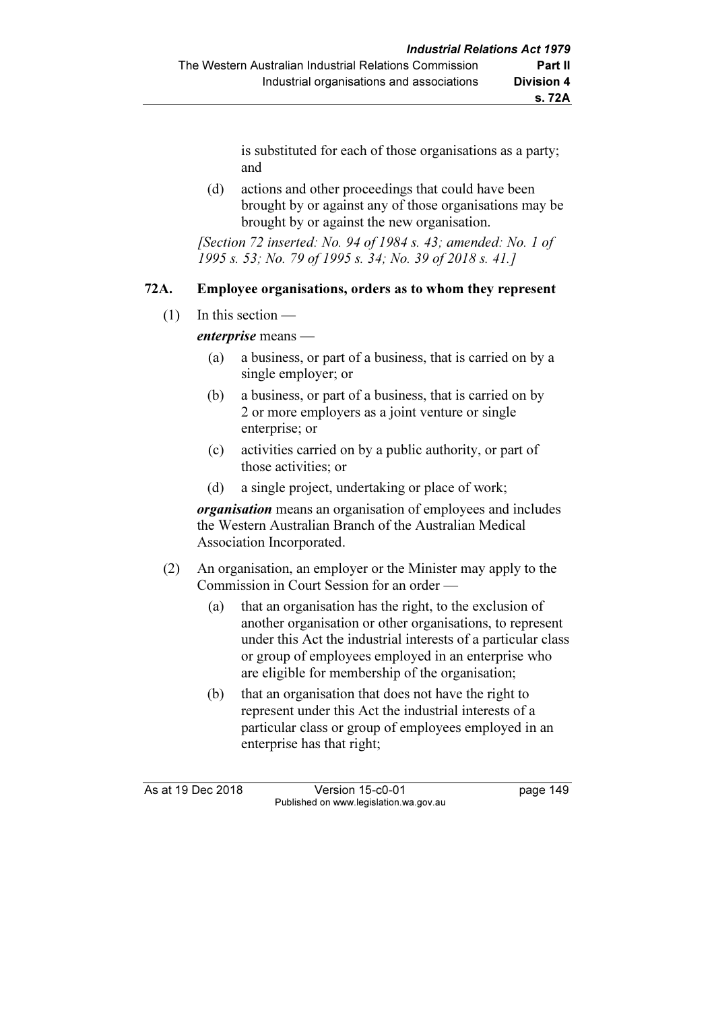is substituted for each of those organisations as a party; and

 (d) actions and other proceedings that could have been brought by or against any of those organisations may be brought by or against the new organisation.

[Section 72 inserted: No. 94 of 1984 s. 43; amended: No. 1 of 1995 s. 53; No. 79 of 1995 s. 34; No. 39 of 2018 s. 41.]

#### 72A. Employee organisations, orders as to whom they represent

 $(1)$  In this section —

enterprise means —

- (a) a business, or part of a business, that is carried on by a single employer; or
- (b) a business, or part of a business, that is carried on by 2 or more employers as a joint venture or single enterprise; or
- (c) activities carried on by a public authority, or part of those activities; or
- (d) a single project, undertaking or place of work;

organisation means an organisation of employees and includes the Western Australian Branch of the Australian Medical Association Incorporated.

- (2) An organisation, an employer or the Minister may apply to the Commission in Court Session for an order —
	- (a) that an organisation has the right, to the exclusion of another organisation or other organisations, to represent under this Act the industrial interests of a particular class or group of employees employed in an enterprise who are eligible for membership of the organisation;
	- (b) that an organisation that does not have the right to represent under this Act the industrial interests of a particular class or group of employees employed in an enterprise has that right;

As at 19 Dec 2018 Version 15-c0-01 page 149 Published on www.legislation.wa.gov.au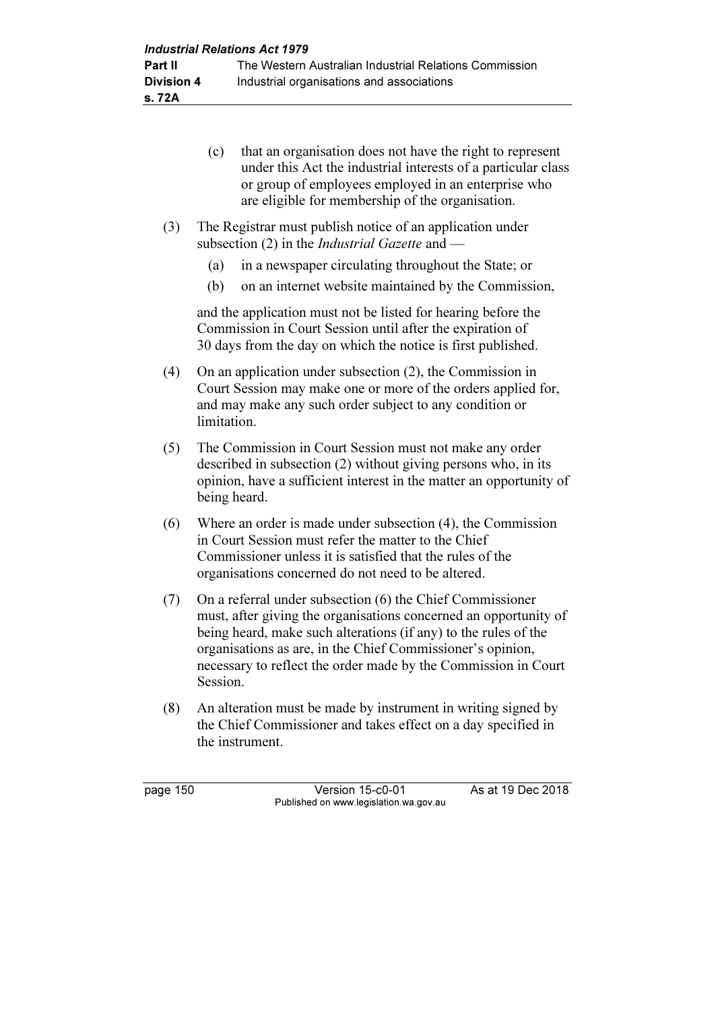- (c) that an organisation does not have the right to represent under this Act the industrial interests of a particular class or group of employees employed in an enterprise who are eligible for membership of the organisation.
- (3) The Registrar must publish notice of an application under subsection (2) in the *Industrial Gazette* and —
	- (a) in a newspaper circulating throughout the State; or
	- (b) on an internet website maintained by the Commission,

 and the application must not be listed for hearing before the Commission in Court Session until after the expiration of 30 days from the day on which the notice is first published.

- (4) On an application under subsection (2), the Commission in Court Session may make one or more of the orders applied for, and may make any such order subject to any condition or limitation.
- (5) The Commission in Court Session must not make any order described in subsection (2) without giving persons who, in its opinion, have a sufficient interest in the matter an opportunity of being heard.
- (6) Where an order is made under subsection (4), the Commission in Court Session must refer the matter to the Chief Commissioner unless it is satisfied that the rules of the organisations concerned do not need to be altered.
- (7) On a referral under subsection (6) the Chief Commissioner must, after giving the organisations concerned an opportunity of being heard, make such alterations (if any) to the rules of the organisations as are, in the Chief Commissioner's opinion, necessary to reflect the order made by the Commission in Court Session.
- (8) An alteration must be made by instrument in writing signed by the Chief Commissioner and takes effect on a day specified in the instrument.

page 150 Version 15-c0-01 As at 19 Dec 2018 Published on www.legislation.wa.gov.au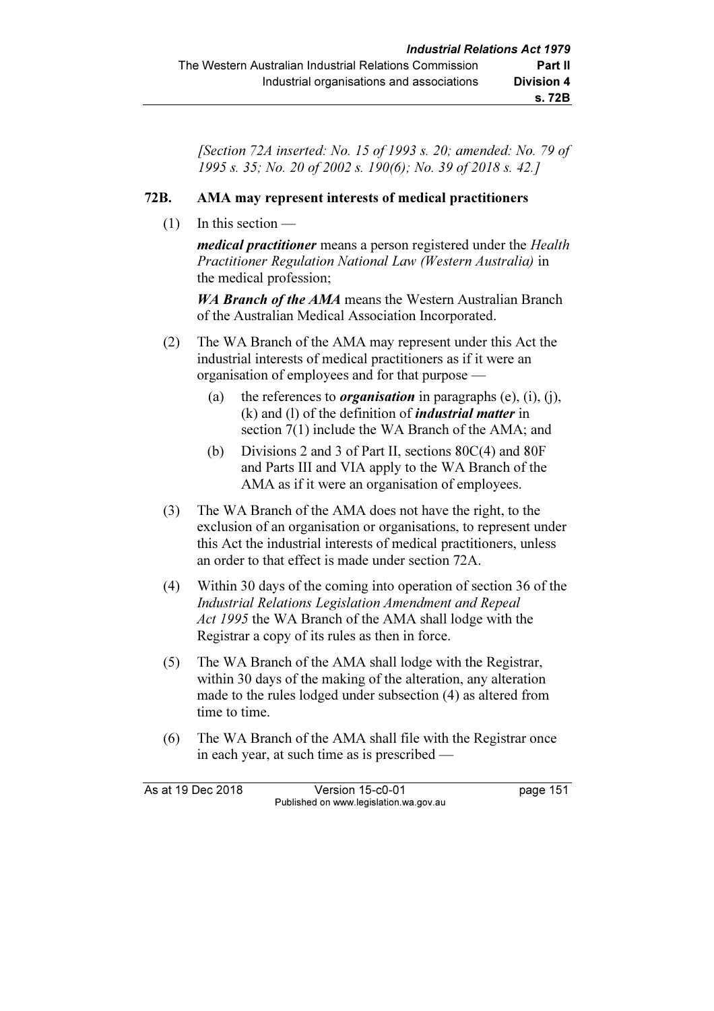[Section 72A inserted: No. 15 of 1993 s. 20; amended: No. 79 of 1995 s. 35; No. 20 of 2002 s. 190(6); No. 39 of 2018 s. 42.]

#### 72B. AMA may represent interests of medical practitioners

 $(1)$  In this section —

medical practitioner means a person registered under the Health Practitioner Regulation National Law (Western Australia) in the medical profession;

WA Branch of the AMA means the Western Australian Branch of the Australian Medical Association Incorporated.

- (2) The WA Branch of the AMA may represent under this Act the industrial interests of medical practitioners as if it were an organisation of employees and for that purpose —
	- (a) the references to *organisation* in paragraphs (e), (i), (j),  $(k)$  and  $(l)$  of the definition of *industrial matter* in section 7(1) include the WA Branch of the AMA; and
	- (b) Divisions 2 and 3 of Part II, sections 80C(4) and 80F and Parts III and VIA apply to the WA Branch of the AMA as if it were an organisation of employees.
- (3) The WA Branch of the AMA does not have the right, to the exclusion of an organisation or organisations, to represent under this Act the industrial interests of medical practitioners, unless an order to that effect is made under section 72A.
- (4) Within 30 days of the coming into operation of section 36 of the Industrial Relations Legislation Amendment and Repeal Act 1995 the WA Branch of the AMA shall lodge with the Registrar a copy of its rules as then in force.
- (5) The WA Branch of the AMA shall lodge with the Registrar, within 30 days of the making of the alteration, any alteration made to the rules lodged under subsection (4) as altered from time to time.
- (6) The WA Branch of the AMA shall file with the Registrar once in each year, at such time as is prescribed —

| As at 19 Dec 2018 | Version 15-c0-01                       | page 151 |
|-------------------|----------------------------------------|----------|
|                   | Published on www.legislation.wa.gov.au |          |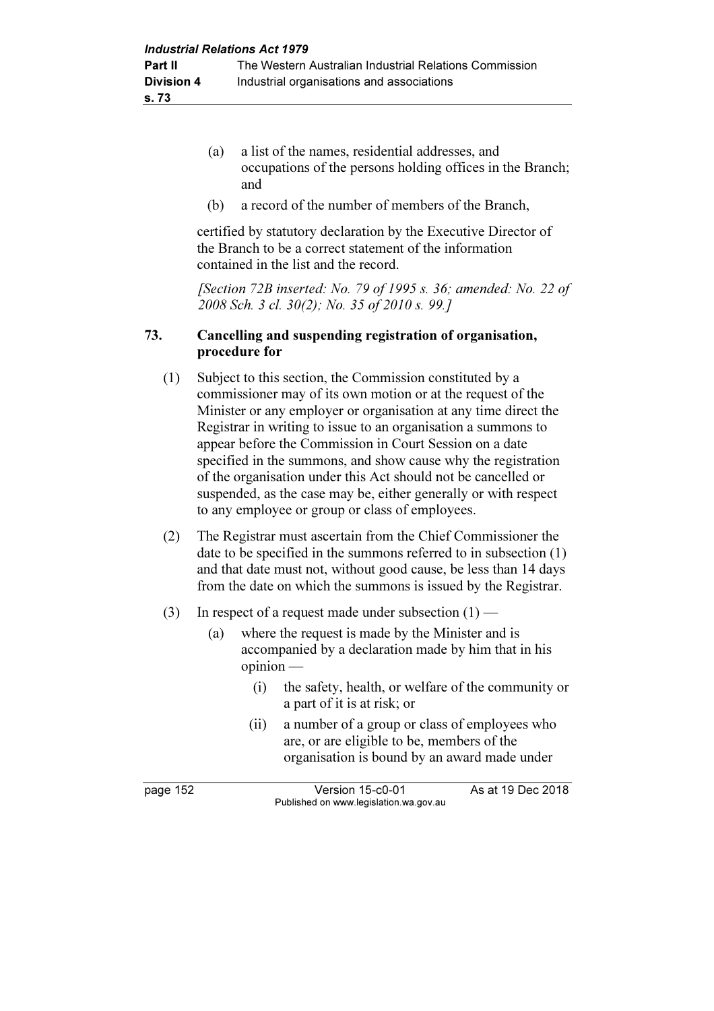- (a) a list of the names, residential addresses, and occupations of the persons holding offices in the Branch; and
- (b) a record of the number of members of the Branch,

 certified by statutory declaration by the Executive Director of the Branch to be a correct statement of the information contained in the list and the record.

[Section 72B inserted: No. 79 of 1995 s. 36; amended: No. 22 of 2008 Sch. 3 cl. 30(2); No. 35 of 2010 s. 99.]

#### 73. Cancelling and suspending registration of organisation, procedure for

- (1) Subject to this section, the Commission constituted by a commissioner may of its own motion or at the request of the Minister or any employer or organisation at any time direct the Registrar in writing to issue to an organisation a summons to appear before the Commission in Court Session on a date specified in the summons, and show cause why the registration of the organisation under this Act should not be cancelled or suspended, as the case may be, either generally or with respect to any employee or group or class of employees.
- (2) The Registrar must ascertain from the Chief Commissioner the date to be specified in the summons referred to in subsection (1) and that date must not, without good cause, be less than 14 days from the date on which the summons is issued by the Registrar.
- (3) In respect of a request made under subsection  $(1)$ 
	- (a) where the request is made by the Minister and is accompanied by a declaration made by him that in his opinion —
		- (i) the safety, health, or welfare of the community or a part of it is at risk; or
		- (ii) a number of a group or class of employees who are, or are eligible to be, members of the organisation is bound by an award made under

page 152 Version 15-c0-01 As at 19 Dec 2018 Published on www.legislation.wa.gov.au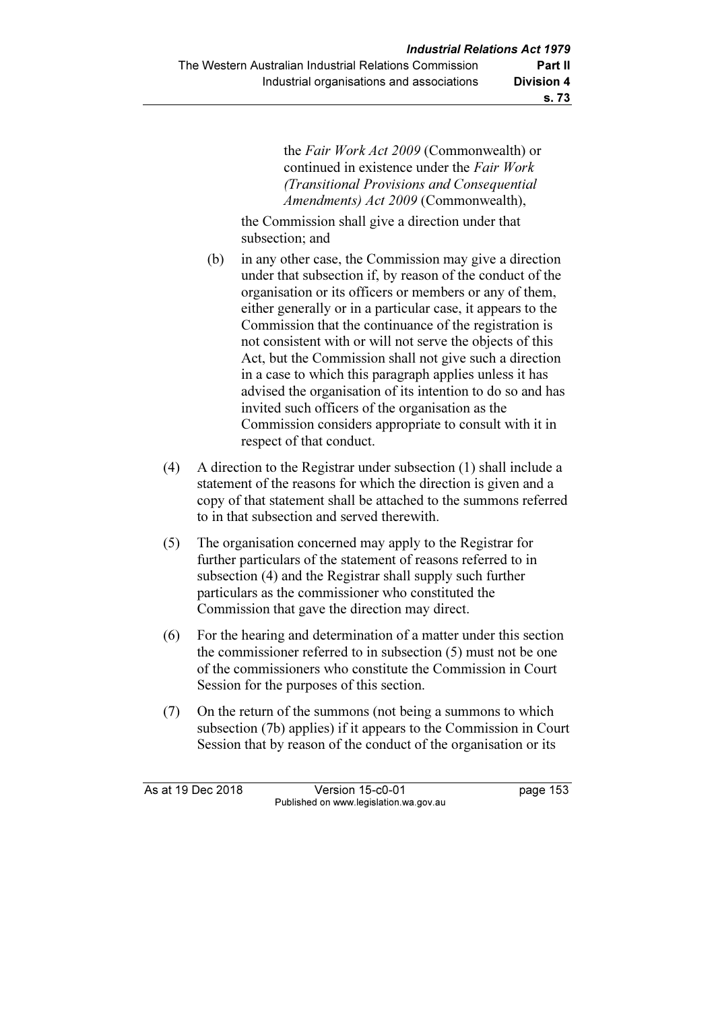the Fair Work Act 2009 (Commonwealth) or continued in existence under the Fair Work (Transitional Provisions and Consequential Amendments) Act 2009 (Commonwealth),

 the Commission shall give a direction under that subsection; and

- (b) in any other case, the Commission may give a direction under that subsection if, by reason of the conduct of the organisation or its officers or members or any of them, either generally or in a particular case, it appears to the Commission that the continuance of the registration is not consistent with or will not serve the objects of this Act, but the Commission shall not give such a direction in a case to which this paragraph applies unless it has advised the organisation of its intention to do so and has invited such officers of the organisation as the Commission considers appropriate to consult with it in respect of that conduct.
- (4) A direction to the Registrar under subsection (1) shall include a statement of the reasons for which the direction is given and a copy of that statement shall be attached to the summons referred to in that subsection and served therewith.
- (5) The organisation concerned may apply to the Registrar for further particulars of the statement of reasons referred to in subsection (4) and the Registrar shall supply such further particulars as the commissioner who constituted the Commission that gave the direction may direct.
- (6) For the hearing and determination of a matter under this section the commissioner referred to in subsection (5) must not be one of the commissioners who constitute the Commission in Court Session for the purposes of this section.
- (7) On the return of the summons (not being a summons to which subsection (7b) applies) if it appears to the Commission in Court Session that by reason of the conduct of the organisation or its

As at 19 Dec 2018 Version 15-c0-01 page 153 Published on www.legislation.wa.gov.au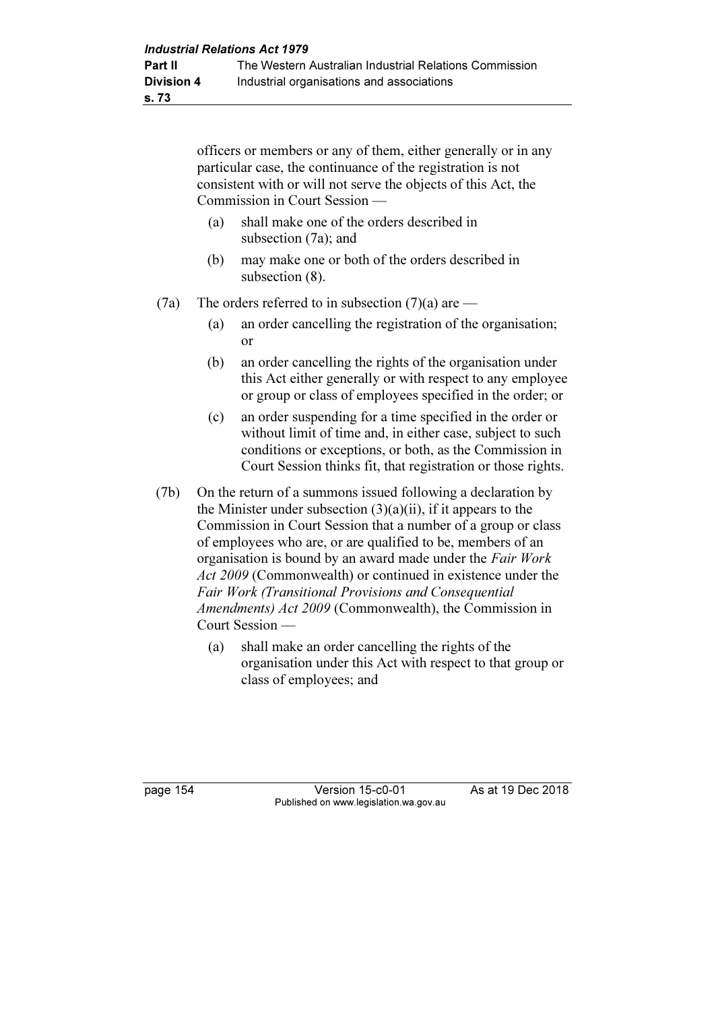officers or members or any of them, either generally or in any particular case, the continuance of the registration is not consistent with or will not serve the objects of this Act, the Commission in Court Session —

- (a) shall make one of the orders described in subsection (7a); and
- (b) may make one or both of the orders described in subsection (8).
- (7a) The orders referred to in subsection (7)(a) are
	- (a) an order cancelling the registration of the organisation; or
	- (b) an order cancelling the rights of the organisation under this Act either generally or with respect to any employee or group or class of employees specified in the order; or
	- (c) an order suspending for a time specified in the order or without limit of time and, in either case, subject to such conditions or exceptions, or both, as the Commission in Court Session thinks fit, that registration or those rights.
- (7b) On the return of a summons issued following a declaration by the Minister under subsection  $(3)(a)(ii)$ , if it appears to the Commission in Court Session that a number of a group or class of employees who are, or are qualified to be, members of an organisation is bound by an award made under the Fair Work Act 2009 (Commonwealth) or continued in existence under the Fair Work (Transitional Provisions and Consequential Amendments) Act 2009 (Commonwealth), the Commission in Court Session —
	- (a) shall make an order cancelling the rights of the organisation under this Act with respect to that group or class of employees; and

page 154 Version 15-c0-01 As at 19 Dec 2018 Published on www.legislation.wa.gov.au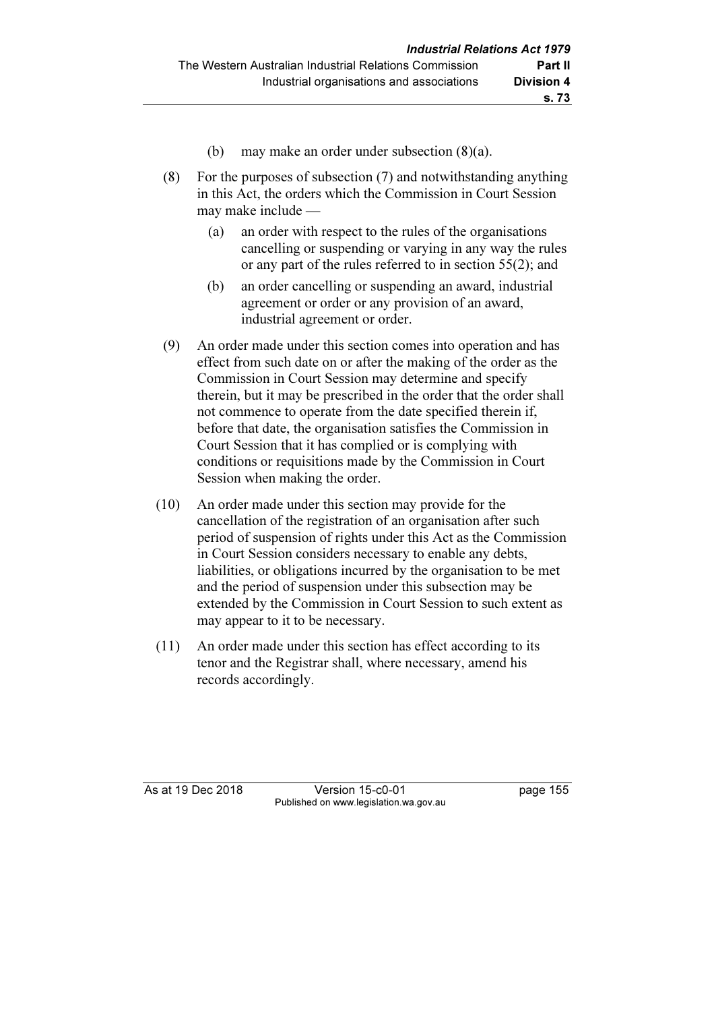- (b) may make an order under subsection (8)(a).
- (8) For the purposes of subsection (7) and notwithstanding anything in this Act, the orders which the Commission in Court Session may make include —
	- (a) an order with respect to the rules of the organisations cancelling or suspending or varying in any way the rules or any part of the rules referred to in section 55(2); and
	- (b) an order cancelling or suspending an award, industrial agreement or order or any provision of an award, industrial agreement or order.
- (9) An order made under this section comes into operation and has effect from such date on or after the making of the order as the Commission in Court Session may determine and specify therein, but it may be prescribed in the order that the order shall not commence to operate from the date specified therein if, before that date, the organisation satisfies the Commission in Court Session that it has complied or is complying with conditions or requisitions made by the Commission in Court Session when making the order.
- (10) An order made under this section may provide for the cancellation of the registration of an organisation after such period of suspension of rights under this Act as the Commission in Court Session considers necessary to enable any debts, liabilities, or obligations incurred by the organisation to be met and the period of suspension under this subsection may be extended by the Commission in Court Session to such extent as may appear to it to be necessary.
- (11) An order made under this section has effect according to its tenor and the Registrar shall, where necessary, amend his records accordingly.

As at 19 Dec 2018 Version 15-c0-01 page 155 Published on www.legislation.wa.gov.au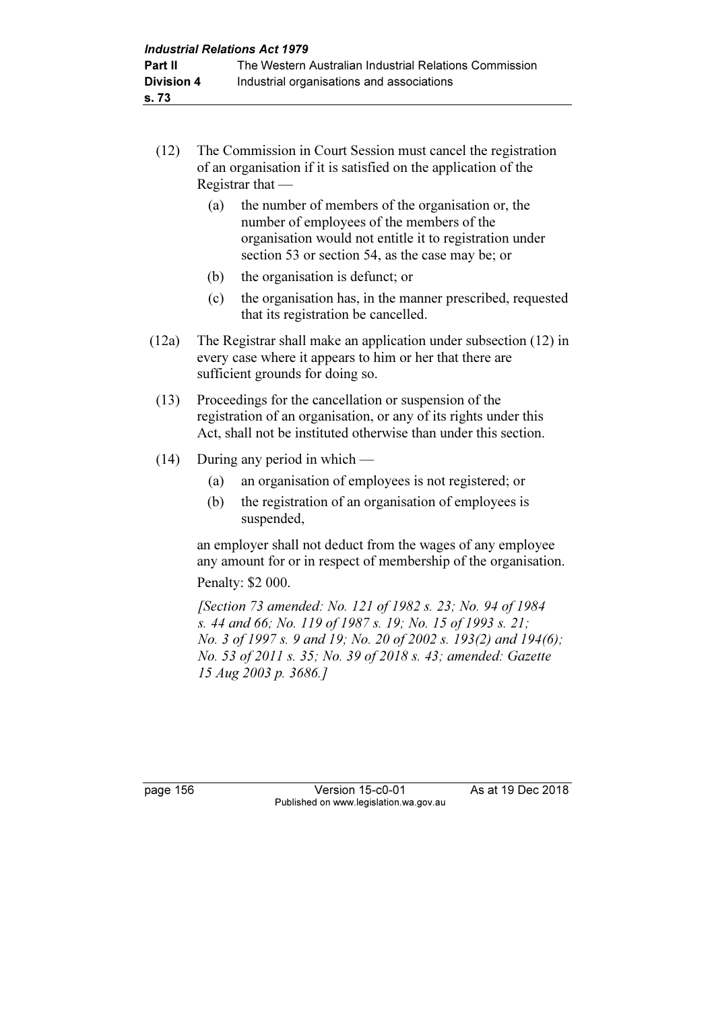- (12) The Commission in Court Session must cancel the registration of an organisation if it is satisfied on the application of the Registrar that —
	- (a) the number of members of the organisation or, the number of employees of the members of the organisation would not entitle it to registration under section 53 or section 54, as the case may be; or
	- (b) the organisation is defunct; or
	- (c) the organisation has, in the manner prescribed, requested that its registration be cancelled.
- (12a) The Registrar shall make an application under subsection (12) in every case where it appears to him or her that there are sufficient grounds for doing so.
- (13) Proceedings for the cancellation or suspension of the registration of an organisation, or any of its rights under this Act, shall not be instituted otherwise than under this section.
- (14) During any period in which
	- (a) an organisation of employees is not registered; or
	- (b) the registration of an organisation of employees is suspended,

 an employer shall not deduct from the wages of any employee any amount for or in respect of membership of the organisation.

Penalty: \$2 000.

 [Section 73 amended: No. 121 of 1982 s. 23; No. 94 of 1984 s. 44 and 66; No. 119 of 1987 s. 19; No. 15 of 1993 s. 21; No. 3 of 1997 s. 9 and 19; No. 20 of 2002 s. 193(2) and 194(6); No. 53 of 2011 s. 35; No. 39 of 2018 s. 43; amended: Gazette 15 Aug 2003 p. 3686.]

page 156 Version 15-c0-01 As at 19 Dec 2018 Published on www.legislation.wa.gov.au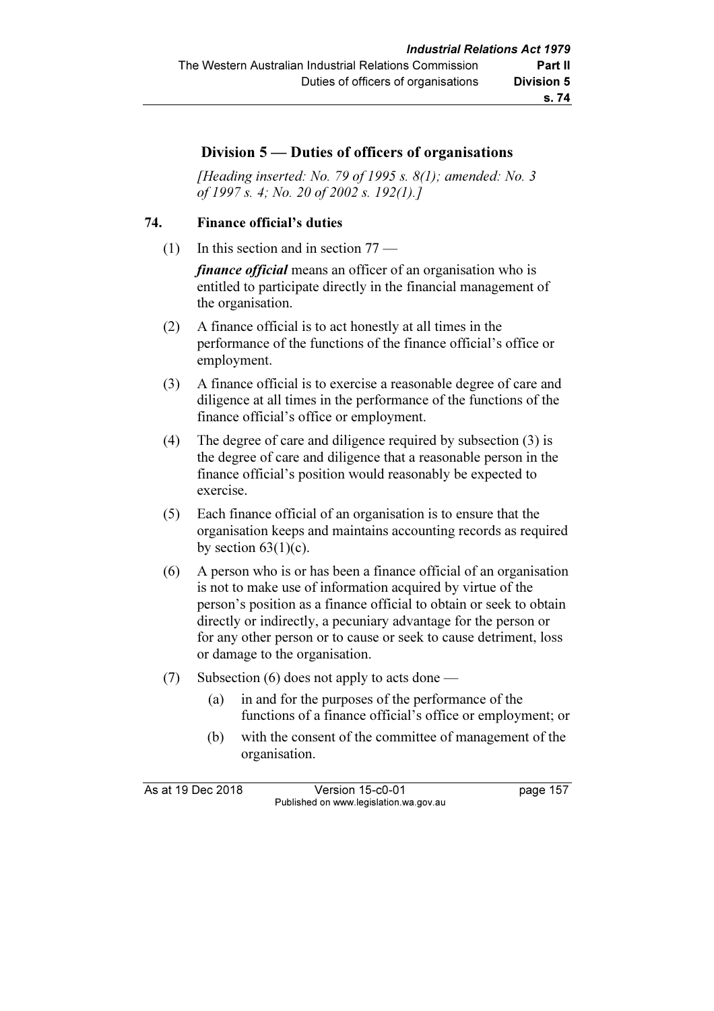# s. 74

## Division 5 — Duties of officers of organisations

[Heading inserted: No. 79 of 1995 s.  $8(1)$ ; amended: No. 3 of 1997 s. 4; No. 20 of 2002 s. 192(1).]

#### 74. Finance official's duties

(1) In this section and in section 77 —

finance official means an officer of an organisation who is entitled to participate directly in the financial management of the organisation.

- (2) A finance official is to act honestly at all times in the performance of the functions of the finance official's office or employment.
- (3) A finance official is to exercise a reasonable degree of care and diligence at all times in the performance of the functions of the finance official's office or employment.
- (4) The degree of care and diligence required by subsection (3) is the degree of care and diligence that a reasonable person in the finance official's position would reasonably be expected to exercise.
- (5) Each finance official of an organisation is to ensure that the organisation keeps and maintains accounting records as required by section  $63(1)(c)$ .
- (6) A person who is or has been a finance official of an organisation is not to make use of information acquired by virtue of the person's position as a finance official to obtain or seek to obtain directly or indirectly, a pecuniary advantage for the person or for any other person or to cause or seek to cause detriment, loss or damage to the organisation.
- (7) Subsection (6) does not apply to acts done
	- (a) in and for the purposes of the performance of the functions of a finance official's office or employment; or
	- (b) with the consent of the committee of management of the organisation.

As at 19 Dec 2018 Version 15-c0-01 page 157 Published on www.legislation.wa.gov.au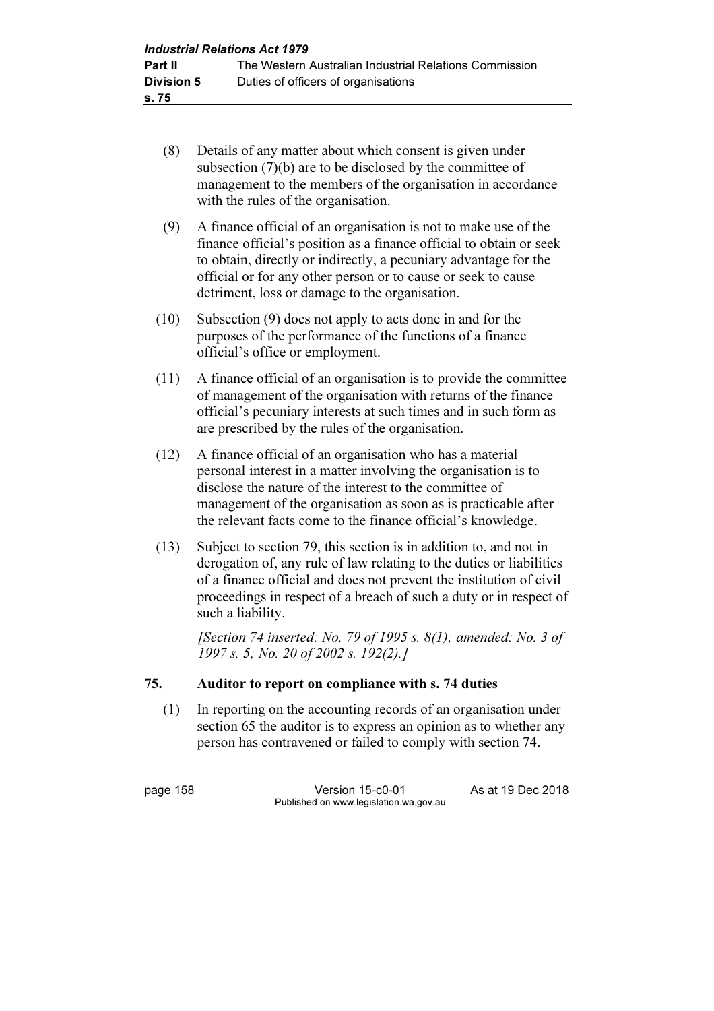- (8) Details of any matter about which consent is given under subsection (7)(b) are to be disclosed by the committee of management to the members of the organisation in accordance with the rules of the organisation.
- (9) A finance official of an organisation is not to make use of the finance official's position as a finance official to obtain or seek to obtain, directly or indirectly, a pecuniary advantage for the official or for any other person or to cause or seek to cause detriment, loss or damage to the organisation.
- (10) Subsection (9) does not apply to acts done in and for the purposes of the performance of the functions of a finance official's office or employment.
- (11) A finance official of an organisation is to provide the committee of management of the organisation with returns of the finance official's pecuniary interests at such times and in such form as are prescribed by the rules of the organisation.
- (12) A finance official of an organisation who has a material personal interest in a matter involving the organisation is to disclose the nature of the interest to the committee of management of the organisation as soon as is practicable after the relevant facts come to the finance official's knowledge.
- (13) Subject to section 79, this section is in addition to, and not in derogation of, any rule of law relating to the duties or liabilities of a finance official and does not prevent the institution of civil proceedings in respect of a breach of such a duty or in respect of such a liability.

[Section 74 inserted: No. 79 of 1995 s.  $8(1)$ ; amended: No. 3 of 1997 s. 5; No. 20 of 2002 s. 192(2).]

#### 75. Auditor to report on compliance with s. 74 duties

 (1) In reporting on the accounting records of an organisation under section 65 the auditor is to express an opinion as to whether any person has contravened or failed to comply with section 74.

page 158 Version 15-c0-01 As at 19 Dec 2018 Published on www.legislation.wa.gov.au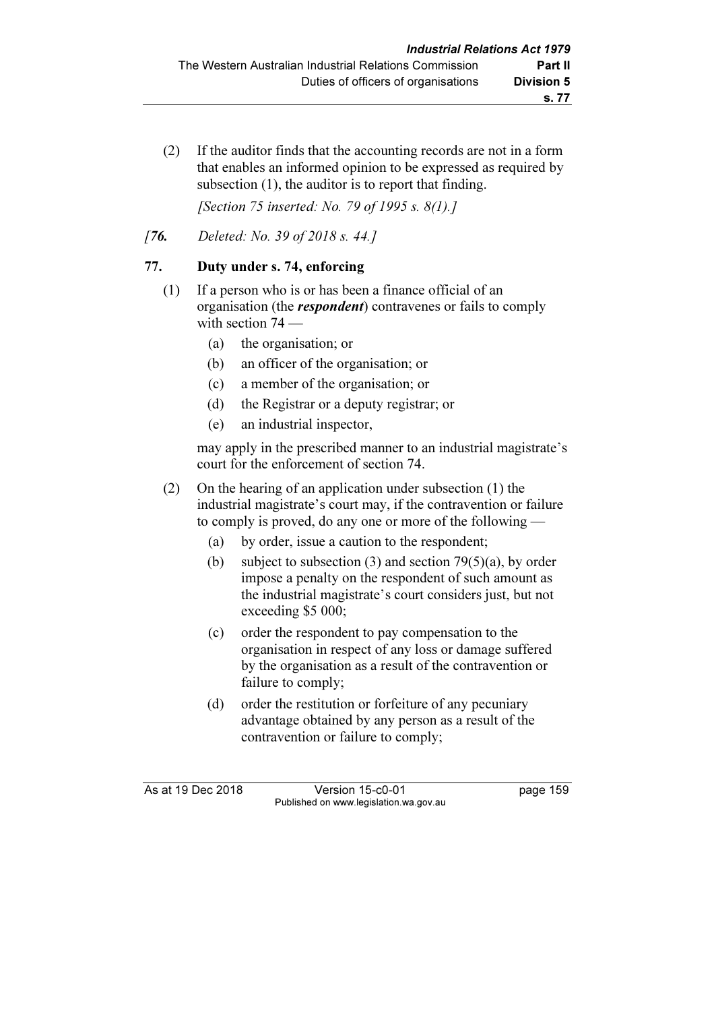(2) If the auditor finds that the accounting records are not in a form that enables an informed opinion to be expressed as required by subsection (1), the auditor is to report that finding.

[Section 75 inserted: No. 79 of 1995 s. 8(1).]

[7**6.** Deleted: No. 39 of 2018 s. 44.]

# 77. Duty under s. 74, enforcing

- (1) If a person who is or has been a finance official of an organisation (the *respondent*) contravenes or fails to comply with section  $74$  —
	- (a) the organisation; or
	- (b) an officer of the organisation; or
	- (c) a member of the organisation; or
	- (d) the Registrar or a deputy registrar; or
	- (e) an industrial inspector,

 may apply in the prescribed manner to an industrial magistrate's court for the enforcement of section 74.

- (2) On the hearing of an application under subsection (1) the industrial magistrate's court may, if the contravention or failure to comply is proved, do any one or more of the following —
	- (a) by order, issue a caution to the respondent;
	- (b) subject to subsection (3) and section 79(5)(a), by order impose a penalty on the respondent of such amount as the industrial magistrate's court considers just, but not exceeding \$5 000;
	- (c) order the respondent to pay compensation to the organisation in respect of any loss or damage suffered by the organisation as a result of the contravention or failure to comply;
	- (d) order the restitution or forfeiture of any pecuniary advantage obtained by any person as a result of the contravention or failure to comply;

As at 19 Dec 2018 Version 15-c0-01 page 159 Published on www.legislation.wa.gov.au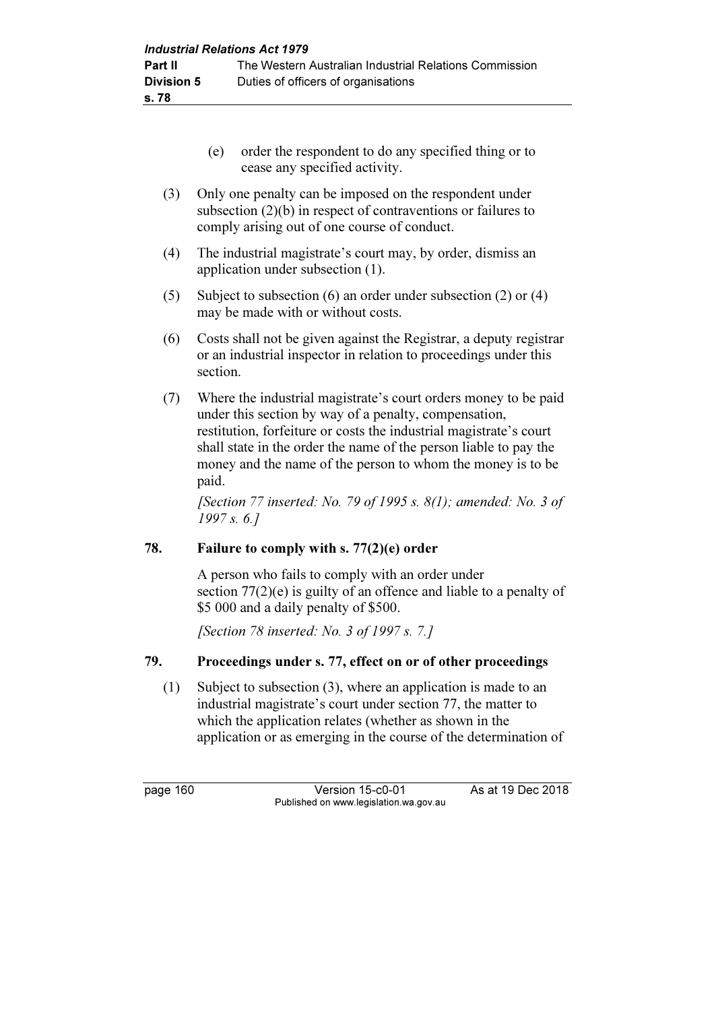- (e) order the respondent to do any specified thing or to cease any specified activity.
- (3) Only one penalty can be imposed on the respondent under subsection (2)(b) in respect of contraventions or failures to comply arising out of one course of conduct.
- (4) The industrial magistrate's court may, by order, dismiss an application under subsection (1).
- (5) Subject to subsection (6) an order under subsection (2) or (4) may be made with or without costs.
- (6) Costs shall not be given against the Registrar, a deputy registrar or an industrial inspector in relation to proceedings under this section.
- (7) Where the industrial magistrate's court orders money to be paid under this section by way of a penalty, compensation, restitution, forfeiture or costs the industrial magistrate's court shall state in the order the name of the person liable to pay the money and the name of the person to whom the money is to be paid.

[Section 77 inserted: No. 79 of 1995 s.  $8(1)$ ; amended: No. 3 of 1997 s. 6.]

## 78. Failure to comply with s. 77(2)(e) order

 A person who fails to comply with an order under section 77(2)(e) is guilty of an offence and liable to a penalty of \$5 000 and a daily penalty of \$500.

[Section 78 inserted: No. 3 of 1997 s. 7.]

## 79. Proceedings under s. 77, effect on or of other proceedings

 (1) Subject to subsection (3), where an application is made to an industrial magistrate's court under section 77, the matter to which the application relates (whether as shown in the application or as emerging in the course of the determination of

page 160 Version 15-c0-01 As at 19 Dec 2018 Published on www.legislation.wa.gov.au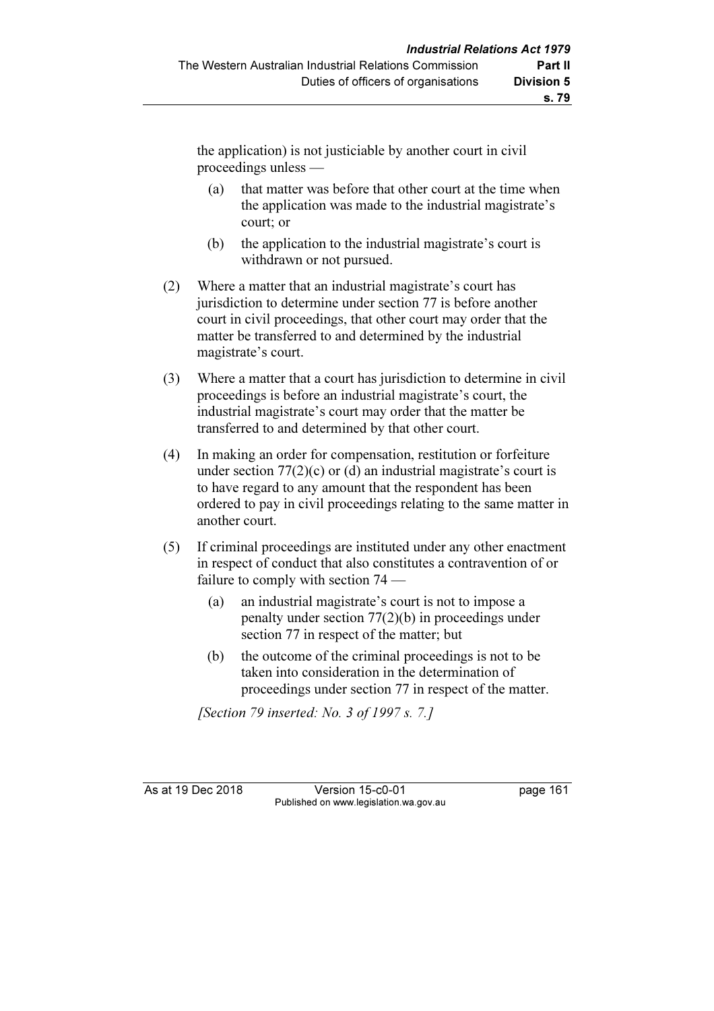the application) is not justiciable by another court in civil proceedings unless —

- (a) that matter was before that other court at the time when the application was made to the industrial magistrate's court; or
- (b) the application to the industrial magistrate's court is withdrawn or not pursued.
- (2) Where a matter that an industrial magistrate's court has jurisdiction to determine under section 77 is before another court in civil proceedings, that other court may order that the matter be transferred to and determined by the industrial magistrate's court.
- (3) Where a matter that a court has jurisdiction to determine in civil proceedings is before an industrial magistrate's court, the industrial magistrate's court may order that the matter be transferred to and determined by that other court.
- (4) In making an order for compensation, restitution or forfeiture under section  $77(2)(c)$  or (d) an industrial magistrate's court is to have regard to any amount that the respondent has been ordered to pay in civil proceedings relating to the same matter in another court.
- (5) If criminal proceedings are instituted under any other enactment in respect of conduct that also constitutes a contravention of or failure to comply with section 74 —
	- (a) an industrial magistrate's court is not to impose a penalty under section 77(2)(b) in proceedings under section 77 in respect of the matter; but
	- (b) the outcome of the criminal proceedings is not to be taken into consideration in the determination of proceedings under section 77 in respect of the matter.

[Section 79 inserted: No. 3 of 1997 s. 7.]

As at 19 Dec 2018 Version 15-c0-01 page 161 Published on www.legislation.wa.gov.au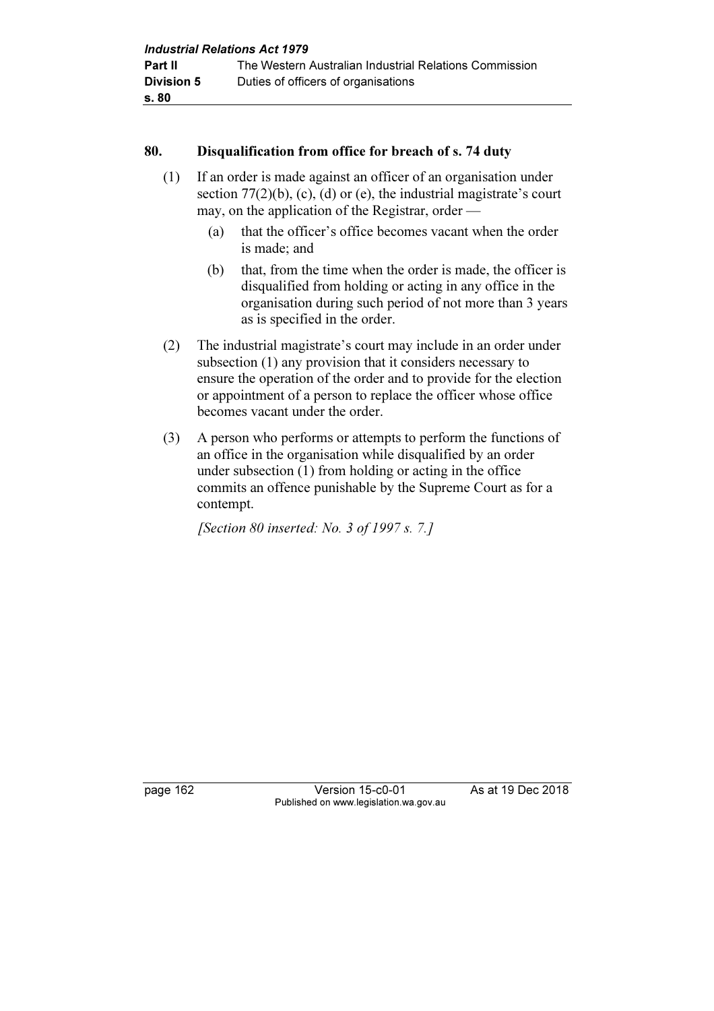#### 80. Disqualification from office for breach of s. 74 duty

- (1) If an order is made against an officer of an organisation under section  $77(2)(b)$ , (c), (d) or (e), the industrial magistrate's court may, on the application of the Registrar, order —
	- (a) that the officer's office becomes vacant when the order is made; and
	- (b) that, from the time when the order is made, the officer is disqualified from holding or acting in any office in the organisation during such period of not more than 3 years as is specified in the order.
- (2) The industrial magistrate's court may include in an order under subsection (1) any provision that it considers necessary to ensure the operation of the order and to provide for the election or appointment of a person to replace the officer whose office becomes vacant under the order.
- (3) A person who performs or attempts to perform the functions of an office in the organisation while disqualified by an order under subsection (1) from holding or acting in the office commits an offence punishable by the Supreme Court as for a contempt.

[Section 80 inserted: No. 3 of 1997 s. 7.]

page 162 Version 15-c0-01 As at 19 Dec 2018 Published on www.legislation.wa.gov.au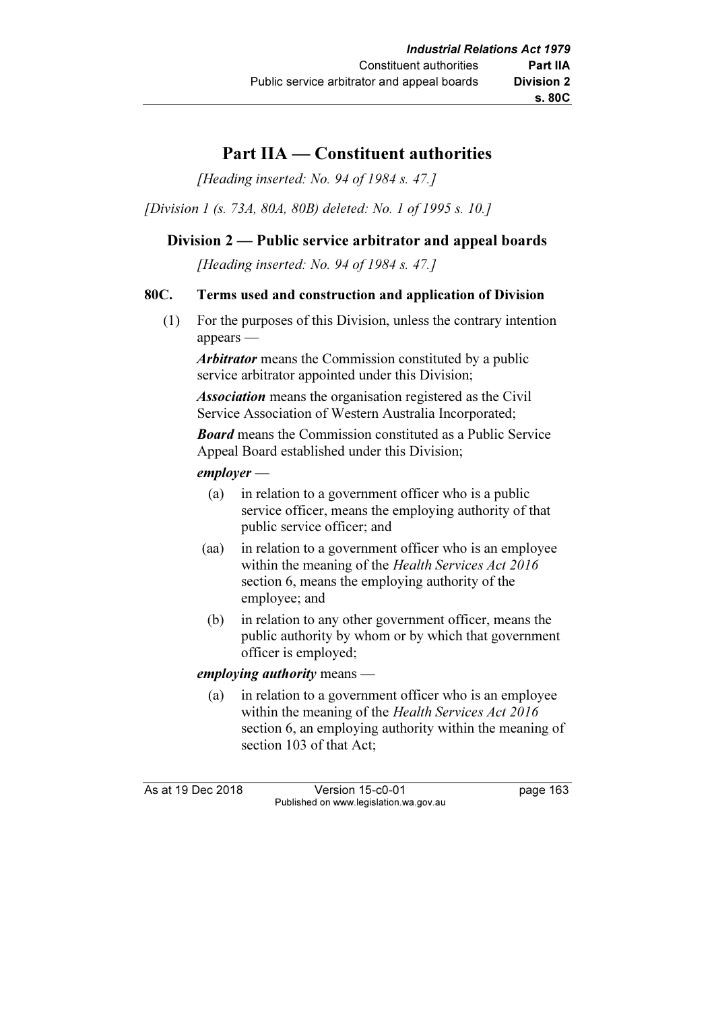# Part IIA — Constituent authorities

[Heading inserted: No. 94 of 1984 s. 47.]

[Division 1 (s. 73A, 80A, 80B) deleted: No. 1 of 1995 s. 10.]

## Division 2 — Public service arbitrator and appeal boards

[Heading inserted: No. 94 of 1984 s. 47.]

### 80C. Terms used and construction and application of Division

 (1) For the purposes of this Division, unless the contrary intention appears —

Arbitrator means the Commission constituted by a public service arbitrator appointed under this Division;

Association means the organisation registered as the Civil Service Association of Western Australia Incorporated;

**Board** means the Commission constituted as a Public Service Appeal Board established under this Division;

### employer —

- (a) in relation to a government officer who is a public service officer, means the employing authority of that public service officer; and
- (aa) in relation to a government officer who is an employee within the meaning of the Health Services Act 2016 section 6, means the employing authority of the employee; and
- (b) in relation to any other government officer, means the public authority by whom or by which that government officer is employed;

#### employing authority means —

 (a) in relation to a government officer who is an employee within the meaning of the Health Services Act 2016 section 6, an employing authority within the meaning of section 103 of that Act:

As at 19 Dec 2018 Version 15-c0-01 page 163 Published on www.legislation.wa.gov.au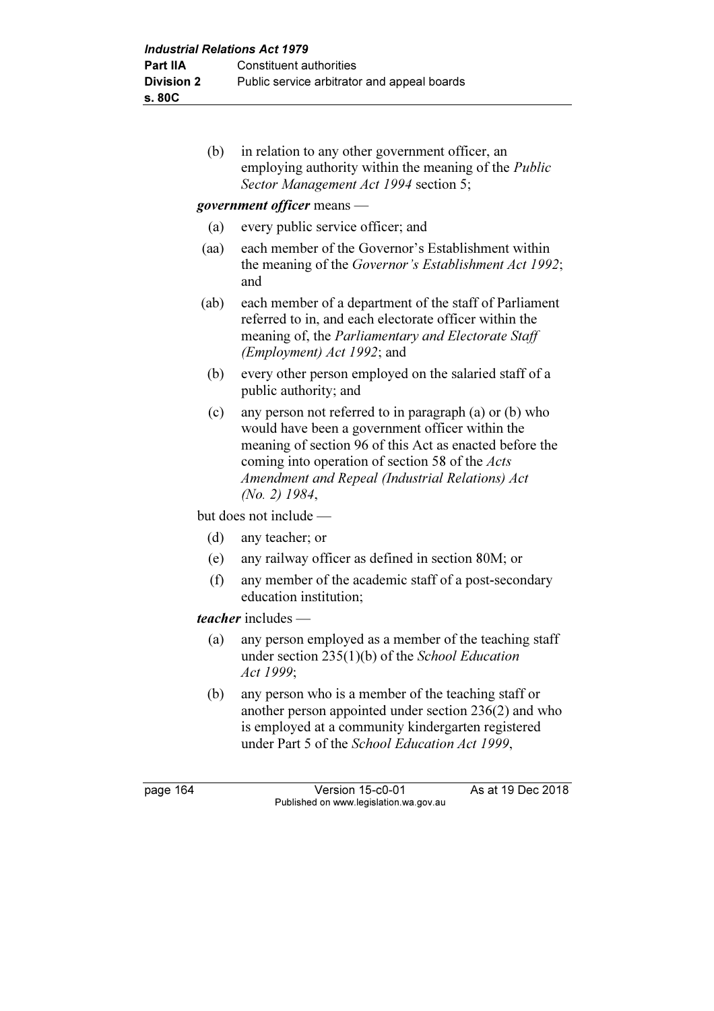(b) in relation to any other government officer, an employing authority within the meaning of the Public Sector Management Act 1994 section 5;

### government officer means —

- (a) every public service officer; and
- (aa) each member of the Governor's Establishment within the meaning of the Governor's Establishment Act 1992; and
- (ab) each member of a department of the staff of Parliament referred to in, and each electorate officer within the meaning of, the *Parliamentary and Electorate Staff* (Employment) Act 1992; and
- (b) every other person employed on the salaried staff of a public authority; and
- (c) any person not referred to in paragraph (a) or (b) who would have been a government officer within the meaning of section 96 of this Act as enacted before the coming into operation of section 58 of the Acts Amendment and Repeal (Industrial Relations) Act (No. 2) 1984,

but does not include —

- (d) any teacher; or
- (e) any railway officer as defined in section 80M; or
- (f) any member of the academic staff of a post-secondary education institution;

#### teacher includes —

- (a) any person employed as a member of the teaching staff under section 235(1)(b) of the School Education Act 1999;
- (b) any person who is a member of the teaching staff or another person appointed under section 236(2) and who is employed at a community kindergarten registered under Part 5 of the School Education Act 1999,

page 164 Version 15-c0-01 As at 19 Dec 2018 Published on www.legislation.wa.gov.au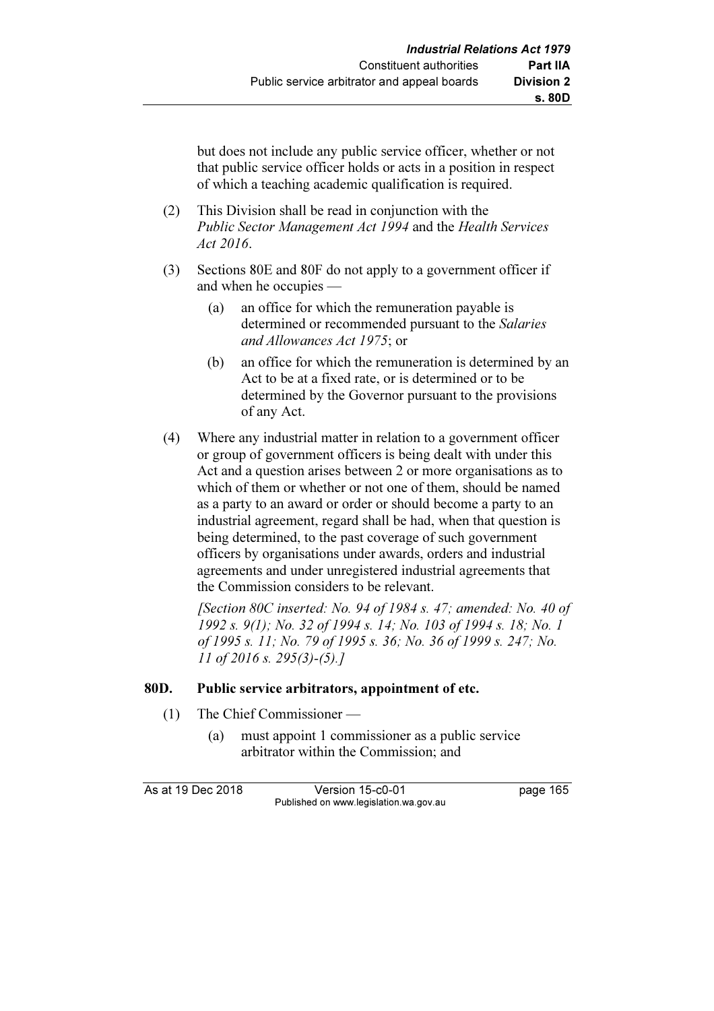but does not include any public service officer, whether or not that public service officer holds or acts in a position in respect of which a teaching academic qualification is required.

- (2) This Division shall be read in conjunction with the Public Sector Management Act 1994 and the Health Services Act 2016.
- (3) Sections 80E and 80F do not apply to a government officer if and when he occupies —
	- (a) an office for which the remuneration payable is determined or recommended pursuant to the Salaries and Allowances Act 1975; or
	- (b) an office for which the remuneration is determined by an Act to be at a fixed rate, or is determined or to be determined by the Governor pursuant to the provisions of any Act.
- (4) Where any industrial matter in relation to a government officer or group of government officers is being dealt with under this Act and a question arises between 2 or more organisations as to which of them or whether or not one of them, should be named as a party to an award or order or should become a party to an industrial agreement, regard shall be had, when that question is being determined, to the past coverage of such government officers by organisations under awards, orders and industrial agreements and under unregistered industrial agreements that the Commission considers to be relevant.

[Section 80C inserted: No. 94 of 1984 s. 47; amended: No. 40 of 1992 s. 9(1); No. 32 of 1994 s. 14; No. 103 of 1994 s. 18; No. 1 of 1995 s. 11; No. 79 of 1995 s. 36; No. 36 of 1999 s. 247; No. 11 of 2016 s. 295(3)-(5).]

#### 80D. Public service arbitrators, appointment of etc.

- (1) The Chief Commissioner
	- (a) must appoint 1 commissioner as a public service arbitrator within the Commission; and

As at 19 Dec 2018 Version 15-c0-01 page 165 Published on www.legislation.wa.gov.au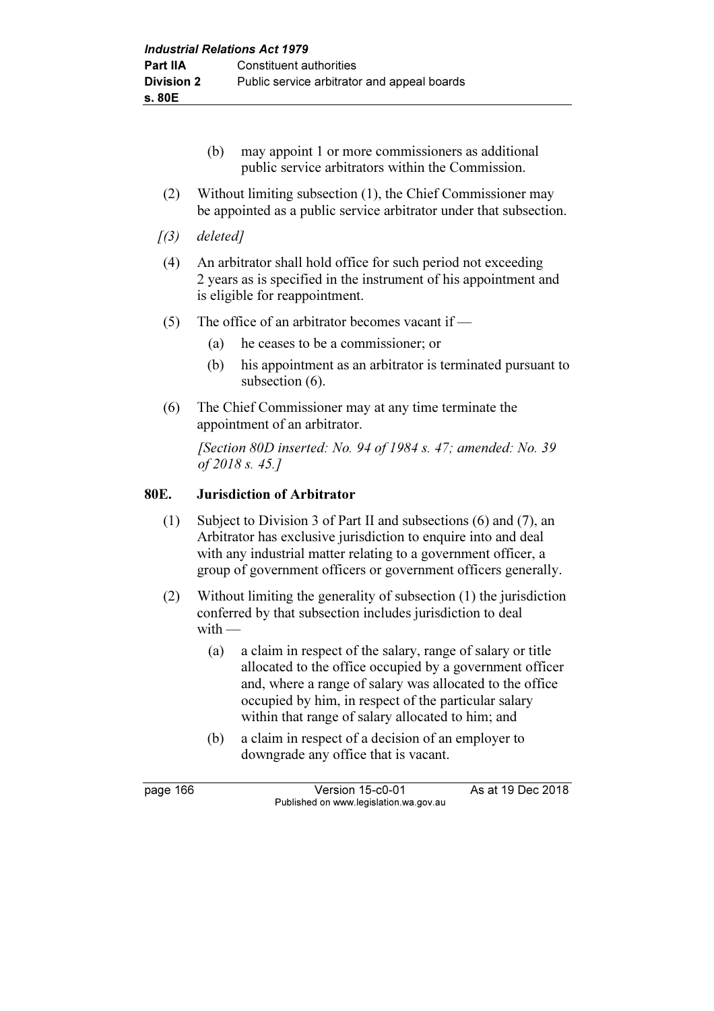- (b) may appoint 1 or more commissioners as additional public service arbitrators within the Commission.
- (2) Without limiting subsection (1), the Chief Commissioner may be appointed as a public service arbitrator under that subsection.
- $(3)$  deleted]
- (4) An arbitrator shall hold office for such period not exceeding 2 years as is specified in the instrument of his appointment and is eligible for reappointment.
- (5) The office of an arbitrator becomes vacant if
	- (a) he ceases to be a commissioner; or
	- (b) his appointment as an arbitrator is terminated pursuant to subsection  $(6)$ .
- (6) The Chief Commissioner may at any time terminate the appointment of an arbitrator.

[Section 80D inserted: No. 94 of 1984 s. 47; amended: No. 39 of 2018 s. 45.]

### 80E. Jurisdiction of Arbitrator

- (1) Subject to Division 3 of Part II and subsections (6) and (7), an Arbitrator has exclusive jurisdiction to enquire into and deal with any industrial matter relating to a government officer, a group of government officers or government officers generally.
- (2) Without limiting the generality of subsection (1) the jurisdiction conferred by that subsection includes jurisdiction to deal  $with -$ 
	- (a) a claim in respect of the salary, range of salary or title allocated to the office occupied by a government officer and, where a range of salary was allocated to the office occupied by him, in respect of the particular salary within that range of salary allocated to him; and
	- (b) a claim in respect of a decision of an employer to downgrade any office that is vacant.

page 166 Version 15-c0-01 As at 19 Dec 2018 Published on www.legislation.wa.gov.au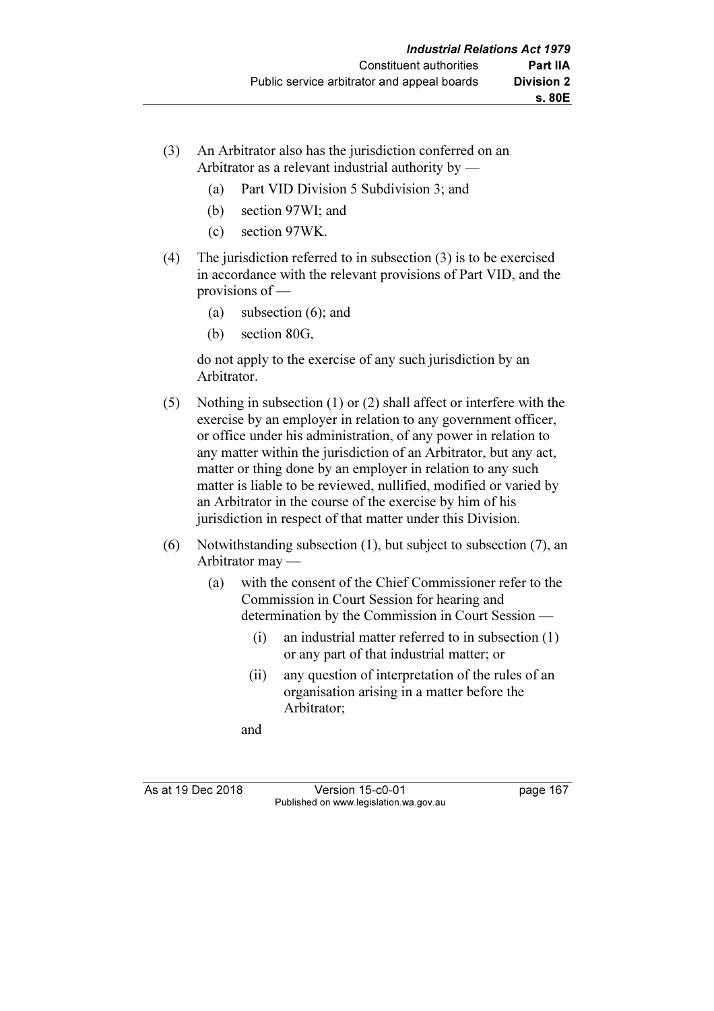- (3) An Arbitrator also has the jurisdiction conferred on an Arbitrator as a relevant industrial authority by —
	- (a) Part VID Division 5 Subdivision 3; and
	- (b) section 97WI; and
	- (c) section 97WK.
- (4) The jurisdiction referred to in subsection (3) is to be exercised in accordance with the relevant provisions of Part VID, and the provisions of —
	- (a) subsection (6); and
	- (b) section 80G,

 do not apply to the exercise of any such jurisdiction by an Arbitrator.

- (5) Nothing in subsection (1) or (2) shall affect or interfere with the exercise by an employer in relation to any government officer, or office under his administration, of any power in relation to any matter within the jurisdiction of an Arbitrator, but any act, matter or thing done by an employer in relation to any such matter is liable to be reviewed, nullified, modified or varied by an Arbitrator in the course of the exercise by him of his jurisdiction in respect of that matter under this Division.
- (6) Notwithstanding subsection (1), but subject to subsection (7), an Arbitrator may —
	- (a) with the consent of the Chief Commissioner refer to the Commission in Court Session for hearing and determination by the Commission in Court Session —
		- (i) an industrial matter referred to in subsection (1) or any part of that industrial matter; or
		- (ii) any question of interpretation of the rules of an organisation arising in a matter before the Arbitrator;

and

As at 19 Dec 2018 Version 15-c0-01 page 167 Published on www.legislation.wa.gov.au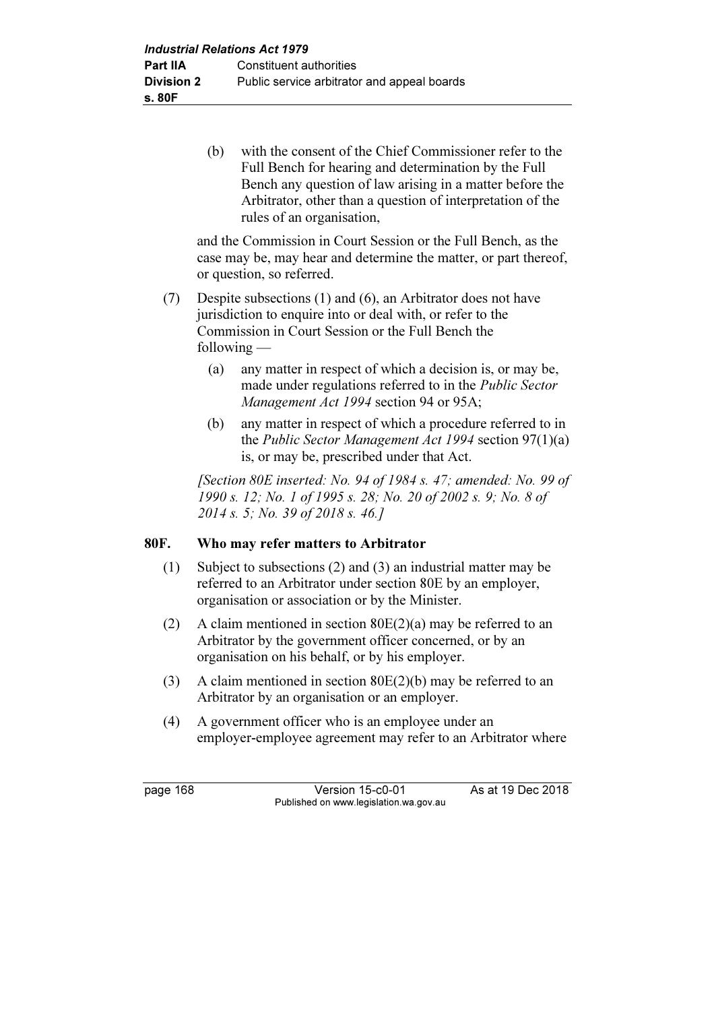(b) with the consent of the Chief Commissioner refer to the Full Bench for hearing and determination by the Full Bench any question of law arising in a matter before the Arbitrator, other than a question of interpretation of the rules of an organisation,

 and the Commission in Court Session or the Full Bench, as the case may be, may hear and determine the matter, or part thereof, or question, so referred.

- (7) Despite subsections (1) and (6), an Arbitrator does not have jurisdiction to enquire into or deal with, or refer to the Commission in Court Session or the Full Bench the following —
	- (a) any matter in respect of which a decision is, or may be, made under regulations referred to in the Public Sector Management Act 1994 section 94 or 95A;
	- (b) any matter in respect of which a procedure referred to in the Public Sector Management Act 1994 section 97(1)(a) is, or may be, prescribed under that Act.

 [Section 80E inserted: No. 94 of 1984 s. 47; amended: No. 99 of 1990 s. 12; No. 1 of 1995 s. 28; No. 20 of 2002 s. 9; No. 8 of 2014 s. 5; No. 39 of 2018 s. 46.]

## 80F. Who may refer matters to Arbitrator

- (1) Subject to subsections (2) and (3) an industrial matter may be referred to an Arbitrator under section 80E by an employer, organisation or association or by the Minister.
- (2) A claim mentioned in section  $80E(2)(a)$  may be referred to an Arbitrator by the government officer concerned, or by an organisation on his behalf, or by his employer.
- (3) A claim mentioned in section 80E(2)(b) may be referred to an Arbitrator by an organisation or an employer.
- (4) A government officer who is an employee under an employer-employee agreement may refer to an Arbitrator where

page 168 Version 15-c0-01 As at 19 Dec 2018 Published on www.legislation.wa.gov.au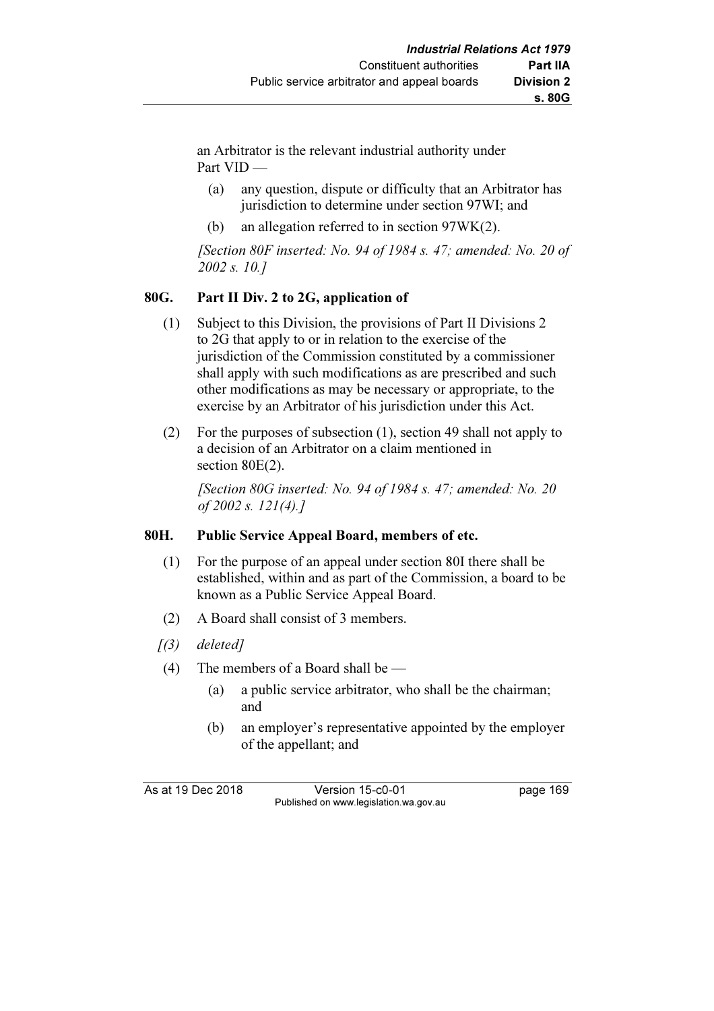an Arbitrator is the relevant industrial authority under Part VID —

- (a) any question, dispute or difficulty that an Arbitrator has jurisdiction to determine under section 97WI; and
- (b) an allegation referred to in section 97WK(2).

[Section 80F inserted: No. 94 of 1984 s. 47; amended: No. 20 of 2002 s. 10.]

## 80G. Part II Div. 2 to 2G, application of

- (1) Subject to this Division, the provisions of Part II Divisions 2 to 2G that apply to or in relation to the exercise of the jurisdiction of the Commission constituted by a commissioner shall apply with such modifications as are prescribed and such other modifications as may be necessary or appropriate, to the exercise by an Arbitrator of his jurisdiction under this Act.
- (2) For the purposes of subsection (1), section 49 shall not apply to a decision of an Arbitrator on a claim mentioned in section 80E(2).

[Section 80G inserted: No. 94 of 1984 s. 47; amended: No. 20 of 2002 s. 121(4).]

## 80H. Public Service Appeal Board, members of etc.

- (1) For the purpose of an appeal under section 80I there shall be established, within and as part of the Commission, a board to be known as a Public Service Appeal Board.
- (2) A Board shall consist of 3 members.
- $(3)$  deleted]
- (4) The members of a Board shall be
	- (a) a public service arbitrator, who shall be the chairman; and
	- (b) an employer's representative appointed by the employer of the appellant; and

As at 19 Dec 2018 Version 15-c0-01 page 169 Published on www.legislation.wa.gov.au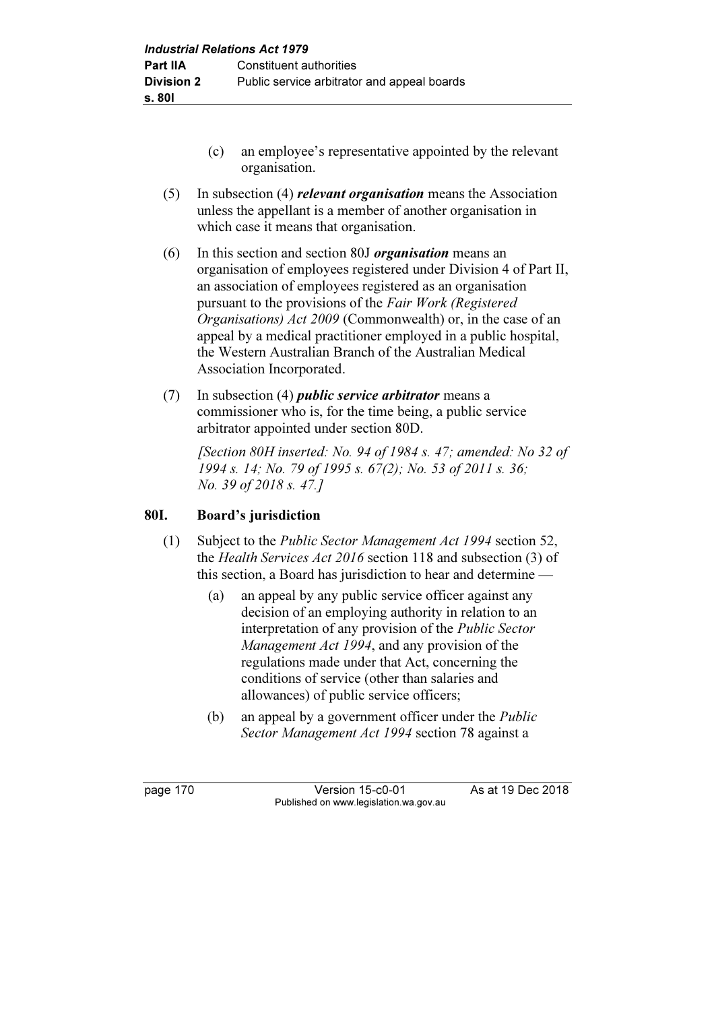- (c) an employee's representative appointed by the relevant organisation.
- (5) In subsection (4) relevant organisation means the Association unless the appellant is a member of another organisation in which case it means that organisation.
- (6) In this section and section 80J organisation means an organisation of employees registered under Division 4 of Part II, an association of employees registered as an organisation pursuant to the provisions of the Fair Work (Registered Organisations) Act 2009 (Commonwealth) or, in the case of an appeal by a medical practitioner employed in a public hospital, the Western Australian Branch of the Australian Medical Association Incorporated.
- (7) In subsection (4) *public service arbitrator* means a commissioner who is, for the time being, a public service arbitrator appointed under section 80D.

 [Section 80H inserted: No. 94 of 1984 s. 47; amended: No 32 of 1994 s. 14; No. 79 of 1995 s. 67(2); No. 53 of 2011 s. 36; No. 39 of 2018 s. 47.]

## 80I. Board's jurisdiction

- (1) Subject to the Public Sector Management Act 1994 section 52, the Health Services Act 2016 section 118 and subsection (3) of this section, a Board has jurisdiction to hear and determine —
	- (a) an appeal by any public service officer against any decision of an employing authority in relation to an interpretation of any provision of the Public Sector Management Act 1994, and any provision of the regulations made under that Act, concerning the conditions of service (other than salaries and allowances) of public service officers;
	- (b) an appeal by a government officer under the Public Sector Management Act 1994 section 78 against a

page 170 Version 15-c0-01 As at 19 Dec 2018 Published on www.legislation.wa.gov.au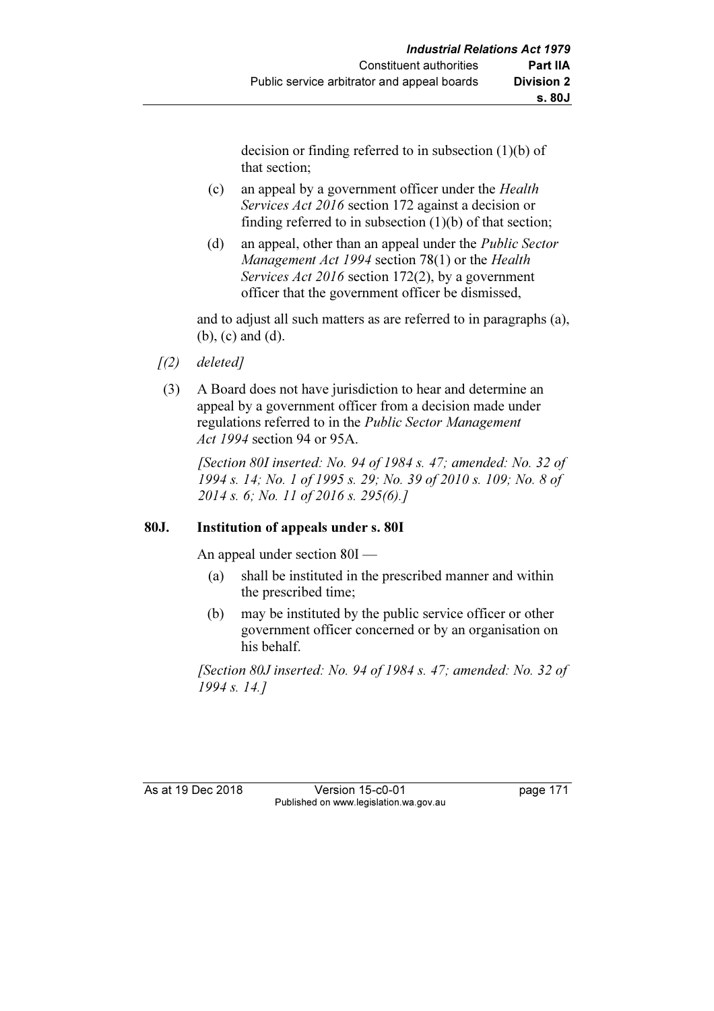decision or finding referred to in subsection (1)(b) of that section;

- (c) an appeal by a government officer under the Health Services Act 2016 section 172 against a decision or finding referred to in subsection (1)(b) of that section;
- (d) an appeal, other than an appeal under the Public Sector Management Act 1994 section 78(1) or the Health Services Act 2016 section 172(2), by a government officer that the government officer be dismissed,

 and to adjust all such matters as are referred to in paragraphs (a), (b), (c) and (d).

- $(1)$  deletedl
- (3) A Board does not have jurisdiction to hear and determine an appeal by a government officer from a decision made under regulations referred to in the Public Sector Management Act 1994 section 94 or 95A.

 [Section 80I inserted: No. 94 of 1984 s. 47; amended: No. 32 of 1994 s. 14; No. 1 of 1995 s. 29; No. 39 of 2010 s. 109; No. 8 of 2014 s. 6; No. 11 of 2016 s. 295(6).]

## 80J. Institution of appeals under s. 80I

An appeal under section 80I —

- (a) shall be instituted in the prescribed manner and within the prescribed time;
- (b) may be instituted by the public service officer or other government officer concerned or by an organisation on his behalf.

 [Section 80J inserted: No. 94 of 1984 s. 47; amended: No. 32 of 1994 s. 14.]

As at 19 Dec 2018 Version 15-c0-01 page 171 Published on www.legislation.wa.gov.au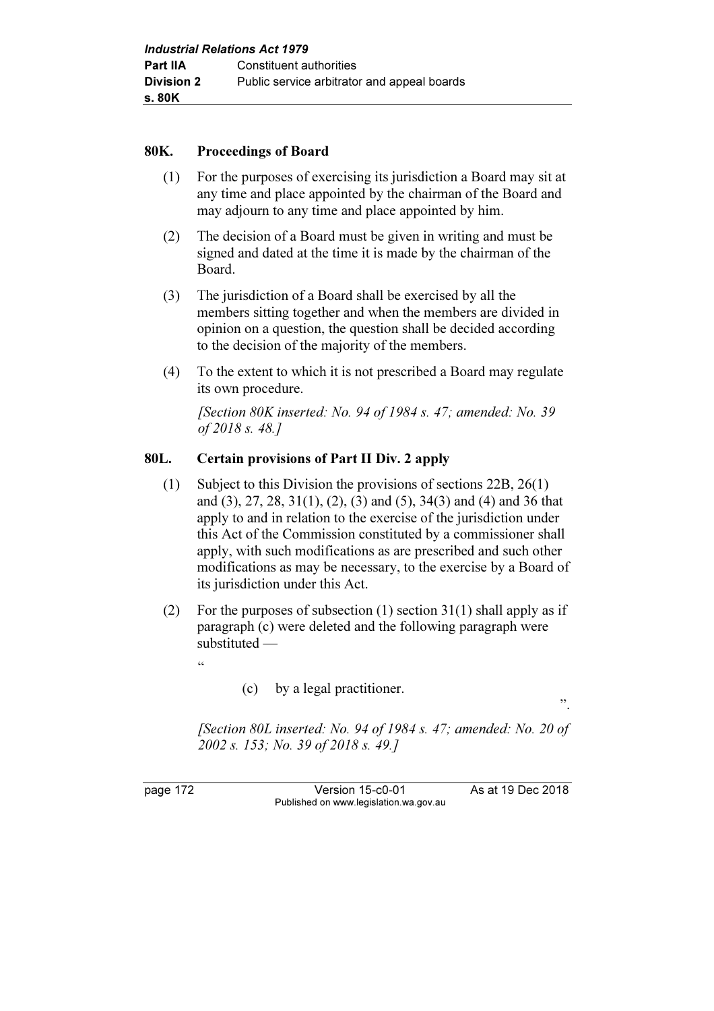#### 80K. Proceedings of Board

- (1) For the purposes of exercising its jurisdiction a Board may sit at any time and place appointed by the chairman of the Board and may adjourn to any time and place appointed by him.
- (2) The decision of a Board must be given in writing and must be signed and dated at the time it is made by the chairman of the Board.
- (3) The jurisdiction of a Board shall be exercised by all the members sitting together and when the members are divided in opinion on a question, the question shall be decided according to the decision of the majority of the members.
- (4) To the extent to which it is not prescribed a Board may regulate its own procedure.

[Section 80K inserted: No. 94 of 1984 s. 47; amended: No. 39 of 2018 s. 48.]

#### 80L. Certain provisions of Part II Div. 2 apply

- (1) Subject to this Division the provisions of sections 22B, 26(1) and (3), 27, 28, 31(1), (2), (3) and (5), 34(3) and (4) and 36 that apply to and in relation to the exercise of the jurisdiction under this Act of the Commission constituted by a commissioner shall apply, with such modifications as are prescribed and such other modifications as may be necessary, to the exercise by a Board of its jurisdiction under this Act.
- (2) For the purposes of subsection (1) section  $31(1)$  shall apply as if paragraph (c) were deleted and the following paragraph were substituted —
- "
- (c) by a legal practitioner.

".

 [Section 80L inserted: No. 94 of 1984 s. 47; amended: No. 20 of 2002 s. 153; No. 39 of 2018 s. 49.]

page 172 Version 15-c0-01 As at 19 Dec 2018 Published on www.legislation.wa.gov.au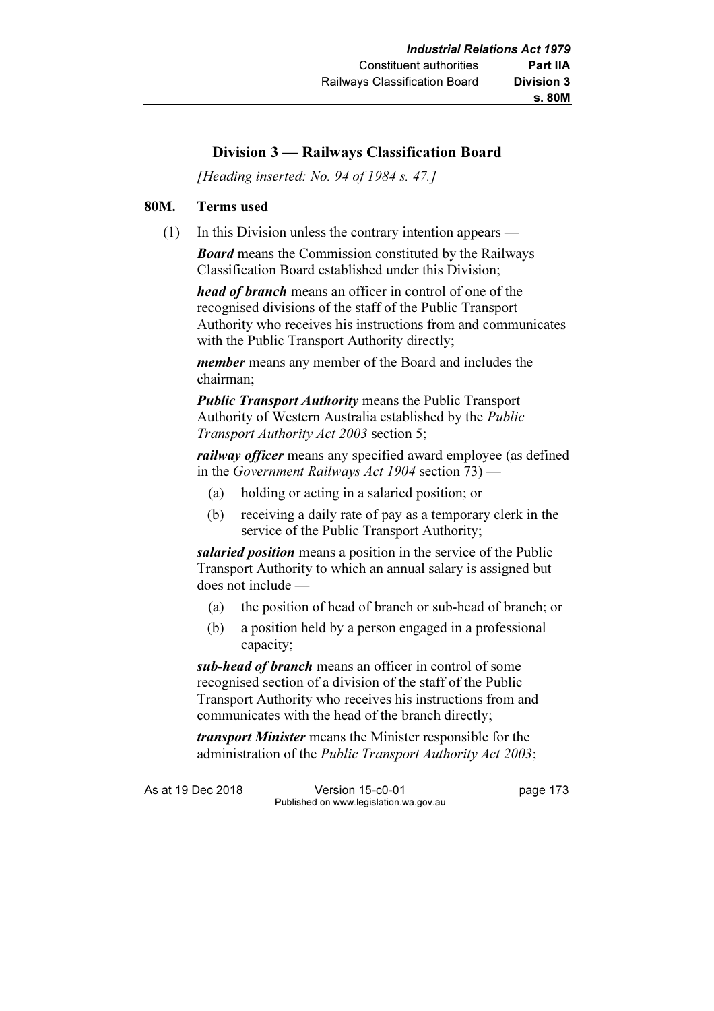## Division 3 — Railways Classification Board

[Heading inserted: No. 94 of 1984 s. 47.]

#### 80M. Terms used

(1) In this Division unless the contrary intention appears —

**Board** means the Commission constituted by the Railways Classification Board established under this Division;

head of branch means an officer in control of one of the recognised divisions of the staff of the Public Transport Authority who receives his instructions from and communicates with the Public Transport Authority directly;

member means any member of the Board and includes the chairman;

**Public Transport Authority means the Public Transport** Authority of Western Australia established by the Public Transport Authority Act 2003 section 5;

railway *officer* means any specified award employee (as defined in the Government Railways Act 1904 section 73) —

- (a) holding or acting in a salaried position; or
- (b) receiving a daily rate of pay as a temporary clerk in the service of the Public Transport Authority;

salaried position means a position in the service of the Public Transport Authority to which an annual salary is assigned but does not include —

- (a) the position of head of branch or sub-head of branch; or
- (b) a position held by a person engaged in a professional capacity;

sub-head of branch means an officer in control of some recognised section of a division of the staff of the Public Transport Authority who receives his instructions from and communicates with the head of the branch directly;

transport Minister means the Minister responsible for the administration of the Public Transport Authority Act 2003;

As at 19 Dec 2018 Version 15-c0-01 page 173 Published on www.legislation.wa.gov.au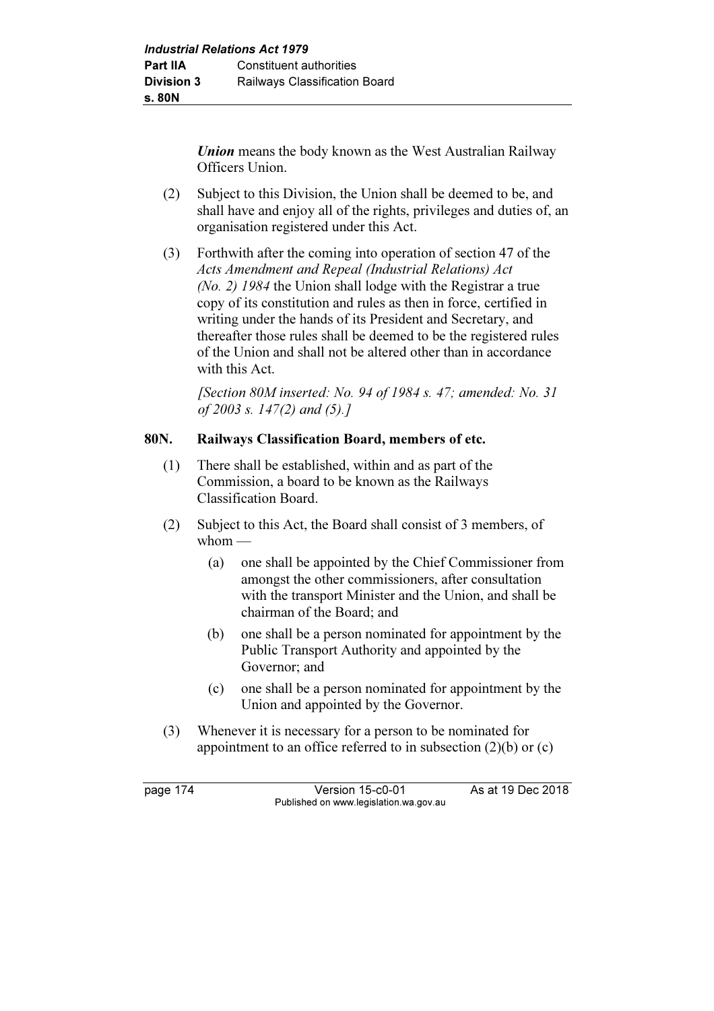Union means the body known as the West Australian Railway Officers Union.

- (2) Subject to this Division, the Union shall be deemed to be, and shall have and enjoy all of the rights, privileges and duties of, an organisation registered under this Act.
- (3) Forthwith after the coming into operation of section 47 of the Acts Amendment and Repeal (Industrial Relations) Act (No. 2) 1984 the Union shall lodge with the Registrar a true copy of its constitution and rules as then in force, certified in writing under the hands of its President and Secretary, and thereafter those rules shall be deemed to be the registered rules of the Union and shall not be altered other than in accordance with this Act.

 [Section 80M inserted: No. 94 of 1984 s. 47; amended: No. 31 of 2003 s. 147(2) and (5).]

### 80N. Railways Classification Board, members of etc.

- (1) There shall be established, within and as part of the Commission, a board to be known as the Railways Classification Board.
- (2) Subject to this Act, the Board shall consist of 3 members, of  $whom$  —
	- (a) one shall be appointed by the Chief Commissioner from amongst the other commissioners, after consultation with the transport Minister and the Union, and shall be chairman of the Board; and
	- (b) one shall be a person nominated for appointment by the Public Transport Authority and appointed by the Governor; and
	- (c) one shall be a person nominated for appointment by the Union and appointed by the Governor.
- (3) Whenever it is necessary for a person to be nominated for appointment to an office referred to in subsection (2)(b) or (c)

page 174 Version 15-c0-01 As at 19 Dec 2018 Published on www.legislation.wa.gov.au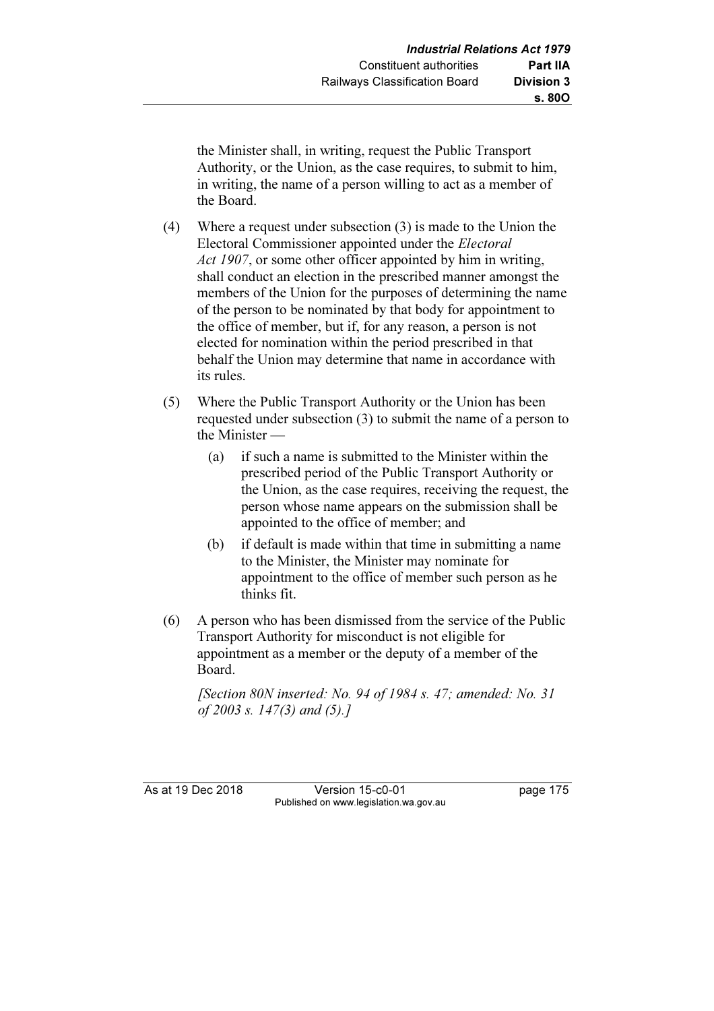the Minister shall, in writing, request the Public Transport Authority, or the Union, as the case requires, to submit to him, in writing, the name of a person willing to act as a member of the Board.

- (4) Where a request under subsection (3) is made to the Union the Electoral Commissioner appointed under the Electoral Act 1907, or some other officer appointed by him in writing, shall conduct an election in the prescribed manner amongst the members of the Union for the purposes of determining the name of the person to be nominated by that body for appointment to the office of member, but if, for any reason, a person is not elected for nomination within the period prescribed in that behalf the Union may determine that name in accordance with its rules.
- (5) Where the Public Transport Authority or the Union has been requested under subsection (3) to submit the name of a person to the Minister —
	- (a) if such a name is submitted to the Minister within the prescribed period of the Public Transport Authority or the Union, as the case requires, receiving the request, the person whose name appears on the submission shall be appointed to the office of member; and
	- (b) if default is made within that time in submitting a name to the Minister, the Minister may nominate for appointment to the office of member such person as he thinks fit.
- (6) A person who has been dismissed from the service of the Public Transport Authority for misconduct is not eligible for appointment as a member or the deputy of a member of the Board.

[Section 80N inserted: No. 94 of 1984 s. 47; amended: No. 31] of 2003 s. 147(3) and (5).]

As at 19 Dec 2018 Version 15-c0-01 page 175 Published on www.legislation.wa.gov.au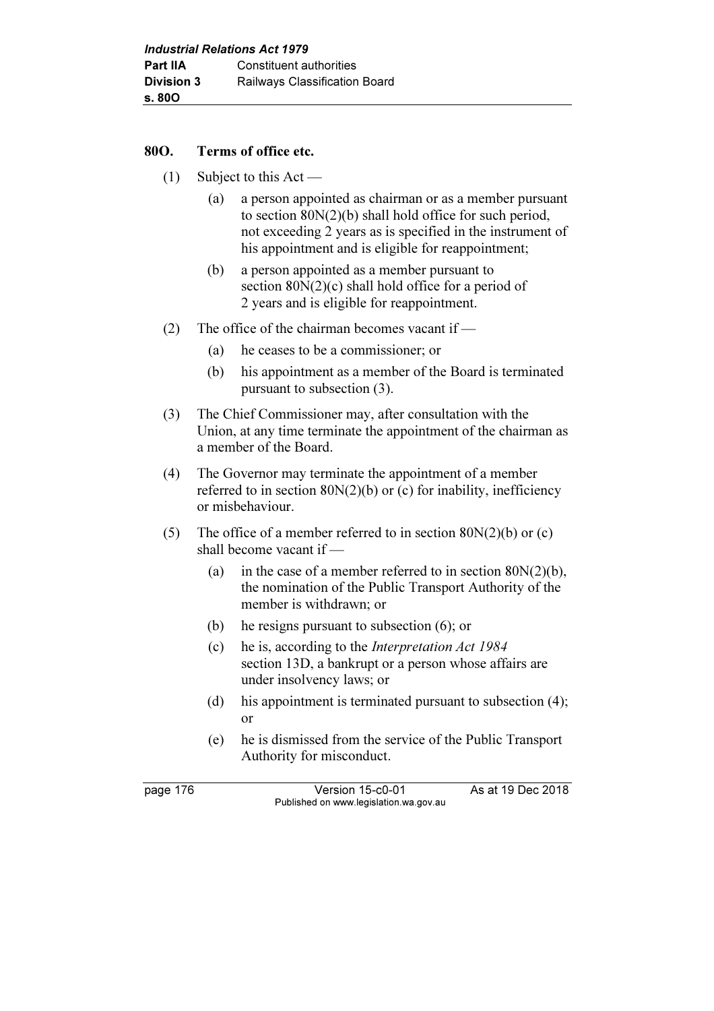### 80O. Terms of office etc.

- $(1)$  Subject to this Act
	- (a) a person appointed as chairman or as a member pursuant to section 80N(2)(b) shall hold office for such period, not exceeding 2 years as is specified in the instrument of his appointment and is eligible for reappointment;
	- (b) a person appointed as a member pursuant to section 80N(2)(c) shall hold office for a period of 2 years and is eligible for reappointment.
- (2) The office of the chairman becomes vacant if
	- (a) he ceases to be a commissioner; or
	- (b) his appointment as a member of the Board is terminated pursuant to subsection (3).
- (3) The Chief Commissioner may, after consultation with the Union, at any time terminate the appointment of the chairman as a member of the Board.
- (4) The Governor may terminate the appointment of a member referred to in section  $80N(2)(b)$  or (c) for inability, inefficiency or misbehaviour.
- (5) The office of a member referred to in section  $80N(2)(b)$  or (c) shall become vacant if —
	- (a) in the case of a member referred to in section  $80N(2)(b)$ , the nomination of the Public Transport Authority of the member is withdrawn; or
	- (b) he resigns pursuant to subsection (6); or
	- (c) he is, according to the Interpretation Act 1984 section 13D, a bankrupt or a person whose affairs are under insolvency laws; or
	- (d) his appointment is terminated pursuant to subsection (4); or
	- (e) he is dismissed from the service of the Public Transport Authority for misconduct.

page 176 Version 15-c0-01 As at 19 Dec 2018 Published on www.legislation.wa.gov.au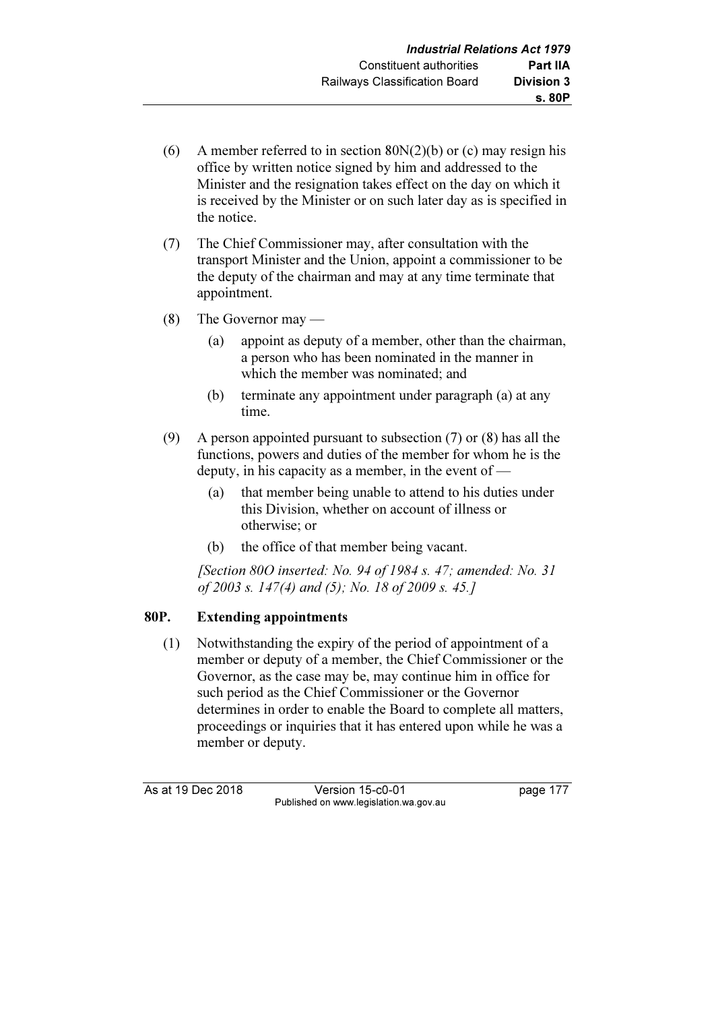- (6) A member referred to in section  $80N(2)(b)$  or (c) may resign his office by written notice signed by him and addressed to the Minister and the resignation takes effect on the day on which it is received by the Minister or on such later day as is specified in the notice.
- (7) The Chief Commissioner may, after consultation with the transport Minister and the Union, appoint a commissioner to be the deputy of the chairman and may at any time terminate that appointment.
- (8) The Governor may
	- (a) appoint as deputy of a member, other than the chairman, a person who has been nominated in the manner in which the member was nominated; and
	- (b) terminate any appointment under paragraph (a) at any time.
- (9) A person appointed pursuant to subsection (7) or (8) has all the functions, powers and duties of the member for whom he is the deputy, in his capacity as a member, in the event of —
	- (a) that member being unable to attend to his duties under this Division, whether on account of illness or otherwise; or
	- (b) the office of that member being vacant.

[Section 80O inserted: No. 94 of 1984 s. 47; amended: No. 31] of 2003 s. 147(4) and (5); No. 18 of 2009 s. 45.]

## 80P. Extending appointments

 (1) Notwithstanding the expiry of the period of appointment of a member or deputy of a member, the Chief Commissioner or the Governor, as the case may be, may continue him in office for such period as the Chief Commissioner or the Governor determines in order to enable the Board to complete all matters, proceedings or inquiries that it has entered upon while he was a member or deputy.

As at 19 Dec 2018 Version 15-c0-01 page 177 Published on www.legislation.wa.gov.au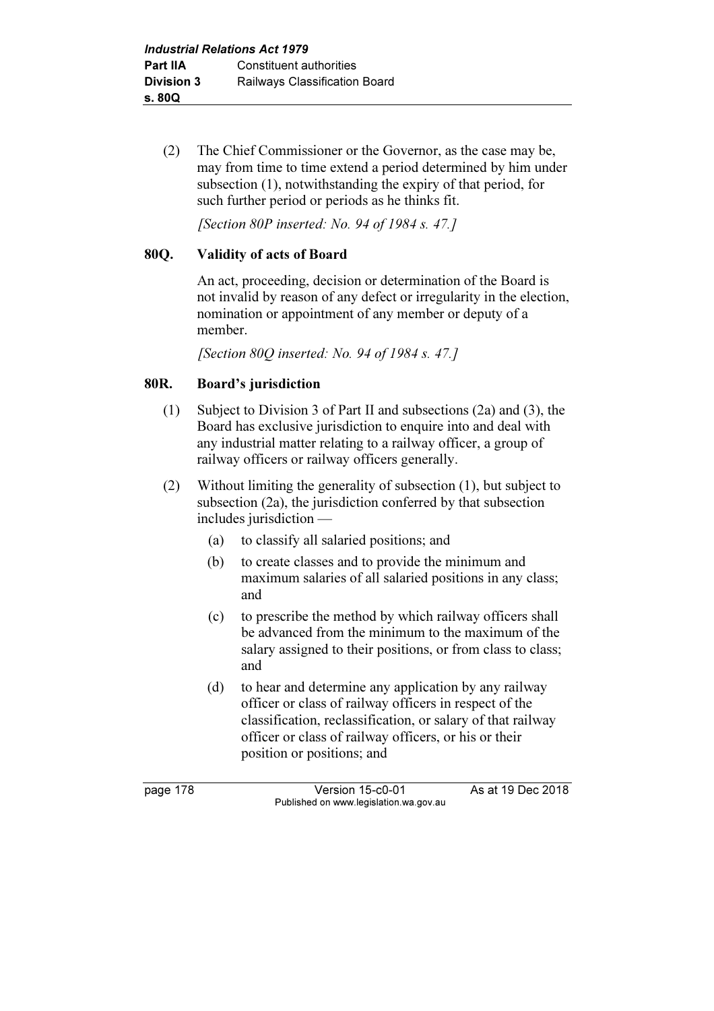(2) The Chief Commissioner or the Governor, as the case may be, may from time to time extend a period determined by him under subsection (1), notwithstanding the expiry of that period, for such further period or periods as he thinks fit.

[Section 80P inserted: No. 94 of 1984 s. 47.]

## 80Q. Validity of acts of Board

 An act, proceeding, decision or determination of the Board is not invalid by reason of any defect or irregularity in the election, nomination or appointment of any member or deputy of a member.

[Section 80O inserted: No. 94 of 1984 s. 47.]

## 80R. Board's jurisdiction

- (1) Subject to Division 3 of Part II and subsections (2a) and (3), the Board has exclusive jurisdiction to enquire into and deal with any industrial matter relating to a railway officer, a group of railway officers or railway officers generally.
- (2) Without limiting the generality of subsection (1), but subject to subsection (2a), the jurisdiction conferred by that subsection includes jurisdiction —
	- (a) to classify all salaried positions; and
	- (b) to create classes and to provide the minimum and maximum salaries of all salaried positions in any class; and
	- (c) to prescribe the method by which railway officers shall be advanced from the minimum to the maximum of the salary assigned to their positions, or from class to class; and
	- (d) to hear and determine any application by any railway officer or class of railway officers in respect of the classification, reclassification, or salary of that railway officer or class of railway officers, or his or their position or positions; and

page 178 Version 15-c0-01 As at 19 Dec 2018 Published on www.legislation.wa.gov.au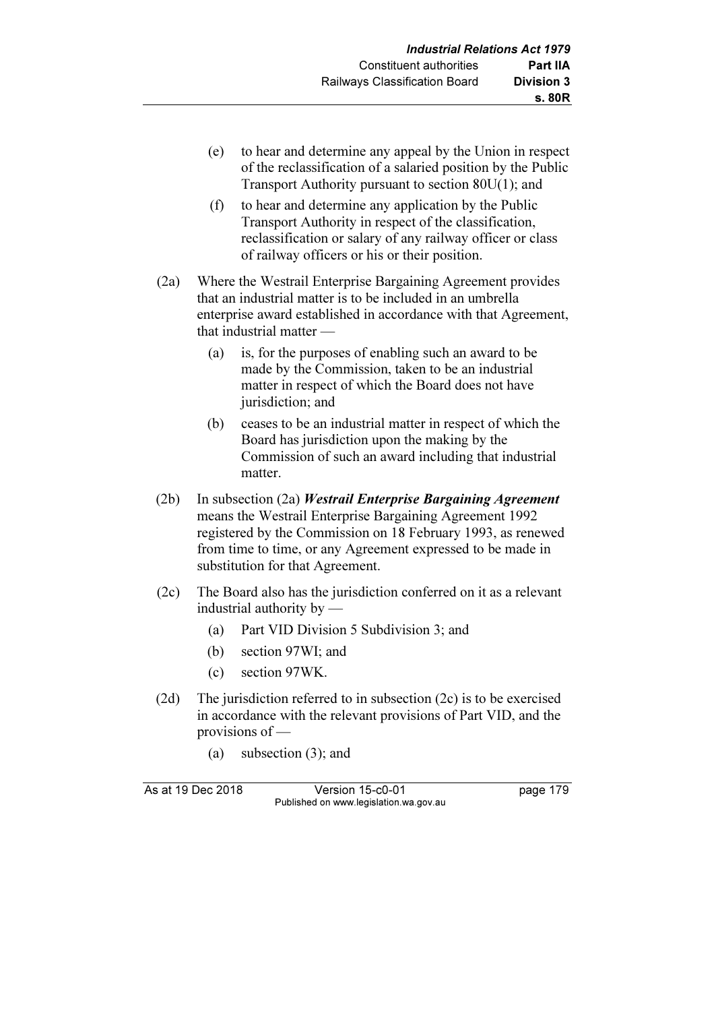- (e) to hear and determine any appeal by the Union in respect of the reclassification of a salaried position by the Public Transport Authority pursuant to section 80U(1); and
- (f) to hear and determine any application by the Public Transport Authority in respect of the classification, reclassification or salary of any railway officer or class of railway officers or his or their position.
- (2a) Where the Westrail Enterprise Bargaining Agreement provides that an industrial matter is to be included in an umbrella enterprise award established in accordance with that Agreement, that industrial matter —
	- (a) is, for the purposes of enabling such an award to be made by the Commission, taken to be an industrial matter in respect of which the Board does not have jurisdiction; and
	- (b) ceases to be an industrial matter in respect of which the Board has jurisdiction upon the making by the Commission of such an award including that industrial matter.
- $(2b)$  In subsection  $(2a)$  *Westrail Enterprise Bargaining Agreement* means the Westrail Enterprise Bargaining Agreement 1992 registered by the Commission on 18 February 1993, as renewed from time to time, or any Agreement expressed to be made in substitution for that Agreement.
- (2c) The Board also has the jurisdiction conferred on it as a relevant industrial authority by —
	- (a) Part VID Division 5 Subdivision 3; and
	- (b) section 97WI; and
	- (c) section 97WK.
- (2d) The jurisdiction referred to in subsection (2c) is to be exercised in accordance with the relevant provisions of Part VID, and the provisions of —
	- (a) subsection (3); and

As at 19 Dec 2018 Version 15-c0-01 page 179 Published on www.legislation.wa.gov.au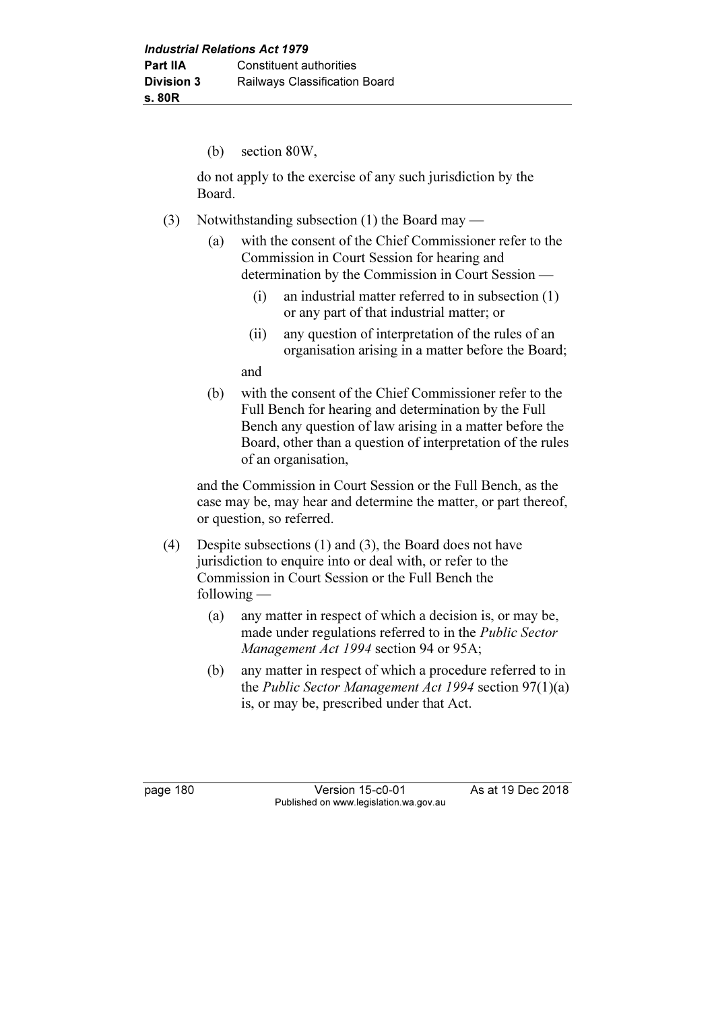(b) section 80W,

 do not apply to the exercise of any such jurisdiction by the Board.

- (3) Notwithstanding subsection (1) the Board may
	- (a) with the consent of the Chief Commissioner refer to the Commission in Court Session for hearing and determination by the Commission in Court Session —
		- (i) an industrial matter referred to in subsection (1) or any part of that industrial matter; or
		- (ii) any question of interpretation of the rules of an organisation arising in a matter before the Board;

and

 (b) with the consent of the Chief Commissioner refer to the Full Bench for hearing and determination by the Full Bench any question of law arising in a matter before the Board, other than a question of interpretation of the rules of an organisation,

 and the Commission in Court Session or the Full Bench, as the case may be, may hear and determine the matter, or part thereof, or question, so referred.

- (4) Despite subsections (1) and (3), the Board does not have jurisdiction to enquire into or deal with, or refer to the Commission in Court Session or the Full Bench the following —
	- (a) any matter in respect of which a decision is, or may be, made under regulations referred to in the Public Sector Management Act 1994 section 94 or 95A;
	- (b) any matter in respect of which a procedure referred to in the Public Sector Management Act 1994 section 97(1)(a) is, or may be, prescribed under that Act.

page 180 Version 15-c0-01 As at 19 Dec 2018 Published on www.legislation.wa.gov.au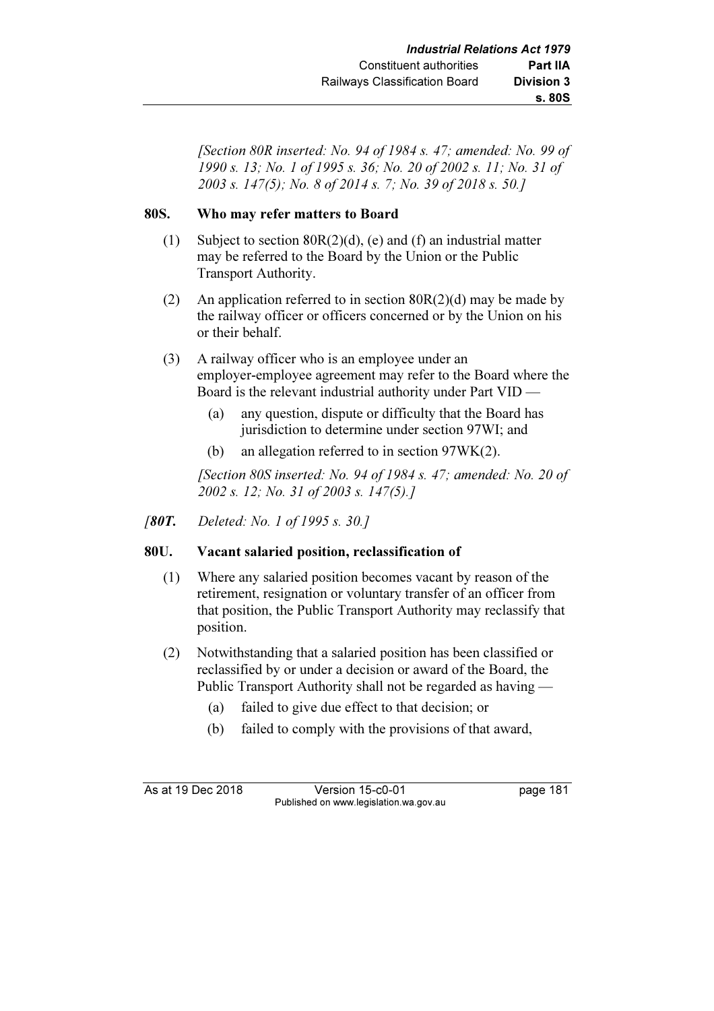[Section 80R inserted: No. 94 of 1984 s. 47; amended: No. 99 of 1990 s. 13; No. 1 of 1995 s. 36; No. 20 of 2002 s. 11; No. 31 of 2003 s. 147(5); No. 8 of 2014 s. 7; No. 39 of 2018 s. 50.]

### 80S. Who may refer matters to Board

- (1) Subject to section 80R(2)(d), (e) and (f) an industrial matter may be referred to the Board by the Union or the Public Transport Authority.
- (2) An application referred to in section  $80R(2)(d)$  may be made by the railway officer or officers concerned or by the Union on his or their behalf.
- (3) A railway officer who is an employee under an employer-employee agreement may refer to the Board where the Board is the relevant industrial authority under Part VID —
	- (a) any question, dispute or difficulty that the Board has jurisdiction to determine under section 97WI; and
	- (b) an allegation referred to in section 97WK(2).

[Section 80S inserted: No. 94 of 1984 s. 47; amended: No. 20 of 2002 s. 12; No. 31 of 2003 s. 147(5).]

[80T. Deleted: No. 1 of 1995 s. 30.]

## 80U. Vacant salaried position, reclassification of

- (1) Where any salaried position becomes vacant by reason of the retirement, resignation or voluntary transfer of an officer from that position, the Public Transport Authority may reclassify that position.
- (2) Notwithstanding that a salaried position has been classified or reclassified by or under a decision or award of the Board, the Public Transport Authority shall not be regarded as having —
	- (a) failed to give due effect to that decision; or
	- (b) failed to comply with the provisions of that award,

As at 19 Dec 2018 Version 15-c0-01 page 181 Published on www.legislation.wa.gov.au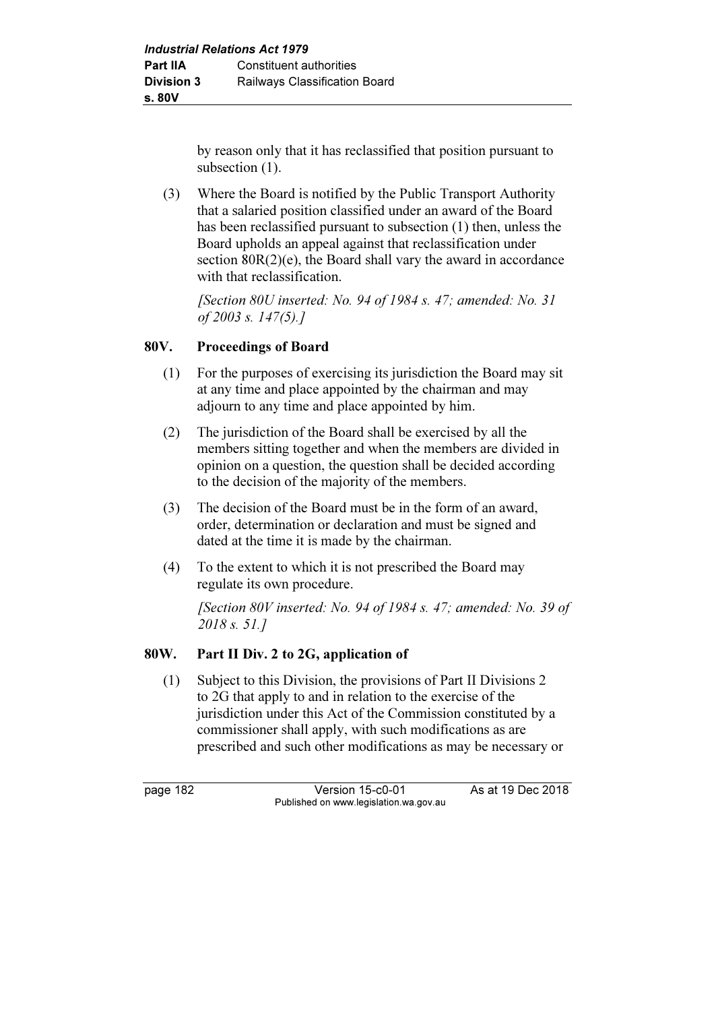by reason only that it has reclassified that position pursuant to subsection  $(1)$ .

 (3) Where the Board is notified by the Public Transport Authority that a salaried position classified under an award of the Board has been reclassified pursuant to subsection (1) then, unless the Board upholds an appeal against that reclassification under section  $80R(2)(e)$ , the Board shall vary the award in accordance with that reclassification.

[Section 80U inserted: No. 94 of 1984 s. 47; amended: No. 31] of 2003 s. 147(5).]

## 80V. Proceedings of Board

- (1) For the purposes of exercising its jurisdiction the Board may sit at any time and place appointed by the chairman and may adjourn to any time and place appointed by him.
- (2) The jurisdiction of the Board shall be exercised by all the members sitting together and when the members are divided in opinion on a question, the question shall be decided according to the decision of the majority of the members.
- (3) The decision of the Board must be in the form of an award, order, determination or declaration and must be signed and dated at the time it is made by the chairman.
- (4) To the extent to which it is not prescribed the Board may regulate its own procedure.

 [Section 80V inserted: No. 94 of 1984 s. 47; amended: No. 39 of 2018 s. 51.]

## 80W. Part II Div. 2 to 2G, application of

 (1) Subject to this Division, the provisions of Part II Divisions 2 to 2G that apply to and in relation to the exercise of the jurisdiction under this Act of the Commission constituted by a commissioner shall apply, with such modifications as are prescribed and such other modifications as may be necessary or

page 182 Version 15-c0-01 As at 19 Dec 2018 Published on www.legislation.wa.gov.au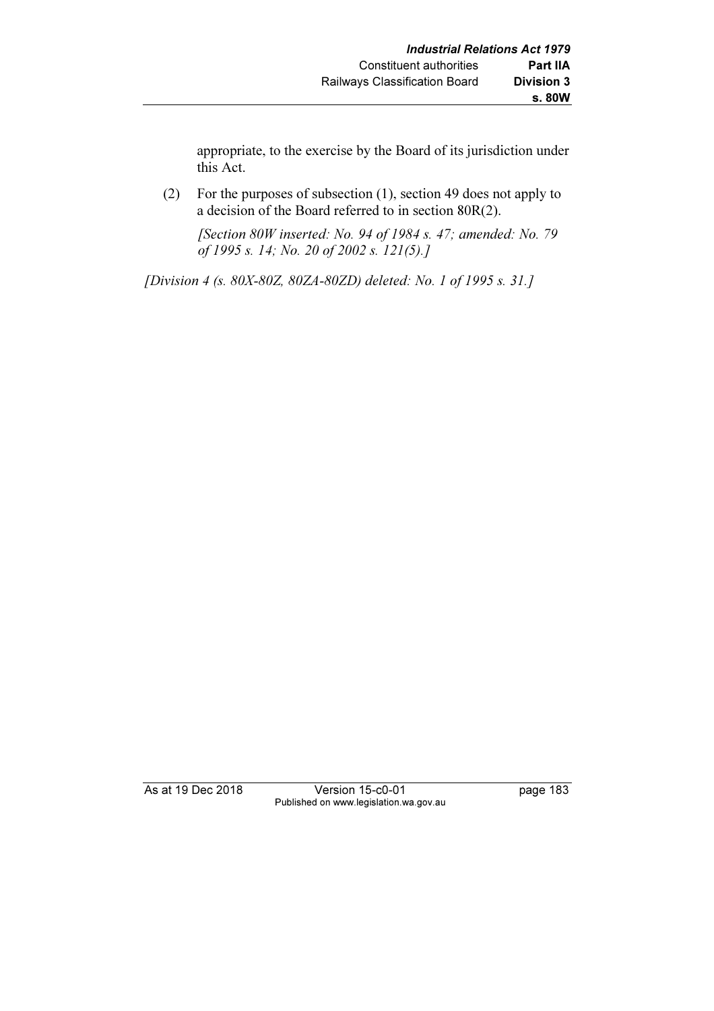appropriate, to the exercise by the Board of its jurisdiction under this Act.

 (2) For the purposes of subsection (1), section 49 does not apply to a decision of the Board referred to in section 80R(2).

 [Section 80W inserted: No. 94 of 1984 s. 47; amended: No. 79 of 1995 s. 14; No. 20 of 2002 s. 121(5).]

[Division 4 (s. 80X-80Z, 80ZA-80ZD) deleted: No. 1 of 1995 s. 31.]

As at 19 Dec 2018 Version 15-c0-01 page 183 Published on www.legislation.wa.gov.au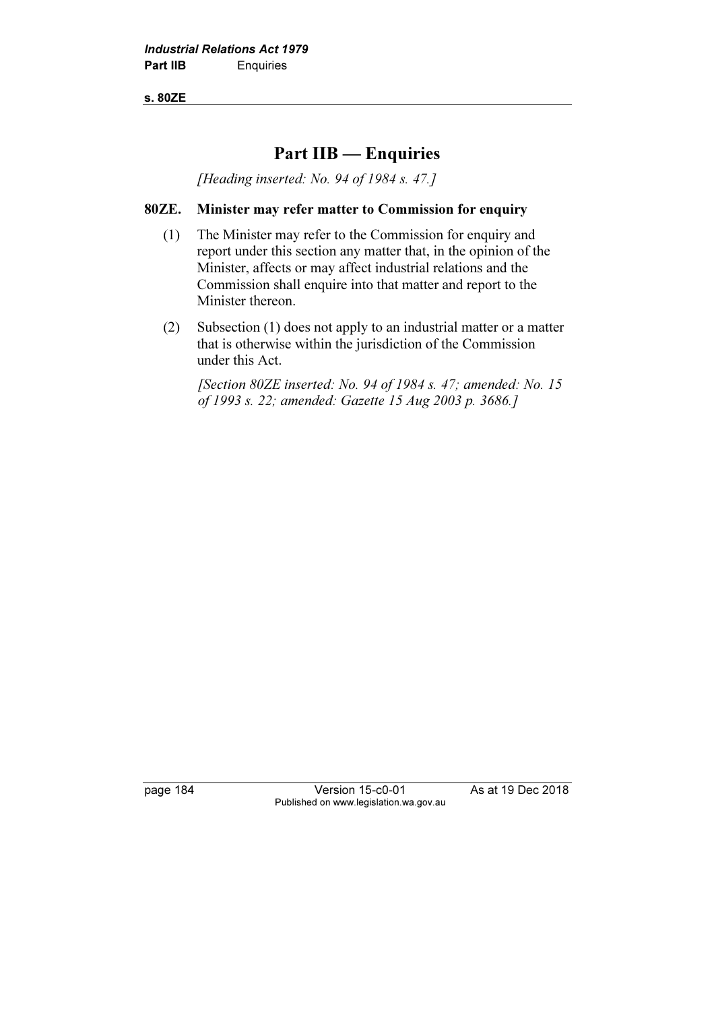s. 80ZE

# Part IIB — Enquiries

[Heading inserted: No. 94 of 1984 s. 47.]

### 80ZE. Minister may refer matter to Commission for enquiry

- (1) The Minister may refer to the Commission for enquiry and report under this section any matter that, in the opinion of the Minister, affects or may affect industrial relations and the Commission shall enquire into that matter and report to the Minister thereon.
- (2) Subsection (1) does not apply to an industrial matter or a matter that is otherwise within the jurisdiction of the Commission under this Act.

[Section 80ZE inserted: No. 94 of 1984 s. 47; amended: No. 15 of 1993 s. 22; amended: Gazette 15 Aug 2003 p. 3686.]

page 184 Version 15-c0-01 As at 19 Dec 2018 Published on www.legislation.wa.gov.au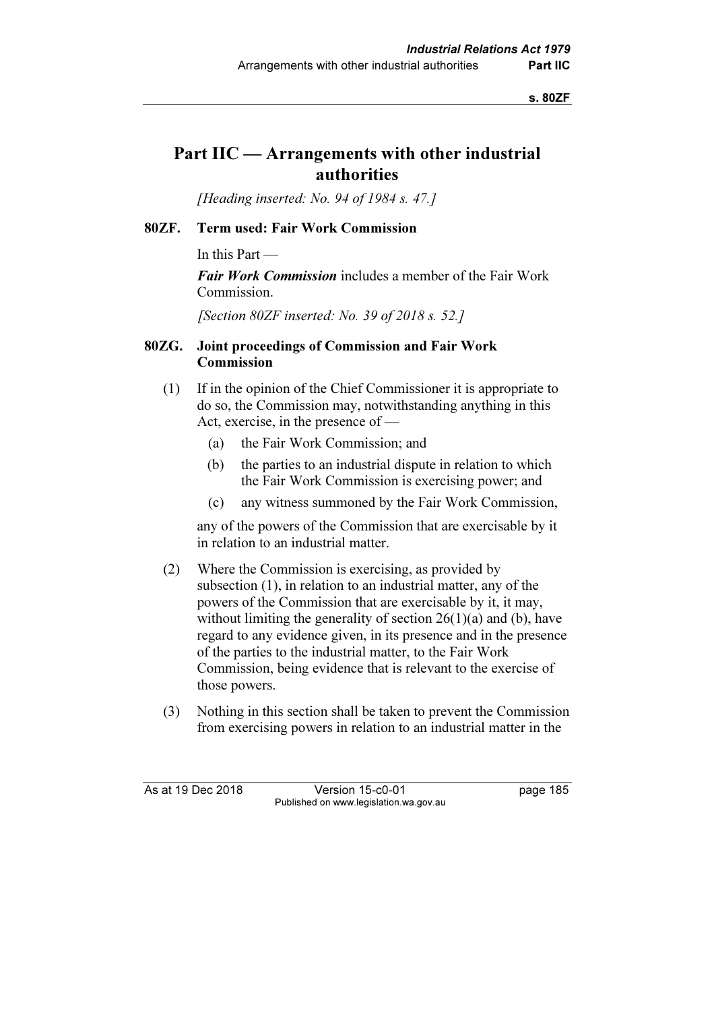s. 80ZF

# Part IIC — Arrangements with other industrial authorities

[Heading inserted: No. 94 of 1984 s. 47.]

#### 80ZF. Term used: Fair Work Commission

In this Part —

Fair Work Commission includes a member of the Fair Work Commission.

[Section 80ZF inserted: No. 39 of 2018 s. 52.]

#### 80ZG. Joint proceedings of Commission and Fair Work Commission

- (1) If in the opinion of the Chief Commissioner it is appropriate to do so, the Commission may, notwithstanding anything in this Act, exercise, in the presence of —
	- (a) the Fair Work Commission; and
	- (b) the parties to an industrial dispute in relation to which the Fair Work Commission is exercising power; and
	- (c) any witness summoned by the Fair Work Commission,

 any of the powers of the Commission that are exercisable by it in relation to an industrial matter.

- (2) Where the Commission is exercising, as provided by subsection (1), in relation to an industrial matter, any of the powers of the Commission that are exercisable by it, it may, without limiting the generality of section  $26(1)(a)$  and (b), have regard to any evidence given, in its presence and in the presence of the parties to the industrial matter, to the Fair Work Commission, being evidence that is relevant to the exercise of those powers.
- (3) Nothing in this section shall be taken to prevent the Commission from exercising powers in relation to an industrial matter in the

As at 19 Dec 2018 Version 15-c0-01 page 185 Published on www.legislation.wa.gov.au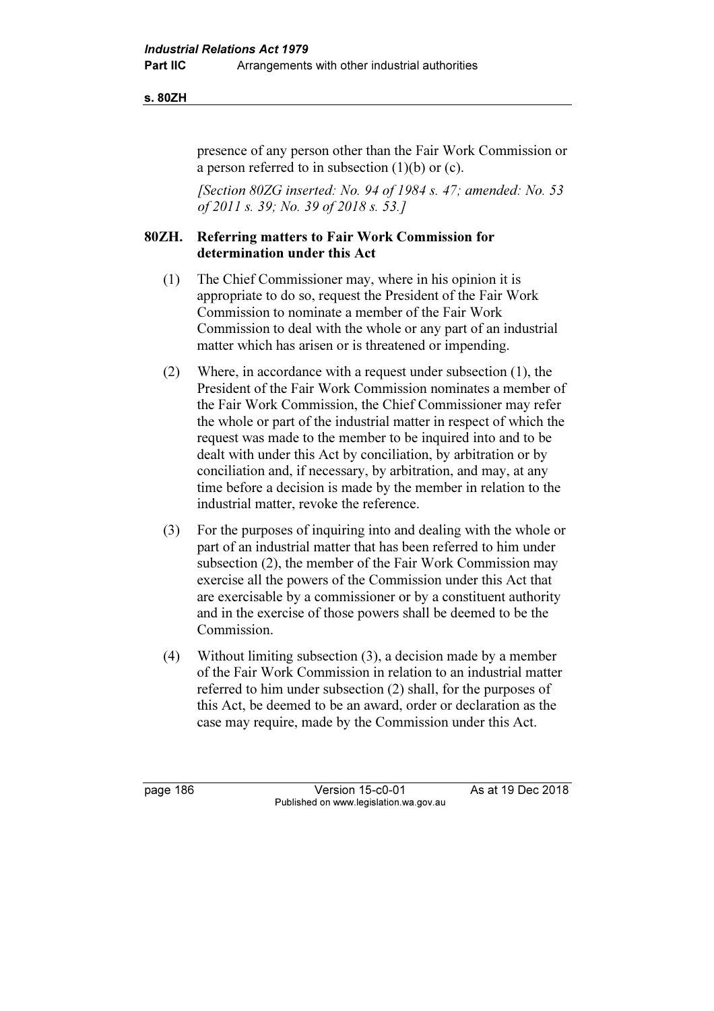#### s. 80ZH

presence of any person other than the Fair Work Commission or a person referred to in subsection (1)(b) or (c).

[Section 80ZG inserted: No. 94 of 1984 s. 47; amended: No. 53 of 2011 s. 39; No. 39 of 2018 s. 53.]

### 80ZH. Referring matters to Fair Work Commission for determination under this Act

- (1) The Chief Commissioner may, where in his opinion it is appropriate to do so, request the President of the Fair Work Commission to nominate a member of the Fair Work Commission to deal with the whole or any part of an industrial matter which has arisen or is threatened or impending.
- (2) Where, in accordance with a request under subsection (1), the President of the Fair Work Commission nominates a member of the Fair Work Commission, the Chief Commissioner may refer the whole or part of the industrial matter in respect of which the request was made to the member to be inquired into and to be dealt with under this Act by conciliation, by arbitration or by conciliation and, if necessary, by arbitration, and may, at any time before a decision is made by the member in relation to the industrial matter, revoke the reference.
- (3) For the purposes of inquiring into and dealing with the whole or part of an industrial matter that has been referred to him under subsection (2), the member of the Fair Work Commission may exercise all the powers of the Commission under this Act that are exercisable by a commissioner or by a constituent authority and in the exercise of those powers shall be deemed to be the Commission.
- (4) Without limiting subsection (3), a decision made by a member of the Fair Work Commission in relation to an industrial matter referred to him under subsection (2) shall, for the purposes of this Act, be deemed to be an award, order or declaration as the case may require, made by the Commission under this Act.

page 186 Version 15-c0-01 As at 19 Dec 2018 Published on www.legislation.wa.gov.au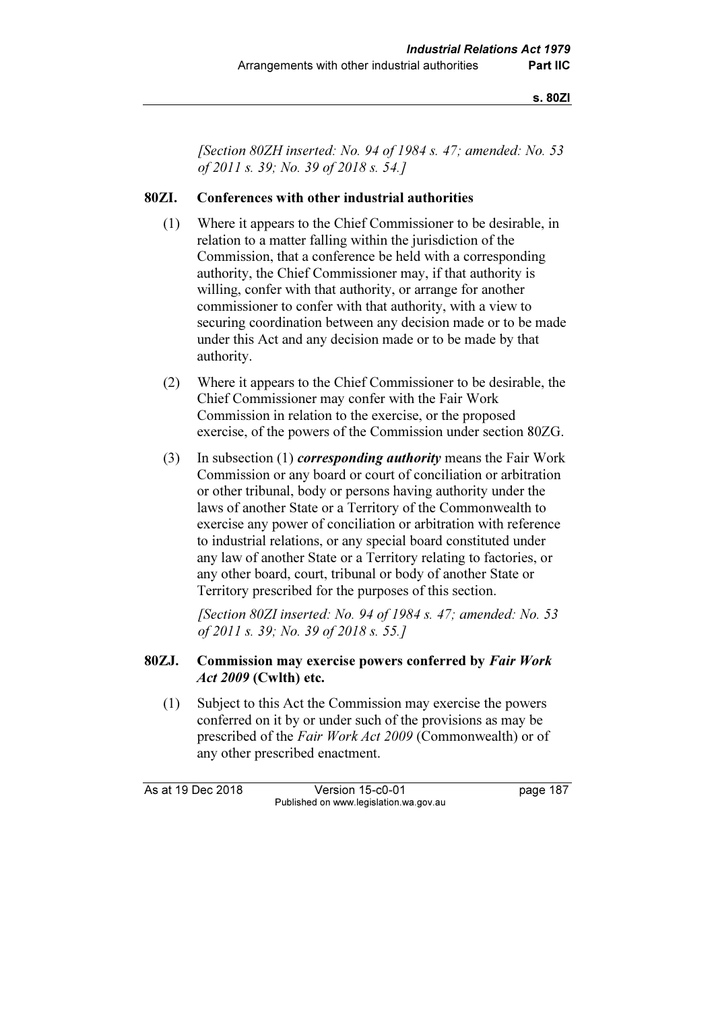s. 80ZI

[Section 80ZH inserted: No. 94 of 1984 s. 47; amended: No. 53 of 2011 s. 39; No. 39 of 2018 s. 54.]

#### 80ZI. Conferences with other industrial authorities

- (1) Where it appears to the Chief Commissioner to be desirable, in relation to a matter falling within the jurisdiction of the Commission, that a conference be held with a corresponding authority, the Chief Commissioner may, if that authority is willing, confer with that authority, or arrange for another commissioner to confer with that authority, with a view to securing coordination between any decision made or to be made under this Act and any decision made or to be made by that authority.
- (2) Where it appears to the Chief Commissioner to be desirable, the Chief Commissioner may confer with the Fair Work Commission in relation to the exercise, or the proposed exercise, of the powers of the Commission under section 80ZG.
- (3) In subsection (1) *corresponding authority* means the Fair Work Commission or any board or court of conciliation or arbitration or other tribunal, body or persons having authority under the laws of another State or a Territory of the Commonwealth to exercise any power of conciliation or arbitration with reference to industrial relations, or any special board constituted under any law of another State or a Territory relating to factories, or any other board, court, tribunal or body of another State or Territory prescribed for the purposes of this section.

[Section 80ZI inserted: No. 94 of 1984 s. 47; amended: No. 53 of 2011 s. 39; No. 39 of 2018 s. 55.]

### 80ZJ. Commission may exercise powers conferred by Fair Work Act 2009 (Cwlth) etc.

 (1) Subject to this Act the Commission may exercise the powers conferred on it by or under such of the provisions as may be prescribed of the Fair Work Act 2009 (Commonwealth) or of any other prescribed enactment.

As at 19 Dec 2018 Version 15-c0-01 page 187 Published on www.legislation.wa.gov.au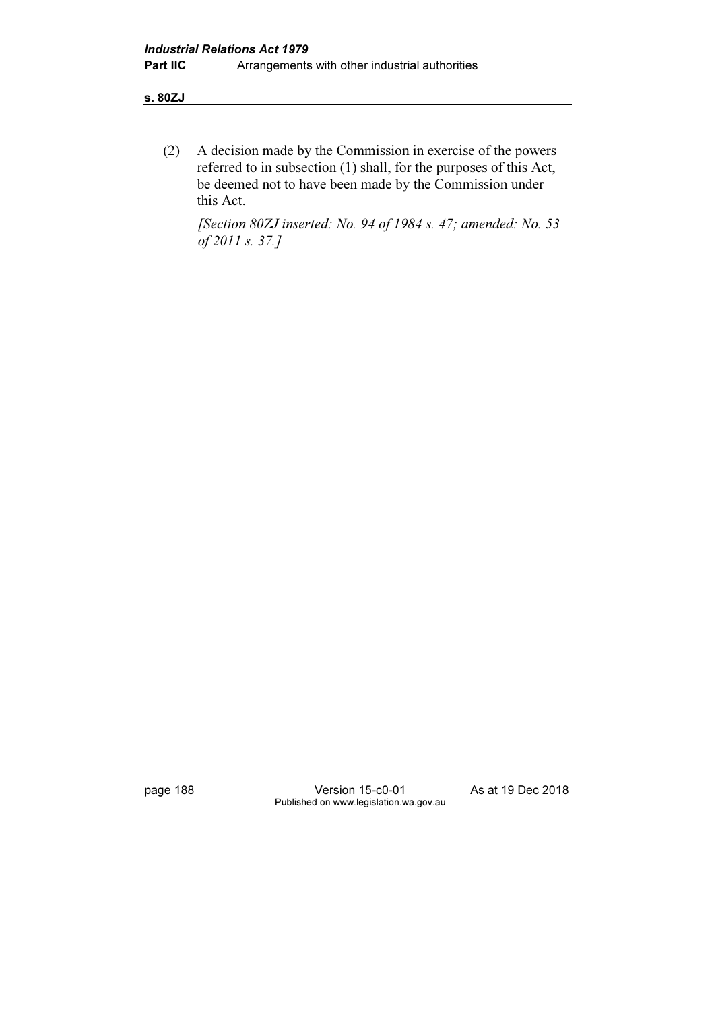(2) A decision made by the Commission in exercise of the powers referred to in subsection (1) shall, for the purposes of this Act, be deemed not to have been made by the Commission under this Act.

 [Section 80ZJ inserted: No. 94 of 1984 s. 47; amended: No. 53 of 2011 s. 37.]

page 188 Version 15-c0-01 As at 19 Dec 2018 Published on www.legislation.wa.gov.au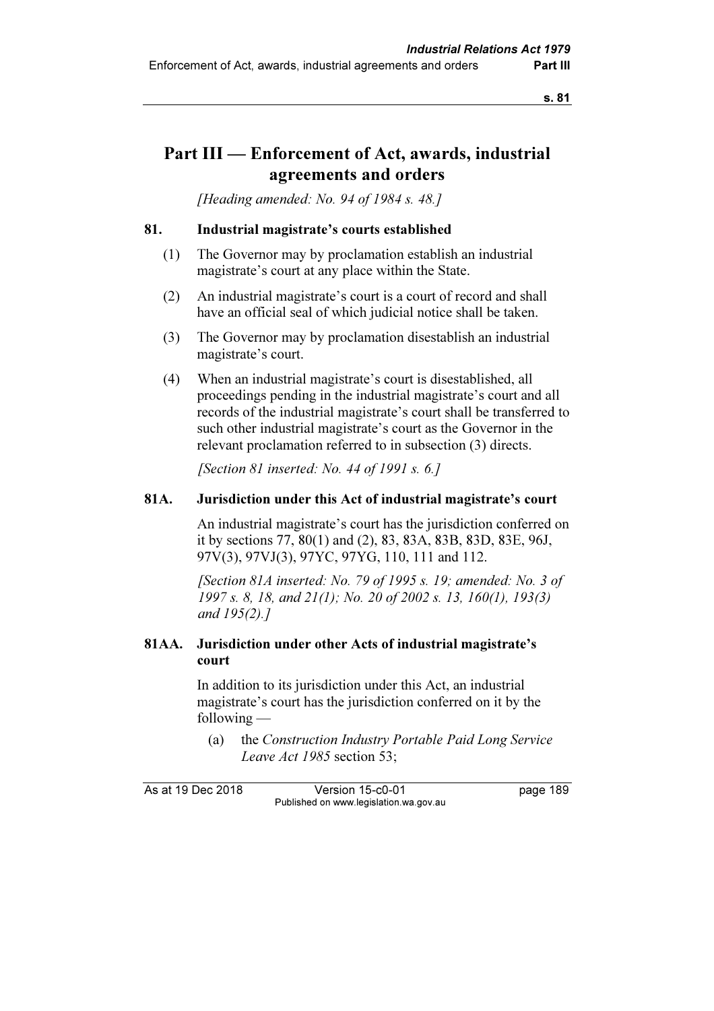# Part III — Enforcement of Act, awards, industrial agreements and orders

[Heading amended: No. 94 of 1984 s. 48.]

#### 81. Industrial magistrate's courts established

- (1) The Governor may by proclamation establish an industrial magistrate's court at any place within the State.
- (2) An industrial magistrate's court is a court of record and shall have an official seal of which judicial notice shall be taken.
- (3) The Governor may by proclamation disestablish an industrial magistrate's court.
- (4) When an industrial magistrate's court is disestablished, all proceedings pending in the industrial magistrate's court and all records of the industrial magistrate's court shall be transferred to such other industrial magistrate's court as the Governor in the relevant proclamation referred to in subsection (3) directs.

[Section 81 inserted: No. 44 of 1991 s.  $6.1$ ]

### 81A. Jurisdiction under this Act of industrial magistrate's court

 An industrial magistrate's court has the jurisdiction conferred on it by sections 77, 80(1) and (2), 83, 83A, 83B, 83D, 83E, 96J, 97V(3), 97VJ(3), 97YC, 97YG, 110, 111 and 112.

[Section 81A inserted: No. 79 of 1995 s. 19; amended: No. 3 of 1997 s. 8, 18, and 21(1); No. 20 of 2002 s. 13, 160(1), 193(3) and 195(2).]

## 81AA. Jurisdiction under other Acts of industrial magistrate's court

 In addition to its jurisdiction under this Act, an industrial magistrate's court has the jurisdiction conferred on it by the following —

 (a) the Construction Industry Portable Paid Long Service Leave Act 1985 section 53;

As at 19 Dec 2018 Version 15-c0-01 page 189 Published on www.legislation.wa.gov.au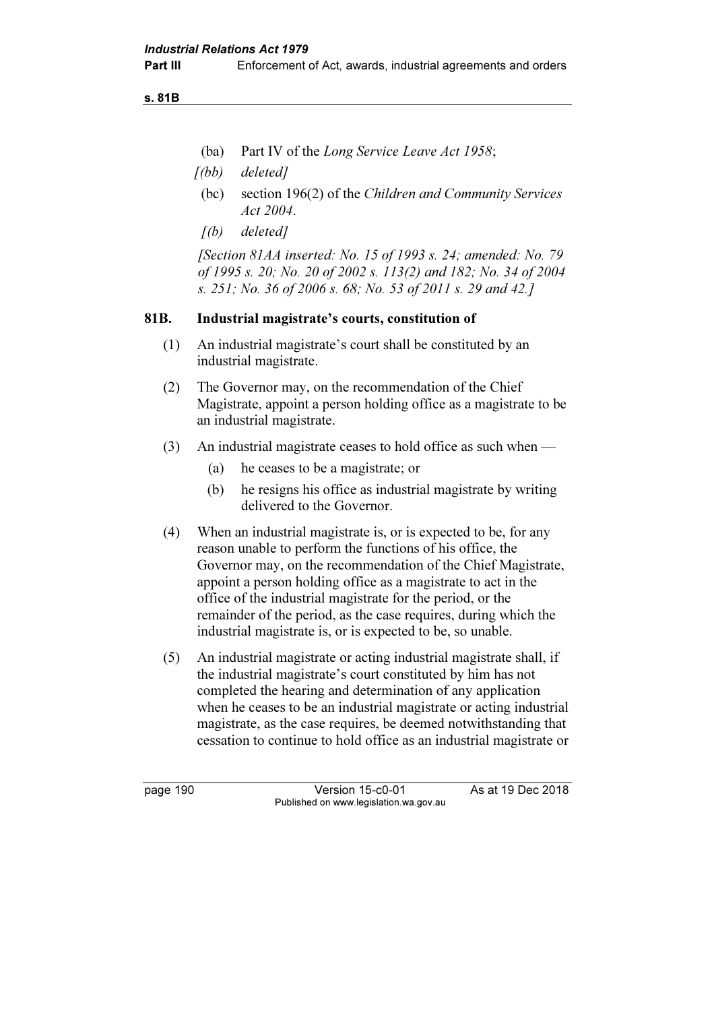s. 81B

- (ba) Part IV of the Long Service Leave Act 1958;
- $(1)(bb)$  deleted]
- (bc) section 196(2) of the Children and Community Services Act 2004.
- $[(b)$  deleted]

[Section 81AA inserted: No. 15 of 1993 s. 24; amended: No. 79 of 1995 s. 20; No. 20 of 2002 s. 113(2) and 182; No. 34 of 2004 s. 251; No. 36 of 2006 s. 68; No. 53 of 2011 s. 29 and 42.]

### 81B. Industrial magistrate's courts, constitution of

- (1) An industrial magistrate's court shall be constituted by an industrial magistrate.
- (2) The Governor may, on the recommendation of the Chief Magistrate, appoint a person holding office as a magistrate to be an industrial magistrate.
- (3) An industrial magistrate ceases to hold office as such when
	- (a) he ceases to be a magistrate; or
	- (b) he resigns his office as industrial magistrate by writing delivered to the Governor.
- (4) When an industrial magistrate is, or is expected to be, for any reason unable to perform the functions of his office, the Governor may, on the recommendation of the Chief Magistrate, appoint a person holding office as a magistrate to act in the office of the industrial magistrate for the period, or the remainder of the period, as the case requires, during which the industrial magistrate is, or is expected to be, so unable.
- (5) An industrial magistrate or acting industrial magistrate shall, if the industrial magistrate's court constituted by him has not completed the hearing and determination of any application when he ceases to be an industrial magistrate or acting industrial magistrate, as the case requires, be deemed notwithstanding that cessation to continue to hold office as an industrial magistrate or

page 190 Version 15-c0-01 As at 19 Dec 2018 Published on www.legislation.wa.gov.au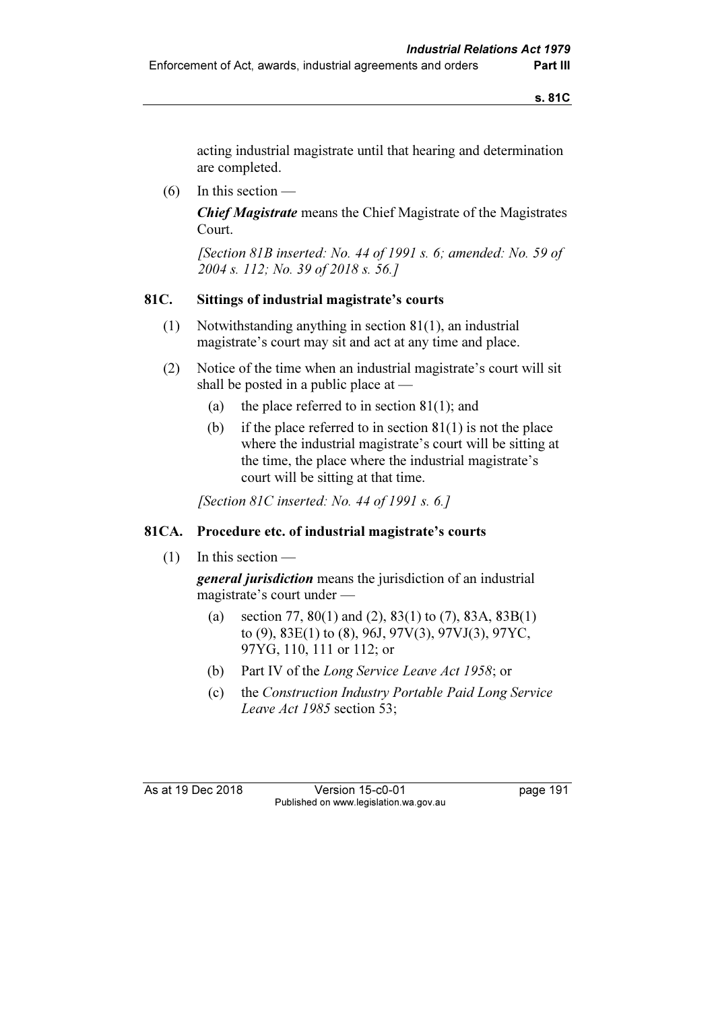acting industrial magistrate until that hearing and determination are completed.

 $(6)$  In this section —

Chief Magistrate means the Chief Magistrate of the Magistrates Court.

 [Section 81B inserted: No. 44 of 1991 s. 6; amended: No. 59 of 2004 s. 112; No. 39 of 2018 s. 56.]

## 81C. Sittings of industrial magistrate's courts

- (1) Notwithstanding anything in section 81(1), an industrial magistrate's court may sit and act at any time and place.
- (2) Notice of the time when an industrial magistrate's court will sit shall be posted in a public place at —
	- (a) the place referred to in section  $81(1)$ ; and
	- (b) if the place referred to in section  $81(1)$  is not the place where the industrial magistrate's court will be sitting at the time, the place where the industrial magistrate's court will be sitting at that time.

[Section 81C inserted: No. 44 of 1991 s.  $6.$ ]

## 81CA. Procedure etc. of industrial magistrate's courts

(1) In this section —

general jurisdiction means the jurisdiction of an industrial magistrate's court under —

- (a) section 77, 80(1) and (2), 83(1) to (7), 83A, 83B(1) to (9), 83E(1) to (8), 96J, 97V(3), 97VJ(3), 97YC, 97YG, 110, 111 or 112; or
- (b) Part IV of the Long Service Leave Act 1958; or
- (c) the Construction Industry Portable Paid Long Service Leave Act 1985 section 53;

As at 19 Dec 2018 Version 15-c0-01 page 191 Published on www.legislation.wa.gov.au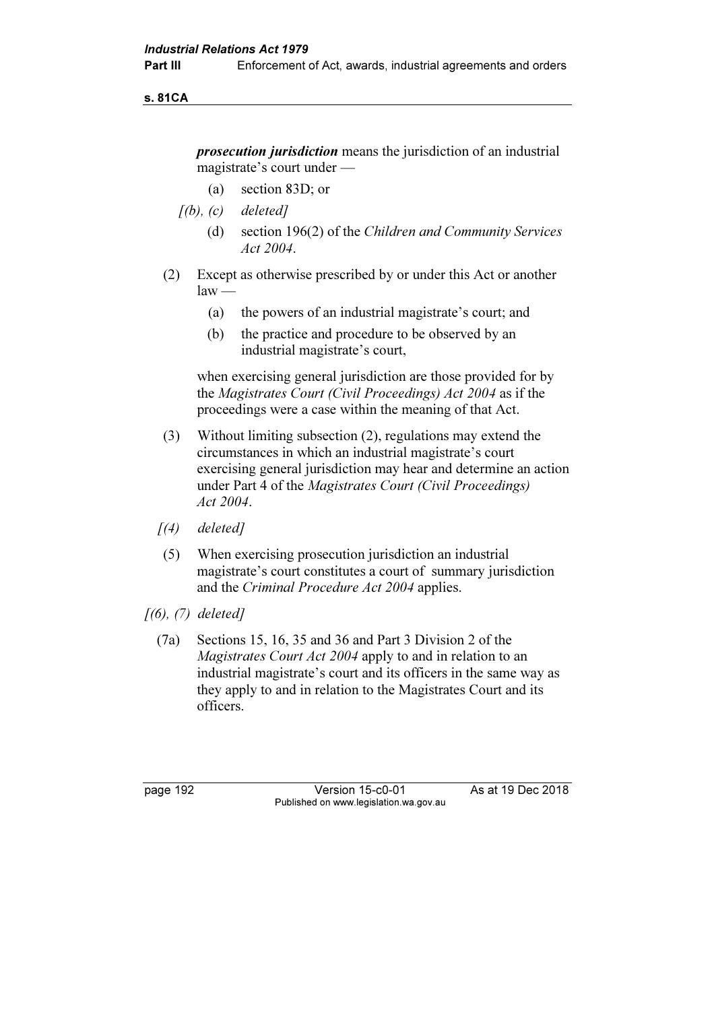s. 81CA

prosecution jurisdiction means the jurisdiction of an industrial magistrate's court under —

- (a) section 83D; or
- $[(b), (c)$  deleted]
	- (d) section 196(2) of the Children and Community Services Act 2004.
- (2) Except as otherwise prescribed by or under this Act or another  $law -$ 
	- (a) the powers of an industrial magistrate's court; and
	- (b) the practice and procedure to be observed by an industrial magistrate's court,

 when exercising general jurisdiction are those provided for by the Magistrates Court (Civil Proceedings) Act 2004 as if the proceedings were a case within the meaning of that Act.

- (3) Without limiting subsection (2), regulations may extend the circumstances in which an industrial magistrate's court exercising general jurisdiction may hear and determine an action under Part 4 of the Magistrates Court (Civil Proceedings) Act 2004.
- $(4)$  deleted]
- (5) When exercising prosecution jurisdiction an industrial magistrate's court constitutes a court of summary jurisdiction and the Criminal Procedure Act 2004 applies.
- $[(6), (7)$  deleted]
	- (7a) Sections 15, 16, 35 and 36 and Part 3 Division 2 of the Magistrates Court Act 2004 apply to and in relation to an industrial magistrate's court and its officers in the same way as they apply to and in relation to the Magistrates Court and its officers.

page 192 Version 15-c0-01 As at 19 Dec 2018 Published on www.legislation.wa.gov.au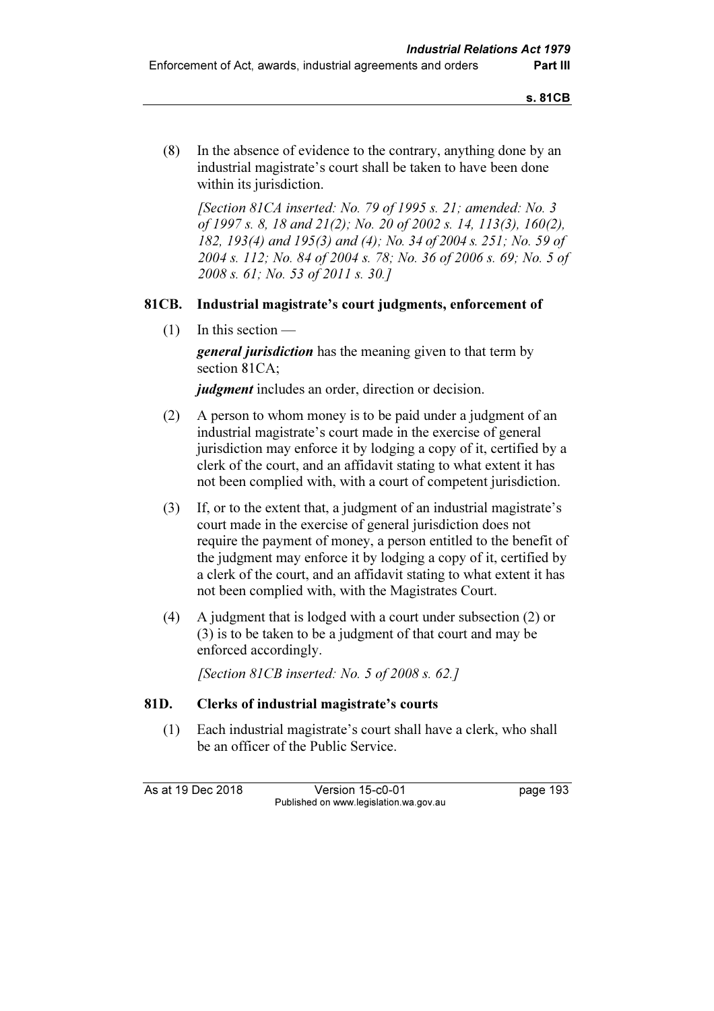(8) In the absence of evidence to the contrary, anything done by an industrial magistrate's court shall be taken to have been done within its jurisdiction.

 [Section 81CA inserted: No. 79 of 1995 s. 21; amended: No. 3 of 1997 s. 8, 18 and 21(2); No. 20 of 2002 s. 14, 113(3), 160(2), 182, 193(4) and 195(3) and (4); No. 34 of 2004 s. 251; No. 59 of 2004 s. 112; No. 84 of 2004 s. 78; No. 36 of 2006 s. 69; No. 5 of 2008 s. 61; No. 53 of 2011 s. 30.]

## 81CB. Industrial magistrate's court judgments, enforcement of

 $(1)$  In this section —

**general jurisdiction** has the meaning given to that term by section 81CA;

judgment includes an order, direction or decision.

- (2) A person to whom money is to be paid under a judgment of an industrial magistrate's court made in the exercise of general jurisdiction may enforce it by lodging a copy of it, certified by a clerk of the court, and an affidavit stating to what extent it has not been complied with, with a court of competent jurisdiction.
- (3) If, or to the extent that, a judgment of an industrial magistrate's court made in the exercise of general jurisdiction does not require the payment of money, a person entitled to the benefit of the judgment may enforce it by lodging a copy of it, certified by a clerk of the court, and an affidavit stating to what extent it has not been complied with, with the Magistrates Court.
- (4) A judgment that is lodged with a court under subsection (2) or (3) is to be taken to be a judgment of that court and may be enforced accordingly.

[Section 81CB inserted: No. 5 of 2008 s. 62.]

## 81D. Clerks of industrial magistrate's courts

 (1) Each industrial magistrate's court shall have a clerk, who shall be an officer of the Public Service.

As at 19 Dec 2018 Version 15-c0-01 page 193 Published on www.legislation.wa.gov.au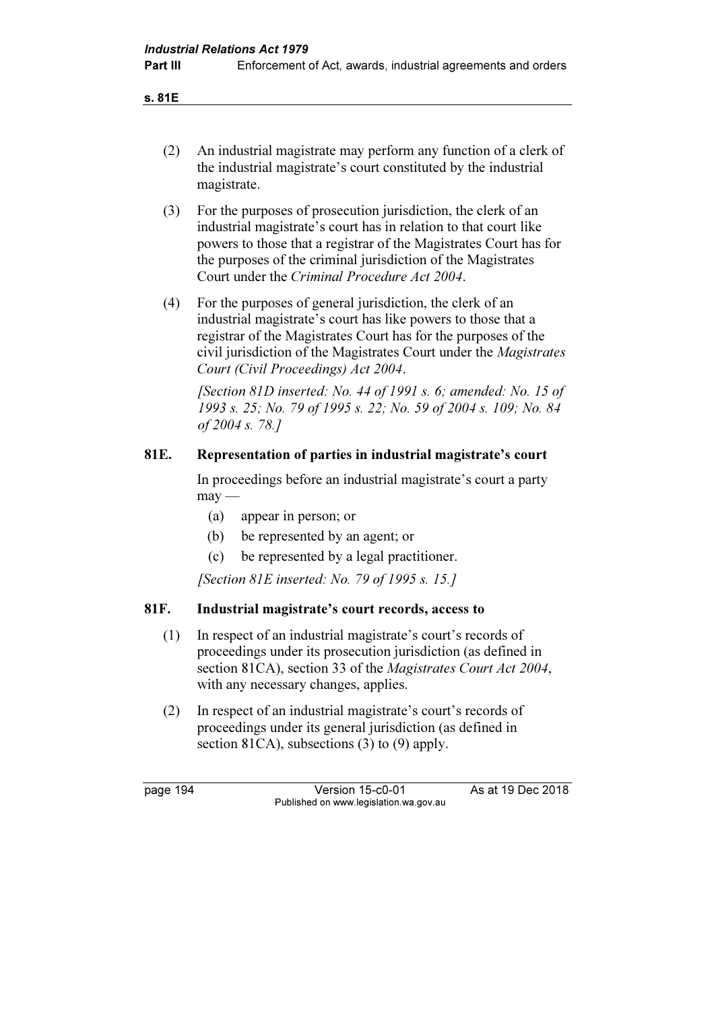s. 81E

- (2) An industrial magistrate may perform any function of a clerk of the industrial magistrate's court constituted by the industrial magistrate.
- (3) For the purposes of prosecution jurisdiction, the clerk of an industrial magistrate's court has in relation to that court like powers to those that a registrar of the Magistrates Court has for the purposes of the criminal jurisdiction of the Magistrates Court under the Criminal Procedure Act 2004.
- (4) For the purposes of general jurisdiction, the clerk of an industrial magistrate's court has like powers to those that a registrar of the Magistrates Court has for the purposes of the civil jurisdiction of the Magistrates Court under the Magistrates Court (Civil Proceedings) Act 2004.

 [Section 81D inserted: No. 44 of 1991 s. 6; amended: No. 15 of 1993 s. 25; No. 79 of 1995 s. 22; No. 59 of 2004 s. 109; No. 84 of 2004 s. 78.]

## 81E. Representation of parties in industrial magistrate's court

 In proceedings before an industrial magistrate's court a party  $may -$ 

- (a) appear in person; or
- (b) be represented by an agent; or
- (c) be represented by a legal practitioner.

[Section 81E inserted: No. 79 of 1995 s. 15.]

## 81F. Industrial magistrate's court records, access to

- (1) In respect of an industrial magistrate's court's records of proceedings under its prosecution jurisdiction (as defined in section 81CA), section 33 of the *Magistrates Court Act 2004*, with any necessary changes, applies.
- (2) In respect of an industrial magistrate's court's records of proceedings under its general jurisdiction (as defined in section 81CA), subsections (3) to (9) apply.

page 194 Version 15-c0-01 As at 19 Dec 2018 Published on www.legislation.wa.gov.au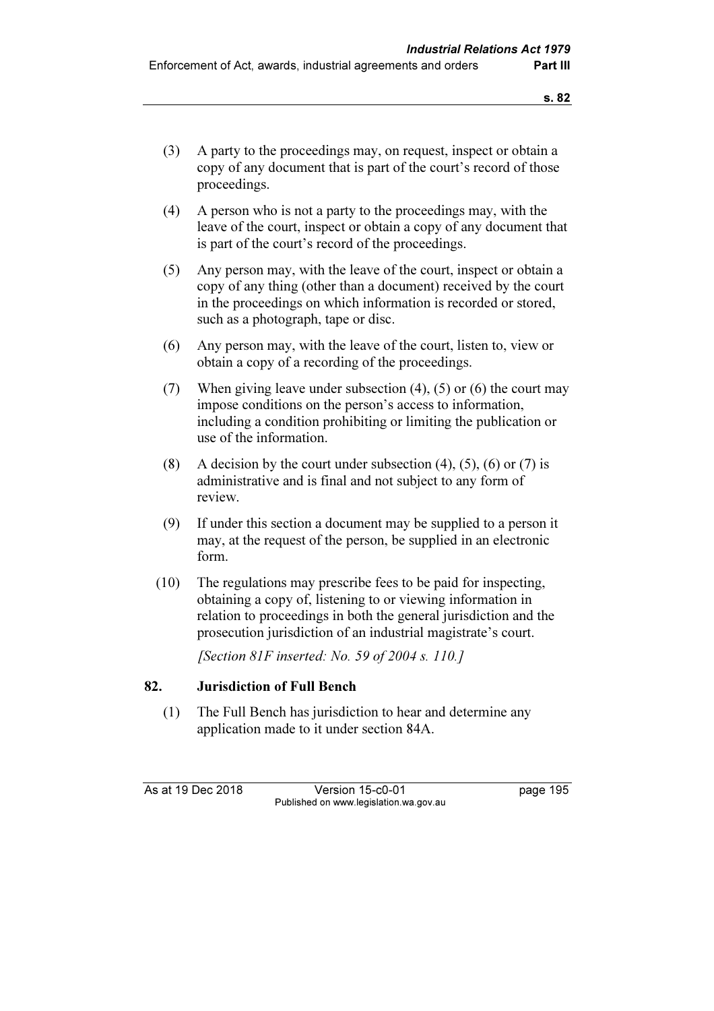- (3) A party to the proceedings may, on request, inspect or obtain a copy of any document that is part of the court's record of those proceedings.
- (4) A person who is not a party to the proceedings may, with the leave of the court, inspect or obtain a copy of any document that is part of the court's record of the proceedings.
- (5) Any person may, with the leave of the court, inspect or obtain a copy of any thing (other than a document) received by the court in the proceedings on which information is recorded or stored, such as a photograph, tape or disc.
- (6) Any person may, with the leave of the court, listen to, view or obtain a copy of a recording of the proceedings.
- (7) When giving leave under subsection  $(4)$ ,  $(5)$  or  $(6)$  the court may impose conditions on the person's access to information, including a condition prohibiting or limiting the publication or use of the information.
- (8) A decision by the court under subsection  $(4)$ ,  $(5)$ ,  $(6)$  or  $(7)$  is administrative and is final and not subject to any form of review.
- (9) If under this section a document may be supplied to a person it may, at the request of the person, be supplied in an electronic form.
- (10) The regulations may prescribe fees to be paid for inspecting, obtaining a copy of, listening to or viewing information in relation to proceedings in both the general jurisdiction and the prosecution jurisdiction of an industrial magistrate's court.

[Section 81F inserted: No. 59 of 2004 s. 110.]

## 82. Jurisdiction of Full Bench

 (1) The Full Bench has jurisdiction to hear and determine any application made to it under section 84A.

As at 19 Dec 2018 Version 15-c0-01 page 195 Published on www.legislation.wa.gov.au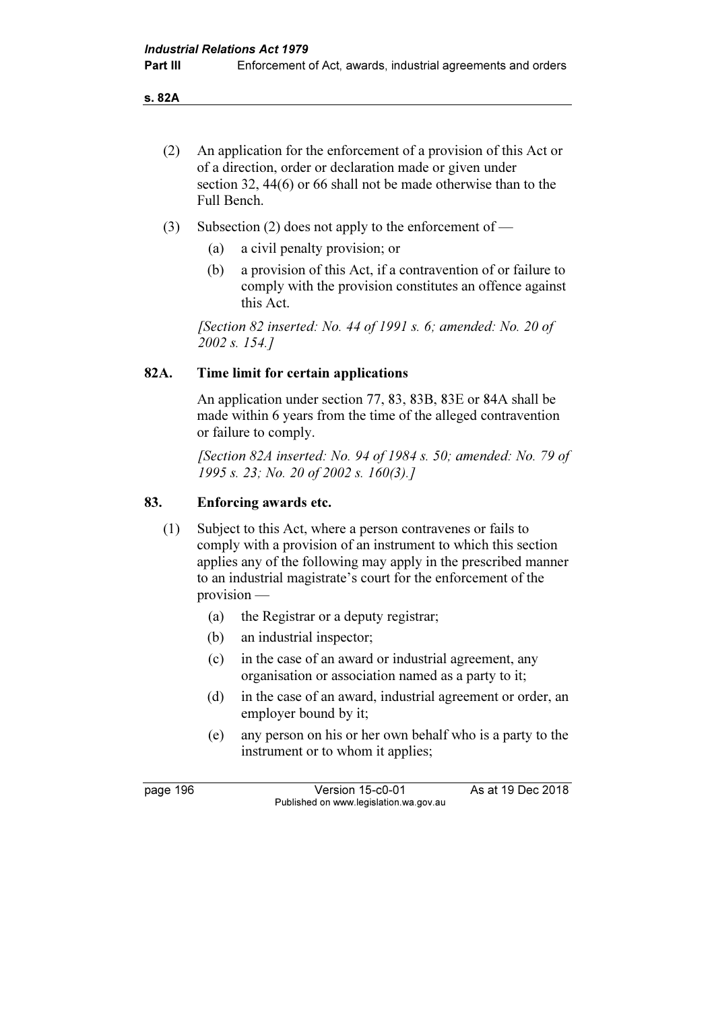s. 82A

- (2) An application for the enforcement of a provision of this Act or of a direction, order or declaration made or given under section 32, 44(6) or 66 shall not be made otherwise than to the Full Bench.
- (3) Subsection (2) does not apply to the enforcement of
	- (a) a civil penalty provision; or
	- (b) a provision of this Act, if a contravention of or failure to comply with the provision constitutes an offence against this Act.

[Section 82 inserted: No. 44 of 1991 s. 6; amended: No. 20 of 2002 s. 154.]

### 82A. Time limit for certain applications

 An application under section 77, 83, 83B, 83E or 84A shall be made within 6 years from the time of the alleged contravention or failure to comply.

[Section 82A inserted: No. 94 of 1984 s. 50; amended: No. 79 of 1995 s. 23; No. 20 of 2002 s. 160(3).]

### 83. Enforcing awards etc.

- (1) Subject to this Act, where a person contravenes or fails to comply with a provision of an instrument to which this section applies any of the following may apply in the prescribed manner to an industrial magistrate's court for the enforcement of the provision —
	- (a) the Registrar or a deputy registrar;
	- (b) an industrial inspector;
	- (c) in the case of an award or industrial agreement, any organisation or association named as a party to it;
	- (d) in the case of an award, industrial agreement or order, an employer bound by it;
	- (e) any person on his or her own behalf who is a party to the instrument or to whom it applies;

page 196 Version 15-c0-01 As at 19 Dec 2018 Published on www.legislation.wa.gov.au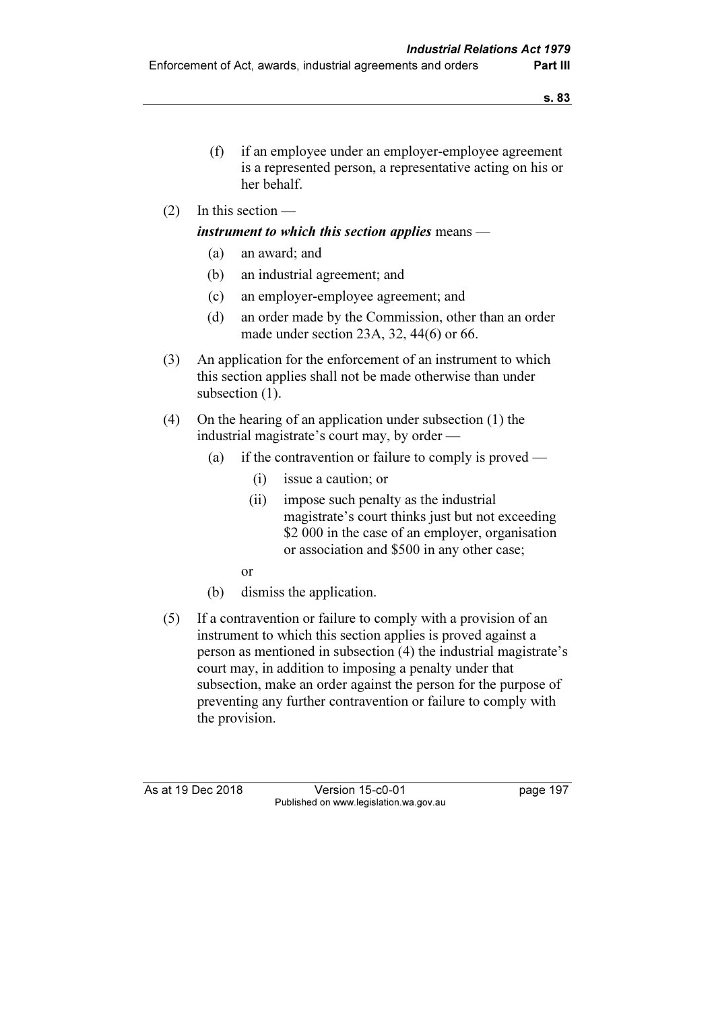- (f) if an employee under an employer-employee agreement is a represented person, a representative acting on his or her behalf.
- (2) In this section —

### instrument to which this section applies means  $-$

- (a) an award; and
- (b) an industrial agreement; and
- (c) an employer-employee agreement; and
- (d) an order made by the Commission, other than an order made under section 23A, 32, 44(6) or 66.
- (3) An application for the enforcement of an instrument to which this section applies shall not be made otherwise than under subsection  $(1)$ .
- (4) On the hearing of an application under subsection (1) the industrial magistrate's court may, by order —
	- (a) if the contravention or failure to comply is proved
		- (i) issue a caution; or
		- (ii) impose such penalty as the industrial magistrate's court thinks just but not exceeding \$2,000 in the case of an employer, organisation or association and \$500 in any other case;
		- or
	- (b) dismiss the application.
- (5) If a contravention or failure to comply with a provision of an instrument to which this section applies is proved against a person as mentioned in subsection (4) the industrial magistrate's court may, in addition to imposing a penalty under that subsection, make an order against the person for the purpose of preventing any further contravention or failure to comply with the provision.

As at 19 Dec 2018 Version 15-c0-01 page 197 Published on www.legislation.wa.gov.au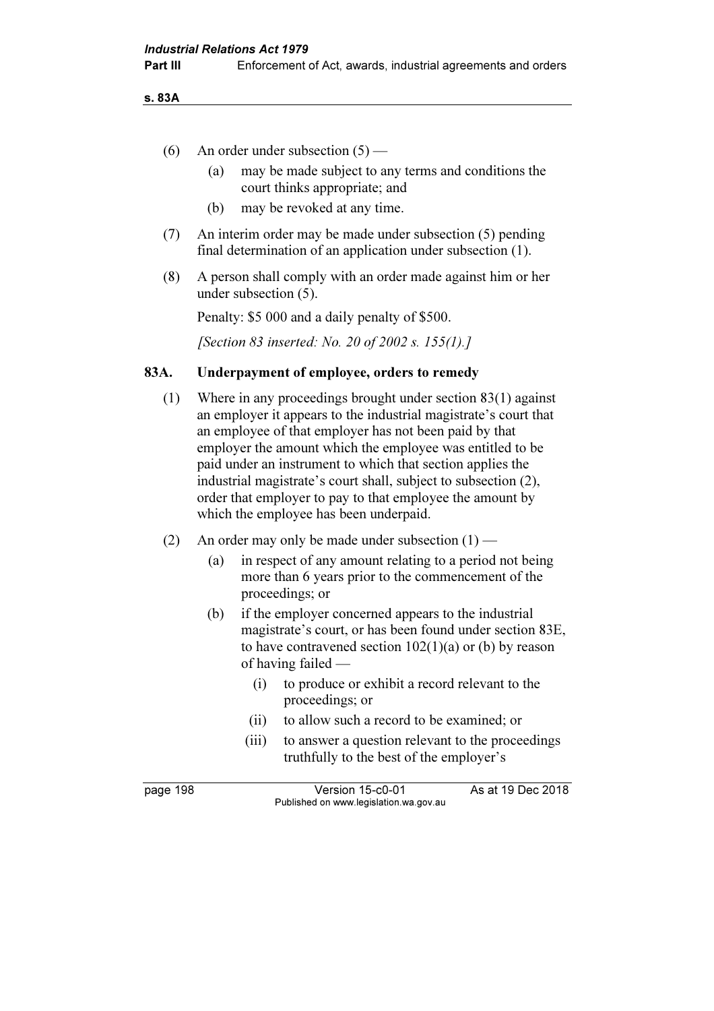**Part III** Enforcement of Act, awards, industrial agreements and orders

s. 83A

- (6) An order under subsection  $(5)$ 
	- (a) may be made subject to any terms and conditions the court thinks appropriate; and
	- (b) may be revoked at any time.
- (7) An interim order may be made under subsection (5) pending final determination of an application under subsection (1).
- (8) A person shall comply with an order made against him or her under subsection (5).

Penalty: \$5 000 and a daily penalty of \$500.

[Section 83 inserted: No. 20 of 2002 s. 155(1).]

### 83A. Underpayment of employee, orders to remedy

- (1) Where in any proceedings brought under section 83(1) against an employer it appears to the industrial magistrate's court that an employee of that employer has not been paid by that employer the amount which the employee was entitled to be paid under an instrument to which that section applies the industrial magistrate's court shall, subject to subsection (2), order that employer to pay to that employee the amount by which the employee has been underpaid.
- (2) An order may only be made under subsection  $(1)$ 
	- (a) in respect of any amount relating to a period not being more than 6 years prior to the commencement of the proceedings; or
	- (b) if the employer concerned appears to the industrial magistrate's court, or has been found under section 83E, to have contravened section  $102(1)(a)$  or (b) by reason of having failed —
		- (i) to produce or exhibit a record relevant to the proceedings; or
		- (ii) to allow such a record to be examined; or
		- (iii) to answer a question relevant to the proceedings truthfully to the best of the employer's

page 198 Version 15-c0-01 As at 19 Dec 2018 Published on www.legislation.wa.gov.au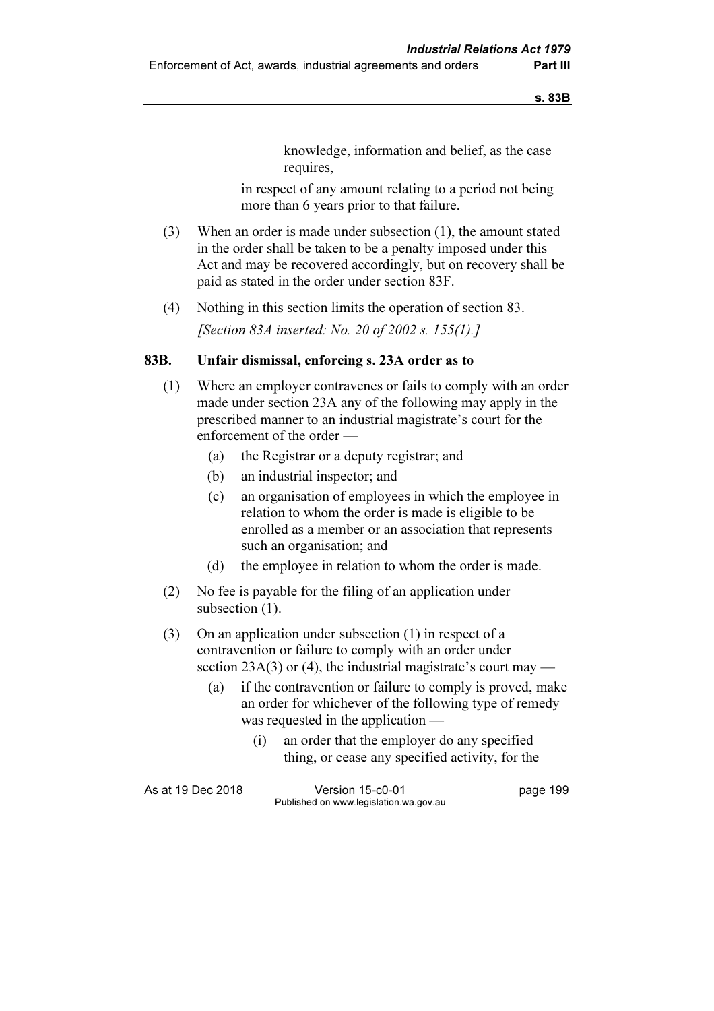knowledge, information and belief, as the case requires,

 in respect of any amount relating to a period not being more than 6 years prior to that failure.

- (3) When an order is made under subsection (1), the amount stated in the order shall be taken to be a penalty imposed under this Act and may be recovered accordingly, but on recovery shall be paid as stated in the order under section 83F.
- (4) Nothing in this section limits the operation of section 83.

[Section 83A inserted: No. 20 of 2002 s. 155(1).]

# 83B. Unfair dismissal, enforcing s. 23A order as to

- (1) Where an employer contravenes or fails to comply with an order made under section 23A any of the following may apply in the prescribed manner to an industrial magistrate's court for the enforcement of the order —
	- (a) the Registrar or a deputy registrar; and
	- (b) an industrial inspector; and
	- (c) an organisation of employees in which the employee in relation to whom the order is made is eligible to be enrolled as a member or an association that represents such an organisation; and
	- (d) the employee in relation to whom the order is made.
- (2) No fee is payable for the filing of an application under subsection  $(1)$ .
- (3) On an application under subsection (1) in respect of a contravention or failure to comply with an order under section 23A(3) or (4), the industrial magistrate's court may —
	- (a) if the contravention or failure to comply is proved, make an order for whichever of the following type of remedy was requested in the application —
		- (i) an order that the employer do any specified thing, or cease any specified activity, for the

| As at 19 Dec 2018 | Version 15-c0-01                       | page 199 |
|-------------------|----------------------------------------|----------|
|                   | Published on www.legislation.wa.gov.au |          |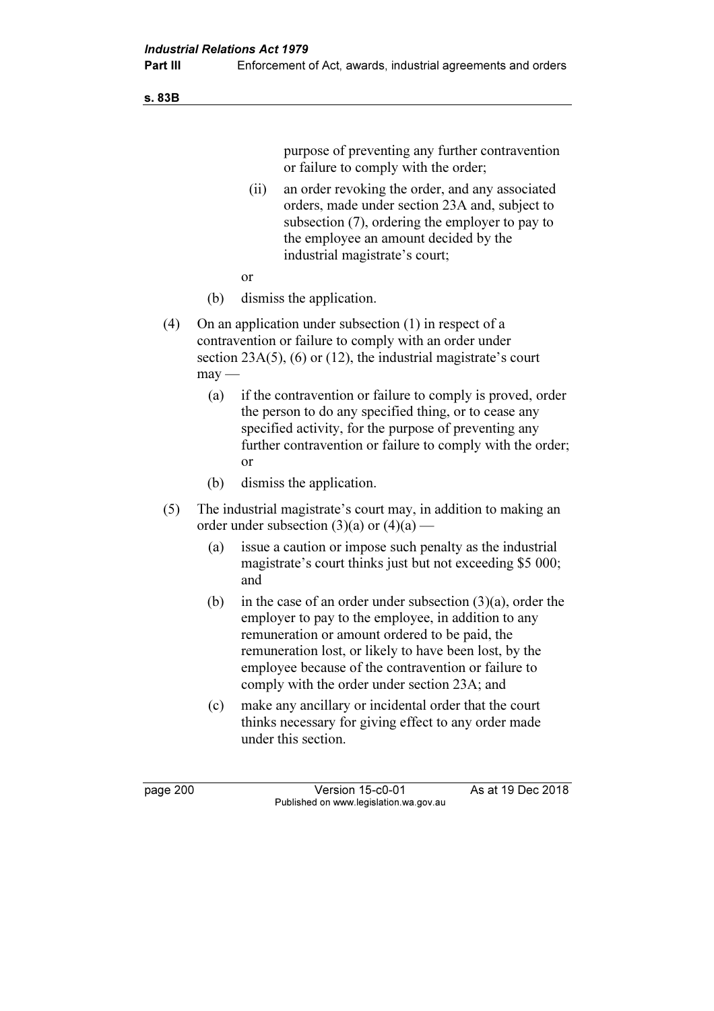s. 83B

purpose of preventing any further contravention or failure to comply with the order;

- (ii) an order revoking the order, and any associated orders, made under section 23A and, subject to subsection (7), ordering the employer to pay to the employee an amount decided by the industrial magistrate's court;
- or
	- (b) dismiss the application.
	- (4) On an application under subsection (1) in respect of a contravention or failure to comply with an order under section  $23A(5)$ , (6) or (12), the industrial magistrate's court  $may -$ 
		- (a) if the contravention or failure to comply is proved, order the person to do any specified thing, or to cease any specified activity, for the purpose of preventing any further contravention or failure to comply with the order; or
		- (b) dismiss the application.
	- (5) The industrial magistrate's court may, in addition to making an order under subsection  $(3)(a)$  or  $(4)(a)$  —
		- (a) issue a caution or impose such penalty as the industrial magistrate's court thinks just but not exceeding \$5 000; and
		- (b) in the case of an order under subsection (3)(a), order the employer to pay to the employee, in addition to any remuneration or amount ordered to be paid, the remuneration lost, or likely to have been lost, by the employee because of the contravention or failure to comply with the order under section 23A; and
		- (c) make any ancillary or incidental order that the court thinks necessary for giving effect to any order made under this section.

page 200 Version 15-c0-01 As at 19 Dec 2018 Published on www.legislation.wa.gov.au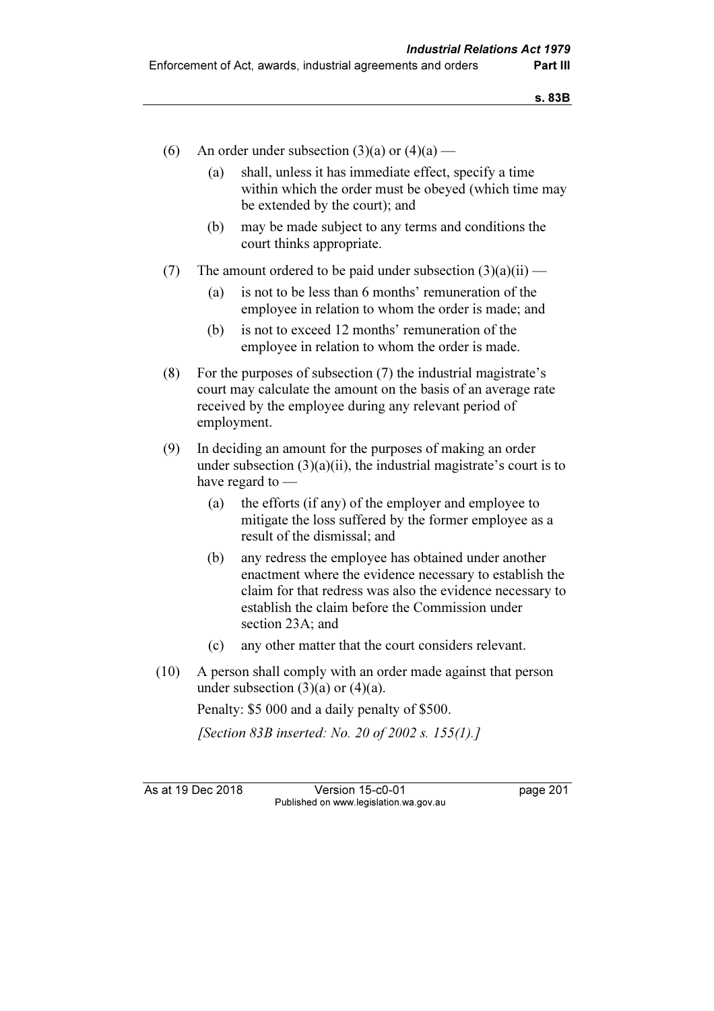- (6) An order under subsection  $(3)(a)$  or  $(4)(a)$ 
	- (a) shall, unless it has immediate effect, specify a time within which the order must be obeyed (which time may be extended by the court); and
	- (b) may be made subject to any terms and conditions the court thinks appropriate.
- (7) The amount ordered to be paid under subsection  $(3)(a)(ii)$ 
	- (a) is not to be less than 6 months' remuneration of the employee in relation to whom the order is made; and
	- (b) is not to exceed 12 months' remuneration of the employee in relation to whom the order is made.
- (8) For the purposes of subsection (7) the industrial magistrate's court may calculate the amount on the basis of an average rate received by the employee during any relevant period of employment.
- (9) In deciding an amount for the purposes of making an order under subsection  $(3)(a)(ii)$ , the industrial magistrate's court is to have regard to —
	- (a) the efforts (if any) of the employer and employee to mitigate the loss suffered by the former employee as a result of the dismissal; and
	- (b) any redress the employee has obtained under another enactment where the evidence necessary to establish the claim for that redress was also the evidence necessary to establish the claim before the Commission under section 23A: and
	- (c) any other matter that the court considers relevant.
- (10) A person shall comply with an order made against that person under subsection  $(3)(a)$  or  $(4)(a)$ .

Penalty: \$5 000 and a daily penalty of \$500.

[Section 83B inserted: No. 20 of 2002 s. 155(1).]

As at 19 Dec 2018 Version 15-c0-01 page 201 Published on www.legislation.wa.gov.au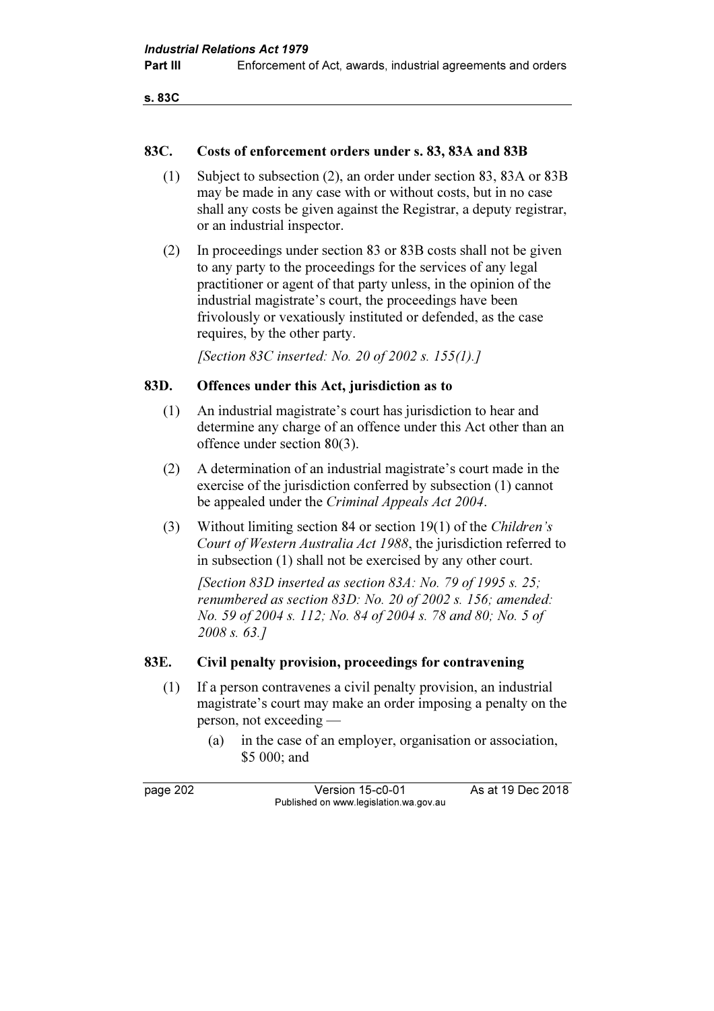```
s. 83C
```
### 83C. Costs of enforcement orders under s. 83, 83A and 83B

- (1) Subject to subsection (2), an order under section 83, 83A or 83B may be made in any case with or without costs, but in no case shall any costs be given against the Registrar, a deputy registrar, or an industrial inspector.
- (2) In proceedings under section 83 or 83B costs shall not be given to any party to the proceedings for the services of any legal practitioner or agent of that party unless, in the opinion of the industrial magistrate's court, the proceedings have been frivolously or vexatiously instituted or defended, as the case requires, by the other party.

[Section 83C inserted: No. 20 of 2002 s. 155(1).]

# 83D. Offences under this Act, jurisdiction as to

- (1) An industrial magistrate's court has jurisdiction to hear and determine any charge of an offence under this Act other than an offence under section 80(3).
- (2) A determination of an industrial magistrate's court made in the exercise of the jurisdiction conferred by subsection (1) cannot be appealed under the Criminal Appeals Act 2004.
- (3) Without limiting section 84 or section 19(1) of the Children's Court of Western Australia Act 1988, the jurisdiction referred to in subsection (1) shall not be exercised by any other court.

[Section 83D inserted as section 83A: No. 79 of 1995 s. 25; renumbered as section 83D: No. 20 of 2002 s. 156; amended: No. 59 of 2004 s. 112; No. 84 of 2004 s. 78 and 80; No. 5 of 2008 s. 63.]

### 83E. Civil penalty provision, proceedings for contravening

- (1) If a person contravenes a civil penalty provision, an industrial magistrate's court may make an order imposing a penalty on the person, not exceeding —
	- (a) in the case of an employer, organisation or association, \$5 000; and

page 202 Version 15-c0-01 As at 19 Dec 2018 Published on www.legislation.wa.gov.au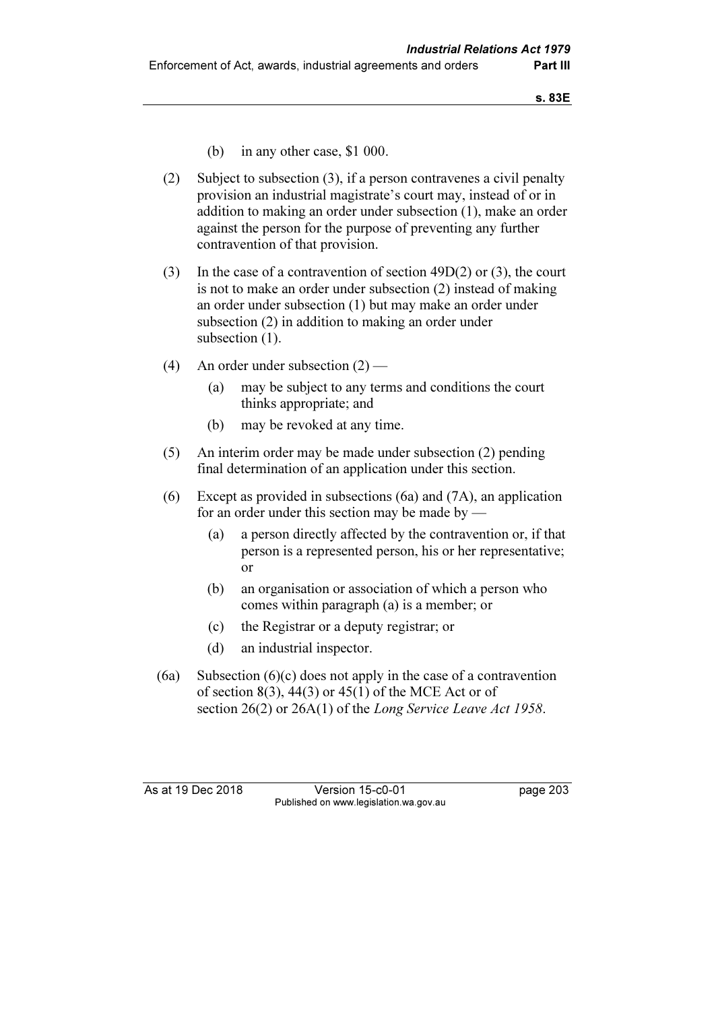- (b) in any other case, \$1 000.
- (2) Subject to subsection (3), if a person contravenes a civil penalty provision an industrial magistrate's court may, instead of or in addition to making an order under subsection (1), make an order against the person for the purpose of preventing any further contravention of that provision.
- (3) In the case of a contravention of section 49D(2) or (3), the court is not to make an order under subsection (2) instead of making an order under subsection (1) but may make an order under subsection (2) in addition to making an order under subsection  $(1)$ .
- (4) An order under subsection (2)
	- (a) may be subject to any terms and conditions the court thinks appropriate; and
	- (b) may be revoked at any time.
- (5) An interim order may be made under subsection (2) pending final determination of an application under this section.
- (6) Except as provided in subsections (6a) and (7A), an application for an order under this section may be made by  $-$ 
	- (a) a person directly affected by the contravention or, if that person is a represented person, his or her representative; or
	- (b) an organisation or association of which a person who comes within paragraph (a) is a member; or
	- (c) the Registrar or a deputy registrar; or
	- (d) an industrial inspector.
- $(6a)$  Subsection  $(6)(c)$  does not apply in the case of a contravention of section  $8(3)$ ,  $44(3)$  or  $45(1)$  of the MCE Act or of section 26(2) or 26A(1) of the Long Service Leave Act 1958.

As at 19 Dec 2018 Version 15-c0-01 page 203 Published on www.legislation.wa.gov.au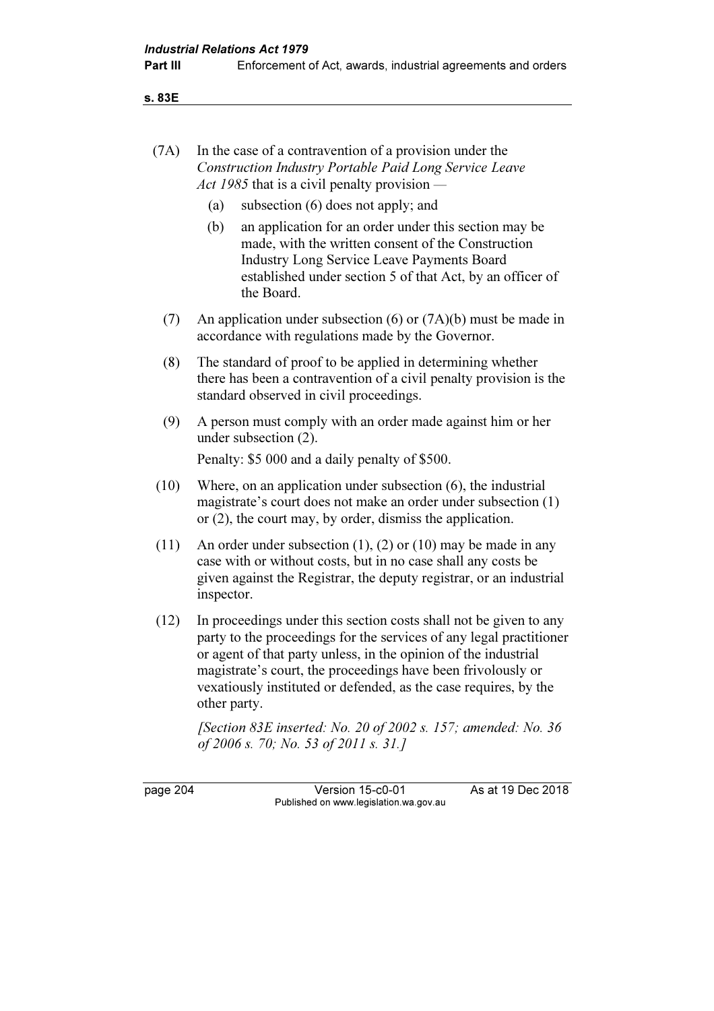s. 83E

| (7A) | In the case of a contravention of a provision under the |
|------|---------------------------------------------------------|
|      | Construction Industry Portable Paid Long Service Leave  |
|      | Act 1985 that is a civil penalty provision —            |

- (a) subsection (6) does not apply; and
- (b) an application for an order under this section may be made, with the written consent of the Construction Industry Long Service Leave Payments Board established under section 5 of that Act, by an officer of the Board.
- (7) An application under subsection (6) or (7A)(b) must be made in accordance with regulations made by the Governor.
- (8) The standard of proof to be applied in determining whether there has been a contravention of a civil penalty provision is the standard observed in civil proceedings.
- (9) A person must comply with an order made against him or her under subsection (2).

Penalty: \$5 000 and a daily penalty of \$500.

- (10) Where, on an application under subsection (6), the industrial magistrate's court does not make an order under subsection (1) or (2), the court may, by order, dismiss the application.
- (11) An order under subsection (1), (2) or (10) may be made in any case with or without costs, but in no case shall any costs be given against the Registrar, the deputy registrar, or an industrial inspector.
- (12) In proceedings under this section costs shall not be given to any party to the proceedings for the services of any legal practitioner or agent of that party unless, in the opinion of the industrial magistrate's court, the proceedings have been frivolously or vexatiously instituted or defended, as the case requires, by the other party.

[Section 83E inserted: No. 20 of 2002 s. 157; amended: No. 36 of 2006 s. 70; No. 53 of 2011 s. 31.]

page 204 Version 15-c0-01 As at 19 Dec 2018 Published on www.legislation.wa.gov.au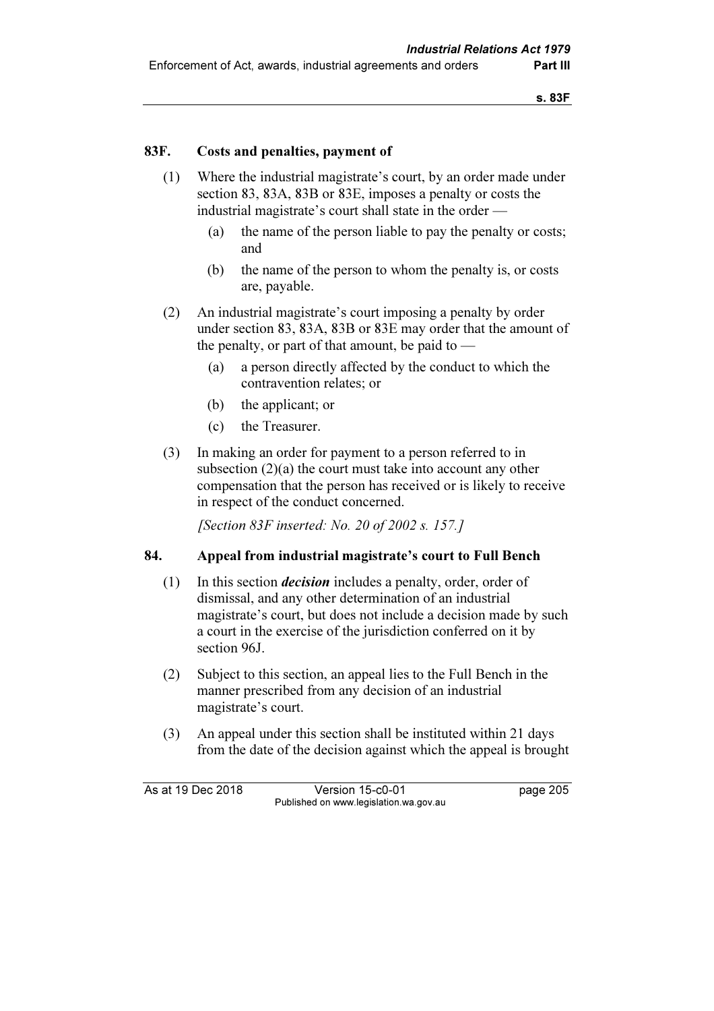# 83F. Costs and penalties, payment of

- (1) Where the industrial magistrate's court, by an order made under section 83, 83A, 83B or 83E, imposes a penalty or costs the industrial magistrate's court shall state in the order —
	- (a) the name of the person liable to pay the penalty or costs; and
	- (b) the name of the person to whom the penalty is, or costs are, payable.
- (2) An industrial magistrate's court imposing a penalty by order under section 83, 83A, 83B or 83E may order that the amount of the penalty, or part of that amount, be paid to  $-$ 
	- (a) a person directly affected by the conduct to which the contravention relates; or
	- (b) the applicant; or
	- (c) the Treasurer.
- (3) In making an order for payment to a person referred to in subsection  $(2)(a)$  the court must take into account any other compensation that the person has received or is likely to receive in respect of the conduct concerned.

[Section 83F inserted: No. 20 of 2002 s. 157.]

### 84. Appeal from industrial magistrate's court to Full Bench

- (1) In this section decision includes a penalty, order, order of dismissal, and any other determination of an industrial magistrate's court, but does not include a decision made by such a court in the exercise of the jurisdiction conferred on it by section 96J.
- (2) Subject to this section, an appeal lies to the Full Bench in the manner prescribed from any decision of an industrial magistrate's court.
- (3) An appeal under this section shall be instituted within 21 days from the date of the decision against which the appeal is brought

As at 19 Dec 2018 Version 15-c0-01 page 205 Published on www.legislation.wa.gov.au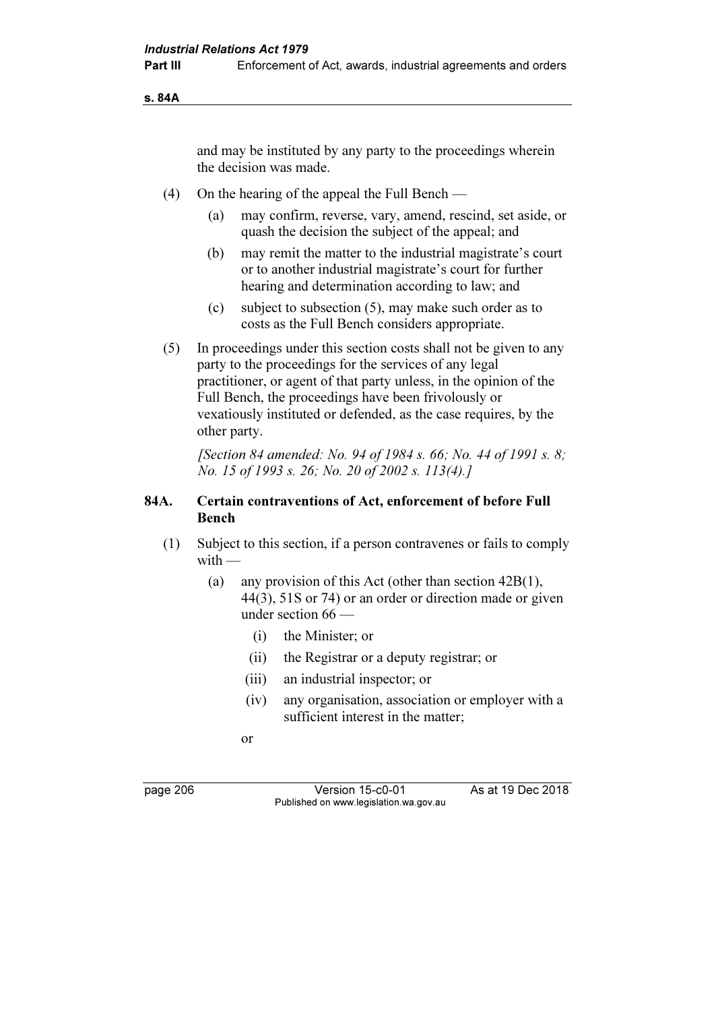s. 84A

and may be instituted by any party to the proceedings wherein the decision was made.

- (4) On the hearing of the appeal the Full Bench
	- (a) may confirm, reverse, vary, amend, rescind, set aside, or quash the decision the subject of the appeal; and
	- (b) may remit the matter to the industrial magistrate's court or to another industrial magistrate's court for further hearing and determination according to law; and
	- (c) subject to subsection (5), may make such order as to costs as the Full Bench considers appropriate.
- (5) In proceedings under this section costs shall not be given to any party to the proceedings for the services of any legal practitioner, or agent of that party unless, in the opinion of the Full Bench, the proceedings have been frivolously or vexatiously instituted or defended, as the case requires, by the other party.

 [Section 84 amended: No. 94 of 1984 s. 66; No. 44 of 1991 s. 8; No. 15 of 1993 s. 26; No. 20 of 2002 s. 113(4).]

# 84A. Certain contraventions of Act, enforcement of before Full Bench

- (1) Subject to this section, if a person contravenes or fails to comply with —
	- (a) any provision of this Act (other than section 42B(1), 44(3), 51S or 74) or an order or direction made or given under section 66 —
		- (i) the Minister; or
		- (ii) the Registrar or a deputy registrar; or
		- (iii) an industrial inspector; or
		- (iv) any organisation, association or employer with a sufficient interest in the matter;
- or

page 206 Version 15-c0-01 As at 19 Dec 2018 Published on www.legislation.wa.gov.au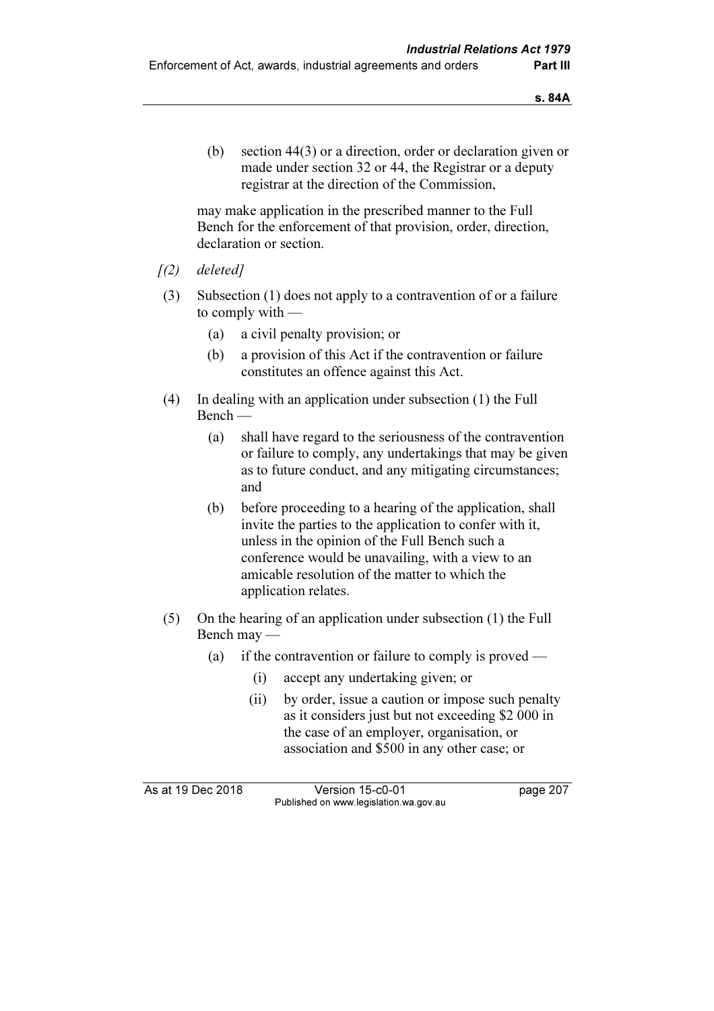(b) section 44(3) or a direction, order or declaration given or made under section 32 or 44, the Registrar or a deputy registrar at the direction of the Commission,

 may make application in the prescribed manner to the Full Bench for the enforcement of that provision, order, direction, declaration or section.

- $(1)$  deleted]
- (3) Subsection (1) does not apply to a contravention of or a failure to comply with —
	- (a) a civil penalty provision; or
	- (b) a provision of this Act if the contravention or failure constitutes an offence against this Act.
- (4) In dealing with an application under subsection (1) the Full Bench —
	- (a) shall have regard to the seriousness of the contravention or failure to comply, any undertakings that may be given as to future conduct, and any mitigating circumstances; and
	- (b) before proceeding to a hearing of the application, shall invite the parties to the application to confer with it, unless in the opinion of the Full Bench such a conference would be unavailing, with a view to an amicable resolution of the matter to which the application relates.
- (5) On the hearing of an application under subsection (1) the Full Bench may —
	- (a) if the contravention or failure to comply is proved
		- (i) accept any undertaking given; or
		- (ii) by order, issue a caution or impose such penalty as it considers just but not exceeding \$2 000 in the case of an employer, organisation, or association and \$500 in any other case; or

As at 19 Dec 2018 Version 15-c0-01 page 207 Published on www.legislation.wa.gov.au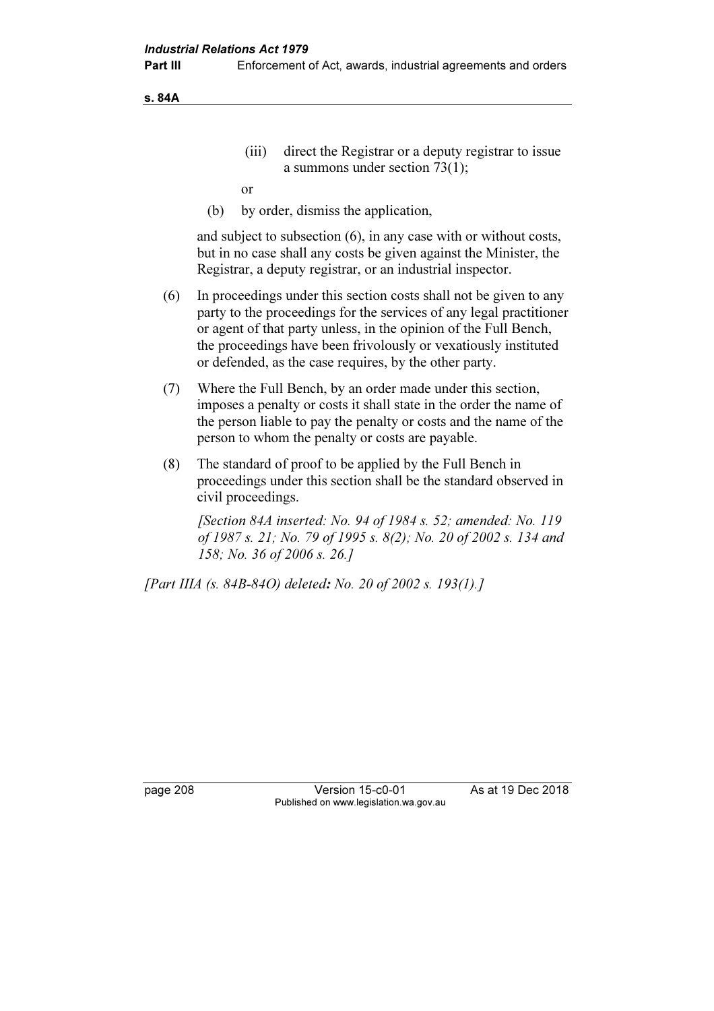s. 84A

 (iii) direct the Registrar or a deputy registrar to issue a summons under section 73(1);

or

(b) by order, dismiss the application,

 and subject to subsection (6), in any case with or without costs, but in no case shall any costs be given against the Minister, the Registrar, a deputy registrar, or an industrial inspector.

- (6) In proceedings under this section costs shall not be given to any party to the proceedings for the services of any legal practitioner or agent of that party unless, in the opinion of the Full Bench, the proceedings have been frivolously or vexatiously instituted or defended, as the case requires, by the other party.
- (7) Where the Full Bench, by an order made under this section, imposes a penalty or costs it shall state in the order the name of the person liable to pay the penalty or costs and the name of the person to whom the penalty or costs are payable.
- (8) The standard of proof to be applied by the Full Bench in proceedings under this section shall be the standard observed in civil proceedings.

 [Section 84A inserted: No. 94 of 1984 s. 52; amended: No. 119 of 1987 s. 21; No. 79 of 1995 s. 8(2); No. 20 of 2002 s. 134 and 158; No. 36 of 2006 s. 26.]

[Part IIIA (s. 84B-84O) deleted: No. 20 of 2002 s. 193(1).]

page 208 Version 15-c0-01 As at 19 Dec 2018 Published on www.legislation.wa.gov.au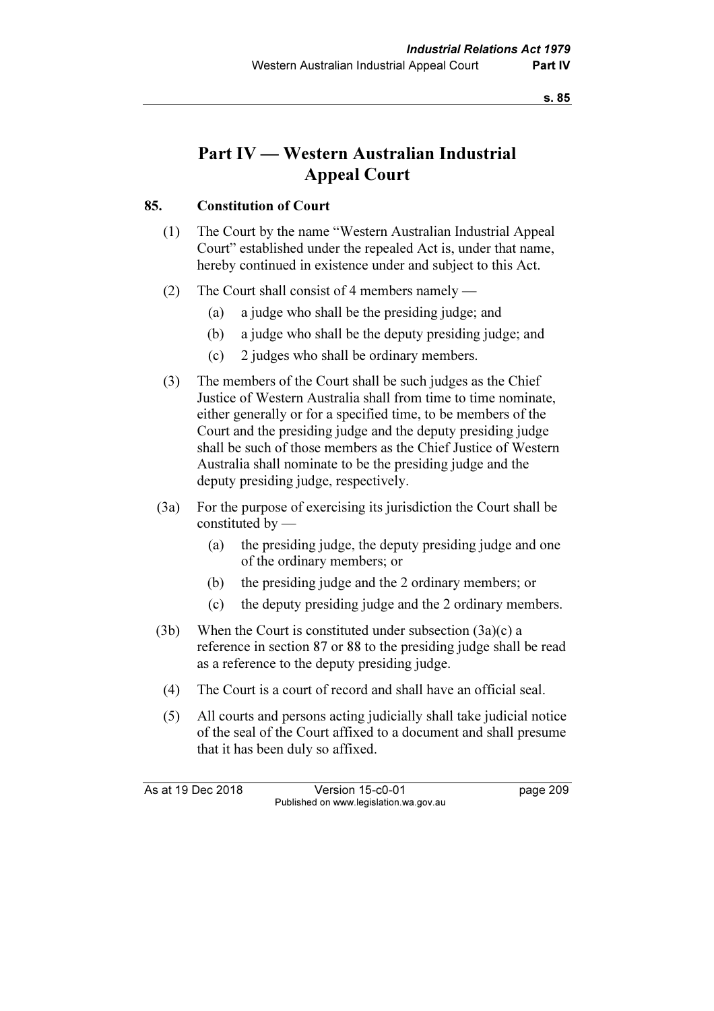# Part IV — Western Australian Industrial Appeal Court

# 85. Constitution of Court

- (1) The Court by the name "Western Australian Industrial Appeal Court" established under the repealed Act is, under that name, hereby continued in existence under and subject to this Act.
- (2) The Court shall consist of 4 members namely
	- (a) a judge who shall be the presiding judge; and
	- (b) a judge who shall be the deputy presiding judge; and
	- (c) 2 judges who shall be ordinary members.
- (3) The members of the Court shall be such judges as the Chief Justice of Western Australia shall from time to time nominate, either generally or for a specified time, to be members of the Court and the presiding judge and the deputy presiding judge shall be such of those members as the Chief Justice of Western Australia shall nominate to be the presiding judge and the deputy presiding judge, respectively.
- (3a) For the purpose of exercising its jurisdiction the Court shall be constituted by —
	- (a) the presiding judge, the deputy presiding judge and one of the ordinary members; or
	- (b) the presiding judge and the 2 ordinary members; or
	- (c) the deputy presiding judge and the 2 ordinary members.
- (3b) When the Court is constituted under subsection (3a)(c) a reference in section 87 or 88 to the presiding judge shall be read as a reference to the deputy presiding judge.
	- (4) The Court is a court of record and shall have an official seal.
	- (5) All courts and persons acting judicially shall take judicial notice of the seal of the Court affixed to a document and shall presume that it has been duly so affixed.

As at 19 Dec 2018 Version 15-c0-01 page 209 Published on www.legislation.wa.gov.au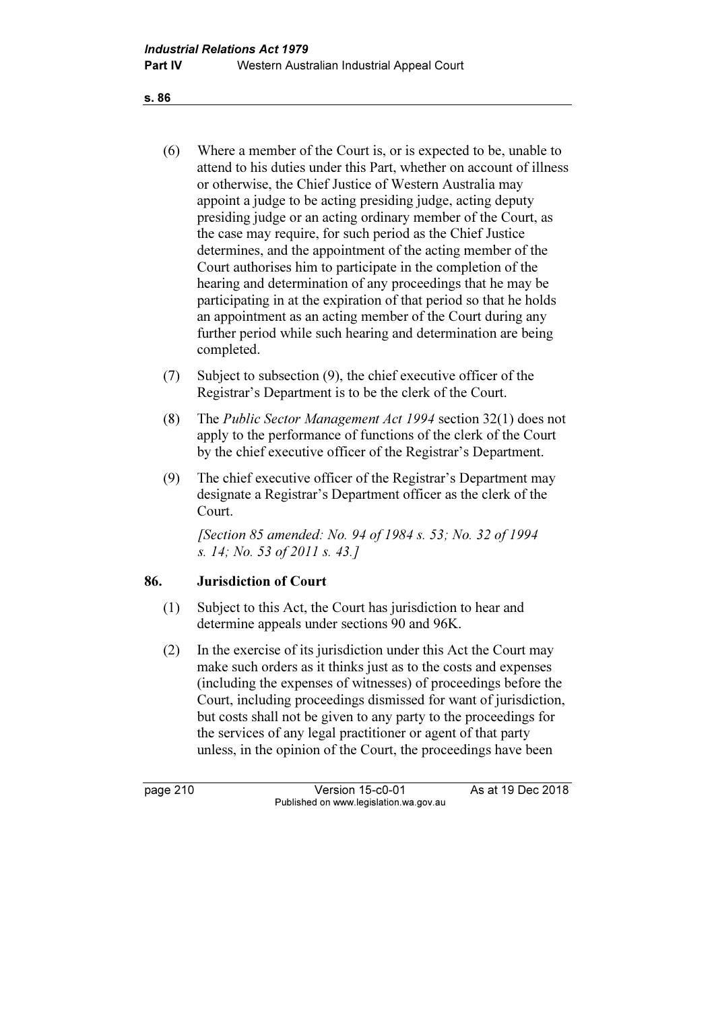- (6) Where a member of the Court is, or is expected to be, unable to attend to his duties under this Part, whether on account of illness or otherwise, the Chief Justice of Western Australia may appoint a judge to be acting presiding judge, acting deputy presiding judge or an acting ordinary member of the Court, as the case may require, for such period as the Chief Justice determines, and the appointment of the acting member of the Court authorises him to participate in the completion of the hearing and determination of any proceedings that he may be participating in at the expiration of that period so that he holds an appointment as an acting member of the Court during any further period while such hearing and determination are being completed.
- (7) Subject to subsection (9), the chief executive officer of the Registrar's Department is to be the clerk of the Court.
- (8) The Public Sector Management Act 1994 section 32(1) does not apply to the performance of functions of the clerk of the Court by the chief executive officer of the Registrar's Department.
- (9) The chief executive officer of the Registrar's Department may designate a Registrar's Department officer as the clerk of the Court.

[Section 85 amended: No. 94 of 1984 s. 53; No. 32 of 1994] s. 14; No. 53 of 2011 s. 43.]

# 86. Jurisdiction of Court

- (1) Subject to this Act, the Court has jurisdiction to hear and determine appeals under sections 90 and 96K.
- (2) In the exercise of its jurisdiction under this Act the Court may make such orders as it thinks just as to the costs and expenses (including the expenses of witnesses) of proceedings before the Court, including proceedings dismissed for want of jurisdiction, but costs shall not be given to any party to the proceedings for the services of any legal practitioner or agent of that party unless, in the opinion of the Court, the proceedings have been

page 210 Version 15-c0-01 As at 19 Dec 2018 Published on www.legislation.wa.gov.au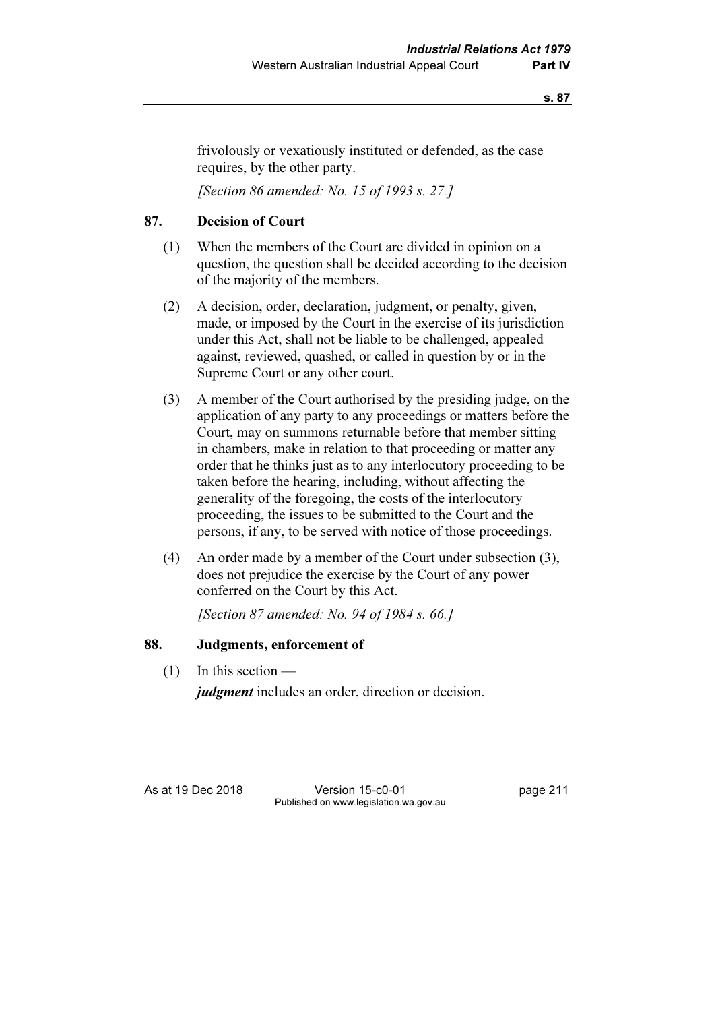frivolously or vexatiously instituted or defended, as the case requires, by the other party.

[Section 86 amended: No. 15 of 1993 s. 27.]

# 87. Decision of Court

- (1) When the members of the Court are divided in opinion on a question, the question shall be decided according to the decision of the majority of the members.
- (2) A decision, order, declaration, judgment, or penalty, given, made, or imposed by the Court in the exercise of its jurisdiction under this Act, shall not be liable to be challenged, appealed against, reviewed, quashed, or called in question by or in the Supreme Court or any other court.
- (3) A member of the Court authorised by the presiding judge, on the application of any party to any proceedings or matters before the Court, may on summons returnable before that member sitting in chambers, make in relation to that proceeding or matter any order that he thinks just as to any interlocutory proceeding to be taken before the hearing, including, without affecting the generality of the foregoing, the costs of the interlocutory proceeding, the issues to be submitted to the Court and the persons, if any, to be served with notice of those proceedings.
- (4) An order made by a member of the Court under subsection (3), does not prejudice the exercise by the Court of any power conferred on the Court by this Act.

[Section 87 amended: No. 94 of 1984 s. 66.]

### 88. Judgments, enforcement of

 $(1)$  In this section —

judgment includes an order, direction or decision.

As at 19 Dec 2018 Version 15-c0-01 page 211 Published on www.legislation.wa.gov.au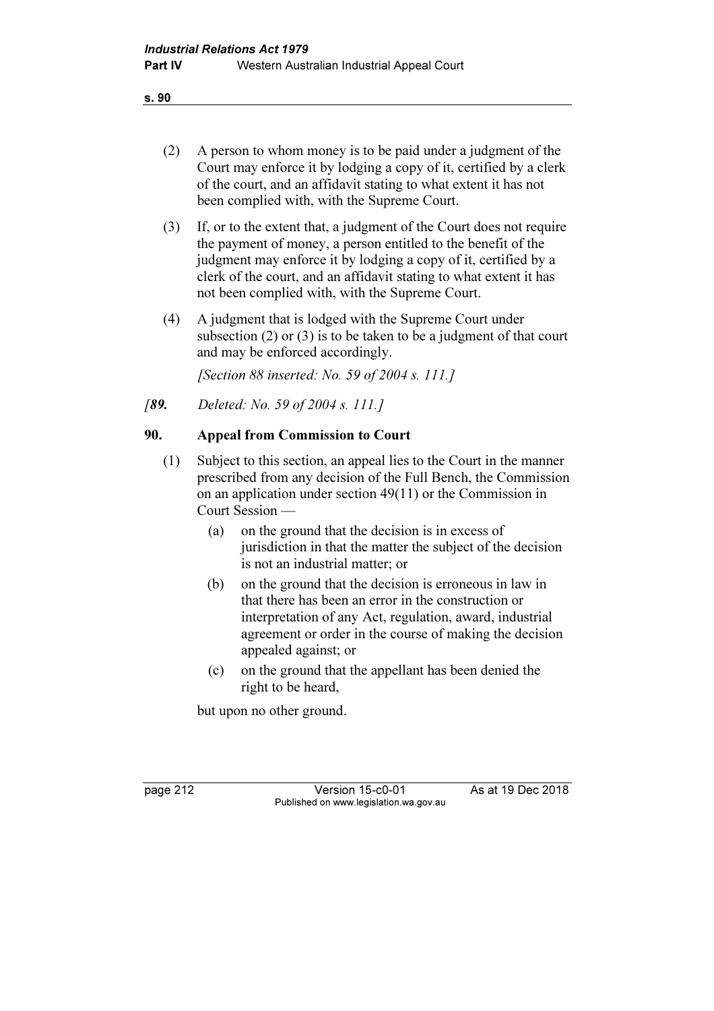- (2) A person to whom money is to be paid under a judgment of the Court may enforce it by lodging a copy of it, certified by a clerk of the court, and an affidavit stating to what extent it has not been complied with, with the Supreme Court.
- (3) If, or to the extent that, a judgment of the Court does not require the payment of money, a person entitled to the benefit of the judgment may enforce it by lodging a copy of it, certified by a clerk of the court, and an affidavit stating to what extent it has not been complied with, with the Supreme Court.
- (4) A judgment that is lodged with the Supreme Court under subsection (2) or (3) is to be taken to be a judgment of that court and may be enforced accordingly.

[Section 88 inserted: No. 59 of 2004 s. 111.]

[89. Deleted: No. 59 of 2004 s. 111.]

# 90. Appeal from Commission to Court

- (1) Subject to this section, an appeal lies to the Court in the manner prescribed from any decision of the Full Bench, the Commission on an application under section 49(11) or the Commission in Court Session —
	- (a) on the ground that the decision is in excess of jurisdiction in that the matter the subject of the decision is not an industrial matter; or
	- (b) on the ground that the decision is erroneous in law in that there has been an error in the construction or interpretation of any Act, regulation, award, industrial agreement or order in the course of making the decision appealed against; or
	- (c) on the ground that the appellant has been denied the right to be heard,

but upon no other ground.

page 212 Version 15-c0-01 As at 19 Dec 2018 Published on www.legislation.wa.gov.au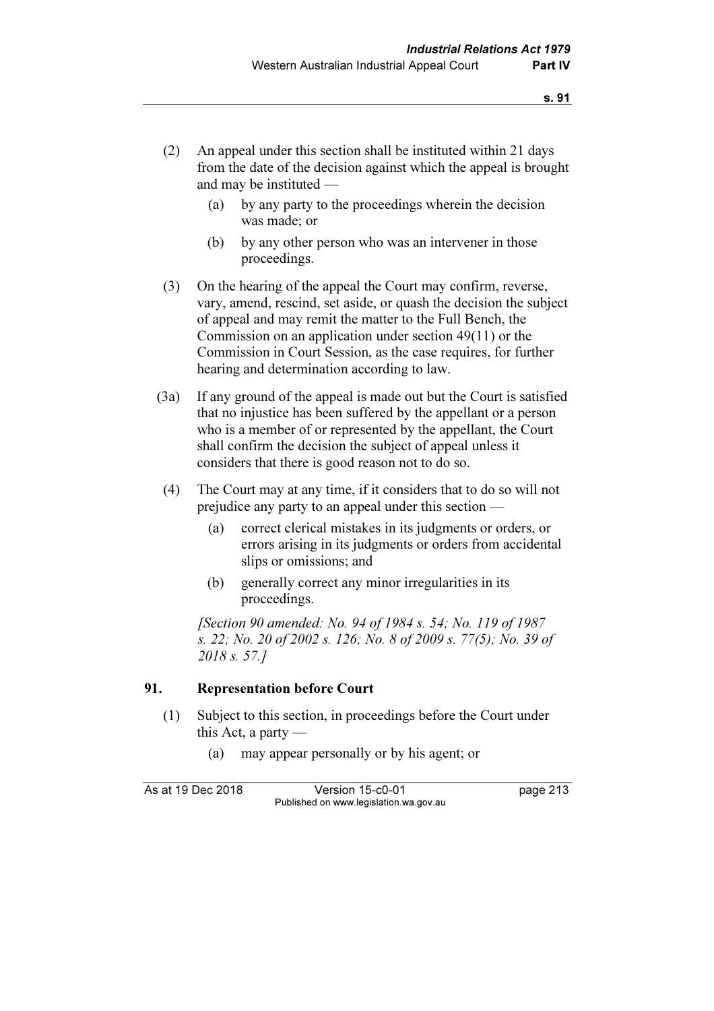- (2) An appeal under this section shall be instituted within 21 days from the date of the decision against which the appeal is brought and may be instituted —
	- (a) by any party to the proceedings wherein the decision was made; or
	- (b) by any other person who was an intervener in those proceedings.
- (3) On the hearing of the appeal the Court may confirm, reverse, vary, amend, rescind, set aside, or quash the decision the subject of appeal and may remit the matter to the Full Bench, the Commission on an application under section 49(11) or the Commission in Court Session, as the case requires, for further hearing and determination according to law.
- (3a) If any ground of the appeal is made out but the Court is satisfied that no injustice has been suffered by the appellant or a person who is a member of or represented by the appellant, the Court shall confirm the decision the subject of appeal unless it considers that there is good reason not to do so.
- (4) The Court may at any time, if it considers that to do so will not prejudice any party to an appeal under this section —
	- (a) correct clerical mistakes in its judgments or orders, or errors arising in its judgments or orders from accidental slips or omissions; and
	- (b) generally correct any minor irregularities in its proceedings.

 [Section 90 amended: No. 94 of 1984 s. 54; No. 119 of 1987 s. 22; No. 20 of 2002 s. 126; No. 8 of 2009 s. 77(5); No. 39 of 2018 s. 57.]

# 91. Representation before Court

- (1) Subject to this section, in proceedings before the Court under this Act, a party —
	- (a) may appear personally or by his agent; or

As at 19 Dec 2018 Version 15-c0-01 page 213 Published on www.legislation.wa.gov.au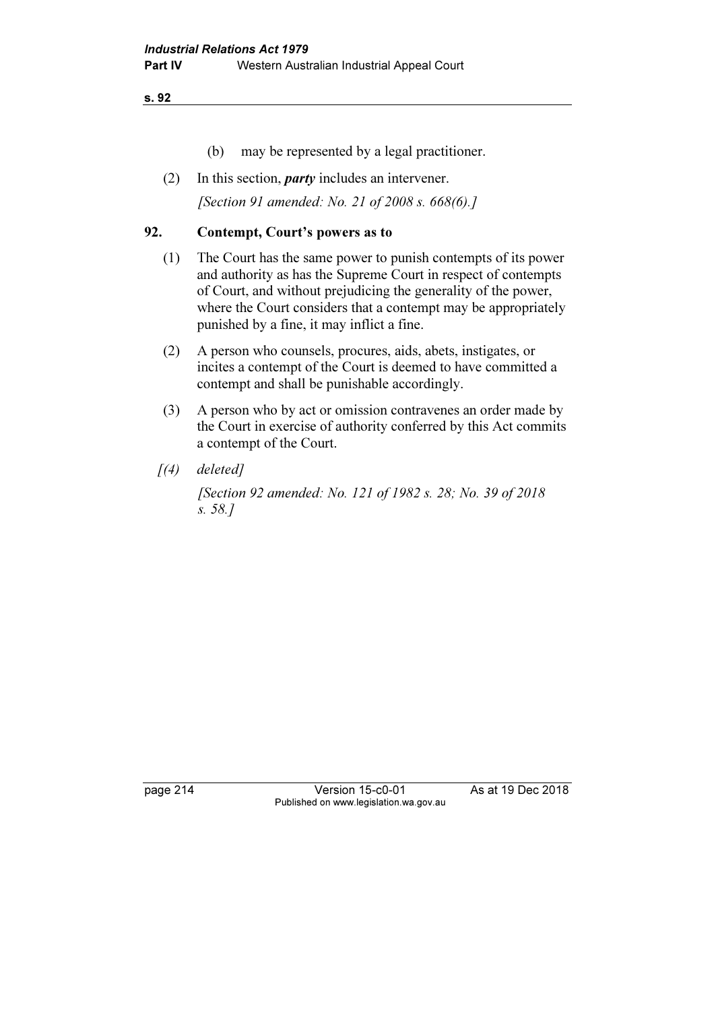- (b) may be represented by a legal practitioner.
- (2) In this section, *party* includes an intervener.

[Section 91 amended: No. 21 of 2008 s. 668(6).]

# 92. Contempt, Court's powers as to

- (1) The Court has the same power to punish contempts of its power and authority as has the Supreme Court in respect of contempts of Court, and without prejudicing the generality of the power, where the Court considers that a contempt may be appropriately punished by a fine, it may inflict a fine.
- (2) A person who counsels, procures, aids, abets, instigates, or incites a contempt of the Court is deemed to have committed a contempt and shall be punishable accordingly.
- (3) A person who by act or omission contravenes an order made by the Court in exercise of authority conferred by this Act commits a contempt of the Court.
- $(4)$  deleted]

 [Section 92 amended: No. 121 of 1982 s. 28; No. 39 of 2018 s. 58.]

page 214 Version 15-c0-01 As at 19 Dec 2018 Published on www.legislation.wa.gov.au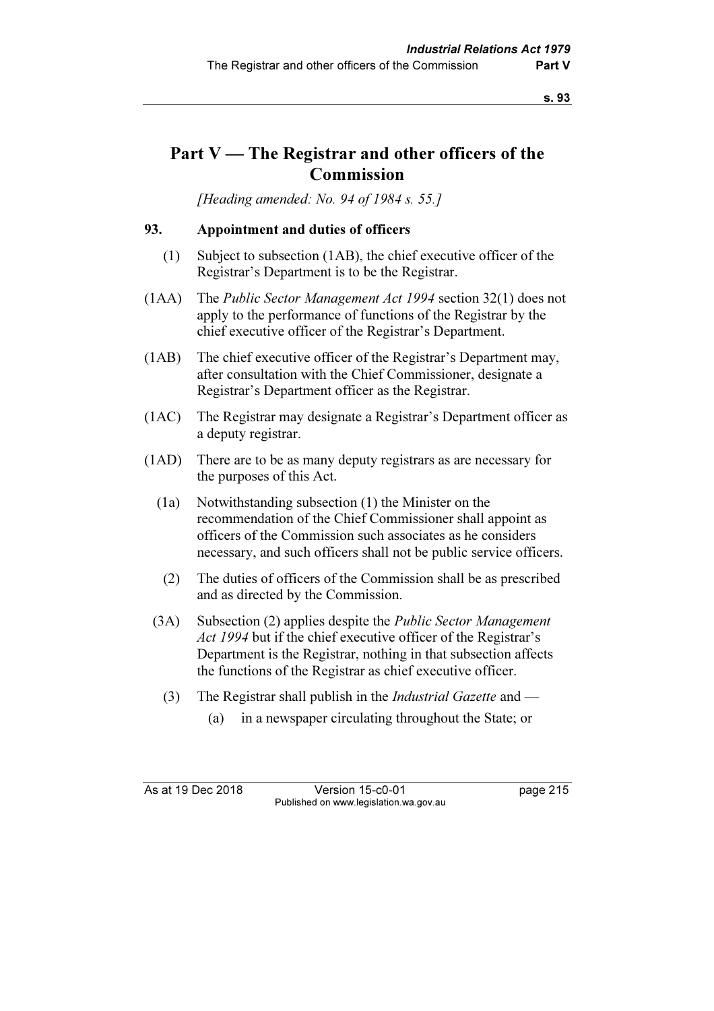# Part V — The Registrar and other officers of the Commission

[Heading amended: No. 94 of 1984 s. 55.]

# 93. Appointment and duties of officers

- (1) Subject to subsection (1AB), the chief executive officer of the Registrar's Department is to be the Registrar.
- (1AA) The Public Sector Management Act 1994 section 32(1) does not apply to the performance of functions of the Registrar by the chief executive officer of the Registrar's Department.
- (1AB) The chief executive officer of the Registrar's Department may, after consultation with the Chief Commissioner, designate a Registrar's Department officer as the Registrar.
- (1AC) The Registrar may designate a Registrar's Department officer as a deputy registrar.
- (1AD) There are to be as many deputy registrars as are necessary for the purposes of this Act.
	- (1a) Notwithstanding subsection (1) the Minister on the recommendation of the Chief Commissioner shall appoint as officers of the Commission such associates as he considers necessary, and such officers shall not be public service officers.
	- (2) The duties of officers of the Commission shall be as prescribed and as directed by the Commission.
	- (3A) Subsection (2) applies despite the Public Sector Management Act 1994 but if the chief executive officer of the Registrar's Department is the Registrar, nothing in that subsection affects the functions of the Registrar as chief executive officer.
		- (3) The Registrar shall publish in the *Industrial Gazette* and
			- (a) in a newspaper circulating throughout the State; or

As at 19 Dec 2018 Version 15-c0-01 page 215 Published on www.legislation.wa.gov.au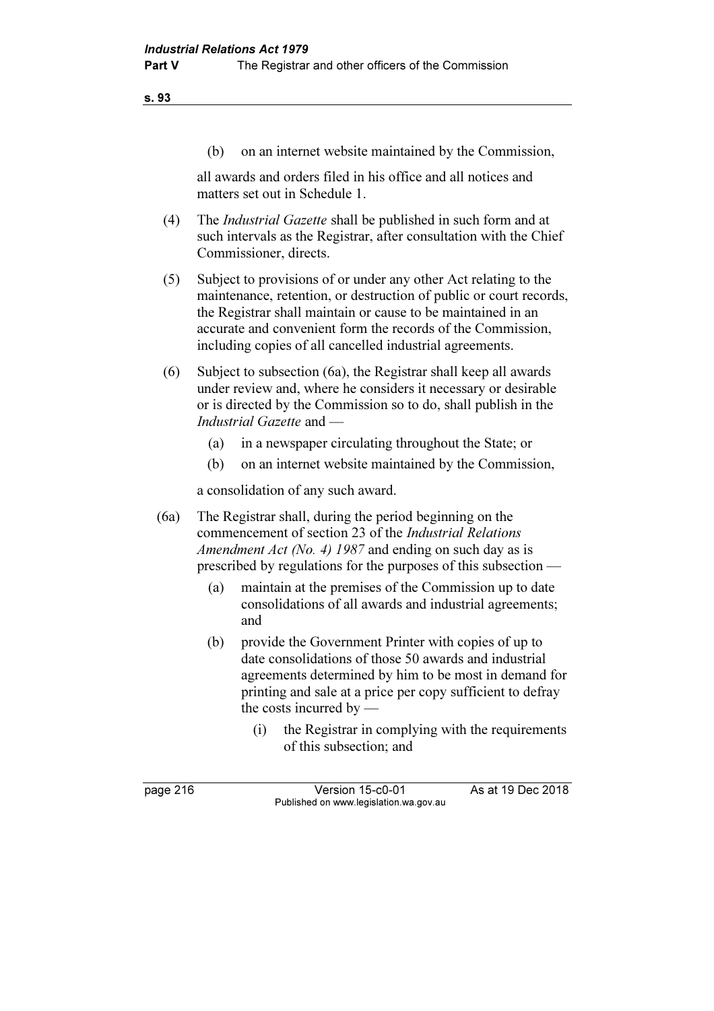(b) on an internet website maintained by the Commission,

 all awards and orders filed in his office and all notices and matters set out in Schedule 1.

- (4) The Industrial Gazette shall be published in such form and at such intervals as the Registrar, after consultation with the Chief Commissioner, directs.
- (5) Subject to provisions of or under any other Act relating to the maintenance, retention, or destruction of public or court records, the Registrar shall maintain or cause to be maintained in an accurate and convenient form the records of the Commission, including copies of all cancelled industrial agreements.
- (6) Subject to subsection (6a), the Registrar shall keep all awards under review and, where he considers it necessary or desirable or is directed by the Commission so to do, shall publish in the Industrial Gazette and —
	- (a) in a newspaper circulating throughout the State; or
	- (b) on an internet website maintained by the Commission,

a consolidation of any such award.

 (6a) The Registrar shall, during the period beginning on the commencement of section 23 of the Industrial Relations Amendment Act (No. 4) 1987 and ending on such day as is prescribed by regulations for the purposes of this subsection —

- (a) maintain at the premises of the Commission up to date consolidations of all awards and industrial agreements; and
- (b) provide the Government Printer with copies of up to date consolidations of those 50 awards and industrial agreements determined by him to be most in demand for printing and sale at a price per copy sufficient to defray the costs incurred by —
	- (i) the Registrar in complying with the requirements of this subsection; and

page 216 Version 15-c0-01 As at 19 Dec 2018 Published on www.legislation.wa.gov.au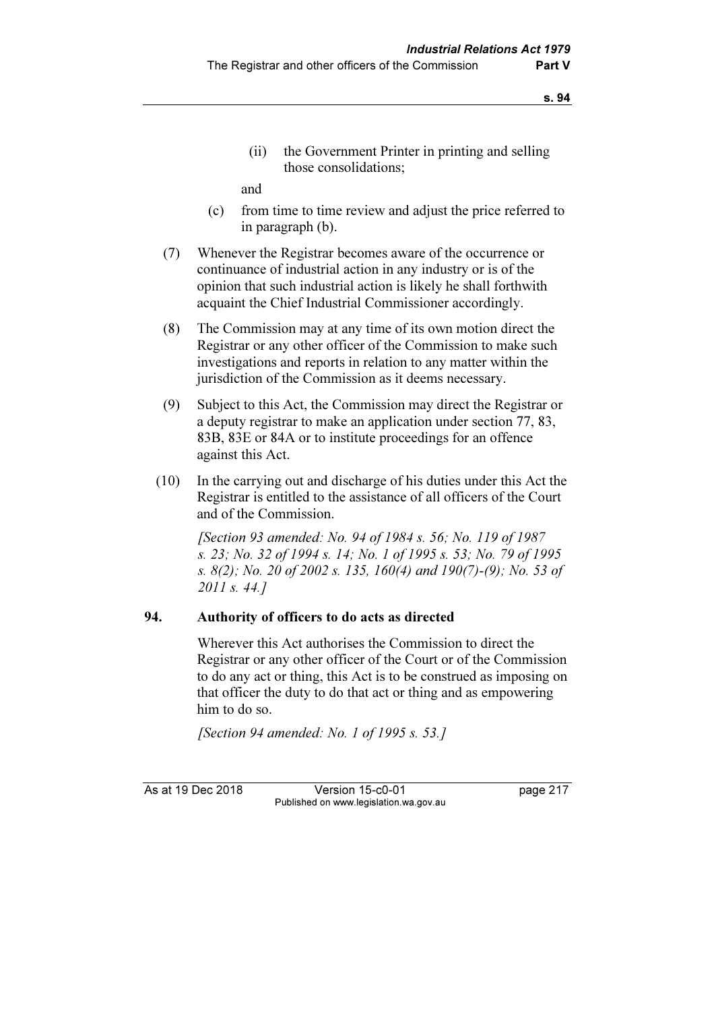(ii) the Government Printer in printing and selling those consolidations;

and

- (c) from time to time review and adjust the price referred to in paragraph (b).
- (7) Whenever the Registrar becomes aware of the occurrence or continuance of industrial action in any industry or is of the opinion that such industrial action is likely he shall forthwith acquaint the Chief Industrial Commissioner accordingly.
- (8) The Commission may at any time of its own motion direct the Registrar or any other officer of the Commission to make such investigations and reports in relation to any matter within the jurisdiction of the Commission as it deems necessary.
- (9) Subject to this Act, the Commission may direct the Registrar or a deputy registrar to make an application under section 77, 83, 83B, 83E or 84A or to institute proceedings for an offence against this Act.
- (10) In the carrying out and discharge of his duties under this Act the Registrar is entitled to the assistance of all officers of the Court and of the Commission.

 [Section 93 amended: No. 94 of 1984 s. 56; No. 119 of 1987 s. 23; No. 32 of 1994 s. 14; No. 1 of 1995 s. 53; No. 79 of 1995 s. 8(2); No. 20 of 2002 s. 135, 160(4) and 190(7)-(9); No. 53 of 2011 s. 44.]

# 94. Authority of officers to do acts as directed

 Wherever this Act authorises the Commission to direct the Registrar or any other officer of the Court or of the Commission to do any act or thing, this Act is to be construed as imposing on that officer the duty to do that act or thing and as empowering him to do so.

[Section 94 amended: No. 1 of 1995 s. 53.]

As at 19 Dec 2018 Version 15-c0-01 page 217 Published on www.legislation.wa.gov.au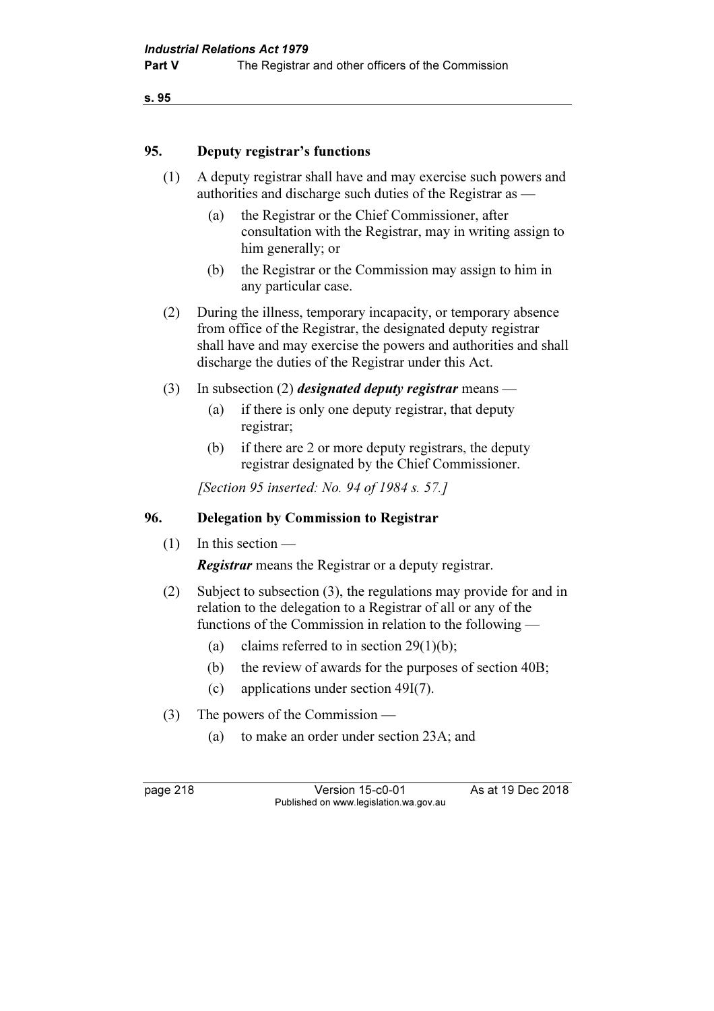### 95. Deputy registrar's functions

- (1) A deputy registrar shall have and may exercise such powers and authorities and discharge such duties of the Registrar as —
	- (a) the Registrar or the Chief Commissioner, after consultation with the Registrar, may in writing assign to him generally; or
	- (b) the Registrar or the Commission may assign to him in any particular case.
- (2) During the illness, temporary incapacity, or temporary absence from office of the Registrar, the designated deputy registrar shall have and may exercise the powers and authorities and shall discharge the duties of the Registrar under this Act.
- (3) In subsection (2) *designated deputy registrar* means
	- (a) if there is only one deputy registrar, that deputy registrar;
	- (b) if there are 2 or more deputy registrars, the deputy registrar designated by the Chief Commissioner.

[Section 95 inserted: No. 94 of 1984 s. 57.]

#### 96. Delegation by Commission to Registrar

(1) In this section —

**Registrar** means the Registrar or a deputy registrar.

- (2) Subject to subsection (3), the regulations may provide for and in relation to the delegation to a Registrar of all or any of the functions of the Commission in relation to the following —
	- (a) claims referred to in section  $29(1)(b)$ ;
	- (b) the review of awards for the purposes of section 40B;
	- (c) applications under section 49I(7).
- (3) The powers of the Commission
	- (a) to make an order under section 23A; and

page 218 Version 15-c0-01 As at 19 Dec 2018 Published on www.legislation.wa.gov.au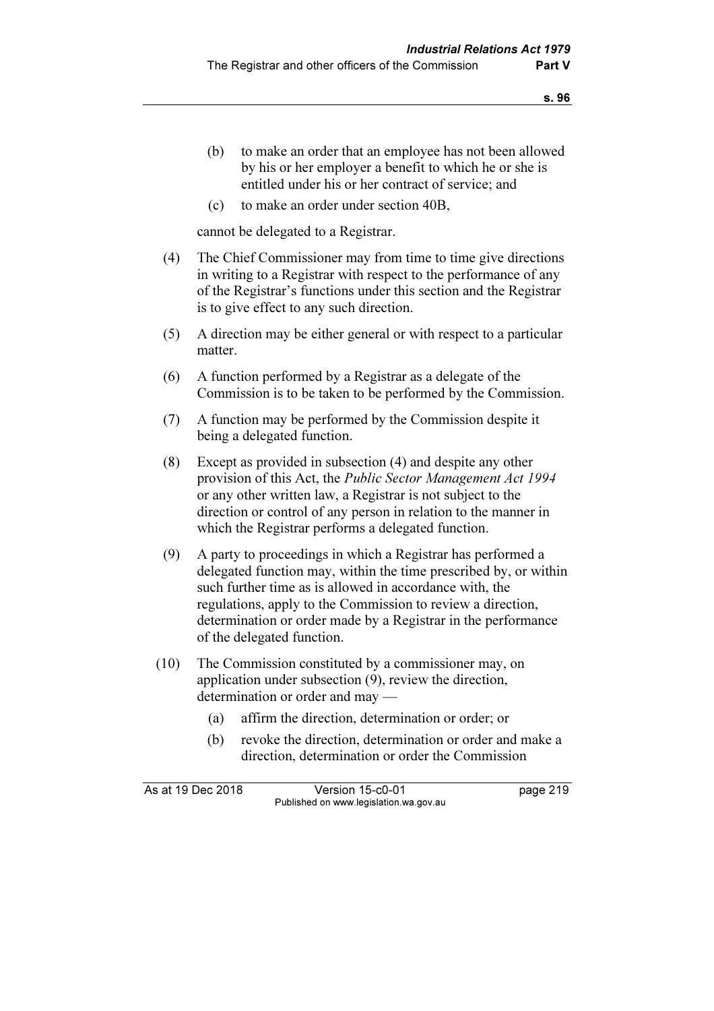- (b) to make an order that an employee has not been allowed by his or her employer a benefit to which he or she is entitled under his or her contract of service; and
- (c) to make an order under section 40B,

cannot be delegated to a Registrar.

- (4) The Chief Commissioner may from time to time give directions in writing to a Registrar with respect to the performance of any of the Registrar's functions under this section and the Registrar is to give effect to any such direction.
- (5) A direction may be either general or with respect to a particular matter.
- (6) A function performed by a Registrar as a delegate of the Commission is to be taken to be performed by the Commission.
- (7) A function may be performed by the Commission despite it being a delegated function.
- (8) Except as provided in subsection (4) and despite any other provision of this Act, the Public Sector Management Act 1994 or any other written law, a Registrar is not subject to the direction or control of any person in relation to the manner in which the Registrar performs a delegated function.
- (9) A party to proceedings in which a Registrar has performed a delegated function may, within the time prescribed by, or within such further time as is allowed in accordance with, the regulations, apply to the Commission to review a direction, determination or order made by a Registrar in the performance of the delegated function.
- (10) The Commission constituted by a commissioner may, on application under subsection (9), review the direction, determination or order and may —
	- (a) affirm the direction, determination or order; or
	- (b) revoke the direction, determination or order and make a direction, determination or order the Commission

As at 19 Dec 2018 Version 15-c0-01 page 219 Published on www.legislation.wa.gov.au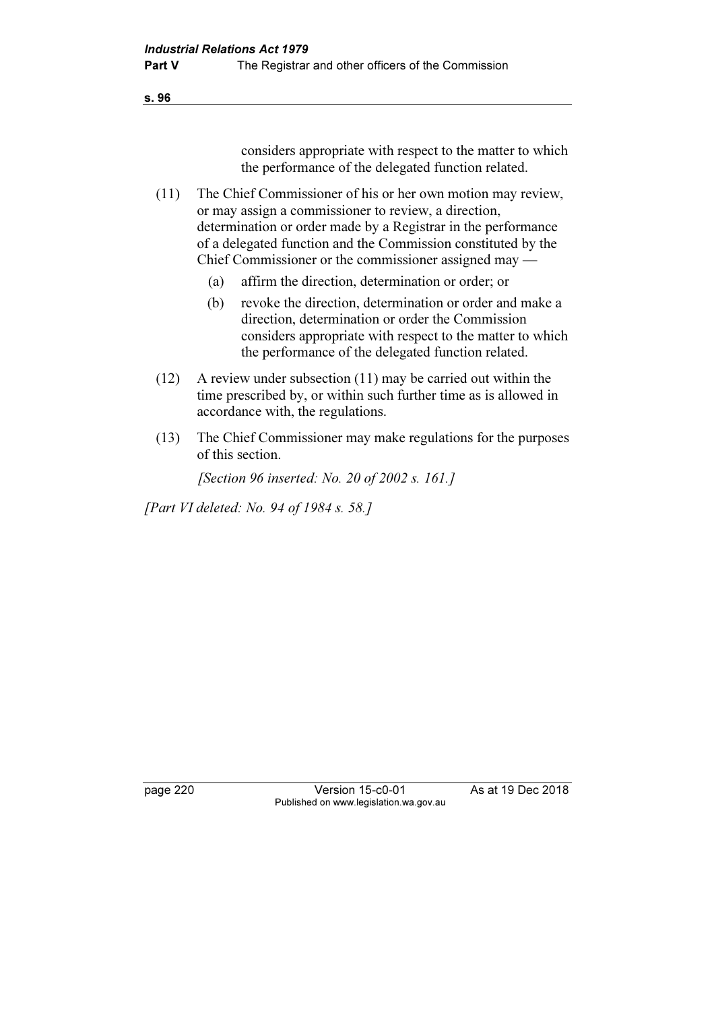considers appropriate with respect to the matter to which the performance of the delegated function related.

 (11) The Chief Commissioner of his or her own motion may review, or may assign a commissioner to review, a direction, determination or order made by a Registrar in the performance of a delegated function and the Commission constituted by the Chief Commissioner or the commissioner assigned may —

- (a) affirm the direction, determination or order; or
- (b) revoke the direction, determination or order and make a direction, determination or order the Commission considers appropriate with respect to the matter to which the performance of the delegated function related.
- (12) A review under subsection (11) may be carried out within the time prescribed by, or within such further time as is allowed in accordance with, the regulations.
- (13) The Chief Commissioner may make regulations for the purposes of this section.

[Section 96 inserted: No. 20 of 2002 s. 161.]

[Part VI deleted: No. 94 of 1984 s. 58.]

page 220 Version 15-c0-01 As at 19 Dec 2018 Published on www.legislation.wa.gov.au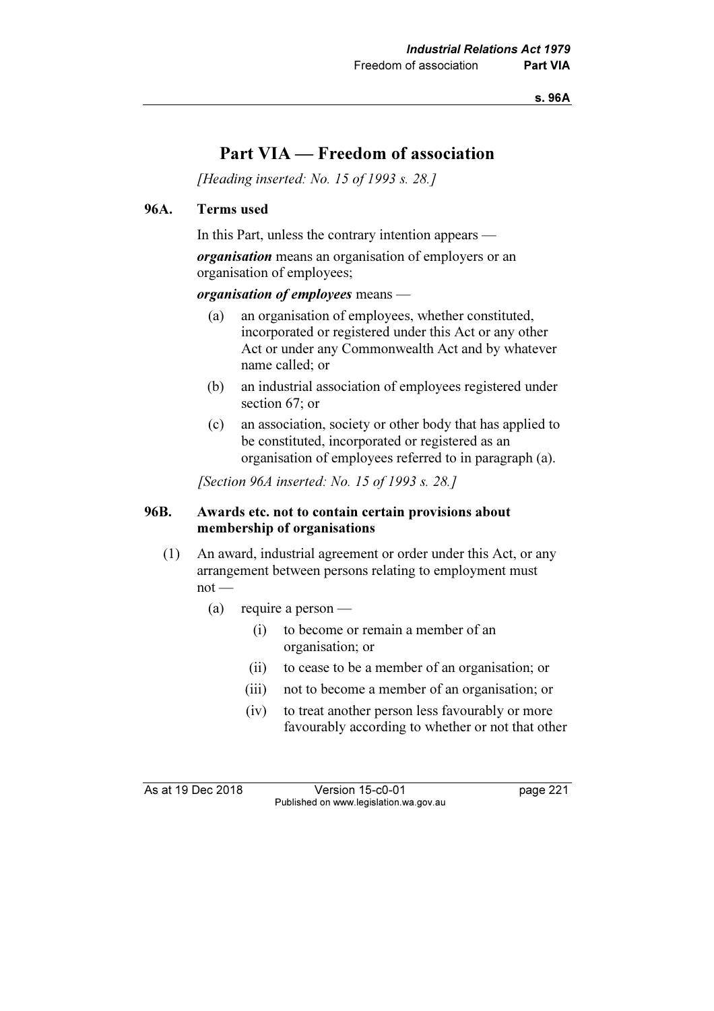s. 96A

# Part VIA — Freedom of association

[Heading inserted: No. 15 of 1993 s. 28.]

#### 96A. Terms used

In this Part, unless the contrary intention appears —

organisation means an organisation of employers or an organisation of employees;

#### organisation of employees means -

- (a) an organisation of employees, whether constituted, incorporated or registered under this Act or any other Act or under any Commonwealth Act and by whatever name called; or
- (b) an industrial association of employees registered under section 67; or
- (c) an association, society or other body that has applied to be constituted, incorporated or registered as an organisation of employees referred to in paragraph (a).

[Section 96A inserted: No. 15 of 1993 s. 28.]

### 96B. Awards etc. not to contain certain provisions about membership of organisations

- (1) An award, industrial agreement or order under this Act, or any arrangement between persons relating to employment must not —
	- (a) require a person
		- (i) to become or remain a member of an organisation; or
		- (ii) to cease to be a member of an organisation; or
		- (iii) not to become a member of an organisation; or
		- (iv) to treat another person less favourably or more favourably according to whether or not that other

As at 19 Dec 2018 Version 15-c0-01 page 221 Published on www.legislation.wa.gov.au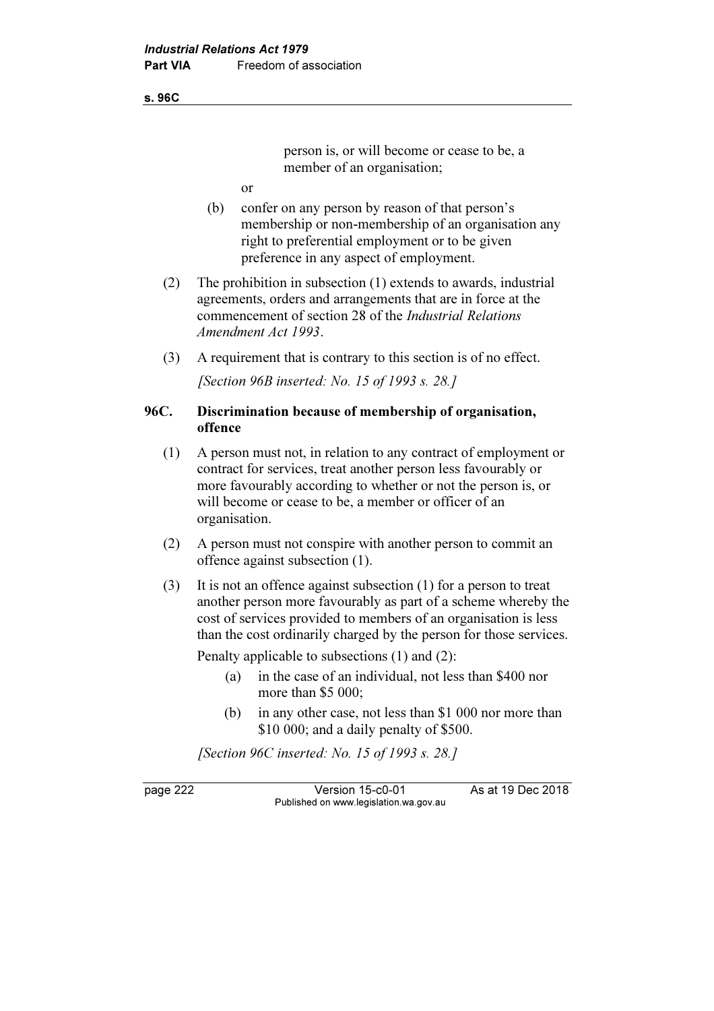#### s. 96C

person is, or will become or cease to be, a member of an organisation:

- or
- (b) confer on any person by reason of that person's membership or non-membership of an organisation any right to preferential employment or to be given preference in any aspect of employment.
- (2) The prohibition in subsection (1) extends to awards, industrial agreements, orders and arrangements that are in force at the commencement of section 28 of the Industrial Relations Amendment Act 1993.
- (3) A requirement that is contrary to this section is of no effect. [Section 96B inserted: No. 15 of 1993 s. 28.]

# 96C. Discrimination because of membership of organisation, offence

- (1) A person must not, in relation to any contract of employment or contract for services, treat another person less favourably or more favourably according to whether or not the person is, or will become or cease to be, a member or officer of an organisation.
- (2) A person must not conspire with another person to commit an offence against subsection (1).
- (3) It is not an offence against subsection (1) for a person to treat another person more favourably as part of a scheme whereby the cost of services provided to members of an organisation is less than the cost ordinarily charged by the person for those services.

Penalty applicable to subsections (1) and (2):

- (a) in the case of an individual, not less than \$400 nor more than \$5 000:
- (b) in any other case, not less than \$1 000 nor more than \$10 000; and a daily penalty of \$500.

[Section 96C inserted: No. 15 of 1993 s. 28.]

page 222 Version 15-c0-01 As at 19 Dec 2018 Published on www.legislation.wa.gov.au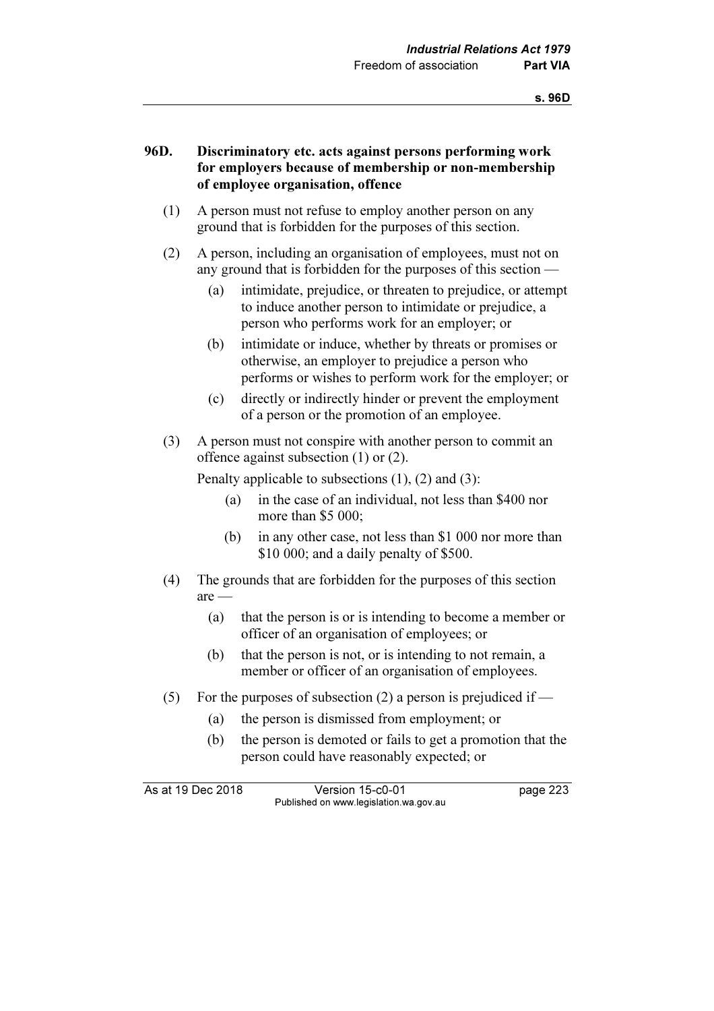# 96D. Discriminatory etc. acts against persons performing work for employers because of membership or non-membership of employee organisation, offence

- (1) A person must not refuse to employ another person on any ground that is forbidden for the purposes of this section.
- (2) A person, including an organisation of employees, must not on any ground that is forbidden for the purposes of this section —
	- (a) intimidate, prejudice, or threaten to prejudice, or attempt to induce another person to intimidate or prejudice, a person who performs work for an employer; or
	- (b) intimidate or induce, whether by threats or promises or otherwise, an employer to prejudice a person who performs or wishes to perform work for the employer; or
	- (c) directly or indirectly hinder or prevent the employment of a person or the promotion of an employee.
- (3) A person must not conspire with another person to commit an offence against subsection (1) or (2).

Penalty applicable to subsections (1), (2) and (3):

- (a) in the case of an individual, not less than \$400 nor more than \$5 000;
- (b) in any other case, not less than \$1 000 nor more than \$10 000; and a daily penalty of \$500.
- (4) The grounds that are forbidden for the purposes of this section are —
	- (a) that the person is or is intending to become a member or officer of an organisation of employees; or
	- (b) that the person is not, or is intending to not remain, a member or officer of an organisation of employees.
- (5) For the purposes of subsection (2) a person is prejudiced if  $-$ 
	- (a) the person is dismissed from employment; or
	- (b) the person is demoted or fails to get a promotion that the person could have reasonably expected; or

As at 19 Dec 2018 Version 15-c0-01 page 223 Published on www.legislation.wa.gov.au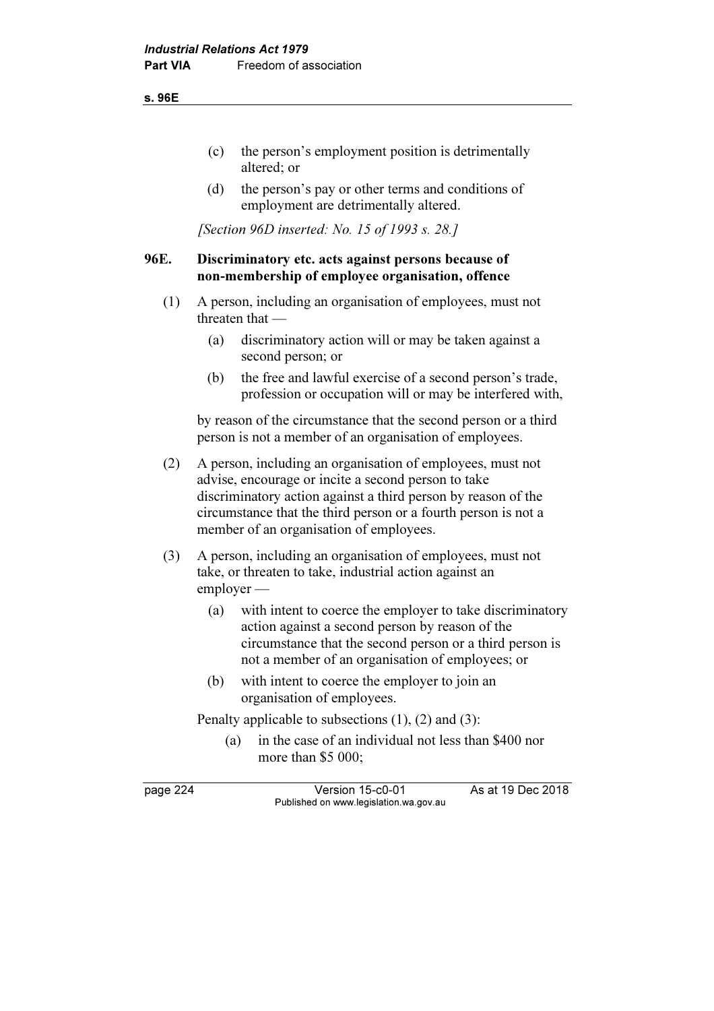#### s. 96E

- (c) the person's employment position is detrimentally altered; or
- (d) the person's pay or other terms and conditions of employment are detrimentally altered.

[Section 96D inserted: No. 15 of 1993 s. 28.]

# 96E. Discriminatory etc. acts against persons because of non-membership of employee organisation, offence

- (1) A person, including an organisation of employees, must not threaten that —
	- (a) discriminatory action will or may be taken against a second person; or
	- (b) the free and lawful exercise of a second person's trade, profession or occupation will or may be interfered with,

 by reason of the circumstance that the second person or a third person is not a member of an organisation of employees.

- (2) A person, including an organisation of employees, must not advise, encourage or incite a second person to take discriminatory action against a third person by reason of the circumstance that the third person or a fourth person is not a member of an organisation of employees.
- (3) A person, including an organisation of employees, must not take, or threaten to take, industrial action against an employer —
	- (a) with intent to coerce the employer to take discriminatory action against a second person by reason of the circumstance that the second person or a third person is not a member of an organisation of employees; or
	- (b) with intent to coerce the employer to join an organisation of employees.

Penalty applicable to subsections (1), (2) and (3):

 (a) in the case of an individual not less than \$400 nor more than \$5 000:

page 224 Version 15-c0-01 As at 19 Dec 2018 Published on www.legislation.wa.gov.au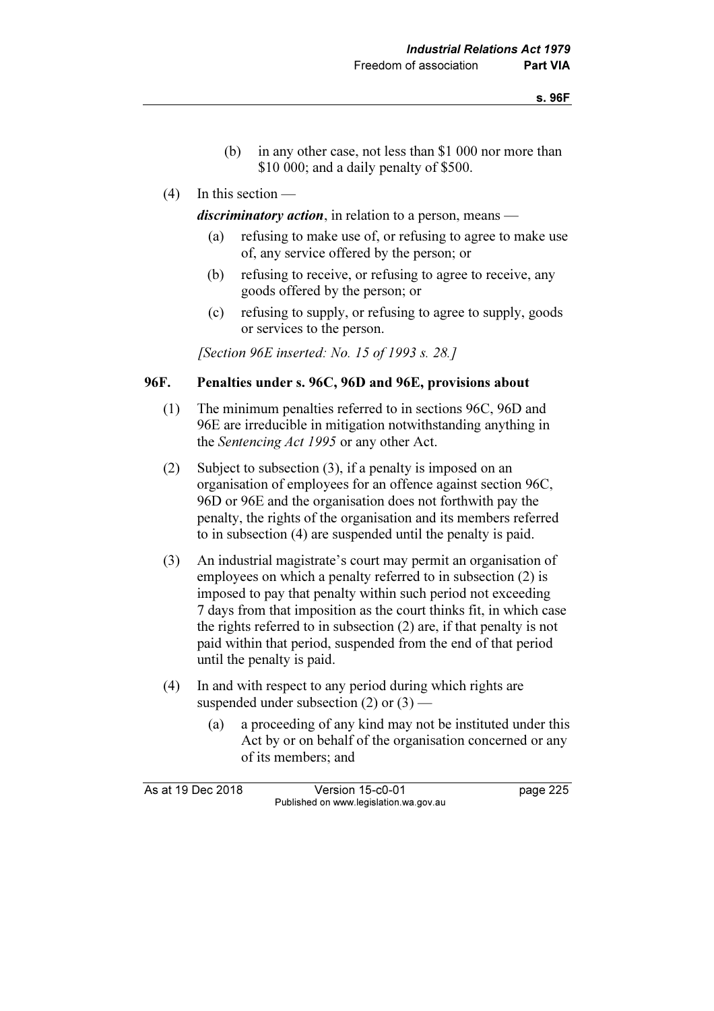- (b) in any other case, not less than \$1 000 nor more than \$10,000; and a daily penalty of \$500.
- (4) In this section —

discriminatory action, in relation to a person, means  $-$ 

- (a) refusing to make use of, or refusing to agree to make use of, any service offered by the person; or
- (b) refusing to receive, or refusing to agree to receive, any goods offered by the person; or
- (c) refusing to supply, or refusing to agree to supply, goods or services to the person.

[Section 96E inserted: No. 15 of 1993 s. 28.]

### 96F. Penalties under s. 96C, 96D and 96E, provisions about

- (1) The minimum penalties referred to in sections 96C, 96D and 96E are irreducible in mitigation notwithstanding anything in the Sentencing Act 1995 or any other Act.
- (2) Subject to subsection (3), if a penalty is imposed on an organisation of employees for an offence against section 96C, 96D or 96E and the organisation does not forthwith pay the penalty, the rights of the organisation and its members referred to in subsection (4) are suspended until the penalty is paid.
- (3) An industrial magistrate's court may permit an organisation of employees on which a penalty referred to in subsection (2) is imposed to pay that penalty within such period not exceeding 7 days from that imposition as the court thinks fit, in which case the rights referred to in subsection (2) are, if that penalty is not paid within that period, suspended from the end of that period until the penalty is paid.
- (4) In and with respect to any period during which rights are suspended under subsection  $(2)$  or  $(3)$  —
	- (a) a proceeding of any kind may not be instituted under this Act by or on behalf of the organisation concerned or any of its members; and

As at 19 Dec 2018 Version 15-c0-01 page 225 Published on www.legislation.wa.gov.au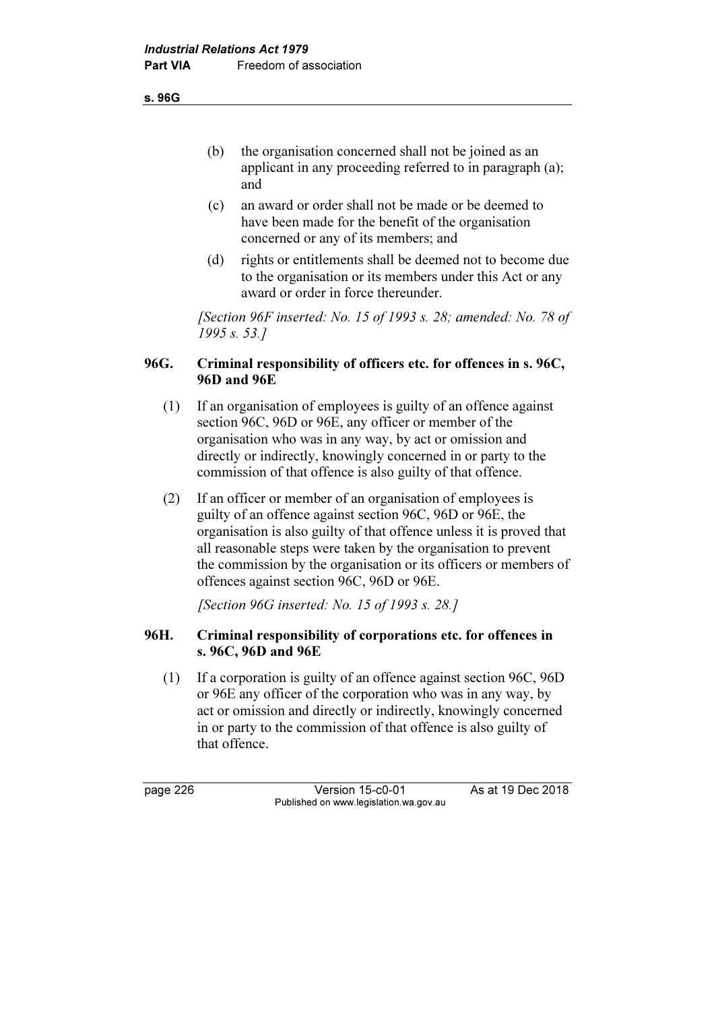s. 96G

- (b) the organisation concerned shall not be joined as an applicant in any proceeding referred to in paragraph (a); and
- (c) an award or order shall not be made or be deemed to have been made for the benefit of the organisation concerned or any of its members; and
- (d) rights or entitlements shall be deemed not to become due to the organisation or its members under this Act or any award or order in force thereunder.

 [Section 96F inserted: No. 15 of 1993 s. 28; amended: No. 78 of 1995 s. 53.]

# 96G. Criminal responsibility of officers etc. for offences in s. 96C, 96D and 96E

- (1) If an organisation of employees is guilty of an offence against section 96C, 96D or 96E, any officer or member of the organisation who was in any way, by act or omission and directly or indirectly, knowingly concerned in or party to the commission of that offence is also guilty of that offence.
- (2) If an officer or member of an organisation of employees is guilty of an offence against section 96C, 96D or 96E, the organisation is also guilty of that offence unless it is proved that all reasonable steps were taken by the organisation to prevent the commission by the organisation or its officers or members of offences against section 96C, 96D or 96E.

[Section 96G inserted: No. 15 of 1993 s. 28.]

# 96H. Criminal responsibility of corporations etc. for offences in s. 96C, 96D and 96E

 (1) If a corporation is guilty of an offence against section 96C, 96D or 96E any officer of the corporation who was in any way, by act or omission and directly or indirectly, knowingly concerned in or party to the commission of that offence is also guilty of that offence.

page 226 Version 15-c0-01 As at 19 Dec 2018 Published on www.legislation.wa.gov.au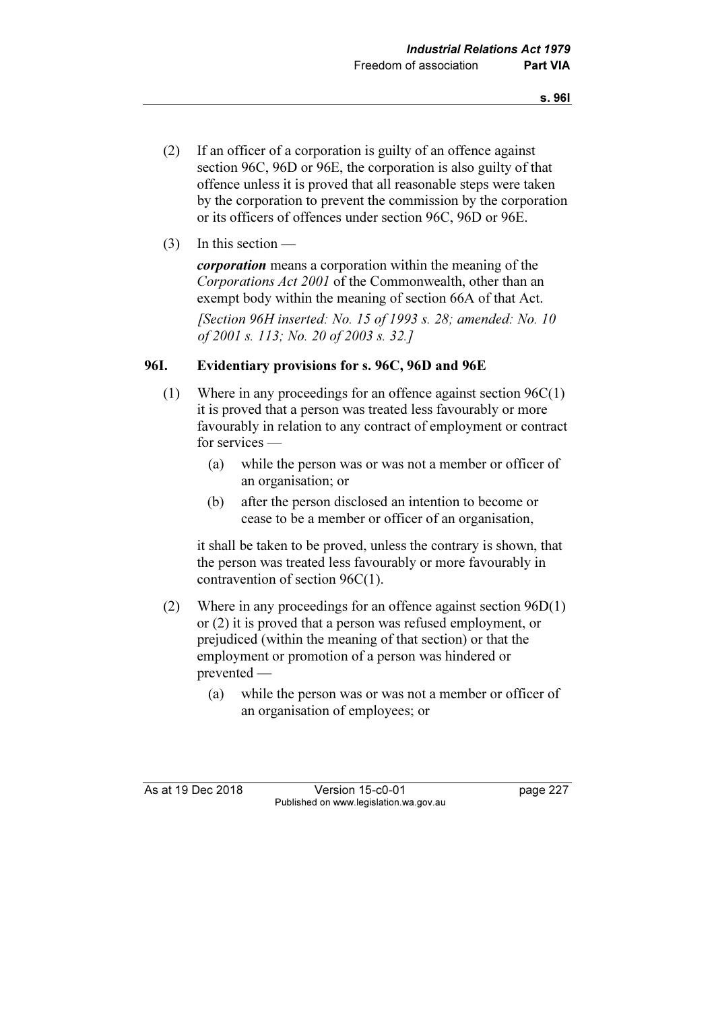- (2) If an officer of a corporation is guilty of an offence against section 96C, 96D or 96E, the corporation is also guilty of that offence unless it is proved that all reasonable steps were taken by the corporation to prevent the commission by the corporation or its officers of offences under section 96C, 96D or 96E.
- $(3)$  In this section —

corporation means a corporation within the meaning of the Corporations Act 2001 of the Commonwealth, other than an exempt body within the meaning of section 66A of that Act.

[Section 96H inserted: No. 15 of 1993 s. 28; amended: No. 10 of 2001 s. 113; No. 20 of 2003 s. 32.]

### 96I. Evidentiary provisions for s. 96C, 96D and 96E

- (1) Where in any proceedings for an offence against section 96C(1) it is proved that a person was treated less favourably or more favourably in relation to any contract of employment or contract for services —
	- (a) while the person was or was not a member or officer of an organisation; or
	- (b) after the person disclosed an intention to become or cease to be a member or officer of an organisation,

 it shall be taken to be proved, unless the contrary is shown, that the person was treated less favourably or more favourably in contravention of section 96C(1).

- (2) Where in any proceedings for an offence against section 96D(1) or (2) it is proved that a person was refused employment, or prejudiced (within the meaning of that section) or that the employment or promotion of a person was hindered or prevented —
	- (a) while the person was or was not a member or officer of an organisation of employees; or

As at 19 Dec 2018 Version 15-c0-01 page 227 Published on www.legislation.wa.gov.au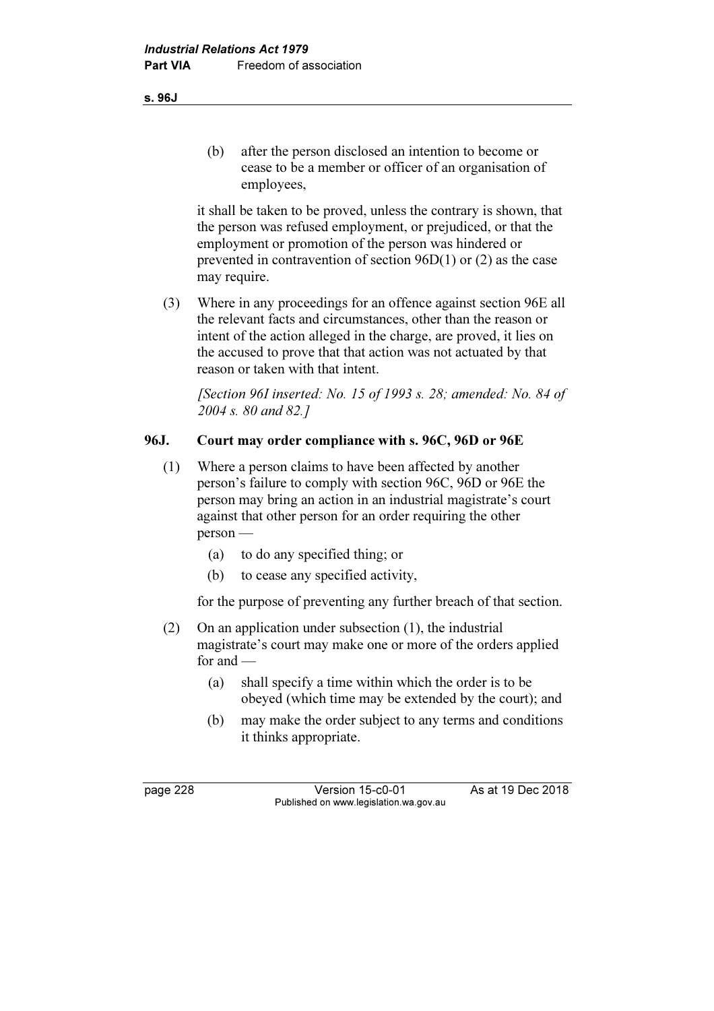it shall be taken to be proved, unless the contrary is shown, that the person was refused employment, or prejudiced, or that the employment or promotion of the person was hindered or prevented in contravention of section 96D(1) or (2) as the case may require.

 (3) Where in any proceedings for an offence against section 96E all the relevant facts and circumstances, other than the reason or intent of the action alleged in the charge, are proved, it lies on the accused to prove that that action was not actuated by that reason or taken with that intent.

 [Section 96I inserted: No. 15 of 1993 s. 28; amended: No. 84 of 2004 s. 80 and 82.]

# 96J. Court may order compliance with s. 96C, 96D or 96E

- (1) Where a person claims to have been affected by another person's failure to comply with section 96C, 96D or 96E the person may bring an action in an industrial magistrate's court against that other person for an order requiring the other person —
	- (a) to do any specified thing; or
	- (b) to cease any specified activity,

for the purpose of preventing any further breach of that section.

- (2) On an application under subsection (1), the industrial magistrate's court may make one or more of the orders applied for and —
	- (a) shall specify a time within which the order is to be obeyed (which time may be extended by the court); and
	- (b) may make the order subject to any terms and conditions it thinks appropriate.

s. 96J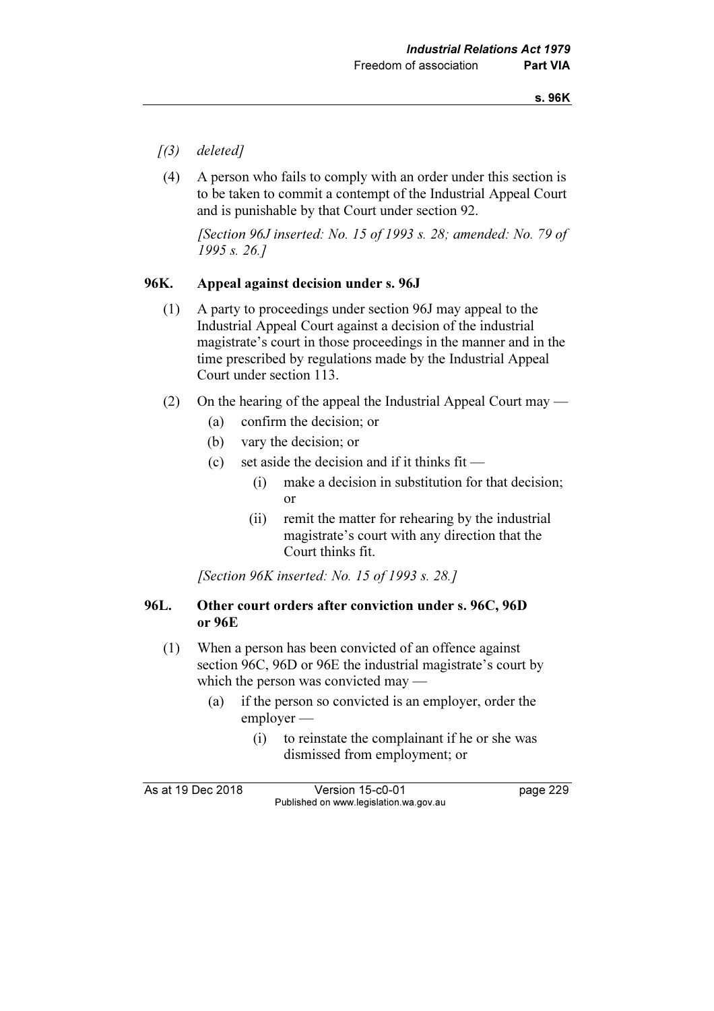- $(3)$  deleted]
- (4) A person who fails to comply with an order under this section is to be taken to commit a contempt of the Industrial Appeal Court and is punishable by that Court under section 92.

[Section 96J inserted: No. 15 of 1993 s. 28; amended: No. 79 of 1995 s. 26.]

# 96K. Appeal against decision under s. 96J

- (1) A party to proceedings under section 96J may appeal to the Industrial Appeal Court against a decision of the industrial magistrate's court in those proceedings in the manner and in the time prescribed by regulations made by the Industrial Appeal Court under section 113.
- (2) On the hearing of the appeal the Industrial Appeal Court may
	- (a) confirm the decision; or
	- (b) vary the decision; or
	- (c) set aside the decision and if it thinks  $fit -$ 
		- (i) make a decision in substitution for that decision; or
		- (ii) remit the matter for rehearing by the industrial magistrate's court with any direction that the Court thinks fit.

[Section 96K inserted: No. 15 of 1993 s. 28.]

### 96L. Other court orders after conviction under s. 96C, 96D or 96E

- (1) When a person has been convicted of an offence against section 96C, 96D or 96E the industrial magistrate's court by which the person was convicted may —
	- (a) if the person so convicted is an employer, order the employer —
		- (i) to reinstate the complainant if he or she was dismissed from employment; or

As at 19 Dec 2018 Version 15-c0-01 page 229 Published on www.legislation.wa.gov.au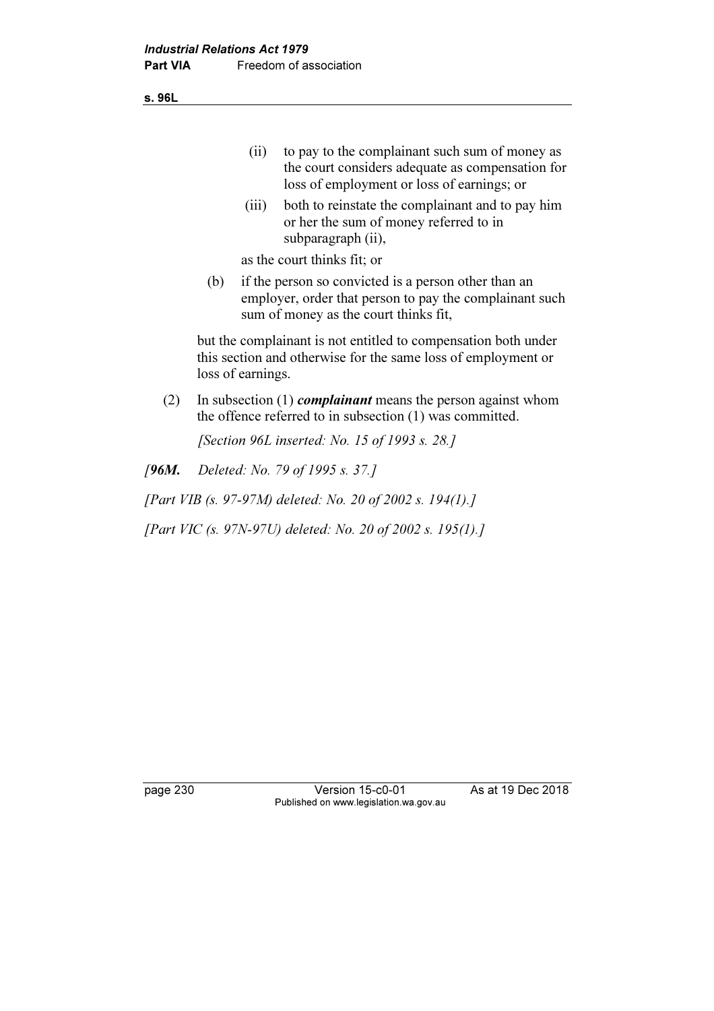s. 96L

| to pay to the complainant such sum of money as   |
|--------------------------------------------------|
| the court considers adequate as compensation for |
| loss of employment or loss of earnings; or       |

 (iii) both to reinstate the complainant and to pay him or her the sum of money referred to in subparagraph (ii),

as the court thinks fit; or

 (b) if the person so convicted is a person other than an employer, order that person to pay the complainant such sum of money as the court thinks fit,

 but the complainant is not entitled to compensation both under this section and otherwise for the same loss of employment or loss of earnings.

(2) In subsection (1) *complainant* means the person against whom the offence referred to in subsection (1) was committed.

[Section 96L inserted: No. 15 of 1993 s. 28.]

[96M. Deleted: No. 79 of 1995 s. 37.]

[Part VIB (s. 97-97M) deleted: No. 20 of 2002 s. 194(1).]

[Part VIC (s. 97N-97U) deleted: No. 20 of 2002 s. 195(1).]

page 230 Version 15-c0-01 As at 19 Dec 2018 Published on www.legislation.wa.gov.au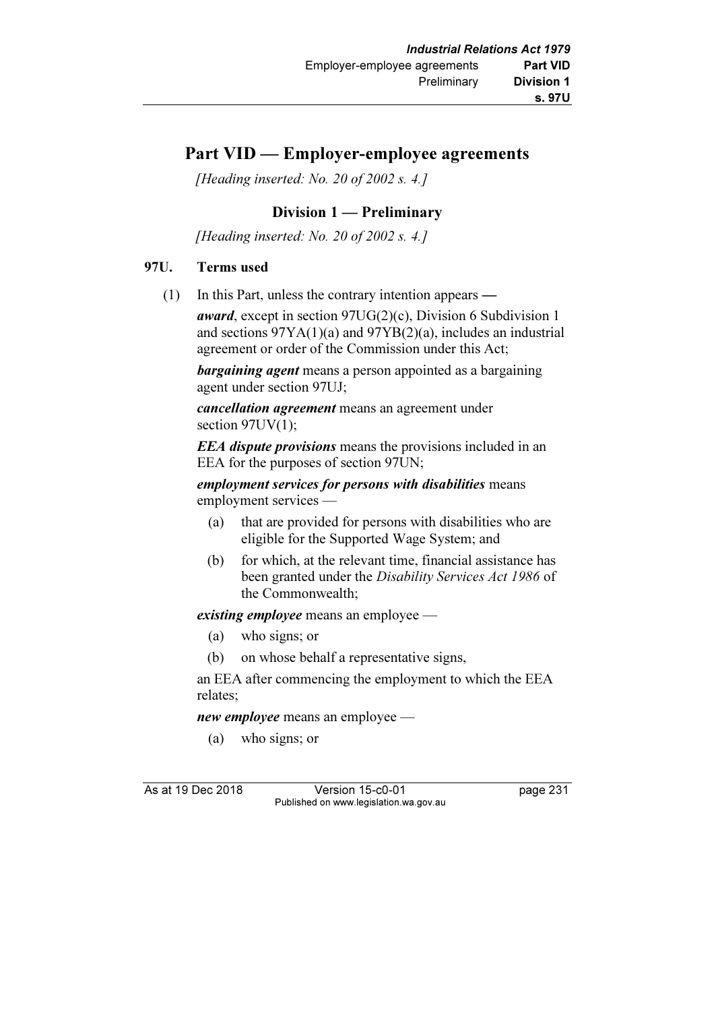# Part VID — Employer-employee agreements

[Heading inserted: No. 20 of 2002 s. 4.]

# Division 1 — Preliminary

[Heading inserted: No. 20 of 2002 s. 4.]

# 97U. Terms used

(1) In this Part, unless the contrary intention appears —

award, except in section 97UG(2)(c), Division 6 Subdivision 1 and sections 97YA(1)(a) and 97YB(2)(a), includes an industrial agreement or order of the Commission under this Act;

**bargaining agent** means a person appointed as a bargaining agent under section 97UJ;

cancellation agreement means an agreement under section 97UV(1);

**EEA** dispute provisions means the provisions included in an EEA for the purposes of section 97UN;

employment services for persons with disabilities means employment services —

- (a) that are provided for persons with disabilities who are eligible for the Supported Wage System; and
- (b) for which, at the relevant time, financial assistance has been granted under the Disability Services Act 1986 of the Commonwealth;

existing employee means an employee —

- (a) who signs; or
- (b) on whose behalf a representative signs,

 an EEA after commencing the employment to which the EEA relates;

new employee means an employee —

(a) who signs; or

As at 19 Dec 2018 Version 15-c0-01 page 231 Published on www.legislation.wa.gov.au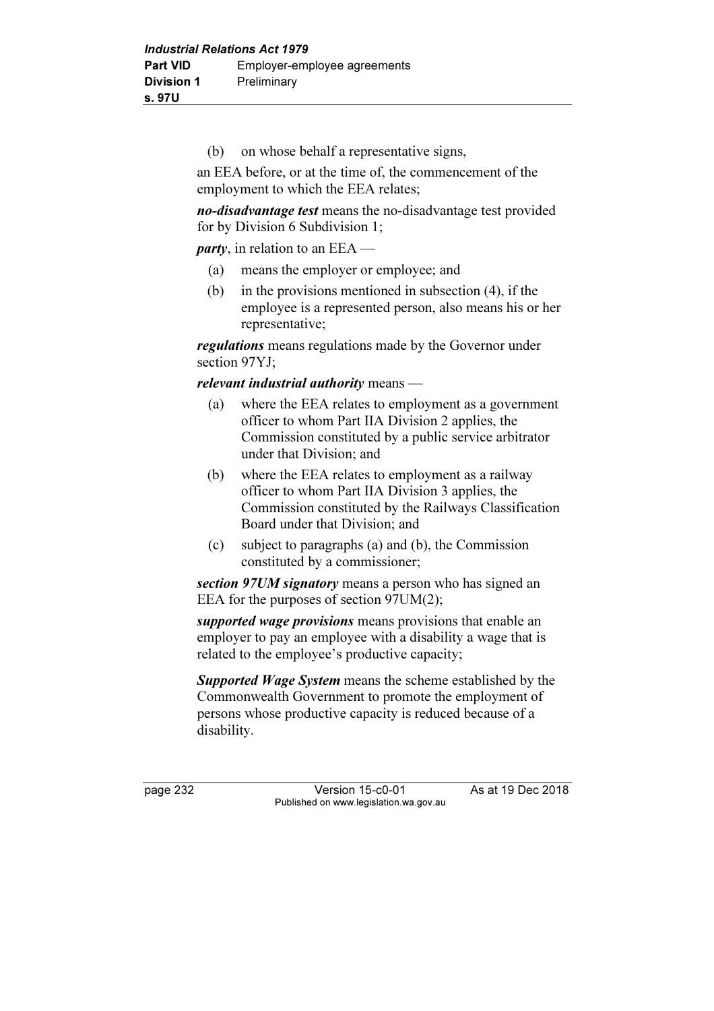(b) on whose behalf a representative signs,

 an EEA before, or at the time of, the commencement of the employment to which the EEA relates;

no-disadvantage test means the no-disadvantage test provided for by Division 6 Subdivision 1;

party, in relation to an EEA —

- (a) means the employer or employee; and
- (b) in the provisions mentioned in subsection (4), if the employee is a represented person, also means his or her representative;

regulations means regulations made by the Governor under section 97YJ;

relevant industrial authority means —

- (a) where the EEA relates to employment as a government officer to whom Part IIA Division 2 applies, the Commission constituted by a public service arbitrator under that Division; and
- (b) where the EEA relates to employment as a railway officer to whom Part IIA Division 3 applies, the Commission constituted by the Railways Classification Board under that Division; and
- (c) subject to paragraphs (a) and (b), the Commission constituted by a commissioner;

section 97UM signatory means a person who has signed an EEA for the purposes of section 97UM(2);

supported wage provisions means provisions that enable an employer to pay an employee with a disability a wage that is related to the employee's productive capacity;

**Supported Wage System** means the scheme established by the Commonwealth Government to promote the employment of persons whose productive capacity is reduced because of a disability.

page 232 Version 15-c0-01 As at 19 Dec 2018 Published on www.legislation.wa.gov.au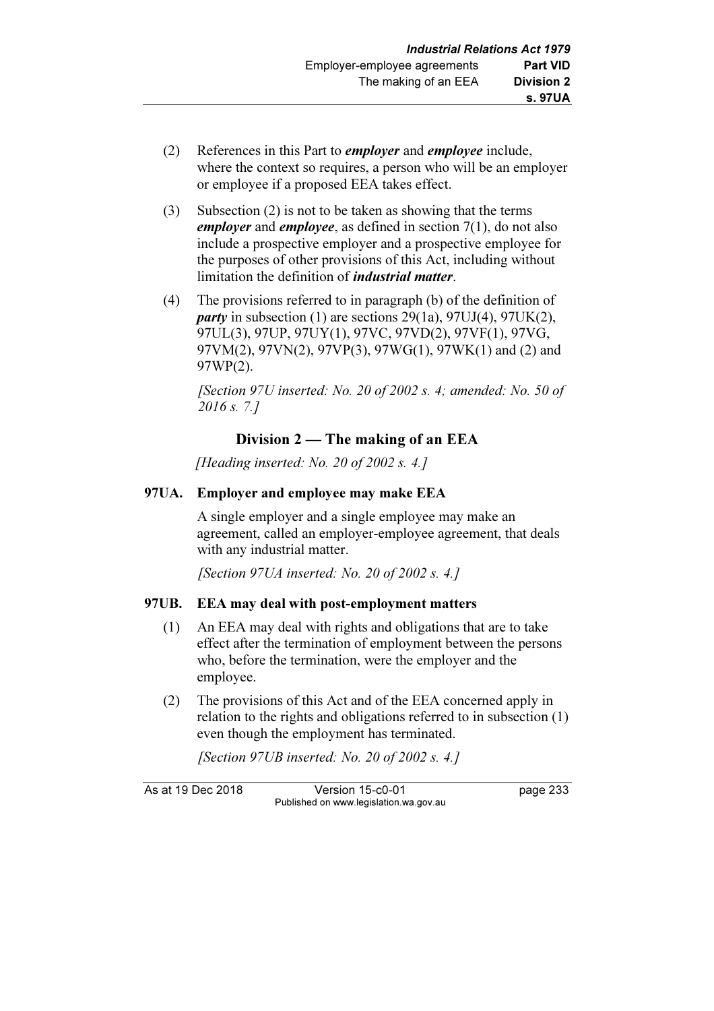- (2) References in this Part to employer and employee include, where the context so requires, a person who will be an employer or employee if a proposed EEA takes effect.
- (3) Subsection (2) is not to be taken as showing that the terms employer and employee, as defined in section  $7(1)$ , do not also include a prospective employer and a prospective employee for the purposes of other provisions of this Act, including without limitation the definition of *industrial matter*.
- (4) The provisions referred to in paragraph (b) of the definition of *party* in subsection (1) are sections  $29(1a)$ ,  $97UJ(4)$ ,  $97UK(2)$ , 97UL(3), 97UP, 97UY(1), 97VC, 97VD(2), 97VF(1), 97VG, 97VM(2), 97VN(2), 97VP(3), 97WG(1), 97WK(1) and (2) and 97WP(2).

[Section 97U inserted: No. 20 of 2002 s. 4; amended: No. 50 of 2016 s. 7.]

# Division 2 — The making of an EEA

[Heading inserted: No. 20 of 2002 s. 4.]

## 97UA. Employer and employee may make EEA

 A single employer and a single employee may make an agreement, called an employer-employee agreement, that deals with any industrial matter.

[Section 97UA inserted: No. 20 of 2002 s. 4.]

### 97UB. EEA may deal with post-employment matters

- (1) An EEA may deal with rights and obligations that are to take effect after the termination of employment between the persons who, before the termination, were the employer and the employee.
- (2) The provisions of this Act and of the EEA concerned apply in relation to the rights and obligations referred to in subsection (1) even though the employment has terminated.

[Section 97UB inserted: No. 20 of 2002 s. 4.]

As at 19 Dec 2018 Version 15-c0-01 page 233 Published on www.legislation.wa.gov.au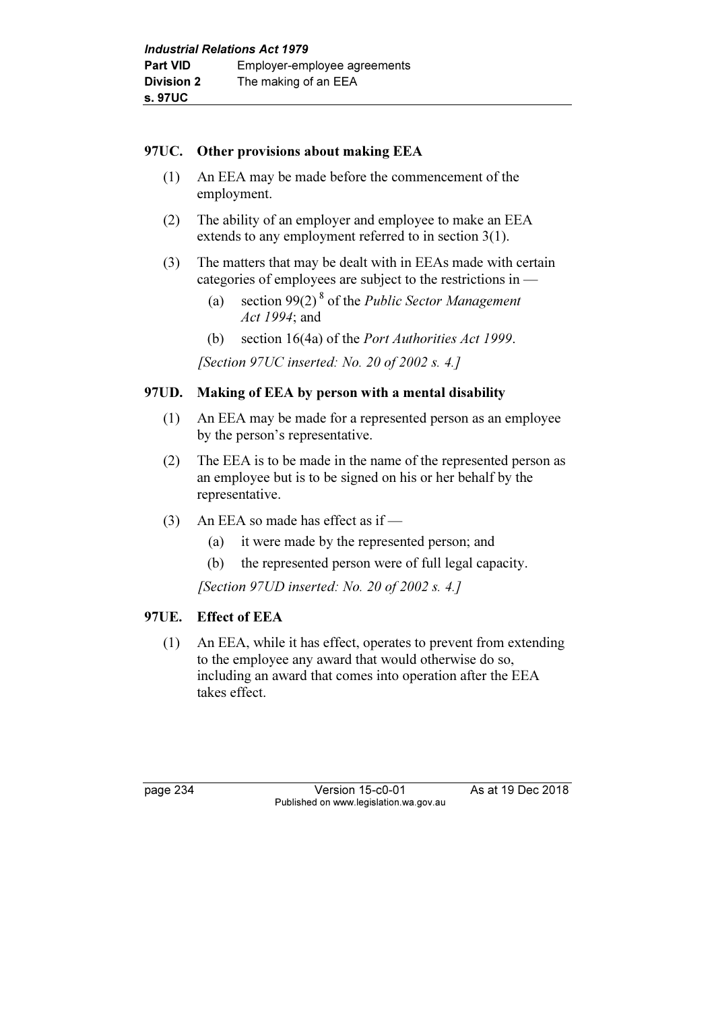### 97UC. Other provisions about making EEA

- (1) An EEA may be made before the commencement of the employment.
- (2) The ability of an employer and employee to make an EEA extends to any employment referred to in section 3(1).
- (3) The matters that may be dealt with in EEAs made with certain categories of employees are subject to the restrictions in —
	- (a) section 99(2)<sup>8</sup> of the *Public Sector Management* Act 1994; and
	- (b) section 16(4a) of the Port Authorities Act 1999.

[Section 97UC inserted: No. 20 of 2002 s. 4.]

# 97UD. Making of EEA by person with a mental disability

- (1) An EEA may be made for a represented person as an employee by the person's representative.
- (2) The EEA is to be made in the name of the represented person as an employee but is to be signed on his or her behalf by the representative.
- (3) An EEA so made has effect as if
	- (a) it were made by the represented person; and
	- (b) the represented person were of full legal capacity.

[Section 97UD inserted: No. 20 of 2002 s. 4.]

### 97UE. Effect of EEA

 (1) An EEA, while it has effect, operates to prevent from extending to the employee any award that would otherwise do so, including an award that comes into operation after the EEA takes effect.

page 234 Version 15-c0-01 As at 19 Dec 2018 Published on www.legislation.wa.gov.au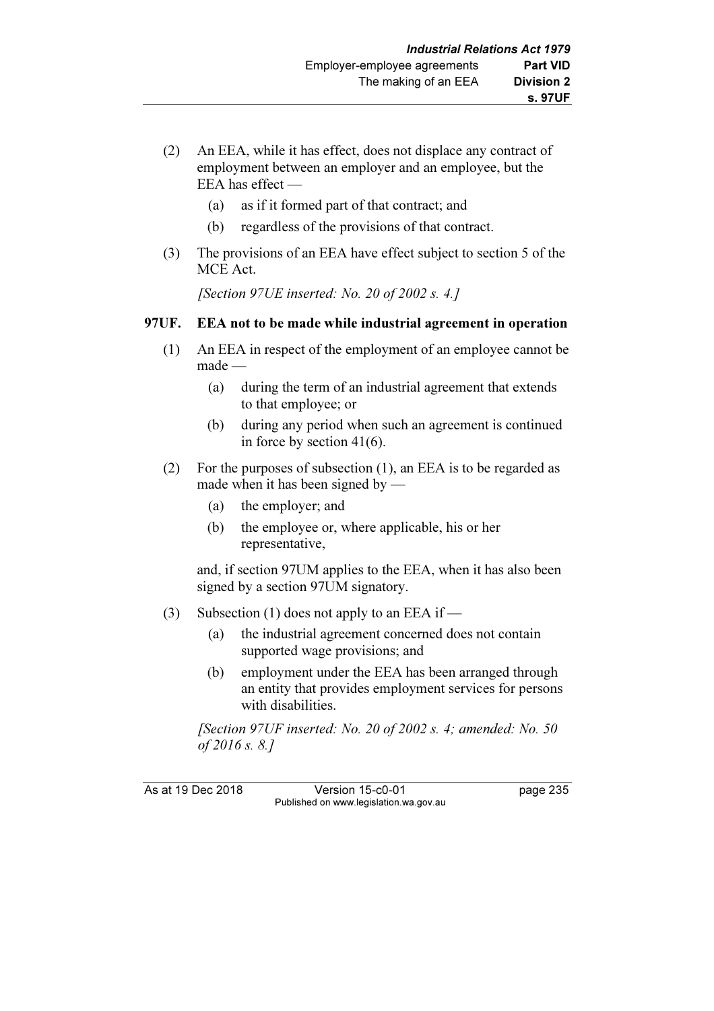- (2) An EEA, while it has effect, does not displace any contract of employment between an employer and an employee, but the EEA has effect —
	- (a) as if it formed part of that contract; and
	- (b) regardless of the provisions of that contract.
- (3) The provisions of an EEA have effect subject to section 5 of the MCE Act.

[Section 97UE inserted: No. 20 of 2002 s. 4.]

## 97UF. EEA not to be made while industrial agreement in operation

- (1) An EEA in respect of the employment of an employee cannot be made —
	- (a) during the term of an industrial agreement that extends to that employee; or
	- (b) during any period when such an agreement is continued in force by section 41(6).
- (2) For the purposes of subsection (1), an EEA is to be regarded as made when it has been signed by —
	- (a) the employer; and
	- (b) the employee or, where applicable, his or her representative,

 and, if section 97UM applies to the EEA, when it has also been signed by a section 97UM signatory.

- (3) Subsection (1) does not apply to an EEA if
	- (a) the industrial agreement concerned does not contain supported wage provisions; and
	- (b) employment under the EEA has been arranged through an entity that provides employment services for persons with disabilities.

[Section 97UF inserted: No. 20 of 2002 s. 4; amended: No. 50] of 2016 s. 8.]

As at 19 Dec 2018 Version 15-c0-01 page 235 Published on www.legislation.wa.gov.au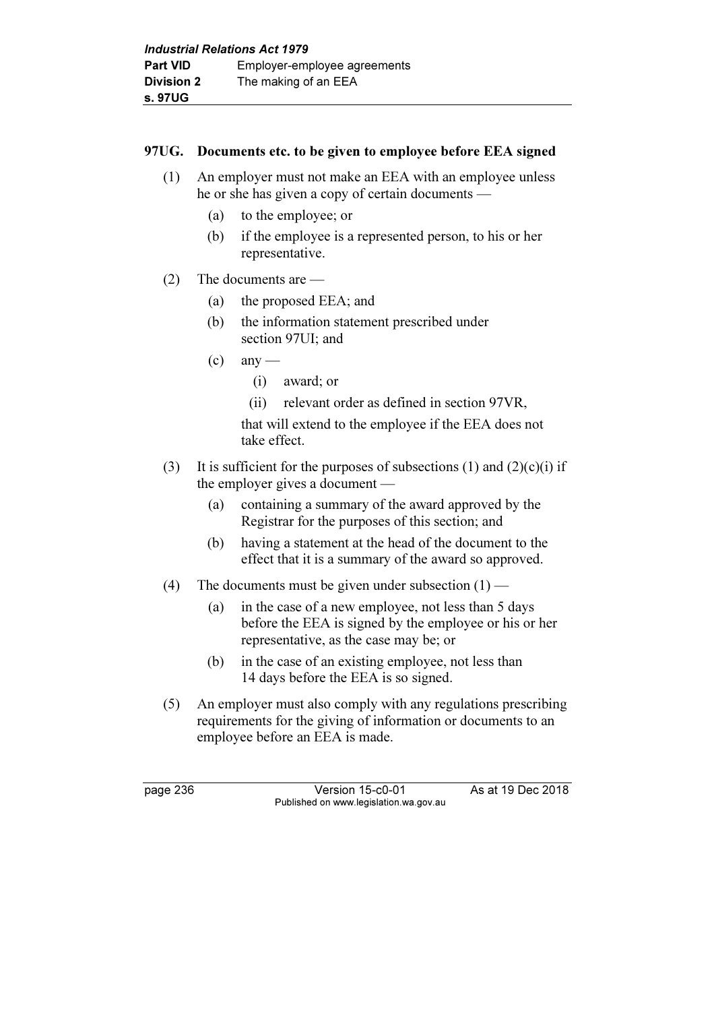# 97UG. Documents etc. to be given to employee before EEA signed

- (1) An employer must not make an EEA with an employee unless he or she has given a copy of certain documents —
	- (a) to the employee; or
	- (b) if the employee is a represented person, to his or her representative.
- (2) The documents are
	- (a) the proposed EEA; and
	- (b) the information statement prescribed under section 97UI; and
	- $\left( c \right)$  any
		- (i) award; or
		- (ii) relevant order as defined in section 97VR,

 that will extend to the employee if the EEA does not take effect.

- (3) It is sufficient for the purposes of subsections (1) and  $(2)(c)(i)$  if the employer gives a document —
	- (a) containing a summary of the award approved by the Registrar for the purposes of this section; and
	- (b) having a statement at the head of the document to the effect that it is a summary of the award so approved.
- (4) The documents must be given under subsection  $(1)$ 
	- (a) in the case of a new employee, not less than 5 days before the EEA is signed by the employee or his or her representative, as the case may be; or
	- (b) in the case of an existing employee, not less than 14 days before the EEA is so signed.
- (5) An employer must also comply with any regulations prescribing requirements for the giving of information or documents to an employee before an EEA is made.

page 236 Version 15-c0-01 As at 19 Dec 2018 Published on www.legislation.wa.gov.au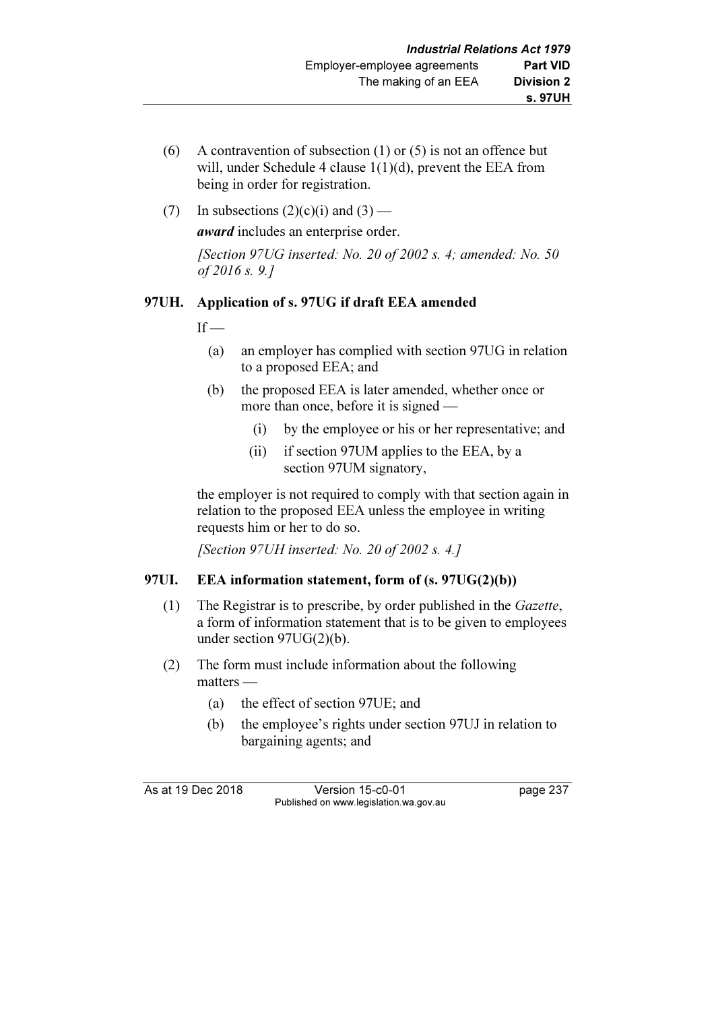- (6) A contravention of subsection (1) or (5) is not an offence but will, under Schedule 4 clause 1(1)(d), prevent the EEA from being in order for registration.
- (7) In subsections  $(2)(c)(i)$  and  $(3)$  —

award includes an enterprise order.

[Section 97UG inserted: No. 20 of 2002 s. 4; amended: No. 50 of 2016 s. 9.]

# 97UH. Application of s. 97UG if draft EEA amended

 $If -$ 

- (a) an employer has complied with section 97UG in relation to a proposed EEA; and
- (b) the proposed EEA is later amended, whether once or more than once, before it is signed —
	- (i) by the employee or his or her representative; and
	- (ii) if section 97UM applies to the EEA, by a section 97UM signatory,

 the employer is not required to comply with that section again in relation to the proposed EEA unless the employee in writing requests him or her to do so.

[Section 97UH inserted: No. 20 of 2002 s. 4.]

#### 97UI. EEA information statement, form of (s. 97UG(2)(b))

- (1) The Registrar is to prescribe, by order published in the Gazette, a form of information statement that is to be given to employees under section 97UG(2)(b).
- (2) The form must include information about the following matters —
	- (a) the effect of section 97UE; and
	- (b) the employee's rights under section 97UJ in relation to bargaining agents; and

As at 19 Dec 2018 Version 15-c0-01 page 237 Published on www.legislation.wa.gov.au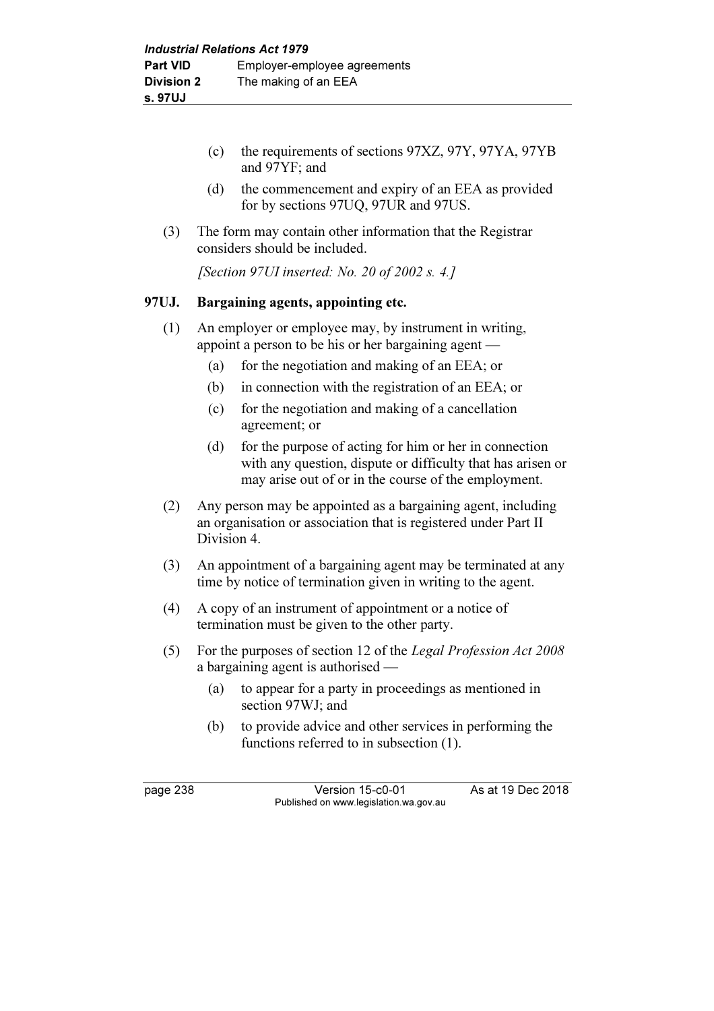- (c) the requirements of sections 97XZ, 97Y, 97YA, 97YB and 97YF; and
- (d) the commencement and expiry of an EEA as provided for by sections 97UQ, 97UR and 97US.
- (3) The form may contain other information that the Registrar considers should be included.

[Section 97UI inserted: No. 20 of 2002 s. 4.]

#### 97UJ. Bargaining agents, appointing etc.

- (1) An employer or employee may, by instrument in writing, appoint a person to be his or her bargaining agent —
	- (a) for the negotiation and making of an EEA; or
	- (b) in connection with the registration of an EEA; or
	- (c) for the negotiation and making of a cancellation agreement; or
	- (d) for the purpose of acting for him or her in connection with any question, dispute or difficulty that has arisen or may arise out of or in the course of the employment.
- (2) Any person may be appointed as a bargaining agent, including an organisation or association that is registered under Part II Division 4.
- (3) An appointment of a bargaining agent may be terminated at any time by notice of termination given in writing to the agent.
- (4) A copy of an instrument of appointment or a notice of termination must be given to the other party.
- (5) For the purposes of section 12 of the Legal Profession Act 2008 a bargaining agent is authorised —
	- (a) to appear for a party in proceedings as mentioned in section 97WJ; and
	- (b) to provide advice and other services in performing the functions referred to in subsection (1).

page 238 Version 15-c0-01 As at 19 Dec 2018 Published on www.legislation.wa.gov.au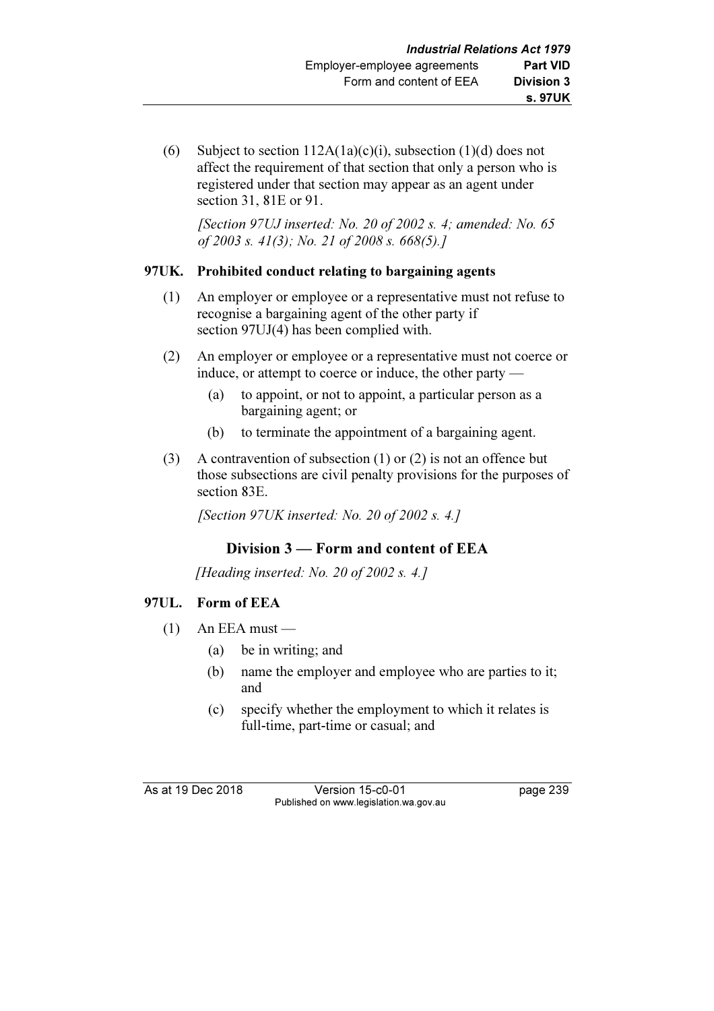(6) Subject to section  $112A(1a)(c)(i)$ , subsection  $(1)(d)$  does not affect the requirement of that section that only a person who is registered under that section may appear as an agent under section 31, 81E or 91.

[Section 97UJ inserted: No. 20 of 2002 s. 4; amended: No.  $65$ of 2003 s. 41(3); No. 21 of 2008 s. 668(5).]

## 97UK. Prohibited conduct relating to bargaining agents

- (1) An employer or employee or a representative must not refuse to recognise a bargaining agent of the other party if section 97UJ(4) has been complied with.
- (2) An employer or employee or a representative must not coerce or induce, or attempt to coerce or induce, the other party —
	- (a) to appoint, or not to appoint, a particular person as a bargaining agent; or
	- (b) to terminate the appointment of a bargaining agent.
- (3) A contravention of subsection (1) or (2) is not an offence but those subsections are civil penalty provisions for the purposes of section 83E.

[Section 97UK inserted: No. 20 of 2002 s. 4.]

# Division 3 — Form and content of EEA

[Heading inserted: No. 20 of 2002 s. 4.]

# 97UL. Form of EEA

- $(1)$  An EEA must
	- (a) be in writing; and
	- (b) name the employer and employee who are parties to it; and
	- (c) specify whether the employment to which it relates is full-time, part-time or casual; and

As at 19 Dec 2018 Version 15-c0-01 page 239 Published on www.legislation.wa.gov.au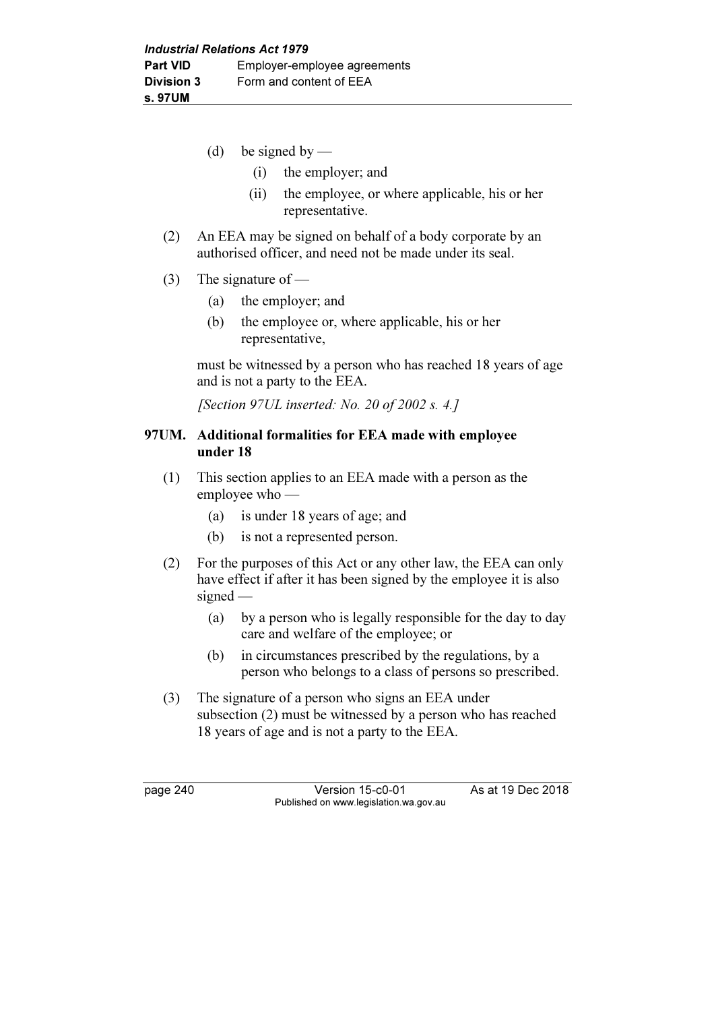- (d) be signed by
	- (i) the employer; and
	- (ii) the employee, or where applicable, his or her representative.
- (2) An EEA may be signed on behalf of a body corporate by an authorised officer, and need not be made under its seal.
- (3) The signature of
	- (a) the employer; and
	- (b) the employee or, where applicable, his or her representative,

 must be witnessed by a person who has reached 18 years of age and is not a party to the EEA.

[Section 97UL inserted: No. 20 of 2002 s. 4.]

#### 97UM. Additional formalities for EEA made with employee under 18

- (1) This section applies to an EEA made with a person as the employee who —
	- (a) is under 18 years of age; and
	- (b) is not a represented person.
- (2) For the purposes of this Act or any other law, the EEA can only have effect if after it has been signed by the employee it is also signed —
	- (a) by a person who is legally responsible for the day to day care and welfare of the employee; or
	- (b) in circumstances prescribed by the regulations, by a person who belongs to a class of persons so prescribed.
- (3) The signature of a person who signs an EEA under subsection (2) must be witnessed by a person who has reached 18 years of age and is not a party to the EEA.

page 240 Version 15-c0-01 As at 19 Dec 2018 Published on www.legislation.wa.gov.au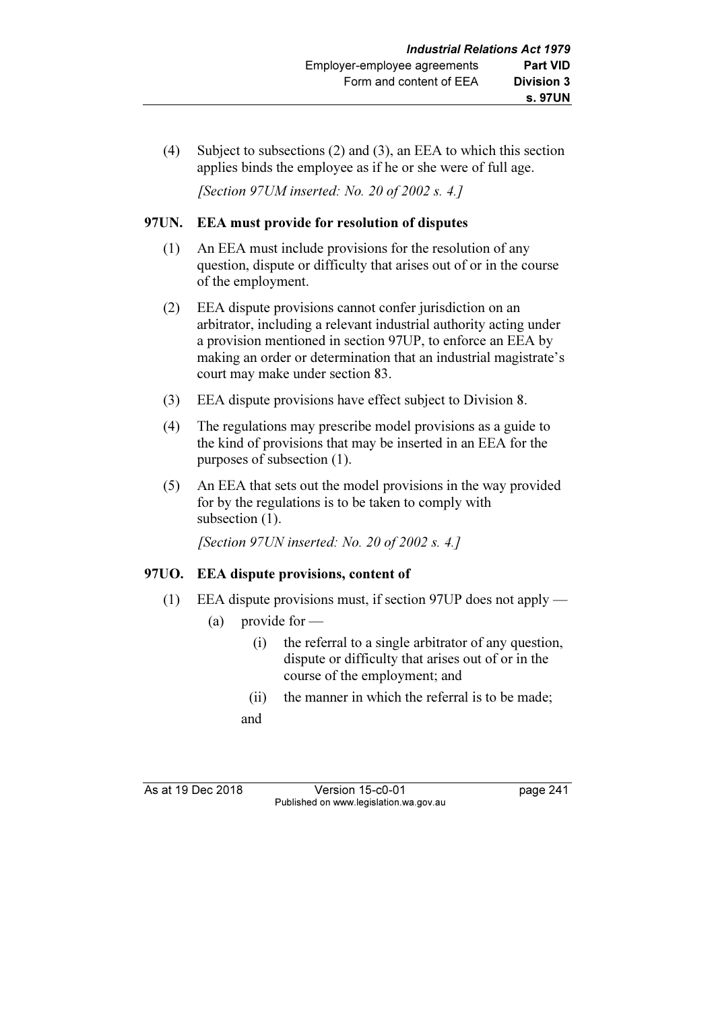(4) Subject to subsections (2) and (3), an EEA to which this section applies binds the employee as if he or she were of full age.

[Section 97UM inserted: No. 20 of 2002 s. 4.]

#### 97UN. EEA must provide for resolution of disputes

- (1) An EEA must include provisions for the resolution of any question, dispute or difficulty that arises out of or in the course of the employment.
- (2) EEA dispute provisions cannot confer jurisdiction on an arbitrator, including a relevant industrial authority acting under a provision mentioned in section 97UP, to enforce an EEA by making an order or determination that an industrial magistrate's court may make under section 83.
- (3) EEA dispute provisions have effect subject to Division 8.
- (4) The regulations may prescribe model provisions as a guide to the kind of provisions that may be inserted in an EEA for the purposes of subsection (1).
- (5) An EEA that sets out the model provisions in the way provided for by the regulations is to be taken to comply with subsection  $(1)$ .

[Section 97UN inserted: No. 20 of 2002 s. 4.]

# 97UO. EEA dispute provisions, content of

- (1) EEA dispute provisions must, if section 97UP does not apply
	- (a) provide for
		- (i) the referral to a single arbitrator of any question, dispute or difficulty that arises out of or in the course of the employment; and
		- (ii) the manner in which the referral is to be made; and

As at 19 Dec 2018 Version 15-c0-01 bag page 241 Published on www.legislation.wa.gov.au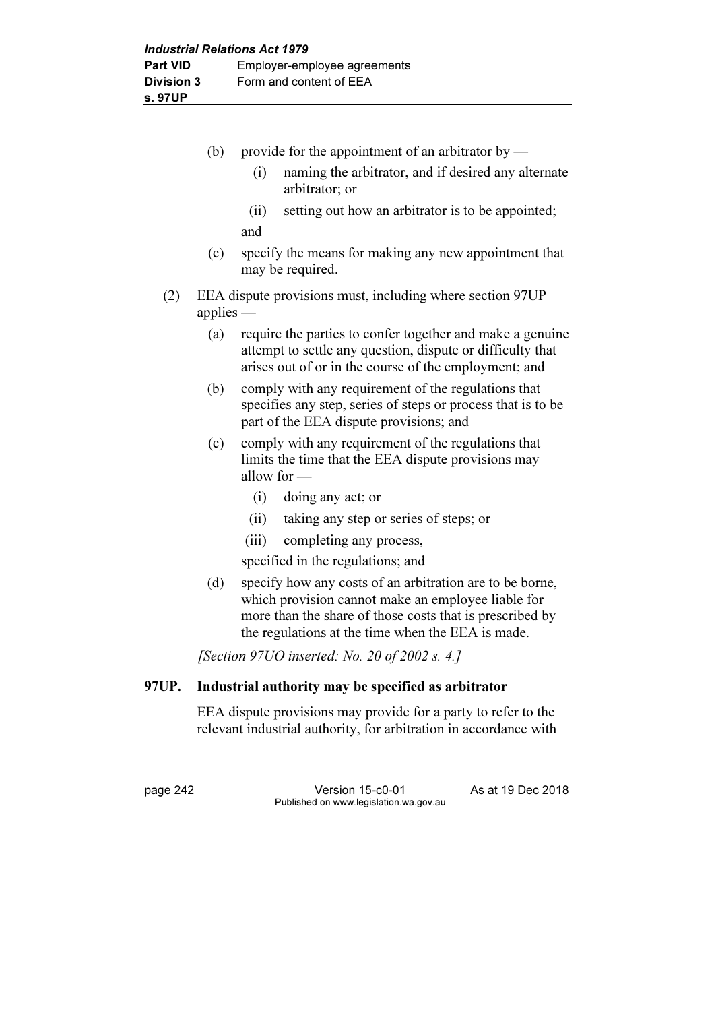|       | (b)         | provide for the appointment of an arbitrator by $-$                                                                                                                                                                             |
|-------|-------------|---------------------------------------------------------------------------------------------------------------------------------------------------------------------------------------------------------------------------------|
|       |             | naming the arbitrator, and if desired any alternate<br>(i)<br>arbitrator; or                                                                                                                                                    |
|       |             | setting out how an arbitrator is to be appointed;<br>(ii)                                                                                                                                                                       |
|       |             | and                                                                                                                                                                                                                             |
|       | (c)         | specify the means for making any new appointment that<br>may be required.                                                                                                                                                       |
| (2)   | applies $-$ | EEA dispute provisions must, including where section 97UP                                                                                                                                                                       |
|       | (a)         | require the parties to confer together and make a genuine<br>attempt to settle any question, dispute or difficulty that<br>arises out of or in the course of the employment; and                                                |
|       | (b)         | comply with any requirement of the regulations that<br>specifies any step, series of steps or process that is to be<br>part of the EEA dispute provisions; and                                                                  |
|       | (c)         | comply with any requirement of the regulations that<br>limits the time that the EEA dispute provisions may<br>allow for $-$                                                                                                     |
|       |             | (i)<br>doing any act; or                                                                                                                                                                                                        |
|       |             | taking any step or series of steps; or<br>(ii)                                                                                                                                                                                  |
|       |             | (iii)<br>completing any process,                                                                                                                                                                                                |
|       |             | specified in the regulations; and                                                                                                                                                                                               |
|       | (d)         | specify how any costs of an arbitration are to be borne,<br>which provision cannot make an employee liable for<br>more than the share of those costs that is prescribed by<br>the regulations at the time when the EEA is made. |
|       |             | [Section 97UO inserted: No. 20 of 2002 s. 4.]                                                                                                                                                                                   |
| 97UP. |             | Industrial authority may be specified as arbitrator                                                                                                                                                                             |
|       |             | EEA dispute provisions may provide for a party to refer to the                                                                                                                                                                  |

page 242 Version 15-c0-01 As at 19 Dec 2018

Published on www.legislation.wa.gov.au

relevant industrial authority, for arbitration in accordance with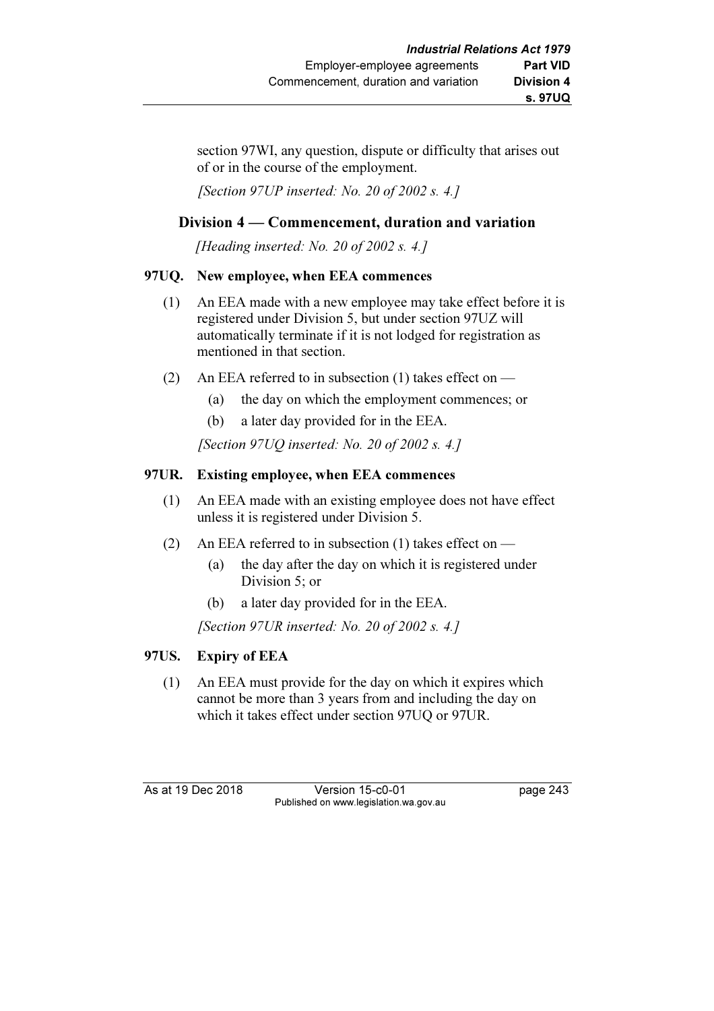section 97WI, any question, dispute or difficulty that arises out of or in the course of the employment.

[Section 97UP inserted: No. 20 of 2002 s. 4.]

# Division 4 — Commencement, duration and variation

[Heading inserted: No. 20 of 2002 s. 4.]

# 97UQ. New employee, when EEA commences

- (1) An EEA made with a new employee may take effect before it is registered under Division 5, but under section 97UZ will automatically terminate if it is not lodged for registration as mentioned in that section.
- (2) An EEA referred to in subsection (1) takes effect on
	- (a) the day on which the employment commences; or
	- (b) a later day provided for in the EEA.

[Section 97UQ inserted: No. 20 of 2002 s. 4.]

# 97UR. Existing employee, when EEA commences

- (1) An EEA made with an existing employee does not have effect unless it is registered under Division 5.
- (2) An EEA referred to in subsection (1) takes effect on
	- (a) the day after the day on which it is registered under Division 5; or
	- (b) a later day provided for in the EEA.

[Section 97UR inserted: No. 20 of 2002 s. 4.]

# 97US. Expiry of EEA

 (1) An EEA must provide for the day on which it expires which cannot be more than 3 years from and including the day on which it takes effect under section 97UQ or 97UR.

As at 19 Dec 2018 Version 15-c0-01 page 243 Published on www.legislation.wa.gov.au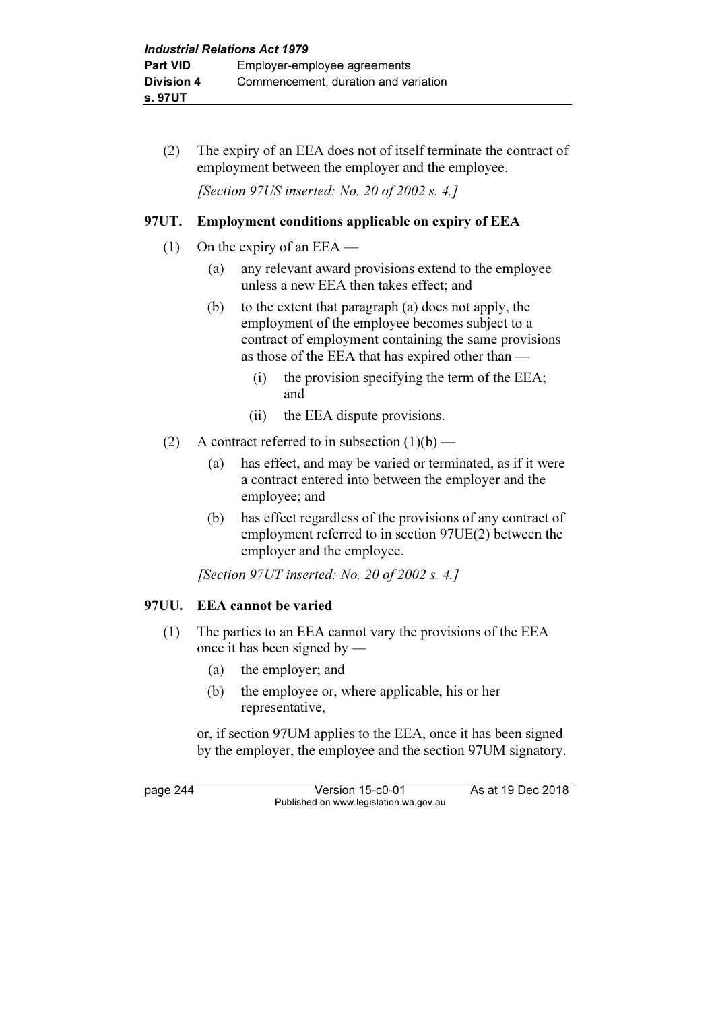(2) The expiry of an EEA does not of itself terminate the contract of employment between the employer and the employee.

[Section 97US inserted: No. 20 of 2002 s. 4.]

## 97UT. Employment conditions applicable on expiry of EEA

- (1) On the expiry of an  $EEA$ 
	- (a) any relevant award provisions extend to the employee unless a new EEA then takes effect; and
	- (b) to the extent that paragraph (a) does not apply, the employment of the employee becomes subject to a contract of employment containing the same provisions as those of the EEA that has expired other than —
		- (i) the provision specifying the term of the EEA; and
		- (ii) the EEA dispute provisions.
- (2) A contract referred to in subsection  $(1)(b)$ 
	- (a) has effect, and may be varied or terminated, as if it were a contract entered into between the employer and the employee; and
	- (b) has effect regardless of the provisions of any contract of employment referred to in section 97UE(2) between the employer and the employee.

[Section 97UT inserted: No. 20 of 2002 s. 4.]

#### 97UU. EEA cannot be varied

- (1) The parties to an EEA cannot vary the provisions of the EEA once it has been signed by —
	- (a) the employer; and
	- (b) the employee or, where applicable, his or her representative,

 or, if section 97UM applies to the EEA, once it has been signed by the employer, the employee and the section 97UM signatory.

page 244 Version 15-c0-01 As at 19 Dec 2018 Published on www.legislation.wa.gov.au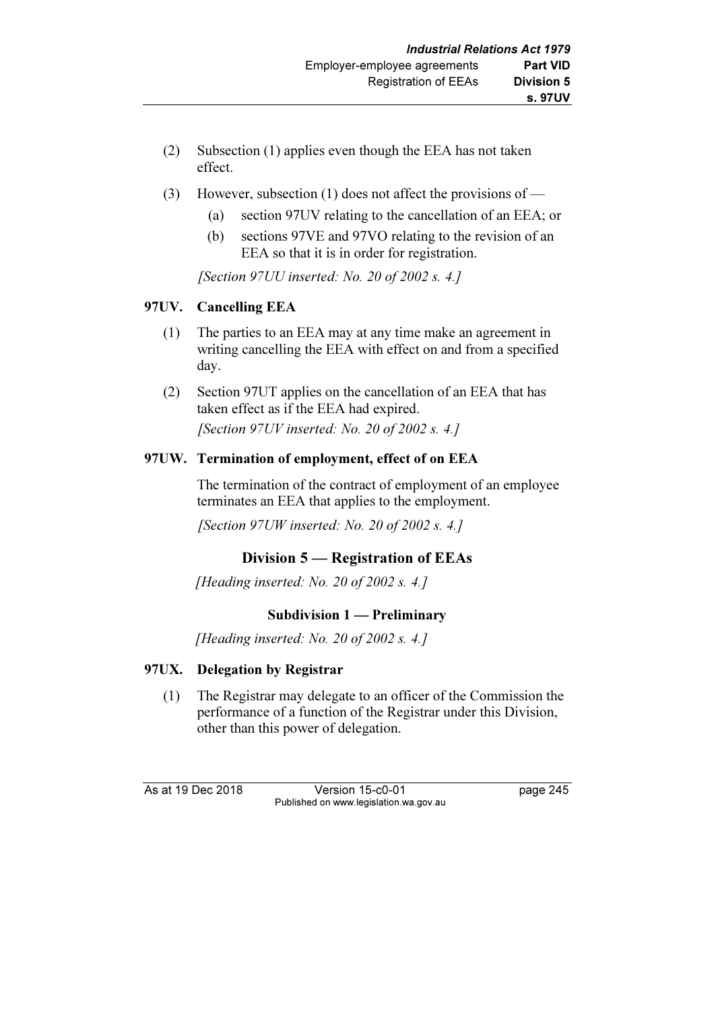- (2) Subsection (1) applies even though the EEA has not taken effect.
- (3) However, subsection (1) does not affect the provisions of
	- (a) section 97UV relating to the cancellation of an EEA; or
	- (b) sections 97VE and 97VO relating to the revision of an EEA so that it is in order for registration.

[Section 97UU inserted: No. 20 of 2002 s. 4.]

# 97UV. Cancelling EEA

- (1) The parties to an EEA may at any time make an agreement in writing cancelling the EEA with effect on and from a specified day.
- (2) Section 97UT applies on the cancellation of an EEA that has taken effect as if the EEA had expired. [Section 97UV inserted: No. 20 of 2002 s. 4.]

# 97UW. Termination of employment, effect of on EEA

 The termination of the contract of employment of an employee terminates an EEA that applies to the employment.

[Section 97UW inserted: No. 20 of 2002 s. 4.]

# Division 5 — Registration of EEAs

[Heading inserted: No. 20 of 2002 s. 4.]

# Subdivision 1 — Preliminary

[Heading inserted: No. 20 of 2002 s. 4.]

# 97UX. Delegation by Registrar

 (1) The Registrar may delegate to an officer of the Commission the performance of a function of the Registrar under this Division, other than this power of delegation.

As at 19 Dec 2018 Version 15-c0-01 page 245 Published on www.legislation.wa.gov.au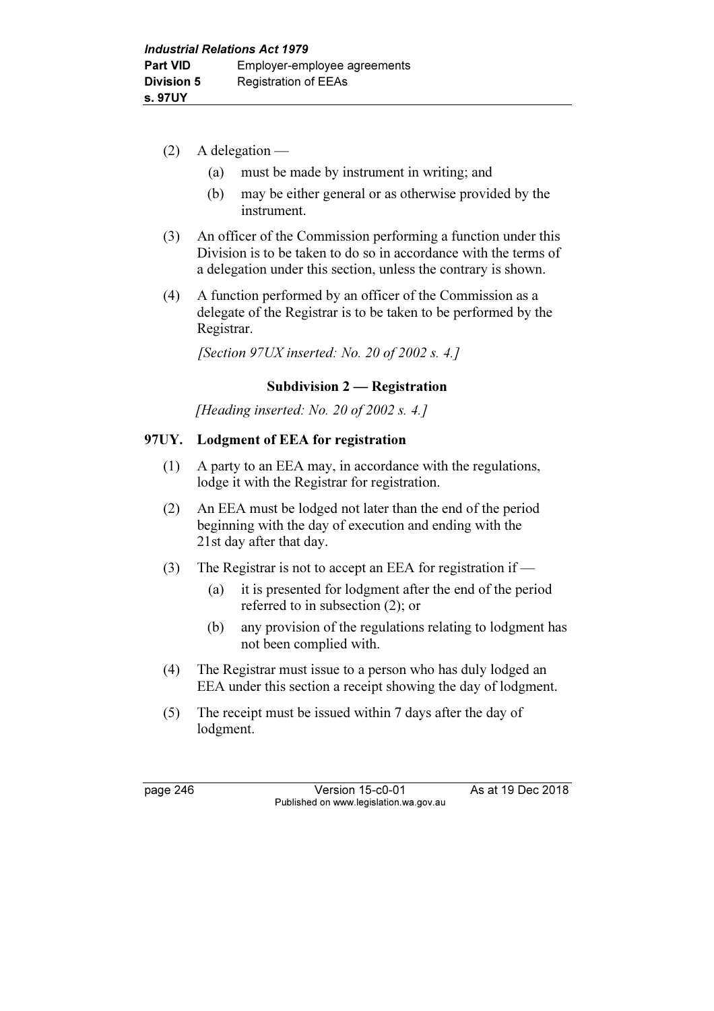- $(2)$  A delegation
	- (a) must be made by instrument in writing; and
	- (b) may be either general or as otherwise provided by the instrument.
- (3) An officer of the Commission performing a function under this Division is to be taken to do so in accordance with the terms of a delegation under this section, unless the contrary is shown.
- (4) A function performed by an officer of the Commission as a delegate of the Registrar is to be taken to be performed by the Registrar.

[Section 97UX inserted: No. 20 of 2002 s. 4.]

# Subdivision 2 — Registration

[Heading inserted: No. 20 of 2002 s. 4.]

# 97UY. Lodgment of EEA for registration

- (1) A party to an EEA may, in accordance with the regulations, lodge it with the Registrar for registration.
- (2) An EEA must be lodged not later than the end of the period beginning with the day of execution and ending with the 21st day after that day.
- (3) The Registrar is not to accept an EEA for registration if
	- (a) it is presented for lodgment after the end of the period referred to in subsection (2); or
	- (b) any provision of the regulations relating to lodgment has not been complied with.
- (4) The Registrar must issue to a person who has duly lodged an EEA under this section a receipt showing the day of lodgment.
- (5) The receipt must be issued within 7 days after the day of lodgment.

page 246 Version 15-c0-01 As at 19 Dec 2018 Published on www.legislation.wa.gov.au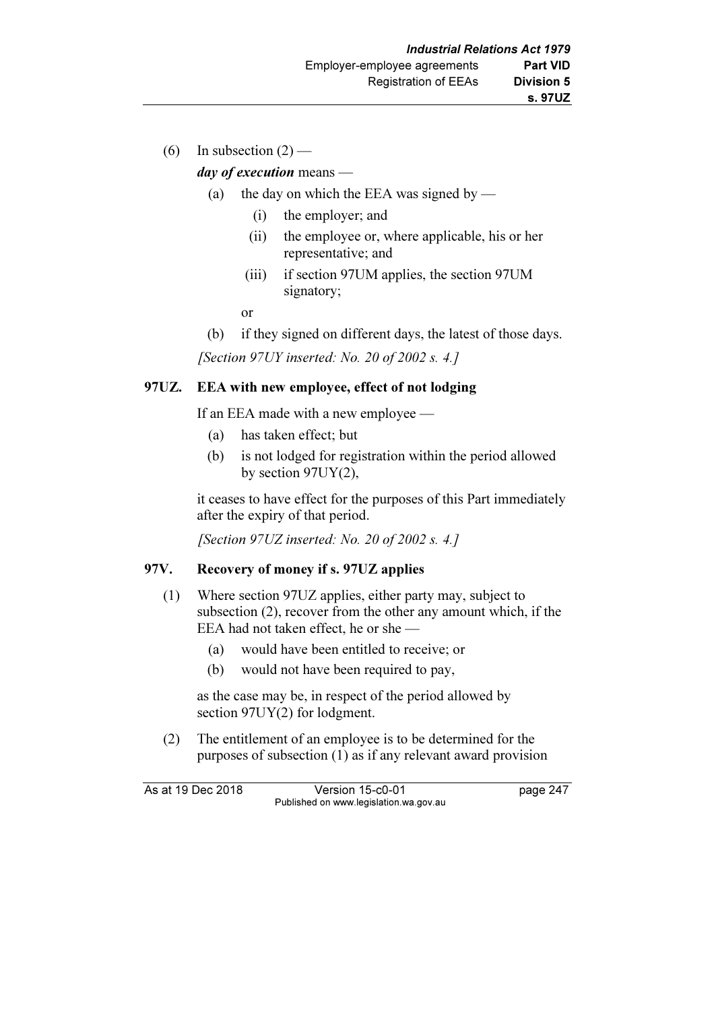(6) In subsection  $(2)$  —

## day of execution means —

- (a) the day on which the EEA was signed by
	- (i) the employer; and
	- (ii) the employee or, where applicable, his or her representative; and
	- (iii) if section 97UM applies, the section 97UM signatory;
- or
	- (b) if they signed on different days, the latest of those days.

[Section 97UY inserted: No. 20 of 2002 s. 4.]

# 97UZ. EEA with new employee, effect of not lodging

If an EEA made with a new employee —

- (a) has taken effect; but
- (b) is not lodged for registration within the period allowed by section 97UY(2),

 it ceases to have effect for the purposes of this Part immediately after the expiry of that period.

[Section 97UZ inserted: No. 20 of 2002 s. 4.]

#### 97V. Recovery of money if s. 97UZ applies

- (1) Where section 97UZ applies, either party may, subject to subsection (2), recover from the other any amount which, if the EEA had not taken effect, he or she —
	- (a) would have been entitled to receive; or
	- (b) would not have been required to pay,

 as the case may be, in respect of the period allowed by section 97UY(2) for lodgment.

 (2) The entitlement of an employee is to be determined for the purposes of subsection (1) as if any relevant award provision

As at 19 Dec 2018 Version 15-c0-01 page 247 Published on www.legislation.wa.gov.au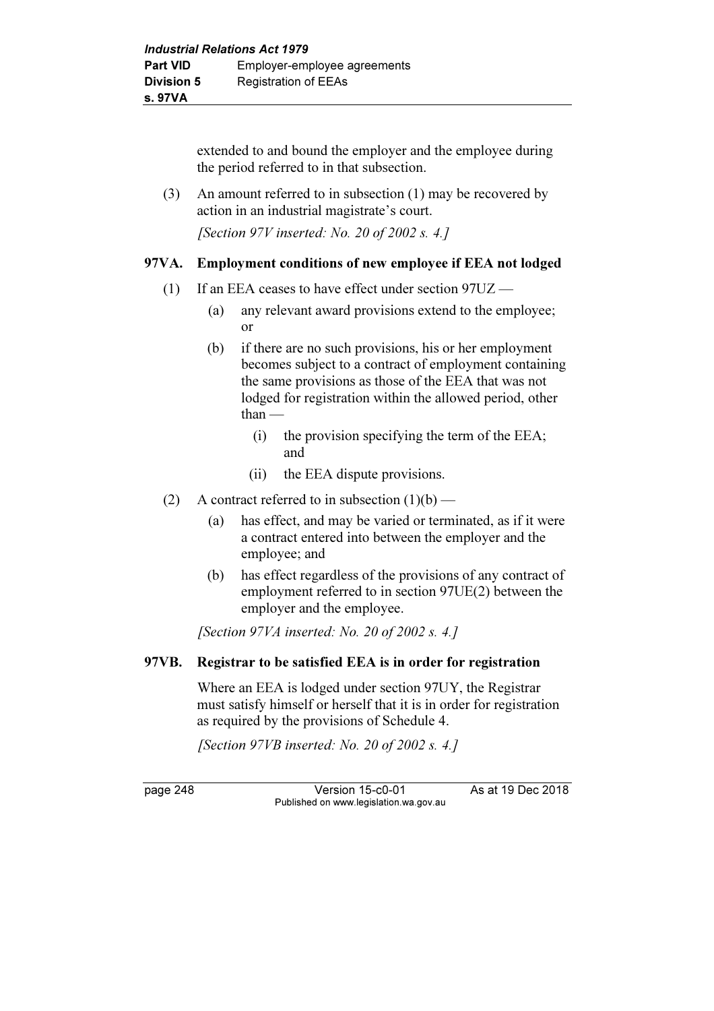extended to and bound the employer and the employee during the period referred to in that subsection.

 (3) An amount referred to in subsection (1) may be recovered by action in an industrial magistrate's court.

[Section 97V inserted: No. 20 of 2002 s. 4.]

#### 97VA. Employment conditions of new employee if EEA not lodged

- (1) If an EEA ceases to have effect under section 97UZ
	- (a) any relevant award provisions extend to the employee; or
	- (b) if there are no such provisions, his or her employment becomes subject to a contract of employment containing the same provisions as those of the EEA that was not lodged for registration within the allowed period, other  $than -$ 
		- (i) the provision specifying the term of the EEA; and
		- (ii) the EEA dispute provisions.
- (2) A contract referred to in subsection  $(1)(b)$ 
	- (a) has effect, and may be varied or terminated, as if it were a contract entered into between the employer and the employee; and
	- (b) has effect regardless of the provisions of any contract of employment referred to in section 97UE(2) between the employer and the employee.

[Section 97VA inserted: No. 20 of 2002 s. 4.]

#### 97VB. Registrar to be satisfied EEA is in order for registration

 Where an EEA is lodged under section 97UY, the Registrar must satisfy himself or herself that it is in order for registration as required by the provisions of Schedule 4.

[Section 97VB inserted: No. 20 of 2002 s. 4.]

page 248 Version 15-c0-01 As at 19 Dec 2018 Published on www.legislation.wa.gov.au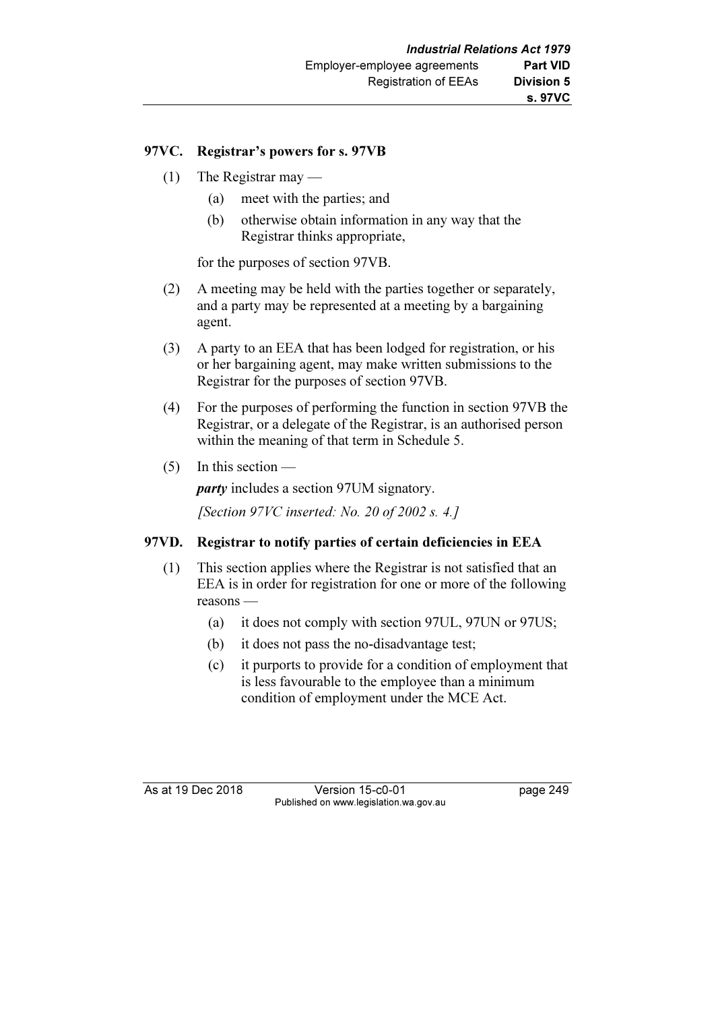## 97VC. Registrar's powers for s. 97VB

- (1) The Registrar may
	- (a) meet with the parties; and
	- (b) otherwise obtain information in any way that the Registrar thinks appropriate,

for the purposes of section 97VB.

- (2) A meeting may be held with the parties together or separately, and a party may be represented at a meeting by a bargaining agent.
- (3) A party to an EEA that has been lodged for registration, or his or her bargaining agent, may make written submissions to the Registrar for the purposes of section 97VB.
- (4) For the purposes of performing the function in section 97VB the Registrar, or a delegate of the Registrar, is an authorised person within the meaning of that term in Schedule 5.
- (5) In this section —

party includes a section 97UM signatory.

[Section 97VC inserted: No. 20 of 2002 s. 4.]

# 97VD. Registrar to notify parties of certain deficiencies in EEA

- (1) This section applies where the Registrar is not satisfied that an EEA is in order for registration for one or more of the following reasons —
	- (a) it does not comply with section 97UL, 97UN or 97US;
	- (b) it does not pass the no-disadvantage test;
	- (c) it purports to provide for a condition of employment that is less favourable to the employee than a minimum condition of employment under the MCE Act.

As at 19 Dec 2018 Version 15-c0-01 bag page 249 Published on www.legislation.wa.gov.au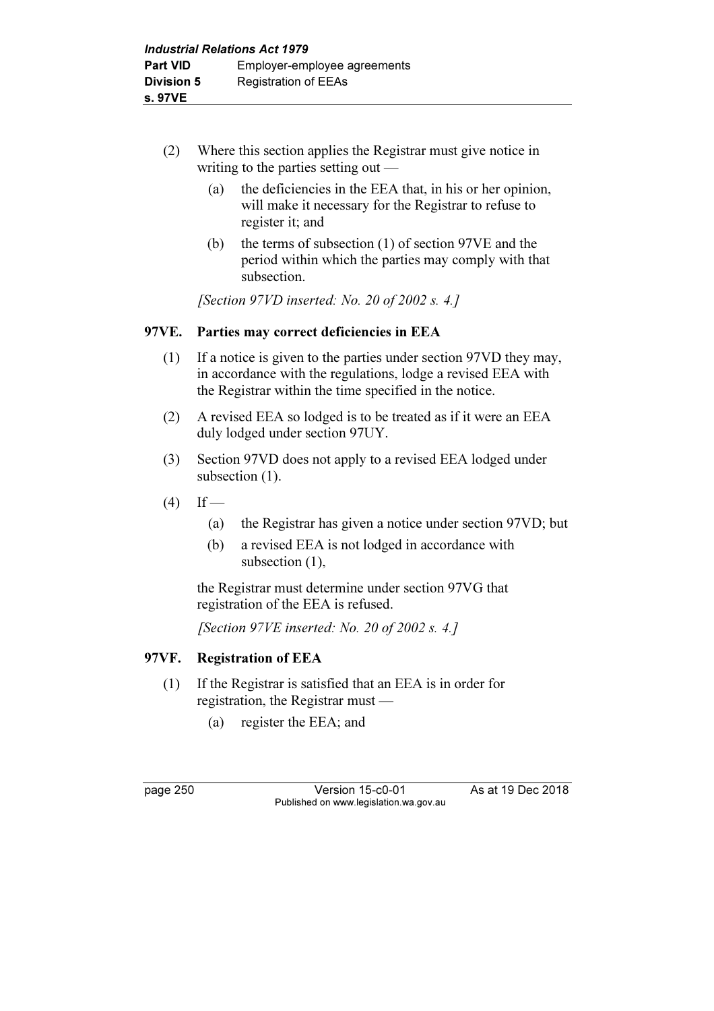- (2) Where this section applies the Registrar must give notice in writing to the parties setting out —
	- (a) the deficiencies in the EEA that, in his or her opinion, will make it necessary for the Registrar to refuse to register it; and
	- (b) the terms of subsection (1) of section 97VE and the period within which the parties may comply with that subsection.

[Section 97VD inserted: No. 20 of 2002 s. 4.]

# 97VE. Parties may correct deficiencies in EEA

- (1) If a notice is given to the parties under section 97VD they may, in accordance with the regulations, lodge a revised EEA with the Registrar within the time specified in the notice.
- (2) A revised EEA so lodged is to be treated as if it were an EEA duly lodged under section 97UY.
- (3) Section 97VD does not apply to a revised EEA lodged under subsection  $(1)$ .
- $(4)$  If
	- (a) the Registrar has given a notice under section 97VD; but
	- (b) a revised EEA is not lodged in accordance with subsection (1),

 the Registrar must determine under section 97VG that registration of the EEA is refused.

[Section 97VE inserted: No. 20 of 2002 s. 4.]

# 97VF. Registration of EEA

- (1) If the Registrar is satisfied that an EEA is in order for registration, the Registrar must —
	- (a) register the EEA; and

page 250 Version 15-c0-01 As at 19 Dec 2018 Published on www.legislation.wa.gov.au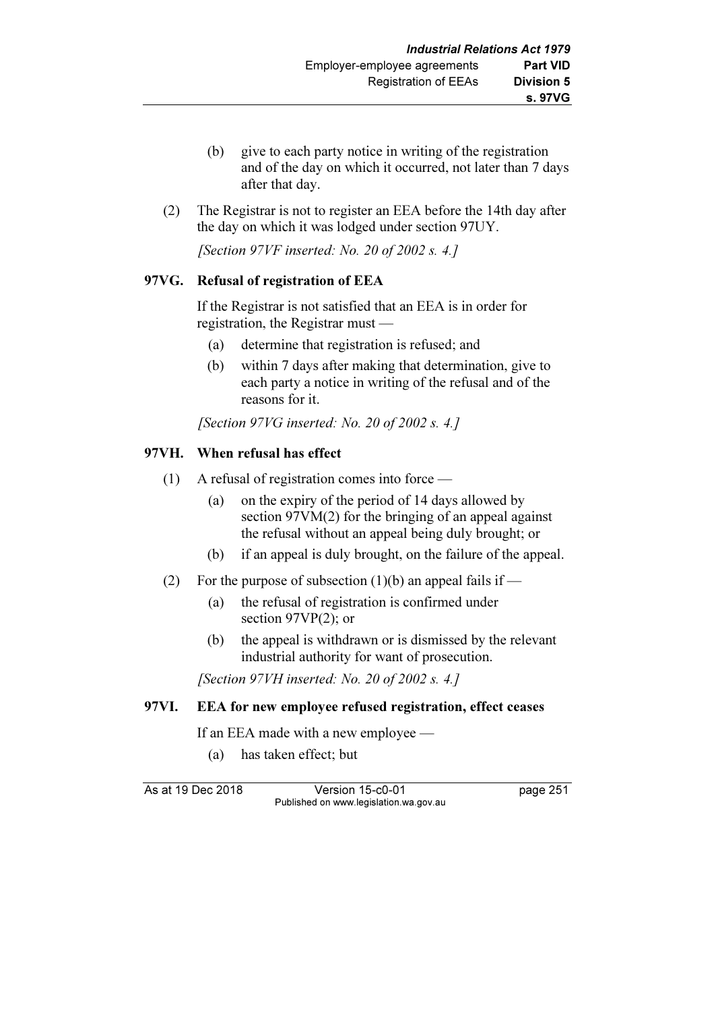- (b) give to each party notice in writing of the registration and of the day on which it occurred, not later than 7 days after that day.
- (2) The Registrar is not to register an EEA before the 14th day after the day on which it was lodged under section 97UY.

[Section 97VF inserted: No. 20 of 2002 s. 4.]

## 97VG. Refusal of registration of EEA

 If the Registrar is not satisfied that an EEA is in order for registration, the Registrar must —

- (a) determine that registration is refused; and
- (b) within 7 days after making that determination, give to each party a notice in writing of the refusal and of the reasons for it.

[Section 97VG inserted: No. 20 of 2002 s. 4.]

## 97VH. When refusal has effect

- (1) A refusal of registration comes into force
	- (a) on the expiry of the period of 14 days allowed by section 97VM(2) for the bringing of an appeal against the refusal without an appeal being duly brought; or
	- (b) if an appeal is duly brought, on the failure of the appeal.
- (2) For the purpose of subsection (1)(b) an appeal fails if
	- (a) the refusal of registration is confirmed under section 97VP(2); or
	- (b) the appeal is withdrawn or is dismissed by the relevant industrial authority for want of prosecution.

[Section 97VH inserted: No. 20 of 2002 s. 4.]

#### 97VI. EEA for new employee refused registration, effect ceases

If an EEA made with a new employee —

(a) has taken effect; but

As at 19 Dec 2018 Version 15-c0-01 page 251 Published on www.legislation.wa.gov.au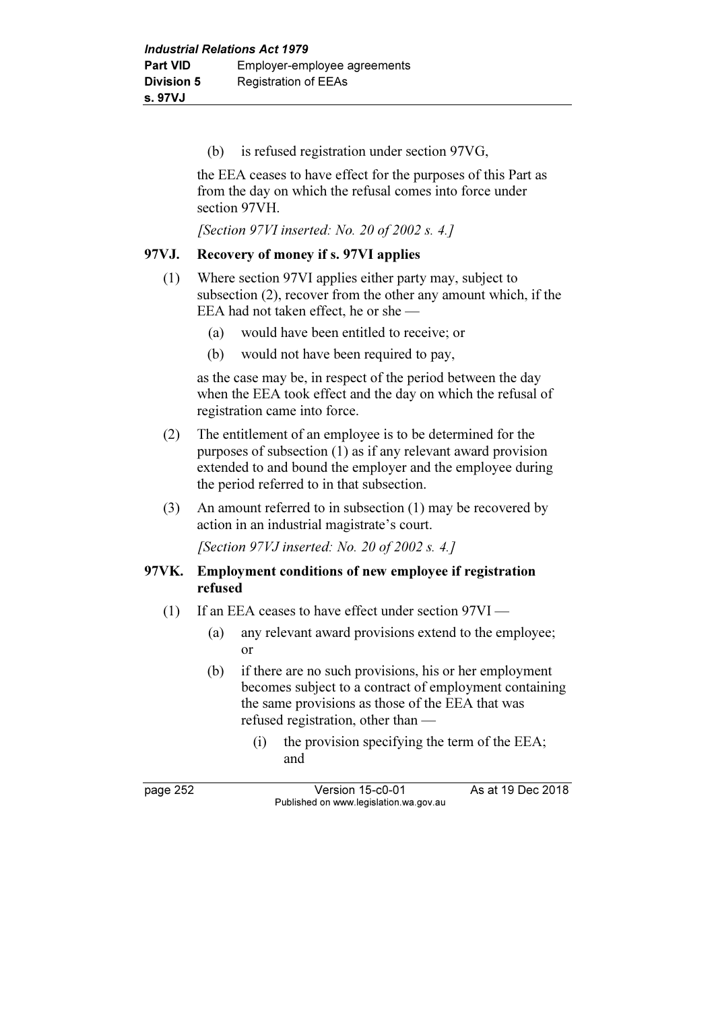(b) is refused registration under section 97VG,

 the EEA ceases to have effect for the purposes of this Part as from the day on which the refusal comes into force under section 97VH.

[Section 97VI inserted: No. 20 of 2002 s. 4.]

## 97VJ. Recovery of money if s. 97VI applies

- (1) Where section 97VI applies either party may, subject to subsection (2), recover from the other any amount which, if the EEA had not taken effect, he or she —
	- (a) would have been entitled to receive; or
	- (b) would not have been required to pay,

 as the case may be, in respect of the period between the day when the EEA took effect and the day on which the refusal of registration came into force.

- (2) The entitlement of an employee is to be determined for the purposes of subsection (1) as if any relevant award provision extended to and bound the employer and the employee during the period referred to in that subsection.
- (3) An amount referred to in subsection (1) may be recovered by action in an industrial magistrate's court.

[Section 97VJ inserted: No. 20 of 2002 s. 4.]

## 97VK. Employment conditions of new employee if registration refused

- (1) If an EEA ceases to have effect under section 97VI
	- (a) any relevant award provisions extend to the employee; or
	- (b) if there are no such provisions, his or her employment becomes subject to a contract of employment containing the same provisions as those of the EEA that was refused registration, other than —
		- (i) the provision specifying the term of the EEA; and

page 252 Version 15-c0-01 As at 19 Dec 2018 Published on www.legislation.wa.gov.au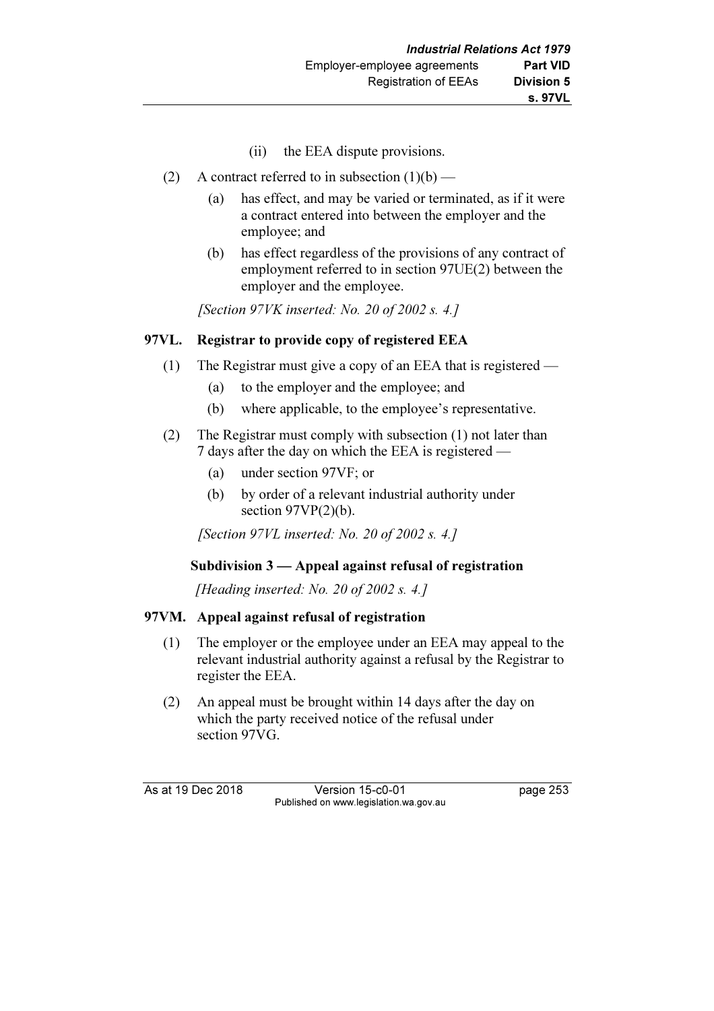- (ii) the EEA dispute provisions.
- (2) A contract referred to in subsection  $(1)(b)$ 
	- (a) has effect, and may be varied or terminated, as if it were a contract entered into between the employer and the employee; and
	- (b) has effect regardless of the provisions of any contract of employment referred to in section 97UE(2) between the employer and the employee.

[Section  $97VK$  inserted: No. 20 of 2002 s. 4.]

# 97VL. Registrar to provide copy of registered EEA

- (1) The Registrar must give a copy of an EEA that is registered
	- (a) to the employer and the employee; and
	- (b) where applicable, to the employee's representative.
- (2) The Registrar must comply with subsection (1) not later than 7 days after the day on which the EEA is registered —
	- (a) under section 97VF; or
	- (b) by order of a relevant industrial authority under section  $97VP(2)(b)$ .

[Section 97VL inserted: No. 20 of 2002 s. 4.]

# Subdivision 3 — Appeal against refusal of registration

[Heading inserted: No. 20 of 2002 s. 4.]

# 97VM. Appeal against refusal of registration

- (1) The employer or the employee under an EEA may appeal to the relevant industrial authority against a refusal by the Registrar to register the EEA.
- (2) An appeal must be brought within 14 days after the day on which the party received notice of the refusal under section 97VG.

As at 19 Dec 2018 Version 15-c0-01 page 253 Published on www.legislation.wa.gov.au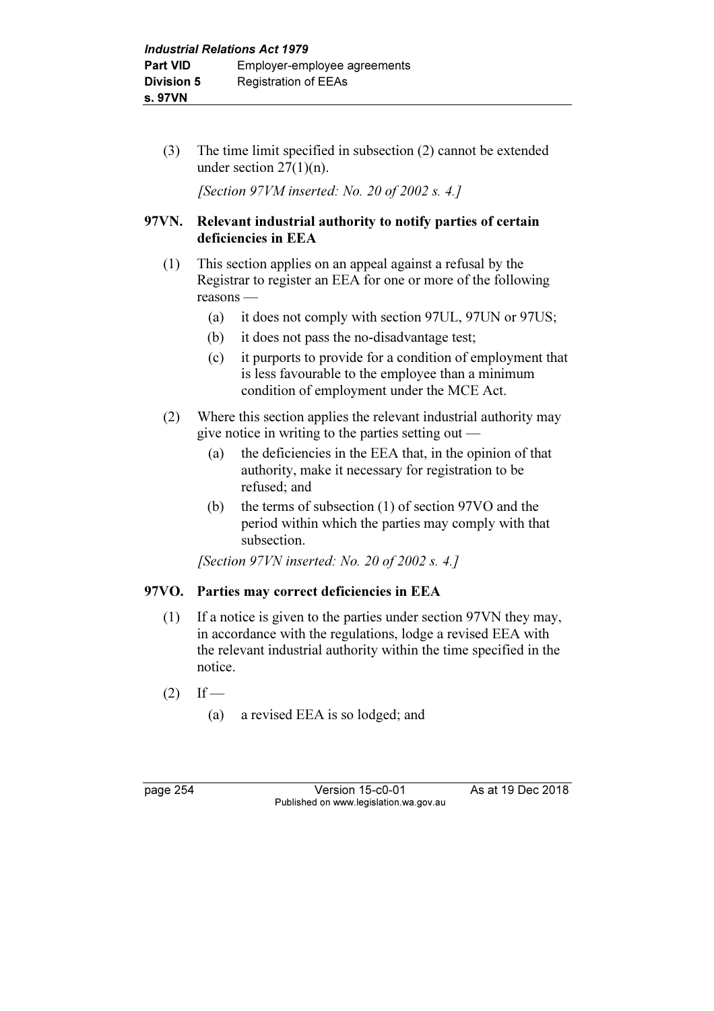(3) The time limit specified in subsection (2) cannot be extended under section 27(1)(n).

[Section 97VM inserted: No. 20 of 2002 s. 4.]

# 97VN. Relevant industrial authority to notify parties of certain deficiencies in EEA

- (1) This section applies on an appeal against a refusal by the Registrar to register an EEA for one or more of the following reasons —
	- (a) it does not comply with section 97UL, 97UN or 97US;
	- (b) it does not pass the no-disadvantage test;
	- (c) it purports to provide for a condition of employment that is less favourable to the employee than a minimum condition of employment under the MCE Act.
- (2) Where this section applies the relevant industrial authority may give notice in writing to the parties setting out —
	- (a) the deficiencies in the EEA that, in the opinion of that authority, make it necessary for registration to be refused; and
	- (b) the terms of subsection (1) of section 97VO and the period within which the parties may comply with that subsection.

[Section 97VN inserted: No. 20 of 2002 s. 4.]

# 97VO. Parties may correct deficiencies in EEA

- (1) If a notice is given to the parties under section 97VN they may, in accordance with the regulations, lodge a revised EEA with the relevant industrial authority within the time specified in the notice.
- $(2)$  If
	- (a) a revised EEA is so lodged; and

**Version 15-c0-01** As at 19 Dec 2018 Published on www.legislation.wa.gov.au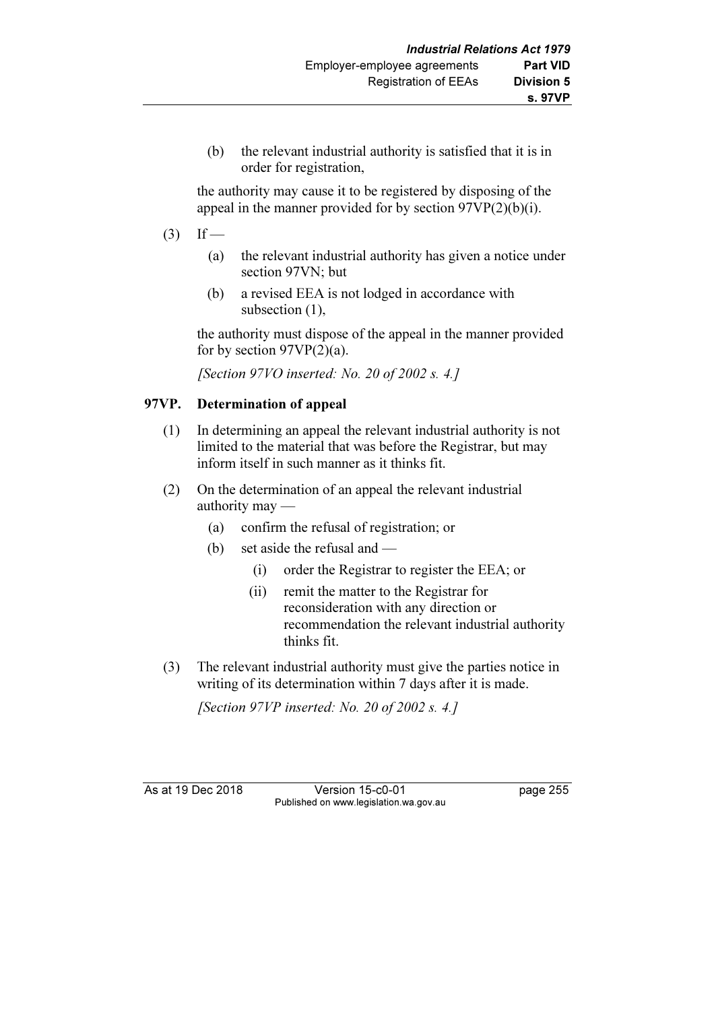(b) the relevant industrial authority is satisfied that it is in order for registration,

 the authority may cause it to be registered by disposing of the appeal in the manner provided for by section  $97VP(2)(b)(i)$ .

- $(3)$  If
	- (a) the relevant industrial authority has given a notice under section 97VN; but
	- (b) a revised EEA is not lodged in accordance with subsection  $(1)$ ,

 the authority must dispose of the appeal in the manner provided for by section  $97VP(2)(a)$ .

[Section 97VO inserted: No. 20 of 2002 s. 4.]

# 97VP. Determination of appeal

- (1) In determining an appeal the relevant industrial authority is not limited to the material that was before the Registrar, but may inform itself in such manner as it thinks fit.
- (2) On the determination of an appeal the relevant industrial authority may —
	- (a) confirm the refusal of registration; or
	- (b) set aside the refusal and
		- (i) order the Registrar to register the EEA; or
		- (ii) remit the matter to the Registrar for reconsideration with any direction or recommendation the relevant industrial authority thinks fit.
- (3) The relevant industrial authority must give the parties notice in writing of its determination within 7 days after it is made.

[Section 97VP inserted: No. 20 of 2002 s. 4.]

As at 19 Dec 2018 Version 15-c0-01 page 255 Published on www.legislation.wa.gov.au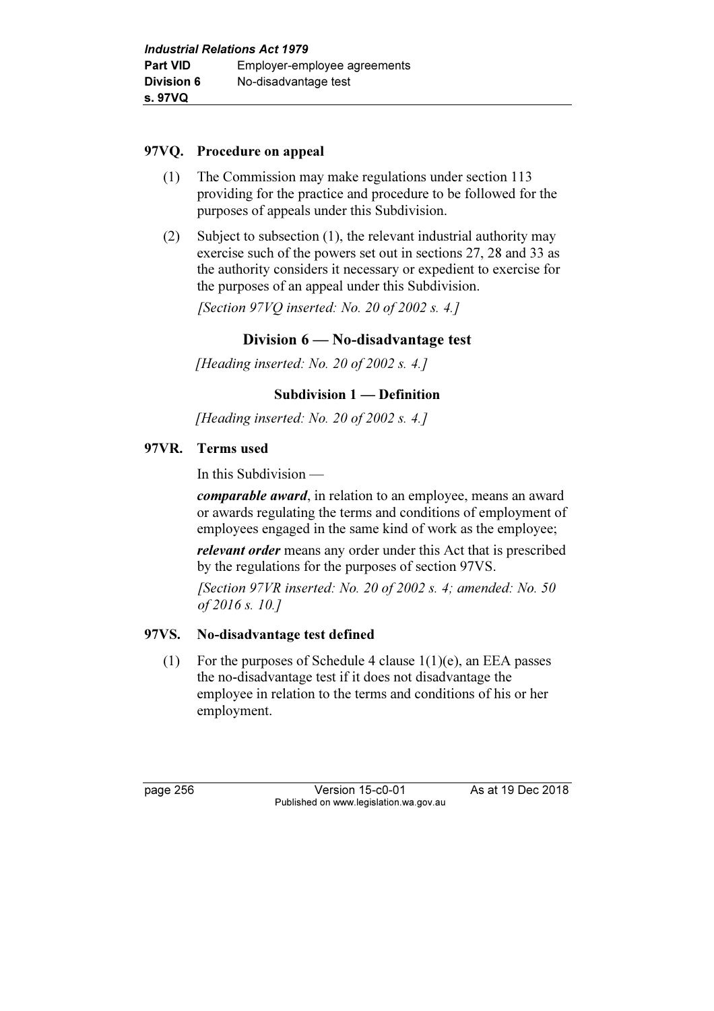## 97VQ. Procedure on appeal

- (1) The Commission may make regulations under section 113 providing for the practice and procedure to be followed for the purposes of appeals under this Subdivision.
- (2) Subject to subsection (1), the relevant industrial authority may exercise such of the powers set out in sections 27, 28 and 33 as the authority considers it necessary or expedient to exercise for the purposes of an appeal under this Subdivision.

[Section 97VQ inserted: No. 20 of 2002 s. 4.]

# Division 6 — No-disadvantage test

[Heading inserted: No. 20 of 2002 s. 4.]

## Subdivision 1 — Definition

[Heading inserted: No. 20 of 2002 s. 4.]

## 97VR. Terms used

In this Subdivision —

comparable award, in relation to an employee, means an award or awards regulating the terms and conditions of employment of employees engaged in the same kind of work as the employee;

relevant order means any order under this Act that is prescribed by the regulations for the purposes of section 97VS.

[Section  $97VR$  inserted: No. 20 of 2002 s. 4; amended: No. 50 of 2016 s. 10.]

#### 97VS. No-disadvantage test defined

(1) For the purposes of Schedule 4 clause  $1(1)(e)$ , an EEA passes the no-disadvantage test if it does not disadvantage the employee in relation to the terms and conditions of his or her employment.

page 256 Version 15-c0-01 As at 19 Dec 2018 Published on www.legislation.wa.gov.au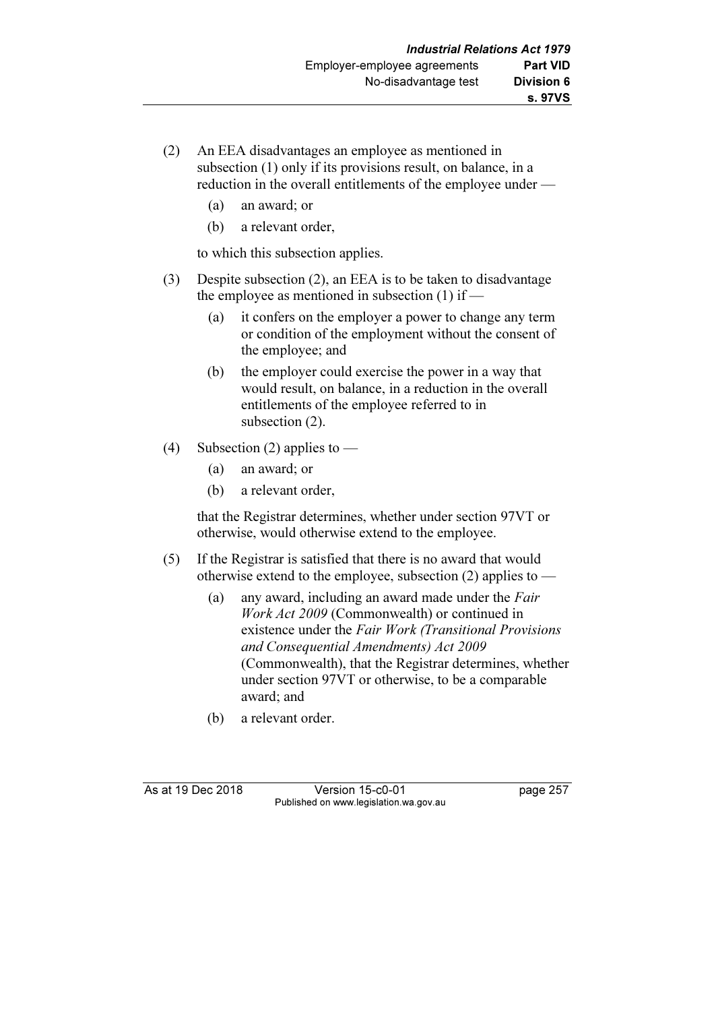- (2) An EEA disadvantages an employee as mentioned in subsection (1) only if its provisions result, on balance, in a reduction in the overall entitlements of the employee under —
	- (a) an award; or
	- (b) a relevant order,

to which this subsection applies.

- (3) Despite subsection (2), an EEA is to be taken to disadvantage the employee as mentioned in subsection  $(1)$  if —
	- (a) it confers on the employer a power to change any term or condition of the employment without the consent of the employee; and
	- (b) the employer could exercise the power in a way that would result, on balance, in a reduction in the overall entitlements of the employee referred to in subsection (2).
- (4) Subsection (2) applies to
	- (a) an award; or
	- (b) a relevant order,

 that the Registrar determines, whether under section 97VT or otherwise, would otherwise extend to the employee.

- (5) If the Registrar is satisfied that there is no award that would otherwise extend to the employee, subsection  $(2)$  applies to —
	- (a) any award, including an award made under the Fair Work Act 2009 (Commonwealth) or continued in existence under the Fair Work (Transitional Provisions and Consequential Amendments) Act 2009 (Commonwealth), that the Registrar determines, whether under section 97VT or otherwise, to be a comparable award; and
	- (b) a relevant order.

As at 19 Dec 2018 Version 15-c0-01 page 257 Published on www.legislation.wa.gov.au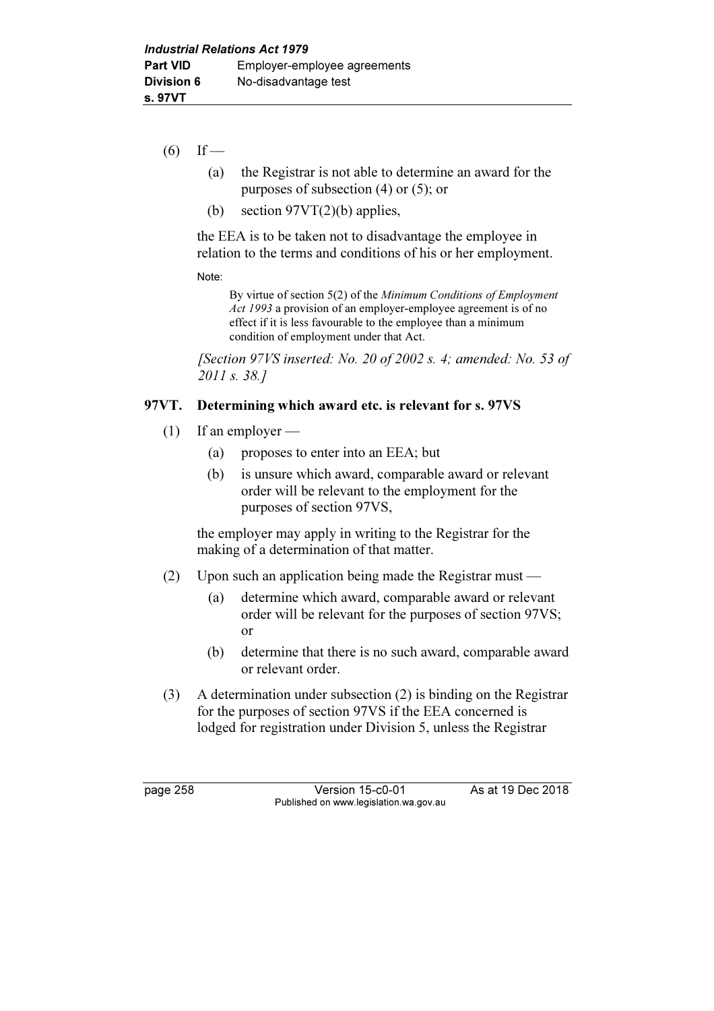- $(6)$  If
	- (a) the Registrar is not able to determine an award for the purposes of subsection (4) or (5); or
	- (b) section  $97VT(2)(b)$  applies,

 the EEA is to be taken not to disadvantage the employee in relation to the terms and conditions of his or her employment.

Note:

 By virtue of section 5(2) of the Minimum Conditions of Employment Act 1993 a provision of an employer-employee agreement is of no effect if it is less favourable to the employee than a minimum condition of employment under that Act.

[Section 97VS inserted: No. 20 of 2002 s. 4; amended: No. 53 of 2011 s. 38.1

## 97VT. Determining which award etc. is relevant for s. 97VS

- (1) If an employer
	- (a) proposes to enter into an EEA; but
	- (b) is unsure which award, comparable award or relevant order will be relevant to the employment for the purposes of section 97VS,

 the employer may apply in writing to the Registrar for the making of a determination of that matter.

- (2) Upon such an application being made the Registrar must
	- (a) determine which award, comparable award or relevant order will be relevant for the purposes of section 97VS; or
	- (b) determine that there is no such award, comparable award or relevant order.
- (3) A determination under subsection (2) is binding on the Registrar for the purposes of section 97VS if the EEA concerned is lodged for registration under Division 5, unless the Registrar

page 258 Version 15-c0-01 As at 19 Dec 2018 Published on www.legislation.wa.gov.au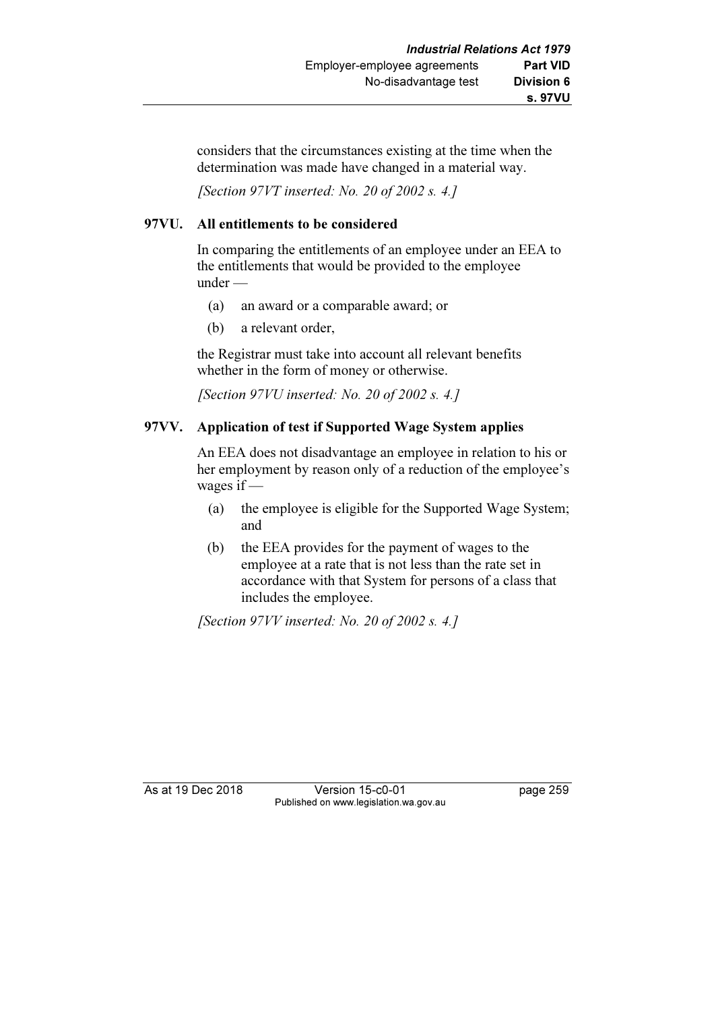considers that the circumstances existing at the time when the determination was made have changed in a material way.

[Section 97VT inserted: No. 20 of 2002 s. 4.]

## 97VU. All entitlements to be considered

 In comparing the entitlements of an employee under an EEA to the entitlements that would be provided to the employee under —

- (a) an award or a comparable award; or
- (b) a relevant order,

 the Registrar must take into account all relevant benefits whether in the form of money or otherwise.

[Section 97VU inserted: No. 20 of 2002 s. 4.]

## 97VV. Application of test if Supported Wage System applies

 An EEA does not disadvantage an employee in relation to his or her employment by reason only of a reduction of the employee's wages if —

- (a) the employee is eligible for the Supported Wage System; and
- (b) the EEA provides for the payment of wages to the employee at a rate that is not less than the rate set in accordance with that System for persons of a class that includes the employee.

[Section 97VV inserted: No. 20 of 2002 s. 4.]

As at 19 Dec 2018 Version 15-c0-01 page 259 Published on www.legislation.wa.gov.au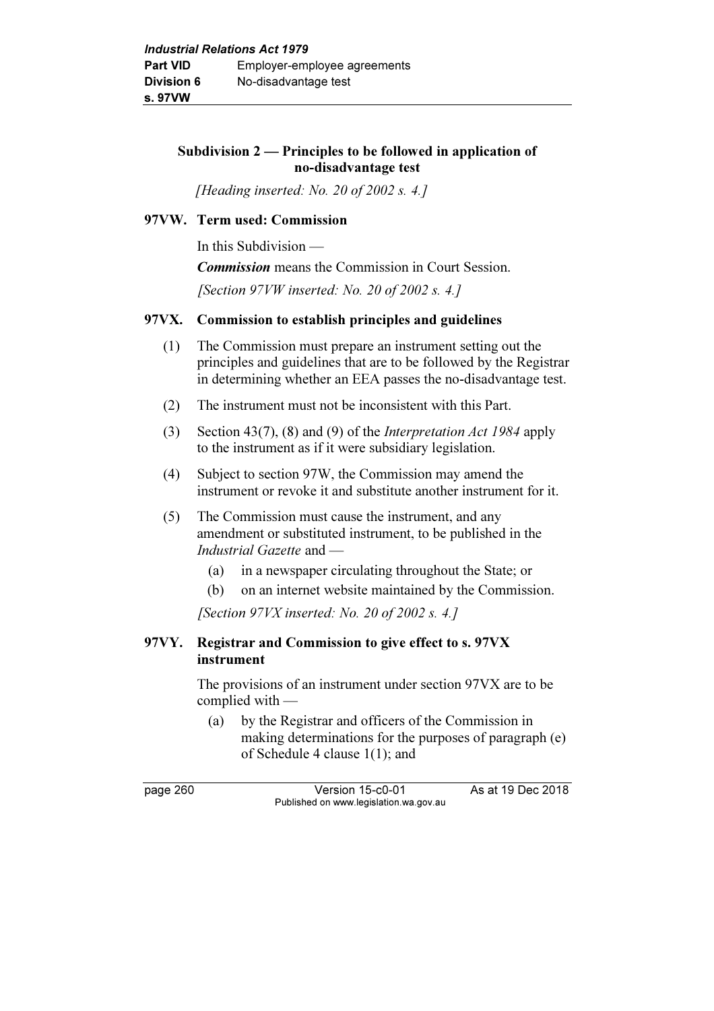## Subdivision 2 — Principles to be followed in application of no-disadvantage test

[Heading inserted: No. 20 of 2002 s. 4.]

#### 97VW. Term used: Commission

In this Subdivision —

Commission means the Commission in Court Session.

[Section 97VW inserted: No. 20 of 2002 s. 4.]

## 97VX. Commission to establish principles and guidelines

- (1) The Commission must prepare an instrument setting out the principles and guidelines that are to be followed by the Registrar in determining whether an EEA passes the no-disadvantage test.
- (2) The instrument must not be inconsistent with this Part.
- (3) Section 43(7), (8) and (9) of the Interpretation Act 1984 apply to the instrument as if it were subsidiary legislation.
- (4) Subject to section 97W, the Commission may amend the instrument or revoke it and substitute another instrument for it.
- (5) The Commission must cause the instrument, and any amendment or substituted instrument, to be published in the Industrial Gazette and —
	- (a) in a newspaper circulating throughout the State; or
	- (b) on an internet website maintained by the Commission.

[Section  $97VX$  inserted: No. 20 of 2002 s. 4.]

# 97VY. Registrar and Commission to give effect to s. 97VX instrument

 The provisions of an instrument under section 97VX are to be complied with —

 (a) by the Registrar and officers of the Commission in making determinations for the purposes of paragraph (e) of Schedule 4 clause 1(1); and

page 260 Version 15-c0-01 As at 19 Dec 2018 Published on www.legislation.wa.gov.au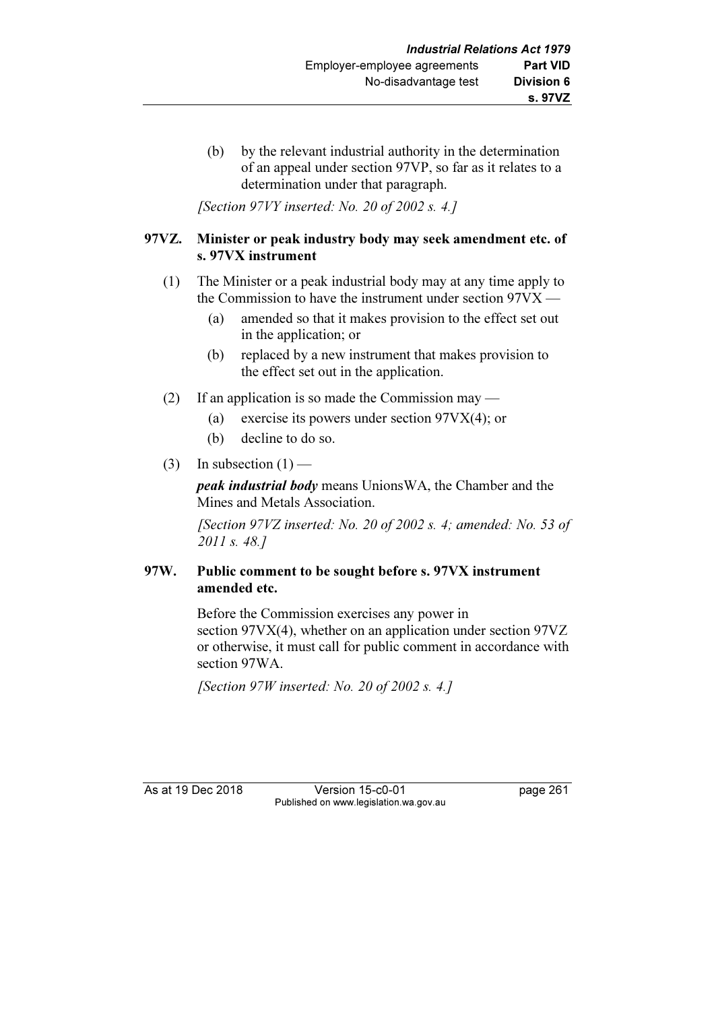(b) by the relevant industrial authority in the determination of an appeal under section 97VP, so far as it relates to a determination under that paragraph.

[Section 97VY inserted: No. 20 of 2002 s. 4.]

#### 97VZ. Minister or peak industry body may seek amendment etc. of s. 97VX instrument

- (1) The Minister or a peak industrial body may at any time apply to the Commission to have the instrument under section 97VX —
	- (a) amended so that it makes provision to the effect set out in the application; or
	- (b) replaced by a new instrument that makes provision to the effect set out in the application.
- (2) If an application is so made the Commission may
	- (a) exercise its powers under section 97VX(4); or
	- (b) decline to do so.
- (3) In subsection  $(1)$  —

peak industrial body means UnionsWA, the Chamber and the Mines and Metals Association.

 [Section 97VZ inserted: No. 20 of 2002 s. 4; amended: No. 53 of 2011 s. 48.]

## 97W. Public comment to be sought before s. 97VX instrument amended etc.

 Before the Commission exercises any power in section 97VX(4), whether on an application under section 97VZ or otherwise, it must call for public comment in accordance with section 97WA.

[Section 97W inserted: No. 20 of 2002 s. 4.]

As at 19 Dec 2018 Version 15-c0-01 page 261 Published on www.legislation.wa.gov.au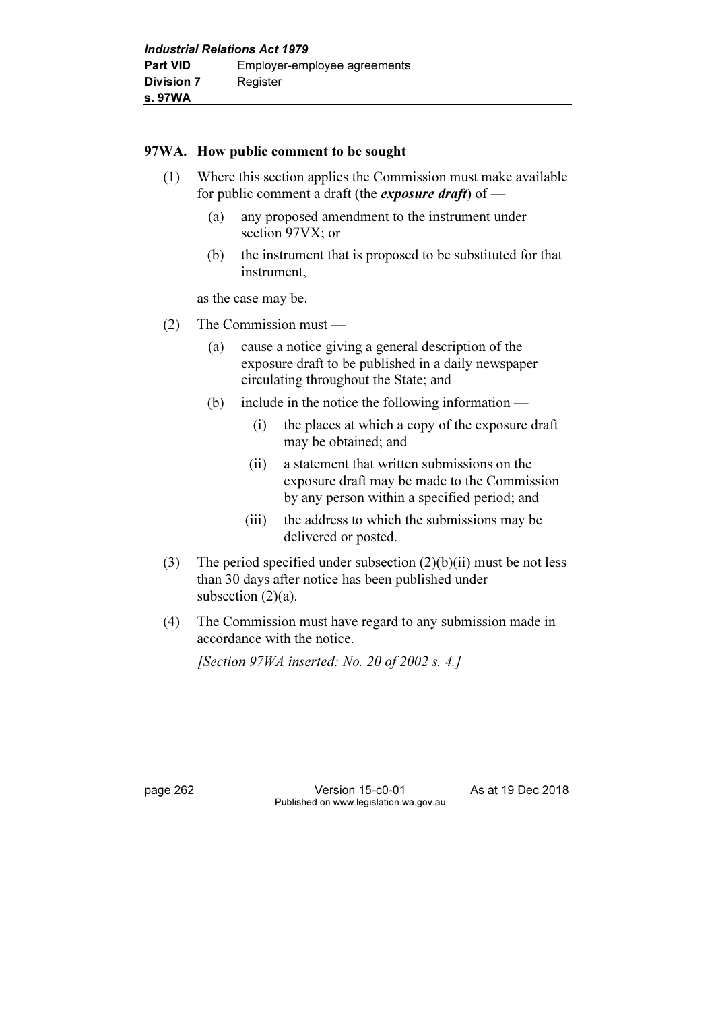#### 97WA. How public comment to be sought

- (1) Where this section applies the Commission must make available for public comment a draft (the *exposure draft*) of  $-$ 
	- (a) any proposed amendment to the instrument under section 97VX; or
	- (b) the instrument that is proposed to be substituted for that instrument,

as the case may be.

- (2) The Commission must
	- (a) cause a notice giving a general description of the exposure draft to be published in a daily newspaper circulating throughout the State; and
	- (b) include in the notice the following information
		- (i) the places at which a copy of the exposure draft may be obtained; and
		- (ii) a statement that written submissions on the exposure draft may be made to the Commission by any person within a specified period; and
		- (iii) the address to which the submissions may be delivered or posted.
- (3) The period specified under subsection  $(2)(b)(ii)$  must be not less than 30 days after notice has been published under subsection  $(2)(a)$ .
- (4) The Commission must have regard to any submission made in accordance with the notice.

[Section 97WA inserted: No. 20 of 2002 s. 4.]

page 262 Version 15-c0-01 As at 19 Dec 2018 Published on www.legislation.wa.gov.au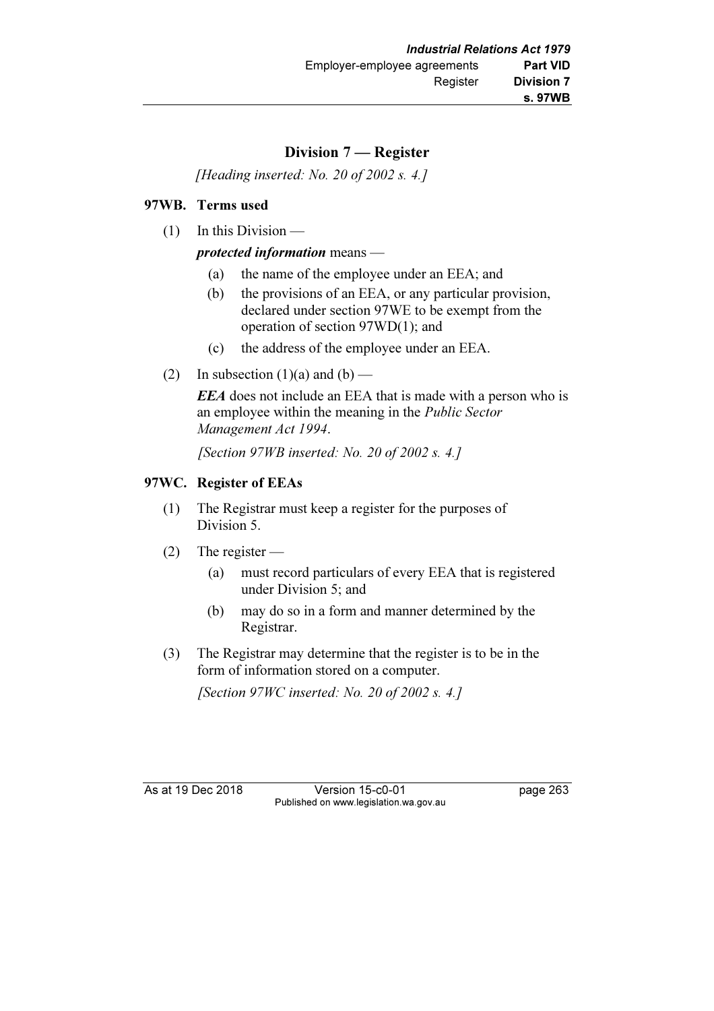# Division 7 — Register

[Heading inserted: No. 20 of 2002 s. 4.]

# 97WB. Terms used

(1) In this Division —

## protected information means —

- (a) the name of the employee under an EEA; and
- (b) the provisions of an EEA, or any particular provision, declared under section 97WE to be exempt from the operation of section 97WD(1); and
- (c) the address of the employee under an EEA.
- (2) In subsection  $(1)(a)$  and  $(b)$  —

**EEA** does not include an EEA that is made with a person who is an employee within the meaning in the Public Sector Management Act 1994.

[Section 97WB inserted: No. 20 of 2002 s. 4.]

# 97WC. Register of EEAs

- (1) The Registrar must keep a register for the purposes of Division 5.
- (2) The register
	- (a) must record particulars of every EEA that is registered under Division 5; and
	- (b) may do so in a form and manner determined by the Registrar.
- (3) The Registrar may determine that the register is to be in the form of information stored on a computer.

[Section 97WC inserted: No. 20 of 2002 s. 4.]

As at 19 Dec 2018 Version 15-c0-01 page 263 Published on www.legislation.wa.gov.au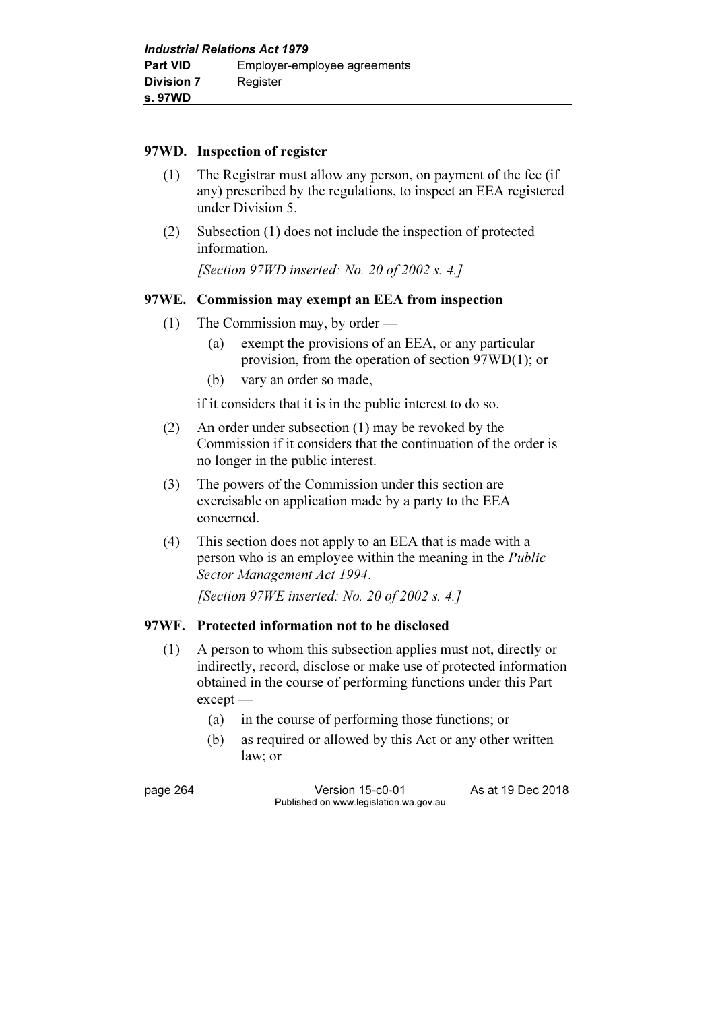## 97WD. Inspection of register

- (1) The Registrar must allow any person, on payment of the fee (if any) prescribed by the regulations, to inspect an EEA registered under Division 5.
- (2) Subsection (1) does not include the inspection of protected information.

[Section 97WD inserted: No. 20 of 2002 s. 4.]

## 97WE. Commission may exempt an EEA from inspection

- (1) The Commission may, by order
	- (a) exempt the provisions of an EEA, or any particular provision, from the operation of section 97WD(1); or
	- (b) vary an order so made,

if it considers that it is in the public interest to do so.

- (2) An order under subsection (1) may be revoked by the Commission if it considers that the continuation of the order is no longer in the public interest.
- (3) The powers of the Commission under this section are exercisable on application made by a party to the EEA concerned.
- (4) This section does not apply to an EEA that is made with a person who is an employee within the meaning in the Public Sector Management Act 1994.

[Section 97WE inserted: No. 20 of 2002 s. 4.]

# 97WF. Protected information not to be disclosed

- (1) A person to whom this subsection applies must not, directly or indirectly, record, disclose or make use of protected information obtained in the course of performing functions under this Part except —
	- (a) in the course of performing those functions; or
	- (b) as required or allowed by this Act or any other written law; or

page 264 Version 15-c0-01 As at 19 Dec 2018 Published on www.legislation.wa.gov.au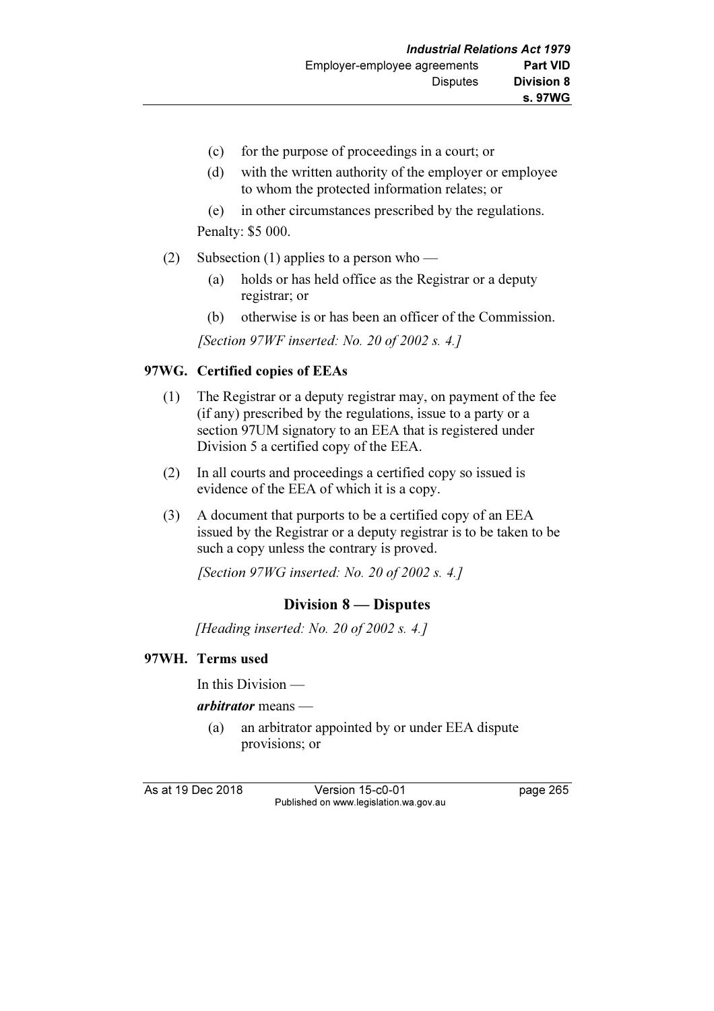- (c) for the purpose of proceedings in a court; or
- (d) with the written authority of the employer or employee to whom the protected information relates; or
- (e) in other circumstances prescribed by the regulations.

Penalty: \$5 000.

- (2) Subsection (1) applies to a person who
	- (a) holds or has held office as the Registrar or a deputy registrar; or
	- (b) otherwise is or has been an officer of the Commission.

[Section 97WF inserted: No. 20 of 2002 s. 4.]

# 97WG. Certified copies of EEAs

- (1) The Registrar or a deputy registrar may, on payment of the fee (if any) prescribed by the regulations, issue to a party or a section 97UM signatory to an EEA that is registered under Division 5 a certified copy of the EEA.
- (2) In all courts and proceedings a certified copy so issued is evidence of the EEA of which it is a copy.
- (3) A document that purports to be a certified copy of an EEA issued by the Registrar or a deputy registrar is to be taken to be such a copy unless the contrary is proved.

[Section 97WG inserted: No. 20 of 2002 s. 4.]

# Division 8 — Disputes

[Heading inserted: No. 20 of 2002 s. 4.]

# 97WH. Terms used

In this Division —

arbitrator means —

 (a) an arbitrator appointed by or under EEA dispute provisions; or

As at 19 Dec 2018 Version 15-c0-01 page 265 Published on www.legislation.wa.gov.au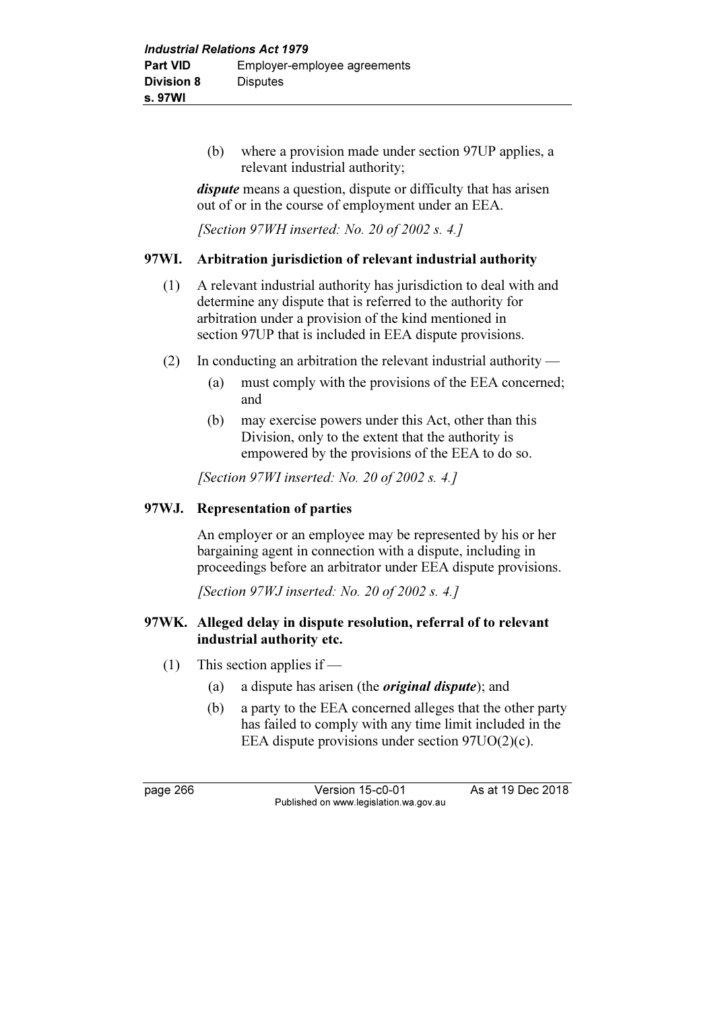(b) where a provision made under section 97UP applies, a relevant industrial authority;

dispute means a question, dispute or difficulty that has arisen out of or in the course of employment under an EEA.

[Section 97WH inserted: No. 20 of 2002 s. 4.]

## 97WI. Arbitration jurisdiction of relevant industrial authority

- (1) A relevant industrial authority has jurisdiction to deal with and determine any dispute that is referred to the authority for arbitration under a provision of the kind mentioned in section 97UP that is included in EEA dispute provisions.
- (2) In conducting an arbitration the relevant industrial authority
	- (a) must comply with the provisions of the EEA concerned; and
	- (b) may exercise powers under this Act, other than this Division, only to the extent that the authority is empowered by the provisions of the EEA to do so.

[Section 97WI inserted: No. 20 of 2002 s. 4.]

## 97WJ. Representation of parties

 An employer or an employee may be represented by his or her bargaining agent in connection with a dispute, including in proceedings before an arbitrator under EEA dispute provisions.

[Section 97WJ inserted: No. 20 of 2002 s. 4.]

#### 97WK. Alleged delay in dispute resolution, referral of to relevant industrial authority etc.

- (1) This section applies if
	- (a) a dispute has arisen (the original dispute); and
	- (b) a party to the EEA concerned alleges that the other party has failed to comply with any time limit included in the EEA dispute provisions under section 97UO(2)(c).

page 266 Version 15-c0-01 As at 19 Dec 2018 Published on www.legislation.wa.gov.au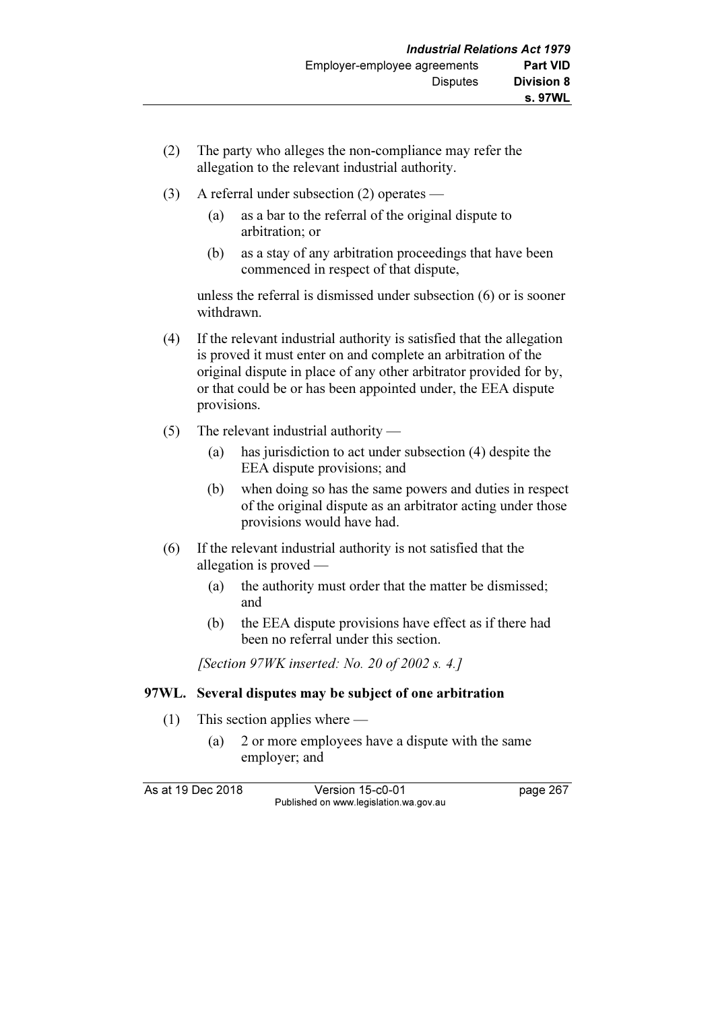- (2) The party who alleges the non-compliance may refer the allegation to the relevant industrial authority.
- (3) A referral under subsection (2) operates
	- (a) as a bar to the referral of the original dispute to arbitration; or
	- (b) as a stay of any arbitration proceedings that have been commenced in respect of that dispute,

 unless the referral is dismissed under subsection (6) or is sooner withdrawn.

- (4) If the relevant industrial authority is satisfied that the allegation is proved it must enter on and complete an arbitration of the original dispute in place of any other arbitrator provided for by, or that could be or has been appointed under, the EEA dispute provisions.
- (5) The relevant industrial authority
	- (a) has jurisdiction to act under subsection (4) despite the EEA dispute provisions; and
	- (b) when doing so has the same powers and duties in respect of the original dispute as an arbitrator acting under those provisions would have had.
- (6) If the relevant industrial authority is not satisfied that the allegation is proved —
	- (a) the authority must order that the matter be dismissed; and
	- (b) the EEA dispute provisions have effect as if there had been no referral under this section.

[Section  $97WK$  inserted: No. 20 of 2002 s. 4.]

# 97WL. Several disputes may be subject of one arbitration

- (1) This section applies where
	- (a) 2 or more employees have a dispute with the same employer; and

As at 19 Dec 2018 Version 15-c0-01 page 267 Published on www.legislation.wa.gov.au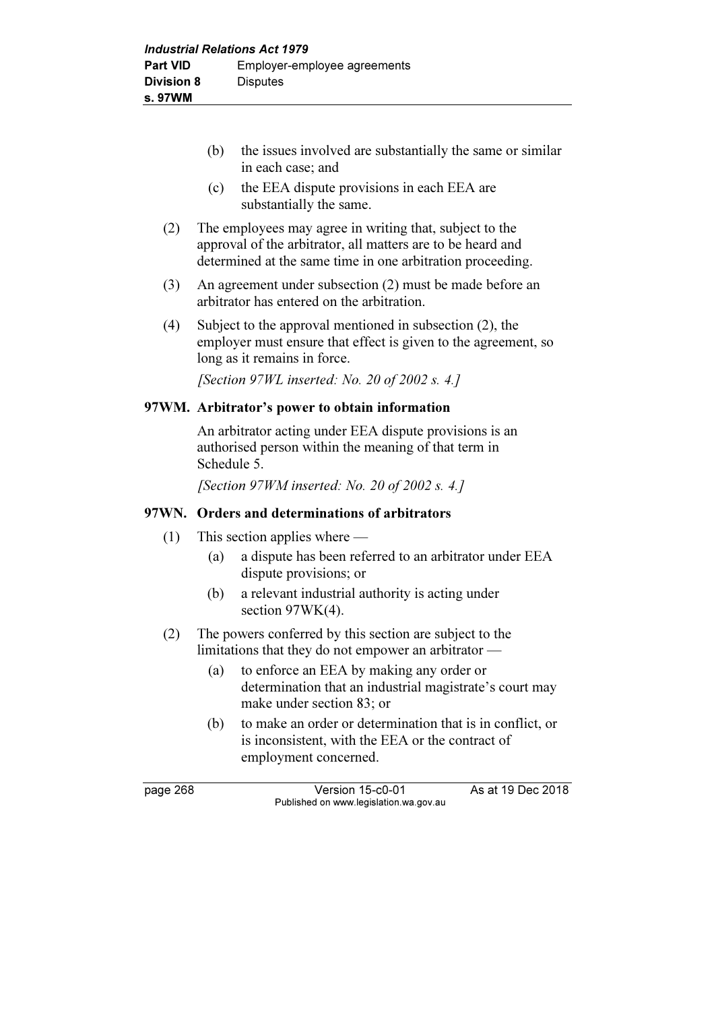- (b) the issues involved are substantially the same or similar in each case; and
- (c) the EEA dispute provisions in each EEA are substantially the same.
- (2) The employees may agree in writing that, subject to the approval of the arbitrator, all matters are to be heard and determined at the same time in one arbitration proceeding.
- (3) An agreement under subsection (2) must be made before an arbitrator has entered on the arbitration.
- (4) Subject to the approval mentioned in subsection (2), the employer must ensure that effect is given to the agreement, so long as it remains in force.

[Section 97WL inserted: No. 20 of 2002 s. 4.]

#### 97WM. Arbitrator's power to obtain information

 An arbitrator acting under EEA dispute provisions is an authorised person within the meaning of that term in Schedule 5.

[Section 97WM inserted: No. 20 of 2002 s. 4.]

#### 97WN. Orders and determinations of arbitrators

- (1) This section applies where
	- (a) a dispute has been referred to an arbitrator under EEA dispute provisions; or
	- (b) a relevant industrial authority is acting under section 97WK(4).
- (2) The powers conferred by this section are subject to the limitations that they do not empower an arbitrator —
	- (a) to enforce an EEA by making any order or determination that an industrial magistrate's court may make under section 83; or
	- (b) to make an order or determination that is in conflict, or is inconsistent, with the EEA or the contract of employment concerned.

page 268 Version 15-c0-01 As at 19 Dec 2018 Published on www.legislation.wa.gov.au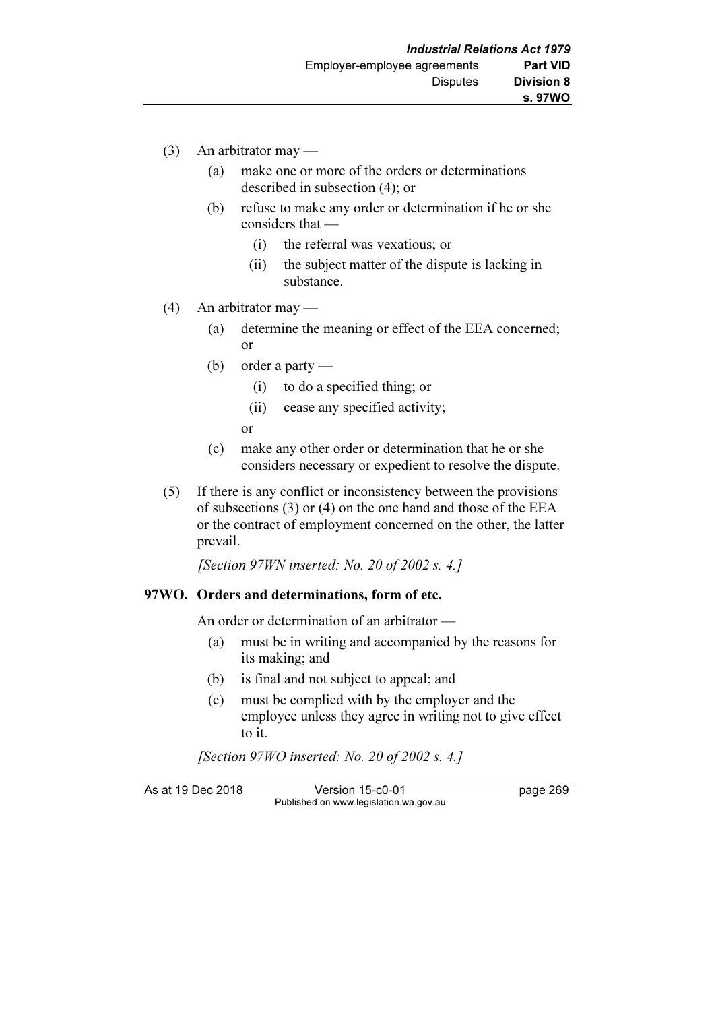- (3) An arbitrator may
	- (a) make one or more of the orders or determinations described in subsection (4); or
	- (b) refuse to make any order or determination if he or she considers that —
		- (i) the referral was vexatious; or
		- (ii) the subject matter of the dispute is lacking in substance.
- (4) An arbitrator may
	- (a) determine the meaning or effect of the EEA concerned; or
	- (b) order a party
		- (i) to do a specified thing; or
		- (ii) cease any specified activity;

or

- (c) make any other order or determination that he or she considers necessary or expedient to resolve the dispute.
- (5) If there is any conflict or inconsistency between the provisions of subsections (3) or (4) on the one hand and those of the EEA or the contract of employment concerned on the other, the latter prevail.

[Section 97WN inserted: No. 20 of 2002 s. 4.]

#### 97WO. Orders and determinations, form of etc.

An order or determination of an arbitrator —

- (a) must be in writing and accompanied by the reasons for its making; and
- (b) is final and not subject to appeal; and
- (c) must be complied with by the employer and the employee unless they agree in writing not to give effect to it.

[Section 97WO inserted: No. 20 of 2002 s. 4.]

As at 19 Dec 2018 Version 15-c0-01 page 269 Published on www.legislation.wa.gov.au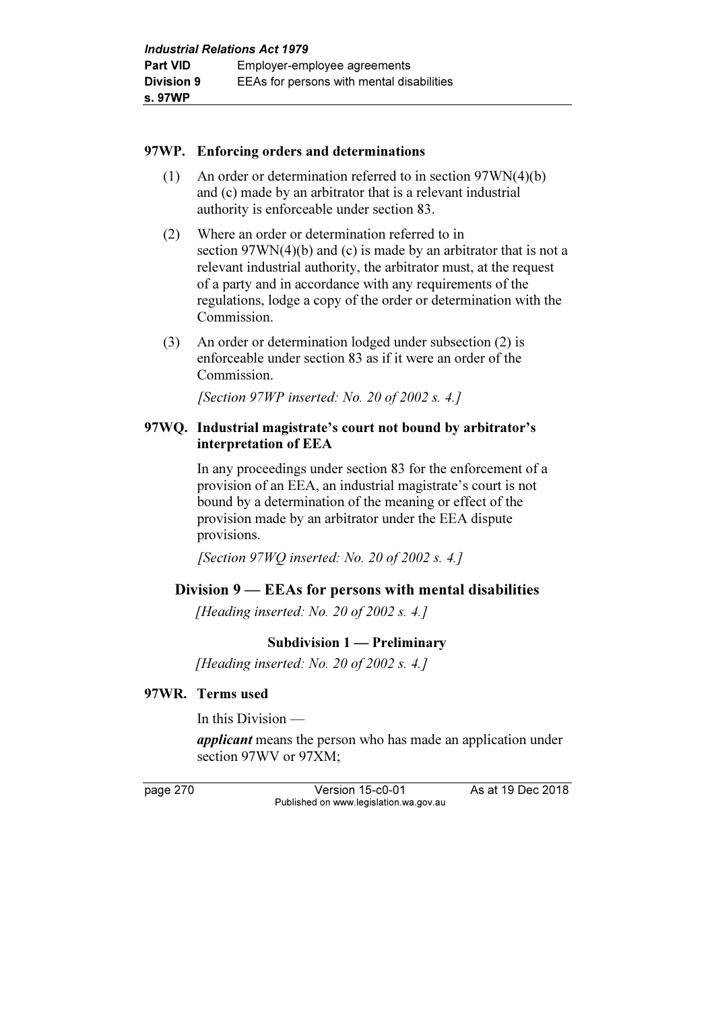#### 97WP. Enforcing orders and determinations

- (1) An order or determination referred to in section 97WN(4)(b) and (c) made by an arbitrator that is a relevant industrial authority is enforceable under section 83.
- (2) Where an order or determination referred to in section 97WN(4)(b) and (c) is made by an arbitrator that is not a relevant industrial authority, the arbitrator must, at the request of a party and in accordance with any requirements of the regulations, lodge a copy of the order or determination with the Commission.
- (3) An order or determination lodged under subsection (2) is enforceable under section 83 as if it were an order of the Commission.

[Section 97WP inserted: No. 20 of 2002 s. 4.]

## 97WQ. Industrial magistrate's court not bound by arbitrator's interpretation of EEA

 In any proceedings under section 83 for the enforcement of a provision of an EEA, an industrial magistrate's court is not bound by a determination of the meaning or effect of the provision made by an arbitrator under the EEA dispute provisions.

[Section 97WQ inserted: No. 20 of 2002 s. 4.]

# Division 9 — EEAs for persons with mental disabilities

[Heading inserted: No. 20 of 2002 s. 4.]

# Subdivision 1 — Preliminary

[Heading inserted: No. 20 of 2002 s. 4.]

# 97WR. Terms used

In this Division —

applicant means the person who has made an application under section 97WV or 97XM;

page 270 Version 15-c0-01 As at 19 Dec 2018 Published on www.legislation.wa.gov.au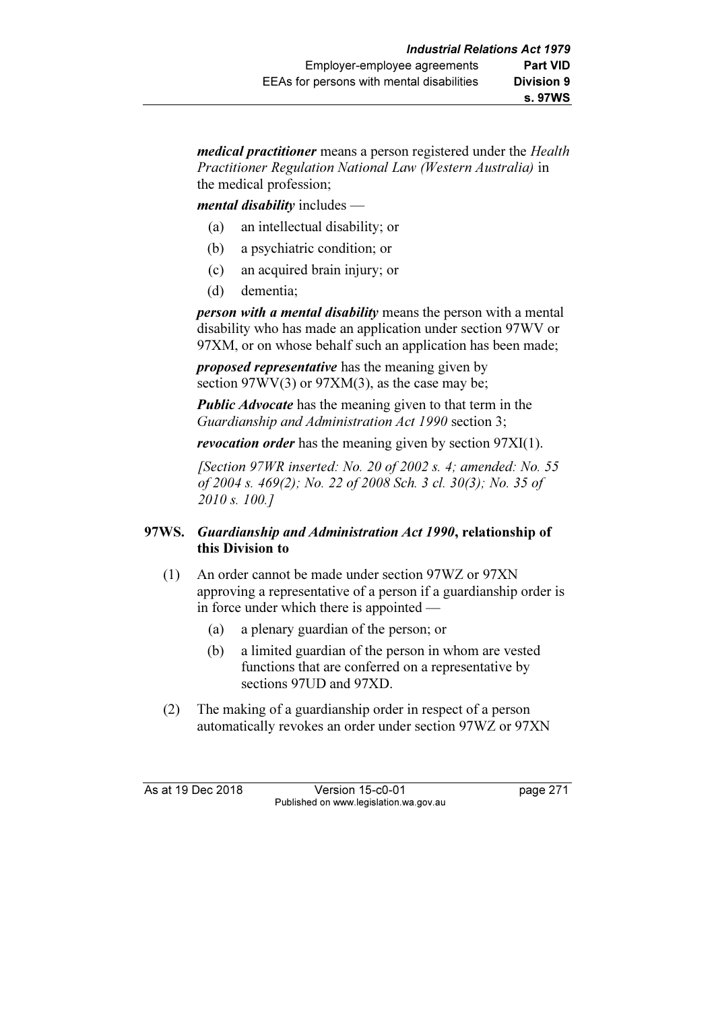medical practitioner means a person registered under the Health Practitioner Regulation National Law (Western Australia) in the medical profession;

 $$ 

- (a) an intellectual disability; or
- (b) a psychiatric condition; or
- (c) an acquired brain injury; or
- (d) dementia;

**person with a mental disability** means the person with a mental disability who has made an application under section 97WV or 97XM, or on whose behalf such an application has been made;

proposed representative has the meaning given by section  $97WV(3)$  or  $97XM(3)$ , as the case may be;

**Public Advocate** has the meaning given to that term in the Guardianship and Administration Act 1990 section 3;

revocation order has the meaning given by section 97XI(1).

[Section 97WR inserted: No. 20 of 2002 s. 4; amended: No. 55] of 2004 s. 469(2); No. 22 of 2008 Sch. 3 cl. 30(3); No. 35 of 2010 s. 100.]

# 97WS. Guardianship and Administration Act 1990, relationship of this Division to

- (1) An order cannot be made under section 97WZ or 97XN approving a representative of a person if a guardianship order is in force under which there is appointed —
	- (a) a plenary guardian of the person; or
	- (b) a limited guardian of the person in whom are vested functions that are conferred on a representative by sections 97UD and 97XD.
- (2) The making of a guardianship order in respect of a person automatically revokes an order under section 97WZ or 97XN

As at 19 Dec 2018 Version 15-c0-01 page 271 Published on www.legislation.wa.gov.au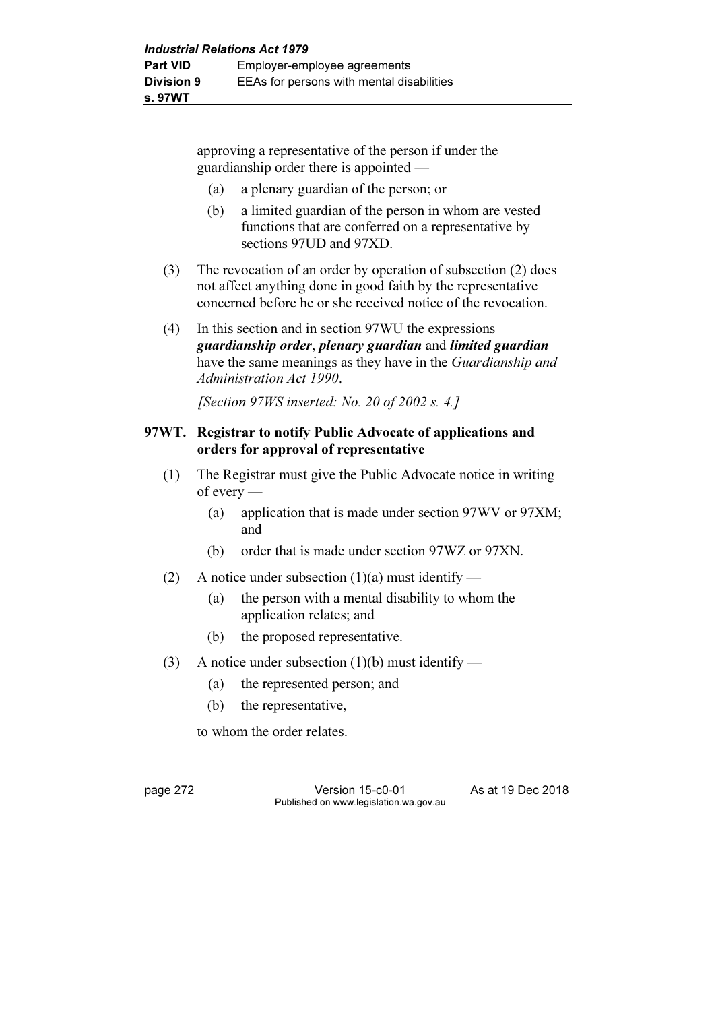approving a representative of the person if under the guardianship order there is appointed —

- (a) a plenary guardian of the person; or
- (b) a limited guardian of the person in whom are vested functions that are conferred on a representative by sections 97UD and 97XD.
- (3) The revocation of an order by operation of subsection (2) does not affect anything done in good faith by the representative concerned before he or she received notice of the revocation.
- (4) In this section and in section 97WU the expressions guardianship order, plenary guardian and limited guardian have the same meanings as they have in the *Guardianship and* Administration Act 1990.

[Section 97WS inserted: No. 20 of 2002 s. 4.]

### 97WT. Registrar to notify Public Advocate of applications and orders for approval of representative

- (1) The Registrar must give the Public Advocate notice in writing of every —
	- (a) application that is made under section 97WV or 97XM; and
	- (b) order that is made under section 97WZ or 97XN.
- (2) A notice under subsection  $(1)(a)$  must identify
	- (a) the person with a mental disability to whom the application relates; and
	- (b) the proposed representative.
- (3) A notice under subsection (1)(b) must identify
	- (a) the represented person; and
	- (b) the representative,

to whom the order relates.

page 272 Version 15-c0-01 As at 19 Dec 2018 Published on www.legislation.wa.gov.au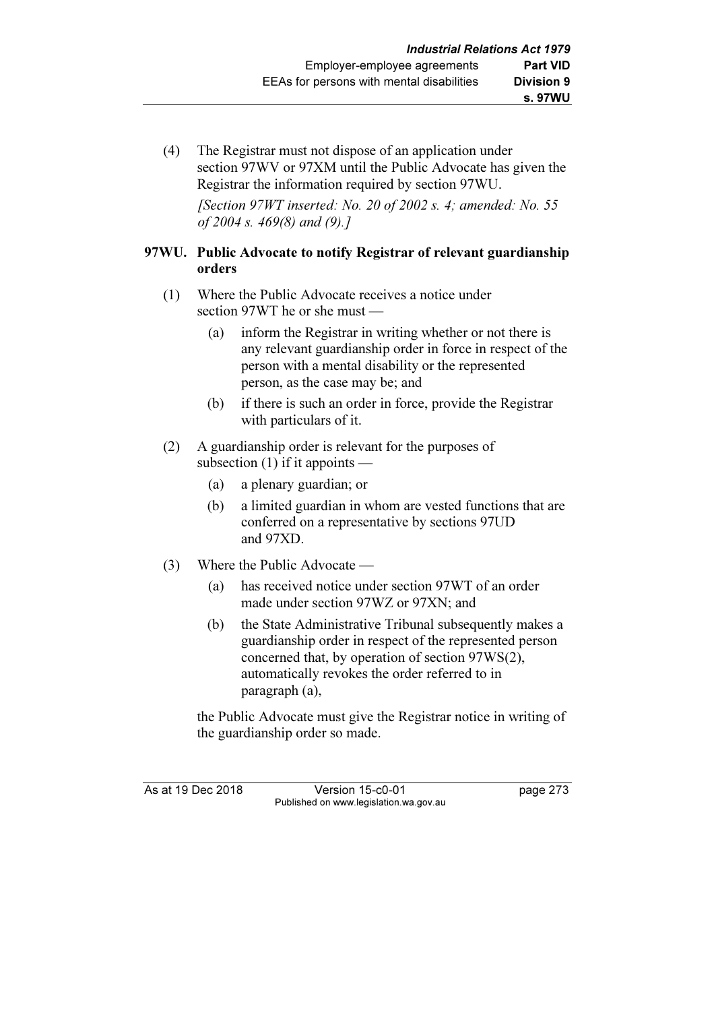(4) The Registrar must not dispose of an application under section 97WV or 97XM until the Public Advocate has given the Registrar the information required by section 97WU.

[Section  $97WT$  inserted: No. 20 of 2002 s. 4; amended: No. 55 of 2004 s. 469(8) and (9).]

### 97WU. Public Advocate to notify Registrar of relevant guardianship orders

- (1) Where the Public Advocate receives a notice under section 97WT he or she must —
	- (a) inform the Registrar in writing whether or not there is any relevant guardianship order in force in respect of the person with a mental disability or the represented person, as the case may be; and
	- (b) if there is such an order in force, provide the Registrar with particulars of it.
- (2) A guardianship order is relevant for the purposes of subsection (1) if it appoints —
	- (a) a plenary guardian; or
	- (b) a limited guardian in whom are vested functions that are conferred on a representative by sections 97UD and 97XD.
- (3) Where the Public Advocate
	- (a) has received notice under section 97WT of an order made under section 97WZ or 97XN; and
	- (b) the State Administrative Tribunal subsequently makes a guardianship order in respect of the represented person concerned that, by operation of section 97WS(2), automatically revokes the order referred to in paragraph (a),

 the Public Advocate must give the Registrar notice in writing of the guardianship order so made.

As at 19 Dec 2018 Version 15-c0-01 page 273 Published on www.legislation.wa.gov.au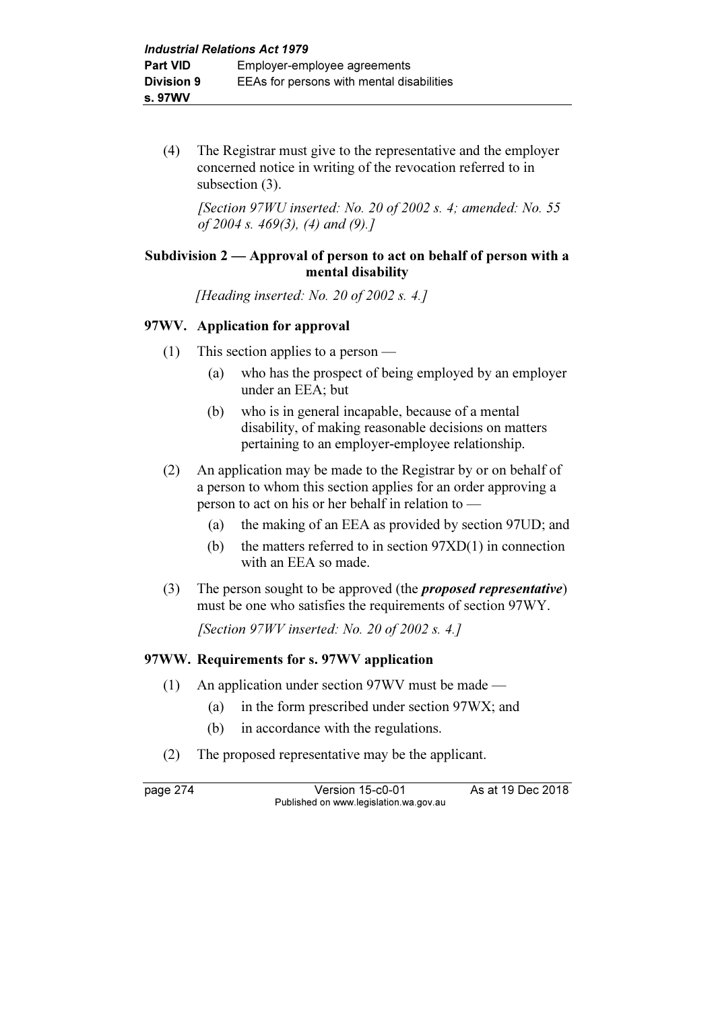(4) The Registrar must give to the representative and the employer concerned notice in writing of the revocation referred to in subsection  $(3)$ .

[Section 97WU inserted: No. 20 of 2002 s. 4; amended: No. 55 of 2004 s. 469(3), (4) and (9).]

### Subdivision 2 — Approval of person to act on behalf of person with a mental disability

[Heading inserted: No. 20 of 2002 s. 4.]

### 97WV. Application for approval

- (1) This section applies to a person
	- (a) who has the prospect of being employed by an employer under an EEA; but
	- (b) who is in general incapable, because of a mental disability, of making reasonable decisions on matters pertaining to an employer-employee relationship.
- (2) An application may be made to the Registrar by or on behalf of a person to whom this section applies for an order approving a person to act on his or her behalf in relation to —
	- (a) the making of an EEA as provided by section 97UD; and
	- (b) the matters referred to in section 97XD(1) in connection with an EEA so made.
- (3) The person sought to be approved (the proposed representative) must be one who satisfies the requirements of section 97WY.

[Section  $97WV$  inserted: No. 20 of 2002 s. 4.]

# 97WW. Requirements for s. 97WV application

- (1) An application under section 97WV must be made
	- (a) in the form prescribed under section 97WX; and
	- (b) in accordance with the regulations.
- (2) The proposed representative may be the applicant.

page 274 Version 15-c0-01 As at 19 Dec 2018 Published on www.legislation.wa.gov.au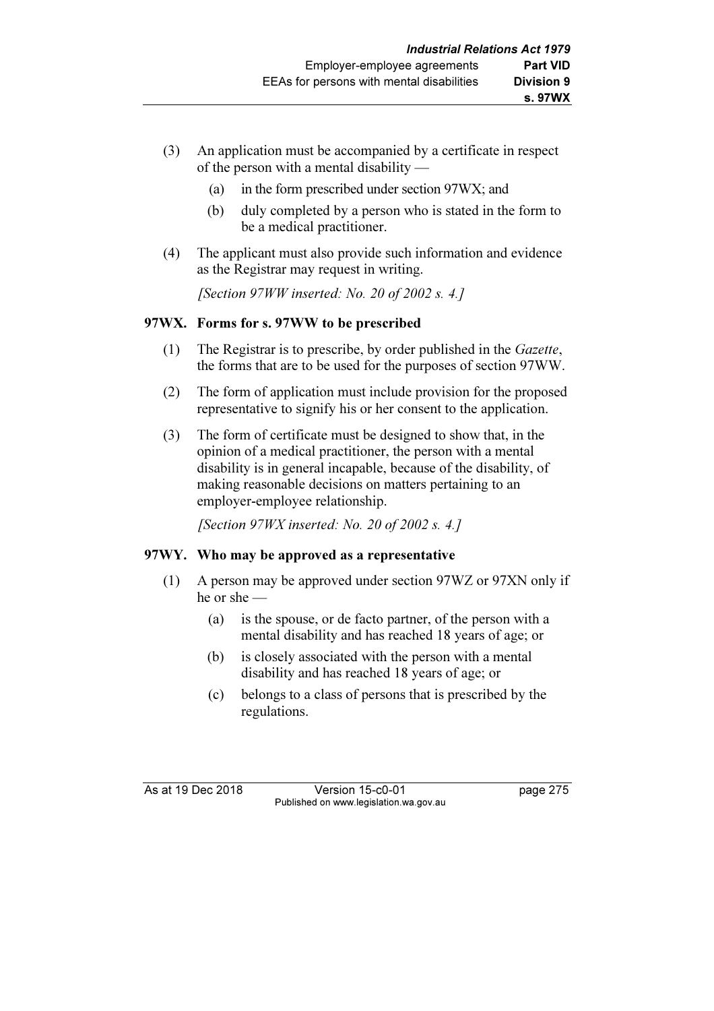- (3) An application must be accompanied by a certificate in respect of the person with a mental disability —
	- (a) in the form prescribed under section 97WX; and
	- (b) duly completed by a person who is stated in the form to be a medical practitioner.
- (4) The applicant must also provide such information and evidence as the Registrar may request in writing.

[Section 97WW inserted: No. 20 of 2002 s. 4.]

# 97WX. Forms for s. 97WW to be prescribed

- (1) The Registrar is to prescribe, by order published in the Gazette, the forms that are to be used for the purposes of section 97WW.
- (2) The form of application must include provision for the proposed representative to signify his or her consent to the application.
- (3) The form of certificate must be designed to show that, in the opinion of a medical practitioner, the person with a mental disability is in general incapable, because of the disability, of making reasonable decisions on matters pertaining to an employer-employee relationship.

[Section  $97WX$  inserted: No. 20 of 2002 s. 4.]

# 97WY. Who may be approved as a representative

- (1) A person may be approved under section 97WZ or 97XN only if he or she —
	- (a) is the spouse, or de facto partner, of the person with a mental disability and has reached 18 years of age; or
	- (b) is closely associated with the person with a mental disability and has reached 18 years of age; or
	- (c) belongs to a class of persons that is prescribed by the regulations.

As at 19 Dec 2018 Version 15-c0-01 page 275 Published on www.legislation.wa.gov.au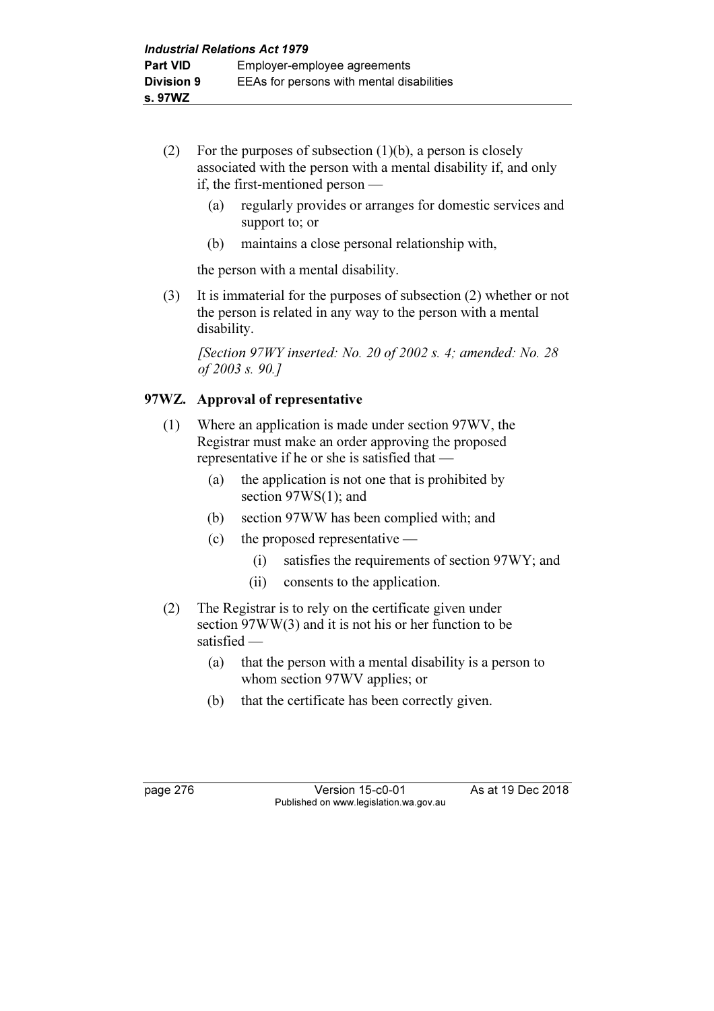- (2) For the purposes of subsection  $(1)(b)$ , a person is closely associated with the person with a mental disability if, and only if, the first-mentioned person —
	- (a) regularly provides or arranges for domestic services and support to; or
	- (b) maintains a close personal relationship with,

the person with a mental disability.

 (3) It is immaterial for the purposes of subsection (2) whether or not the person is related in any way to the person with a mental disability.

[Section  $97WY$  inserted: No. 20 of 2002 s. 4; amended: No. 28 of 2003 s. 90.]

# 97WZ. Approval of representative

- (1) Where an application is made under section 97WV, the Registrar must make an order approving the proposed representative if he or she is satisfied that —
	- (a) the application is not one that is prohibited by section 97WS(1); and
	- (b) section 97WW has been complied with; and
	- (c) the proposed representative
		- (i) satisfies the requirements of section 97WY; and
		- (ii) consents to the application.
- (2) The Registrar is to rely on the certificate given under section 97WW(3) and it is not his or her function to be satisfied —
	- (a) that the person with a mental disability is a person to whom section 97WV applies; or
	- (b) that the certificate has been correctly given.

page 276 Version 15-c0-01 As at 19 Dec 2018 Published on www.legislation.wa.gov.au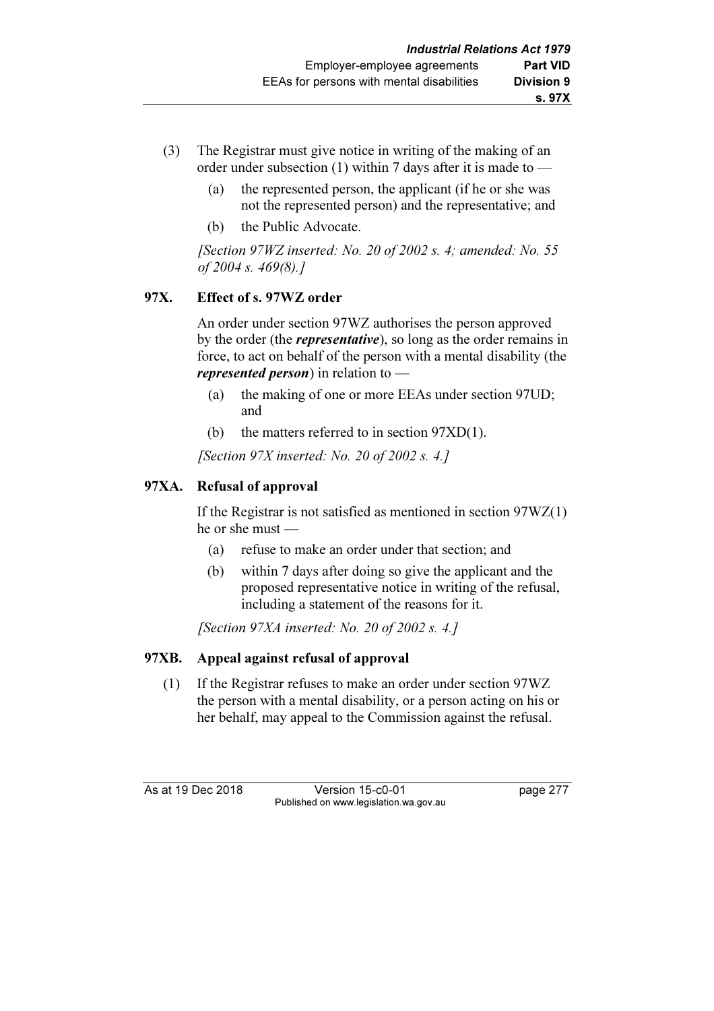- (3) The Registrar must give notice in writing of the making of an order under subsection (1) within 7 days after it is made to —
	- (a) the represented person, the applicant (if he or she was not the represented person) and the representative; and
	- (b) the Public Advocate.

[Section  $97WZ$  inserted: No. 20 of 2002 s. 4; amended: No. 55 of 2004 s. 469(8).]

# 97X. Effect of s. 97WZ order

 An order under section 97WZ authorises the person approved by the order (the *representative*), so long as the order remains in force, to act on behalf of the person with a mental disability (the *represented person*) in relation to  $-$ 

- (a) the making of one or more EEAs under section 97UD; and
- (b) the matters referred to in section 97XD(1).

[Section 97X inserted: No. 20 of 2002 s. 4.]

# 97XA. Refusal of approval

 If the Registrar is not satisfied as mentioned in section 97WZ(1) he or she must —

- (a) refuse to make an order under that section; and
- (b) within 7 days after doing so give the applicant and the proposed representative notice in writing of the refusal, including a statement of the reasons for it.

[Section 97XA inserted: No. 20 of 2002 s. 4.]

# 97XB. Appeal against refusal of approval

 (1) If the Registrar refuses to make an order under section 97WZ the person with a mental disability, or a person acting on his or her behalf, may appeal to the Commission against the refusal.

As at 19 Dec 2018 Version 15-c0-01 page 277 Published on www.legislation.wa.gov.au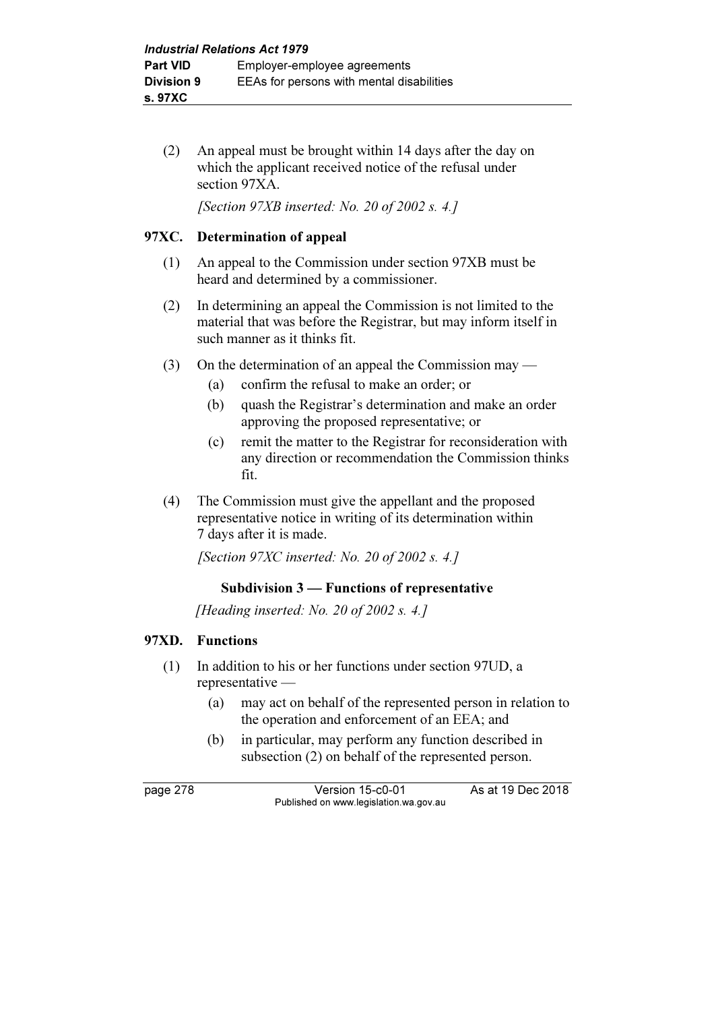(2) An appeal must be brought within 14 days after the day on which the applicant received notice of the refusal under section 97XA.

[Section 97XB inserted: No. 20 of 2002 s. 4.]

### 97XC. Determination of appeal

- (1) An appeal to the Commission under section 97XB must be heard and determined by a commissioner.
- (2) In determining an appeal the Commission is not limited to the material that was before the Registrar, but may inform itself in such manner as it thinks fit.
- (3) On the determination of an appeal the Commission may
	- (a) confirm the refusal to make an order; or
	- (b) quash the Registrar's determination and make an order approving the proposed representative; or
	- (c) remit the matter to the Registrar for reconsideration with any direction or recommendation the Commission thinks fit.
- (4) The Commission must give the appellant and the proposed representative notice in writing of its determination within 7 days after it is made.

[Section 97XC inserted: No. 20 of 2002 s. 4.]

### Subdivision 3 — Functions of representative

[Heading inserted: No. 20 of 2002 s. 4.]

#### 97XD. Functions

- (1) In addition to his or her functions under section 97UD, a representative —
	- (a) may act on behalf of the represented person in relation to the operation and enforcement of an EEA; and
	- (b) in particular, may perform any function described in subsection (2) on behalf of the represented person.

page 278 Version 15-c0-01 As at 19 Dec 2018 Published on www.legislation.wa.gov.au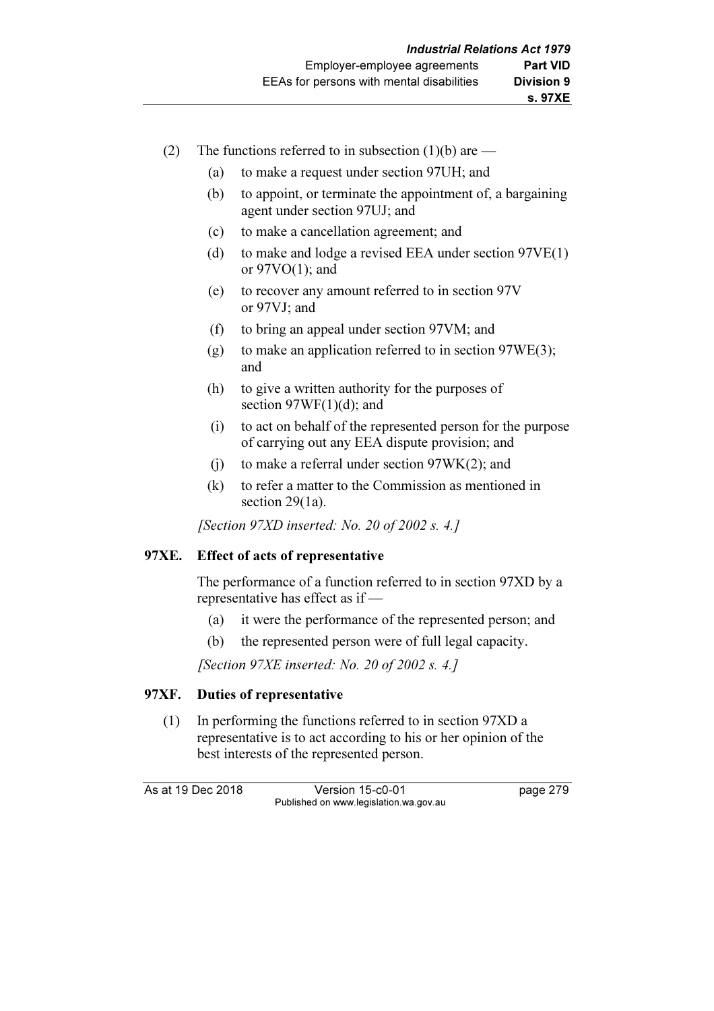- (2) The functions referred to in subsection  $(1)(b)$  are
	- (a) to make a request under section 97UH; and
	- (b) to appoint, or terminate the appointment of, a bargaining agent under section 97UJ; and
	- (c) to make a cancellation agreement; and
	- (d) to make and lodge a revised EEA under section 97VE(1) or  $97VO(1)$ ; and
	- (e) to recover any amount referred to in section 97V or 97VJ; and
	- (f) to bring an appeal under section 97VM; and
	- (g) to make an application referred to in section 97WE(3); and
	- (h) to give a written authority for the purposes of section  $97WF(1)(d)$ ; and
	- (i) to act on behalf of the represented person for the purpose of carrying out any EEA dispute provision; and
	- (j) to make a referral under section 97WK(2); and
	- (k) to refer a matter to the Commission as mentioned in section 29(1a).

[Section 97XD inserted: No. 20 of 2002 s. 4.]

#### 97XE. Effect of acts of representative

 The performance of a function referred to in section 97XD by a representative has effect as if —

- (a) it were the performance of the represented person; and
- (b) the represented person were of full legal capacity.

[Section 97XE inserted: No. 20 of 2002 s. 4.]

### 97XF. Duties of representative

 (1) In performing the functions referred to in section 97XD a representative is to act according to his or her opinion of the best interests of the represented person.

As at 19 Dec 2018 Version 15-c0-01 page 279 Published on www.legislation.wa.gov.au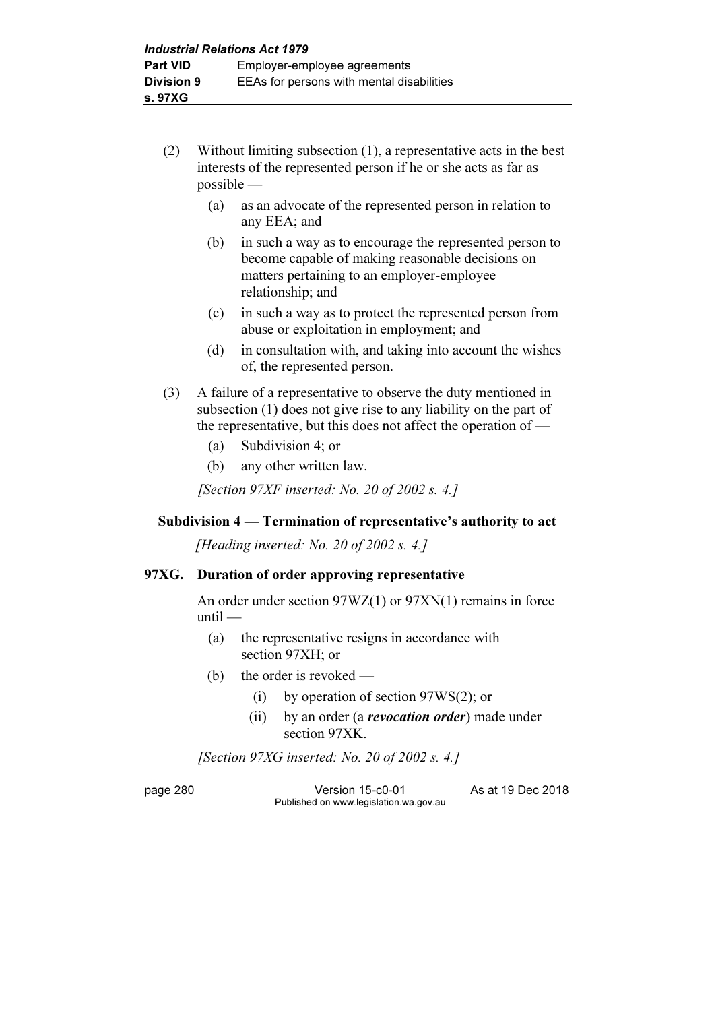- (2) Without limiting subsection (1), a representative acts in the best interests of the represented person if he or she acts as far as possible —
	- (a) as an advocate of the represented person in relation to any EEA; and
	- (b) in such a way as to encourage the represented person to become capable of making reasonable decisions on matters pertaining to an employer-employee relationship; and
	- (c) in such a way as to protect the represented person from abuse or exploitation in employment; and
	- (d) in consultation with, and taking into account the wishes of, the represented person.
- (3) A failure of a representative to observe the duty mentioned in subsection (1) does not give rise to any liability on the part of the representative, but this does not affect the operation of —
	- (a) Subdivision 4; or
	- (b) any other written law.

[Section 97XF inserted: No. 20 of 2002 s. 4.]

### Subdivision 4 — Termination of representative's authority to act

[Heading inserted: No. 20 of 2002 s. 4.]

#### 97XG. Duration of order approving representative

 An order under section 97WZ(1) or 97XN(1) remains in force until —

- (a) the representative resigns in accordance with section 97XH; or
- (b) the order is revoked
	- (i) by operation of section 97WS(2); or
	- (ii) by an order (a *revocation order*) made under section 97XK.

[Section 97XG inserted: No. 20 of 2002 s. 4.]

page 280 Version 15-c0-01 As at 19 Dec 2018 Published on www.legislation.wa.gov.au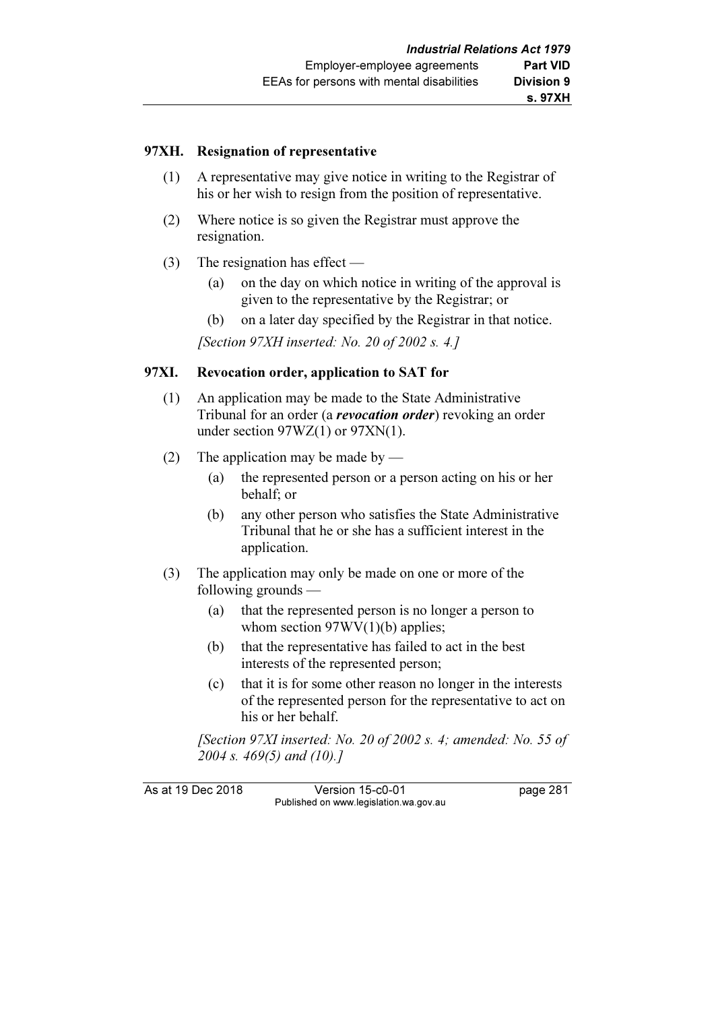#### 97XH. Resignation of representative

- (1) A representative may give notice in writing to the Registrar of his or her wish to resign from the position of representative.
- (2) Where notice is so given the Registrar must approve the resignation.
- (3) The resignation has effect
	- (a) on the day on which notice in writing of the approval is given to the representative by the Registrar; or
	- (b) on a later day specified by the Registrar in that notice.

[Section 97XH inserted: No. 20 of 2002 s. 4.]

#### 97XI. Revocation order, application to SAT for

- (1) An application may be made to the State Administrative Tribunal for an order (a *revocation order*) revoking an order under section 97WZ(1) or 97XN(1).
- (2) The application may be made by
	- (a) the represented person or a person acting on his or her behalf; or
	- (b) any other person who satisfies the State Administrative Tribunal that he or she has a sufficient interest in the application.
- (3) The application may only be made on one or more of the following grounds —
	- (a) that the represented person is no longer a person to whom section  $97WV(1)(b)$  applies;
	- (b) that the representative has failed to act in the best interests of the represented person;
	- (c) that it is for some other reason no longer in the interests of the represented person for the representative to act on his or her behalf.

[Section 97XI inserted: No. 20 of 2002 s. 4; amended: No. 55 of 2004 s. 469(5) and (10).]

As at 19 Dec 2018 Version 15-c0-01 page 281 Published on www.legislation.wa.gov.au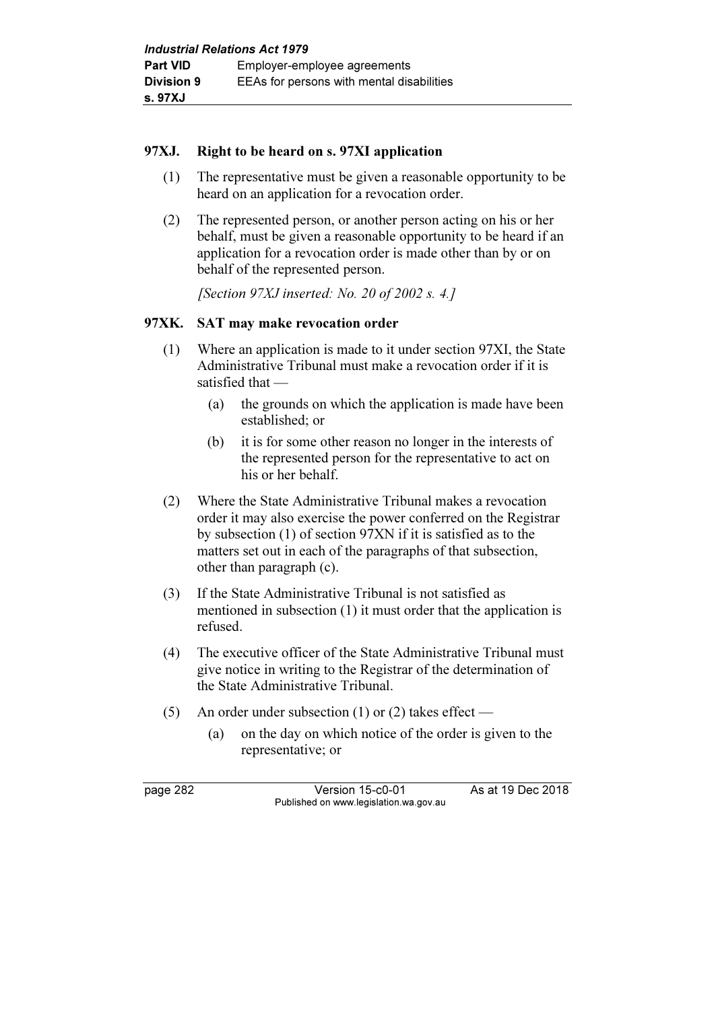### 97XJ. Right to be heard on s. 97XI application

- (1) The representative must be given a reasonable opportunity to be heard on an application for a revocation order.
- (2) The represented person, or another person acting on his or her behalf, must be given a reasonable opportunity to be heard if an application for a revocation order is made other than by or on behalf of the represented person.

[Section 97XJ inserted: No. 20 of 2002 s. 4.]

# 97XK. SAT may make revocation order

- (1) Where an application is made to it under section 97XI, the State Administrative Tribunal must make a revocation order if it is satisfied that —
	- (a) the grounds on which the application is made have been established; or
	- (b) it is for some other reason no longer in the interests of the represented person for the representative to act on his or her behalf.
- (2) Where the State Administrative Tribunal makes a revocation order it may also exercise the power conferred on the Registrar by subsection (1) of section 97XN if it is satisfied as to the matters set out in each of the paragraphs of that subsection, other than paragraph (c).
- (3) If the State Administrative Tribunal is not satisfied as mentioned in subsection (1) it must order that the application is refused.
- (4) The executive officer of the State Administrative Tribunal must give notice in writing to the Registrar of the determination of the State Administrative Tribunal.
- (5) An order under subsection (1) or (2) takes effect
	- (a) on the day on which notice of the order is given to the representative; or

page 282 Version 15-c0-01 As at 19 Dec 2018 Published on www.legislation.wa.gov.au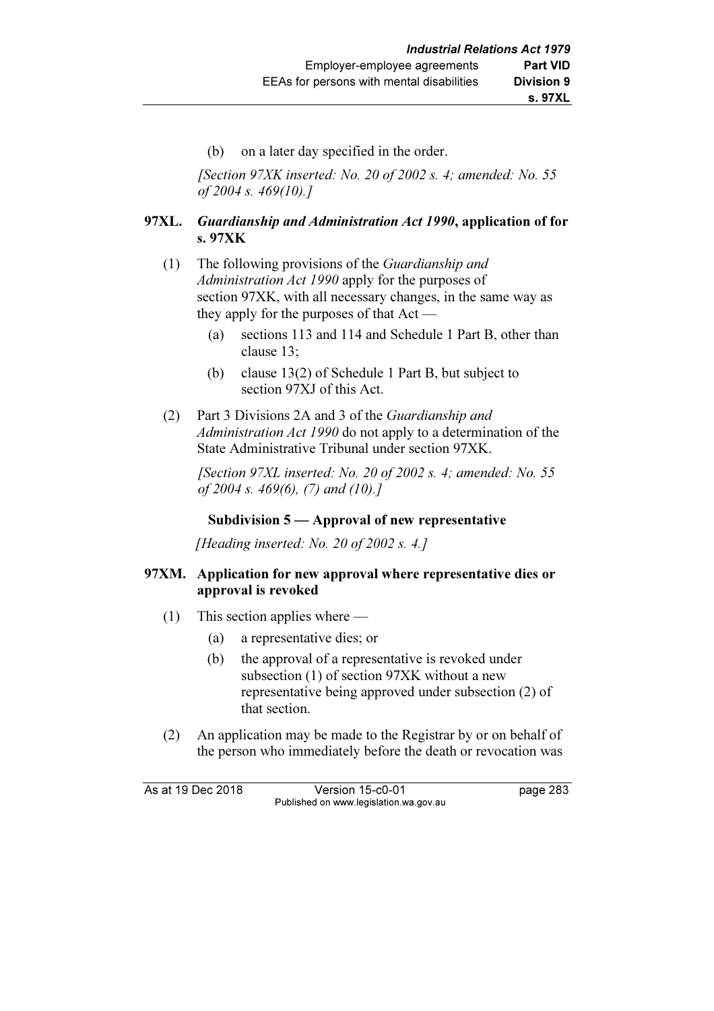(b) on a later day specified in the order.

[Section  $97XK$  inserted: No. 20 of 2002 s. 4; amended: No. 55 of 2004 s. 469(10).]

# 97XL. Guardianship and Administration Act 1990, application of for s. 97XK

- (1) The following provisions of the Guardianship and Administration Act 1990 apply for the purposes of section 97XK, with all necessary changes, in the same way as they apply for the purposes of that Act —
	- (a) sections 113 and 114 and Schedule 1 Part B, other than clause 13;
	- (b) clause 13(2) of Schedule 1 Part B, but subject to section 97XJ of this Act.
- (2) Part 3 Divisions 2A and 3 of the Guardianship and Administration Act 1990 do not apply to a determination of the State Administrative Tribunal under section 97XK.

[Section  $97XL$  inserted: No. 20 of 2002 s. 4; amended: No. 55 of 2004 s. 469(6), (7) and (10).]

# Subdivision 5 — Approval of new representative

[Heading inserted: No. 20 of 2002 s. 4.]

### 97XM. Application for new approval where representative dies or approval is revoked

- (1) This section applies where
	- (a) a representative dies; or
	- (b) the approval of a representative is revoked under subsection (1) of section 97XK without a new representative being approved under subsection (2) of that section.
- (2) An application may be made to the Registrar by or on behalf of the person who immediately before the death or revocation was

As at 19 Dec 2018 Version 15-c0-01 page 283 Published on www.legislation.wa.gov.au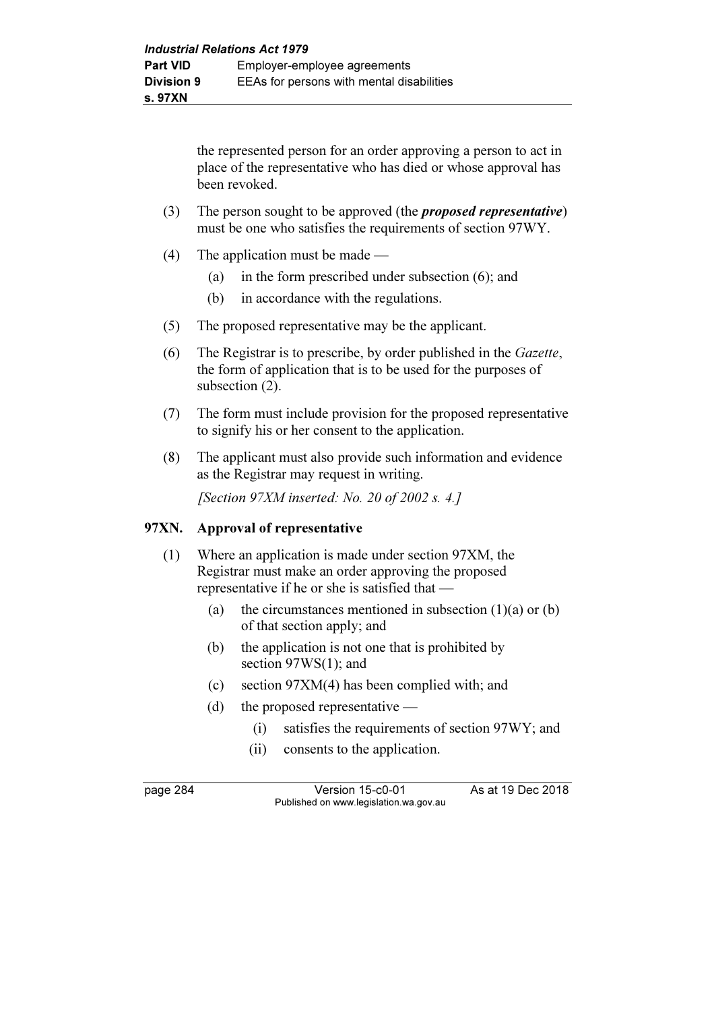the represented person for an order approving a person to act in place of the representative who has died or whose approval has been revoked.

- (3) The person sought to be approved (the *proposed representative*) must be one who satisfies the requirements of section 97WY.
- (4) The application must be made
	- (a) in the form prescribed under subsection (6); and
	- (b) in accordance with the regulations.
- (5) The proposed representative may be the applicant.
- (6) The Registrar is to prescribe, by order published in the Gazette, the form of application that is to be used for the purposes of subsection  $(2)$ .
- (7) The form must include provision for the proposed representative to signify his or her consent to the application.
- (8) The applicant must also provide such information and evidence as the Registrar may request in writing.

[Section 97XM inserted: No. 20 of 2002 s. 4.]

#### 97XN. Approval of representative

- (1) Where an application is made under section 97XM, the Registrar must make an order approving the proposed representative if he or she is satisfied that —
	- (a) the circumstances mentioned in subsection  $(1)(a)$  or  $(b)$ of that section apply; and
	- (b) the application is not one that is prohibited by section 97WS(1); and
	- (c) section 97XM(4) has been complied with; and
	- (d) the proposed representative
		- (i) satisfies the requirements of section 97WY; and
		- (ii) consents to the application.

page 284 Version 15-c0-01 As at 19 Dec 2018 Published on www.legislation.wa.gov.au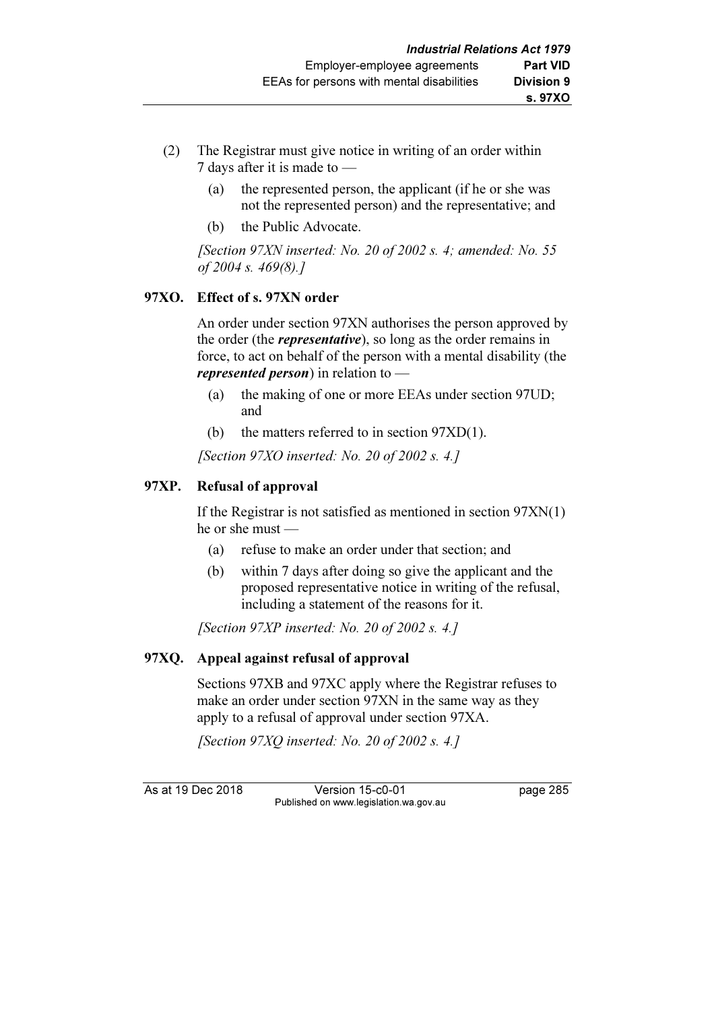- (2) The Registrar must give notice in writing of an order within 7 days after it is made to —
	- (a) the represented person, the applicant (if he or she was not the represented person) and the representative; and
	- (b) the Public Advocate.

[Section 97XN inserted: No. 20 of 2002 s. 4; amended: No. 55 of 2004 s. 469(8).]

# 97XO. Effect of s. 97XN order

 An order under section 97XN authorises the person approved by the order (the *representative*), so long as the order remains in force, to act on behalf of the person with a mental disability (the *represented person*) in relation to  $-$ 

- (a) the making of one or more EEAs under section 97UD; and
- (b) the matters referred to in section 97XD(1).

[Section 97XO inserted: No. 20 of 2002 s. 4.]

# 97XP. Refusal of approval

 If the Registrar is not satisfied as mentioned in section 97XN(1) he or she must —

- (a) refuse to make an order under that section; and
- (b) within 7 days after doing so give the applicant and the proposed representative notice in writing of the refusal, including a statement of the reasons for it.

[Section 97XP inserted: No. 20 of 2002 s. 4.]

# 97XQ. Appeal against refusal of approval

 Sections 97XB and 97XC apply where the Registrar refuses to make an order under section 97XN in the same way as they apply to a refusal of approval under section 97XA.

[Section 97XQ inserted: No. 20 of 2002 s. 4.]

As at 19 Dec 2018 Version 15-c0-01 page 285 Published on www.legislation.wa.gov.au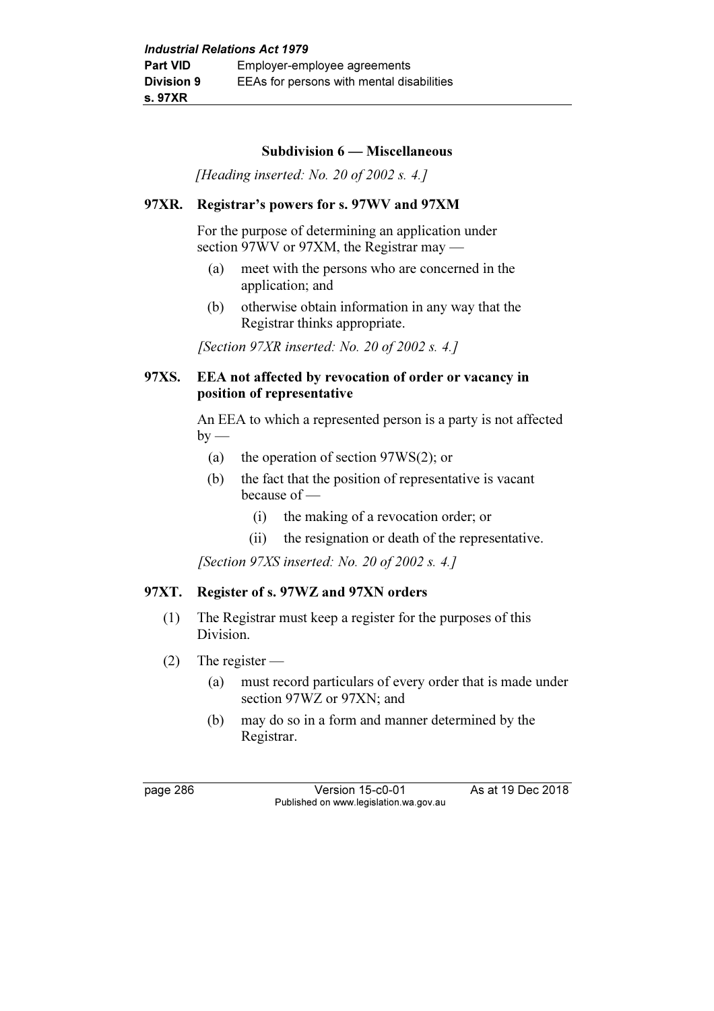#### Subdivision 6 — Miscellaneous

[Heading inserted: No. 20 of 2002 s. 4.]

#### 97XR. Registrar's powers for s. 97WV and 97XM

 For the purpose of determining an application under section 97WV or 97XM, the Registrar may —

- (a) meet with the persons who are concerned in the application; and
- (b) otherwise obtain information in any way that the Registrar thinks appropriate.

[Section 97XR inserted: No. 20 of 2002 s. 4.]

#### 97XS. EEA not affected by revocation of order or vacancy in position of representative

 An EEA to which a represented person is a party is not affected  $by -$ 

- (a) the operation of section 97WS(2); or
- (b) the fact that the position of representative is vacant because of —
	- (i) the making of a revocation order; or
	- (ii) the resignation or death of the representative.

[Section 97XS inserted: No. 20 of 2002 s. 4.]

### 97XT. Register of s. 97WZ and 97XN orders

- (1) The Registrar must keep a register for the purposes of this Division.
- (2) The register
	- (a) must record particulars of every order that is made under section 97WZ or 97XN; and
	- (b) may do so in a form and manner determined by the Registrar.

page 286 Version 15-c0-01 As at 19 Dec 2018 Published on www.legislation.wa.gov.au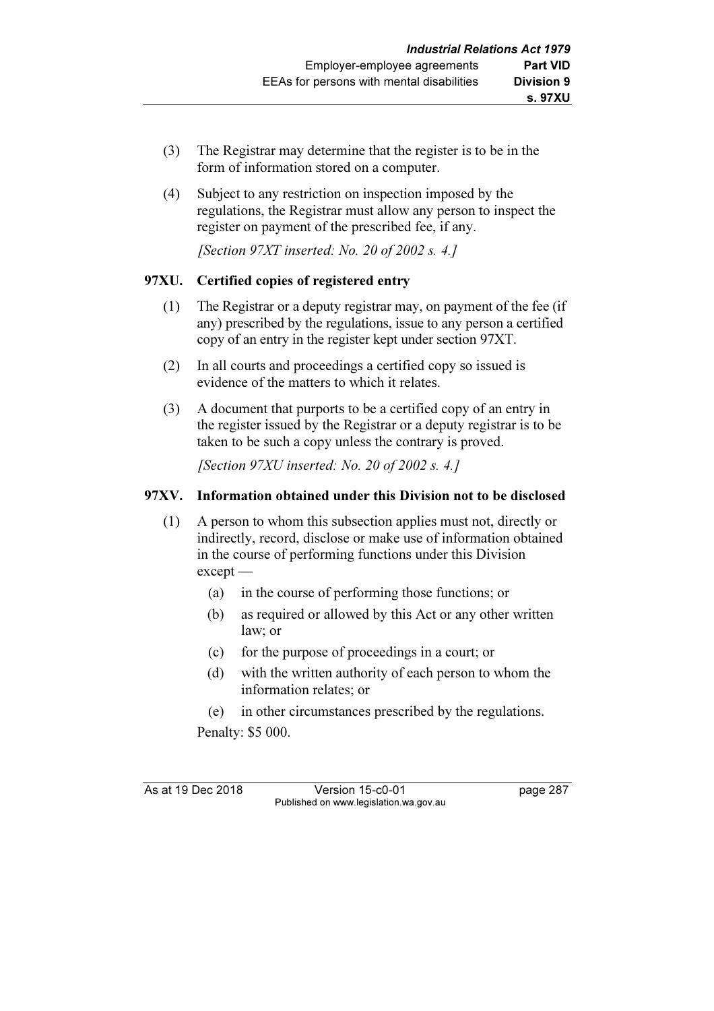- (3) The Registrar may determine that the register is to be in the form of information stored on a computer.
- (4) Subject to any restriction on inspection imposed by the regulations, the Registrar must allow any person to inspect the register on payment of the prescribed fee, if any.

[Section 97XT inserted: No. 20 of 2002 s. 4.]

# 97XU. Certified copies of registered entry

- (1) The Registrar or a deputy registrar may, on payment of the fee (if any) prescribed by the regulations, issue to any person a certified copy of an entry in the register kept under section 97XT.
- (2) In all courts and proceedings a certified copy so issued is evidence of the matters to which it relates.
- (3) A document that purports to be a certified copy of an entry in the register issued by the Registrar or a deputy registrar is to be taken to be such a copy unless the contrary is proved.

[Section 97XU inserted: No. 20 of 2002 s. 4.]

# 97XV. Information obtained under this Division not to be disclosed

- (1) A person to whom this subsection applies must not, directly or indirectly, record, disclose or make use of information obtained in the course of performing functions under this Division except —
	- (a) in the course of performing those functions; or
	- (b) as required or allowed by this Act or any other written law; or
	- (c) for the purpose of proceedings in a court; or
	- (d) with the written authority of each person to whom the information relates; or
	- (e) in other circumstances prescribed by the regulations.

Penalty: \$5 000.

As at 19 Dec 2018 Version 15-c0-01 page 287 Published on www.legislation.wa.gov.au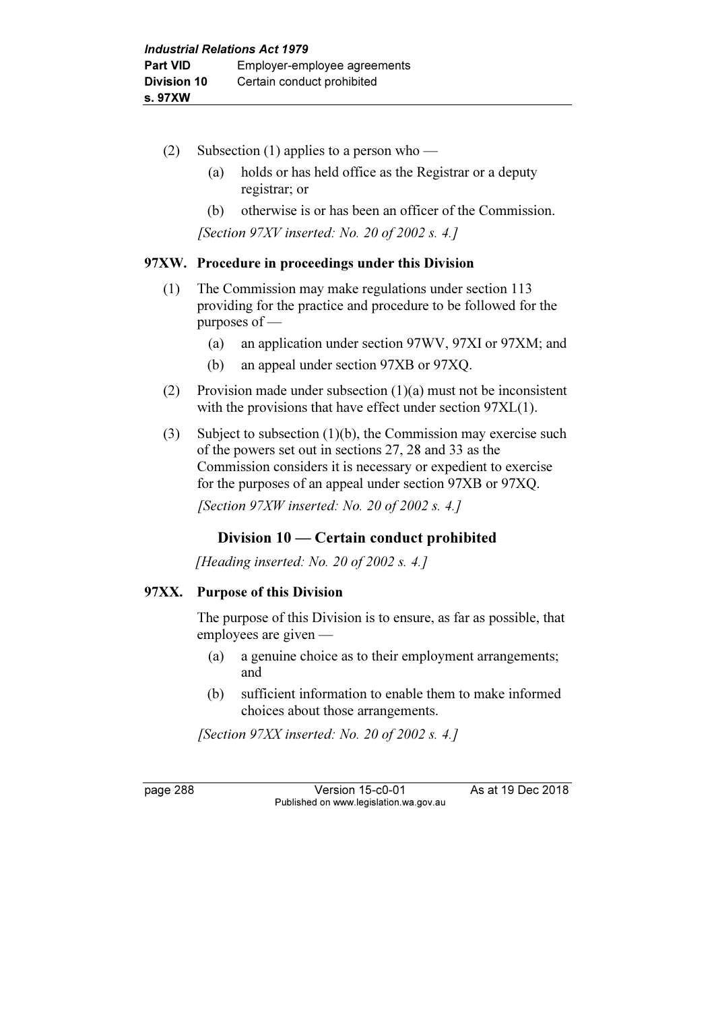- (2) Subsection (1) applies to a person who
	- (a) holds or has held office as the Registrar or a deputy registrar; or
	- (b) otherwise is or has been an officer of the Commission.

[Section 97XV inserted: No. 20 of 2002 s. 4.]

### 97XW. Procedure in proceedings under this Division

- (1) The Commission may make regulations under section 113 providing for the practice and procedure to be followed for the purposes of —
	- (a) an application under section 97WV, 97XI or 97XM; and
	- (b) an appeal under section 97XB or 97XQ.
- (2) Provision made under subsection (1)(a) must not be inconsistent with the provisions that have effect under section 97XL(1).
- (3) Subject to subsection (1)(b), the Commission may exercise such of the powers set out in sections 27, 28 and 33 as the Commission considers it is necessary or expedient to exercise for the purposes of an appeal under section 97XB or 97XQ.

[Section  $97XW$  inserted: No. 20 of 2002 s. 4.]

# Division 10 — Certain conduct prohibited

[Heading inserted: No. 20 of 2002 s. 4.]

# 97XX. Purpose of this Division

 The purpose of this Division is to ensure, as far as possible, that employees are given —

- (a) a genuine choice as to their employment arrangements; and
- (b) sufficient information to enable them to make informed choices about those arrangements.

[Section 97XX inserted: No. 20 of 2002 s. 4.]

page 288 Version 15-c0-01 As at 19 Dec 2018 Published on www.legislation.wa.gov.au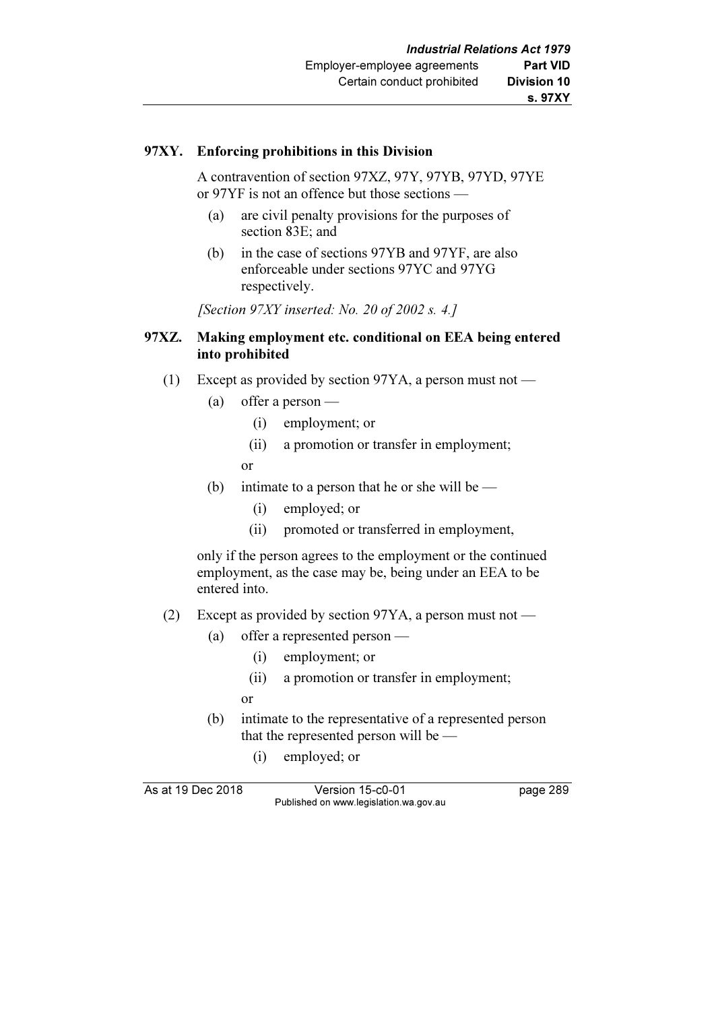#### 97XY. Enforcing prohibitions in this Division

 A contravention of section 97XZ, 97Y, 97YB, 97YD, 97YE or 97YF is not an offence but those sections —

- (a) are civil penalty provisions for the purposes of section 83E; and
- (b) in the case of sections 97YB and 97YF, are also enforceable under sections 97YC and 97YG respectively.

[Section  $97XY$  inserted: No. 20 of 2002 s. 4.]

#### 97XZ. Making employment etc. conditional on EEA being entered into prohibited

- (1) Except as provided by section 97YA, a person must not
	- (a) offer a person
		- (i) employment; or
		- (ii) a promotion or transfer in employment;

or

- (b) intimate to a person that he or she will be
	- (i) employed; or
	- (ii) promoted or transferred in employment,

 only if the person agrees to the employment or the continued employment, as the case may be, being under an EEA to be entered into.

- (2) Except as provided by section 97YA, a person must not
	- (a) offer a represented person
		- (i) employment; or
		- (ii) a promotion or transfer in employment;
		- or
	- (b) intimate to the representative of a represented person that the represented person will be —
		- (i) employed; or

As at 19 Dec 2018 Version 15-c0-01 page 289 Published on www.legislation.wa.gov.au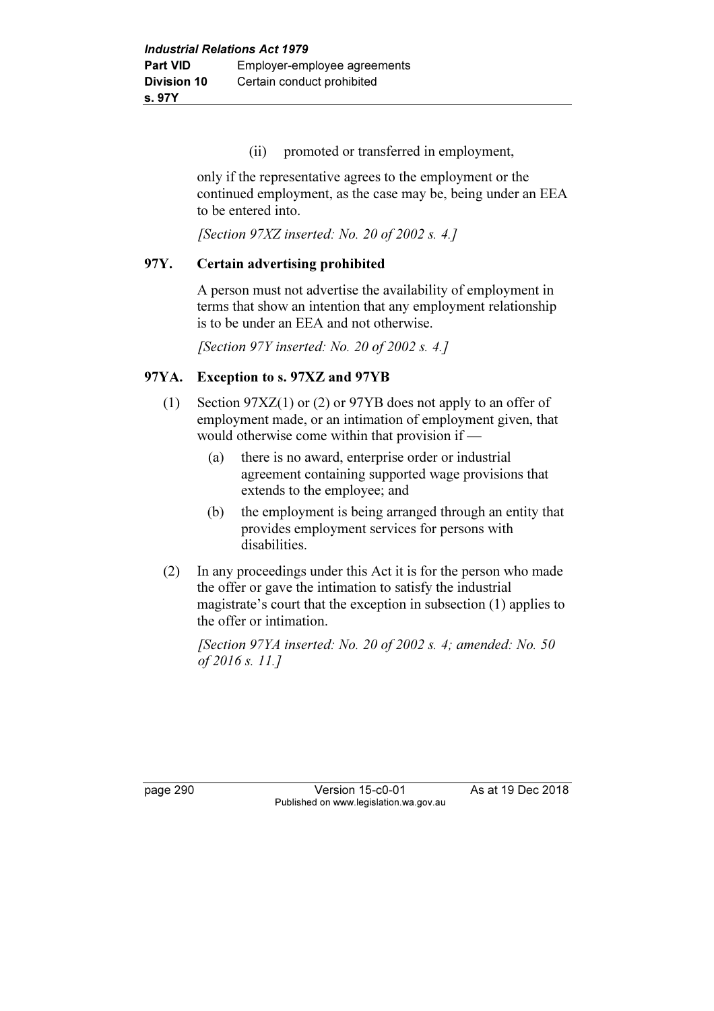(ii) promoted or transferred in employment,

 only if the representative agrees to the employment or the continued employment, as the case may be, being under an EEA to be entered into.

[Section  $97XZ$  inserted: No. 20 of 2002 s. 4.]

### 97Y. Certain advertising prohibited

 A person must not advertise the availability of employment in terms that show an intention that any employment relationship is to be under an EEA and not otherwise.

[Section 97Y inserted: No. 20 of 2002 s. 4.]

# 97YA. Exception to s. 97XZ and 97YB

- (1) Section 97XZ(1) or (2) or 97YB does not apply to an offer of employment made, or an intimation of employment given, that would otherwise come within that provision if —
	- (a) there is no award, enterprise order or industrial agreement containing supported wage provisions that extends to the employee; and
	- (b) the employment is being arranged through an entity that provides employment services for persons with disabilities.
- (2) In any proceedings under this Act it is for the person who made the offer or gave the intimation to satisfy the industrial magistrate's court that the exception in subsection (1) applies to the offer or intimation.

[Section 97YA inserted: No. 20 of 2002 s. 4; amended: No. 50 of 2016 s. 11.]

page 290 Version 15-c0-01 As at 19 Dec 2018 Published on www.legislation.wa.gov.au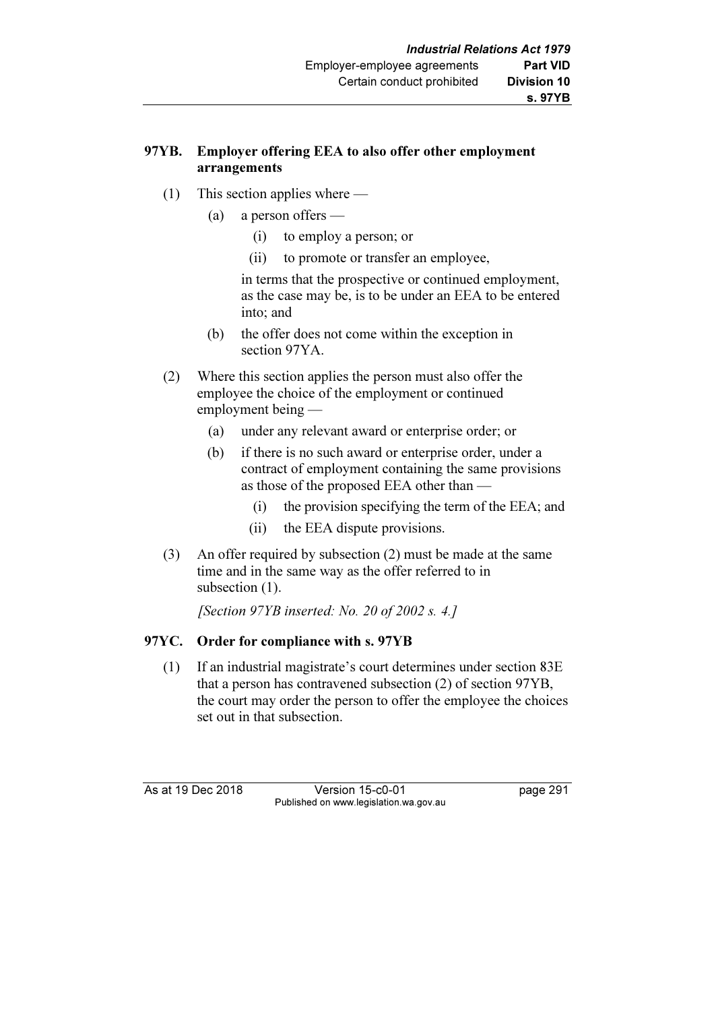# 97YB. Employer offering EEA to also offer other employment arrangements

- (1) This section applies where
	- (a) a person offers
		- (i) to employ a person; or
		- (ii) to promote or transfer an employee,

 in terms that the prospective or continued employment, as the case may be, is to be under an EEA to be entered into; and

- (b) the offer does not come within the exception in section 97YA.
- (2) Where this section applies the person must also offer the employee the choice of the employment or continued employment being —
	- (a) under any relevant award or enterprise order; or
	- (b) if there is no such award or enterprise order, under a contract of employment containing the same provisions as those of the proposed EEA other than —
		- (i) the provision specifying the term of the EEA; and
		- (ii) the EEA dispute provisions.
- (3) An offer required by subsection (2) must be made at the same time and in the same way as the offer referred to in subsection  $(1)$ .

[Section 97YB inserted: No. 20 of 2002 s. 4.]

# 97YC. Order for compliance with s. 97YB

 (1) If an industrial magistrate's court determines under section 83E that a person has contravened subsection (2) of section 97YB, the court may order the person to offer the employee the choices set out in that subsection.

As at 19 Dec 2018 Version 15-c0-01 page 291 Published on www.legislation.wa.gov.au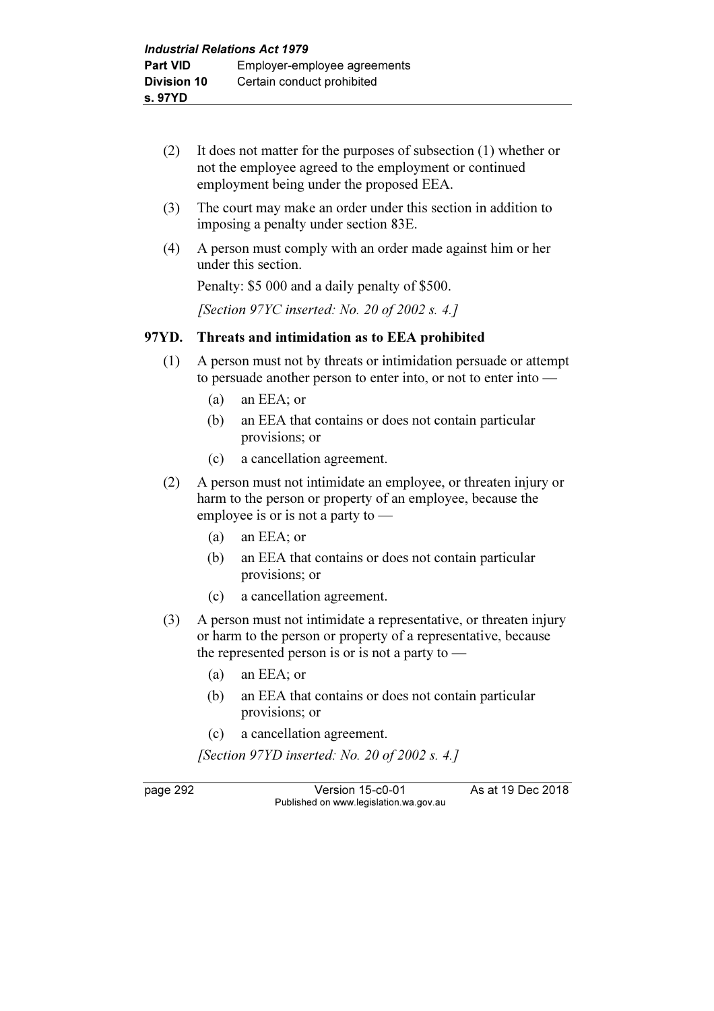- (2) It does not matter for the purposes of subsection (1) whether or not the employee agreed to the employment or continued employment being under the proposed EEA.
- (3) The court may make an order under this section in addition to imposing a penalty under section 83E.
- (4) A person must comply with an order made against him or her under this section.

Penalty: \$5 000 and a daily penalty of \$500.

[Section 97YC inserted: No. 20 of 2002 s. 4.]

#### 97YD. Threats and intimidation as to EEA prohibited

- (1) A person must not by threats or intimidation persuade or attempt to persuade another person to enter into, or not to enter into —
	- (a) an EEA; or
	- (b) an EEA that contains or does not contain particular provisions; or
	- (c) a cancellation agreement.
- (2) A person must not intimidate an employee, or threaten injury or harm to the person or property of an employee, because the employee is or is not a party to —
	- (a) an EEA; or
	- (b) an EEA that contains or does not contain particular provisions; or
	- (c) a cancellation agreement.
- (3) A person must not intimidate a representative, or threaten injury or harm to the person or property of a representative, because the represented person is or is not a party to  $-$ 
	- (a) an EEA; or
	- (b) an EEA that contains or does not contain particular provisions; or
	- (c) a cancellation agreement.

[Section 97YD inserted: No. 20 of 2002 s. 4.]

page 292 Version 15-c0-01 As at 19 Dec 2018 Published on www.legislation.wa.gov.au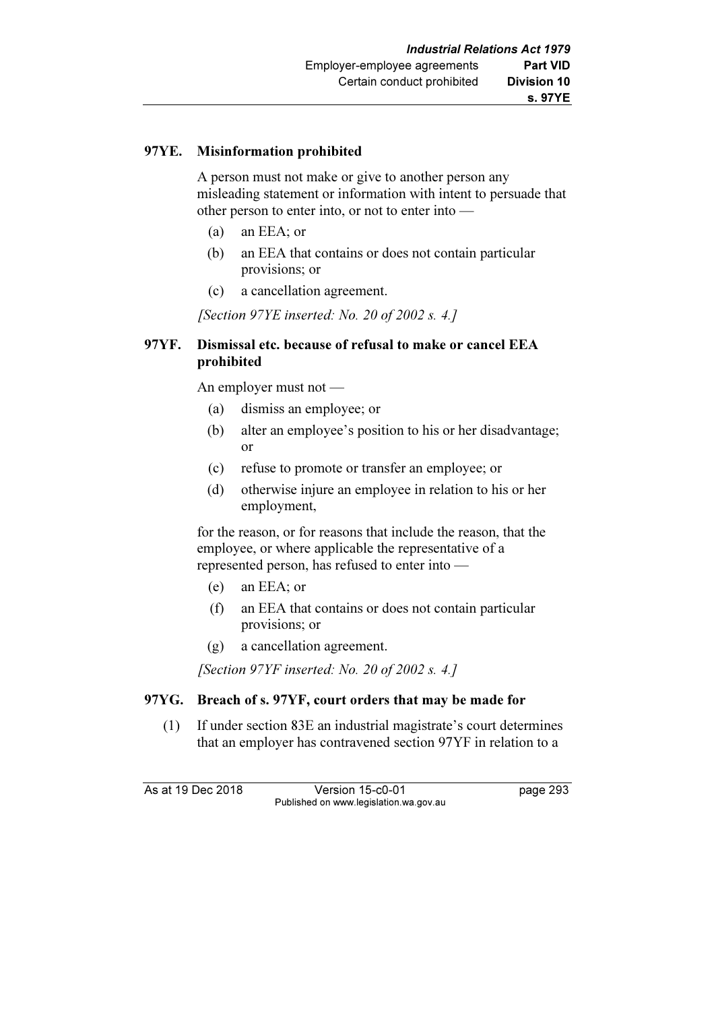### 97YE. Misinformation prohibited

 A person must not make or give to another person any misleading statement or information with intent to persuade that other person to enter into, or not to enter into —

- (a) an EEA; or
- (b) an EEA that contains or does not contain particular provisions; or
- (c) a cancellation agreement.

[Section 97YE inserted: No. 20 of 2002 s. 4.]

### 97YF. Dismissal etc. because of refusal to make or cancel EEA prohibited

An employer must not —

- (a) dismiss an employee; or
- (b) alter an employee's position to his or her disadvantage; or
- (c) refuse to promote or transfer an employee; or
- (d) otherwise injure an employee in relation to his or her employment,

 for the reason, or for reasons that include the reason, that the employee, or where applicable the representative of a represented person, has refused to enter into —

- (e) an EEA; or
- (f) an EEA that contains or does not contain particular provisions; or
- (g) a cancellation agreement.

[Section 97YF inserted: No. 20 of 2002 s. 4.]

# 97YG. Breach of s. 97YF, court orders that may be made for

 (1) If under section 83E an industrial magistrate's court determines that an employer has contravened section 97YF in relation to a

As at 19 Dec 2018 Version 15-c0-01 page 293 Published on www.legislation.wa.gov.au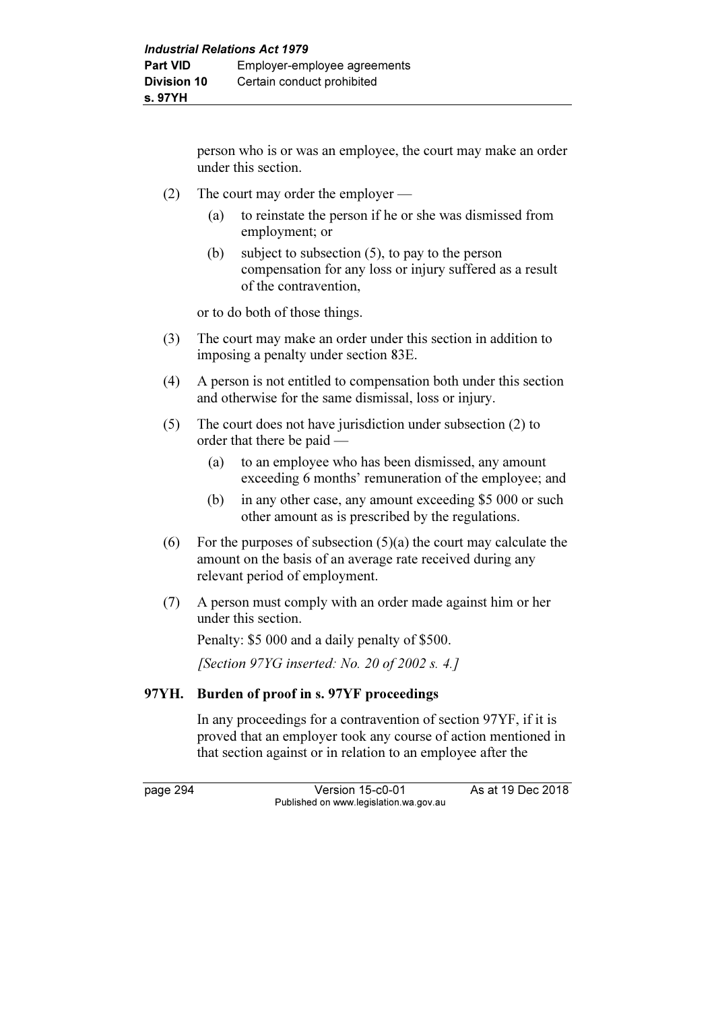person who is or was an employee, the court may make an order under this section.

- (2) The court may order the employer
	- (a) to reinstate the person if he or she was dismissed from employment; or
	- (b) subject to subsection (5), to pay to the person compensation for any loss or injury suffered as a result of the contravention,

or to do both of those things.

- (3) The court may make an order under this section in addition to imposing a penalty under section 83E.
- (4) A person is not entitled to compensation both under this section and otherwise for the same dismissal, loss or injury.
- (5) The court does not have jurisdiction under subsection (2) to order that there be paid —
	- (a) to an employee who has been dismissed, any amount exceeding 6 months' remuneration of the employee; and
	- (b) in any other case, any amount exceeding \$5 000 or such other amount as is prescribed by the regulations.
- (6) For the purposes of subsection  $(5)(a)$  the court may calculate the amount on the basis of an average rate received during any relevant period of employment.
- (7) A person must comply with an order made against him or her under this section.

Penalty: \$5 000 and a daily penalty of \$500.

[Section  $97YG$  inserted: No. 20 of 2002 s. 4.1]

# 97YH. Burden of proof in s. 97YF proceedings

 In any proceedings for a contravention of section 97YF, if it is proved that an employer took any course of action mentioned in that section against or in relation to an employee after the

page 294 Version 15-c0-01 As at 19 Dec 2018 Published on www.legislation.wa.gov.au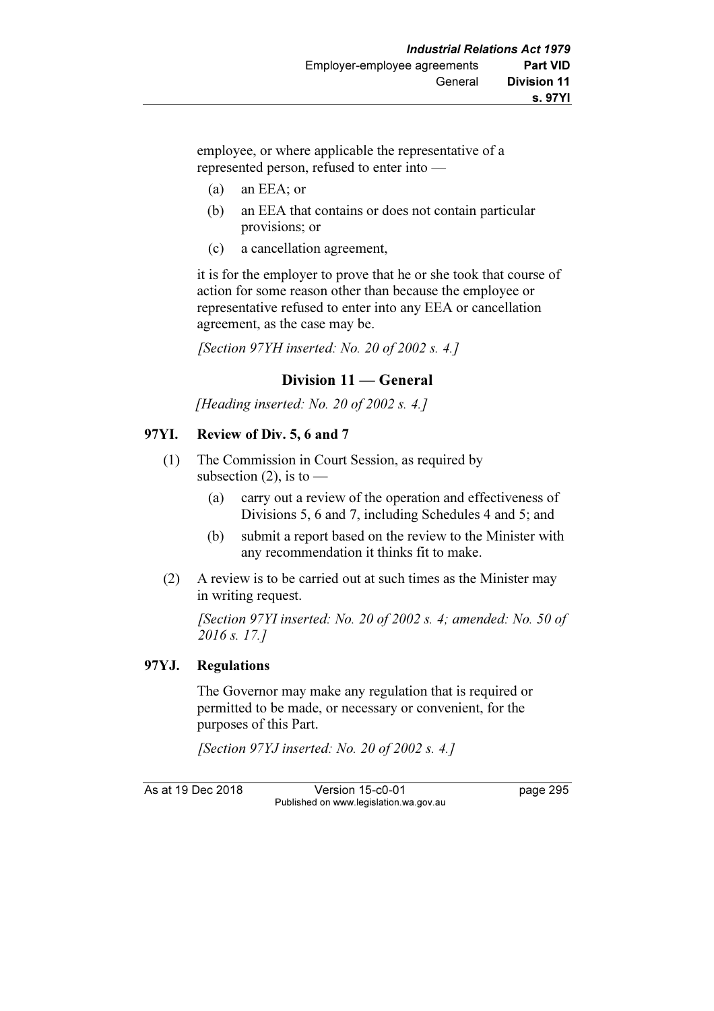employee, or where applicable the representative of a represented person, refused to enter into —

- (a) an EEA; or
- (b) an EEA that contains or does not contain particular provisions; or
- (c) a cancellation agreement,

 it is for the employer to prove that he or she took that course of action for some reason other than because the employee or representative refused to enter into any EEA or cancellation agreement, as the case may be.

[Section 97YH inserted: No. 20 of 2002 s. 4.]

# Division 11 — General

[Heading inserted: No. 20 of 2002 s. 4.]

### 97YI. Review of Div. 5, 6 and 7

- (1) The Commission in Court Session, as required by subsection  $(2)$ , is to —
	- (a) carry out a review of the operation and effectiveness of Divisions 5, 6 and 7, including Schedules 4 and 5; and
	- (b) submit a report based on the review to the Minister with any recommendation it thinks fit to make.
- (2) A review is to be carried out at such times as the Minister may in writing request.

[Section 97YI inserted: No. 20 of 2002 s. 4; amended: No. 50 of 2016 s. 17.]

# 97YJ. Regulations

 The Governor may make any regulation that is required or permitted to be made, or necessary or convenient, for the purposes of this Part.

[Section 97YJ inserted: No. 20 of 2002 s. 4.]

As at 19 Dec 2018 Version 15-c0-01 page 295 Published on www.legislation.wa.gov.au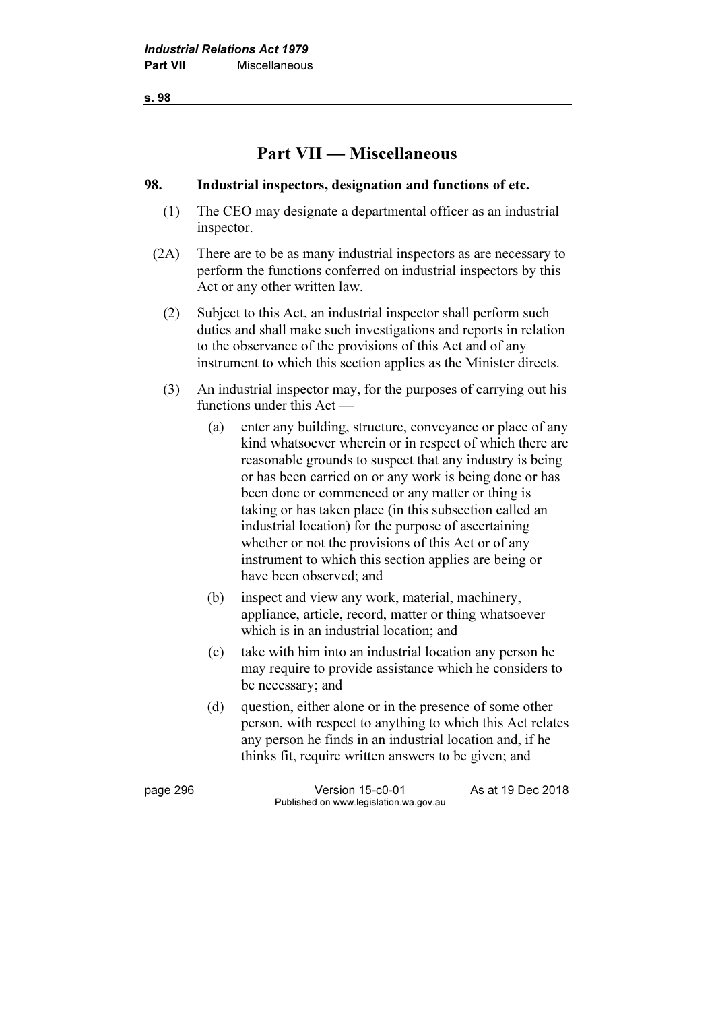s. 98

# Part VII — Miscellaneous

#### 98. Industrial inspectors, designation and functions of etc.

- (1) The CEO may designate a departmental officer as an industrial inspector.
- (2A) There are to be as many industrial inspectors as are necessary to perform the functions conferred on industrial inspectors by this Act or any other written law.
	- (2) Subject to this Act, an industrial inspector shall perform such duties and shall make such investigations and reports in relation to the observance of the provisions of this Act and of any instrument to which this section applies as the Minister directs.
	- (3) An industrial inspector may, for the purposes of carrying out his functions under this Act —
		- (a) enter any building, structure, conveyance or place of any kind whatsoever wherein or in respect of which there are reasonable grounds to suspect that any industry is being or has been carried on or any work is being done or has been done or commenced or any matter or thing is taking or has taken place (in this subsection called an industrial location) for the purpose of ascertaining whether or not the provisions of this Act or of any instrument to which this section applies are being or have been observed; and
		- (b) inspect and view any work, material, machinery, appliance, article, record, matter or thing whatsoever which is in an industrial location; and
		- (c) take with him into an industrial location any person he may require to provide assistance which he considers to be necessary; and
		- (d) question, either alone or in the presence of some other person, with respect to anything to which this Act relates any person he finds in an industrial location and, if he thinks fit, require written answers to be given; and

page 296 Version 15-c0-01 As at 19 Dec 2018 Published on www.legislation.wa.gov.au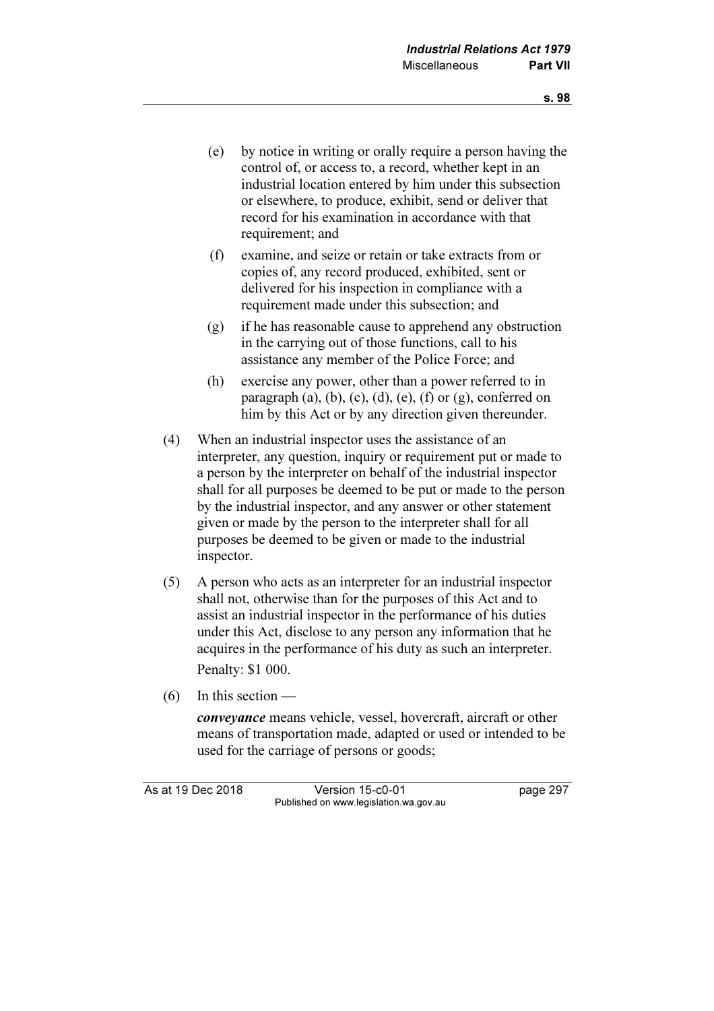- (e) by notice in writing or orally require a person having the control of, or access to, a record, whether kept in an industrial location entered by him under this subsection or elsewhere, to produce, exhibit, send or deliver that record for his examination in accordance with that requirement; and
- (f) examine, and seize or retain or take extracts from or copies of, any record produced, exhibited, sent or delivered for his inspection in compliance with a requirement made under this subsection; and
- (g) if he has reasonable cause to apprehend any obstruction in the carrying out of those functions, call to his assistance any member of the Police Force; and
- (h) exercise any power, other than a power referred to in paragraph  $(a)$ ,  $(b)$ ,  $(c)$ ,  $(d)$ ,  $(e)$ ,  $(f)$  or  $(g)$ , conferred on him by this Act or by any direction given thereunder.
- (4) When an industrial inspector uses the assistance of an interpreter, any question, inquiry or requirement put or made to a person by the interpreter on behalf of the industrial inspector shall for all purposes be deemed to be put or made to the person by the industrial inspector, and any answer or other statement given or made by the person to the interpreter shall for all purposes be deemed to be given or made to the industrial inspector.
- (5) A person who acts as an interpreter for an industrial inspector shall not, otherwise than for the purposes of this Act and to assist an industrial inspector in the performance of his duties under this Act, disclose to any person any information that he acquires in the performance of his duty as such an interpreter. Penalty: \$1 000.
- (6) In this section —

conveyance means vehicle, vessel, hovercraft, aircraft or other means of transportation made, adapted or used or intended to be used for the carriage of persons or goods;

As at 19 Dec 2018 Version 15-c0-01 page 297 Published on www.legislation.wa.gov.au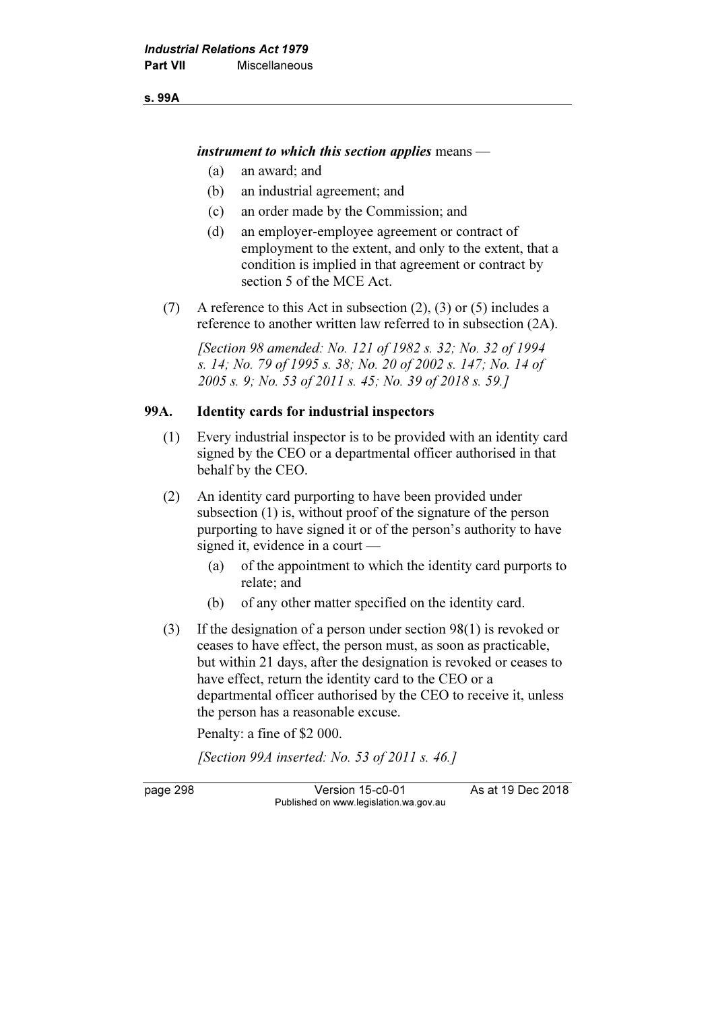s. 99A

instrument to which this section applies means  $-$ 

- (a) an award; and
- (b) an industrial agreement; and
- (c) an order made by the Commission; and
- (d) an employer-employee agreement or contract of employment to the extent, and only to the extent, that a condition is implied in that agreement or contract by section 5 of the MCE Act.
- (7) A reference to this Act in subsection (2), (3) or (5) includes a reference to another written law referred to in subsection (2A).

 [Section 98 amended: No. 121 of 1982 s. 32; No. 32 of 1994 s. 14; No. 79 of 1995 s. 38; No. 20 of 2002 s. 147; No. 14 of 2005 s. 9; No. 53 of 2011 s. 45; No. 39 of 2018 s. 59.]

#### 99A. Identity cards for industrial inspectors

- (1) Every industrial inspector is to be provided with an identity card signed by the CEO or a departmental officer authorised in that behalf by the CEO.
- (2) An identity card purporting to have been provided under subsection (1) is, without proof of the signature of the person purporting to have signed it or of the person's authority to have signed it, evidence in a court —
	- (a) of the appointment to which the identity card purports to relate; and
	- (b) of any other matter specified on the identity card.
- (3) If the designation of a person under section 98(1) is revoked or ceases to have effect, the person must, as soon as practicable, but within 21 days, after the designation is revoked or ceases to have effect, return the identity card to the CEO or a departmental officer authorised by the CEO to receive it, unless the person has a reasonable excuse.

Penalty: a fine of \$2 000.

[Section 99A inserted: No. 53 of 2011 s. 46.]

page 298 Version 15-c0-01 As at 19 Dec 2018 Published on www.legislation.wa.gov.au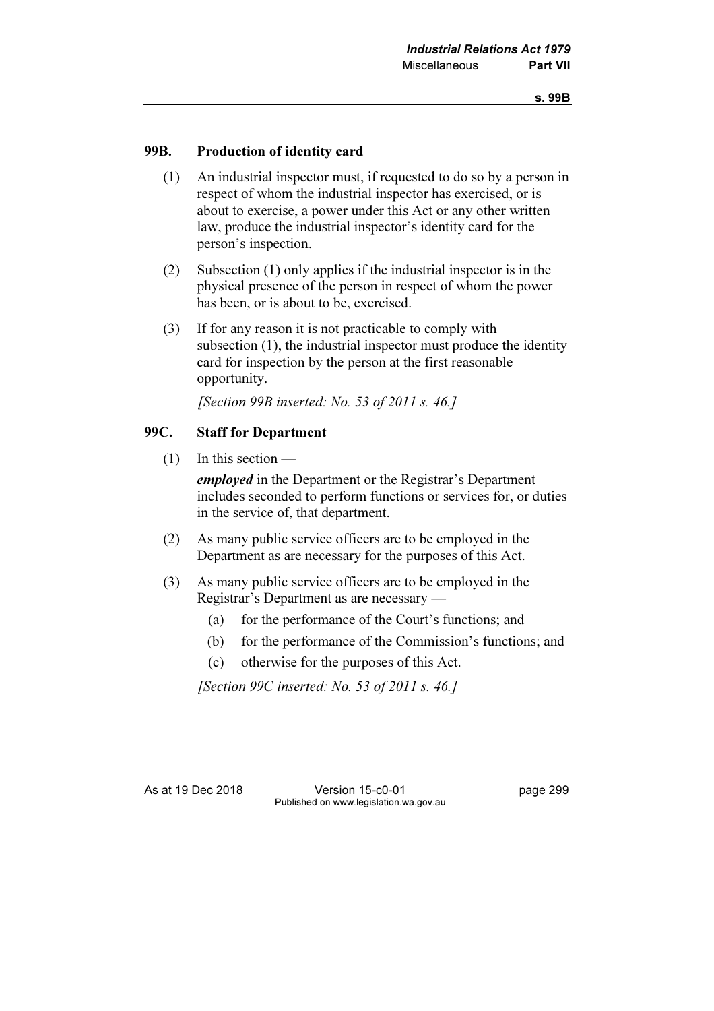### 99B. Production of identity card

- (1) An industrial inspector must, if requested to do so by a person in respect of whom the industrial inspector has exercised, or is about to exercise, a power under this Act or any other written law, produce the industrial inspector's identity card for the person's inspection.
- (2) Subsection (1) only applies if the industrial inspector is in the physical presence of the person in respect of whom the power has been, or is about to be, exercised.
- (3) If for any reason it is not practicable to comply with subsection (1), the industrial inspector must produce the identity card for inspection by the person at the first reasonable opportunity.

[Section 99B inserted: No. 53 of 2011 s. 46.]

#### 99C. Staff for Department

(1) In this section —

employed in the Department or the Registrar's Department includes seconded to perform functions or services for, or duties in the service of, that department.

- (2) As many public service officers are to be employed in the Department as are necessary for the purposes of this Act.
- (3) As many public service officers are to be employed in the Registrar's Department as are necessary —
	- (a) for the performance of the Court's functions; and
	- (b) for the performance of the Commission's functions; and
	- (c) otherwise for the purposes of this Act.

[Section 99C inserted: No. 53 of 2011 s. 46.]

As at 19 Dec 2018 Version 15-c0-01 page 299 Published on www.legislation.wa.gov.au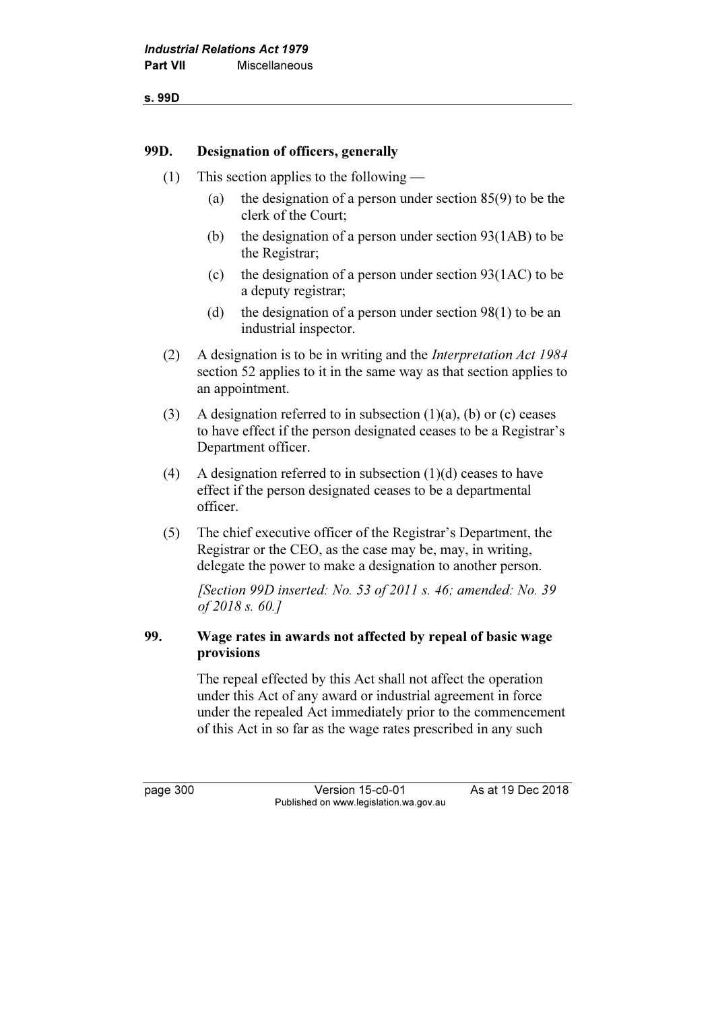s. 99D

#### 99D. Designation of officers, generally

- (1) This section applies to the following
	- (a) the designation of a person under section 85(9) to be the clerk of the Court;
	- (b) the designation of a person under section 93(1AB) to be the Registrar;
	- (c) the designation of a person under section  $93(1AC)$  to be a deputy registrar;
	- (d) the designation of a person under section  $98(1)$  to be an industrial inspector.
- (2) A designation is to be in writing and the Interpretation Act 1984 section 52 applies to it in the same way as that section applies to an appointment.
- (3) A designation referred to in subsection  $(1)(a)$ ,  $(b)$  or  $(c)$  ceases to have effect if the person designated ceases to be a Registrar's Department officer.
- (4) A designation referred to in subsection  $(1)(d)$  ceases to have effect if the person designated ceases to be a departmental officer.
- (5) The chief executive officer of the Registrar's Department, the Registrar or the CEO, as the case may be, may, in writing, delegate the power to make a designation to another person.

[Section 99D inserted: No. 53 of 2011 s. 46; amended: No. 39] of 2018 s. 60.]

# 99. Wage rates in awards not affected by repeal of basic wage provisions

 The repeal effected by this Act shall not affect the operation under this Act of any award or industrial agreement in force under the repealed Act immediately prior to the commencement of this Act in so far as the wage rates prescribed in any such

page 300 Version 15-c0-01 As at 19 Dec 2018 Published on www.legislation.wa.gov.au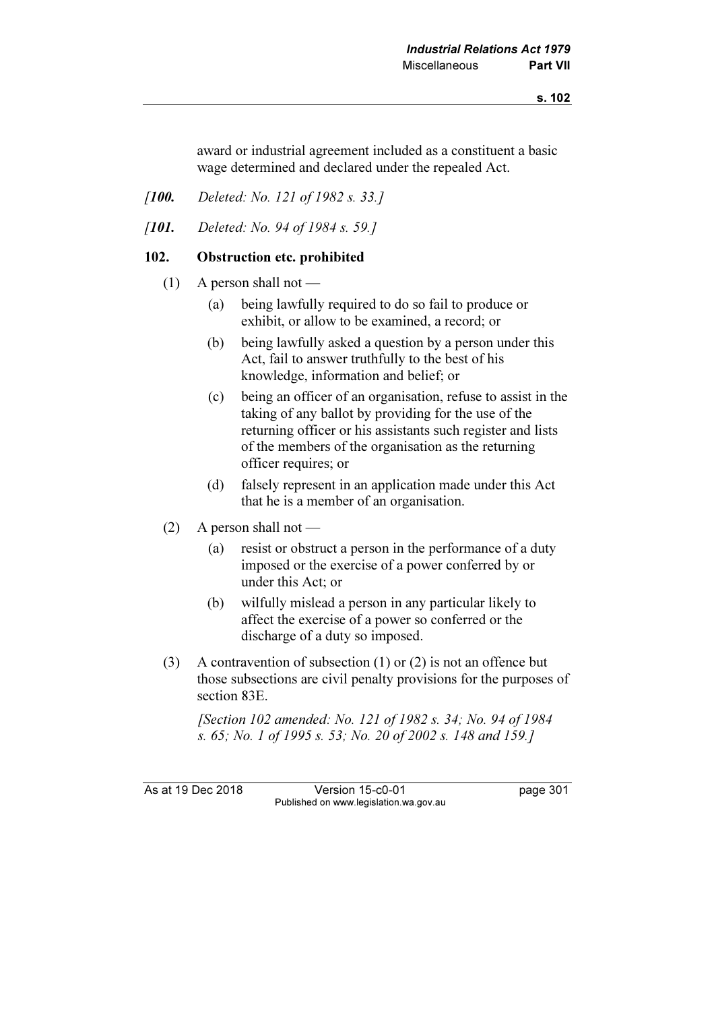award or industrial agreement included as a constituent a basic wage determined and declared under the repealed Act.

- [**100.** Deleted: No. 121 of 1982 s. 33.]
- [**101.** Deleted: No. 94 of 1984 s. 59.]

#### 102. Obstruction etc. prohibited

- $(1)$  A person shall not
	- (a) being lawfully required to do so fail to produce or exhibit, or allow to be examined, a record; or
	- (b) being lawfully asked a question by a person under this Act, fail to answer truthfully to the best of his knowledge, information and belief; or
	- (c) being an officer of an organisation, refuse to assist in the taking of any ballot by providing for the use of the returning officer or his assistants such register and lists of the members of the organisation as the returning officer requires; or
	- (d) falsely represent in an application made under this Act that he is a member of an organisation.
- (2) A person shall not
	- (a) resist or obstruct a person in the performance of a duty imposed or the exercise of a power conferred by or under this Act; or
	- (b) wilfully mislead a person in any particular likely to affect the exercise of a power so conferred or the discharge of a duty so imposed.
- (3) A contravention of subsection (1) or (2) is not an offence but those subsections are civil penalty provisions for the purposes of section 83E.

 [Section 102 amended: No. 121 of 1982 s. 34; No. 94 of 1984 s. 65; No. 1 of 1995 s. 53; No. 20 of 2002 s. 148 and 159.]

As at 19 Dec 2018 Version 15-c0-01 page 301 Published on www.legislation.wa.gov.au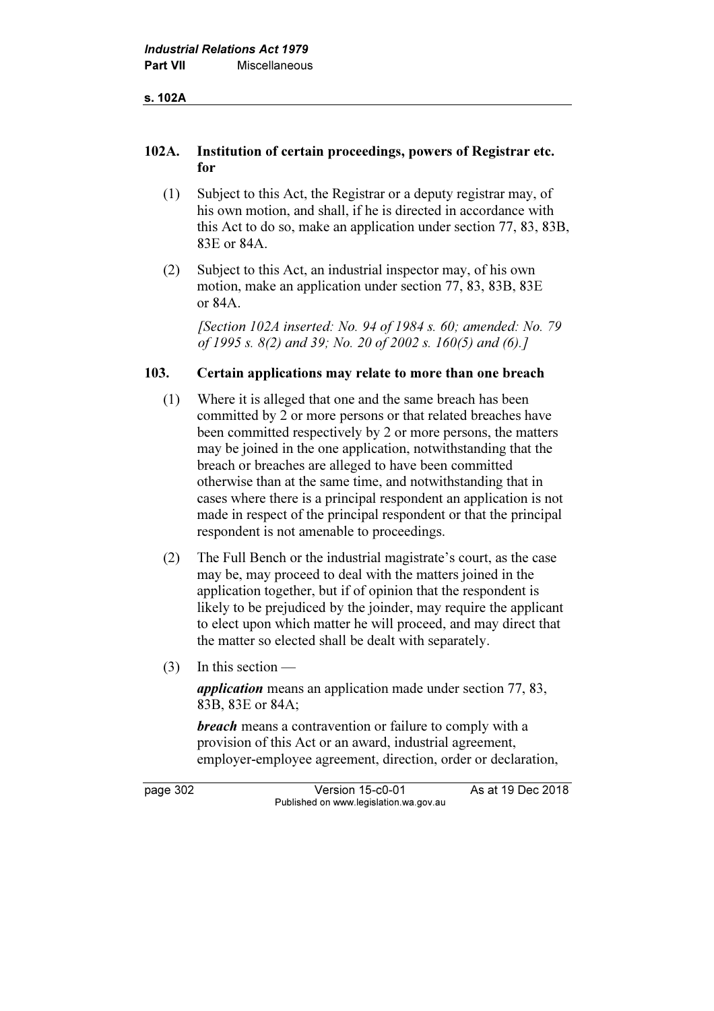#### 102A. Institution of certain proceedings, powers of Registrar etc. for

- (1) Subject to this Act, the Registrar or a deputy registrar may, of his own motion, and shall, if he is directed in accordance with this Act to do so, make an application under section 77, 83, 83B, 83E or 84A.
- (2) Subject to this Act, an industrial inspector may, of his own motion, make an application under section 77, 83, 83B, 83E or 84A.

[Section 102A inserted: No. 94 of 1984 s. 60; amended: No. 79 of 1995 s. 8(2) and 39; No. 20 of 2002 s. 160(5) and (6).]

#### 103. Certain applications may relate to more than one breach

- (1) Where it is alleged that one and the same breach has been committed by 2 or more persons or that related breaches have been committed respectively by 2 or more persons, the matters may be joined in the one application, notwithstanding that the breach or breaches are alleged to have been committed otherwise than at the same time, and notwithstanding that in cases where there is a principal respondent an application is not made in respect of the principal respondent or that the principal respondent is not amenable to proceedings.
- (2) The Full Bench or the industrial magistrate's court, as the case may be, may proceed to deal with the matters joined in the application together, but if of opinion that the respondent is likely to be prejudiced by the joinder, may require the applicant to elect upon which matter he will proceed, and may direct that the matter so elected shall be dealt with separately.
- (3) In this section —

application means an application made under section 77, 83, 83B, 83E or 84A;

**breach** means a contravention or failure to comply with a provision of this Act or an award, industrial agreement, employer-employee agreement, direction, order or declaration,

page 302 Version 15-c0-01 As at 19 Dec 2018 Published on www.legislation.wa.gov.au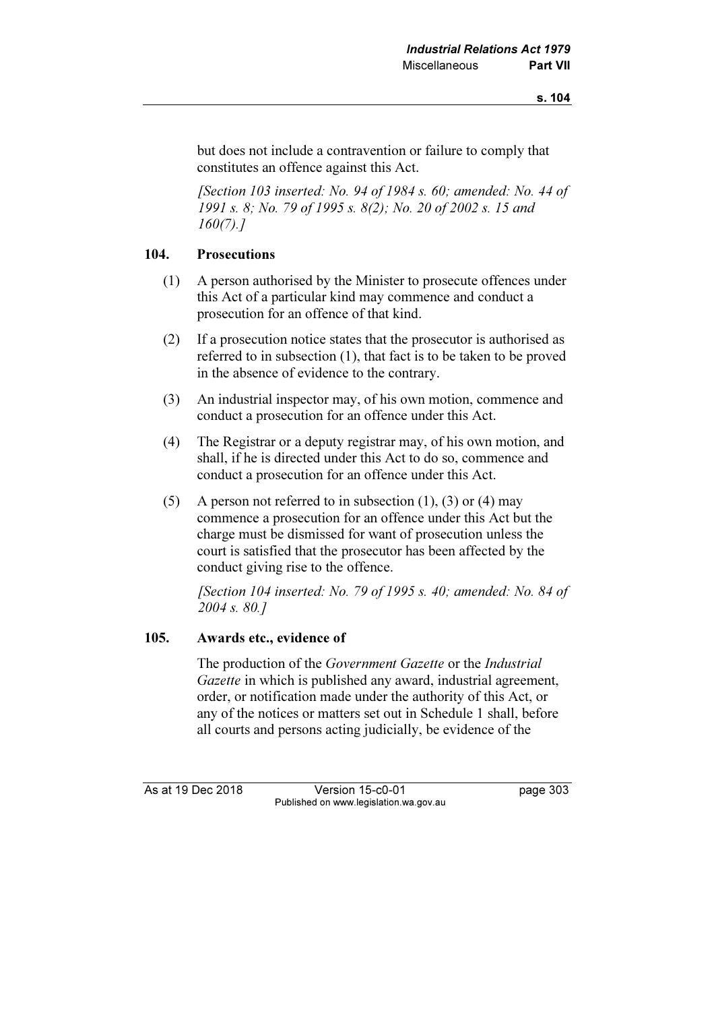but does not include a contravention or failure to comply that constitutes an offence against this Act.

 [Section 103 inserted: No. 94 of 1984 s. 60; amended: No. 44 of 1991 s. 8; No. 79 of 1995 s. 8(2); No. 20 of 2002 s. 15 and 160(7).]

#### 104. Prosecutions

- (1) A person authorised by the Minister to prosecute offences under this Act of a particular kind may commence and conduct a prosecution for an offence of that kind.
- (2) If a prosecution notice states that the prosecutor is authorised as referred to in subsection (1), that fact is to be taken to be proved in the absence of evidence to the contrary.
- (3) An industrial inspector may, of his own motion, commence and conduct a prosecution for an offence under this Act.
- (4) The Registrar or a deputy registrar may, of his own motion, and shall, if he is directed under this Act to do so, commence and conduct a prosecution for an offence under this Act.
- (5) A person not referred to in subsection  $(1)$ ,  $(3)$  or  $(4)$  may commence a prosecution for an offence under this Act but the charge must be dismissed for want of prosecution unless the court is satisfied that the prosecutor has been affected by the conduct giving rise to the offence.

[Section 104 inserted: No. 79 of 1995 s. 40; amended: No. 84 of 2004 s. 80.]

### 105. Awards etc., evidence of

 The production of the Government Gazette or the Industrial Gazette in which is published any award, industrial agreement. order, or notification made under the authority of this Act, or any of the notices or matters set out in Schedule 1 shall, before all courts and persons acting judicially, be evidence of the

As at 19 Dec 2018 Version 15-c0-01 page 303 Published on www.legislation.wa.gov.au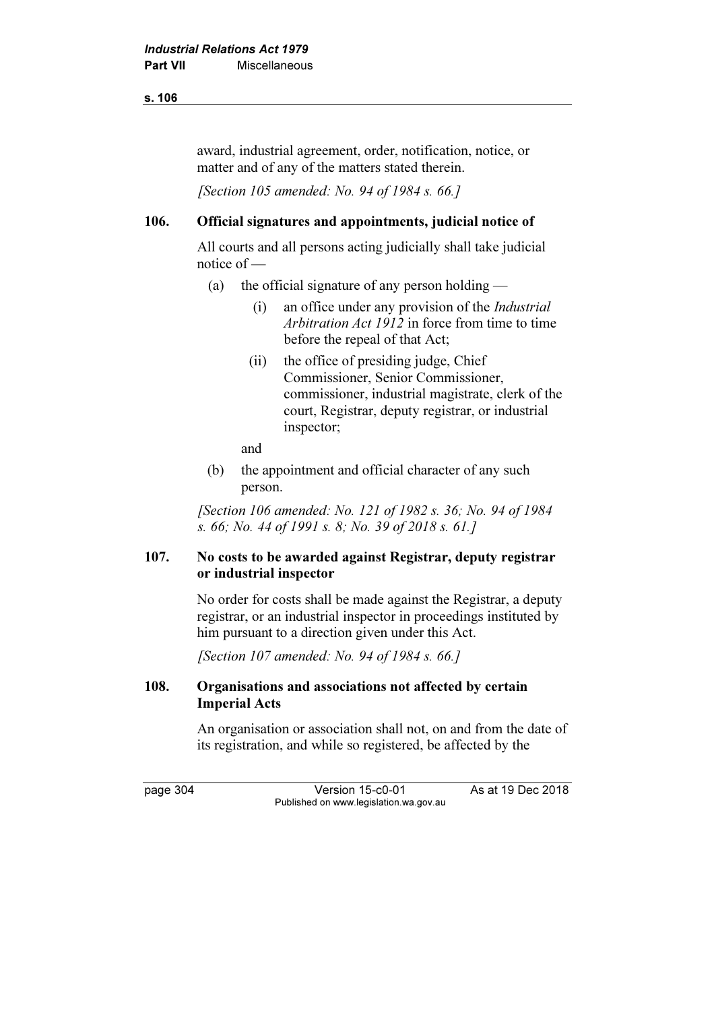#### s. 106

award, industrial agreement, order, notification, notice, or matter and of any of the matters stated therein.

[Section 105 amended: No. 94 of 1984 s. 66.]

### 106. Official signatures and appointments, judicial notice of

 All courts and all persons acting judicially shall take judicial notice of —

- (a) the official signature of any person holding  $-$ 
	- (i) an office under any provision of the Industrial Arbitration Act  $1912$  in force from time to time before the repeal of that Act;
	- (ii) the office of presiding judge, Chief Commissioner, Senior Commissioner, commissioner, industrial magistrate, clerk of the court, Registrar, deputy registrar, or industrial inspector;

and

 (b) the appointment and official character of any such person.

[Section 106 amended: No. 121 of 1982 s. 36; No. 94 of 1984] s. 66; No. 44 of 1991 s. 8; No. 39 of 2018 s. 61.]

### 107. No costs to be awarded against Registrar, deputy registrar or industrial inspector

 No order for costs shall be made against the Registrar, a deputy registrar, or an industrial inspector in proceedings instituted by him pursuant to a direction given under this Act.

[Section 107 amended: No. 94 of 1984 s. 66.]

### 108. Organisations and associations not affected by certain Imperial Acts

 An organisation or association shall not, on and from the date of its registration, and while so registered, be affected by the

page 304 Version 15-c0-01 As at 19 Dec 2018 Published on www.legislation.wa.gov.au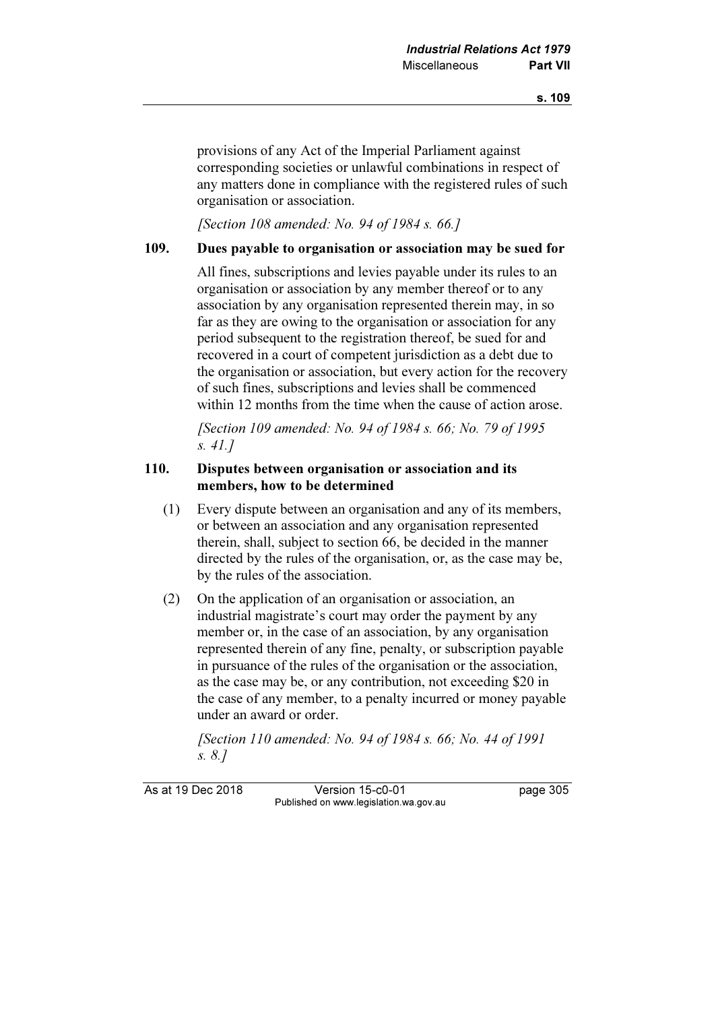provisions of any Act of the Imperial Parliament against corresponding societies or unlawful combinations in respect of any matters done in compliance with the registered rules of such organisation or association.

[Section 108 amended: No. 94 of 1984 s. 66.]

#### 109. Dues payable to organisation or association may be sued for

 All fines, subscriptions and levies payable under its rules to an organisation or association by any member thereof or to any association by any organisation represented therein may, in so far as they are owing to the organisation or association for any period subsequent to the registration thereof, be sued for and recovered in a court of competent jurisdiction as a debt due to the organisation or association, but every action for the recovery of such fines, subscriptions and levies shall be commenced within 12 months from the time when the cause of action arose.

[Section 109 amended: No. 94 of 1984 s. 66; No. 79 of 1995] s. 41.]

### 110. Disputes between organisation or association and its members, how to be determined

- (1) Every dispute between an organisation and any of its members, or between an association and any organisation represented therein, shall, subject to section 66, be decided in the manner directed by the rules of the organisation, or, as the case may be, by the rules of the association.
- (2) On the application of an organisation or association, an industrial magistrate's court may order the payment by any member or, in the case of an association, by any organisation represented therein of any fine, penalty, or subscription payable in pursuance of the rules of the organisation or the association, as the case may be, or any contribution, not exceeding \$20 in the case of any member, to a penalty incurred or money payable under an award or order.

[Section 110 amended: No. 94 of 1984 s. 66; No. 44 of 1991] s. 8.]

As at 19 Dec 2018 Version 15-c0-01 page 305 Published on www.legislation.wa.gov.au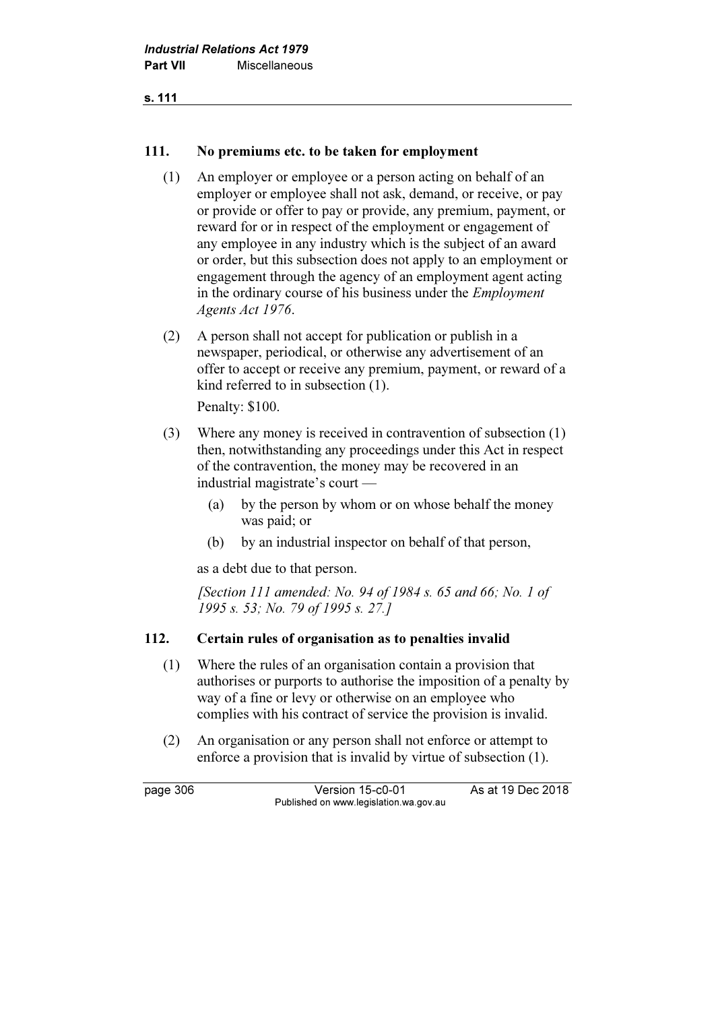#### 111. No premiums etc. to be taken for employment

- (1) An employer or employee or a person acting on behalf of an employer or employee shall not ask, demand, or receive, or pay or provide or offer to pay or provide, any premium, payment, or reward for or in respect of the employment or engagement of any employee in any industry which is the subject of an award or order, but this subsection does not apply to an employment or engagement through the agency of an employment agent acting in the ordinary course of his business under the Employment Agents Act 1976.
- (2) A person shall not accept for publication or publish in a newspaper, periodical, or otherwise any advertisement of an offer to accept or receive any premium, payment, or reward of a kind referred to in subsection (1).

Penalty: \$100.

- (3) Where any money is received in contravention of subsection (1) then, notwithstanding any proceedings under this Act in respect of the contravention, the money may be recovered in an industrial magistrate's court —
	- (a) by the person by whom or on whose behalf the money was paid; or
	- (b) by an industrial inspector on behalf of that person,

as a debt due to that person.

[Section 111 amended: No. 94 of 1984 s. 65 and 66; No. 1 of 1995 s. 53; No. 79 of 1995 s. 27.]

### 112. Certain rules of organisation as to penalties invalid

- (1) Where the rules of an organisation contain a provision that authorises or purports to authorise the imposition of a penalty by way of a fine or levy or otherwise on an employee who complies with his contract of service the provision is invalid.
- (2) An organisation or any person shall not enforce or attempt to enforce a provision that is invalid by virtue of subsection (1).

page 306 Version 15-c0-01 As at 19 Dec 2018 Published on www.legislation.wa.gov.au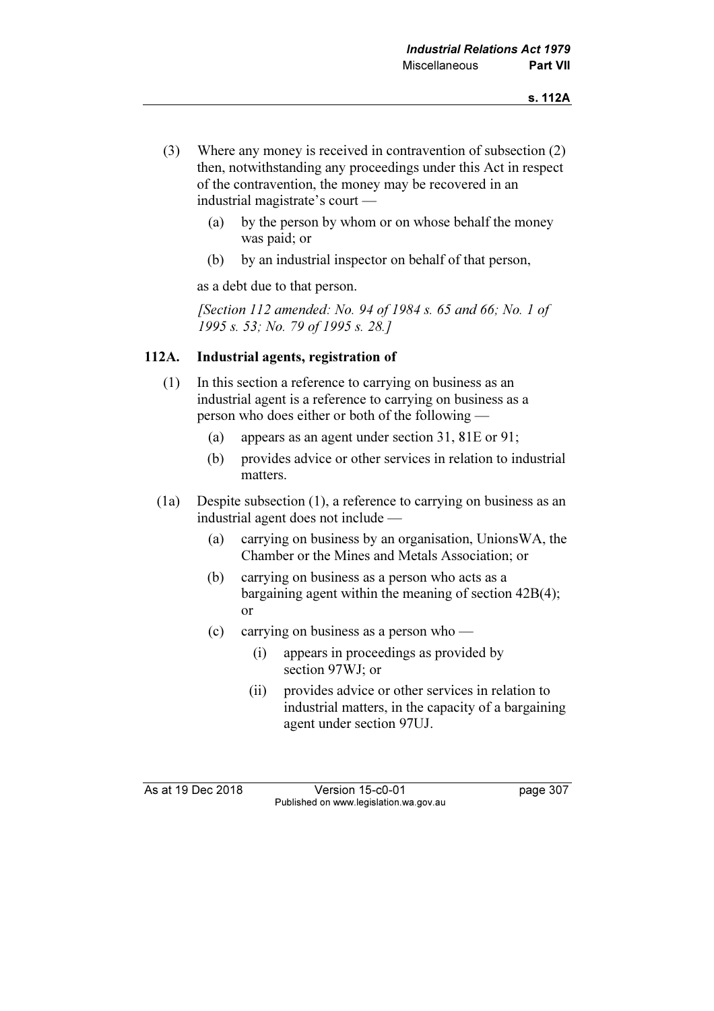- (3) Where any money is received in contravention of subsection (2) then, notwithstanding any proceedings under this Act in respect of the contravention, the money may be recovered in an industrial magistrate's court —
	- (a) by the person by whom or on whose behalf the money was paid; or
	- (b) by an industrial inspector on behalf of that person,

as a debt due to that person.

[Section 112 amended: No. 94 of 1984 s. 65 and 66; No. 1 of 1995 s. 53; No. 79 of 1995 s. 28.]

### 112A. Industrial agents, registration of

- (1) In this section a reference to carrying on business as an industrial agent is a reference to carrying on business as a person who does either or both of the following —
	- (a) appears as an agent under section 31, 81E or 91;
	- (b) provides advice or other services in relation to industrial matters.
- (1a) Despite subsection (1), a reference to carrying on business as an industrial agent does not include —
	- (a) carrying on business by an organisation, UnionsWA, the Chamber or the Mines and Metals Association; or
	- (b) carrying on business as a person who acts as a bargaining agent within the meaning of section 42B(4); or
	- (c) carrying on business as a person who
		- (i) appears in proceedings as provided by section 97WJ; or
		- (ii) provides advice or other services in relation to industrial matters, in the capacity of a bargaining agent under section 97UJ.

As at 19 Dec 2018 Version 15-c0-01 page 307 Published on www.legislation.wa.gov.au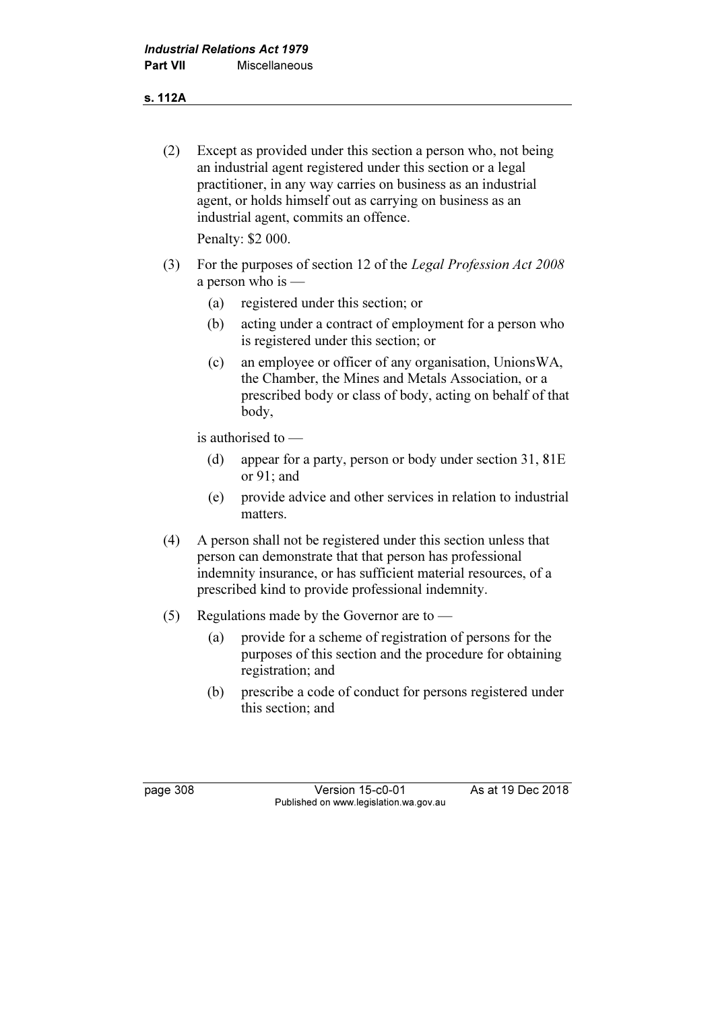### s. 112A

 (2) Except as provided under this section a person who, not being an industrial agent registered under this section or a legal practitioner, in any way carries on business as an industrial agent, or holds himself out as carrying on business as an industrial agent, commits an offence.

Penalty: \$2 000.

- (3) For the purposes of section 12 of the Legal Profession Act 2008 a person who is —
	- (a) registered under this section; or
	- (b) acting under a contract of employment for a person who is registered under this section; or
	- (c) an employee or officer of any organisation, UnionsWA, the Chamber, the Mines and Metals Association, or a prescribed body or class of body, acting on behalf of that body,

is authorised to —

- (d) appear for a party, person or body under section 31, 81E or 91; and
- (e) provide advice and other services in relation to industrial matters.
- (4) A person shall not be registered under this section unless that person can demonstrate that that person has professional indemnity insurance, or has sufficient material resources, of a prescribed kind to provide professional indemnity.
- (5) Regulations made by the Governor are to
	- (a) provide for a scheme of registration of persons for the purposes of this section and the procedure for obtaining registration; and
	- (b) prescribe a code of conduct for persons registered under this section; and

page 308 Version 15-c0-01 As at 19 Dec 2018 Published on www.legislation.wa.gov.au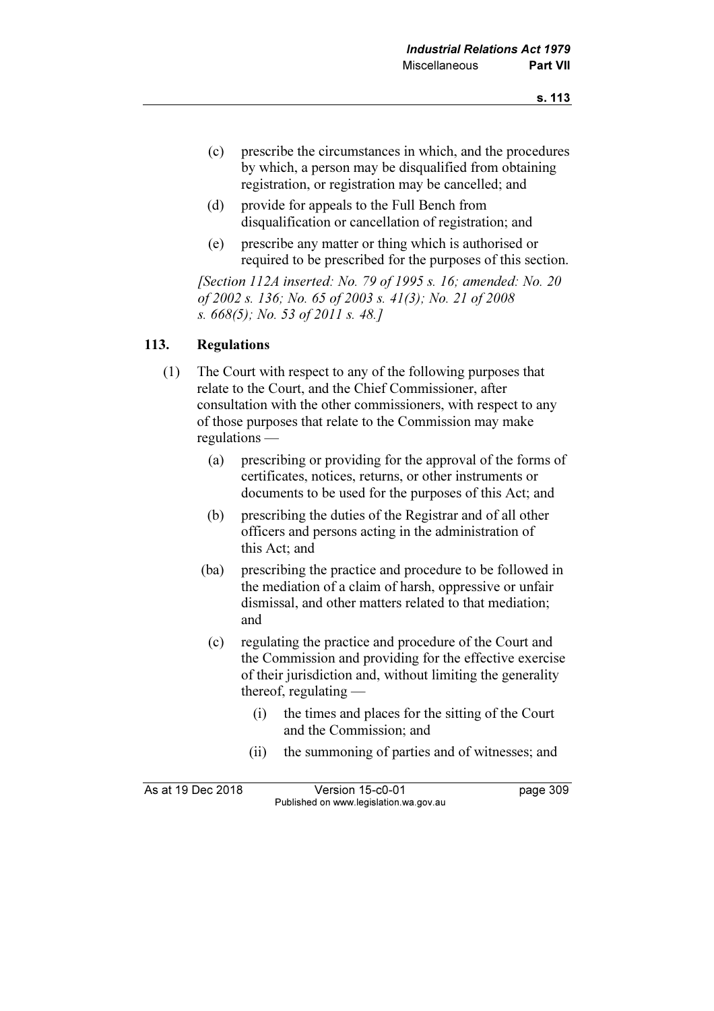- (c) prescribe the circumstances in which, and the procedures by which, a person may be disqualified from obtaining registration, or registration may be cancelled; and
- (d) provide for appeals to the Full Bench from disqualification or cancellation of registration; and
- (e) prescribe any matter or thing which is authorised or required to be prescribed for the purposes of this section.

[Section 112A inserted: No. 79 of 1995 s. 16; amended: No. 20 of 2002 s. 136; No. 65 of 2003 s. 41(3); No. 21 of 2008 s. 668(5); No. 53 of 2011 s. 48.]

## 113. Regulations

- (1) The Court with respect to any of the following purposes that relate to the Court, and the Chief Commissioner, after consultation with the other commissioners, with respect to any of those purposes that relate to the Commission may make regulations —
	- (a) prescribing or providing for the approval of the forms of certificates, notices, returns, or other instruments or documents to be used for the purposes of this Act; and
	- (b) prescribing the duties of the Registrar and of all other officers and persons acting in the administration of this Act; and
	- (ba) prescribing the practice and procedure to be followed in the mediation of a claim of harsh, oppressive or unfair dismissal, and other matters related to that mediation; and
		- (c) regulating the practice and procedure of the Court and the Commission and providing for the effective exercise of their jurisdiction and, without limiting the generality thereof, regulating —
			- (i) the times and places for the sitting of the Court and the Commission; and
			- (ii) the summoning of parties and of witnesses; and

As at 19 Dec 2018 Version 15-c0-01 page 309 Published on www.legislation.wa.gov.au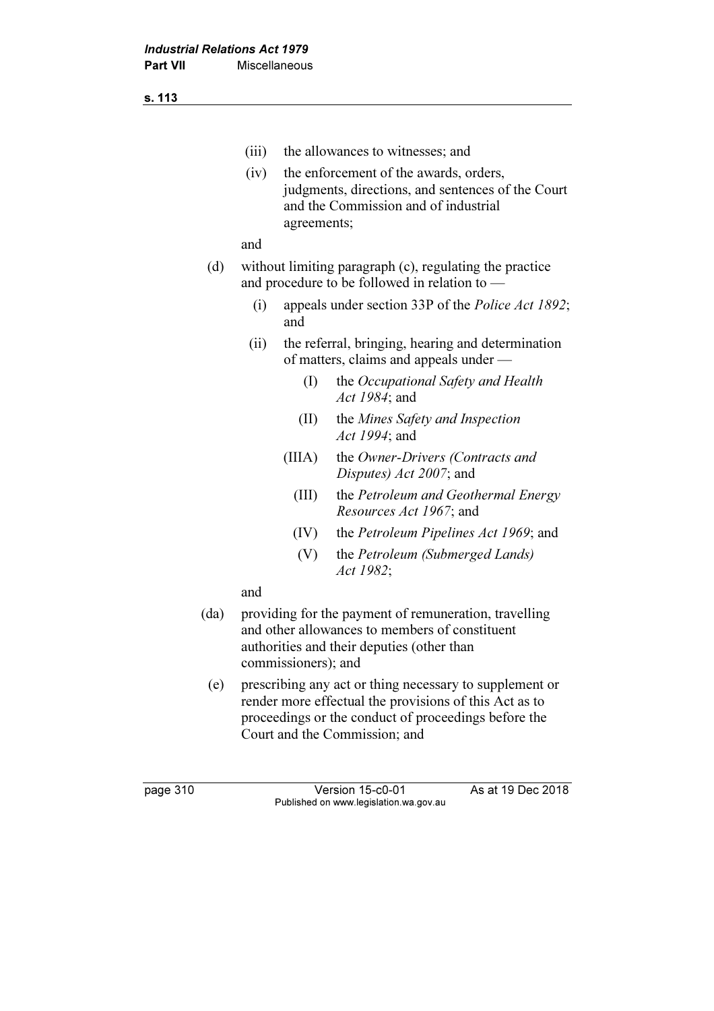s. 113

|      | (iii) |                                                                                                          | the allowances to witnesses; and                                                                                                                                                                           |  |
|------|-------|----------------------------------------------------------------------------------------------------------|------------------------------------------------------------------------------------------------------------------------------------------------------------------------------------------------------------|--|
|      | (iv)  | agreements;                                                                                              | the enforcement of the awards, orders,<br>judgments, directions, and sentences of the Court<br>and the Commission and of industrial                                                                        |  |
|      | and   |                                                                                                          |                                                                                                                                                                                                            |  |
| (d)  |       | without limiting paragraph (c), regulating the practice<br>and procedure to be followed in relation to — |                                                                                                                                                                                                            |  |
|      | (i)   | and                                                                                                      | appeals under section 33P of the <i>Police Act 1892</i> ;                                                                                                                                                  |  |
|      | (ii)  |                                                                                                          | the referral, bringing, hearing and determination<br>of matters, claims and appeals under —                                                                                                                |  |
|      |       | $\rm(I)$                                                                                                 | the Occupational Safety and Health<br>Act 1984; and                                                                                                                                                        |  |
|      |       | (II)                                                                                                     | the Mines Safety and Inspection<br>Act 1994; and                                                                                                                                                           |  |
|      |       | (IIIA)                                                                                                   | the Owner-Drivers (Contracts and<br>Disputes) Act 2007; and                                                                                                                                                |  |
|      |       | (III)                                                                                                    | the Petroleum and Geothermal Energy<br><i>Resources Act 1967</i> ; and                                                                                                                                     |  |
|      |       | (IV)                                                                                                     | the <i>Petroleum Pipelines Act 1969</i> ; and                                                                                                                                                              |  |
|      |       | (V)                                                                                                      | the Petroleum (Submerged Lands)<br>Act 1982;                                                                                                                                                               |  |
|      | and   |                                                                                                          |                                                                                                                                                                                                            |  |
| (da) |       | commissioners); and                                                                                      | providing for the payment of remuneration, travelling<br>and other allowances to members of constituent<br>authorities and their deputies (other than                                                      |  |
| (e)  |       |                                                                                                          | prescribing any act or thing necessary to supplement or<br>render more effectual the provisions of this Act as to<br>proceedings or the conduct of proceedings before the<br>Court and the Commission; and |  |
|      |       |                                                                                                          |                                                                                                                                                                                                            |  |

page 310 Version 15-c0-01 As at 19 Dec 2018 Published on www.legislation.wa.gov.au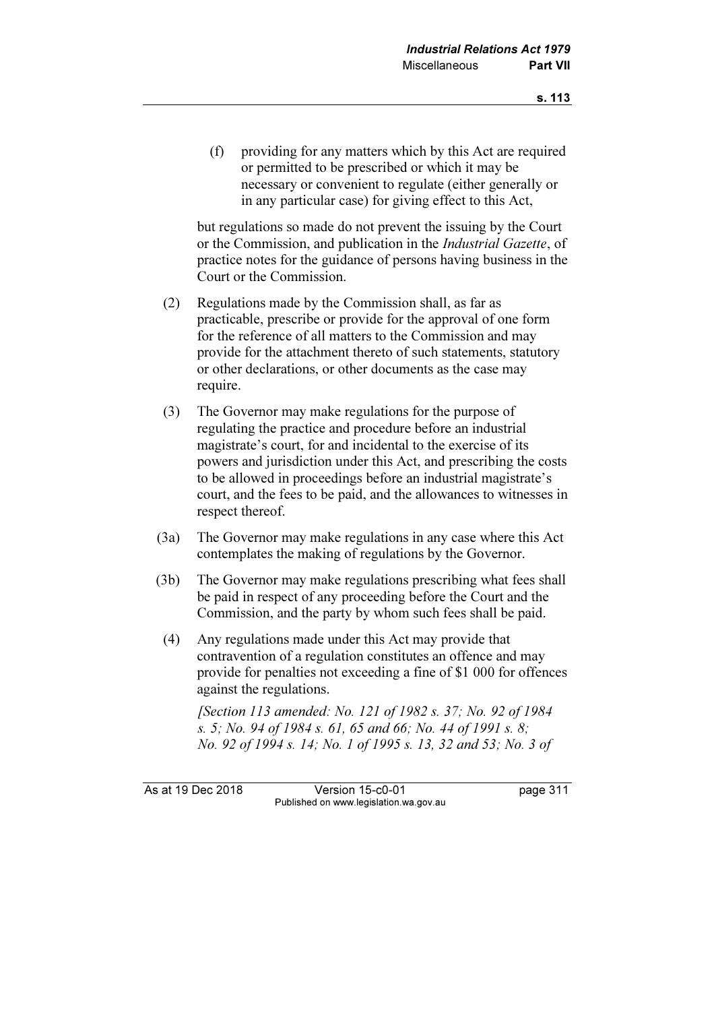(f) providing for any matters which by this Act are required or permitted to be prescribed or which it may be necessary or convenient to regulate (either generally or in any particular case) for giving effect to this Act,

 but regulations so made do not prevent the issuing by the Court or the Commission, and publication in the Industrial Gazette, of practice notes for the guidance of persons having business in the Court or the Commission.

- (2) Regulations made by the Commission shall, as far as practicable, prescribe or provide for the approval of one form for the reference of all matters to the Commission and may provide for the attachment thereto of such statements, statutory or other declarations, or other documents as the case may require.
- (3) The Governor may make regulations for the purpose of regulating the practice and procedure before an industrial magistrate's court, for and incidental to the exercise of its powers and jurisdiction under this Act, and prescribing the costs to be allowed in proceedings before an industrial magistrate's court, and the fees to be paid, and the allowances to witnesses in respect thereof.
- (3a) The Governor may make regulations in any case where this Act contemplates the making of regulations by the Governor.
- (3b) The Governor may make regulations prescribing what fees shall be paid in respect of any proceeding before the Court and the Commission, and the party by whom such fees shall be paid.
- (4) Any regulations made under this Act may provide that contravention of a regulation constitutes an offence and may provide for penalties not exceeding a fine of \$1 000 for offences against the regulations.

 [Section 113 amended: No. 121 of 1982 s. 37; No. 92 of 1984 s. 5; No. 94 of 1984 s. 61, 65 and 66; No. 44 of 1991 s. 8; No. 92 of 1994 s. 14; No. 1 of 1995 s. 13, 32 and 53; No. 3 of

As at 19 Dec 2018 Version 15-c0-01 page 311 Published on www.legislation.wa.gov.au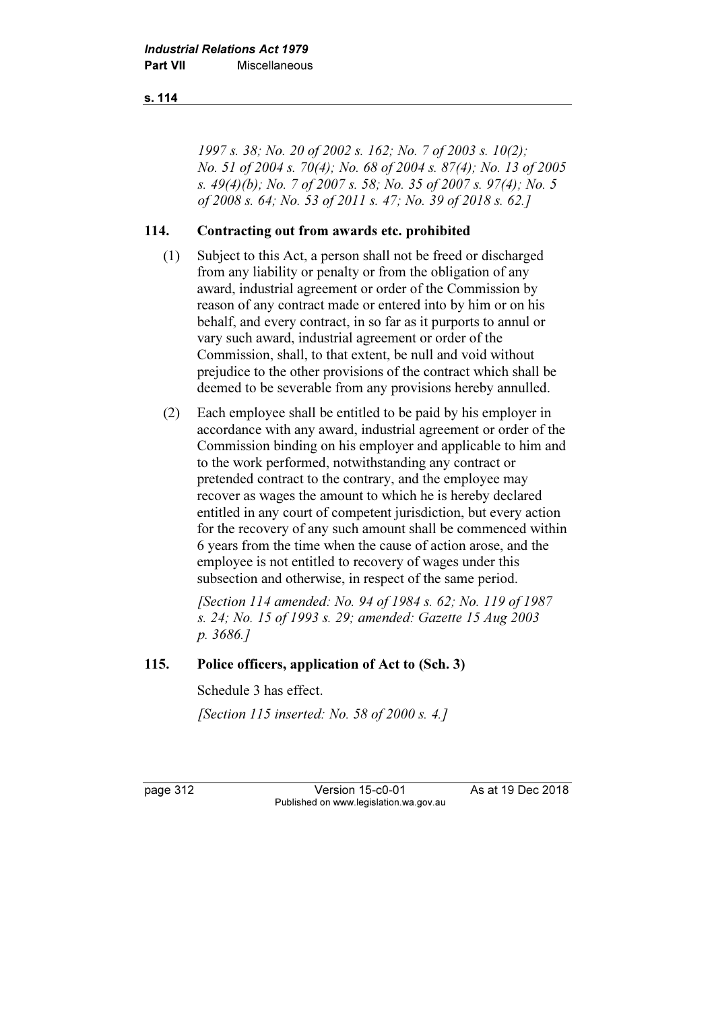### s. 114

1997 s. 38; No. 20 of 2002 s. 162; No. 7 of 2003 s. 10(2); No. 51 of 2004 s. 70(4); No. 68 of 2004 s. 87(4); No. 13 of 2005 s. 49(4)(b); No. 7 of 2007 s. 58; No. 35 of 2007 s. 97(4); No. 5 of 2008 s. 64; No. 53 of 2011 s. 47; No. 39 of 2018 s. 62.]

### 114. Contracting out from awards etc. prohibited

- (1) Subject to this Act, a person shall not be freed or discharged from any liability or penalty or from the obligation of any award, industrial agreement or order of the Commission by reason of any contract made or entered into by him or on his behalf, and every contract, in so far as it purports to annul or vary such award, industrial agreement or order of the Commission, shall, to that extent, be null and void without prejudice to the other provisions of the contract which shall be deemed to be severable from any provisions hereby annulled.
- (2) Each employee shall be entitled to be paid by his employer in accordance with any award, industrial agreement or order of the Commission binding on his employer and applicable to him and to the work performed, notwithstanding any contract or pretended contract to the contrary, and the employee may recover as wages the amount to which he is hereby declared entitled in any court of competent jurisdiction, but every action for the recovery of any such amount shall be commenced within 6 years from the time when the cause of action arose, and the employee is not entitled to recovery of wages under this subsection and otherwise, in respect of the same period.

 [Section 114 amended: No. 94 of 1984 s. 62; No. 119 of 1987 s. 24; No. 15 of 1993 s. 29; amended: Gazette 15 Aug 2003 p. 3686.]

### 115. Police officers, application of Act to (Sch. 3)

Schedule 3 has effect.

[Section 115 inserted: No. 58 of 2000 s. 4.]

page 312 Version 15-c0-01 As at 19 Dec 2018 Published on www.legislation.wa.gov.au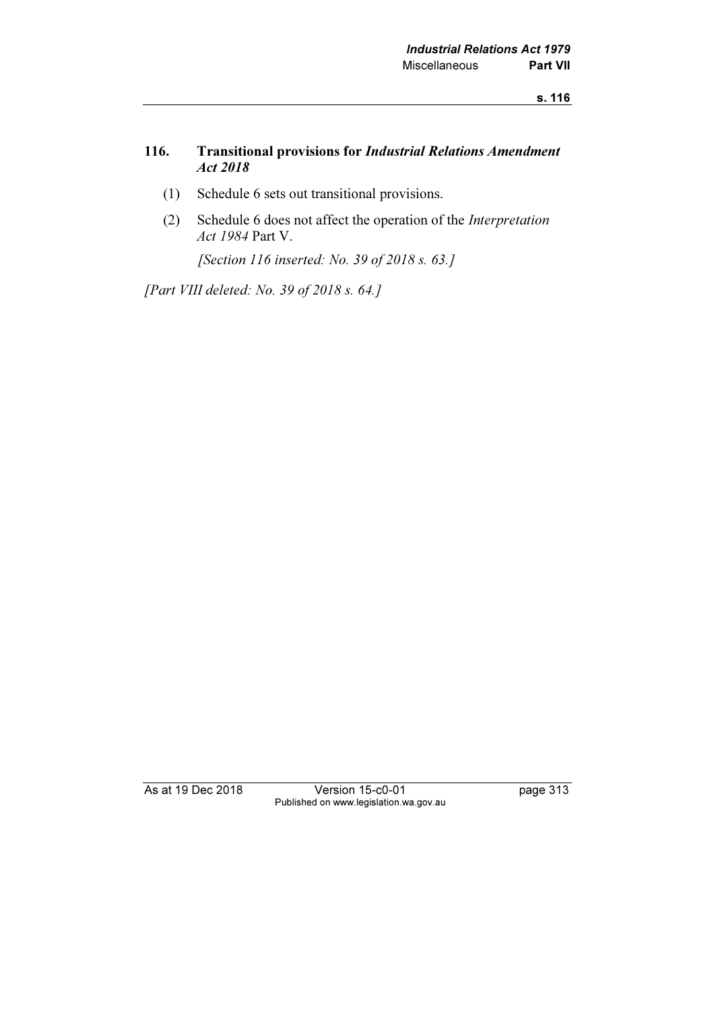### 116. Transitional provisions for Industrial Relations Amendment Act 2018

- (1) Schedule 6 sets out transitional provisions.
- (2) Schedule 6 does not affect the operation of the Interpretation Act 1984 Part V.

[Section 116 inserted: No. 39 of 2018 s. 63.]

[Part VIII deleted: No. 39 of 2018 s. 64.]

As at 19 Dec 2018 Version 15-c0-01 page 313 Published on www.legislation.wa.gov.au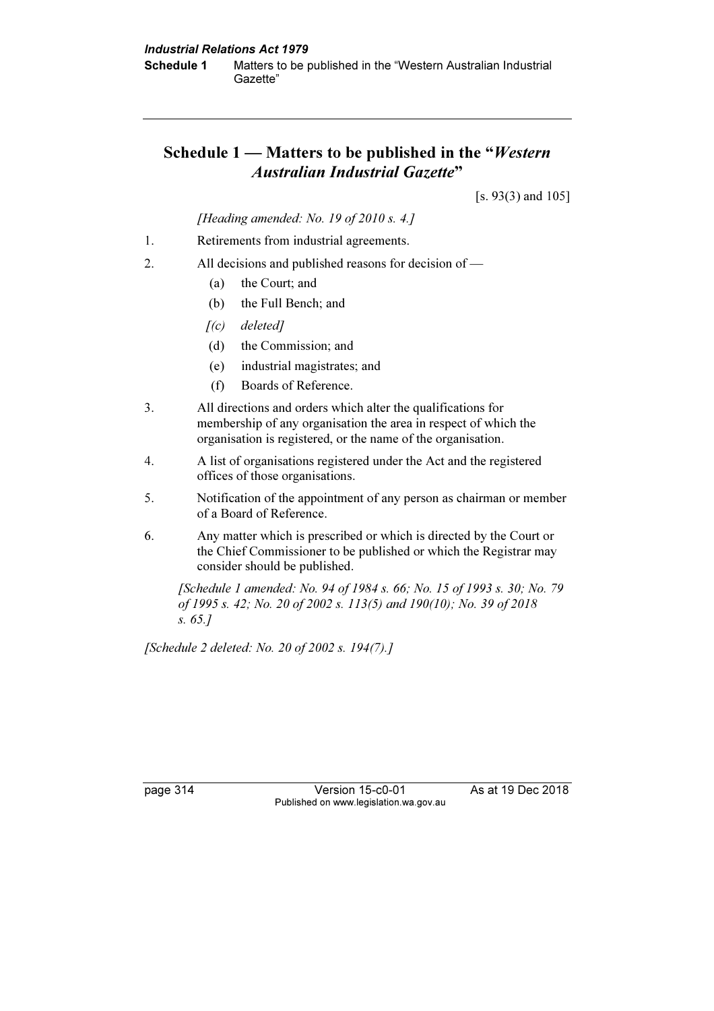# Schedule  $1 -$  Matters to be published in the "Western" Australian Industrial Gazette"

[s. 93(3) and 105]

[Heading amended: No. 19 of 2010 s. 4.]

- 1. Retirements from industrial agreements.
- 2. All decisions and published reasons for decision of
	- (a) the Court; and
	- (b) the Full Bench; and
	- $[(c)$  deleted]
	- (d) the Commission; and
	- (e) industrial magistrates; and
	- (f) Boards of Reference.
- 3. All directions and orders which alter the qualifications for membership of any organisation the area in respect of which the organisation is registered, or the name of the organisation.
- 4. A list of organisations registered under the Act and the registered offices of those organisations.
- 5. Notification of the appointment of any person as chairman or member of a Board of Reference.
- 6. Any matter which is prescribed or which is directed by the Court or the Chief Commissioner to be published or which the Registrar may consider should be published.

 [Schedule 1 amended: No. 94 of 1984 s. 66; No. 15 of 1993 s. 30; No. 79 of 1995 s. 42; No. 20 of 2002 s. 113(5) and 190(10); No. 39 of 2018 s. 65.]

[Schedule 2 deleted: No. 20 of 2002 s. 194(7).]

page 314 **Version 15-c0-01** As at 19 Dec 2018 Published on www.legislation.wa.gov.au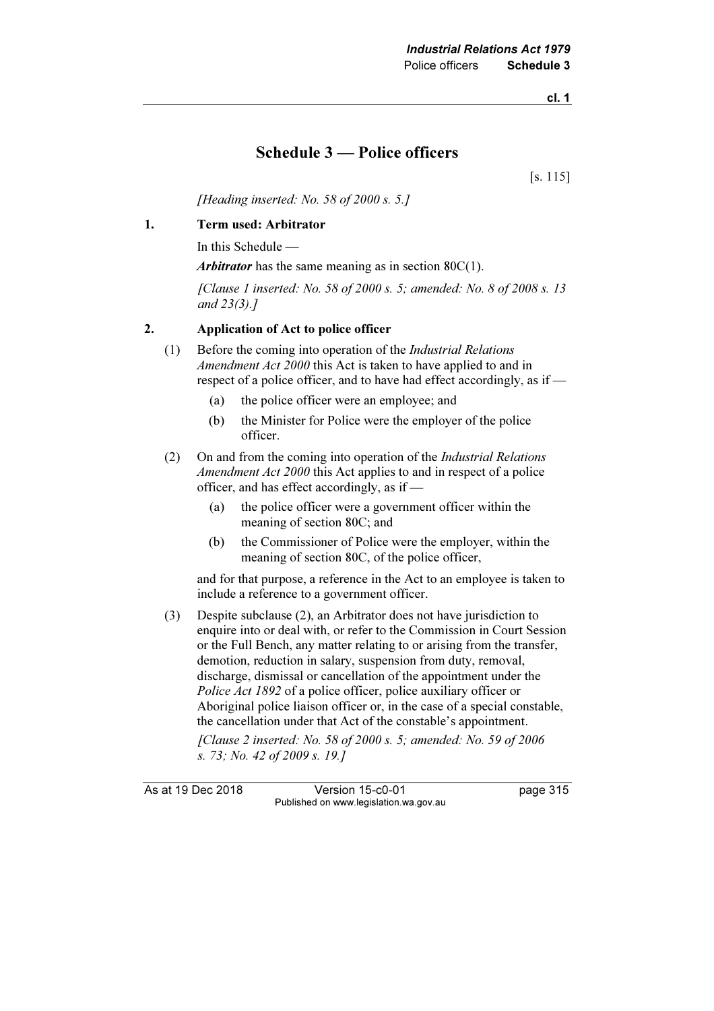## Schedule 3 — Police officers

[s. 115]

[Heading inserted: No. 58 of 2000 s. 5.]

#### 1. Term used: Arbitrator

In this Schedule —

Arbitrator has the same meaning as in section  $80C(1)$ .

 [Clause 1 inserted: No. 58 of 2000 s. 5; amended: No. 8 of 2008 s. 13 and 23(3).]

#### 2. Application of Act to police officer

- (1) Before the coming into operation of the Industrial Relations Amendment Act 2000 this Act is taken to have applied to and in respect of a police officer, and to have had effect accordingly, as if —
	- (a) the police officer were an employee; and
	- (b) the Minister for Police were the employer of the police officer.
- (2) On and from the coming into operation of the Industrial Relations Amendment Act 2000 this Act applies to and in respect of a police officer, and has effect accordingly, as if —
	- (a) the police officer were a government officer within the meaning of section 80C; and
	- (b) the Commissioner of Police were the employer, within the meaning of section 80C, of the police officer,

 and for that purpose, a reference in the Act to an employee is taken to include a reference to a government officer.

 (3) Despite subclause (2), an Arbitrator does not have jurisdiction to enquire into or deal with, or refer to the Commission in Court Session or the Full Bench, any matter relating to or arising from the transfer, demotion, reduction in salary, suspension from duty, removal, discharge, dismissal or cancellation of the appointment under the Police Act 1892 of a police officer, police auxiliary officer or Aboriginal police liaison officer or, in the case of a special constable, the cancellation under that Act of the constable's appointment.

 [Clause 2 inserted: No. 58 of 2000 s. 5; amended: No. 59 of 2006 s. 73; No. 42 of 2009 s. 19.]

As at 19 Dec 2018 Version 15-c0-01 page 315 Published on www.legislation.wa.gov.au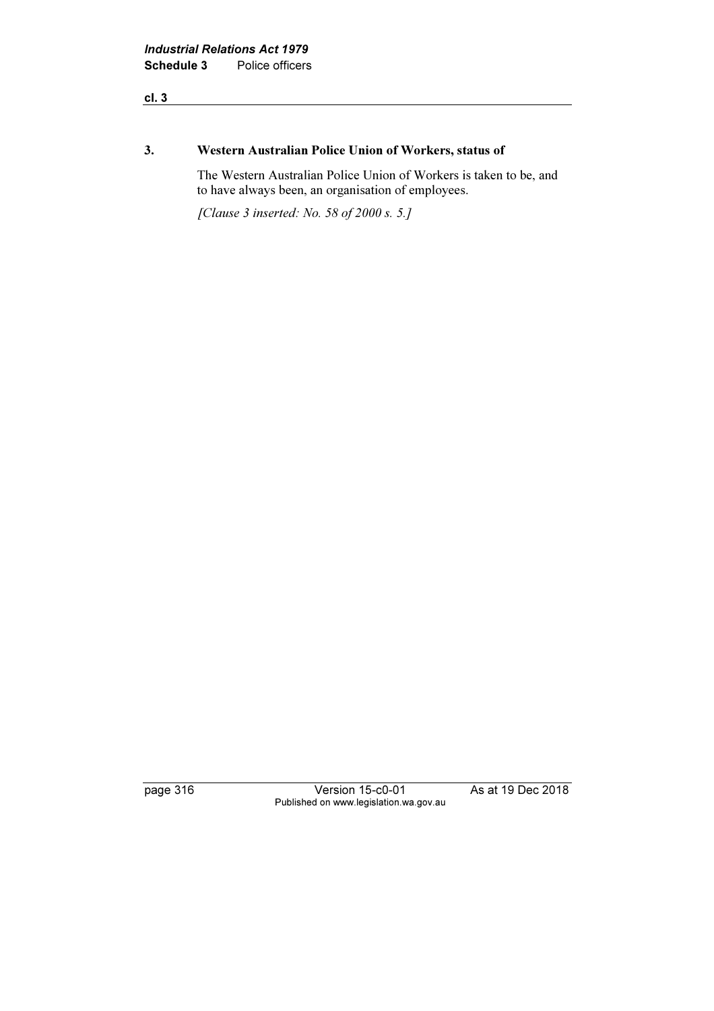#### 3. Western Australian Police Union of Workers, status of

 The Western Australian Police Union of Workers is taken to be, and to have always been, an organisation of employees.

[Clause 3 inserted: No. 58 of 2000 s. 5.]

page 316 Version 15-c0-01 As at 19 Dec 2018 Published on www.legislation.wa.gov.au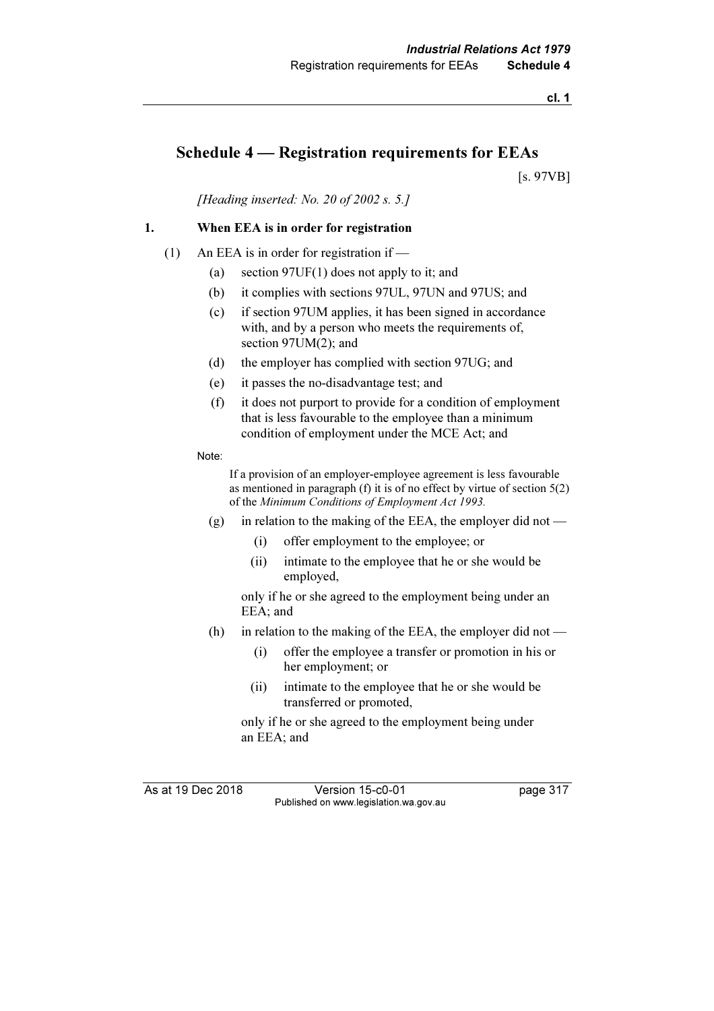## Schedule 4 — Registration requirements for EEAs

[s. 97VB]

[Heading inserted: No. 20 of 2002 s. 5.]

### 1. When EEA is in order for registration

- (1) An EEA is in order for registration if
	- (a) section 97UF(1) does not apply to it; and
	- (b) it complies with sections 97UL, 97UN and 97US; and
	- (c) if section 97UM applies, it has been signed in accordance with, and by a person who meets the requirements of, section 97UM(2); and
	- (d) the employer has complied with section 97UG; and
	- (e) it passes the no-disadvantage test; and
	- (f) it does not purport to provide for a condition of employment that is less favourable to the employee than a minimum condition of employment under the MCE Act; and
	- Note:

 If a provision of an employer-employee agreement is less favourable as mentioned in paragraph (f) it is of no effect by virtue of section 5(2) of the Minimum Conditions of Employment Act 1993.

- (g) in relation to the making of the EEA, the employer did not
	- (i) offer employment to the employee; or
	- (ii) intimate to the employee that he or she would be employed,

 only if he or she agreed to the employment being under an EEA; and

- (h) in relation to the making of the EEA, the employer did not
	- (i) offer the employee a transfer or promotion in his or her employment; or
	- (ii) intimate to the employee that he or she would be transferred or promoted,

 only if he or she agreed to the employment being under an EEA; and

As at 19 Dec 2018 Version 15-c0-01 page 317 Published on www.legislation.wa.gov.au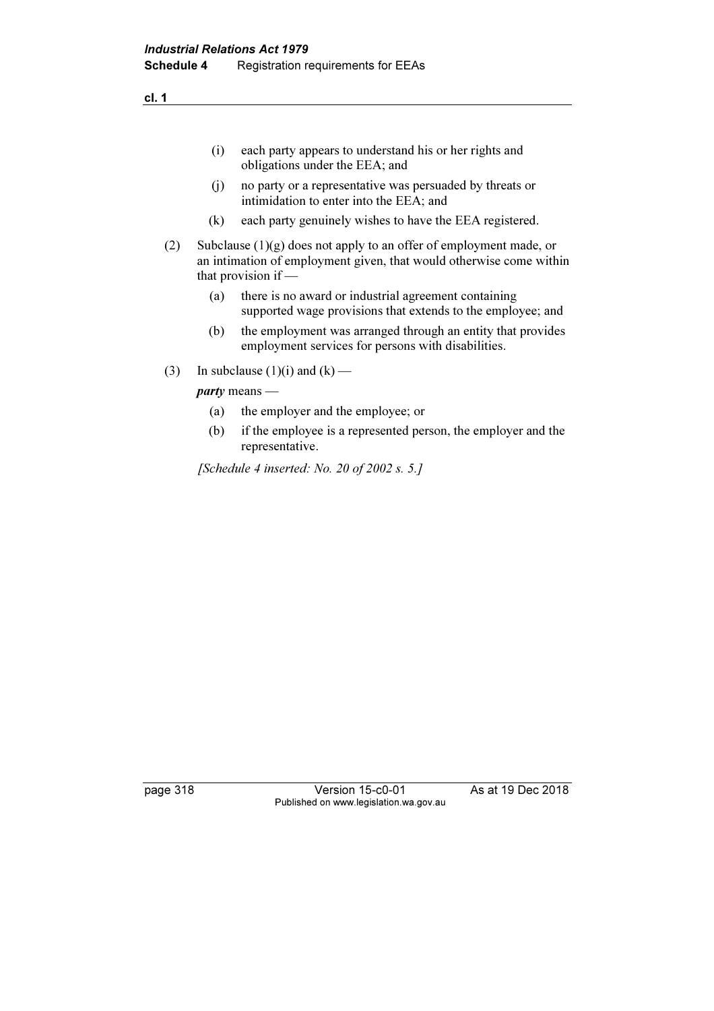(i) each party appears to understand his or her rights and obligations under the EEA; and

- (j) no party or a representative was persuaded by threats or intimidation to enter into the EEA; and
- (k) each party genuinely wishes to have the EEA registered.
- (2) Subclause (1)(g) does not apply to an offer of employment made, or an intimation of employment given, that would otherwise come within that provision if —
	- (a) there is no award or industrial agreement containing supported wage provisions that extends to the employee; and
	- (b) the employment was arranged through an entity that provides employment services for persons with disabilities.
- (3) In subclause (1)(i) and (k) —

party means —

- (a) the employer and the employee; or
- (b) if the employee is a represented person, the employer and the representative.

[Schedule 4 inserted: No. 20 of 2002 s. 5.]

page 318 Version 15-c0-01 As at 19 Dec 2018 Published on www.legislation.wa.gov.au

cl. 1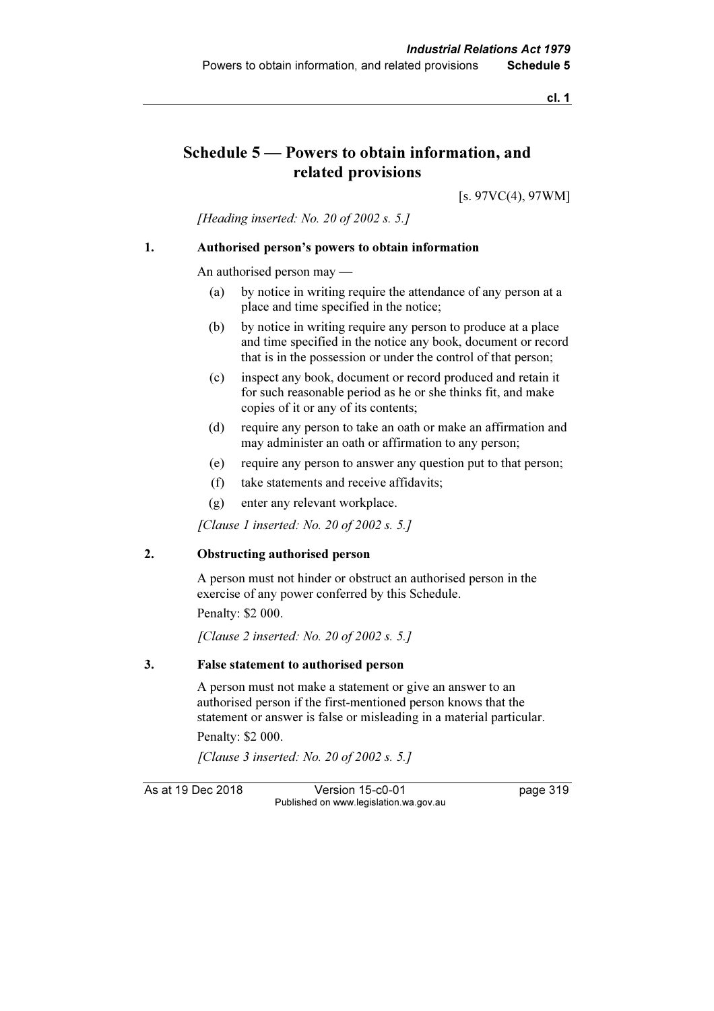## Schedule 5 — Powers to obtain information, and related provisions

[s. 97VC(4), 97WM]

[Heading inserted: No. 20 of 2002 s. 5.]

#### 1. Authorised person's powers to obtain information

An authorised person may —

- (a) by notice in writing require the attendance of any person at a place and time specified in the notice;
- (b) by notice in writing require any person to produce at a place and time specified in the notice any book, document or record that is in the possession or under the control of that person;
- (c) inspect any book, document or record produced and retain it for such reasonable period as he or she thinks fit, and make copies of it or any of its contents;
- (d) require any person to take an oath or make an affirmation and may administer an oath or affirmation to any person;
- (e) require any person to answer any question put to that person;
- (f) take statements and receive affidavits;
- (g) enter any relevant workplace.

[Clause 1 inserted: No. 20 of 2002 s. 5.]

#### 2. Obstructing authorised person

 A person must not hinder or obstruct an authorised person in the exercise of any power conferred by this Schedule.

Penalty: \$2 000.

[Clause 2 inserted: No. 20 of 2002 s. 5.]

#### 3. False statement to authorised person

 A person must not make a statement or give an answer to an authorised person if the first-mentioned person knows that the statement or answer is false or misleading in a material particular.

Penalty: \$2 000.

[Clause 3 inserted: No. 20 of 2002 s. 5.]

As at 19 Dec 2018 Version 15-c0-01 page 319 Published on www.legislation.wa.gov.au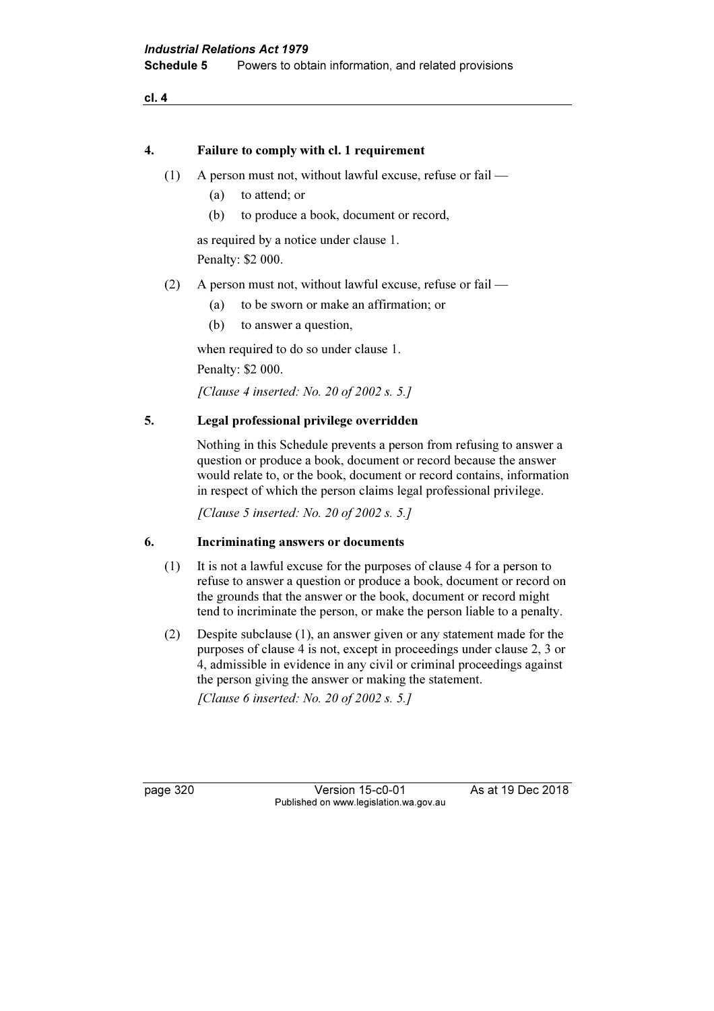#### 4. Failure to comply with cl. 1 requirement

- (1) A person must not, without lawful excuse, refuse or fail
	- (a) to attend; or
	- (b) to produce a book, document or record,

 as required by a notice under clause 1. Penalty: \$2 000.

- (2) A person must not, without lawful excuse, refuse or fail
	- (a) to be sworn or make an affirmation; or
	- (b) to answer a question,

when required to do so under clause 1.

Penalty: \$2 000.

[Clause 4 inserted: No. 20 of 2002 s. 5.]

### 5. Legal professional privilege overridden

 Nothing in this Schedule prevents a person from refusing to answer a question or produce a book, document or record because the answer would relate to, or the book, document or record contains, information in respect of which the person claims legal professional privilege.

[Clause 5 inserted: No. 20 of 2002 s. 5.]

#### 6. Incriminating answers or documents

- (1) It is not a lawful excuse for the purposes of clause 4 for a person to refuse to answer a question or produce a book, document or record on the grounds that the answer or the book, document or record might tend to incriminate the person, or make the person liable to a penalty.
- (2) Despite subclause (1), an answer given or any statement made for the purposes of clause 4 is not, except in proceedings under clause 2, 3 or 4, admissible in evidence in any civil or criminal proceedings against the person giving the answer or making the statement.

[Clause 6 inserted: No. 20 of 2002 s. 5.]

page 320 **Version 15-c0-01** As at 19 Dec 2018 Published on www.legislation.wa.gov.au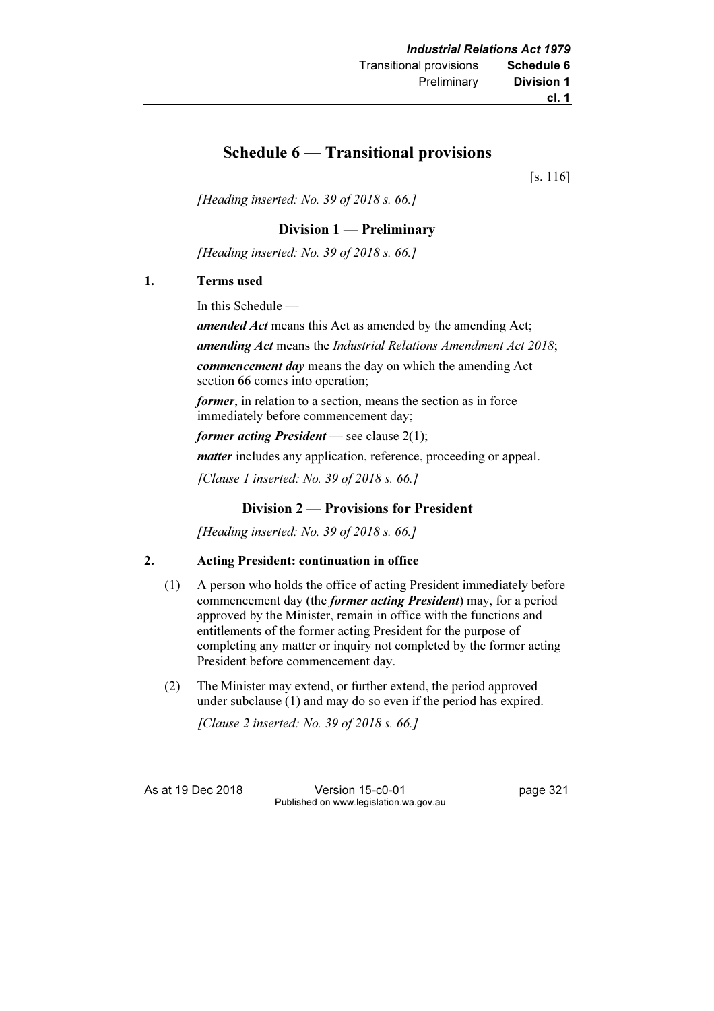## Schedule 6 — Transitional provisions

[s. 116]

[Heading inserted: No. 39 of 2018 s. 66.]

### Division 1 — Preliminary

[Heading inserted: No. 39 of 2018 s. 66.]

### 1. Terms used

In this Schedule —

amended Act means this Act as amended by the amending Act; amending Act means the Industrial Relations Amendment Act 2018;

commencement day means the day on which the amending Act section 66 comes into operation;

former, in relation to a section, means the section as in force immediately before commencement day;

former acting President — see clause  $2(1)$ ;

*matter* includes any application, reference, proceeding or appeal.

[Clause 1 inserted: No. 39 of 2018 s. 66.]

### Division 2 — Provisions for President

[Heading inserted: No. 39 of 2018 s. 66.]

### 2. Acting President: continuation in office

- (1) A person who holds the office of acting President immediately before commencement day (the former acting President) may, for a period approved by the Minister, remain in office with the functions and entitlements of the former acting President for the purpose of completing any matter or inquiry not completed by the former acting President before commencement day.
- (2) The Minister may extend, or further extend, the period approved under subclause (1) and may do so even if the period has expired.

[Clause 2 inserted: No. 39 of 2018 s. 66.]

As at 19 Dec 2018 Version 15-c0-01 page 321 Published on www.legislation.wa.gov.au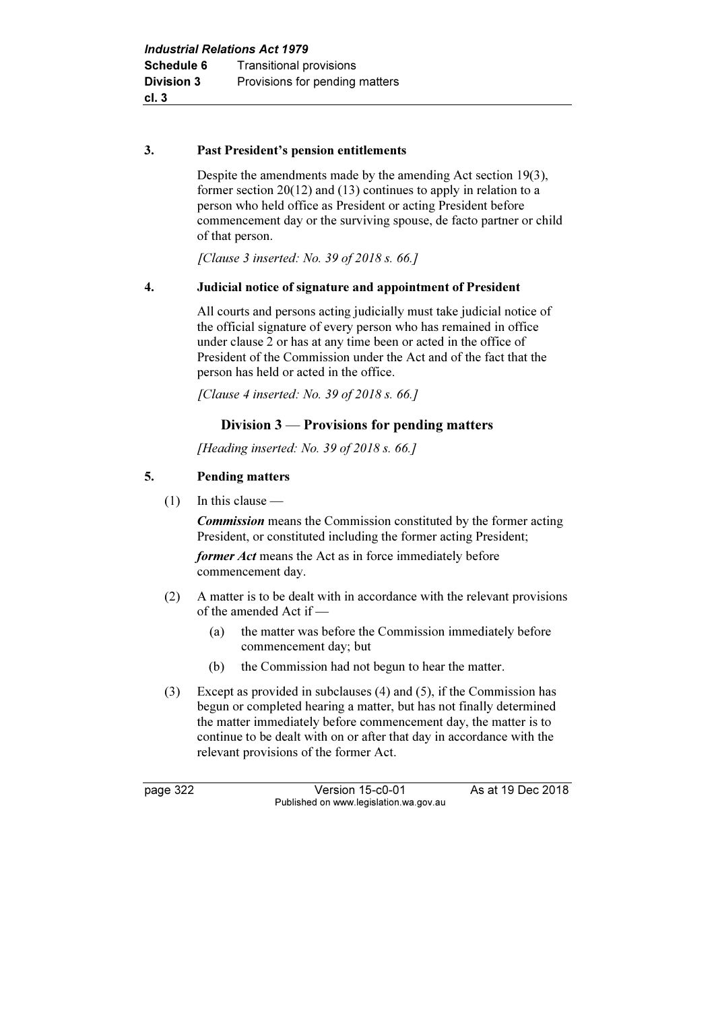### 3. Past President's pension entitlements

 Despite the amendments made by the amending Act section 19(3), former section 20(12) and (13) continues to apply in relation to a person who held office as President or acting President before commencement day or the surviving spouse, de facto partner or child of that person.

[Clause 3 inserted: No. 39 of 2018 s. 66.]

### 4. Judicial notice of signature and appointment of President

 All courts and persons acting judicially must take judicial notice of the official signature of every person who has remained in office under clause 2 or has at any time been or acted in the office of President of the Commission under the Act and of the fact that the person has held or acted in the office.

[Clause 4 inserted: No. 39 of 2018 s. 66.]

### Division 3 — Provisions for pending matters

[Heading inserted: No. 39 of 2018 s. 66.]

### 5. Pending matters

 $(1)$  In this clause —

**Commission** means the Commission constituted by the former acting President, or constituted including the former acting President;

former Act means the Act as in force immediately before commencement day.

- (2) A matter is to be dealt with in accordance with the relevant provisions of the amended Act if —
	- (a) the matter was before the Commission immediately before commencement day; but
	- (b) the Commission had not begun to hear the matter.
- (3) Except as provided in subclauses (4) and (5), if the Commission has begun or completed hearing a matter, but has not finally determined the matter immediately before commencement day, the matter is to continue to be dealt with on or after that day in accordance with the relevant provisions of the former Act.

page 322 Version 15-c0-01 As at 19 Dec 2018 Published on www.legislation.wa.gov.au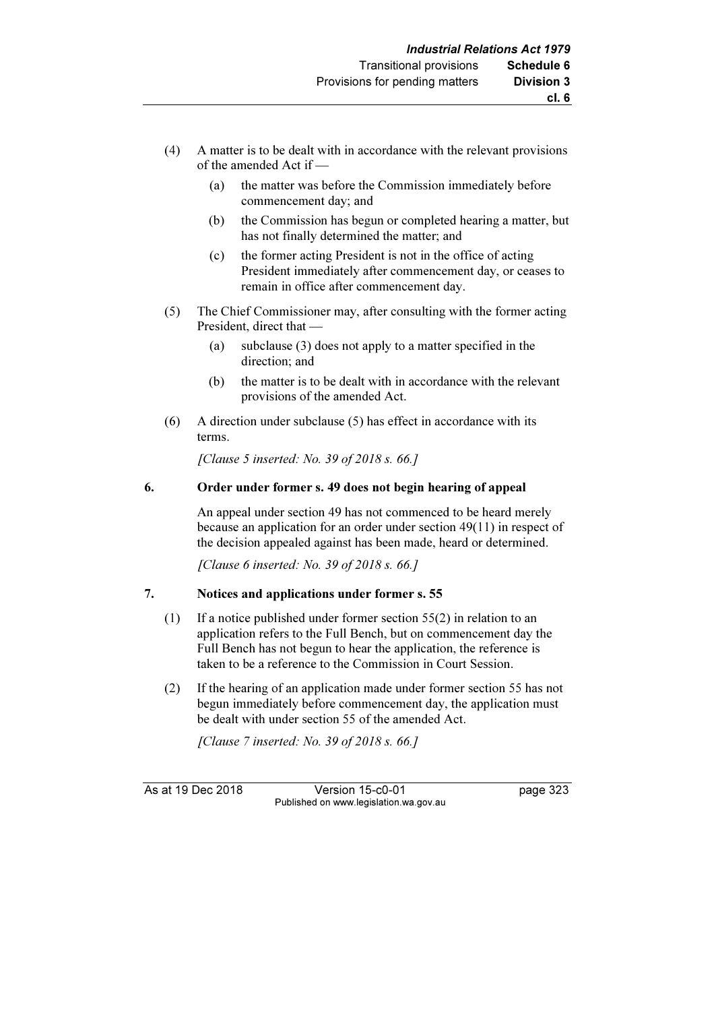- (4) A matter is to be dealt with in accordance with the relevant provisions of the amended Act if —
	- (a) the matter was before the Commission immediately before commencement day; and
	- (b) the Commission has begun or completed hearing a matter, but has not finally determined the matter; and
	- (c) the former acting President is not in the office of acting President immediately after commencement day, or ceases to remain in office after commencement day.
- (5) The Chief Commissioner may, after consulting with the former acting President, direct that —
	- (a) subclause (3) does not apply to a matter specified in the direction; and
	- (b) the matter is to be dealt with in accordance with the relevant provisions of the amended Act.
- (6) A direction under subclause (5) has effect in accordance with its terms.

[Clause 5 inserted: No. 39 of 2018 s. 66.]

### 6. Order under former s. 49 does not begin hearing of appeal

 An appeal under section 49 has not commenced to be heard merely because an application for an order under section 49(11) in respect of the decision appealed against has been made, heard or determined.

[Clause 6 inserted: No. 39 of 2018 s. 66.]

### 7. Notices and applications under former s. 55

- (1) If a notice published under former section 55(2) in relation to an application refers to the Full Bench, but on commencement day the Full Bench has not begun to hear the application, the reference is taken to be a reference to the Commission in Court Session.
- (2) If the hearing of an application made under former section 55 has not begun immediately before commencement day, the application must be dealt with under section 55 of the amended Act.

[Clause 7 inserted: No. 39 of 2018 s. 66.]

As at 19 Dec 2018 Version 15-c0-01 page 323 Published on www.legislation.wa.gov.au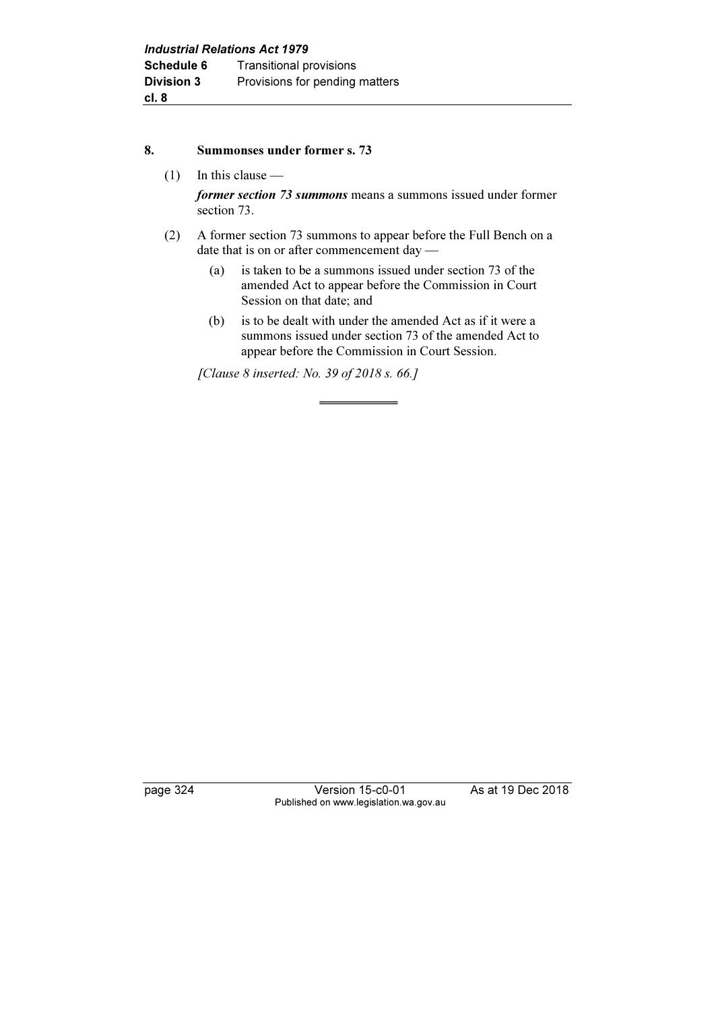#### 8. Summonses under former s. 73

(1) In this clause —

former section 73 summons means a summons issued under former section 73.

- (2) A former section 73 summons to appear before the Full Bench on a date that is on or after commencement day —
	- (a) is taken to be a summons issued under section 73 of the amended Act to appear before the Commission in Court Session on that date; and
	- (b) is to be dealt with under the amended Act as if it were a summons issued under section 73 of the amended Act to appear before the Commission in Court Session.

[Clause 8 inserted: No. 39 of 2018 s. 66.]

page 324 Version 15-c0-01 As at 19 Dec 2018 Published on www.legislation.wa.gov.au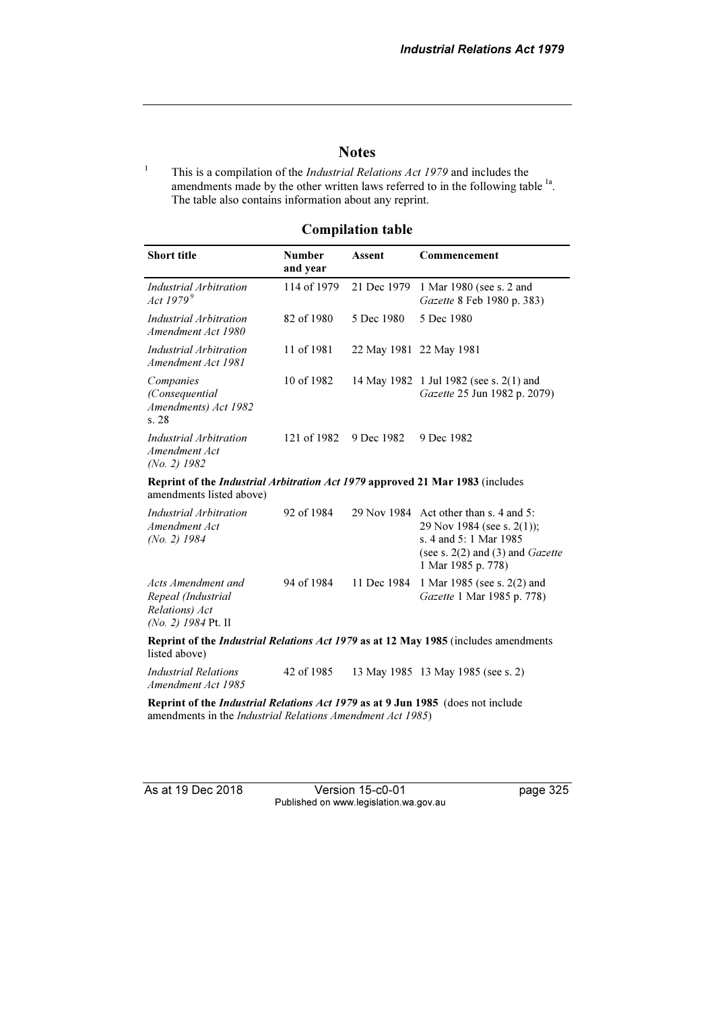### **Notes**

1 This is a compilation of the Industrial Relations Act 1979 and includes the amendments made by the other written laws referred to in the following table <sup>1a</sup>. The table also contains information about any reprint.

### Compilation table

| <b>Short title</b>                                                                                                                                                                                                                                                                                | <b>Number</b><br>and year | <b>Assent</b> | Commencement                                                                                                                                                        |
|---------------------------------------------------------------------------------------------------------------------------------------------------------------------------------------------------------------------------------------------------------------------------------------------------|---------------------------|---------------|---------------------------------------------------------------------------------------------------------------------------------------------------------------------|
| Industrial Arbitration<br>Act 1979 <sup>9</sup>                                                                                                                                                                                                                                                   | 114 of 1979               | 21 Dec 1979   | 1 Mar 1980 (see s. 2 and<br>Gazette 8 Feb 1980 p. 383)                                                                                                              |
| Industrial Arbitration<br>Amendment Act 1980                                                                                                                                                                                                                                                      | 82 of 1980                | 5 Dec 1980    | 5 Dec 1980                                                                                                                                                          |
| Industrial Arbitration<br>Amendment Act 1981                                                                                                                                                                                                                                                      | 11 of 1981                |               | 22 May 1981 22 May 1981                                                                                                                                             |
| Companies<br>(Consequential<br>Amendments) Act 1982<br>s.28                                                                                                                                                                                                                                       | 10 of 1982                |               | 14 May 1982 1 Jul 1982 (see s. 2(1) and<br>Gazette 25 Jun 1982 p. 2079)                                                                                             |
| Industrial Arbitration<br>Amendment Act<br>$(No. 2)$ 1982                                                                                                                                                                                                                                         | 121 of 1982               | 9 Dec 1982    | 9 Dec 1982                                                                                                                                                          |
| Reprint of the Industrial Arbitration Act 1979 approved 21 Mar 1983 (includes<br>amendments listed above)                                                                                                                                                                                         |                           |               |                                                                                                                                                                     |
| Industrial Arbitration<br>Amendment Act<br>$(No. 2)$ 1984                                                                                                                                                                                                                                         | 92 of 1984                |               | 29 Nov 1984 Act other than s. 4 and 5:<br>29 Nov 1984 (see s. 2(1));<br>s. 4 and 5: 1 Mar 1985<br>(see s. $2(2)$ and $(3)$ and <i>Gazette</i><br>1 Mar 1985 p. 778) |
| Acts Amendment and<br>Repeal (Industrial<br>Relations) Act<br>(No. 2) 1984 Pt. II                                                                                                                                                                                                                 | 94 of 1984                | 11 Dec 1984   | 1 Mar 1985 (see s. 2(2) and<br>Gazette 1 Mar 1985 p. 778)                                                                                                           |
| listed above)                                                                                                                                                                                                                                                                                     |                           |               | Reprint of the <i>Industrial Relations Act 1979</i> as at 12 May 1985 (includes amendments                                                                          |
| <b>Industrial Relations</b><br>Amendment Act 1985                                                                                                                                                                                                                                                 | 42 of 1985                |               | 13 May 1985 13 May 1985 (see s. 2)                                                                                                                                  |
| $\mathbf{D}$ , and $\mathbf{L}$ and $\mathbf{L}$ and $\mathbf{L}$ and $\mathbf{L}$ and $\mathbf{L}$ and $\mathbf{L}$ and $\mathbf{L}$ and $\mathbf{L}$ and $\mathbf{L}$ and $\mathbf{L}$ and $\mathbf{L}$ and $\mathbf{L}$ and $\mathbf{L}$ and $\mathbf{L}$ and $\mathbf{L}$ and $\mathbf{L}$ an |                           |               |                                                                                                                                                                     |

Reprint of the Industrial Relations Act 1979 as at 9 Jun 1985 (does not include amendments in the Industrial Relations Amendment Act 1985)

As at 19 Dec 2018 Version 15-c0-01 page 325 Published on www.legislation.wa.gov.au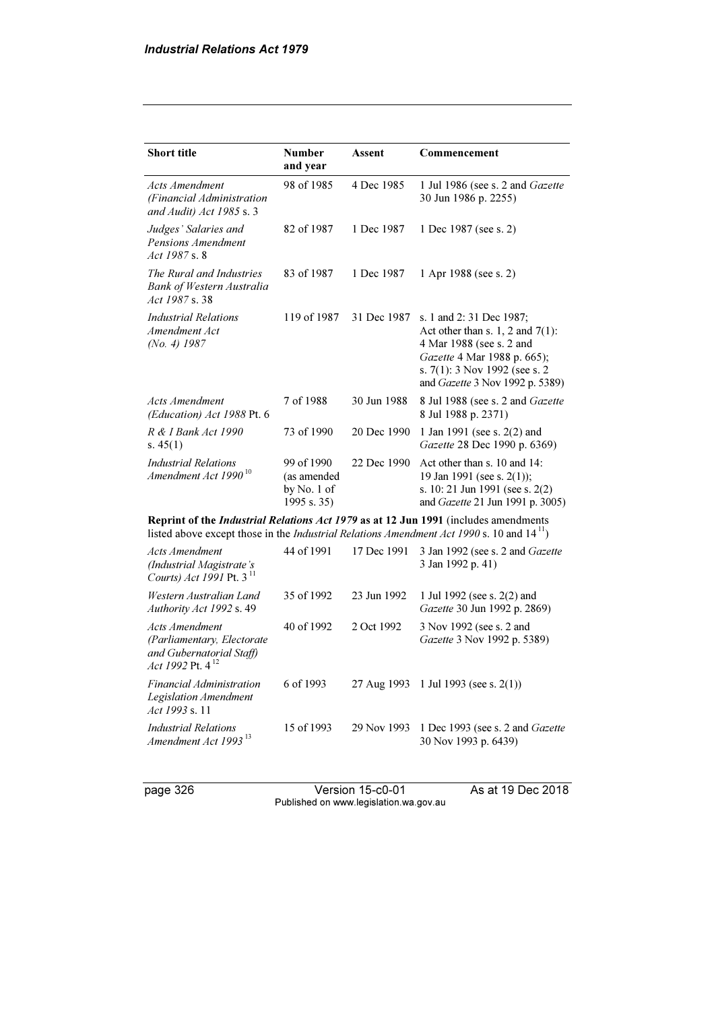| <b>Short title</b>                                                                                                                                                                               | <b>Number</b><br>and year                                | Assent      | Commencement                                                                                                                                                                                       |  |
|--------------------------------------------------------------------------------------------------------------------------------------------------------------------------------------------------|----------------------------------------------------------|-------------|----------------------------------------------------------------------------------------------------------------------------------------------------------------------------------------------------|--|
| <b>Acts Amendment</b><br>(Financial Administration<br>and Audit) Act 1985 s. $3$                                                                                                                 | 98 of 1985                                               | 4 Dec 1985  | 1 Jul 1986 (see s. 2 and Gazette<br>30 Jun 1986 p. 2255)                                                                                                                                           |  |
| Judges' Salaries and<br>Pensions Amendment<br>Act 1987 s. 8                                                                                                                                      | 82 of 1987                                               | 1 Dec 1987  | 1 Dec 1987 (see s. 2)                                                                                                                                                                              |  |
| The Rural and Industries<br>Bank of Western Australia<br>Act 1987 s. 38                                                                                                                          | 83 of 1987                                               | 1 Dec 1987  | 1 Apr 1988 (see s. 2)                                                                                                                                                                              |  |
| <b>Industrial Relations</b><br>Amendment Act<br>(No. 4) 1987                                                                                                                                     | 119 of 1987                                              | 31 Dec 1987 | s. 1 and 2: 31 Dec 1987;<br>Act other than s. 1, 2 and $7(1)$ :<br>4 Mar 1988 (see s. 2 and<br>Gazette 4 Mar 1988 p. 665);<br>s. $7(1)$ : 3 Nov 1992 (see s. 2)<br>and Gazette 3 Nov 1992 p. 5389) |  |
| <b>Acts Amendment</b><br>(Education) Act 1988 Pt. 6                                                                                                                                              | 7 of 1988                                                | 30 Jun 1988 | 8 Jul 1988 (see s. 2 and Gazette<br>8 Jul 1988 p. 2371)                                                                                                                                            |  |
| R & I Bank Act 1990<br>s. $45(1)$                                                                                                                                                                | 73 of 1990                                               | 20 Dec 1990 | 1 Jan 1991 (see s. 2(2) and<br>Gazette 28 Dec 1990 p. 6369)                                                                                                                                        |  |
| <b>Industrial Relations</b><br>Amendment Act 1990 <sup>10</sup>                                                                                                                                  | 99 of 1990<br>(as amended<br>by No. $1$ of<br>1995 s. 35 | 22 Dec 1990 | Act other than s. 10 and 14:<br>19 Jan 1991 (see s. $2(1)$ );<br>s. 10: 21 Jun 1991 (see s. $2(2)$ )<br>and Gazette 21 Jun 1991 p. 3005)                                                           |  |
| Reprint of the <i>Industrial Relations Act 1979</i> as at 12 Jun 1991 (includes amendments<br>listed above except those in the <i>Industrial Relations Amendment Act 1990</i> s. 10 and $1411$ ) |                                                          |             |                                                                                                                                                                                                    |  |

| Acts Amendment<br>(Industrial Magistrate's<br>Courts) Act 1991 Pt. 3 <sup>11</sup>                 | 44 of 1991 | 17 Dec 1991 | 3 Jan 1992 (see s. 2 and Gazette<br>3 Jan 1992 p. 41)           |
|----------------------------------------------------------------------------------------------------|------------|-------------|-----------------------------------------------------------------|
| Western Australian Land<br>Authority Act 1992 s. 49                                                | 35 of 1992 | 23 Jun 1992 | 1 Jul 1992 (see s. 2(2) and<br>Gazette 30 Jun 1992 p. 2869)     |
| Acts Amendment<br>(Parliamentary, Electorate)<br>and Gubernatorial Staff)<br>Act 1992 Pt. $4^{12}$ | 40 of 1992 | 2 Oct 1992  | 3 Nov 1992 (see s. 2 and<br>Gazette 3 Nov 1992 p. 5389)         |
| Financial Administration<br>Legislation Amendment<br><i>Act 1993 s.</i> 11                         | 6 of 1993  |             | 27 Aug 1993 1 Jul 1993 (see s. $2(1)$ )                         |
| <i>Industrial Relations</i><br>Amendment Act 1993 <sup>13</sup>                                    | 15 of 1993 | 29 Nov 1993 | 1 Dec 1993 (see s. 2 and <i>Gazette</i><br>30 Nov 1993 p. 6439) |

page 326 Version 15-c0-01 As at 19 Dec 2018 Published on www.legislation.wa.gov.au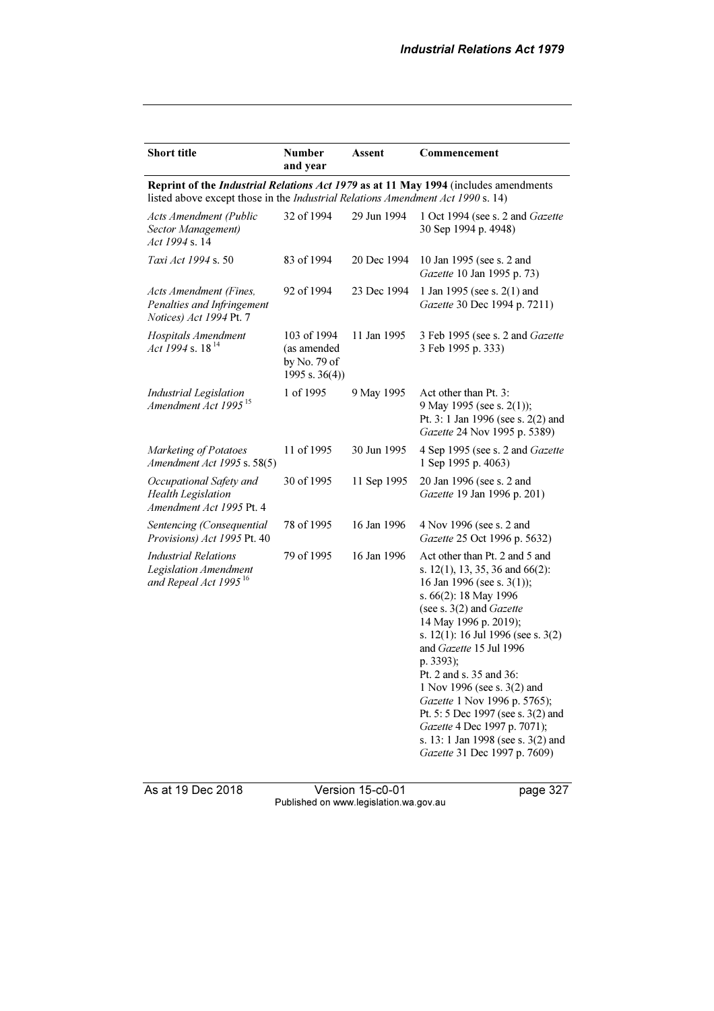| <b>Short title</b>                                                                        | <b>Number</b><br>and year                                       | Assent      | Commencement                                                                                                                                                                                                                                                                                                                                                                                                                                                                                        |
|-------------------------------------------------------------------------------------------|-----------------------------------------------------------------|-------------|-----------------------------------------------------------------------------------------------------------------------------------------------------------------------------------------------------------------------------------------------------------------------------------------------------------------------------------------------------------------------------------------------------------------------------------------------------------------------------------------------------|
| listed above except those in the Industrial Relations Amendment Act 1990 s. 14)           |                                                                 |             | Reprint of the Industrial Relations Act 1979 as at 11 May 1994 (includes amendments                                                                                                                                                                                                                                                                                                                                                                                                                 |
| Acts Amendment (Public<br>Sector Management)<br>Act 1994 s. 14                            | 32 of 1994                                                      | 29 Jun 1994 | 1 Oct 1994 (see s. 2 and Gazette<br>30 Sep 1994 p. 4948)                                                                                                                                                                                                                                                                                                                                                                                                                                            |
| Taxi Act 1994 s. 50                                                                       | 83 of 1994                                                      | 20 Dec 1994 | 10 Jan 1995 (see s. 2 and<br>Gazette 10 Jan 1995 p. 73)                                                                                                                                                                                                                                                                                                                                                                                                                                             |
| Acts Amendment (Fines,<br>Penalties and Infringement<br>Notices) Act 1994 Pt. 7           | 92 of 1994                                                      | 23 Dec 1994 | 1 Jan 1995 (see s. 2(1) and<br>Gazette 30 Dec 1994 p. 7211)                                                                                                                                                                                                                                                                                                                                                                                                                                         |
| Hospitals Amendment<br>Act 1994 s. $18^{14}$                                              | 103 of 1994<br>(as amended<br>by No. 79 of<br>1995 s. $36(4)$ ) | 11 Jan 1995 | 3 Feb 1995 (see s. 2 and Gazette<br>3 Feb 1995 p. 333)                                                                                                                                                                                                                                                                                                                                                                                                                                              |
| Industrial Legislation<br>Amendment Act 1995 <sup>15</sup>                                | 1 of 1995                                                       | 9 May 1995  | Act other than Pt. 3:<br>9 May 1995 (see s. 2(1));<br>Pt. 3: 1 Jan 1996 (see s. 2(2) and<br>Gazette 24 Nov 1995 p. 5389)                                                                                                                                                                                                                                                                                                                                                                            |
| Marketing of Potatoes<br>Amendment Act 1995 s. 58(5)                                      | 11 of 1995                                                      | 30 Jun 1995 | 4 Sep 1995 (see s. 2 and Gazette<br>1 Sep 1995 p. 4063)                                                                                                                                                                                                                                                                                                                                                                                                                                             |
| Occupational Safety and<br><b>Health Legislation</b><br>Amendment Act 1995 Pt. 4          | 30 of 1995                                                      | 11 Sep 1995 | 20 Jan 1996 (see s. 2 and<br>Gazette 19 Jan 1996 p. 201)                                                                                                                                                                                                                                                                                                                                                                                                                                            |
| Sentencing (Consequential<br>Provisions) Act 1995 Pt. 40                                  | 78 of 1995                                                      | 16 Jan 1996 | 4 Nov 1996 (see s. 2 and<br>Gazette 25 Oct 1996 p. 5632)                                                                                                                                                                                                                                                                                                                                                                                                                                            |
| <b>Industrial Relations</b><br>Legislation Amendment<br>and Repeal Act 1995 <sup>16</sup> | 79 of 1995                                                      | 16 Jan 1996 | Act other than Pt. 2 and 5 and<br>s. 12(1), 13, 35, 36 and 66(2):<br>16 Jan 1996 (see s. 3(1));<br>s. 66(2): 18 May 1996<br>(see s. $3(2)$ and Gazette<br>14 May 1996 p. 2019);<br>s. 12(1): 16 Jul 1996 (see s. 3(2)<br>and Gazette 15 Jul 1996<br>p. 3393);<br>Pt. 2 and s. 35 and 36:<br>1 Nov 1996 (see s. 3(2) and<br>Gazette 1 Nov 1996 p. 5765);<br>Pt. 5: 5 Dec 1997 (see s. 3(2) and<br>Gazette 4 Dec 1997 p. 7071);<br>s. 13: 1 Jan 1998 (see s. 3(2) and<br>Gazette 31 Dec 1997 p. 7609) |

As at 19 Dec 2018 Version 15-c0-01 page 327 Published on www.legislation.wa.gov.au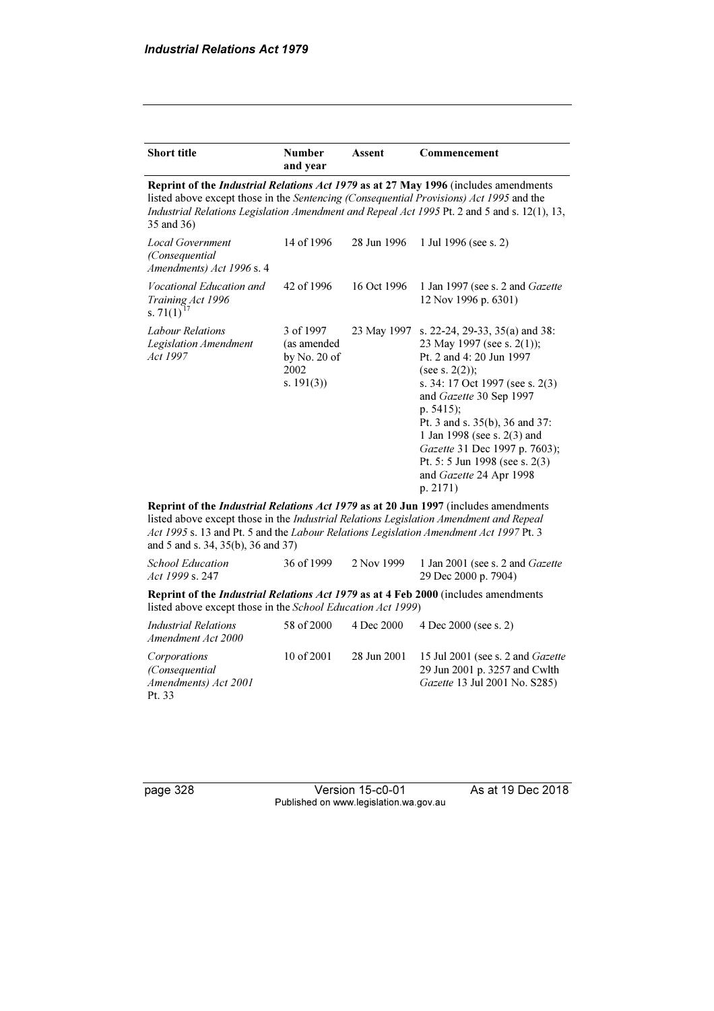| <b>Short title</b>                                                                                                                                                                                                                                                                                                   | <b>Number</b><br>and year                                                                                                                                | Assent      | Commencement                                                                                                                                                                                                                                                                                                                                                            |  |  |
|----------------------------------------------------------------------------------------------------------------------------------------------------------------------------------------------------------------------------------------------------------------------------------------------------------------------|----------------------------------------------------------------------------------------------------------------------------------------------------------|-------------|-------------------------------------------------------------------------------------------------------------------------------------------------------------------------------------------------------------------------------------------------------------------------------------------------------------------------------------------------------------------------|--|--|
| listed above except those in the Sentencing (Consequential Provisions) Act 1995 and the<br>35 and 36)                                                                                                                                                                                                                |                                                                                                                                                          |             | Reprint of the Industrial Relations Act 1979 as at 27 May 1996 (includes amendments<br>Industrial Relations Legislation Amendment and Repeal Act 1995 Pt. 2 and 5 and s. 12(1), 13,                                                                                                                                                                                     |  |  |
| <b>Local Government</b><br>(Consequential<br>Amendments) Act 1996 s. 4                                                                                                                                                                                                                                               | 14 of 1996                                                                                                                                               | 28 Jun 1996 | 1 Jul 1996 (see s. 2)                                                                                                                                                                                                                                                                                                                                                   |  |  |
| Vocational Education and<br>Training Act 1996<br>s. $71(1)^{17}$                                                                                                                                                                                                                                                     | 42 of 1996                                                                                                                                               | 16 Oct 1996 | 1 Jan 1997 (see s. 2 and Gazette<br>12 Nov 1996 p. 6301)                                                                                                                                                                                                                                                                                                                |  |  |
| Labour Relations<br>Legislation Amendment<br>Act 1997                                                                                                                                                                                                                                                                | 3 of 1997<br>(as amended<br>by No. 20 of<br>2002<br>s. $191(3)$                                                                                          | 23 May 1997 | s. 22-24, 29-33, 35(a) and 38:<br>23 May 1997 (see s. 2(1));<br>Pt. 2 and 4: 20 Jun 1997<br>(see s. $2(2)$ );<br>s. 34: 17 Oct 1997 (see s. 2(3)<br>and Gazette 30 Sep 1997<br>p. 5415);<br>Pt. 3 and s. 35(b), 36 and 37:<br>1 Jan 1998 (see s. 2(3) and<br>Gazette 31 Dec 1997 p. 7603);<br>Pt. 5: 5 Jun 1998 (see s. $2(3)$ )<br>and Gazette 24 Apr 1998<br>p. 2171) |  |  |
| Reprint of the <i>Industrial Relations Act 1979</i> as at 20 Jun 1997 (includes amendments<br>listed above except those in the Industrial Relations Legislation Amendment and Repeal<br>Act 1995 s. 13 and Pt. 5 and the Labour Relations Legislation Amendment Act 1997 Pt. 3<br>and 5 and s. 34, 35(b), 36 and 37) |                                                                                                                                                          |             |                                                                                                                                                                                                                                                                                                                                                                         |  |  |
| <b>School Education</b><br>Act 1999 s. 247                                                                                                                                                                                                                                                                           | 36 of 1999                                                                                                                                               | 2 Nov 1999  | 1 Jan 2001 (see s. 2 and Gazette<br>29 Dec 2000 p. 7904)                                                                                                                                                                                                                                                                                                                |  |  |
|                                                                                                                                                                                                                                                                                                                      | Reprint of the <i>Industrial Relations Act 1979</i> as at 4 Feb 2000 (includes amendments<br>listed above except those in the School Education Act 1999) |             |                                                                                                                                                                                                                                                                                                                                                                         |  |  |
| Industrial Relations<br>Amendment Act 2000                                                                                                                                                                                                                                                                           | 58 of 2000                                                                                                                                               | 4 Dec 2000  | 4 Dec 2000 (see s. 2)                                                                                                                                                                                                                                                                                                                                                   |  |  |
| Corporations<br>(Consequential<br>Amendments) Act 2001<br>Pt. 33                                                                                                                                                                                                                                                     | 10 of 2001                                                                                                                                               | 28 Jun 2001 | 15 Jul 2001 (see s. 2 and Gazette<br>29 Jun 2001 p. 3257 and Cwlth<br>Gazette 13 Jul 2001 No. S285)                                                                                                                                                                                                                                                                     |  |  |

page 328 Version 15-c0-01 As at 19 Dec 2018 Published on www.legislation.wa.gov.au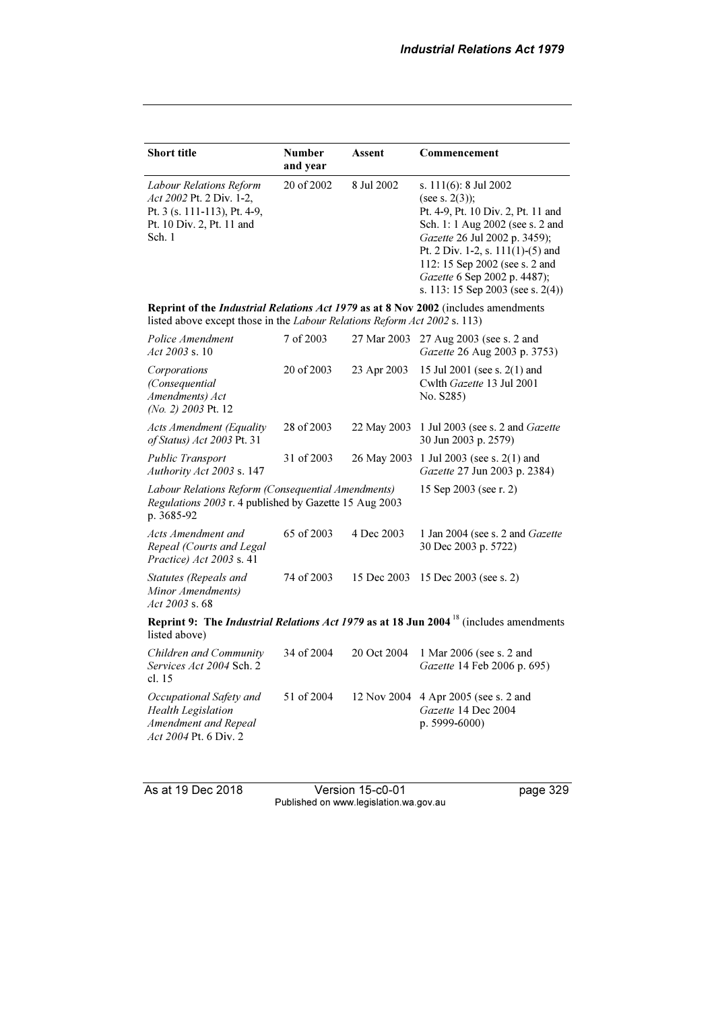| <b>Short title</b>                                                                                                                                              | <b>Number</b><br>and year | Assent      | Commencement                                                                                                                                                                                                                                                                                         |  |
|-----------------------------------------------------------------------------------------------------------------------------------------------------------------|---------------------------|-------------|------------------------------------------------------------------------------------------------------------------------------------------------------------------------------------------------------------------------------------------------------------------------------------------------------|--|
| Labour Relations Reform<br><i>Act 2002 Pt. 2 Div. 1-2.</i><br>Pt. 3 (s. 111-113), Pt. 4-9,<br>Pt. 10 Div. 2, Pt. 11 and<br>Sch. 1                               | 20 of 2002                | 8 Jul 2002  | s. 111(6): 8 Jul 2002<br>(see s. $2(3)$ );<br>Pt. 4-9, Pt. 10 Div. 2, Pt. 11 and<br>Sch. 1: 1 Aug 2002 (see s. 2 and<br>Gazette 26 Jul 2002 p. 3459);<br>Pt. 2 Div. 1-2, s. $111(1)$ -(5) and<br>112: 15 Sep 2002 (see s. 2 and<br>Gazette 6 Sep 2002 p. 4487);<br>s. 113: 15 Sep 2003 (see s. 2(4)) |  |
| Reprint of the Industrial Relations Act 1979 as at 8 Nov 2002 (includes amendments<br>listed above except those in the Labour Relations Reform Act 2002 s. 113) |                           |             |                                                                                                                                                                                                                                                                                                      |  |
| Police Amendment<br>Act 2003 s. 10                                                                                                                              | 7 of 2003                 | 27 Mar 2003 | 27 Aug 2003 (see s. 2 and<br>Gazette 26 Aug 2003 p. 3753)                                                                                                                                                                                                                                            |  |
| Corporations<br>(Consequential<br>Amendments) Act<br>(No. 2) 2003 Pt. 12                                                                                        | 20 of 2003                | 23 Apr 2003 | 15 Jul 2001 (see s. 2(1) and<br>Cwlth Gazette 13 Jul 2001<br>No. S285)                                                                                                                                                                                                                               |  |
| <b>Acts Amendment (Equality</b><br>of Status) Act 2003 Pt. 31                                                                                                   | 28 of 2003                | 22 May 2003 | 1 Jul 2003 (see s. 2 and <i>Gazette</i><br>30 Jun 2003 p. 2579)                                                                                                                                                                                                                                      |  |
| <b>Public Transport</b><br>Authority Act 2003 s. 147                                                                                                            | 31 of 2003                |             | 26 May 2003 1 Jul 2003 (see s. 2(1) and<br>Gazette 27 Jun 2003 p. 2384)                                                                                                                                                                                                                              |  |
| Labour Relations Reform (Consequential Amendments)<br>Regulations 2003 r. 4 published by Gazette 15 Aug 2003<br>p. 3685-92                                      |                           |             | 15 Sep 2003 (see r. 2)                                                                                                                                                                                                                                                                               |  |
| Acts Amendment and<br>Repeal (Courts and Legal<br>Practice) Act 2003 s. 41                                                                                      | 65 of 2003                | 4 Dec 2003  | 1 Jan 2004 (see s. 2 and <i>Gazette</i><br>30 Dec 2003 p. 5722)                                                                                                                                                                                                                                      |  |
| Statutes (Repeals and<br>Minor Amendments)<br>Act 2003 s.68                                                                                                     | 74 of 2003                | 15 Dec 2003 | 15 Dec 2003 (see s. 2)                                                                                                                                                                                                                                                                               |  |
| Reprint 9: The <i>Industrial Relations Act 1979</i> as at 18 Jun 2004 <sup>18</sup> (includes amendments<br>listed above)                                       |                           |             |                                                                                                                                                                                                                                                                                                      |  |
| Children and Community<br>Services Act 2004 Sch. 2<br>cl. $15$                                                                                                  | 34 of 2004                | 20 Oct 2004 | 1 Mar 2006 (see s. 2 and<br>Gazette 14 Feb 2006 p. 695)                                                                                                                                                                                                                                              |  |
| Occupational Safety and<br><b>Health Legislation</b><br>Amendment and Repeal<br>Act 2004 Pt. 6 Div. 2                                                           | 51 of 2004                | 12 Nov 2004 | 4 Apr 2005 (see s. 2 and<br>Gazette 14 Dec 2004<br>p. 5999-6000)                                                                                                                                                                                                                                     |  |

As at 19 Dec 2018 Version 15-c0-01 page 329 Published on www.legislation.wa.gov.au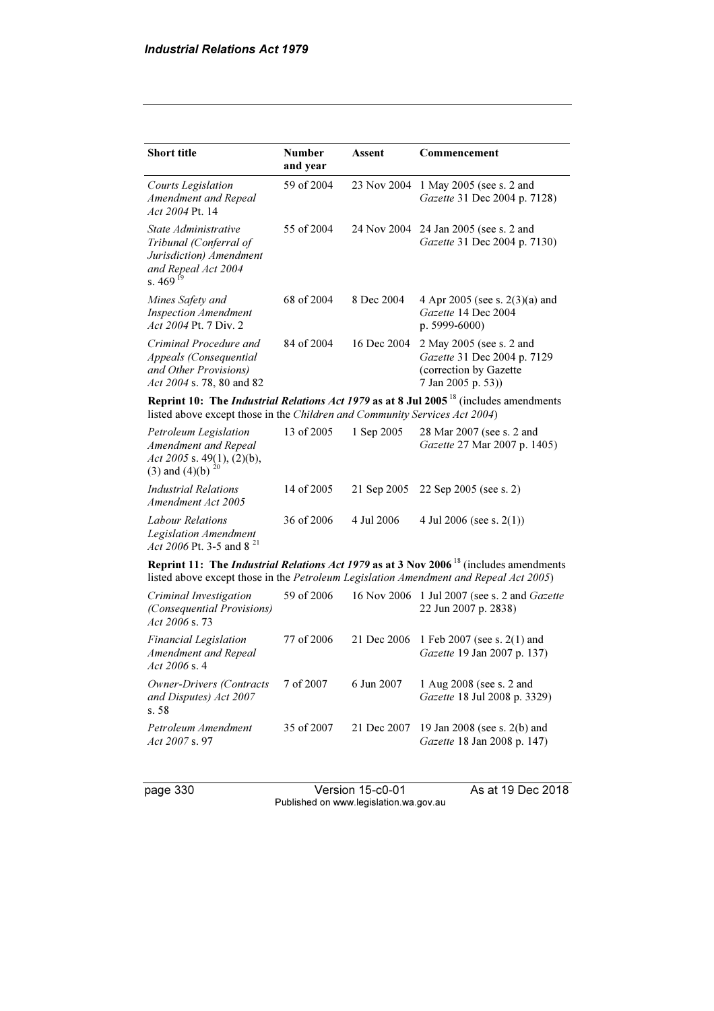| <b>Short title</b>                                                                                              | <b>Number</b><br>and year | Assent      | Commencement                                                                                                                                                                                      |
|-----------------------------------------------------------------------------------------------------------------|---------------------------|-------------|---------------------------------------------------------------------------------------------------------------------------------------------------------------------------------------------------|
| Courts Legislation<br>Amendment and Repeal<br>Act 2004 Pt. 14                                                   | 59 of 2004                | 23 Nov 2004 | 1 May 2005 (see s. 2 and<br>Gazette 31 Dec 2004 p. 7128)                                                                                                                                          |
| State Administrative<br>Tribunal (Conferral of<br>Jurisdiction) Amendment<br>and Repeal Act 2004<br>s. 469 $19$ | 55 of 2004                | 24 Nov 2004 | 24 Jan 2005 (see s. 2 and<br>Gazette 31 Dec 2004 p. 7130)                                                                                                                                         |
| Mines Safety and<br><b>Inspection Amendment</b><br>Act 2004 Pt. 7 Div. 2                                        | 68 of 2004                | 8 Dec 2004  | 4 Apr 2005 (see s. 2(3)(a) and<br>Gazette 14 Dec 2004<br>p. 5999-6000)                                                                                                                            |
| Criminal Procedure and<br>Appeals (Consequential<br>and Other Provisions)<br>Act 2004 s. 78, 80 and 82          | 84 of 2004                | 16 Dec 2004 | 2 May 2005 (see s. 2 and<br>Gazette 31 Dec 2004 p. 7129<br>(correction by Gazette<br>7 Jan 2005 p. 53))                                                                                           |
| listed above except those in the Children and Community Services Act 2004)                                      |                           |             | Reprint 10: The Industrial Relations Act 1979 as at 8 Jul 2005 <sup>18</sup> (includes amendments                                                                                                 |
| Petroleum Legislation<br>Amendment and Repeal<br>Act 2005 s. 49(1), (2)(b),<br>(3) and (4)(b) $^{20}$           | 13 of 2005                | 1 Sep 2005  | 28 Mar 2007 (see s. 2 and<br>Gazette 27 Mar 2007 p. 1405)                                                                                                                                         |
| <b>Industrial Relations</b><br>Amendment Act 2005                                                               | 14 of 2005                | 21 Sep 2005 | 22 Sep 2005 (see s. 2)                                                                                                                                                                            |
| Labour Relations<br>Legislation Amendment<br>Act 2006 Pt. 3-5 and 8 <sup>21</sup>                               | 36 of 2006                | 4 Jul 2006  | 4 Jul 2006 (see s. $2(1)$ )                                                                                                                                                                       |
|                                                                                                                 |                           |             | Reprint 11: The <i>Industrial Relations Act 1979</i> as at 3 Nov 2006 <sup>18</sup> (includes amendments<br>listed above except those in the Petroleum Legislation Amendment and Repeal Act 2005) |
| Criminal Investigation<br>(Consequential Provisions)<br>Act 2006 s.73                                           | 59 of 2006                |             | 16 Nov 2006 1 Jul 2007 (see s. 2 and Gazette<br>22 Jun 2007 p. 2838)                                                                                                                              |
| Financial Legislation<br>Amendment and Repeal<br><i>Act 2006 s.</i> 4                                           | 77 of 2006                | 21 Dec 2006 | 1 Feb 2007 (see s. 2(1) and<br>Gazette 19 Jan 2007 p. 137)                                                                                                                                        |
| Owner-Drivers (Contracts<br>and Disputes) Act 2007<br>s. 58                                                     | 7 of 2007                 | 6 Jun 2007  | 1 Aug 2008 (see s. 2 and<br>Gazette 18 Jul 2008 p. 3329)                                                                                                                                          |
| Petroleum Amendment<br><i>Act 2007</i> s. 97                                                                    | 35 of 2007                | 21 Dec 2007 | 19 Jan 2008 (see s. 2(b) and<br>Gazette 18 Jan 2008 p. 147)                                                                                                                                       |

page 330 Version 15-c0-01 As at 19 Dec 2018 Published on www.legislation.wa.gov.au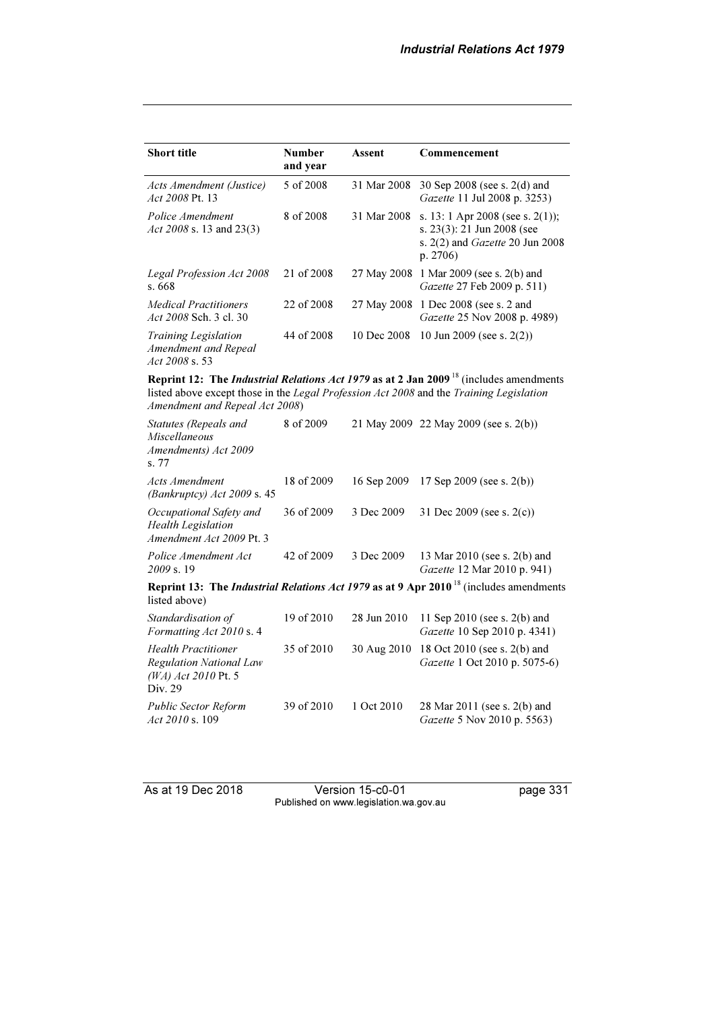| <b>Short title</b>                                                                      | <b>Number</b><br>and year | Assent      | Commencement                                                                                                                                                                                        |
|-----------------------------------------------------------------------------------------|---------------------------|-------------|-----------------------------------------------------------------------------------------------------------------------------------------------------------------------------------------------------|
| Acts Amendment (Justice)<br>Act 2008 Pt. 13                                             | 5 of 2008                 | 31 Mar 2008 | 30 Sep 2008 (see s. 2(d) and<br>Gazette 11 Jul 2008 p. 3253)                                                                                                                                        |
| Police Amendment<br>Act 2008 s. 13 and 23(3)                                            | 8 of 2008                 | 31 Mar 2008 | s. 13: 1 Apr 2008 (see s. 2(1));<br>s. 23(3): 21 Jun 2008 (see<br>s. $2(2)$ and Gazette 20 Jun 2008<br>p. 2706)                                                                                     |
| Legal Profession Act 2008<br>s. 668                                                     | 21 of 2008                |             | 27 May 2008 1 Mar 2009 (see s. 2(b) and<br>Gazette 27 Feb 2009 p. 511)                                                                                                                              |
| Medical Practitioners<br>Act 2008 Sch. 3 cl. 30                                         | 22 of 2008                |             | 27 May 2008 1 Dec 2008 (see s. 2 and<br>Gazette 25 Nov 2008 p. 4989)                                                                                                                                |
| Training Legislation<br>Amendment and Repeal<br>Act 2008 s. 53                          | 44 of 2008                | 10 Dec 2008 | 10 Jun 2009 (see s. $2(2)$ )                                                                                                                                                                        |
| Amendment and Repeal Act 2008)                                                          |                           |             | Reprint 12: The <i>Industrial Relations Act 1979</i> as at 2 Jan 2009 <sup>18</sup> (includes amendments<br>listed above except those in the Legal Profession Act 2008 and the Training Legislation |
| Statutes (Repeals and<br><b>Miscellaneous</b><br>Amendments) Act 2009<br>s. 77          | 8 of 2009                 |             | 21 May 2009 22 May 2009 (see s. 2(b))                                                                                                                                                               |
| Acts Amendment<br>(Bankruptcy) Act 2009 s. 45                                           | 18 of 2009                | 16 Sep 2009 | 17 Sep 2009 (see s. $2(b)$ )                                                                                                                                                                        |
| Occupational Safety and<br><b>Health Legislation</b><br>Amendment Act 2009 Pt. 3        | 36 of 2009                | 3 Dec 2009  | 31 Dec 2009 (see s. $2(c)$ )                                                                                                                                                                        |
| Police Amendment Act<br>2009 s. 19                                                      | 42 of 2009                | 3 Dec 2009  | 13 Mar 2010 (see s. 2(b) and<br>Gazette 12 Mar 2010 p. 941)                                                                                                                                         |
| listed above)                                                                           |                           |             | Reprint 13: The <i>Industrial Relations Act 1979</i> as at 9 Apr 2010 <sup>18</sup> (includes amendments                                                                                            |
| Standardisation of<br>Formatting Act 2010 s. 4                                          | 19 of 2010                | 28 Jun 2010 | 11 Sep 2010 (see s. 2(b) and<br>Gazette 10 Sep 2010 p. 4341)                                                                                                                                        |
| <b>Health Practitioner</b><br>Regulation National Law<br>(WA) Act 2010 Pt. 5<br>Div. 29 | 35 of 2010                | 30 Aug 2010 | 18 Oct 2010 (see s. 2(b) and<br>Gazette 1 Oct 2010 p. 5075-6)                                                                                                                                       |
| Public Sector Reform<br><i>Act 2010</i> s. 109                                          | 39 of 2010                | 1 Oct 2010  | 28 Mar 2011 (see s. 2(b) and<br>Gazette 5 Nov 2010 p. 5563)                                                                                                                                         |

As at 19 Dec 2018 Version 15-c0-01 page 331 Published on www.legislation.wa.gov.au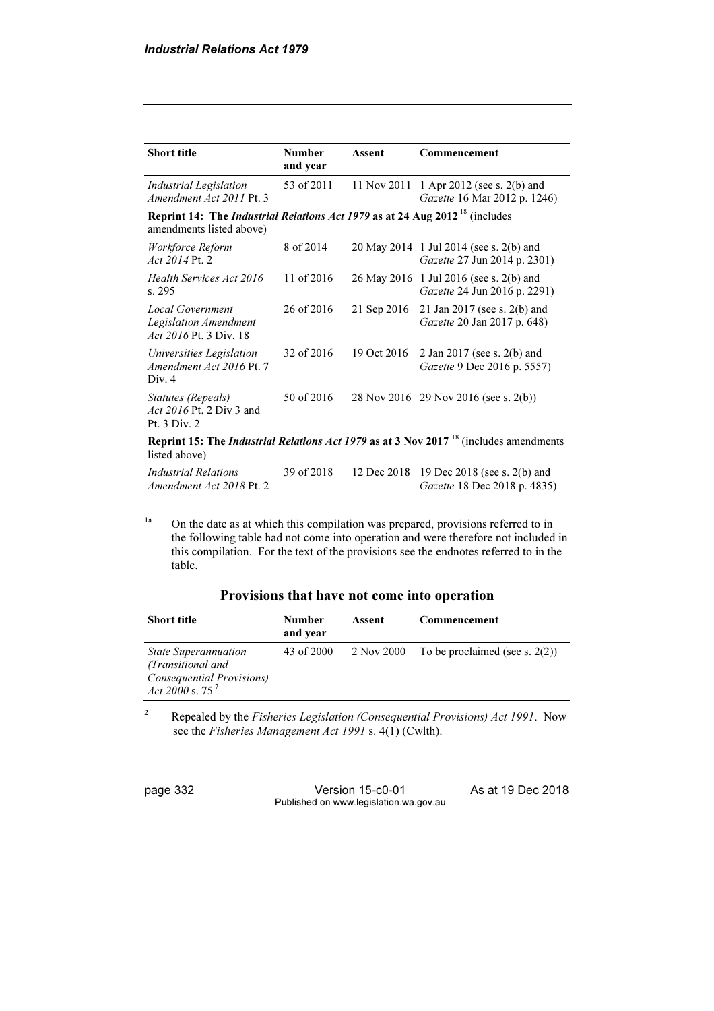| <b>Short title</b>                                                                                                         | <b>Number</b> | Assent      | Commencement                                                                                             |
|----------------------------------------------------------------------------------------------------------------------------|---------------|-------------|----------------------------------------------------------------------------------------------------------|
|                                                                                                                            | and year      |             |                                                                                                          |
| <b>Industrial Legislation</b><br>Amendment Act 2011 Pt. 3                                                                  | 53 of 2011    | 11 Nov 2011 | 1 Apr 2012 (see s. 2(b) and<br>Gazette 16 Mar 2012 p. 1246)                                              |
| <b>Reprint 14: The Industrial Relations Act 1979 as at 24 Aug 2012</b> <sup>18</sup> (includes<br>amendments listed above) |               |             |                                                                                                          |
| Workforce Reform<br>Act 2014 Pt. 2                                                                                         | 8 of 2014     |             | 20 May 2014 1 Jul 2014 (see s. 2(b) and<br>Gazette 27 Jun 2014 p. 2301)                                  |
| Health Services Act 2016<br>s. 295                                                                                         | 11 of 2016    |             | 26 May 2016 1 Jul 2016 (see s. 2(b) and<br>Gazette 24 Jun 2016 p. 2291)                                  |
| Local Government<br>Legislation Amendment<br>Act 2016 Pt. 3 Div. 18                                                        | 26 of 2016    | 21 Sep 2016 | 21 Jan 2017 (see s. 2(b) and<br>Gazette 20 Jan 2017 p. 648)                                              |
| Universities Legislation<br>Amendment Act 2016 Pt. 7<br>Div. 4                                                             | 32 of 2016    | 19 Oct 2016 | 2 Jan 2017 (see s. 2(b) and<br>Gazette 9 Dec 2016 p. 5557)                                               |
| Statutes (Repeals)<br><i>Act 2016</i> Pt. 2 Div 3 and<br>Pt. 3 Div. 2                                                      | 50 of 2016    |             | 28 Nov 2016 29 Nov 2016 (see s. 2(b))                                                                    |
| listed above)                                                                                                              |               |             | Reprint 15: The <i>Industrial Relations Act 1979</i> as at 3 Nov 2017 <sup>18</sup> (includes amendments |
| Industrial Relations<br>Amendment Act 2018 Pt. 2                                                                           | 39 of 2018    | 12 Dec 2018 | 19 Dec 2018 (see s. 2(b) and<br>Gazette 18 Dec 2018 p. 4835)                                             |

<sup>1a</sup> On the date as at which this compilation was prepared, provisions referred to in the following table had not come into operation and were therefore not included in this compilation. For the text of the provisions see the endnotes referred to in the table.

#### Provisions that have not come into operation

| <b>Short title</b>                                                                                  | <b>Number</b><br>and year | Assent     | Commencement                      |
|-----------------------------------------------------------------------------------------------------|---------------------------|------------|-----------------------------------|
| <b>State Superannuation</b><br>(Transitional and<br>Consequential Provisions)<br>Act 2000 s. $75^7$ | 43 of 2000                | 2 Nov 2000 | To be proclaimed (see s. $2(2)$ ) |

2 Repealed by the Fisheries Legislation (Consequential Provisions) Act 1991. Now see the Fisheries Management Act 1991 s. 4(1) (Cwlth).

page 332 Version 15-c0-01 As at 19 Dec 2018 Published on www.legislation.wa.gov.au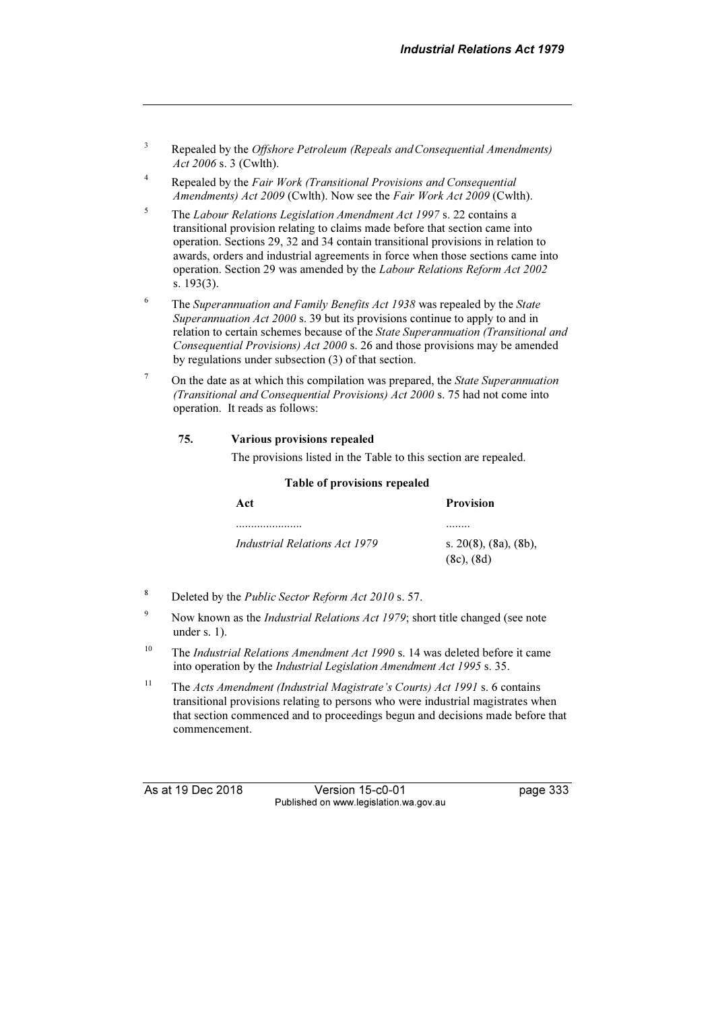- 3 Repealed by the Offshore Petroleum (Repeals andConsequential Amendments) Act 2006 s. 3 (Cwlth).
- 4 Repealed by the Fair Work (Transitional Provisions and Consequential Amendments) Act 2009 (Cwlth). Now see the Fair Work Act 2009 (Cwlth).
- 5 The Labour Relations Legislation Amendment Act 1997 s. 22 contains a transitional provision relating to claims made before that section came into operation. Sections 29, 32 and 34 contain transitional provisions in relation to awards, orders and industrial agreements in force when those sections came into operation. Section 29 was amended by the Labour Relations Reform Act 2002 s. 193(3).
- 6 The Superannuation and Family Benefits Act 1938 was repealed by the State Superannuation Act 2000 s. 39 but its provisions continue to apply to and in relation to certain schemes because of the State Superannuation (Transitional and Consequential Provisions) Act 2000 s. 26 and those provisions may be amended by regulations under subsection (3) of that section.
- <sup>7</sup> On the date as at which this compilation was prepared, the *State Superannuation* (Transitional and Consequential Provisions) Act 2000 s. 75 had not come into operation. It reads as follows:

#### 75. Various provisions repealed

The provisions listed in the Table to this section are repealed.

#### Table of provisions repealed

| Act                                  | <b>Provision</b>                          |
|--------------------------------------|-------------------------------------------|
| .                                    |                                           |
| <i>Industrial Relations Act 1979</i> | s. 20(8), $(8a)$ , $(8b)$ ,<br>(8c), (8d) |

- <sup>8</sup> Deleted by the *Public Sector Reform Act 2010* s. 57.
- <sup>9</sup> Now known as the *Industrial Relations Act 1979*; short title changed (see note under s. 1).
- <sup>10</sup> The *Industrial Relations Amendment Act 1990* s. 14 was deleted before it came into operation by the Industrial Legislation Amendment Act 1995 s. 35.
- <sup>11</sup> The Acts Amendment (Industrial Magistrate's Courts) Act 1991 s. 6 contains transitional provisions relating to persons who were industrial magistrates when that section commenced and to proceedings begun and decisions made before that commencement.

As at 19 Dec 2018 Version 15-c0-01 page 333 Published on www.legislation.wa.gov.au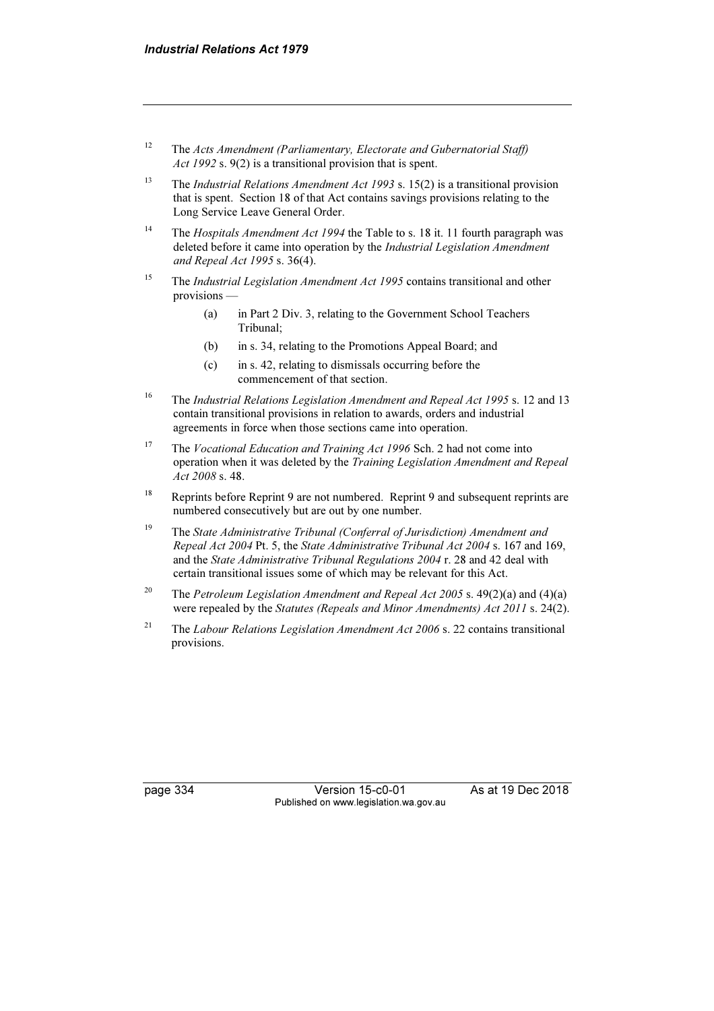- <sup>12</sup> The Acts Amendment (Parliamentary, Electorate and Gubernatorial Staff) Act 1992 s. 9(2) is a transitional provision that is spent.
- <sup>13</sup> The *Industrial Relations Amendment Act 1993* s. 15(2) is a transitional provision that is spent. Section 18 of that Act contains savings provisions relating to the Long Service Leave General Order.
- <sup>14</sup> The *Hospitals Amendment Act 1994* the Table to s. 18 it. 11 fourth paragraph was deleted before it came into operation by the Industrial Legislation Amendment and Repeal Act 1995 s. 36(4).
- <sup>15</sup> The *Industrial Legislation Amendment Act 1995* contains transitional and other provisions —
	- (a) in Part 2 Div. 3, relating to the Government School Teachers Tribunal;
	- (b) in s. 34, relating to the Promotions Appeal Board; and
	- (c) in s. 42, relating to dismissals occurring before the commencement of that section.
- <sup>16</sup> The Industrial Relations Legislation Amendment and Repeal Act 1995 s. 12 and 13 contain transitional provisions in relation to awards, orders and industrial agreements in force when those sections came into operation.
- <sup>17</sup> The *Vocational Education and Training Act 1996* Sch. 2 had not come into operation when it was deleted by the Training Legislation Amendment and Repeal Act 2008 s. 48.
- <sup>18</sup> Reprints before Reprint 9 are not numbered. Reprint 9 and subsequent reprints are numbered consecutively but are out by one number.
- <sup>19</sup> The State Administrative Tribunal (Conferral of Jurisdiction) Amendment and Repeal Act 2004 Pt. 5, the State Administrative Tribunal Act 2004 s. 167 and 169, and the State Administrative Tribunal Regulations 2004 r. 28 and 42 deal with certain transitional issues some of which may be relevant for this Act.
- <sup>20</sup> The Petroleum Legislation Amendment and Repeal Act 2005 s. 49(2)(a) and (4)(a) were repealed by the Statutes (Repeals and Minor Amendments) Act 2011 s. 24(2).
- <sup>21</sup> The *Labour Relations Legislation Amendment Act 2006* s. 22 contains transitional provisions.

page 334 Version 15-c0-01 As at 19 Dec 2018 Published on www.legislation.wa.gov.au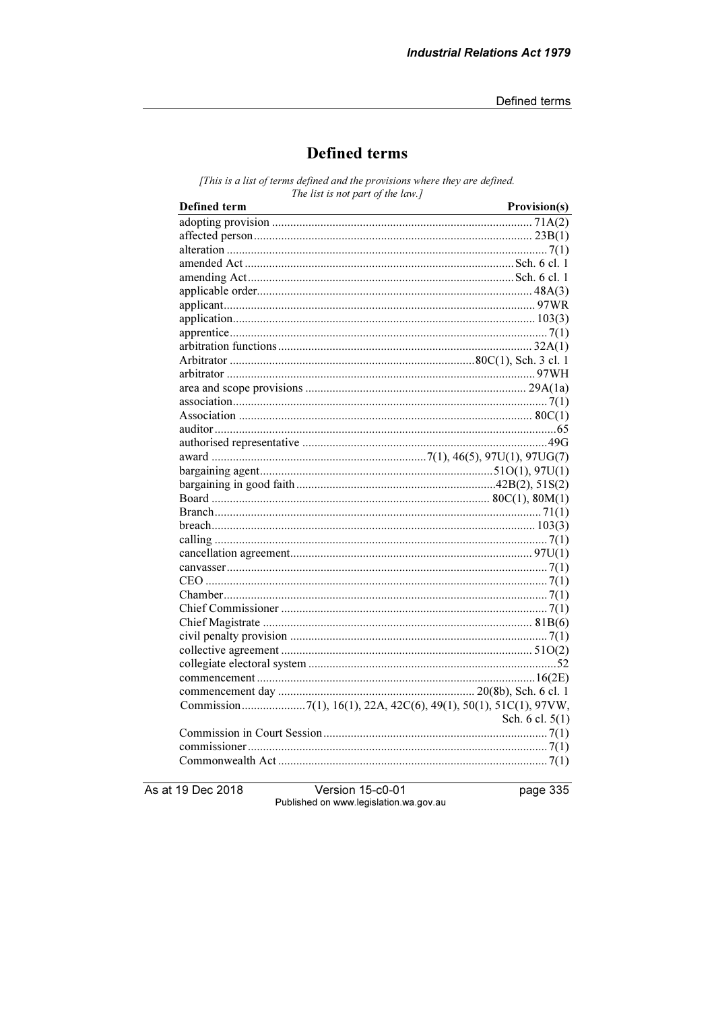# **Defined terms**

[This is a list of terms defined and the provisions where they are defined. The list is not part of the law.]

| Defined term | Provision(s)    |
|--------------|-----------------|
|              |                 |
|              |                 |
|              |                 |
|              |                 |
|              |                 |
|              |                 |
|              |                 |
|              |                 |
|              |                 |
|              |                 |
|              |                 |
|              |                 |
|              |                 |
|              |                 |
|              |                 |
|              |                 |
|              |                 |
|              |                 |
|              |                 |
|              |                 |
|              |                 |
|              |                 |
|              |                 |
|              |                 |
|              |                 |
|              |                 |
|              |                 |
|              |                 |
|              |                 |
|              |                 |
|              |                 |
|              |                 |
|              |                 |
|              |                 |
|              |                 |
|              |                 |
|              | Sch. 6 cl. 5(1) |
|              |                 |
|              |                 |
|              |                 |

As at 19 Dec 2018

Version 15-c0-01 Published on www.legislation.wa.gov.au page 335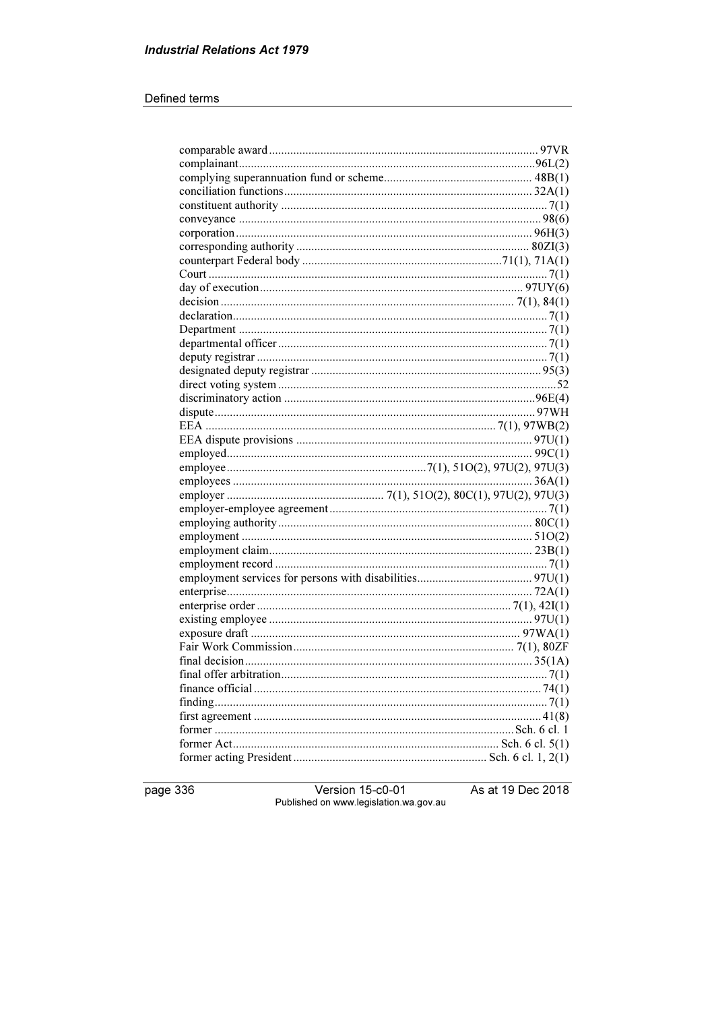#### Defined terms

page 336

Version 15-c0-01 Published on www.legislation.wa.gov.au As at 19 Dec 2018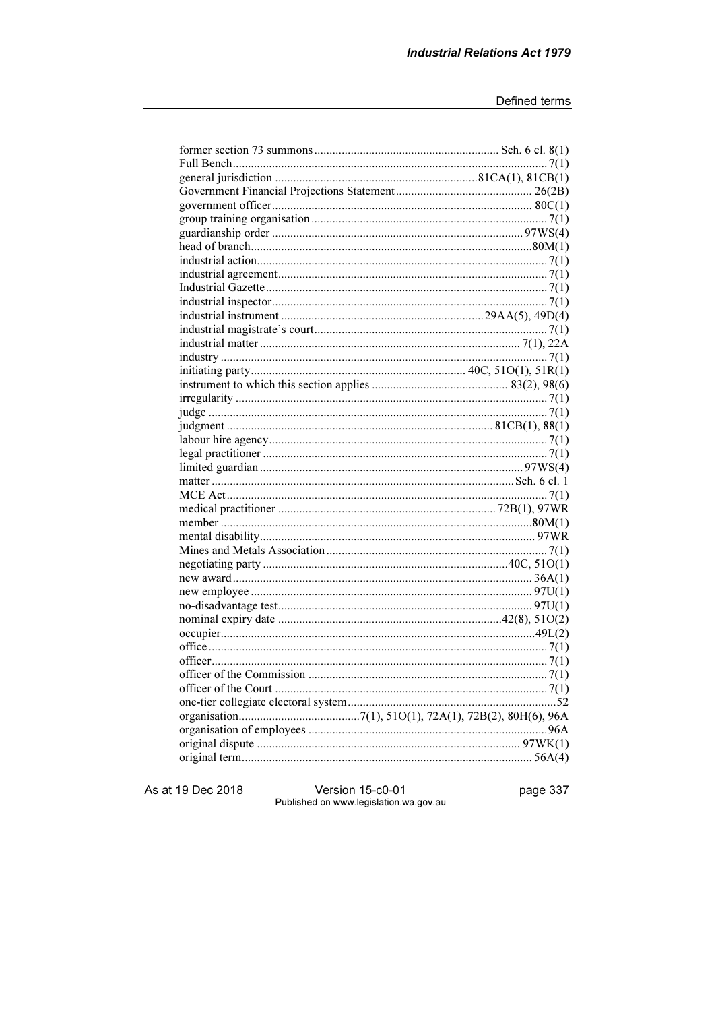As at 19 Dec 2018

Version 15-c0-01<br>Published on www.legislation.wa.gov.au

page 337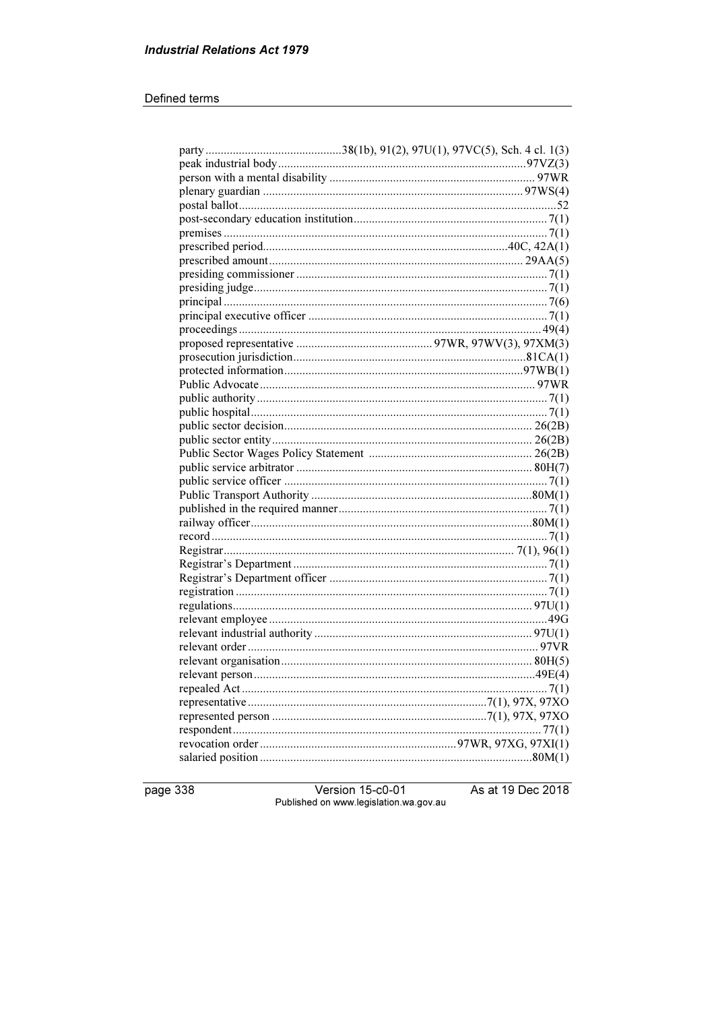#### Defined terms

page 338

Version 15-c0-01 Published on www.legislation.wa.gov.au As at 19 Dec 2018